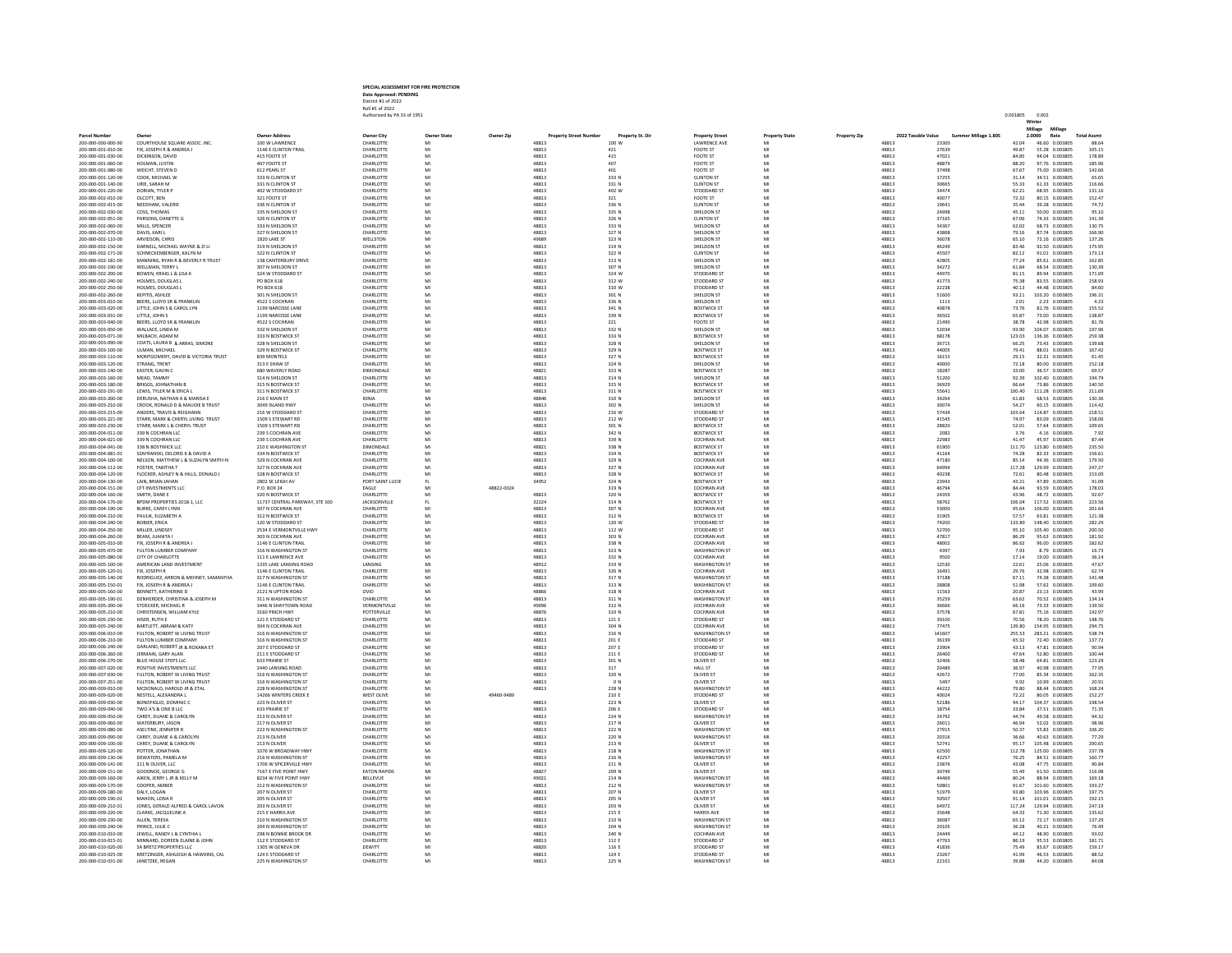## **SPECIAL ASSESSMENT FOR PRIE PROTECTION**<br>Date **Approved: PENDING**<br>Date Approved:<br>Authorized by PA 33 of 1951

|                                          |                                                                 |                                                |                                 |                    |            |                               |                  |                                            |                       |                     |                    |                      |                 | Winte<br>Millage<br>Millage        |                   |
|------------------------------------------|-----------------------------------------------------------------|------------------------------------------------|---------------------------------|--------------------|------------|-------------------------------|------------------|--------------------------------------------|-----------------------|---------------------|--------------------|----------------------|-----------------|------------------------------------|-------------------|
| <b>Parcel Number</b>                     |                                                                 | <b>Owner Address</b>                           | Owner City                      | <b>Owner State</b> | Owner Zip  | <b>Property Street Number</b> | Property St. Dir | <b>Property Street</b>                     | <b>Property State</b> | <b>Property Zip</b> | 2022 Taxable Value | Summer Millage 1.805 |                 | Rate<br>2.0000                     | <b>Total Assm</b> |
| 200-000-000-000-90<br>200-000-001-010-00 | COURTHOUSE SQUARE ASSOC. INC.<br>FIX. JOSEPH R & ANDREA I       | 100 W LAWRENCE<br>1146 E CLINTON TRAIL         | CHARLOTTE<br><b>CHARLOTTE</b>   | MI                 |            | 48813<br>48813                | 100 W            | <b>LAWRENCE AVE</b><br><b>FOOTE ST</b>     |                       |                     | 48813<br>48813     | 23300<br>27639       | 42.04<br>49.87  | 46.60 0.003805<br>55.28 0.003805   | 88.64<br>105.15   |
| 200-000-001-030-00                       | DICKINSON DAVID                                                 | 415 FOOTE ST                                   | <b>CHARLOTTE</b>                | MI                 |            | 48813                         | 421<br>415       | <b>FOOTE ST</b>                            | <b>A.41</b>           |                     | 48813              | 47021                | 84.85           | 94.04 0.003805                     | 178.89            |
| 200-000-001-060-00                       | HOLMAN, JUSTIN                                                  | 407 FOOTE ST                                   | CHARLOTTE                       | MI                 |            | 48813                         | 407              | <b>FOOTE ST</b>                            | MI                    |                     | 48813              | 48879                | 88.20           | 97.76 0.003805                     | 185.96            |
| 200-000-001-080-00                       | WEICHT, STEVEN D                                                | 612 PEARL ST                                   | CHARLOTT                        | MI                 |            | 48813                         | 401<br>333 N     | FOOTE ST                                   | M                     |                     | 48813              | 37498                | 67.67           | 75.00 0.003805                     | 142.66            |
| 200-000-001-120-00<br>200-000-001-140-00 | COOK, MICHAEL W<br>LIRIF SARAH M                                | 333 N CLINTON ST<br>331 N CLINTON ST           | CHARLOTTE<br>CHARLOTTE          | MI                 |            | 48813<br>48813                | 331 N            | <b>CLINTON ST</b><br>CUNTON ST             | MI                    |                     | 48813<br>48813     | 17255<br>20665       | 31.14<br>55.33  | 34.51 0.003805<br>61.33 0.003805   | 65.65<br>116.66   |
| 200-000-001-220-00                       | DORIAN, TYLER P                                                 | 402 W STODDARD ST                              | CHARLOTTE                       | MI                 |            | 48813                         | 402 W            | STODDARD ST                                | MI                    |                     | 48813              | 34474                | 62.21           | 68.95 0.003805                     | 131.16            |
| 200-000-002-010-00                       | OLCOTT, BEN                                                     | 321 FOOTE ST                                   | CHARLOTTE                       | MI                 |            | 48813                         | 321              | <b>FOOTE ST</b>                            | MI                    |                     | 48813              | 40077                | 72.32           | 80.15 0.003805                     | 152.47            |
| 200-000-002-015-00<br>200-000-002-030-00 | NEEDHAM, VALERIE<br>COSS, THOMAS                                | 336 N CLINTON ST<br>335 N SHELDON ST           | CHARLOTTE<br>CHARLOTTE          | MI<br>MI           |            | 48813<br>48813                | 336 N<br>335 N   | <b>CLINTON ST</b><br>SHELDON ST            | MI                    |                     | 48813<br>48813     | 19641<br>24998       | 35.44<br>45.11  | 39.28 0.003805<br>50.00 0.003805   | 74.72<br>95.10    |
| 200-000-002-051-00                       | PARSONS, DANETTE G                                              | 326 N CLINTON ST                               | CHARLOTTE                       | MI                 |            | 48813                         | 326 N            | <b>CLINTON ST</b>                          | MI                    |                     | 48813              | 37165                | 67.06           | 74.33 0.003805                     | 141.39            |
| 200-000-002-060-00                       | MILLS, SPENCER                                                  | 333 N SHELDON ST                               | CHARLOTTE                       | MI                 |            | 48813                         | 333 N            | SHELDON ST                                 | MI                    |                     | 48813              | 34367                | 62.02           | 68.73 0.003805                     | 130.75            |
| 200-000-002-070-00<br>200-000-002-110-00 | DAVIS, KARLL<br>ARVIDSON, CHRIS                                 | 327 N SHELDON ST<br>1820 LAKE ST               | CHARLOTTE<br>WELLSTON           | MI<br>MI           |            | 48813<br>49689                | 327 N<br>323 N   | SHELDON S<br>SHELDON S                     |                       |                     | 48813<br>48813     | 43868<br>36078       | 79.16<br>65.10  | 87.74 0.003805<br>72.16 0.003805   | 166.90<br>137.26  |
| 200-000-002-150-00                       | DARNELL, MICHAEL WAYNE & ZI LI                                  | 319 N SHELDON ST                               | CHARLOTTE                       | M                  |            | 48813                         | 319 N            | SHELDON ST                                 | M                     |                     | 48813              | 46249                | 83.46           | 92.50 0.003805                     | 175.95            |
| 200-000-002-171-00                       | SCHNECKENBERGER, KALYN M                                        | 322 N CLINTON ST                               | CHARLOTTE                       | MI                 |            | 48813                         | 322 N            | <b>CLINTON ST</b>                          | MI                    |                     | 48813              | 45507                | 82.12           | 91.01 0.003805                     | 173.13            |
| 200-000-002-181-00                       | MANNING, RYAN R & BEVERLY R TRUST                               | 138 CANTERBURY DRIVE                           | CHARLOTTE                       | MI                 |            | 48813                         | 313 N            | SHELDON ST                                 | MI                    |                     | 48813              | 42805                | 77.24           | 85.61 0.003805                     | 162.85            |
| 200-000-002-190-00<br>200-000-002-200-00 | WELLMAN, TERRY L<br>BOWEN, KRAIG L & LISA K                     | 307 N SHELDON ST<br>324 W STODDARD ST          | CHARLOTTE<br>CHARLOTTE          | MI                 |            | 48813<br>48813                | 307 N<br>324 W   | SHELDON S<br>STODDARD ST                   | MI                    |                     | 48813<br>48813     | 34272<br>44970       | 61.84<br>81.15  | 68.54 0.003805<br>89.94 0.003805   | 130.39<br>171.09  |
| 200-000-002-240-00                       | HOLMES, DOUGLAS L                                               | PO BOX 618                                     | <b>CHARLOTTE</b>                | MI                 |            | 48813                         | 312 W            | STODDARD ST                                | MI                    |                     | 48813              | 41773                | 75.38           | 83.55 0.003805                     | 158.93            |
| 200-000-002-250-00                       | HOLMES, DOUGLAS L                                               | PO BOX 618                                     | CHARLOTTE                       | MI                 |            | 48813                         | 310 W            | STODDARD ST                                | MI                    |                     | 48813              | 22238                | 40.13           | 44.48 0.003805                     | 84.60             |
| 200-000-002-260-00                       | KEPITIS, ASHLEE                                                 | 301 N SHELDON ST                               | CHARLOTTE                       | MI<br>MI           |            | 48813                         | 301 N            | SHELDON ST                                 |                       |                     | 48813              | 51600                | 93.11           | 103.20 0.003805                    | 196.31            |
| 200-000-003-010-00<br>200-000-003-020-00 | BEERS, LLOYD SR & FRANKLIN<br>LITTLE, JOHN S & CAROL LYN        | 4522 S COCHRAN<br>1199 NARCISSE LANE           | CHARLOTTE<br>CHARLOTTE          | MI                 |            | 48813<br>48813                | 336 N<br>341 N   | SHELDON ST<br><b>BOSTWICK ST</b>           | MI                    |                     | 48813<br>48813     | 1113<br>40878        | 2.01<br>73.76   | 2.23 0.003805<br>81.76 0.003805    | 4.23<br>155.52    |
| 200-000-003-031-00                       | LITTLE JOHNS                                                    | 1199 NARCISSE LANE                             | CHARLOTTE                       | MI                 |            | 48813                         | 339 N            | <b>BOSTWICK ST</b>                         | MI                    |                     | 48813              | 36502                | 65.87           | 23.00 0.003805                     | 138.87            |
| 200-000-003-040-00                       | BEERS, LLOYD SR & FRANKLIN                                      | 4522 S COCHRAN                                 | CHARLOTTE                       | MI                 |            | 48813                         | 221              | FOOTE ST                                   | MI                    |                     | 48813              | 21490                | 38.78           | 42.98 0.003805                     | 81.76             |
| 200-000-003-050-00<br>200-000-003-071-00 | WALLACE, LINDA M<br>MILBACH, ADAM N                             | 332 N SHELDON ST<br>333 N BOSTWICK ST          | CHARLOTTE<br>CHARLOTT           | MI                 |            | 48813<br>48813                | 332 N<br>333 N   | SHELDON ST<br><b>BOSTWICK ST</b>           | MI                    |                     | 48813<br>48813     | 52034<br>68178       | 93.90<br>123.03 | 104.07 0.003805<br>136.36 0.003805 | 197.96<br>259.38  |
| 200-000-003-090-00                       | COATS, LAURA B & ARRAS, SIMONE                                  | 328 N SHELDON ST                               | CHARLOTTE                       | MI                 |            | 48813                         | 328 N            | SHELDON ST                                 | MI                    |                     | 48813              | 36715                | 66.25           | 73.43 0.003805                     | 139.68            |
| 200-000-003-100-00                       | ULMAN, MICHAEL                                                  | 329 N BOSTWICK ST                              | CHARLOTTE                       | MI                 |            | 48813                         | 329 N            | <b>BOSTWICK ST</b>                         | MI                    |                     | 48813              | 44005                | 79.41           | 88.01 0.003805                     | 167.42            |
| 200-000-003-110-00<br>200-000-003-120-00 | MONTGOMERY, DAVID & VICTORIA TRUST<br>STRANG, TRENT             | 839 MONTELS<br>313 E SHAW ST                   | CHARLOTTE<br>CHARLOTTE          | MI                 |            | 48813                         | 327 N            | <b>BOSTWICK ST</b>                         | MI                    |                     | 48813<br>48813     | 16153                | 29.15           | 32.31 0.003805<br>80.00 0.003805   | 61.45<br>152.18   |
| 200-000-003-140-00                       | EASTER, GAVIN O                                                 | 680 WAVERLY ROAD                               | DIMONDAL                        | MI<br>MI           |            | 48813<br>48821                | 324 N<br>323 N   | SHELDON ST<br><b>BOSTWICK ST</b>           |                       |                     | 48813              | 40000<br>18287       | 72.18<br>33.00  | 36.57 0.003805                     | 69.57             |
| 200-000-003-160-00                       | MEAD, TAMMY                                                     | 314 N SHELDON ST                               | CHARLOTTE                       | MI                 |            | 48813                         | 314 N            | SHELDON ST                                 | MI                    |                     | 48813              | 51200                | 92.39           | 102.40 0.003805                    | 194.79            |
| 200-000-003-180-00                       | <b>BRIGGS, JOHNATHAN B</b>                                      | 315 N BOSTWICK ST                              | CHARLOTTE                       | MI                 |            | 48813                         | 315 N            | <b>BOSTWICK ST</b>                         | MI                    |                     | 48813              | 36929                | 66.64           | 73,86 0,003805                     | 140.50            |
| 200-000-003-191-00<br>200-000-003-200-00 | LEWIS, TYLER M & ERICA I<br>DERUSHA, NATHAN A & MARISA I        | 311 N BOSTWICK ST<br>216 E MAIN ST             | CHARLOTTE<br>IONIA              | MI<br>MI           |            | 48813<br>48846                | 311 N<br>310 N   | <b>BOSTWICK ST</b><br>SHELDON S            |                       |                     | 48813<br>48813     | 55641<br>34264       | 100.40<br>61.83 | 111.28 0.003805<br>68.53 0.003805  | 211.69<br>130.36  |
| 200-000-003-210-00                       | CROOK, RONALD D & MAUDIE B TRUST                                | 3049 ISLAND HWY                                | CHARLOTTE                       | MI                 |            | 48813                         | 302 N            | SHELDON ST                                 | M                     |                     | 48813              | 30074                | 54.27           | 60.15 0.003805                     | 114.42            |
| 200-000-003-215-00                       | ANDERS TRAVIS & REIGHANN                                        | 216 W STODDARD ST                              | CHARLOTTE                       | MI                 |            | 48813                         | 216 W            | STODDARD ST                                | MI                    |                     | 48813              | 57434                | 103.64          | 114.87 0.003805                    | 218.51            |
| 200-000-003-221-00                       | STARR, MARK & CHERYL LIVING TRUST                               | 1509 S STEWART RD                              | CHARLOTTE                       | MI                 |            | 48813                         | 212 W            | STODDARD ST                                | MI                    |                     | 48813              | 41545                | 74.97           | 83.09 0.003805                     | 158.06            |
| 200-000-003-230-00<br>200-000-004-011-00 | STARR, MARK L & CHERYL TRUST<br>339 N COCHRAN LLC               | 1509 S STEWART RD<br>239 S COCHRAN AVE         | CHARLOTTE<br>CHARLOTTE          | MI                 |            | 48813<br>48813                | 301 N<br>342 N   | <b>BOSTWICK ST</b><br><b>BOSTWICK ST</b>   | MI                    |                     | 48813<br>48813     | 28820<br>2082        | 52.01<br>3.76   | 57.64 0.003805<br>4.16 0.003805    | 109.65<br>7.92    |
| 200-000-004-021-00                       | 339 N COCHRAN LLC                                               | 239 S COCHRAN AVE                              | <b>CHARLOTTE</b>                | MI                 |            | 48813                         | 339 N            | COCHRAN AVE                                | MI                    |                     | 48813              | 22983                | 41.47           | 45.97 0.003805                     | 87.44             |
| 200-000-004-041-00                       | 338 N BOSTWICK LLC                                              | 210 E WASHINGTON ST                            | <b>DIMONDALE</b>                | MI                 |            | 48821                         | 338 N            | <b>BOSTWICK ST</b>                         | MI                    |                     | 48813              | 61900                | 111.70          | 123.80 0.003805                    | 235.50            |
| 200-000-004-081-01                       | SZAFRANSKI, DELORIS K & DAVID A                                 | 334 N BOSTWICK ST                              | CHARLOTTE                       | MI                 |            | 48813                         | 334 N            | <b>BOSTWICK ST</b>                         | MI                    |                     | 48813              | 41164                | 74.28           | 82.33 0.003805                     | 156.61<br>179.50  |
| 200-000-004-100-00<br>200-000-004-112-00 | NELSON, MATTHEW L & SUZALYN SMITH-N<br><b>FOSTER, TABITHA T</b> | 329 N COCHRAN AVE<br>327 N COCHRAN AVE         | CHARLOTTE<br>CHARLOTTE          | MI<br>MI           |            | 48813<br>48813                | 329 N<br>327 N   | <b>COCHRAN AVE</b><br>COCHRAN AVE          | MI                    |                     | 48813<br>48813     | 47180<br>64994       | 85.14<br>117.28 | 94.36 0.003805<br>129.99 0.003805  | 247.27            |
| 200-000-004-120-00                       | FLOCKER, ASHLEY N & HILLS, DONALD J                             | 328 N ROSTWICK ST                              | CHARLOTTE                       | MI                 |            | 48813                         | 328 N            | <b>BOSTWICK ST</b>                         | MI                    |                     | 48813              | 40238                | 72.61           | 80.48 0.003805                     | 153.09            |
| 200-000-004-130-00                       | LAIN, BRIAN JAHAN                                               | 2802 SE LEIGH AV                               | PORT SAINT LUCIE                | FL.                |            | 34952                         | 324 N            | <b>BOSTWICK ST</b>                         | MI                    |                     | 48813              | 23943                | 43.21           | 47.89 0.003805                     | 91.09             |
| 200-000-004-151-00<br>200-000-004-160-00 | CFT INVESTMENTS LLC<br>SMITH, DANE E                            | P.O. BOX 24<br>320 N BOSTWICK ST               | EAGLE<br>CHARLOTTE              | MI<br>MI           | 48822-0024 | 48813                         | 319 N<br>320 N   | <b>COCHRAN AVE</b><br><b>BOSTWICK ST</b>   | MI                    |                     | 48813<br>48813     | 46794<br>24359       | 84.44<br>43.96  | 93.59 0.003805<br>48.72 0.003805   | 178.03<br>92.67   |
| 200-000-004-170-00                       | BPDM PROPERTIES 2018-1, LLC                                     | 11737 CENTRAL PARKWAY, STE 100                 | <b>JACKSONVILLE</b>             | FL                 |            | 32224                         | 314 N            | <b>BOSTWICK ST</b>                         | MI                    |                     | 48813              | 58762                | 106.04          | 117.52 0.003805                    | 223.56            |
| 200-000-004-190-00                       | <b>BURKE, CAREY LYNN</b>                                        | 307 N COCHRAN AVE                              | CHARLOTTE                       | MI                 |            | 48813                         | 307 N            | COCHRAN AVE                                | MI                    |                     | 48813              | 53000                | 95.64           | 106.00 0.003805                    | 201.64            |
| 200-000-004-210-00<br>200-000-004-240-00 | PAULIK, ELIZABETH A<br><b>BOBIER, ERICA</b>                     | 312 N BOSTWICK ST<br>120 W STODDARD ST         | CHARLOTTE<br>CHARLOTTE          | MI<br>MI           |            | 48813<br>48813                | 312 N<br>120 W   | <b>BOSTWICK ST</b><br>STODDARD ST          | MI                    |                     | 48813<br>48813     | 31905<br>74200       | 57.57           | 63.81 0.003805<br>148.40 0.003805  | 121.38<br>282.29  |
| 200-000-004-250-00                       | MILLER, LINDSE                                                  | 2534 E VERMONTVILLE HWY                        | CHARLOTTE                       | MI                 |            | 48813                         | 112 W            | STODDARD ST                                |                       |                     | 48813              | 52700                | 133.89<br>95.10 | 105.40 0.003805                    | 200.50            |
| 200-000-004-260-00                       | BEAM, JUANITA I                                                 | 303 N COCHRAN AVE                              | CHARLOTTE                       | MI                 |            | 48813                         | 303 N            | COCHRAN AVE                                | MI                    |                     | 48813              | 47817                | 86.29           | 95.63 0.003805                     | 181.92            |
| 200-000-005-010-00                       | FIX JOSEPH R & ANDREA I                                         | 1146 F CLINTON TRAIL                           | <b>CHARLOTTE</b>                | MI                 |            | 48813                         | 338 N            | <b>COCHRAN AVE</b>                         | MI                    |                     | 48813              | 48002                | 86.62           | 96.00 0.003805                     | 182.62            |
| 200-000-005-070-00<br>200-000-005-080-00 | <b>FULTON LUMBER COMPANY</b><br>CITY OF CHARLOTTE               | 316 N WASHINGTON ST<br>111 E LAWRENCE AVE      | CHARLOTTE<br>CHARLOTTE          | MI                 |            | 48813<br>48813                | 323 N<br>332 N   | <b>WASHINGTON ST</b><br><b>COCHRAN AVE</b> | MI                    |                     | 48813<br>48813     | 4397<br>9500         | 7.93<br>17.14   | 8.79 0.003805<br>19.00 0.003805    | 16.73<br>36.14    |
| 200-000-005-100-00                       | AMERICAN LAND INVESTMENT                                        | 1335 LAKE LANSING ROAD                         | LANSING                         | MI                 |            | 48912                         | 319 N            | <b>WASHINGTON ST</b>                       | M                     |                     | 48813              | 12530                | 22.61           | 25.06 0.003805                     | 47.67             |
| 200-000-005-120-01                       | FIX IOSEPH R                                                    | 1146 E CLINTON TRAIL                           | CHARLOTTE                       | MI                 |            | 48813                         | 326 N            | <b>COCHRAN AVE</b>                         | MI                    |                     | 48813              | 16491                | 29.76           | 32.98 0.003805                     | 62.74             |
| 200-000-005-140-00                       | RODRIGUEZ, ARRON & MEHNEY, SAMANTHA                             | 317 N WASHINGTON ST                            | CHARLOTTE                       | MI                 |            | 48813                         | 317 N            | <b>WASHINGTON ST</b>                       | MI                    |                     | 48813              | 37188                | 67.11           | 74.38 0.003805                     | 141.48            |
| 200-000-005-150-01<br>200-000-005-160-00 | FIX, JOSEPH R & ANDREA J<br>BENNETT, KATHERINE D                | 1146 E CLINTON TRAIL<br>2121 N UPTON ROAD      | CHARLOTTE<br>OVID               | MI<br>MI           |            | 48813<br>48866                | 313 N<br>318 N   | <b>WASHINGTON ST</b><br><b>COCHRAN AVE</b> | MI                    |                     | 48813<br>48813     | 28808<br>11563       | 51.98<br>20.87  | 57.62 0.003805<br>23.13 0.003805   | 109.60<br>43.99   |
| 200-000-005-190-01                       | DENHERDER, CHRISTINA & JOSEPH M                                 | 311 N WASHINGTON ST                            | CHARLOTTE                       | MI                 |            | 48813                         | 311 N            | <b>WASHINGTON ST</b>                       | MI                    |                     | 48813              | 35259                | 63.62           | 70.52 0.003805                     | 134.14            |
| 200-000-005-200-00                       | STOECKER, MICHAEL R                                             | 3446 N SHAYTOWN ROAD                           | VERMONTVILLE                    | MI                 |            | 49096                         | 312 N            | <b>COCHRAN AVE</b>                         | MI                    |                     | 48813              | 36666                | 66.16           | 73.33 0.003805                     | 139.50            |
| 200-000-005-210-00<br>200-000-005-230-00 | CHRISTENSEN, WILLIAM KYLE<br>HISER, RUTH E                      | 3160 PINCH HWY<br>121 E STODDARD ST            | POTTERVILLE<br>CHARLOTTE        | MI<br>MI           |            | 48876<br>48813                | 310 N<br>121 E   | <b>COCHRAN AVE</b><br>STODDARD ST          | MI                    |                     | 48813<br>48813     | 37578<br>39100       | 67.81<br>70.56  | 75.16 0.003805<br>78.20 0.003805   | 142.97<br>148.76  |
| 200-000-005-240-00                       | BARTLETT, ABRAM & KATY                                          | 304 N COCHRAN AVE                              | CHARLOTTE                       | MI                 |            | 48813                         | 304 N            | <b>COCHRAN AVE</b>                         |                       |                     | 48813              | 77475                | 139.80          | 154.95 0.003805                    | 294.75            |
| 200-000-006-010-00                       | FULTON, ROBERT W LIVING TRUST                                   | 316 N WASHINGTON ST                            | <b>CHARLOTTE</b>                | M                  |            | 48813                         | 316 N            | WASHINGTON ST                              | M                     |                     | 48813              | 141607               | 255.53          | 283.21 0.003805                    | 538.74            |
| 200-000-006-210-00<br>200-000-006-240-00 | <b>FULTON LUMBER COMPANY</b>                                    | 316 N WASHINGTON ST<br>207 E STODDARD ST       | CHARLOTTE                       | MI<br>MI           |            | 48813                         | 201 E            | STODDARD ST                                | MI<br>MI              |                     | 48813              | 36199                | 65.32<br>43.13  | 72.40 0.003805<br>47.81 0.003805   | 137.72<br>90.94   |
| 200-000-006-260-00                       | GARLAND, ROBERT JR & ROXANA ET<br>JERMAIN, GARY ALAN            | 211 E STODDARD ST                              | CHARLOTTE<br>CHARLOTTE          |                    |            | 48813<br>48813                | 207 E<br>211 E   | STODDARD ST<br>STODDARD ST                 |                       |                     | 48813<br>48813     | 23904<br>26400       | 47.64           | 52.80 0.003805                     | 100.44            |
| 200-000-006-270-00                       | BLUE HOUSE STEPS LLC                                            | <b>633 PRAIRIE ST</b>                          | CHARLOTTE                       | MI                 |            | 48813                         | 301h             | OLIVER ST                                  | MI                    |                     | 48813              | 32406                | 58.48           | 64.81 0.003805                     | 123.29            |
| 200-000-007-020-00                       | POSITIVE INVESTMENTS LLC                                        | 2440 LANSING ROAD                              | <b>CHARLOTTE</b>                | MI                 |            | 48813                         | 317              | HALL ST                                    | MI                    |                     | 48813              | 20489                | 36.97           | 40.98 0.003805                     | 77.95             |
| 200-000-007-030-00<br>200-000-007-251-00 | FULTON, ROBERT W LIVING TRUST<br>FULTON, ROBERT W LIVING TRUST  | 316 N WASHINGTON ST<br>316 N WASHINGTON ST     | CHARLOTTE<br>CHARLOTTE          | MI<br>MI           |            | 48813<br>48813                | 320 N<br>0 N     | OLIVER ST<br><b>OLIVER ST</b>              | MI<br>MI              |                     | 48813<br>48813     | 42672<br>5497        | 77.00<br>9.92   | 85.34 0.003805<br>10.99 0.003805   | 162.35<br>20.91   |
| 200-000-009-010-00                       | MCDONALD, HAROLD JR & ETAL                                      | 228 N WASHINGTON S'                            | CHARLOTT                        |                    |            | 48813                         | 228 N            | WASHINGTON ST                              |                       |                     | 48813              | 44222                | 79.80           | 88.44 0.003805                     | 168.24            |
| 200-000-009-020-00                       | NESTELL, ALEXANDRA L                                            | 14266 WINTERS CREEK E                          | WEST OLIVI                      | MI                 | 49460-9489 |                               | 210 E            | STODDARD ST                                | MI                    |                     | 48813              | 40024                | 72.22           | 80.05 0.003805                     | 152.27            |
| 200-000-009-030-00                       | BONOFIGUO DOMINIC C                                             | 223 N OLIVER ST                                | <b>CHARLOTTE</b>                | MI                 |            | 48813                         | 223 N            | OLIVER ST                                  | MI                    |                     | 48813              | 52186                | 94.17           | 104.37 0.003805                    | 198.54            |
| 200-000-009-040-00<br>200-000-009-050-00 | TWO A'S & ONE B LLC<br>CAREY, DUANE & CAROLYN                   | <b>633 PRAIRIE ST</b><br>213 N OLIVER ST       | CHARLOTTE<br>CHARLOTTE          | MI<br>MI           |            | 48813<br>48813                | 206 E<br>224 N   | STODDARD ST<br><b>WASHINGTON ST</b>        | MI<br>MI              |                     | 48813<br>48813     | 18754<br>24792       | 33.84<br>44.74  | 37.51 0.003805<br>49.58 0.003805   | 71.35<br>94.32    |
| 200-000-009-060-00                       | WATERBURY, JASON                                                | 217 N OLIVER ST                                | CHARLOTTE                       |                    |            | 48813                         | 217 N            | OLIVER ST                                  |                       |                     | 48813              | 26011                | 46.94           | 52.02 0.003805                     | 98.96             |
| 200-000-009-080-00                       | ASELTINE, JENNIFER R                                            | 222 N WASHINGTON ST                            | <b>CHARLOTTE</b>                | MI                 |            | 48813                         | 222 N            | WASHINGTON ST                              | MI                    |                     | 48813              | 27915                | 50.37           | 55.83 0.003805                     | 106.20            |
| 200-000-009-090-00<br>200-000-009-100-00 | CAREY, DUANE A & CAROLYN<br>CAREY, DUANE & CAROLYN              | 213 N OLIVER<br>213 N OLIVER                   | CHARLOTTE<br>CHARLOTTE          | MI<br>MI           |            | 48813                         | 220 N            | <b>WASHINGTON ST</b>                       | MI<br>MI              |                     | 48813              | 20316<br>52741       | 36.66<br>95.17  | 40.63 0.003805<br>105.48 0.003805  | 77.29<br>200.65   |
| 200-000-009-120-00                       | POTTER, JONATHAN                                                | 1076 W BROADWAY HW                             | CHARLOTTE                       | MI                 |            | 48813<br>48813                | 213 N<br>218 N   | OLIVER ST<br><b>WASHINGTON ST</b>          |                       |                     | 48813<br>48813     | 62500                | 112.78          | 125.00 0.003805                    | 237.78            |
| 200-000-009-130-00                       | DEWATERS, PAMELA M                                              | 216 N WASHINGTON ST                            | CHARLOTTE                       | MI                 |            | 48813                         | 216 N            | WASHINGTON ST                              |                       |                     | 48813              | 42257                | 76.25           | 84.51 0.003805                     | 160.77            |
| 200-000-009-141-00                       | 211 N OLIVER, LLC                                               | 1706 W SPICERVILLE HWY                         | <b>CHARLOTTE</b>                | MI                 |            | 48813                         | 211 N            | <b>OLIVER ST</b>                           | MI<br>MI              |                     | 48813              | 23876                | 43.08           | 47.75 0.003805                     | 90.84<br>116.98   |
| 200-000-009-151-00<br>200-000-009-160-00 | GOODNOE, GEORGE G<br>AIKEN, JERRY L JR & KELLY M                | 7167 E FIVE POINT HWY<br>8234 W FIVE POINT HWY | <b>EATON RAPIDS</b><br>BELLEVUE | MI<br>MI           |            | 48827<br>49021                | 209 N<br>214 N   | OLIVER ST<br><b>WASHINGTON ST</b>          | MI                    |                     | 48813<br>48813     | 30749<br>44469       | 55.49<br>80.24  | 61.50 0.003805<br>88.94 0.003805   | 169.18            |
| 200-000-009-170-00                       | COOPER, AMBER                                                   | 212 N WASHINGTON ST                            | CHARLOTTE                       | MI                 |            | 48813                         | 212 N            | <b>WASHINGTON ST</b>                       |                       |                     | 48813              | 50801                | 91.67           | 101.60 0.003805                    | 193.27            |
| 200-000-009-180-00                       | DALY, LOGAN                                                     | 207 N OLIVER ST                                | CHARLOTTE                       | MI                 |            | 48813                         | 207 N            | <b>OLIVER ST</b>                           | M                     |                     | 48813              | 51979                | 93.80           | 103.96 0.003805                    | 197.75            |
| 200-000-009-190-01<br>200-000-009-210-01 | MAHON, LONA R<br>JONES, GERALD ALFRED & CAROL LAVON             | 205 N OLIVER ST<br>203 N OLIVER ST             | CHARLOTTE<br>CHARLOTTE          | MI<br>MI           |            | 48813<br>48813                | 205 N<br>203 N   | OLIVER ST<br><b>OLIVER ST</b>              | MI<br>MI              |                     | 48813<br>48813     | 50507<br>64972       | 91.14<br>117.24 | 101.01 0.003805<br>129.94 0.003805 | 192.19<br>247.19  |
| 200-000-009-220-00                       | CLARKE, JACQUELINE A                                            | 215 E HARRIS AVI                               | CHARLOTTE                       |                    |            | 48813                         | 215 E            | <b>HARRIS AVI</b>                          |                       |                     | 48813              | 35648                | 64.33           | 71.30 0.003805                     | 135.62            |
| 200-000-009-230-00                       | ALLEN. TERESA                                                   | 210 N WASHINGTON ST                            | CHARLOTTE                       | MI                 |            | 48813                         | 210 N            | <b>WASHINGTON ST</b>                       | MI                    |                     | 48813              | 36087                | 65.12           | 72.17 0.003805                     | 137.29            |
| 200-000-009-240-00<br>200-000-010-010-00 | PRINCE, JULIE C<br>JEWELL, RANDY L & CYNTHIA L                  | 204 N WASHINGTON ST<br>298 N BONNIE BROOK DR   | <b>CHARLOTTE</b><br>CHARLOTTE   | MI<br>MI           |            | 48813<br>48813                | 204 N<br>240 N   | <b>WASHINGTON ST</b><br><b>COCHRAN AVE</b> | MI<br>MI              |                     | 48813<br>48813     | 20105<br>24449       | 36.28<br>44.12  | 40.21 0.003805<br>48.90 0.003805   | 76.49<br>93.02    |
| 200-000-010-015-01                       | MINNARD, DOREEN ELAINE & JOHN                                   | 112 E STODDARD ST                              | CHARLOTTE                       | MI                 |            | 48813                         | 112 E            | STODDARD ST                                | MI                    |                     | 48813              | 47763                | 86.19           | 95.53 0.003805                     | 181.71            |
| 200-000-010-020-00                       | SA BRETZ PROPERTIES LLC                                         | 1305 W GENEVA DR                               | <b>DEWITT</b>                   | MI                 |            | 48820                         | 116 E            | STODDARD ST                                |                       |                     | 48813              | 41836                | 75.49           | 83.67 0.003805                     | 159.17            |
| 200-000-010-025-00                       | KRETZINGER, ASHLEIGH & HAWKINS, CAL                             | 124 E STODDARD ST                              | CHARLOTTE                       |                    |            | 48813                         | 124 E            | STODDARD ST                                |                       |                     | 48813              | 23267                | 41.99           | 46.53 0.003805                     | 88.52             |
| 200-000-010-031-00                       | <b>IANFTZKF REGAN</b>                                           | 225 N WASHINGTON ST                            | <b>CHARLOTTE</b>                |                    |            | 48813                         | 225 N            | WASHINGTON ST                              |                       |                     | 48813              | 22101                | 39.88           | 44.20 0.003805                     | 84.05             |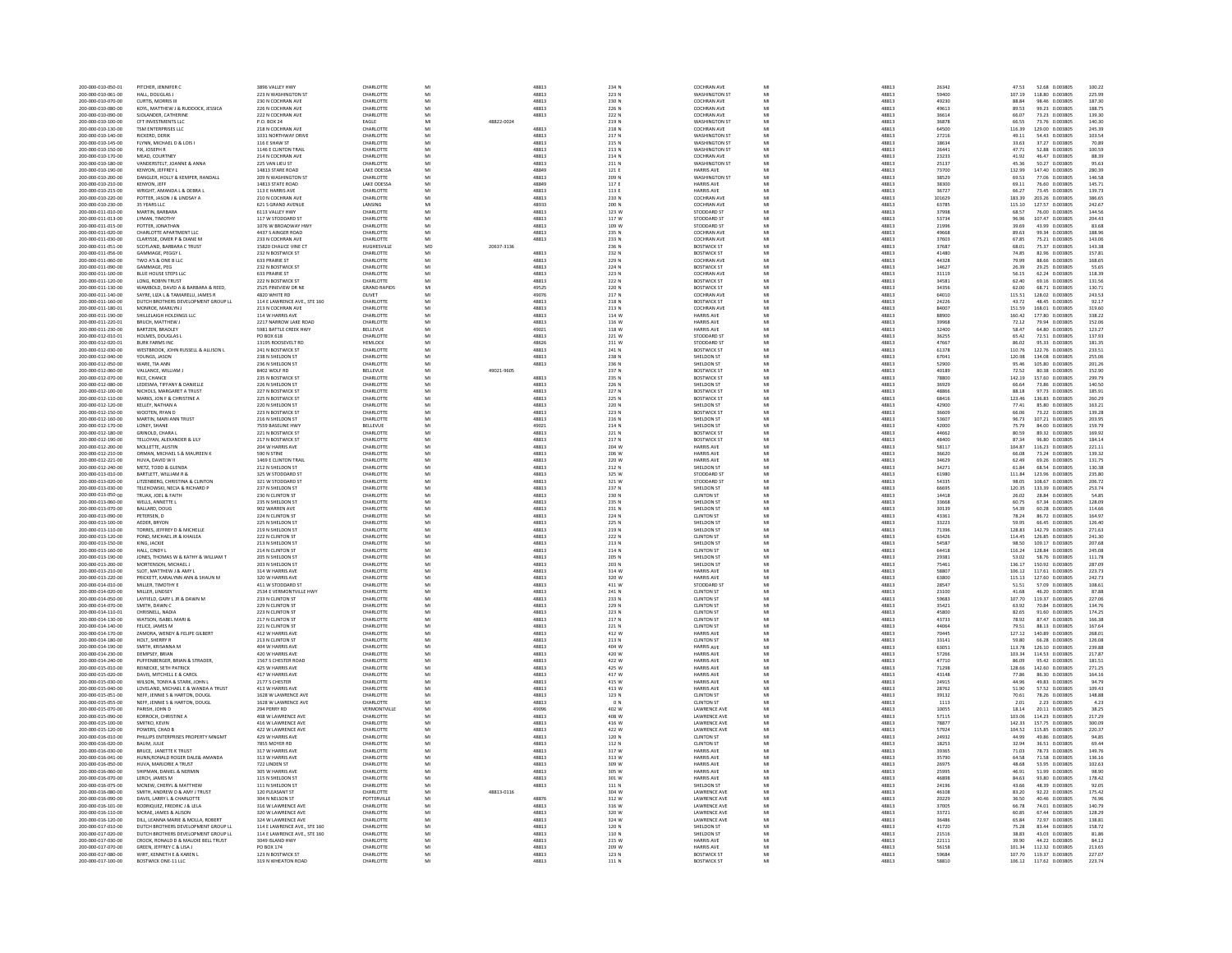| 200-000-010-050-01                       | PITCHER, JENNIFER C                                                       | 3896 VALLEY HWY                                              | CHARLOTTE                      |          |            | 48813          | 234 N          | <b>COCHRAN AVE</b>                      | M        | 48813          | 26342          | 47.53            | 52.68 0.003805                     | 100.22           |
|------------------------------------------|---------------------------------------------------------------------------|--------------------------------------------------------------|--------------------------------|----------|------------|----------------|----------------|-----------------------------------------|----------|----------------|----------------|------------------|------------------------------------|------------------|
| 200-000-010-061-00<br>200-000-010-070-00 | HALL, DOUGLAS J<br>CURTIS, MORRIS II                                      | 223 N WASHINGTON ST<br>230 N COCHRAN AVE                     | CHARLOTTE<br>CHARLOTTE         | MI<br>M  |            | 48813<br>48813 | 223 N<br>230 N | <b>WASHINGTON ST</b><br>COCHRAN AVE     | MI<br>M  | 48813<br>48813 | 59400<br>49230 | 107.19<br>88.84  | 118.80 0.003805<br>98.46 0.003805  | 225.99<br>187.30 |
| 200-000-010-080-00                       | KOYL, MATTHEW J & RUDDOCK, JESSICA                                        | 226 N COCHRAN AVE                                            | CHARLOTTE                      | MI       |            | 48813          | 226 N          | <b>COCHRAN AVE</b>                      | MI       | 48813          | 49613          | 89.53            | 99.23 0.003805                     | 188.75           |
| 200-000-010-090-00                       | SJOLANDER, CATHERINI                                                      | 222 N COCHRAN AVE                                            | CHARLOTTE                      |          |            | 48813          | 222 N          | COCHRAN AVE                             | M        | 48813          | 36614          | 66.07            | 73.23 0.003805                     | 139.30           |
| 200-000-010-100-00                       | CET INVESTMENTS LLC                                                       | P.O. BOX 24                                                  | <b>FAGLE</b>                   | MI       | 48822-0024 |                | 219 N          | WASHINGTON ST                           | MI       | 48813          | 36878          | 66.55            | 73.76 0.003805                     | 140.30           |
| 200-000-010-130-00<br>200-000-010-140-01 | TSM ENTERPRISES LLC<br>RICKERD, DERIK                                     | 218 N COCHRAN AVE<br>1031 NORTHWAY DRIV                      | CHARLOTTI<br>CHARLOTT          | MI       |            | 48813<br>48813 | 218 N<br>217 N | <b>COCHRAN AVE</b><br>WASHINGTON S'     | MI<br>M  | 48813<br>4881  | 64500<br>27216 | 116.39<br>49.1   | 129.00 0.003805<br>54.43 0.003805  | 245.39<br>103.54 |
| 200-000-010-145-00                       | FLYNN MICHAELD & LOIS I                                                   | 116 F SHAW ST                                                | CHARLOTTE                      | MI       |            | 48813          | 215 N          | WASHINGTON ST                           | MI       | 48813          | 18634          | 33.63            | 37.27 0.003805                     | 70.89            |
| 200-000-010-150-00                       | FIX, JOSEPH R                                                             | 1146 E CLINTON TRAIL                                         | CHARLOTTE                      | MI       |            | 48813          | 213 N          | WASHINGTON ST                           | MI       | 48813          | 26441          | 47.71            | 52.88 0.003805                     | 100.59           |
| 200-000-010-170-00                       | MEAD, COURTNEY                                                            | 214 N COCHRAN AVE                                            | CHARLOTTE                      | MI       |            | 48813          | 214 N          | COCHRAN AVE                             | M        | 48813          | 23233          | 41.97            | 46.47 0.003805                     | 88.39            |
| 200-000-010-180-00                       | VANDERSTELT, JOANNE & ANNA                                                | 225 VAN LIEU ST                                              | CHARLOTTE                      | MI       |            | 48813          | 211 N          | <b>WASHINGTON ST</b>                    | MI<br>M  | 48813          | 25137          | 45.36            | 50.27 0.003805                     | 95.63            |
| 200-000-010-190-00<br>200-000-010-200-00 | KENYON, JEFFREY L<br>DANGLER, HOLLY & KEMPER, RANDALL                     | 14813 STARE ROAD<br>209 N WASHINGTON ST                      | LAKE ODESS<br><b>CHARLOTTE</b> | MI       |            | 48849<br>48813 | 121 E<br>209 N | <b>HARRIS AVE</b><br>WASHINGTON ST      | MI       | 48813<br>48813 | 73700<br>38529 | 132.99<br>69.53  | 147.40 0.003805<br>77.06 0.003805  | 280.39<br>146.58 |
| 200-000-010-210-00                       | KENYON, JEFF                                                              | 14813 STATE ROAD                                             | <b>LAKE ODESSA</b>             | MI       |            | 48849          | 117 E          | <b>HARRIS AVE</b>                       | MI       | 48813          | 38300          | 69.11            | 76.60 0.003805                     | 145.71           |
| 200-000-010-215-00                       | WRIGHT, AMANDA L & DEBRA L                                                | 113 E HARRIS AVE                                             | CHARLOTTE                      |          |            | 48813          | 113 E          | <b>HARRIS AVE</b>                       | M        | 48813          | 36727          | 66.27            | 73.45 0.003805                     | 139.73           |
| 200-000-010-220-00                       | POTTER, JASON J & LINDSAY A                                               | 210 N COCHRAN AVE                                            | <b>CHARLOTTE</b>               | MI       |            | 48813          | 210 N          | <b>COCHRAN AVE</b>                      | MI       | 48813          | 101629         | 183.39           | 203.26 0.003805                    | 286.65           |
| 200-000-010-230-00<br>200-000-011-010-00 | 35 YEARS LLC<br>MARTIN RARRARA                                            | 621 S GRAND AVENUE                                           | LANSING<br><b>CHARLOTTE</b>    | MI       |            | 48933          | 200 N<br>123 W | <b>COCHRAN AVE</b><br>STODDARD ST       | M<br>M   | 48813          | 63785          | 115.10           | 127.57 0.003805                    | 242.67           |
| 200-000-011-013-00                       | LYMAN, TIMOTHY                                                            | 6113 VALLEY HWY<br>117 W STODDARD ST                         | CHARLOTTE                      | MI<br>MI |            | 48813<br>48813 | 117 W          | STODDARD ST                             | MI       | 48813<br>48813 | 37998<br>53734 | 68.57<br>96.96   | 76.00 0.003805<br>107.47 0.003805  | 144.56<br>204.43 |
| 200-000-011-015-00                       | POTTER, JONATHAI                                                          | 1076 W BROADWAY HW                                           | CHARLOTTE                      |          |            | 48813          | 109 W          | STODDARD ST                             | M        | 48813          | 2199           | 39.69            | 43.99 0.003805                     | 83.68            |
| 200-000-011-020-00                       | CHARLOTTE APARTMENT LLC                                                   | 4437 S AINGER ROAD                                           | <b>CHARLOTTE</b>               | MI       |            | 48813          | 235 N          | COCHRAN AVE                             | MI       | 48813          | 49668          | 89.63            | 99.34 0.003805                     | 188.96           |
| 200-000-011-030-00                       | CLARYSSE, OMER P & DIANE M                                                | 233 N COCHRAN AVE                                            | CHARLOTTE                      | MI       |            | 48813          | 233 N          | COCHRAN AVE                             | MI       | 48813          | 37603          | 67.85            | 75.21 0.003805                     | 143.06           |
| 200-000-011-051-00                       | SCOTLAND, BARBARA C TRUST                                                 | 15820 CHALICE VINE CT                                        | HUGHESVILLE                    | MD       | 20637-3136 |                | 236 N          | <b>BOSTWICK ST</b>                      | M        | 48813          | 37687          | 68.01            | 75.37 0.003805                     | 143.38           |
| 200-000-011-056-00                       | <b>GAMMAGE, PEGGY L</b>                                                   | 232 N BOSTWICK ST                                            | CHARLOTTE<br>CHARLOTTE         | MI       |            | 48813          | 232 N          | <b>BOSTWICK ST</b>                      | MI<br>M  | 48813          | 41480          | 74.85            | 82.96 0.003805                     | 157.81           |
| 200-000-011-060-00<br>200-000-011-090-00 | TWO A'S & ONE B LLC<br>GAMMAGE, PEG                                       | 633 PRAIRIE ST<br>232 N BOSTWICK ST                          | CHARLOTTE                      | MI       |            | 48813<br>48813 | 229 N<br>224 N | COCHRAN AVE<br><b>BOSTWICK ST</b>       | MI       | 48813<br>48813 | 44328<br>14627 | 79.99<br>26.39   | 88.66 0.003805<br>29.25 0.003805   | 168.65<br>55.65  |
| 200-000-011-100-00                       | BLUE HOUSE STEPS LLC                                                      | <b>633 PRAIRIE ST</b>                                        | CHARLOTTE                      | MI       |            | 48813          | 223 N          | <b>COCHRAN AVE</b>                      | MI       | 48813          | 31119          | 56.15            | 62.24 0.003805                     | 118.39           |
| 200-000-011-120-00                       | LONG, ROBYN TRUS'                                                         | 222 N BOSTWICK ST                                            | CHARLOTTE                      | MI       |            | 48813          | 222 N          | <b>BOSTWICK ST</b>                      |          | 48813          | 34581          | 62.40            | 69.16 0.003805                     | 131.56           |
| 200-000-011-130-00                       | WAMBOLD, DAVID A & BARBARA & REED.                                        | 2525 PINEVIEW DR NE                                          | <b>GRAND RAPIDS</b>            | MI       |            | 49525          | 220 N          | <b>BOSTWICK ST</b>                      | MI       | 48813          | 34356          | 62.00            | 68.71 0.003805                     | 130.71           |
| 200-000-011-140-00                       | SAYRE, LIZA L & TAMARELLI, JAMES R                                        | 4820 WHITE RD                                                | OLIVET                         | MI       |            | 49076          | 217 N          | <b>COCHRAN AVI</b>                      | M        | 48813          | 64010          | 115.51           | 128.02 0.003805                    | 243.53           |
| 200-000-011-160-00                       | DUTCH BROTHERS DEVELOPMENT GROUP LI                                       | 114 E LAWRENCE AVE., STE 160                                 | CHARLOTTE                      | MI       |            | 48813          | 218 N          | <b>BOSTWICK ST</b>                      | M        | 48813          | 24226          | 43.72            | 48.45 0.003805                     | 92.17            |
| 200-000-011-180-01<br>200-000-011-190-00 | MONROE, MARILYN J<br>SHILLELAIGH HOLDINGS LLC                             | 213 N COCHRAN AVE<br>114 W HARRIS AVE                        | CHARLOTTE<br>CHARLOTTE         | MI<br>M  |            | 48813<br>48813 | 213 N<br>114 W | <b>COCHRAN AVE</b><br><b>HARRIS AVE</b> | MI<br>M  | 48813<br>48813 | 84007<br>88900 | 151.59<br>160.42 | 168.01 0.003805<br>177.80 0.003805 | 319.60<br>338.22 |
| 200-000-011-220-01                       | BRUCH, MATTHEW J                                                          | 2217 NARROW LAKE ROAD                                        | CHARLOTTE                      | MI       |            | 48813          | 116 W          | <b>HARRIS AVE</b>                       | M        | 48813          | 39968          | 72.12            | 79.94 0.003805                     | 152.06           |
| 200-000-011-230-00                       | BARTZEN, BRADLEY                                                          | 5981 BATTLE CREEK HWY                                        | BELLEVUE                       | MI       |            | 49021          | 118 W          | <b>HARRIS AVE</b>                       | MI       | 48813          | 32400          | 58.47            | 64.80 0.003805                     | 123.27           |
| 200-000-012-010-01                       | HOLMES, DOUGLAS L                                                         | PO BOX 618                                                   | CHARLOTTE                      |          |            | 48813          | 221 W          | STODDARD ST                             | M        | 48813          | 36255          | 65.42            | 72.51 0.003805                     | 137.93           |
| 200-000-012-020-01                       | <b>BURK FARMS INC.</b>                                                    | 13195 ROOSEVELT RD                                           | <b>HEMLOCK</b>                 | MI       |            | 48626          | 211 W          | STODDARD ST                             | MI       | 48813          | 47667          | 86.02            | 95.33 0.003805                     | 181 35           |
| 200-000-012-030-00                       | WESTBROOK, JOHN RUSSELL & ALLISON I                                       | 241 N BOSTWICK ST                                            | CHARLOTTE<br>CHARLOTTI         | MI       |            | 48813          | 241 N          | <b>BOSTWICK ST</b>                      | MI<br>MI | 48813          | 61378          | 110.76           | 122.76 0.003805                    | 233.51           |
| 200-000-012-040-00<br>200-000-012-050-00 | YOUNGS, JASON<br>WARE, TIA ANN                                            | 238 N SHELDON ST<br>236 N SHELDON ST                         | CHARLOTTE                      | MI<br>MI |            | 48813<br>48813 | 238 N<br>236 N | SHELDON ST<br>SHELDON ST                | MI       | 48813<br>48813 | 6704:<br>52900 | 120.98<br>95.46  | 134.08 0.003805<br>105.80 0.003805 | 255.06<br>201.26 |
| 200-000-012-060-00                       | VALLANCE, WILLIAM J                                                       | 8402 WOLF RD                                                 | BELLEVUE                       | MI       | 49021-9605 |                | 237 N          | <b>BOSTWICK ST</b>                      | MI       | 48813          | 40189          | 72.52            | 80.38 0.003805                     | 152.90           |
| 200-000-012-070-00                       | RICE, CHANCE                                                              | 235 N BOSTWICK ST                                            | CHARLOTT                       | MI       |            | 48813          | 235 N          | <b>BOSTWICK ST</b>                      | M        | 48813          | 78800          | 142.19           | 157.60 0.003805                    | 299.79           |
| 200-000-012-080-00                       | LEDESMA, TIFFANY & DANIELLE                                               | 226 N SHELDON ST                                             | CHARLOTTE                      | MI       |            | 48813          | 226 N          | SHELDON ST                              | MI       | 48813          | 36929          | 66.64            | 73.86 0.003805                     | 140.50           |
| 200-000-012-100-00                       | NICHOLS, MARGARET A TRUST                                                 | 227 N BOSTWICK ST                                            | CHARLOTTI                      |          |            | 48813          | 227 N          | <b>BOSTWICK ST</b>                      | M        | 48813          | 4886           | 88.18            | 97.73 0.003805                     | 185.91           |
| 200-000-012-110-00                       | MARKS JON F & CHRISTINE A                                                 | 225 N ROSTWICK ST                                            | CHARLOTTE                      | MI       |            | 48813          | 225 N          | <b>ROSTWICK ST</b>                      | MI       | 48813          | 68416          | 123.46           | 136.83 0.003805                    | 260.29           |
| 200-000-012-120-00<br>200-000-012-150-00 | KELLEY, NATHAN A<br>WOOTEN, RYAN D                                        | 220 N SHELDON ST<br>223 N BOSTWICK ST                        | CHARLOTTE<br>CHARLOTTI         | MI<br>MI |            | 48813<br>48813 | 220 N<br>223 N | SHELDON ST<br><b>BOSTWICK ST</b>        | MI<br>MI | 48813<br>48813 | 42900          | 77.41<br>66.06   | 85.80 0.003805<br>73.22 0.003805   | 163.21<br>139.28 |
| 200-000-012-160-00                       | MARTIN MARI ANN TRUST                                                     | 216 N SHELDON ST                                             | CHARLOTTE                      | MI       |            | 48813          | 216 N          | SHELDON ST                              | MI       | 48813          | 36609<br>53607 | 96.73            | 107.21 0.003805                    | 203.95           |
| 200-000-012-170-00                       | LONEY, SHANE                                                              | 7559 BASELINE HW                                             | BELLEVUE                       |          |            | 49021          | 214 N          | SHELDON ST                              |          | 48813          | 42000          | 75.79            | 84.00 0.003805                     | 159.79           |
| 200-000-012-180-00                       | <b>GRINOLD, CHARAL</b>                                                    | 221 N BOSTWICK ST                                            | CHARLOTTE                      | MI       |            | 48813          | 221 N          | <b>BOSTWICK ST</b>                      | MI       | 48813          | 44662          | 80.59            | 89.32 0.003805                     | 169.92           |
| 200-000-012-190-00                       | TELLOYAN, ALEXANDER & LILY                                                | 217 N BOSTWICK ST                                            | CHARLOTTE                      | MI       |            | 48813          | 217 N          | <b>BOSTWICK ST</b>                      | MI       | 48813          | 48400          | 87.34            | 96.80 0.003805                     | 184.14           |
| 200-000-012-200-00                       | MOLLETTE, AUSTIN                                                          | 204 W HARRIS AVE                                             | CHARLOTTI                      |          |            | 48813          | 204 W          | <b>HARRIS AVE</b>                       |          | 48813          | 58117          | 104.87           | 116.23 0.003805                    | 221.11           |
| 200-000-012-210-00                       | ORMAN, MICHAEL S & MAUREEN K                                              | 590 N STINE<br>1469 E CLINTON TRAIL                          | <b>CHARLOTTE</b>               | MI       |            | 48813          | 206 W          | HARRIS AVE                              | MI       | 48813          | 36620          | 66.08            | 73.24 0.003805                     | 139.32           |
| 200-000-012-221-00<br>200-000-012-240-00 | HUVA, DAVID W II<br>METZ, TODD & GLENDA                                   | 212 N SHELDON ST                                             | CHARLOTTE<br>CHARLOTTI         | MI<br>MI |            | 48813<br>48813 | 220 W<br>212 N | <b>HARRIS AVE</b><br>SHELDON ST         | MI<br>M  | 48813<br>48813 | 34629<br>34271 | 62.49<br>61.84   | 69.26 0.003805<br>68.54 0.003805   | 131.75<br>130.38 |
| 200-000-013-010-00                       | BARTLETT, WILLIAM R &                                                     | 325 W STODDARD ST                                            | CHARLOTTE                      | MI       |            | 48813          | 325 W          | STODDARD ST                             | MI       | 48813          | 61980          | 111.84           | 123.96 0.003805                    | 235.80           |
| 200-000-013-020-00                       | LITZENBERG, CHRISTINA & CLINTON                                           | 321 W STODDARD ST                                            | CHARLOTTE                      |          |            | 48813          | 321 W          | STODDARD ST                             |          | 48813          | 54335          | 98.05            | 108.67 0.003805                    | 206.72           |
| 200-000-013-030-00                       | TELEHOWSKI, NECIA & RICHARD P                                             | 237 N SHELDON ST                                             | CHARLOTTI                      | MI       |            | 48813          | 237 N          | SHELDON ST                              | MI       | 48813          | 66695          | 120.35           | 133.39 0.003805                    | 253.74           |
| 200-000-013-050-00                       | TRUAX, JOEL & FAITH                                                       | 230 N CLINTON ST                                             | CHARLOTTE                      | MI       |            | 48813          | 230 N          | <b>CLINTON ST</b>                       | MI       | 48813          | 14418          | 26.02            | 28.84 0.003805                     | 54.85            |
| 200-000-013-060-00<br>200-000-013-070-00 | WELLS, ANNETTE L<br>BALLARD, DOUG                                         | 235 N SHELDON ST<br>902 WARREN AVE                           | CHARLOTTE<br>CHARLOTTE         | MI       |            | 48813<br>48813 | 235 N<br>231 N | SHELDON ST<br>SHELDON ST                | MI       | 48813<br>48813 | 33668<br>30139 | 60.75<br>54.39   | 67.34 0.003805<br>60.28 0.003805   | 128.09           |
| 200-000-013-090-00                       | PETERSEN, D                                                               | 224 N CLINTON ST                                             | CHARLOTTE                      | M        |            | 48813          | 224 N          | <b>CLINTON ST</b>                       | M        | 48813          | 43361          | 78.24            | 86.72 0.003805                     | 114.66<br>164.97 |
| 200-000-013-100-00                       | AEDER, BRYON                                                              | 225 N SHELDON ST                                             | CHARLOTTE                      | MI       |            | 48813          | 225 N          | SHELDON ST                              | M        | 48813          | 33223          | 59.95            | 66.45 0.003805                     | 126.40           |
| 200-000-013-110-00                       | TORRES, JEFFREY D & MICHELLE                                              | 219 N SHELDON ST                                             | CHARLOTTE                      | MI       |            | 48813          | 219 N          | SHELDON ST                              | MI       | 48813          | 71396          | 128.83           | 142.79 0.003805                    | 271.63           |
| 200-000-013-120-00                       | POND, MICHAEL JR & KHAILEA                                                | 222 N CLINTON ST                                             | CHARLOTTE                      | MI       |            | 48813          | 222 N          | <b>CLINTON ST</b>                       | M        | 48813          | 63426          | 114.45           | 126.85 0.003805                    | 241.30           |
| 200-000-013-150-00                       | KING, JACKIE                                                              | 213 N SHELDON ST                                             | CHARLOTTE                      | MI       |            | 48813          | 213 N          | <b>SHELDON ST</b>                       | MI       | 48813          | 54587          | 98.50            | 109.17 0.003805                    | 207.68           |
| 200-000-013-160-00<br>200-000-013-190-00 | HALL CINDY L<br>JONES, THOMAS W & KATHY & WILLIAM T                       | 214 N CLINTON ST<br>205 N SHELDON ST                         | CHARLOTTE<br>CHARLOTT          | MI<br>M  |            | 48813<br>48813 | 214 N<br>205 N | <b>CLINTON ST</b><br>SHELDON ST         | MI<br>M  | 48813          | 64418<br>29381 | 116.24<br>53.02  | 128.84 0.003805<br>58.76 0.003805  | 245.08<br>111.78 |
| 200-000-013-200-00                       | MORTENSON, MICHAEL J                                                      |                                                              |                                |          |            |                |                |                                         |          |                |                | 136.17           | 150.92 0.003805                    | 287.09           |
| 200-000-013-210-00                       | SLOT, MATTHEW J & AMY L                                                   |                                                              |                                |          |            |                |                |                                         |          | 48813          |                |                  | 117.61 0.003805                    | 223.73           |
| 200-000-013-220-00                       |                                                                           | 203 N SHELDON ST                                             | CHARLOTTE<br>CHARLOTTE         | MI<br>MI |            | 48813<br>48813 | 203 N<br>314 W | SHELDON ST<br><b>HARRIS AVE</b>         | MI<br>MI | 48813<br>48813 | 75461<br>58807 | 106.12           |                                    | 242.73           |
| 200-000-014-010-00                       | PRICKETT, KARALYNN ANN & SHAUN M                                          | 314 W HARRIS AVE<br>320 W HARRIS AVE                         | CHARLOTTI                      | MI       |            | 48813          | 320 W          | <b>HARRIS AVE</b>                       | MI       | 48813          | 63800          | 115.13           | 127.60 0.003805                    |                  |
|                                          | MILLER. TIMOTHY E                                                         | 411 W STODDARD ST                                            | CHARLOTTE                      | MI       |            | 48813          | 411 W          | STODDARD ST                             | MI       | 48813          | 28547          | 51.51            | 57.09 0.003805                     | 108.61           |
| 200-000-014-020-00                       | MILLER, LINDSEY                                                           | 2534 E VERMONTVILLE HWY                                      | CHARLOTTE                      | MI       |            | 48813          | 241 N          | <b>CLINTON ST</b>                       | M        | 48813          | 23100          | 41.68            | 46.20 0.003805                     | 87.88            |
| 200-000-014-050-00                       | LAYFIELD, GARY L JR & DAWN M                                              | 233 N CLINTON ST                                             | CHARLOTTE                      | MI       |            | 48813          | 233 N          | CLINTON ST                              | MI       | 48813          | 59683          | 107.70           | 119.37 0.003805                    | 227.06           |
| 200-000-014-070-00                       | SMITH, DAWN C                                                             | 229 N CLINTON ST                                             | CHARLOTTE                      | MI       |            | 48813          | 229 N          | <b>CLINTON ST</b>                       | MI<br>M  | 48813          | 35421          | 63.92            | 70.84 0.003805                     | 134.76           |
| 200-000-014-110-0:<br>200-000-014-130-00 | CHRISNELL, NADIA<br>WATSON ISAREL MARLS                                   | 223 N CLINTON S<br>217 N CLINTON ST                          | CHARLOTTI<br>CHARLOTTE         | MI       |            | 48813<br>48813 | 223 N<br>217 N | <b>CLINTON ST</b><br>CLINTON ST         | MI       | 4881<br>48813  | 45800<br>43733 | 82.65<br>78.92   | 91.60 0.003805<br>87.47 0.003805   | 174.25<br>166.38 |
| 200-000-014-140-00                       | FELICE, JAMES M                                                           | 221 N CLINTON ST                                             | CHARLOTTE                      | MI       |            | 48813          | 221 N          | <b>CLINTON ST</b>                       | MI       | 48813          | 44064          | 79.51            | 88.13 0.003805                     | 167.64           |
| 200-000-014-170-00                       | ZAMORA, WENDY & FELIPE GILBERT                                            | 412 W HARRIS AVE                                             | CHARLOTTI                      |          |            | 48813          | 412 W          | <b>HARRIS AVE</b>                       | M        | 48813          | 70445          | 127.12           | 140.89 0.003805                    | 268.01           |
| 200-000-014-180-00                       | HOLT, SHERRY R                                                            | 213 N CLINTON ST                                             | CHARLOTTE                      | MI       |            | 48813          | 213 N          | <b>CLINTON ST</b>                       | M        | 48813          | 33141          | 59.80            | 66.28 0.003805                     | 126.08           |
| 200-000-014-190-00<br>200-000-014-230-00 | SMITH, KRISANNA M<br>DEMPSEY, BRIAN                                       | 404 W HARRIS AVE<br>420 W HARRIS AVE                         | CHARLOTTI<br><b>CHARLOTTE</b>  | MI       |            | 48813<br>48813 | 404 W<br>420 W | <b>HARRIS AVE</b><br>HARRIS AVE         | M<br>MI  | 48813<br>48813 | 63051<br>57266 | 113.78<br>103.34 | 126.10 0.003805<br>114.53 0.003805 | 239.88<br>217.87 |
| 200-000-014-240-00                       | PUFFENBERGER, BRIAN & STRADER                                             | 1567 S CHESTER ROAD                                          | CHARLOTTE                      | MI       |            | 48813          | 422 W          | <b>HARRIS AVE</b>                       | MI       | 48813          | 47710          | 86.09            | 95.42 0.003805                     | 181.51           |
| 200-000-015-010-00                       | REINECKE, SETH PATRICK                                                    | 425 W HARRIS AVE                                             | CHARLOTTI                      |          |            | 48813          | 425 W          | <b>HARRIS AVE</b>                       | M        | 48813          | 71298          | 128.6            | 142.60 0.003805                    | 271.25           |
| 200-000-015-020-00                       | <b>DAVIS MITCHELLE &amp; CAROL</b>                                        | 417 W HARRIS AVE                                             | <b>CHARLOTTE</b>               | MI       |            | 48813          | 417 W          | HARRIS AVE                              | MI       | 48813          | 43148          | 77.86            | 208200.0.02805                     | 164.16           |
| 200-000-015-030-00                       | WILSON, TONYA & STARK, JOHN I                                             | 2177 S CHESTER                                               | CHARLOTTE                      | MI       |            | 48813          | 415 W          | <b>HARRIS AVE</b>                       | M        | 48813          | 24915          | 44.96            | 49.83 0.003805                     | 94.79            |
| 200-000-015-040-00                       | LOVELAND, MICHAEL E & WANDA A TRUST                                       | 413 W HARRIS AVE                                             | CHARLOTTI                      | MI       |            | 48813          | 413 W          | HARRIS AVE                              | M        | 48813          | 28762          | 51.90            | 57.52 0.003805                     | 109.43           |
| 200-000-015-051-00<br>200-000-015-055-00 | NEFF. JENNIE S & HARTON, DOUGL<br>NEFF, JENNIE S & HARTON, DOUG           | 1628 W LAWRENCE AVE                                          | CHARLOTTE<br>CHARLOTTE         | MI       |            | 48813<br>48813 | 123 N<br>0 N   | <b>CLINTON ST</b><br><b>CLINTON ST</b>  | MI<br>M  | 48813<br>48813 | 39132<br>1113  | 70.61<br>2.01    | 78.26 0.003805<br>2.23 0.003805    | 148.88<br>4.23   |
| 200-000-015-070-00                       | PARISH, JOHN D                                                            | 1628 W LAWRENCE AVE<br>294 PERRY RD                          | VERMONTVILLE                   | MI       |            | 49096          | 402 W          | <b>LAWRENCE AVE</b>                     | MI       | 48813          | 10055          | 18.14            | 20.11 0.003805                     | 38.25            |
| 200-000-015-090-00                       | KORROCH, CHRISTINE A                                                      | 408 W LAWRENCE AVE                                           | CHARLOTTE                      | MI       |            | 48813          | 408 W          | <b>LAWRENCE AVE</b>                     | MI       | 48813          | 57115          | 103.06           | 114.23 0.003805                    | 217.29           |
| 200-000-015-100-00                       | SMITKO, KEVIN                                                             | 416 W LAWRENCE AVE                                           | CHARLOTTI                      |          |            | 48813          | 416 W          | LAWRENCE AVE                            | M        | 48813          | 78877          | 142.33           | 157.75 0.003805                    | 300.09           |
| 200-000-015-120-00                       | POWERS, CHAD B                                                            | 422 W LAWRENCE AVE                                           | CHARLOTTE                      | MI       |            | 48813          | 422 W          | <b>LAWRENCE AVE</b>                     | MI       | 48813          | 57924          | 104.52           | 115.85 0.003805                    | 220.37           |
| 200-000-016-010-00<br>200-000-016-020-00 | PHILLIPS ENTERPRISES PROPERTY MNGMT<br>BAUM, JULIE                        | 429 W HARRIS AVE<br>7855 MOYER RD                            | CHARLOTTE<br>CHARLOTTE         | MI<br>MI |            | 48813<br>48813 | 120 N<br>112 N | <b>CLINTON ST</b><br><b>CLINTON ST</b>  | M<br>MI  | 48813<br>48813 | 24932          | 44.99<br>32.94   | 49.86 0.003805<br>36.51 0.003805   | 94.85<br>69.44   |
| 200-000-016-030-00                       | <b>BRUCE, JANETTE K TRUST</b>                                             | 317 W HARRIS AVE                                             | CHARLOTTE                      | MI       |            | 48813          | 317 W          | <b>HARRIS AVE</b>                       | MI       | 48813          | 18253<br>39365 | 71.03            | 78.73 0.003805                     | 149.76           |
| 200-000-016-041-00                       | HUNN, RONALD ROGER DALE& AMANDA                                           | 313 W HARRIS AVE                                             | CHARLOTTE                      | MI       |            | 48813          | 313 W          | <b>HARRIS AVE</b>                       |          | 48813          | 35790          | 64.58            | 71.58 0.003805                     | 136.16           |
| 200-000-016-050-00                       | HUVA, MARJORIE A TRUST                                                    | 722 LINDEN ST                                                | CHARLOTTE                      | MI       |            | 48813          | 309 W          | HARRIS AVE                              | MI       | 48813          |                | 48.68            | 53.95 0.003805                     | 102.63           |
| 200-000-016-060-00                       | SHIPMAN, DANIEL & NERMIN                                                  | 305 W HARRIS AVE                                             | CHARLOTTE                      | MI       |            | 48813          | 305 W          | <b>HARRIS AVE</b>                       | M        | 48813          | 26975<br>25995 | 46.91            | 51.99 0.003805                     | 98.90            |
| 200-000-016-070-00<br>200-000-016-075-00 | LERCH, JAMES M<br>MCNEW, CHERYL & MATTHEW                                 | 115 N SHELDON ST<br>111 N SHELDON ST                         | CHARLOTTI<br>CHARLOTTE         | MI<br>MI |            | 48813<br>48813 | 301 W<br>111 N | <b>HARRIS AVE</b><br>SHELDON ST         | M<br>MI  | 48813<br>48813 | 46898<br>24196 | 84.63<br>43.66   | 93.80 0.003805<br>48.39 0.003805   | 178.42<br>92.05  |
| 200-000-016-080-00                       | SMITH, ANDREW D & AMY J TRUST                                             | 120 PLEASANT ST                                              | CHARLOTTE                      | MI       | 48813-0116 |                | 304 W          | <b>LAWRENCE AVI</b>                     | M        | 48813          | 46108          | 83.20            | 92.22 0.003805                     | 175.42           |
| 200-000-016-090-00                       | DAVIS, LARRY L & CHARLOTTI                                                | 304 N NELSON ST                                              | POTTERVILLE                    | M        |            | 48876          | 312 W          | LAWRENCE AV                             | MI       | 48813          | 20229          | 36.50            | 40.46 0.003805                     | 76.96            |
| 200-000-016-101-00                       | RODRIQUEZ, FREDRIC J & LELA                                               | 316 W LAWRENCE AVE                                           | CHARLOTTE                      | MI       |            | 48813          | 316 W          | <b>LAWRENCE AVE</b>                     | MI       | 48813          | 37005          | 66.78            | 74.01 0.003805                     | 140.79           |
| 200-000-016-110-00                       | MCRAE, JAMES & ALISON                                                     | 320 W LAWRENCE AVE                                           | CHARLOTTI                      |          |            | 48813          | 320 W          | LAWRENCE AVI                            | M        | 48813          | 33721          | 60.85            | 67.44 0.003805                     | 128.29           |
| 200-000-016-120-00                       | DILL LEANNA MARIE & MOLLA, ROBERT                                         | 324 W LAWRENCE AVE                                           | <b>CHARLOTTE</b>               | MI       |            | 48813          | 324 W          | <b>LAWRENCE AVE</b>                     | MI       | 48813          | 36486          | 65.84            | 72.97 0.003805                     | 138.81           |
| 200-000-017-010-00<br>200-000-017-020-00 | DUTCH BROTHERS DEVELOPMENT GROUP LL<br>DUTCH BROTHERS DEVELOPMENT GROUP L | 114 E LAWRENCE AVE., STE 160<br>114 E LAWRENCE AVE., STE 160 | CHARLOTTE<br>CHARLOTTE         | MI       |            | 48813<br>48813 | 120 N<br>110 N | SHELDON ST<br>SHELDON ST                | M<br>M   | 48813          | 41720<br>21516 | 75.28            | 83.44 0.003805<br>43.03 0.003805   | 158.72<br>81.86  |
| 200-000-017-030-00                       | CROOK RONALD D & MAUDIE RELL TRUST                                        | 3049 ISLAND HWY                                              | CHARLOTTE                      | MI       |            | 48813          | 215 W          | <b>HARRIS AVE</b>                       | MI       | 48813<br>48813 | 22111          | 38.83<br>39.90   | 44.22 0.003805                     | 84 12            |
| 200-000-017-070-00                       | GREEN, JEFFREY C & LISA J                                                 | PO BOX 174                                                   | CHARLOTTE                      | MI       |            | 48813          | 209 W          | <b>HARRIS AVE</b>                       | MI       | 48813          | 56158          | 101.34           | 112.32 0.003805                    | 213.65           |
| 200-000-017-080-00                       | WIRT, KENNETH E & KAREN I                                                 | 123 N BOSTWICK ST                                            | CHARLOTTI                      |          |            | 48813          | 123 N          | <b>BOSTWICK ST</b>                      |          | 48813          | 59684          | 107.70           | 119.37 0.003805                    | 227.07           |
| 200-000-017-100-00                       | <b>BOSTWICK ONE-11 LLC</b>                                                | 319 N WHEATON ROAD                                           | CHARLOTTE                      |          |            | 48813          | 111 N          | <b>BOSTWICK ST</b>                      | M        | 48813          | 58810          | 106.12           | 117.62 0.003805                    | 223.74           |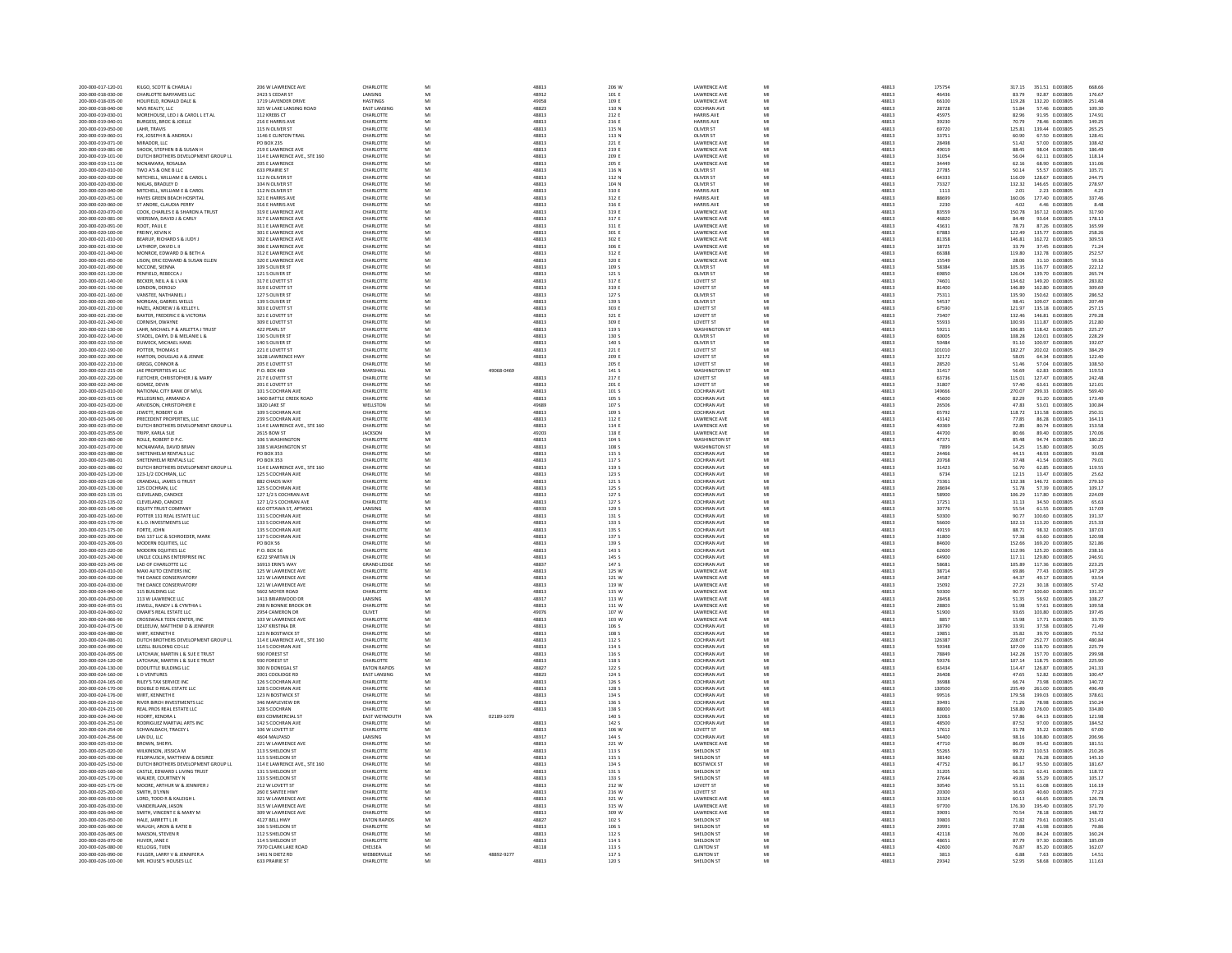| 200-000-017-120-01 | KILGO, SCOTT & CHARLA J                    | 206 W LAWRENCE AVE           | CHARLOTTE           | MI             |            | 48813          | 206 W  | <b>LAWRENCE AVE</b>  | $_{\rm MI}^{\rm MI}$ | 48813 | 175754         | 317.15         | 351.51 0.003805                   | 668.66                                          |
|--------------------|--------------------------------------------|------------------------------|---------------------|----------------|------------|----------------|--------|----------------------|----------------------|-------|----------------|----------------|-----------------------------------|-------------------------------------------------|
| 200-000-018-030-00 | CHARLOTTE BARYAMES LLC                     | 2423 S CEDAR ST              | LANSING             | MI             |            | 48912          | 101 E  | <b>LAWRENCE AVE</b>  |                      | 48813 | 46436          | 83.79          | 92.87 0.003805                    | 176.67                                          |
| 200-000-018-035-00 | HOLIFIELD, RONALD DALE &                   | 1719 LAVENDER DRIV           | <b>HASTINGS</b>     | MI             |            | 49058          | 109 E  | LAWRENCE AVI         | MI                   | 48813 | 66100          | 119.28         | 132.20 0.003805                   | 251.48                                          |
| 200-000-018-040-00 | MVS REALTY, LLC                            | 325 W LAKE LANSING ROAD      | <b>EAST LANSING</b> | MI             |            | 48823          | 110 N  | COCHRAN AVE          | MI                   | 48813 | 28728          | 51.84          | 57.46 0.003805                    | 109.30                                          |
| 200-000-019-030-01 | MOREHOUSE, LEO J & CAROL L ET AL           | 112 KREBS CT                 | CHARLOTTE           | MI             |            | 48813          | 212 E  | <b>HARRIS AVE</b>    | MI<br>M              | 48813 | 45975          | 82.96          | 91.95 0.003805                    | 174.91                                          |
| 200-000-019-040-01 | <b>BURGESS, BROC &amp; JOELLE</b>          | 216 E HARRIS AVE             | CHARLOTTE           | MI             |            | 48813          | 216 E  | <b>HARRIS AVE</b>    |                      | 48813 | 39230          | 70.79          | 78.46 0.003805                    | 149.25                                          |
| 200-000-019-050-00 | LAHR, TRAVIS                               | 115 N OLIVER ST              | CHARLOTTE           | MI             |            | 48813          | 115 N  | OLIVER ST            | MI                   | 48813 | 69720          | 125.81         | 139.44 0.003805                   | 265.25                                          |
| 200-000-019-060-01 | FIX, JOSEPH R & ANDREA J                   | 1146 E CLINTON TRAIL         | CHARLOTTE           | MI             |            | 48813          | 113 N  | OLIVER ST            | MI                   | 48813 | 33751          | 60.90          | 67.50 0.003805                    | 128.41                                          |
| 200-000-019-071-00 | MIRADOR, LLC                               | <b>PO BOX 235</b>            | CHARLOTTE           | MI             |            | 48813          | 221 E  | <b>LAWRENCE AVE</b>  | MI                   | 48813 | 28498          | 51.42          | 57.00 0.003805                    | 108.42                                          |
| 200-000-019-081-00 | SHOOK, STEPHEN B & SUSAN H                 | 219 E LAWRENCE AVE           | CHARLOTTE           | MI             |            | 48813          | 219 E  | <b>LAWRENCE AVE</b>  | MI                   | 48813 | 49019          | 88.45          | 98.04 0.003805                    | 186.49                                          |
| 200-000-019-101-00 | DUTCH BROTHERS DEVELOPMENT GROUP LL        | 114 E LAWRENCE AVE., STE 160 | CHARLOTTE           | MI             |            | 48813          | 209 E  | LAWRENCE AVI         | MI                   | 48813 | 31054          | 56.0           | 62.11 0.003805                    | 118.14                                          |
| 200-000-019-111-00 | MCNAMARA ROSALRA                           | 205 E LAWRENCE               | CHARLOTTE           | MI             |            | 48813<br>48813 | 205 E  | LAWRENCE AVE         | MI                   | 48813 | 34449<br>27785 | 62.16          | 68.90 0.003805<br>55.57 0.003805  | $\begin{array}{c} 131.06 \\ 105.71 \end{array}$ |
| 200-000-020-010-00 | TWO A'S & ONE B LLC                        | 633 PRAIRIE ST               | CHARLOTTE           | MI             |            |                | 116N   | OLIVER ST            | MI                   | 48813 |                | 50.14          |                                   |                                                 |
| 200-000-020-020-00 | MITCHELL, WILLIAM E & CAROL                | 112 N OLIVER ST              | CHARLOTTE           | MI             |            | 48813          | 112 N  | OLIVER ST            | MI                   | 48813 | 64333          | 116.09         | 128.67 0.003805                   | 244.75                                          |
| 200-000-020-030-00 | NIKLAS, BRADLEY D                          | 104 N OLIVER ST              | CHARLOTTE           | MI             |            | 48813          | 104 N  | <b>OLIVER ST</b>     | MI                   | 48813 | 73327          | 132.32         | 146.65 0.003805                   | 278.97                                          |
| 200-000-020-040-00 | MITCHELL, WILLIAM E & CARO                 | 112 N OLIVER ST              | CHARLOTTE           | MI             |            | 48813          | 310 E  | <b>HARRIS AVE</b>    | MI                   | 48813 | 1113           | 2.01           | 2.23 0.003805                     | 4.23                                            |
| 200-000-020-051-00 | HAYES GREEN BEACH HOSPITAL                 | 321 E HARRIS AVE             | CHARLOTTE           | MI             |            | 48813          | 312 E  | <b>HARRIS AVE</b>    | MI                   | 48813 | 88699          | 160.06         | 177.40 0.003805                   | 337.46                                          |
| 200-000-020-060-00 | ST ANDRE, CLAUDIA PERRY                    | 316 E HARRIS AVE             | CHARLOTTE           | MI             |            | 48813          | 316 E  | <b>HARRIS AVE</b>    | MI<br>MI             | 48813 | 2230           | 4.02<br>150.78 | 4.46 0.003805                     | 8.48                                            |
| 200-000-020-070-00 | COOK, CHARLES E & SHARON A TRUST           | 319 E LAWRENCE AVE           | CHARLOTTE           | MI             |            | 48813          | 319 E  | <b>LAWRENCE AVI</b>  |                      | 48813 | 83559          |                | 167.12 0.003805                   | 317.90                                          |
| 200-000-020-081-00 | WIERSMA, DAVID J & CARLY                   | 317 E LAWRENCE AVE           | CHARLOTTE           | MI             |            | 48813          | 317 E  | <b>LAWRENCE AVE</b>  | MI                   | 48813 | 46820          | 84.49          | 93.64 0.003805                    | 178.13                                          |
| 200-000-020-091-00 | ROOT, PAUL E                               | 311 E LAWRENCE AVE           | CHARLOTTE           | MI             |            | 48813          | 311 E  | <b>LAWRENCE AVI</b>  | MI                   | 48813 | 43631          | 78.73          | 87.26 0.003805                    | 165.99                                          |
| 200-000-020-100-00 | FREINY, KEVIN K                            | 301 E LAWRENCE AVE           | CHARLOTTE           | MI             |            | 48813          | 301 E  | <b>LAWRENCE AVI</b>  | MI                   | 48813 | 67883          | 122.49         | 135.77 0.003805                   | 258.26                                          |
| 200-000-021-010-00 | BEARUP, RICHARD S & JUDY J                 | 302 E LAWRENCE AVE           | CHARLOTTE           | MI             |            | 48813          | 302 E  | <b>LAWRENCE AVE</b>  | MI                   | 48813 | 81358          | 146.81         | 162.72 0.003805                   | 309.53                                          |
| 200-000-021-030-00 | LATHROP, DAVID L II                        | 306 E LAWRENCE AVE           | CHARLOTTE           | MI             |            | 48813          | 306 E  | <b>LAWRENCE AVI</b>  | MI                   | 48813 | 18725          | 33.79          | 37.45 0.003805                    | 71.24                                           |
| 200-000-021-040-00 | MONROE FOWARD D & RETH A                   | 312 F LAWRENCE AVE           | <b>CHARLOTTE</b>    | MI             |            | 48813          | 312 F  | <b>LAWRENCE AVE</b>  | MI                   | 48813 | 66388          | 119.80         | 132.78 0.003805                   | 252.57                                          |
| 200-000-021-050-00 | LISON, ERIC EDWARD & SUSAN ELLEN           | 320 E LAWRENCE AVE           | CHARLOTTE           | MI             |            | 48813          | 320 E  | <b>LAWRENCE AVE</b>  | MI                   | 48813 | 15549          | 28.06          | 31.10 0.003805                    | 59.16                                           |
| 200-000-021-090-00 | MCCONE, SIENNA                             | 109 S OLIVER ST              | CHARLOTTE           | MI             |            | 48813          | 109 S  | <b>OLIVER ST</b>     | MI                   | 48813 | 58384          | 105.35         | 116.77 0.003805                   | 222.12                                          |
| 200-000-021-120-00 | PENFIELD, REBECCA J                        | 121 S OLIVER ST              | CHARLOTTE           | MI             |            | 48813          | 121 S  | <b>OLIVER ST</b>     | MI                   | 48813 | 69850          | 126.04         | 139.70 0.003805                   | 265.74                                          |
| 200-000-021-140-00 | BECKER, NEIL A & L VAN                     | 317 E LOVETT ST              | CHARLOTTE           | MI             |            | 48813          | 317 E  | <b>LOVETT ST</b>     | MI                   | 48813 | 74601          | 134.62         | 149.20 0.003805                   | 283.82                                          |
| 200-000-021-150-00 | LONDON, DEROLD                             | 319 E LOVETT ST              | CHARLOTTE           | MI<br>Mi       |            | 48813          | 319 E  | <b>LOVETT ST</b>     | MI                   | 48813 | 81400          | 146.89         | 162.80 0.003805                   | 309.69                                          |
| 200-000-021-160-00 | VANSTEE, NATHANIEL J                       | 127 S OLIVER ST              | CHARLOTTE           |                |            | 48813          | 127 S  | <b>OLIVER ST</b>     | Ж                    | 48813 | 75311          | 135.90         | 150.62 0.003805                   | 286.52                                          |
| 200-000-021-200-00 | MORGAN, GABRIEL WELL                       | 139 S OLIVER ST              | CHARLOTTI           | M              |            | 48813          | 139 \$ | <b>OLIVER ST</b>     | MI                   | 48813 | 54537          | 98.43          | 109.07 0.003805                   | 207.49                                          |
| 200-000-021-210-00 | HAZEL ANDREW L& KELLEY L                   | 303 F LOVETT ST              | CHARLOTTE           | MI             |            | 48813          | 303 F  | <b>LOVETT ST</b>     | MI                   | 48813 | 67590          | 121.97         | 135.18 0.003805                   | 257.15                                          |
| 200-000-021-230-00 | BAXTER, FREDERIC E & VICTORIA              | 321 E LOVETT ST              | CHARLOTTE           | MI             |            | 48813          | 321 E  | <b>LOVETT ST</b>     | MI                   | 48813 | 73407          | 132.46         | 146.81 0.003805                   | 279.28                                          |
| 200-000-021-240-00 | CORNISH, DWAYNI                            | 309 E LOVETT ST              | CHARLOTTE           | M              |            | 48813          | 309    | <b>LOVETT ST</b>     | MI                   | 48813 | 55933          | 100.93         | 111.87 0.003805                   | 212.80                                          |
| 200-000-022-130-00 | LAHR, MICHAEL P & ARLETTA J TRUST          | 422 PEARL ST                 | CHARLOTTE           | MI             |            | 48813          | 119 S  | <b>WASHINGTON ST</b> | MI                   | 48813 | 59211          | 106.85         | 118.42 0.003805                   | 225.27                                          |
| 200-000-022-140-00 | STADEL, DARYL D & MELANIE L &              | 130 S OLIVER ST              | CHARLOTTE           | MI             |            | 48813          | 130 S  | <b>OLIVER ST</b>     | MI                   | 48813 | 60005          | 108.28         | 120.01 0.003805                   | 228.29                                          |
| 200-000-022-150-00 | DUWECK MICHAEL HANS                        | 140 S OLIVER ST              | CHARLOTTE           | MI             |            | 48813          | tan s  | OLIVER ST            | MI                   | 48813 | 50484          | 91.10          | 100.97 0.003805                   | 192.07                                          |
| 200-000-022-190-00 | POTTER, THOMAS E                           | 221 E LOVETT ST              | CHARLOTTE           | MI             |            | 48813          | 221 E  | <b>LOVETT ST</b>     | MI                   | 48813 | 101010         | 182.27         | 202.02 0.003805                   | 384.29                                          |
| 200-000-022-200-00 | HARTON, DOUGLAS A & JENNI                  | 1628 LAWRENCE HW             | CHARLOTTI           | MI             |            | 48813          | 209 E  | <b>LOVETT ST</b>     | MI                   | 48813 | 32172          | 58.0           | 64.34 0.003805                    | 122.40                                          |
| 200-000-022-210-00 | GREGG CONNOR &                             | 205 F LOVETT ST              | CHARLOTTE           | MI             |            | 48813          | 205 F  | <b>LOVETT ST</b>     | MI                   | 48813 | 28520          | 51.46          | 57.04 0.003805                    | 108.50                                          |
| 200-000-022-215-00 | JAE PROPERTIES #1 LLC                      | P.O. BOX 469                 | MARSHALL            | MI             | 49068-0469 |                | 141 S  | WASHINGTON ST        | MI                   | 48813 | 31417          | 56.69          | 62.83 0.003805                    | 119.53                                          |
| 200-000-022-220-00 | FLETCHER, CHRISTOPHER J & MAR'             | 217 E LOVETT ST              | CHARLOTTI           | MI             |            | 48813          | 217    | <b>LOVETT ST</b>     | MI                   | 4881  | 6373           | 115.01         | 127.47 0.003805                   | 242.48                                          |
| 200-000-022-240-00 | GOMEZ, DEVIN                               | 201 E LOVETT ST              | CHARLOTTE           | MI             |            | 48813          | 201 E  | <b>LOVETT ST</b>     | MI                   | 48813 | 31807          | 57.40          | 63.61 0.003805                    | 121.01                                          |
| 200-000-023-010-00 | NATIONAL CITY BANK OF MI\IL                | 101 S COCHRAN AVI            | CHARLOTTI           | M              |            | 48813          | 101S   | COCHRAN AV           | M                    | 48813 | 149666         | 270.07         | 299.33 0.003805                   | 569.40                                          |
| 200-000-023-015-00 | PELLEGRINO, ARMAND A                       | 1400 BATTLE CREEK ROAD       | CHARLOTTE           | MI             |            | 48813          | 105.5  | COCHRAN AVE          | MI                   | 48813 | 45600          | 82.29          | 91.20 0.003805                    | 173.49                                          |
| 200-000-023-020-00 | ARVIDSON, CHRISTOPHER E                    | 1820 LAKE ST                 | WELLSTON            | MI             |            | 49689          | 107 S  | <b>COCHRAN AVE</b>   | MI                   | 48813 | 26506          | 47.83          | 53.01 0.003805                    | 100.84                                          |
| 200-000-023-026-00 | JEWETT, ROBERT G JP                        | 109 S COCHRAN AVI            | CHARLOTTE           | M              |            | 48813          | 109 S  | COCHRAN AVE          | MI                   | 48813 | 65792          | 118.72         | 131.58 0.003805                   | 250.31                                          |
| 200-000-023-045-00 | PRECEDENT PROPERTIES LLC                   | 239 S COCHRAN AVE            | CHARLOTTE           | MI             |            | 48813          | 112F   | <b>LAWRENCE AVE</b>  | MI                   | 48813 | 43142          | 77.85          | 86.28 0.003805                    | 164.13                                          |
| 200-000-023-050-00 | DUTCH BROTHERS DEVELOPMENT GROUP LL        | 114 E LAWRENCE AVE., STE 160 | CHARLOTTE           | MI             |            | 48813          | 114 E  | <b>LAWRENCE AV</b>   |                      | 48813 | 40369          | 72.85          | 80.74 0.003805                    | 153.58                                          |
| 200-000-023-055-00 | TRIPP KARLA SLIF                           | 2615 BOW ST                  | JACKSON             | MI             |            | 49203          | 118 E  | LAWRENCE AVE         | MI                   | 48813 | 44700          | 80.66          | 89.40 0.003805                    | 170.06                                          |
| 200-000-023-060-00 | ROLLE, ROBERT D P.C.                       | 106 S WASHINGTON             | CHARLOTTE           | MI             |            | 48813          | 104 S  | <b>WASHINGTON ST</b> | MI                   | 48813 | 47371          | 85.48          | 94.74 0.003805                    | 180.22                                          |
| 200-000-023-070-00 | MCNAMARA, DAVID BRIAN                      | 108 S WASHINGTON ST          | CHARLOTTE           | MI             |            | 48813          | 108 S  | WASHINGTON ST        | MI                   | 48813 | 7899           | 14.25          | 15.80 0.003805                    | 30.05                                           |
| 200-000-023-080-00 | SHETENHELM RENTALS LLC                     | <b>PO ROX 353</b>            | <b>CHARLOTTE</b>    | MI             |            | 48813          | 115.5  | COCHRAN AVE          | MI                   | 48813 | 24466          | 44.15          | 48.93 0.003805                    | 93.08                                           |
| 200-000-023-086-01 | SHETENHELM RENTALS LLC                     | PO BOX 353                   | CHARLOTTE           | MI             |            | 48813          | 117 S  | <b>COCHRAN AVE</b>   | MI                   | 48813 | 20768          | 37.48          | 41.54 0.003805                    | 79.01                                           |
| 200-000-023-086-02 | DUTCH BROTHERS DEVELOPMENT GROUP LL        | 114 E LAWRENCE AVE., STE 160 | CHARLOTTI           | MI             |            |                |        | COCHRAN AVI          | MI                   | 48813 | 31423          |                |                                   |                                                 |
|                    |                                            |                              |                     |                |            |                |        |                      |                      |       |                |                |                                   |                                                 |
|                    |                                            |                              |                     |                |            | 48813          | 119 S  |                      |                      |       |                | 56.70          | 62.85 0.003805                    | 119.55                                          |
| 200-000-023-120-00 | 123-1/2 COCHRAN, LLC                       | 125 S COCHRAN AVE            | CHARLOTTE           | MI             |            | 48813          | 123 S  | <b>COCHRAN AVE</b>   | MI                   | 48813 | 6734           | 12.15          | 13.47 0.003805                    | 25.62                                           |
| 200-000-023-126-00 | CRANDALL, JAMES G TRUST                    | 882 CHADS WAY                | CHARLOTTE           | MI             |            | 48813          | 121 S  | COCHRAN AVI          |                      | 48813 | 73361          | 132.38         | 146.72 0.003805                   | 279.10                                          |
| 200-000-023-130-00 | 125 COCHRAN, LLC                           | 125 S COCHRAN AVE            | CHARLOTTE           | MI             |            | 48813          | 125 S  | COCHRAN AVE          | MI                   | 48813 | 28694          | 51.78          | 57.39 0.003805                    | 109.17                                          |
| 200-000-023-135-01 | CLEVELAND, CANDICE                         | 127 1/2 S COCHRAN AVE        | CHARLOTTE           | MI             |            | 48813          | 127 S  | <b>COCHRAN AVE</b>   | MI                   | 48813 | 58900          | 106.29         | 117.80 0.003805                   | 224.09                                          |
| 200-000-023-135-02 | CLEVELAND, CANDICE                         | 127 1/2 S COCHRAN AVE        | CHARLOTTE           | MI             |            | 48813          | 127 S  | COCHRAN AVI          |                      | 48813 | 17251          | 31.13          | 34.50 0.003805                    | 65.63                                           |
| 200-000-023-140-00 | <b>FOULTY TRUST COMPANY</b>                | 610 OTTAWA ST, APT#301       | <b>LANSING</b>      | MI             |            | 48933          | 129 S  | <b>COCHRAN AVE</b>   | MI                   | 48813 | 30776          | 55.54          | 61.55 0.003805                    |                                                 |
| 200-000-023-160-00 | POTTER 131 REAL ESTATE LLC                 | 131 S COCHRAN AVE            | CHARLOTTE           | $\overline{M}$ |            | 48813          | 131 S  | COCHRAN AVE          | MI                   | 48813 | 50300          | 90.77          | 100.60 0.003805                   | 117.09<br>191.37                                |
| 200-000-023-170-00 | K.L.O. INVESTMENTS LLC                     | 133 S COCHRAN AVE            | CHARLOTTE           | MI             |            | 48813          | 133 S  | COCHRAN AVE          | MI                   | 48813 | 56600          | 102.13         | 113.20 0.003805                   | 215.33                                          |
| 200-000-023-175-00 | FORTE, JOHN                                | 135 S COCHRAN AVE            | CHARLOTTE           | MI             |            | 48813          | 135 S  | <b>COCHRAN AVE</b>   | MI                   | 48813 | 49159          | 88.71          | 98.32 0.003805                    | 187.03                                          |
| 200-000-023-200-00 | DAS 137 LLC & SCHROEDER, MARK              | 137 S COCHRAN AVE            | CHARLOTTE           | MI             |            | 48813          | 137 S  | COCHRAN AVI          | MI                   | 48813 | 31800          | 57.38          | 63.60 0.003805                    | 120.98                                          |
| 200-000-023-206-03 | MODERN EQUITIES, LLC                       | PO BOX 56                    | CHARLOTTE           | MI             |            | 48813          | 139 S  | COCHRAN AVE          | MI                   | 48813 | 84600          | 152.66         | 169.20 0.003805                   | 321.86                                          |
| 200-000-023-220-00 | MODERN EQUITIES LLC                        | P.O. BOX 56                  | CHARLOTTE           | MI             |            | 48813          | 143 S  | <b>COCHRAN AVE</b>   | MI                   | 48813 | 62600          | 112.96         | 125.20 0.003805                   | 238.16                                          |
| 200-000-023-240-00 | UNCLE COLLINS ENTERPRISE INC               | 6222 SPARTAN LN              | CHARLOTTI           | M              |            | 48813          | 145 \$ | COCHRAN AVI          | MI                   | 48813 | 64900          | 117.11         | 129.80 0.003805                   | 246.91                                          |
| 200-000-023-245-00 | LAD OF CHARLOTTE LLC                       | 16913 ERIN'S WAY             | <b>GRAND LEDGE</b>  | MI             |            | 48837          | 147 S  | <b>COCHRAN AVE</b>   | MI                   | 48813 | 58681          | 105.89         | 117.36 0.003805                   | 223.25                                          |
| 200-000-024-010-00 | MAXI AUTO CENTERS IN                       | 125 W LAWRENCE AVE           | CHARLOTTE           | MI             |            | 48813          | 125 W  | <b>LAWRENCE AVE</b>  | MI                   | 48813 | 38714          | 69.8           | 77.43 0.003805                    | 147.29                                          |
| 200-000-024-020-00 | THE DANCE CONSERVATORY                     | 121 W LAWRENCE AVE           | CHARLOTTE           | MI             |            | 48813          | 121 W  | <b>LAWRENCE AVI</b>  | MI                   | 48813 | 24587          | 44.37          | 49.17 0.003805                    | 93.54                                           |
| 200-000-024-030-00 | THE DANCE CONSERVATORY                     | 121 W LAWRENCE AVE           | CHARLOTTE           | MI             |            | 48813          | 119 W  | <b>LAWRENCE AVE</b>  | MI                   | 48813 | 15092          | 27.23          | 30.18 0.003805                    | 57.42                                           |
| 200-000-024-040-00 | 115 BUILDING LLC                           | 5602 MOYER ROAD              | CHARLOTTE           | M              |            | 48813          | 115 W  | LAWRENCE AVE         | MI                   | 48813 | 50300          | 90.77          | 100.60 0.003805                   | 191.37                                          |
| 200-000-024-050-00 | 113 W LAWRENCE LLC                         | 1413 BRIARWOOD DF            | LANSING             | MI             |            | 48917          | 113 W  | <b>LAWRENCE AVI</b>  | MI                   | 48813 | 28458          | 51.35          | 56.92 0.003805                    | 108.27                                          |
| 200-000-024-055-01 | JEWELL, RANDY L & CYNTHIA L                | 298 N BONNIE BROOK DR        | CHARLOTTE           | MI             |            | 48813          | 111 W  | <b>LAWRENCE AVI</b>  | MI                   | 48813 | 28803          | 51.98          | 57.61 0.003805                    | 109.58                                          |
| 200-000-024-060-02 | OMAR'S REAL ESTATE LLC                     | 2954 CAMERON DR              | OLIVET              | MI             |            | 49076          | 107 W  | LAWRENCE AVI         | MI                   | 48813 | 51900          | 93.65          | 103.80 0.003805                   | 197.45                                          |
| 200-000-024-066-90 | CROSSWALK TEEN CENTER. INC                 | 103 W LAWRENCE AVE           | CHARLOTTE           | MI             |            | 48813          | 103 W  | <b>LAWRENCE AVE</b>  | MI                   | 48813 | 8857           | 15.98          | 17.71 0.003805                    | 33.70                                           |
| 200-000-024-075-00 | DELEEUW, MATTHEW D & JENNIFER              | 1247 KRISTINA DR             | CHARLOTTE           | MI             |            | 48813          | 106 S  | COCHRAN AVE          | MI                   | 48813 | 18790          | 33.91          | 37.58 0.003805                    | 71.49                                           |
| 200-000-024-080-00 | WIRT, KENNETH E                            | 123 N BOSTWICK ST            | CHARLOTTE           | MI             |            | 48813          | 108S   | COCHRAN AVE          | M                    | 48813 | 19851          | 35.82          |                                   | 75.52                                           |
| 200-000-024-086-01 | DUTCH BROTHERS DEVELOPMENT GROUP LL        | 114 E LAWRENCE AVE., STE 160 | CHARLOTTE           | MI             |            | 48813          | 112 S  | <b>COCHRAN AVE</b>   | MI                   | 48813 | 126387         | 228.07         | 39.70 0.003805<br>252.77 0.003805 | 480.84                                          |
| 200-000-024-090-00 | LEZELL BUILDING CO LLC                     | 114 S COCHRAN AVE            | CHARLOTTE           | MI             |            | 48813          | 114 S  | COCHRAN AVE          | MI                   | 48813 | 59348          | 107.09         | 118.70 0.003805                   | 225.79                                          |
| 200-000-024-095-00 | <b>IATCHAW MARTIN I &amp; SLIE F TRUST</b> | 930 FOREST ST                | <b>CHARLOTTE</b>    | MI             |            | 48813          | 116.5  | <b>COCHRAN AVE</b>   | MI                   | 48813 | 78849          | 142.28         | 157.70 0.003805                   | 299.98                                          |
| 200-000-024-120-00 | LATCHAW, MARTIN L & SUE E TRUST            | 930 FOREST ST                | CHARLOTTE           | MI             |            | 48813          | 118 S  | <b>COCHRAN AVE</b>   | MI                   | 48813 | 59376          | 107.14         | 118.75 0.003805                   | 225.90                                          |
| 200-000-024-130-00 | DOOLITTLE BULDING LLC                      | 300 N DONEGAL ST             | <b>EATON RAPID</b>  | MI             |            | 48827          | 122 S  | COCHRAN AVE          | MI                   | 48813 | 63434          | 114.47         | 126.87 0.003805                   | 241.33                                          |
| 200-000-024-160-00 | L O VENTURES                               | 2001 COOLIDGE RD             | <b>EAST LANSING</b> | MI             |            | 48823          | 124 S  | <b>COCHRAN AVE</b>   | MI                   | 48813 | 26408          | 47.65          | 52.82 0.003805                    | 100.47                                          |
| 200-000-024-165-00 | RILEY'S TAX SERVICE IN                     | 126 S COCHRAN AVI            | CHARLOTTE           | MI             |            | 48813          | 126 S  | <b>COCHRAN AVE</b>   | MI                   | 48813 | 36988          | 66.74          | 73.98 0.003805                    | 140.72                                          |
| 200-000-024-170-00 | DOUBLE D REAL ESTATE LLC                   | 128 S COCHRAN AVE            | CHARLOTTE           | MI             |            | 48813          | 128.5  | COCHRAN AVE          | MI                   | 48813 | 130500         | 235.49         | 261.00 0.003805                   | 496.49                                          |
| 200-000-024-176-00 | WIRT, KENNETH E                            | 123 N BOSTWICK ST            | CHARLOTTE           | MI             |            | 48813          | 134 S  | <b>COCHRAN AVE</b>   | MI                   | 48813 | 99516          | 179.58         | 199.03 0.003805                   | 378.61                                          |
| 200-000-024-210-00 | RIVER BIRCH INVESTMENTS LLC                | 346 MAPLEVIEW DR             | CHARLOTTE           |                |            | 48813          | 136 S  | COCHRAN AV           | MI                   | 4881  | 3949           | 71.20          | 78.98 0.003805                    | 150.24                                          |
| 200-000-024-215-00 | REAL PROS REAL ESTATE LLC                  | 128 S COCHRAN                | <b>CHARLOTTE</b>    | MI             |            | 48813          | 138.5  | COCHRAN AVE          | MI                   | 48813 | 88000          | 158.80         | 176.00 0.003805                   | 334.80                                          |
| 200-000-024-240-00 | HOORT, KENDRA L                            | 693 COMMERCIAL ST            | EAST WEYMOUTH       | MA             | 02189-1070 |                | 140 S  | <b>COCHRAN AVE</b>   | MI                   | 48813 | 32063          | 57.86          | 64.13 0.003805                    | 121.98                                          |
| 200-000-024-251-00 | RODRIGUEZ MARTIAL ARTS IN                  | 142 S COCHRAN AVE            | CHARLOTTE           | MI             |            | 48813          | 142 S  | COCHRAN AVI          | MI                   | 4881  | 48500          | 87.52          | 97.00 0.003805                    | 184.52                                          |
| 200-000-024-254-00 | SCHWALBACH, TRACEY L                       | 106 W LOVETT ST              | CHARLOTTE           | MI             |            | 48813          | 106 W  | LOVETT ST            | MI                   | 48813 | 17612          | 31.78          | 35.22 0.003805                    | 67.00                                           |
| 200-000-024-256-00 | LAN DU, LLC                                | 4604 MALPASO                 | LANSING             | MI             |            | 48917          | 144 S  | COCHRAN AVI          | MI                   | 48813 | 54400          | 98.1           | 108.80 0.003805                   | 206.96                                          |
| 200-000-025-010-00 | <b>RROWN SHERY</b>                         | 221 W LAWRENCE AVE           | <b>CHARLOTTE</b>    | MI             |            | 48813          | 221 W  | <b>LAWRENCE AVE</b>  | MI                   | 48813 | 47710          | 86.09          | 95.42 0.003805                    | 181.51                                          |
| 200-000-025-020-00 | WILKINSON, JESSICA M                       | 113 S SHELDON ST             | CHARLOTTE           | MI             |            | 48813          | 113 S  | SHELDON ST           | MI                   | 48813 | 55265          | 99.73          | 110.53 0.003805                   | 210.26                                          |
| 200-000-025-030-00 | FELDPAUSCH, MATTHEW & DESIREE              | 115 S SHELDON ST             | CHARLOTTI           | MI             |            | 48813          | 115 S  | SHELDON ST           | MI                   | 4881  | 38140          | 68.87          | 76.28 0.003805                    | 145.10                                          |
| 200-000-025-150-00 | DUTCH BROTHERS DEVELOPMENT GROUP LL        | 114 E LAWRENCE AVE., STE 160 | <b>CHARLOTTE</b>    | MI             |            | 48813          | 134.5  | <b>ROSTWICK ST</b>   | MI                   | 48813 | 47752          | 86.17          | 95.50 0.003805                    | 181.67                                          |
| 200-000-025-160-00 | CASTLE, EDWARD L LIVING TRUST              | 131 S SHELDON ST             | CHARLOTTE           | $\overline{M}$ |            | 48813          | 131 S  | SHELDON ST           |                      | 48813 | 31205          | 56.31          | 62.41 0.003805                    | 118.72                                          |
| 200-000-025-170-00 | WALKER COURTNEY N                          | 133 S SHELDON ST             | CHARLOTTE           | MI             |            | 48813          | 1335   | SHELDON ST           | MI                   | 48813 | 27644          | 49.88          | 55.29 0.003805                    | 105.17                                          |
| 200-000-025-175-00 | MOORE, ARTHUR W & JENNIFER J               | 212 W LOVETT ST              | CHARLOTTE           | MI             |            | 48813          | 212 W  | <b>LOVETT ST</b>     | MI                   | 48813 | 30540          | 55.11          | 61.08 0.003805                    | 116.19                                          |
| 200-000-025-200-00 | SMITH, D'LYNN                              | 260 E SANTEE HW              | CHARLOTTE           | MI             |            | 48813          | 216 W  | <b>LOVETT ST</b>     | M                    | 48813 | 20300          | 36.63          | 40.60 0.003805                    | 77.23                                           |
| 200-000-026-010-00 | LORD, TODD R & KALEIGH L                   | 321 W LAWRENCE AVE           | <b>CHARLOTTE</b>    | MI             |            | 48813          | 321 W  | <b>LAWRENCE AVE</b>  | MI                   | 48813 | 33324          | 60.13          | 66.65 0.003805                    | 126.78                                          |
| 200-000-026-030-00 | VANDERLAAN, JASON                          | 315 W LAWRENCE AVE           | CHARLOTTE           | MI             |            | 48813          | 315 W  | <b>LAWRENCE AVE</b>  | MI                   | 48813 | 97700          | 176.30         | 195.40 0.003805                   | 371.70                                          |
| 200-000-026-040-00 | SMITH, VINCENT E & MARY M                  | 309 W LAWRENCE AVE           | CHARLOTTE           | MI             |            | 48813          | 309 W  | <b>LAWRENCE AVI</b>  | MI                   | 48813 | 39091          | 70.54          | 78.18 0.003805                    | 148.72                                          |
| 200-000-026-050-00 | HALE, JARRETT L JR                         | 4127 BELL HWY                | <b>EATON RAPIDS</b> | MI             |            | 48827          | 102S   | SHELDON ST           | MI                   | 48813 | 39803          | 71.82          | 79.61 0.003805                    | 151.43                                          |
| 200-000-026-060-00 | WAUGH, ARON & KATIE B                      | 106 S SHELDON ST             | CHARLOTTE           |                |            | 48813          | 106 S  | SHELDON ST           |                      | 48813 | 20991          | 37.88          | 41.98 0.003805                    | 79.86                                           |
| 200-000-026-065-00 | MAXSON, STEVEN R                           | 112 S SHELDON ST             | <b>CHARLOTTE</b>    | MI             |            | 48813          | 112 S  | SHELDON ST           | MI                   | 48813 | 42118          | 76.00          | 84.24 0.003805                    | 160.24                                          |
| 200-000-026-070-00 | HUVER, JANE E                              | 114 S SHELDON ST             | CHARLOTTE           | MI             |            | 48813          | 114 S  | SHELDON ST           | MI                   | 48813 | 48651          | 87.79          | 97.30 0.003805                    | 185.09                                          |
| 200-000-026-080-00 | KELLOGG, TUEN                              | 7970 CLARK LAKE ROAD         | CHELSEA             |                |            | 48118          | 113 S  | <b>CLINTON ST</b>    |                      | 48813 | 42600          | 76.87          | 85.20 0.003805                    | 162.07                                          |
| 200-000-026-090-00 | FUIGER LARRY V.R. IENNIFER A               | 1491 N DIFTZ RD              | <b>WERRERVILLE</b>  | M              | 48892-9277 |                | 117.5  | CLINTON ST           | MI                   | 48813 | 3813           | 6.88           | 2.63 0.003805                     | 14.51                                           |
| 200-000-026-100-00 | MR. HOUSE'S HOUSES LLC                     | 633 PRAIRIE ST               | CHARLOTTE           |                |            | 48813          | 120 S  | SHELDON ST           |                      | 48813 | 29342          | 52.95          | 58.68 0.003805                    | 111.63                                          |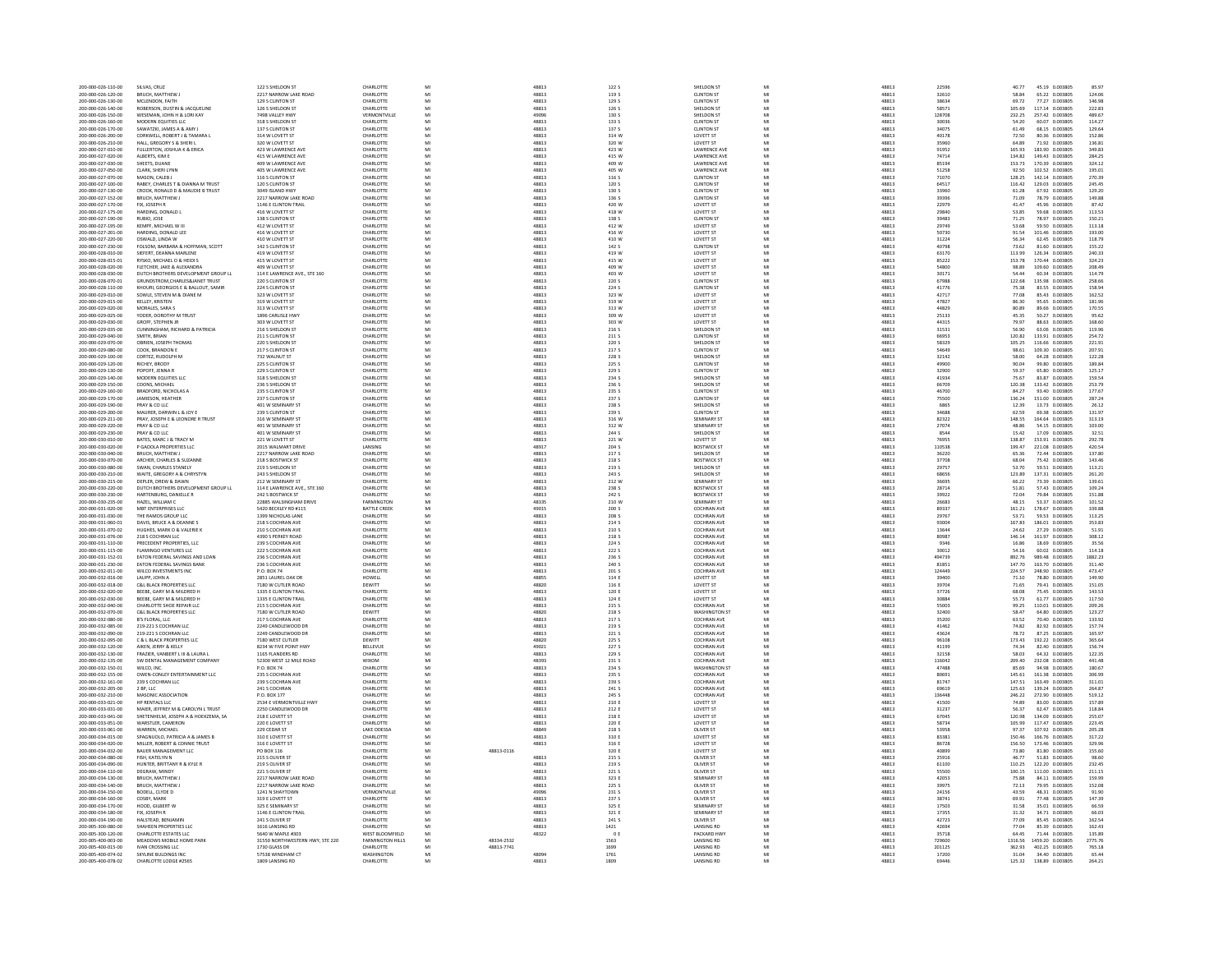| 200-000-026-110-00                       | SILVAS, CRUZ                                                          | 122 S SHELDON ST                              | CHARLOTTE                        | MI       |            | 48813          | 122 S                     | SHELDON ST                                 | MI                      | 48813          | 22596           | 40.77<br>45.19 0.003805                                | 85.97             |
|------------------------------------------|-----------------------------------------------------------------------|-----------------------------------------------|----------------------------------|----------|------------|----------------|---------------------------|--------------------------------------------|-------------------------|----------------|-----------------|--------------------------------------------------------|-------------------|
| 200-000-026-120-00                       | BRUCH, MATTHEW J                                                      | 2217 NARROW LAKE ROAD                         | CHARLOTTE                        | MI       |            | 48813          | 119 S                     | <b>CLINTON ST</b>                          | $\mathsf{M} \mathsf{I}$ | 48813          | 32610           | 58.84<br>65.22 0.003805                                | 124.06            |
| 200-000-026-130-00<br>200-000-026-140-00 | MCLENDON, FAITH<br>ROBERSON, DUSTIN & JACQUELINE                      | 129 S CLINTON ST<br>126 S SHELDON ST          | CHARLOTTE<br>CHARLOTTE           | MI<br>MI |            | 48813<br>48813 | 129 S<br>126 S            | <b>CLINTON ST</b><br>SHELDON ST            | MI<br>MI                | 48813<br>48813 | 38634<br>58571  | 69.72<br>77.27 0.003805<br>105.69<br>117.14 0.003805   | 146.98<br>222.83  |
| 200-000-026-150-00                       | WESEMAN, JOHN H & LORI KAY                                            | 7498 VALLEY HWY                               | VERMONTVILLE                     | MI       |            | 49096          | 130 S                     | SHELDON ST                                 |                         | 48813          | 128708          | 232.25<br>257.42 0.003805                              | 489.67            |
| 200-000-026-160-00                       | MODERN EQUITIES LLC                                                   | 318 S SHELDON ST                              | CHARLOTTE                        | MI       |            | 48813          | 133 S                     | <b>CLINTON ST</b>                          | MI                      | 48813          | 30036           | 54.20<br>60.07 0.003805                                | 114.27            |
| 200-000-026-170-00                       | SAWATZKI, JAMES A & AMY.                                              | 137 S CLINTON ST                              | CHARLOTTE                        | MI       |            | 48813          | 137 S                     | <b>CLINTON ST</b>                          |                         | 48813          | 34075           | 68.15 0.003805<br>61.49                                | 129.64            |
| 200-000-026-200-00                       | CORKWELL, ROBERT J & TAMARA I                                         | 314 W LOVETT ST                               | CHARLOTTE                        | MI       |            | 48813          | 314 W                     | LOVETT ST                                  | MI                      | 48813          | 40178           | 72.50<br>80.36 0.003805                                | 152.86            |
| 200-000-026-210-00                       | HALL, GREGORY S & SHERIL                                              | 320 W LOVETT ST                               | CHARLOTTE                        | MI       |            | 48813          | 320 W                     | LOVETT ST                                  | MI                      | 48813          | 35960           | 64.89<br>71.92 0.003805                                | 136.81            |
| 200-000-027-010-00<br>200-000-027-020-00 | FULLERTON, JOSHUA K & ERICA<br>ALBERTS, KIM F                         | 423 W LAWRENCE AVI<br>415 W LAWRENCE AVE      | CHARLOTTE<br>CHARLOTTE           | MI<br>MI |            | 48813<br>48813 | 423 W<br>415 W            | <b>LAWRENCE AVI</b><br><b>LAWRENCE AVE</b> | MI                      | 48813<br>48813 | 91952<br>74714  | 165.93<br>183.90 0.003805<br>134.82<br>149.43 0.003805 | 349.83<br>284.25  |
| 200-000-027-030-00                       | SHEETS, DUANE                                                         | 409 W LAWRENCE AVE                            | CHARLOTTE                        | MI       |            | 48813          | 409 W                     | <b>LAWRENCE AVE</b>                        | MI                      | 48813          | 85194           | 170.39 0.003805<br>153.73                              | 324.12            |
| 200-000-027-050-00                       | CLARK, SHERI LYNN                                                     | 405 W LAWRENCE AVE                            | CHARLOTTE                        | MI       |            | 48813          | 405 W                     | <b>LAWRENCE AVE</b>                        | MI                      | 48813          | 51258           | 92.50<br>102.52 0.003805                               | 195.01            |
| 200-000-027-070-00                       | MASON, CALEB J                                                        | 116 S CLINTON ST                              | CHARLOTTE                        | MI       |            | 48813          | 116 S                     | <b>CLINTON ST</b>                          | MI                      | 48813          | 71070           | 128.25<br>142.14 0.003805                              | 270.39            |
| 200-000-027-100-00                       | RABEY, CHARLES T & DIANNA M TRUST                                     | 120 S CLINTON ST                              | CHARLOTTE                        | MI       |            | 48813          | 120 \$                    | <b>CLINTON ST</b>                          | MI                      | 48813          | 64517           | 116.42<br>129.03 0.003805                              | 245.45            |
| 200-000-027-130-00                       | CROOK RONALD D & MALIDIE B TRUST<br>BRUCH, MATTHEW J                  | 3049 ISLAND HWY<br>2217 NARROW LAKE ROAD      | CHARLOTTE                        | MI       |            | 48813          | 130S                      | CLINTON ST<br><b>CLINTON ST</b>            | MI<br>MI                | 48813          | 33960           | 61.28<br>67.92 0.003805<br>78.79 0.003805              | 129.20            |
| 200-000-027-152-00<br>200-000-027-170-00 | FIX, JOSEPH R                                                         | 1146 E CLINTON TRAIL                          | CHARLOTTE<br>CHARLOTTE           | MI<br>MI |            | 48813<br>48813 | 136 S<br>420 W            | LOVETT ST                                  | MI                      | 48813<br>48813 | 39396<br>22979  | 71.09<br>41.47<br>45.96 0.003805                       | 149.88<br>87.42   |
| 200-000-027-175-00                       | HARDING, DONALD L                                                     | 416 W LOVETT ST                               | CHARLOTTE                        | MI       |            | 48813          | 418 W                     | <b>LOVETT ST</b>                           | MI                      | 48813          | 29840           | 53.85<br>59.68 0.003805                                | 113.53            |
| 200-000-027-190-00                       | RUBIO, JOSE                                                           | 138 S CLINTON ST                              | CHARLOTTE                        | MI       |            | 48813          | 138 S                     | <b>CLINTON ST</b>                          |                         | 48813          | 39483           | 71.25<br>78.97 0.003805                                | 150.21            |
| 200-000-027-195-00                       | KEMPF, MICHAEL W II                                                   | 412 W LOVETT ST                               | CHARLOTTE                        | MI       |            | 48813          | 412 W                     | LOVETT ST                                  | MI                      | 48813          | 29749           | 53.68<br>59.50 0.003805                                | 113.18            |
| 200-000-027-201-00                       | HARDING, DONALD LEE                                                   | 416 W LOVETT ST                               | CHARLOTTE<br>CHARLOTTE           | MI       |            | 48813          | 416 W                     | LOVETT ST                                  | MI<br>MI                | 48813          | 50730           | 91.54<br>101.46 0.003805                               | 193.00            |
| 200-000-027-220-00<br>200-000-027-230-00 | OSWALD, LINDA W<br>FOLSOM, BARBARA & HOFFMAN, SCOTT                   | 410 W LOVETT ST<br>142 S CLINTON ST           | CHARLOTTE                        | MI<br>MI |            | 48813<br>48813 | 410 W<br>142 S            | LOVETT ST<br><b>CLINTON ST</b>             | MI                      | 48813<br>48813 | 31224<br>40798  | 62.45 0.003805<br>56.34<br>73.62<br>81.60 0.003805     | 118.79<br>155.22  |
| 200-000-028-010-00                       | SIEFERT, DEANNA MARLENE                                               | 419 W LOVETT ST                               | CHARLOTTE                        | MI       |            | 48813          | 419 W                     | LOVETT ST                                  | MI                      | 48813          | 63170           | 126.34 0.003805<br>113.99                              | 240.33            |
| 200-000-028-015-01                       | RYSKO, MICHAEL O & HEIDI S                                            | 415 W LOVETT ST                               | CHARLOTTE                        | MI       |            | 48813          | 415 W                     | LOVETT ST                                  | MI                      | 48813          | 85222           | 153.78<br>170.44 0.003805                              | 324.23            |
| 200-000-028-020-00                       | FLETCHER, JAKE & ALEXANDRA                                            | 409 W LOVETT ST                               | CHARLOTTE                        | MI       |            | 48813          | 409 W                     | LOVETT ST                                  | MI                      | 48813          | 54800           | 109.60 0.003805<br>98.89                               | 208.49            |
| 200-000-028-030-00                       | DUTCH BROTHERS DEVELOPMENT GROUP LI                                   | 114 E LAWRENCE AVE., STE 160                  | CHARLOTTE                        | MI       |            | 48813          | 403 W                     | LOVETT ST                                  | MI                      | 48813          | 30171           | 54.44<br>60.34 0.003805                                | 114.79            |
| 200-000-028-070-01<br>200-000-028-110-00 | GRUNDSTROM.CHARLES&JANET TRUST<br>KHOURI, GEORGIOS E & BALLOUT, SAMIR | 220 S CLINTON ST<br>224 S CLINTON ST          | CHARLOTTE<br>CHARLOTTE           | MI<br>MI |            | 48813<br>48813 | 220 S<br>224S             | <b>CLINTON ST</b><br><b>CLINTON ST</b>     | MI                      | 48813<br>48813 | 67988<br>41776  | 122.68<br>135.98 0.003805<br>83.55 0.003805<br>75.38   | 258.66<br>158.94  |
| 200-000-029-010-00                       | SOWLE, STEVEN M & DIANE M                                             | 323 W LOVETT ST                               | CHARLOTTE                        | MI       |            | 48813          | 323 W                     | LOVETT ST                                  | MI                      | 48813          | 42717           | 77.08<br>85.43 0.003805                                | 162.52            |
| 200-000-029-015-00                       | KELLEY, KRISTEN                                                       | 319 W LOVETT ST                               | CHARLOTTE                        | MI       |            | 48813          | 319 W                     | LOVETT ST                                  | MI                      | 48813          | 47827           | 95.65 0.003805<br>86.30                                | 181.96            |
| 200-000-029-020-00                       | MORALES, SARA S                                                       | 313 W LOVETT ST                               | CHARLOTTE                        | MI       |            | 48813          | 313 W                     | <b>LOVETT ST</b>                           | MI                      | 48813          | 44829           | 80.89<br>89.66 0.003805                                | 170.55            |
| 200-000-029-025-00                       | YODER, DOROTHY M TRUST                                                | 1896 CARLISLE HWY                             | CHARLOTTE                        | MI       |            | 48813          | 309 W                     | LOVETT ST                                  | MI                      | 48813          | 25133           | 45.35<br>50.27 0.003805                                | 95.62             |
| 200-000-029-030-00<br>200-000-029-035-00 | GROFF, STEPHEN JR<br>CUNNINGHAM RICHARD & PATRICIA                    | 303 W LOVETT ST<br>216 S SHELDON ST           | CHARLOTTE<br>CHARLOTTE           | MI<br>MI |            | 48813<br>48813 | 303 W<br>216.5            | LOVETT ST<br>SHELDON ST                    | MI                      | 48813<br>48813 | 44315<br>31531  | 79.97<br>88.63 0.003805<br>56.90<br>63.06 0.003805     | 168.60<br>119.96  |
| 200-000-029-040-00                       | SMITH, BRIAN                                                          | 211 S CLINTON ST                              | CHARLOTTE                        | MI       |            | 48813          | 211 S                     | <b>CLINTON ST</b>                          | MI                      | 48813          | 66953           | 120.82<br>133.91 0.003805                              | 254.72            |
| 200-000-029-070-00                       | OBRIEN, JOSEPH THOMAS                                                 | 220 S SHELDON ST                              | CHARLOTTE                        | MI       |            | 48813          | 220 S                     | SHELDON ST                                 | MI                      | 48813          | 58329           | 105.25<br>116.66 0.003805                              | 221.91            |
| 200-000-029-080-00                       | COOK, BRANDON E                                                       | 217 S CLINTON ST                              | CHARLOTTE                        | MI       |            | 48813          | 217 S                     | <b>CLINTON ST</b>                          | MI                      | 48813          | 54649           | 98.61<br>109.30 0.003805                               | 207.91            |
| 200-000-029-100-00<br>200-000-029-120-00 | CORTEZ, RUDOLPH N<br><b>RICHEY RRODY</b>                              | 732 WALNUT ST<br>225 S CLINTON ST             | CHARLOTTE<br>CHARLOTTE           |          |            | 48813<br>48813 | 228 \$<br>2255            | SHELDON ST<br>CLINTON ST                   | MI                      | 48813<br>48813 | 32142           | 58.00<br>64.28 0.00380<br>90.04<br>99.80 0.003805      | 122.28<br>189.84  |
| 200-000-029-130-00                       | POPOFF, JENNA F                                                       | 229 S CLINTON ST                              | CHARLOTTE                        | MI<br>MI |            | 48813          | 229 S                     | <b>CLINTON ST</b>                          | MI                      | 48813          | 49900<br>32900  | 59.37<br>65.80 0.003805                                | 125.17            |
| 200-000-029-140-00                       | MODERN EQUITIES LLC                                                   | 318 S SHELDON ST                              | CHARLOTTE                        |          |            | 48813          | 234 S                     | SHELDON ST                                 | MI                      | 48813          | 41934           | 75.67<br>83.87 0.003805                                | 159.54            |
| 200-000-029-150-00                       | COONS, MICHAEL                                                        | 236 S SHELDON ST                              | CHARLOTTE                        | MI<br>Mi |            | 48813          | 236 S                     | SHELDON ST                                 | MI                      | 48813          | 66709           | 120.38<br>133.42 0.003805                              | 253.79            |
| 200-000-029-160-00                       | <b>BRADFORD, NICHOLAS /</b>                                           | 235 S CLINTON ST                              | CHARLOTTE                        | MI       |            | 48813          | 235 S                     | <b>CLINTON ST</b>                          | MI                      | 48813          | 46700           | 84.27<br>93.40 0.003805                                | 177.67            |
| 200-000-029-170-00                       | <b>IAMIESON HEATHER</b>                                               | 237 S CLINTON ST                              | CHARLOTTE                        | MI       |            | 48813          | 237.5                     | CUNTON ST                                  | MI                      | 48813          | 75500           | 136.24<br>151.00 0.003805                              | 287.24            |
| 200-000-029-190-00<br>200-000-029-200-00 | PRAY & CO LLC                                                         | 401 W SEMINARY ST                             | CHARLOTTE<br>CHARLOTTE           | MI<br>MI |            | 48813<br>48813 | 238 S                     | SHELDON ST                                 | MI<br>MI                | 48813<br>48813 | 6865<br>34688   | 13.73 0.003805<br>12.39<br>69.38 0.003805<br>62.59     | 26.12             |
| 200-000-029-211-00                       | MAURER, DARWIN L & JOY E<br>PRAY, JOSEPH E & LEONORE R TRUST          | 239 S CLINTON ST<br>316 W SEMINARY ST         | CHARLOTTE                        | MI       |            | 48813          | 239 S<br>316 W            | <b>CLINTON ST</b><br><b>SEMINARY ST</b>    | MI                      | 48813          | 82322           | 148.55<br>164.64 0.003805                              | 131.97<br>313.19  |
| 200-000-029-220-00                       | PRAY & CO LL                                                          | 401 W SEMINARY ST                             | CHARLOTTE                        | MI       |            | 48813          | 312 W                     | SEMINARY ST                                |                         | 48813          | 27074           | 54.15 0.003805<br>48.86                                | 103.00            |
| 200-000-029-230-00                       | PRAY & CO LLC                                                         | 401 W SEMINARY ST                             | CHARLOTTE                        | MI       |            | 48813          | 244 S                     | SHELDON ST                                 | MI                      | 48813          | 8544            | 15.42<br>17.09 0.003805                                | 32.51             |
| 200-000-030-010-00                       | BATES, MARC J & TRACY M                                               | 221 W LOVETT ST                               | CHARLOTTE                        | MI       |            | 48813          | 221 W                     | LOVETT ST                                  | MI                      | 48813          | 76955           | 138.87<br>153.91 0.003805                              | 292.78            |
| 200-000-030-020-00<br>200-000-030-040-00 | P GADOLA PROPERTIES LLC<br>BRUCH, MATTHEW J                           | 2015 WALMART DRIVE<br>2217 NARROW LAKE ROAD   | LANSING<br>CHARLOTTE             | MI<br>MI |            | 48917<br>48813 | 204 S<br>217 S            | <b>BOSTWICK ST</b><br>SHELDON ST           | MI<br>MI                | 48813<br>48813 | 110538<br>36220 | 221.08 0.003805<br>199.47<br>65.36<br>72.44 0.003805   | 420.54<br>137.80  |
| 200-000-030-070-00                       | ARCHER, CHARLES & SUZANNI                                             | 218 S BOSTWICK ST                             | CHARLOTTE                        | MI       |            | 48813          | 218 S                     | <b>BOSTWICK ST</b>                         |                         | 48813          | 37708           | 68.04<br>75.42 0.003805                                | 143.46            |
| 200-000-030-080-00                       | SWAN, CHARLES STANELY                                                 | 219 S SHELDON ST                              | CHARLOTTE                        | MI       |            | 48813          | 219 S                     | SHELDON ST                                 | MI                      | 48813          | 29757           | 53.70<br>59.51 0.003805                                | 113.21            |
|                                          |                                                                       |                                               |                                  |          |            |                |                           |                                            |                         |                |                 |                                                        |                   |
|                                          |                                                                       |                                               | CHARLOTTE                        | MI       |            |                |                           |                                            | MI                      |                |                 | 123.89                                                 |                   |
| 200-000-030-210-00<br>200-000-030-215-00 | WAITE, GREGORY A & CHRYSTYN<br>DEPLER, DREW & DAWN                    | 243 S SHELDON ST<br>212 W SEMINARY ST         | CHARLOTTE                        | MI       |            | 48813<br>48813 | 243 S<br>212 W            | SHELDON ST<br><b>SEMINARY ST</b>           | MI                      | 48813<br>48813 | 68656<br>36695  | 137.31 0.003805<br>73.39 0.003805<br>66.22             | 261.20<br>139.61  |
| 200-000-030-220-00                       | DUTCH BROTHERS DEVELOPMENT GROUP LL                                   | 114 E LAWRENCE AVE., STE 160                  | CHARLOTTE                        | MI       |            | 48813          | 238 S                     | <b>BOSTWICK ST</b>                         | MI                      | 48813          | 28714           | 51.81<br>57.43 0.003805                                | 109.24            |
| 200-000-030-230-00                       | HARTENBURG, DANIELLE R                                                | 242 S BOSTWICK ST                             | CHARLOTTE                        | MI       |            | 48813          | 242 S                     | <b>BOSTWICK ST</b>                         |                         | 48813          | 39922           | 72.0<br>79.84 0.003805                                 | 151.88            |
| 200-000-030-235-00                       | HAZEL WILLIAM C                                                       | 22885 WAI SINGHAM DRIVE                       | <b>FARMINGTON</b>                | MI       |            | 48335          | 210 W                     | SEMINARY ST                                | MI                      | 48813          | 26683           | 48.15<br>53.37 0.003805                                | 101.52            |
| 200-000-031-020-00<br>200-000-031-030-00 | MBT ENTERPRISES LLC<br>THE RAMOS GROUP LLC                            | 5420 BECKLEY RD #115<br>1399 NICHOLAS LANE    | <b>BATTLE CREEK</b><br>CHARLOTTE | MI<br>MI |            | 49015<br>48813 | 200 S<br>208S             | <b>COCHRAN AVE</b><br>COCHRAN AVE          | MI<br>MI                | 48813<br>48813 | 89337<br>29767  | 178.67 0.003805<br>161.21<br>53.71<br>59.53 0.003805   | 339.88<br>113.25  |
| 200-000-031-060-01                       | DAVIS, BRUCE A & DEANNES                                              | 218 S COCHRAN AVE                             | CHARLOTTE                        | MI       |            | 48813          | 214 S                     | COCHRAN AVE                                | MI                      | 48813          | 93004           | 167.83<br>186.01 0.003805                              | 353.83            |
| 200-000-031-070-02                       | HUGHES, MARK O & VALERIE K                                            | 210 S COCHRAN AVE                             | CHARLOTTE                        | MI       |            | 48813          | 210 S                     | COCHRAN AVI                                | MI                      | 48813          | 13644           | 24.67<br>27.29 0.003805                                | 51.91             |
| 200-000-031-076-00                       | 218 S COCHRAN LLC                                                     | 4390 S PERKEY ROAD                            | CHARLOTTE                        | MI       |            | 48813          | 218.5                     | <b>COCHRAN AVE</b>                         | MI                      | 48813          | 80987           | 146 14<br>161.97 0.003805                              | 308.12            |
| 200-000-031-110-00                       | PRECEDENT PROPERTIES, LLC                                             | 239 S COCHRAN AVE                             | CHARLOTTE                        | MI       |            | 48813          | 224 S                     | <b>COCHRAN AVE</b>                         | MI                      | 48813          | 9346            | 18.69 0.003805<br>16.86                                | 35.56             |
| 200-000-031-115-00<br>200-000-031-152-01 | FLAMINGO VENTURES LLC<br>EATON FEDERAL SAVINGS AND LOAN               | 222 S COCHRAN AVE<br>236 S COCHRAN AVE        | CHARLOTTE<br>CHARLOTTE           | MI<br>MI |            | 48813<br>48813 | 222 \$<br>236 S           | COCHRAN AVI<br><b>COCHRAN AVE</b>          | MI<br>MI                | 48813<br>48813 | 30012<br>494739 | 54.16<br>60.02 0.003805<br>892.76<br>989.48 0.003805   | 114.18<br>1882.23 |
| 200-000-031-230-00                       | EATON FEDERAL SAVINGS BANK                                            | 236 S COCHRAN AVE                             | CHARLOTTE                        | MI       |            | 48813          | 240 S                     | COCHRAN AVI                                | MI                      | 48813          | 81851           | 163.70 0.003805<br>147.70                              | 311.40            |
| 200-000-032-011-00                       | WILCO INVESTMENTS INC.                                                | PO BOX 74                                     | CHARLOTTE                        | MI       |            | 48813          | 201.5                     | <b>COCHRAN AVE</b>                         | MI                      | 48813          | 124449          | 224.57<br>248.90 0.003805                              | 473.47            |
| 200-000-032-016-00                       | LAUPP, JOHN A                                                         | 2851 LAUREL OAK DR                            | HOWELL                           | MI       |            | 48855          | 114 E                     | LOVETT ST                                  | MI                      | 48813          | 39400           | 78.80 0.003805<br>71.10                                | 149.90            |
| 200-000-032-018-00                       | C&L BLACK PROPERTIES LLC                                              | 7180 W CUTLER ROAD                            | DEWITT                           | MI       |            | 48820          | 116 B                     | LOVETT ST                                  | MI                      | 48813          | 39704           | 71.65<br>79.41 0.003805                                | 151.05            |
| 200-000-032-020-00<br>200-000-032-030-00 | BEEBE, GARY M & MILDRED H<br>BEEBE, GARY M & MILDRED I                | 1335 E CLINTON TRAIL<br>1335 E CLINTON TRAIL  | CHARLOTTE<br>CHARLOTT            | MI<br>MI |            | 48813<br>48813 | 120 E<br>124 E            | LOVETT ST<br>LOVETT ST                     | MI                      | 48813<br>48813 | 37726<br>30884  | 68.08<br>75.45 0.003805<br>55.73                       | 143.53<br>117.50  |
| 200-000-032-040-00                       | CHARLOTTE SHOE REPAIR LLC                                             | 215 S COCHRAN AVE                             | CHARLOTTE                        | MI       |            | 48813          | 215 S                     | <b>COCHRAN AVE</b>                         | MI                      | 48813          | 55003           | 61.77 0.003805<br>99.25<br>110.01 0.003805             | 209.26            |
| 200-000-032-070-00                       | C&L BLACK PROPERTIES LLC                                              | 7180 W CUTLER ROAD                            | DEWITT                           | MI       |            | 48820          | 218 S                     | <b>WASHINGTON ST</b>                       | MI                      | 48813          | 32400           | 64.80 0.003805<br>58.47                                | 123.27            |
| 200-000-032-080-00                       | B'S FLORAL, LLC                                                       | 217 S COCHRAN AVE                             | CHARLOTTE                        | MI       |            | 48813          | 217 S                     | COCHRAN AVE                                | MI                      | 48813          | 35200           | 63.52<br>70.40 0.003805                                | 133.92            |
| 200-000-032-085-00                       | 219-221 S COCHRAN LLC                                                 | 2249 CANDLEWOOD DR                            | CHARLOTTE                        | MI       |            | 48813          | 219 S                     | <b>COCHRAN AVE</b>                         | MI                      | 48813          | 41462           | 74.82<br>82.92 0.003805                                | 157.74            |
| 200-000-032-090-00<br>200-000-032-095-00 | 219-221 S COCHRAN LLC<br>C & L BLACK PROPERTIES LLC                   | 2249 CANDLEWOOD DR<br>7180 WEST CUTLER        | CHARLOTTE<br><b>DEWITT</b>       | MI<br>MI |            | 48813<br>48820 | 221 <sub>5</sub><br>225 S | COCHRAN AVE<br><b>COCHRAN AVE</b>          | MI                      | 48813<br>48813 | 43624<br>96108  | 87.25 0.003805<br>78.72<br>173.43<br>192.22 0.003805   | 165.97<br>365.64  |
| 200-000-032-120-00                       | AIKEN, JERRY & KELLY                                                  | 8234 W FIVE POINT HWY                         | BELLEVUE                         | MI       |            | 49021          | 227S                      | COCHRAN AVE                                | MI                      | 48813          | 41199           | 82.40 0.003805<br>74.34                                | 156.74            |
| 200-000-032-130-00                       | FRAZIER, VANBERT L III & LAURA L                                      | 1165 FLANDERS RD                              | CHARLOTTE                        | MI       |            | 48813          | 229 S                     | COCHRAN AVE                                | MI                      | 48813          | 32158           | 58.03<br>64.32 0.003805                                | 122.35            |
| 200-000-032-135-00                       | SW DENTAL MANAGEMENT COMPANY                                          | 52300 WEST 12 MILE ROAD                       | WIXOM                            | MI       |            | 48393          | 231 S                     | <b>COCHRAN AVE</b>                         | MI                      | 48813          | 116042          | 209.40<br>232.08 0.003805                              | 441.48            |
| 200-000-032-150-01<br>200-000-032-155-00 | WILCO, INC<br>OWEN-CONLEY ENTERTAINMENT LLC                           | P.O. BOX 74<br>235 S COCHRAN AVE              | CHARLOTTE<br>CHARLOTTE           | MI<br>MI |            | 48813<br>48813 | 234 S<br>235.5            | WASHINGTON ST<br>COCHRAN AVE               | MI                      | 48813<br>48813 | 47485<br>80691  | 85.69<br>94.98 0.003805<br>145.61<br>161.38 0.003805   | 180.67<br>306.99  |
| 200-000-032-161-00                       | 239 S COCHRAN LLC                                                     | 239 S COCHRAN AVE                             | CHARLOTTE                        | MI       |            | 48813          | 239 S                     | <b>COCHRAN AVE</b>                         | MI                      | 48813          | 81747           | 163.49 0.003805<br>147.51                              | 311.01            |
| 200-000-032-205-00                       | 2 BP. LLC                                                             | 241 S COCHRAN                                 | CHARLOTTE                        | MI       |            | 48813          | 241S                      | COCHRAN AVE                                | MI                      | 48813          | 69619           | 125.63<br>139.24 0.003805                              | 264.87            |
| 200-000-032-210-00                       | MASONIC ASSOCIATION                                                   | P.O. BOX 177                                  | CHARLOTTE                        | MI       |            | 48813          | 245 S                     | <b>COCHRAN AVE</b>                         | MI                      | 48813          | 136448          | 246.22<br>272.90 0.003805                              | 519.12            |
| 200-000-033-021-00<br>200-000-033-031-00 | HP RENTALS LLC<br>MAIFR IFFFREY M & CAROLYN LTRUST                    | 2534 E VERMONTVILLE HW<br>2250 CANDI EWOOD DR | CHARLOTTE<br>CHARLOTTE           | MI<br>MI |            | 48813<br>48813 | 210 B<br>212.5            | LOVETT ST<br><b>LOVETT ST</b>              | MI                      | 48813<br>48813 | 41500<br>31237  | 74.89<br>83.00 0.00380<br>56.37<br>62.47 0.003805      | 157.89<br>118.84  |
| 200-000-033-041-00                       | SHETENHELM, JOSEPH A & HOEKZEMA, SA                                   | 218 E LOVETT ST                               | CHARLOTTE                        | MI       |            | 48813          | 218 E                     | <b>LOVETT ST</b>                           | MI                      | 48813          | 67045           | 134.09 0.003805<br>120.98                              | 255.07            |
| 200-000-033-051-00                       | WARSTLER, CAMERON                                                     | 220 E LOVETT ST                               | CHARLOTTE                        | MI       |            | 48813          | 2201                      | LOVETT ST                                  | MI                      | 48813          | 58734           | 117.47 0.003805<br>105.99                              | 223.45            |
| 200-000-033-061-00                       | WARREN, MICHAEL                                                       | 229 CEDAR ST                                  | LAKE ODESSA                      | MI       |            | 48849          | 218 S                     | <b>OLIVER ST</b>                           | MI                      | 48813          | 53958           | 97.37<br>107.92 0.003805                               | 205.28            |
| 200-000-034-015-00<br>200-000-034-020-00 | SPAGNUOLO, PATRICIA A & JAMES B<br>MILLER, ROBERT & CONNIE TRUST      | 310 E LOVETT ST<br>316 F LOVETT ST            | CHARLOTTE<br>CHARLOTTE           | MI<br>MI |            | 48813          | 310 E<br>316 F            | LOVETT ST<br><b>LOVETT ST</b>              | MI<br>MI                | 48813<br>48813 | 83381<br>86728  | 150.46<br>166.76 0.003805<br>156.50<br>173.46 0.003805 | 317.22<br>329.96  |
| 200-000-034-032-00                       | BAUER MANAGEMENT LLC                                                  | PO BOX 116                                    | CHARLOTTE                        | MI       | 48813-0116 | 48813          | 320 E                     | <b>LOVETT ST</b>                           | MI                      | 48813          | 40899           | 73.80<br>81.80 0.003805                                | 155.60            |
| 200-000-034-080-00                       | FISH, KATELYN N                                                       | 215 S OLIVER ST                               | CHARLOTTE                        | MI       |            | 48813          | 215 S                     | <b>OLIVER ST</b>                           | MI                      | 48813          | 25916           | 46.77<br>51.83 0.003805                                | 98.60             |
| 200-000-034-090-00                       | HUNTER, BRITTANY R & KYLE R                                           | 219 S OLIVER ST                               | CHARLOTTE                        | MI       |            | 48813          | 219 S                     | OLIVER ST                                  | MI                      | 48813          | 61100           | 110.25<br>122.20 0.003805                              | 232.45            |
| 200-000-034-110-00                       | DEGRAW, MIND                                                          | 221 S OLIVER ST                               | CHARLOTTE                        | MI       |            | 48813          | 221S                      | <b>OLIVER ST</b>                           |                         | 48813          | 55500           | 111.00 0.003805<br>100.15                              | 211.15            |
| 200-000-034-130-00                       | BRUCH, MATTHEW J                                                      | 2217 NARROW LAKE ROAD                         | CHARLOTTE                        | MI       |            | 48813          | 323 E                     | <b>SEMINARY ST</b>                         | MI                      | 48813          | 42053           | 75.88<br>84.11 0.003805                                | 159.99            |
| 200-000-034-140-00                       | BRUCH, MATTHEW J                                                      | 2217 NARROW LAKE ROAD                         | CHARLOTTE                        | MI       |            | 48813          | 225 S                     | OLIVER ST                                  | MI<br>MI                | 48813          | 39975           | 72.13<br>79.95 0.003805                                | 152.08            |
| 200-000-034-150-00<br>200-000-034-160-00 | BODELL, CLYDE D<br>COSBY, MARK                                        | 1241 N SHAYTOWN<br>319 E LOVETT ST            | VERMONTVILLE<br>CHARLOTTE        | MI<br>MI |            | 49096<br>48813 | 231 S<br>237 S            | OLIVER ST<br>OLIVER ST                     | MI                      | 48813<br>48813 | 24156<br>38741  | 43.59<br>48.31 0.003805<br>69.91<br>77.48 0.003805     | 91.90<br>147.39   |
| 200-000-034-170-00                       | HOOD, GILBERT W                                                       | 325 E SEMINARY ST                             | CHARLOTTE                        | MI       |            | 48813          | 325 E                     | SEMINARY ST                                |                         | 48813          | 17503           | 31.58<br>35.01 0.003805                                | 66.59             |
| 200-000-034-180-00                       | FIX. JOSEPH R                                                         | 1146 E CLINTON TRAIL                          | CHARLOTTE                        | MI       |            | 48813          | 321 E                     | <b>SEMINARY ST</b>                         | MI                      | 48813          | 17355           | 31.32<br>34.71 0.003805                                | 66.03             |
| 200-000-034-190-00                       | HALSTEAD, BENJAMIN                                                    | 241 S OLIVER ST                               | CHARLOTTE                        | MI       |            | 48813          | 241 S                     | OLIVER ST<br><b>LANSING RD</b>             | MI                      | 48813          | 42723           | 85.45 0.003805<br>77.09                                | 162.54            |
| 200-005-300-080-00<br>200-005-300-120-00 | SHAHEEN PROPERTIES LLC<br>CHARLOTTE ESTATES LLC                       | 1616 LANSING RD<br>5640 W MAPLE #303          | CHARLOTTE<br>WEST BLOOMFIELD     | MI<br>MI |            | 48813<br>48322 | 1421<br>0 <sub>0</sub>    | PACKARD HW                                 | MI                      | 48813<br>48813 | 42694<br>35718  | 77.04<br>85.39 0.003805<br>64.45<br>71.44 0.003805     | 162.43<br>135.89  |
| 200-005-400-003-00                       | MEADOWS MOBILE HOME PARI                                              | 31550 NORTHWESTERN HWY, STE 220               | <b>FARMINGTON HILLS</b>          | MI       | 48334-2532 |                | 1563                      | <b>LANSING RD</b>                          |                         | 48813          | 729600          | 1316.56<br>1459.20 0.003805                            | 2775.76           |
| 200-005-400-015-00                       | <b>IVAN CROSSING LLC</b>                                              | 1730 GLASS DR                                 | CHARLOTTE                        | MI       | 48813-7741 |                | 1699                      | <b>LANSING RD</b>                          | MI                      | 48813          | 201125          | 362.93<br>402.25 0.003805                              | 765.18            |
| 200-005-400-074-02                       | SKYLINE BULDINGS INC                                                  | 57538 WINDHAM CT                              | WASHINGTON                       | MI       |            | 48094          | 1761                      | <b>LANSING RD</b>                          | MI                      | 48813          | 17200           | 31.04<br>34.40 0.003805                                | 65.44             |
| 200-005-400-078-02                       | CHARLOTTE LODGE #2565                                                 | 1809 LANSING RD                               | CHARLOTTE                        | MI       |            | 48813          | 1809                      | <b>LANSING RD</b>                          |                         | 48813          | 69446           | 138.89 0.003805<br>125.32                              | 264.21            |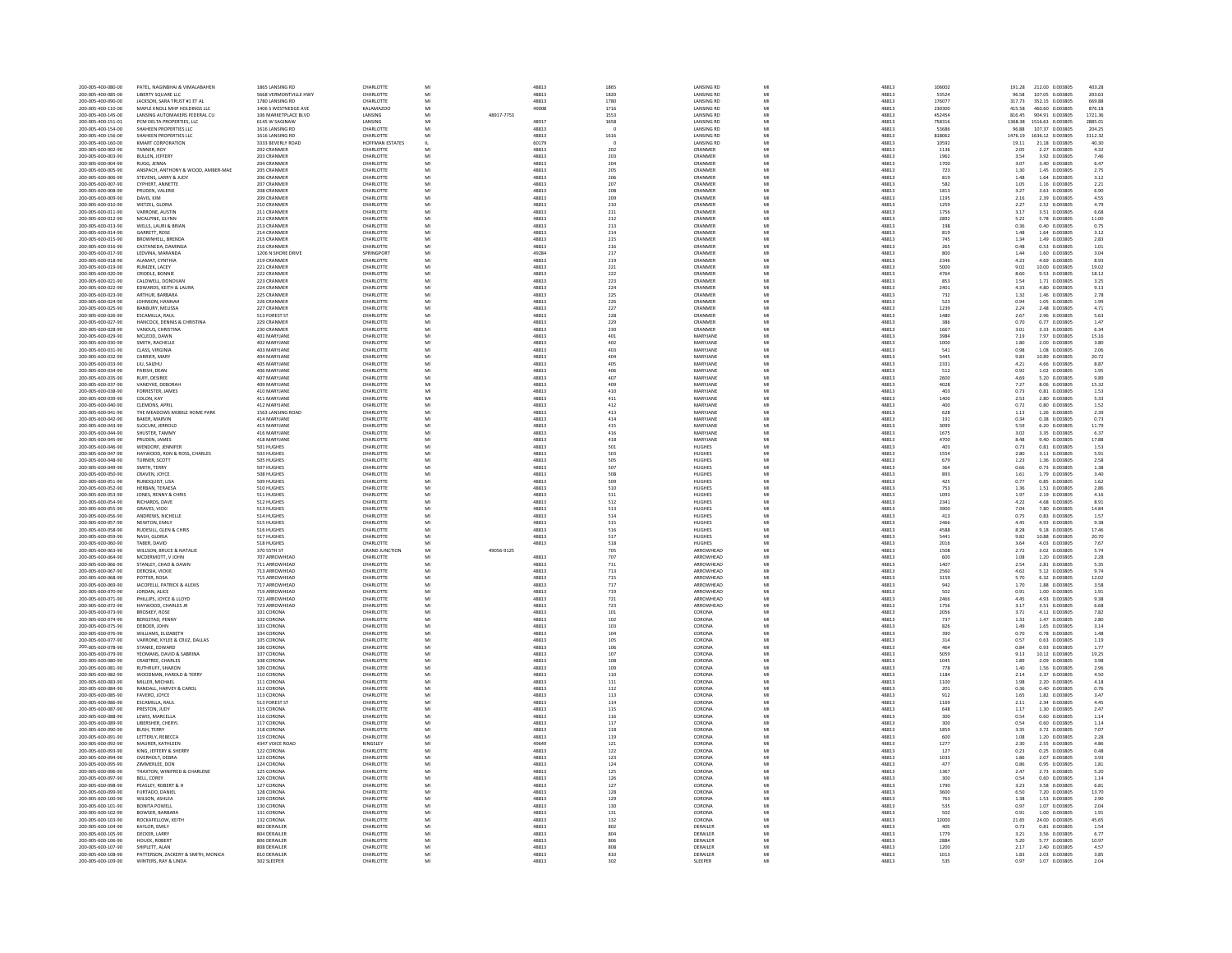| 200-005-400-080-00                       | PATEL, NAGINBHAI & VIMALABAHEN                              | 1865 LANSING RD                         | CHARLOTTI                          | MI       |            | 48813          | 1865              | <b>LANSING RD</b>                      | MI<br>Mi | 48813          | 106002           | 191.28                                      | 212.00 0.003805                                                    | 403.28                |
|------------------------------------------|-------------------------------------------------------------|-----------------------------------------|------------------------------------|----------|------------|----------------|-------------------|----------------------------------------|----------|----------------|------------------|---------------------------------------------|--------------------------------------------------------------------|-----------------------|
| 200-005-400-085-00                       | LIBERTY SQUARE LLC<br>JACKSON, SARA TRUST #1 ET A           | <b>5668 VERMONTVILLE HWY</b>            | CHARLOTTE<br>CHARLOTTI             | MI       |            | 48813<br>48813 | 1820              | <b>LANSING RD</b><br>LANSING RD        |          | 48813          | 53524            | 96.58<br>317.73                             | 107.05 0.003805<br>352.15 0.003805                                 | 203.63                |
| 200-005-400-090-00<br>200-005-400-110-00 | MAPLE KNOLL MHP HOLDINGS LLC                                | 1780 LANSING RD<br>1406 S WESTNEDGE AVE | KALAMAZOO                          | MI<br>MI |            | 49008          | 1780<br>1716      | <b>LANSING RD</b>                      | MI       | 48813<br>48813 | 176077<br>230300 | 415.58                                      | 460.60 0.003805                                                    | 669.88<br>876.18      |
| 200-005-400-145-00                       | LANSING AUTOMAKERS FEDERAL CU                               | 106 MARKETPLACE BLVD                    | LANSING                            | MI       | 48917-7753 |                | 1553              | <b>LANSING RD</b>                      | MI       | 48813          | 452454           | 816.45                                      | 904.91 0.003805                                                    | 1721.36               |
| 200-005-400-151-01                       | PCM DELTA PROPERTIES, LLC                                   | 6145 W SAGINAW                          | <b>LANSING</b>                     | M        |            | 48917          | 1658              | <b>LANSING RD</b>                      | M        | 48813          | 758316           | 1368.38                                     | 1516.63 0.003805                                                   | 2885.01               |
| 200-005-400-154-00                       | SHAHEEN PROPERTIES LLC<br>SHAHEEN PROPERTIES LLC            | 1616 LANSING RD<br>1616 LANSING RD      | CHARLOTTE<br>CHARLOTTE             | MI       |            | 48813          | $\Omega$          | <b>LANSING RD</b>                      | MI<br>MI | 48813<br>48813 | 53686            | 96.88                                       | 107.37 0.003805                                                    | 204.25                |
| 200-005-400-156-00<br>200-005-400-160-00 | <b>KMART CORPORATION</b>                                    | 3333 BEVERLY ROAD                       | HOFFMAN ESTATES                    | MI       |            | 48813<br>60179 | 1616              | <b>LANSING RD</b><br><b>LANSING RD</b> | MI       | 48813          | 818062<br>10592  | 1476.19<br>19.11                            | 1636.12 0.003805<br>21.18 0.003805                                 | 3112.32<br>40.30      |
| 200-005-600-002-90                       | <b>TANNER, ROY</b>                                          | 202 CRANMER                             | CHARLOTTE                          | MI       |            | 48813          | 202               | CRANMER                                | MI       | 48813          | 1136             | 2.05                                        | 2.27 0.003805                                                      | 4.32                  |
| 200-005-600-003-90                       | <b>BULLEN, JEFFERY</b>                                      | 203 CRANMER                             | CHARLOTTI                          | MI       |            | 48813          | 203               | CRANMER                                | MI       | 48813          | 1962             | 3.54                                        | 3.92 0.003805                                                      | 7.46                  |
| 200-005-600-004-90                       | RUGG, JENNA                                                 | 204 CRANMER                             | CHARLOTTI                          | MI       |            | 48813          | 204               | CRANMER                                | MI       | 48813          | 1700             | $\begin{array}{c} 3.07 \\ 1.30 \end{array}$ | $\begin{array}{rr} 3.40 & 0.003805 \\ 1.45 & 0.003805 \end{array}$ | $6.47$<br>2.75        |
| 200-005-600-005-90<br>200-005-600-006-90 | ANSPACH, ANTHONY & WOOD, AMBER-MAE<br>STEVENS, LARRY & JUDY | 205 CRANMER<br>206 CRANMER              | CHARLOTTI<br>CHARLOTTI             | MI<br>MI |            | 48813          | 205               | CRANMER<br>CRANMER                     | MI<br>MI | 48813<br>48813 | 723              | 1.48                                        | 1.64 0.003805                                                      |                       |
| 200-005-600-007-90                       | CYPHERT, ANNETTE                                            | 207 CRANMER                             | CHARLOTTE                          | MI       |            | 48813<br>48813 | 206<br>207        | CRANMER                                | MI       | 48813          | 819<br>582       | 1.05                                        | 1.16 0.003805                                                      | 3.12<br>2.21          |
| 200-005-600-008-90                       | PRUDEN, VALERIE                                             | 208 CRANMER                             | CHARLOTTI                          | MI       |            | 48813          | 208               | CRANMER                                | MI       | 48813          | 1813             | 3.27                                        | 3.63 0.003805                                                      | 6.90                  |
| 200-005-600-009-90                       | DAVIS, KIM                                                  | 209 CRANMER                             | CHARLOTTI                          | MI       |            | 48813          | 209               | CRANMER                                | MI       | 48813          | 1195             | 2.16                                        | 2.39 0.003805                                                      | 4.55                  |
| 200-005-600-010-90                       | WETZEL, GLORIA                                              | 210 CRANMER                             | CHARLOTTE                          | MI       |            | 48813          | 210               | CRANMER                                | MI       | 48813          | 1259             | 2.27                                        | 2.52 0.003805                                                      | 4.79                  |
| 200-005-600-011-90                       | <b>VARRONE, AUSTII</b>                                      | 211 CRANMEI                             | CHARLOTTE                          | M        |            | 48813          | 211               | CRANMER                                | M        | 48813          | 1756             | 3.17                                        | 3.51 0.003805                                                      | 6.68                  |
| 200-005-600-012-90                       | MCALPINE GLYNN                                              | 212 CRANMER<br>213 CRANMER              | CHARLOTTE                          | MI       |            | 48813          | 212               | CRANMER<br>CRANMER                     | MI<br>MI | 48813          | 2892             | 5.22<br>0.36                                | 5.78 0.003805                                                      | 11.00                 |
| 200-005-600-013-90<br>200-005-600-014-90 | WELLS, LAURI & BRIAN<br>GARRETT, ROSE                       | 214 CRANMER                             | CHARLOTTE<br>CHARLOTTI             | MI<br>MI |            | 48813<br>48813 | 213<br>214        | CRANMER                                | MI       | 48813<br>48813 | 198<br>819       | 1.48                                        | 0.40 0.003805<br>1.64 0.003805                                     | 0.75<br>3.12          |
| 200-005-600-015-90                       | BROWNHELL, BRENDA                                           | 215 CRANMER                             | CHARLOTTE                          | MI       |            | 48813          | 215               | CRANMER                                | MI       | 48813          | 745              | 1.34                                        | 1.49 0.003805                                                      | 2.83                  |
| 200-005-600-016-90                       | CASTANEDA, DAMINGA                                          | 216 CRANMER                             | CHARLOTTE                          | MI       |            | 48813          | 216               | CRANMER                                | MI       | 48813          | 265              | 0.48                                        | 0.53 0.003805                                                      | 1.01                  |
| 200-005-600-017-90                       | <b>IFDVINA MARANDA</b>                                      | 1206 N SHORE DRIVE                      | SPRINGPORT                         | MI       |            | 49284          | 217               | CRANMER                                | MI       | 48813          | 800              | 1.44                                        | 1.60 0.003805                                                      | 3.04                  |
| 200-005-600-018-90                       | ALAMAT, CYNTHIA                                             | 219 CRANMER                             | CHARLOTTE                          | MI       |            | 48813          | 219               | CRANMER                                | MI       | 48813          | 2346             | 4.23                                        | 4.69 0.003805                                                      | 8.93                  |
| 200-005-600-019-90<br>200-005-600-020-90 | RUMZEK, LACEY<br>CRIDDLE RONNIE                             | 221 CRANMER<br>222 CRANMER              | CHARLOTTI<br>CHARLOTTE             | MI       |            | 48813<br>48813 | 221<br>222        | CRANMER<br>CRANMER                     | MI<br>MI | 48813<br>48813 | 5000<br>4764     | 9.02<br>8.60                                | 10.00 0.003805<br>9.53 0.003805                                    | 19.02<br>18.12        |
| 200-005-600-021-90                       | CALDWELL, DONOVAN                                           | 223 CRANMER                             | CHARLOTTE                          | MI       |            | 48813          | 223               | CRANMER                                | MI       | 48813          | 853              | 1.54                                        | 1.71 0.003805                                                      | 3.25                  |
| 200-005-600-022-90                       | EDWARDS, KEITH & LAURA                                      | 224 CRANMER                             | CHARLOTTI                          | MI       |            | 48813          | 224               | CRANMER                                | MI       | 48813          | 2401             | 4.33                                        | 4.80 0.003805                                                      | 9.13                  |
| 200-005-600-023-90                       | ARTHUR, BARBARA                                             | 225 CRANMER                             | CHARLOTTI                          | MI       |            | 48813          | 225               | CRANMER                                | MI       | 48813          | 732              | 1.32                                        | 1.46 0.003805                                                      | 2.78                  |
| 200-005-600-024-90                       | JOHNSON, HANNA                                              | 226 CRANMEI                             | CHARLOTTI                          | MI       |            | 48813          | 226               | CRANMER                                |          | 48813          | 523              | 0.94                                        | 1.05 0.003805                                                      | 1.99                  |
| 200-005-600-025-90                       | RANRURY MELISSA                                             | 227 CRANMER                             | CHARLOTTI                          | MI       |            | 48813          | 227               | CRANMER                                | MI       | 48813          | 1239             | 224                                         | 2.48 0.003805                                                      | 4.71                  |
| 200-005-600-026-90<br>200-005-600-027-90 | ESCAMILLA, RAUL<br>HANCOCK, DENNIS & CHRISTINA              | 513 FOREST ST<br>229 CRANMEI            | CHARLOTTE<br>CHARLOTTI             | MI       |            | 48813<br>48813 | 228<br>229        | CRANMER<br>CRANMER                     | MI       | 48813<br>48813 | 1480             | 2.67<br>0.70                                | 2.96 0.003805<br>0.77 0.003805                                     | 5.63<br>$1.47\,$      |
| 200-005-600-028-90                       | VANOUS CHRISTINA                                            | 230 CRANMER                             | CHARLOTTI                          | MI       |            | 48813          | 230               | CRANMER                                | MI       | 48813          | 1667             | 3.01                                        | 3.33 0.003805                                                      | 6.34                  |
| 200-005-600-029-90                       | MCLEOD, DAWN                                                | 401 MARYJANE                            | CHARLOTTE                          | MI       |            | 48813          | 401               | MARYJANE                               | MI       | 48813          | 3984             | 7.19                                        | 7.97 0.003805                                                      | 15.16                 |
| 200-005-600-030-90                       | SMITH RACHELLE                                              | 402 MARYIANE                            | CHARLOTTI                          | MI       |            | 48813          | 402               | MARYIANI                               | MI       | 48813          | 1000             | 1.80                                        | 2.00 0.003805                                                      | 3.80                  |
| 200-005-600-031-90                       | CLASS, VIRGINIA                                             | 403 MARYJANE                            | CHARLOTTI                          | MI       |            | 48813          | 403               | MARYJANE                               | MI       | 48813          | 541              | 0.98                                        | 1.08 0.003805                                                      | 2.06                  |
| 200-005-600-032-90<br>200-005-600-033-90 | CARRIER, MARY<br>LIU, SAIZHU                                | 404 MARYJANI<br>405 MARYIANE            | CHARLOTTI<br>CHARLOTTE             | MI<br>MI |            | 48813<br>48813 | 404<br>405        | MARYJANI<br>MARYIANI                   | MI       | 48813<br>48813 | 5445<br>2331     | 9.83<br>4.21                                | 10.89 0.003805<br>4.66 0.003805                                    | 20.72                 |
| 200-005-600-034-90                       | PARISH, DEAN                                                | 406 MARYJANE                            | CHARLOTTI                          | MI       |            | 48813          | 406               | MARYJANE                               | MI       | 48813          | 512              | 0.92                                        | 1.02 0.003805                                                      | 8.87<br>1.95          |
| 200-005-600-035-90                       | RUFF, DESIREE                                               | 407 MARYJANI                            | CHARLOTTI                          |          |            | 48813          | 407               | MARYJANI                               |          | 48813          | 2600             | 4.69                                        | 5.20 0.003805                                                      | 9.89                  |
| 200-005-600-037-90                       | VANDYKE, DEBORAH                                            | 409 MARYJANE                            | CHARLOTTE                          | MI       |            | 48813          | 409               | MARYJANE                               | MI       | 48813          | 4028             | 7.27                                        | 8.06 0.003805                                                      | 15.32                 |
| 200-005-600-038-90                       | FORRESTER, JAMES                                            | 410 MARYJANI                            | CHARLOTTI                          | MI       |            | 48813          | 410               | MARYJANI                               | MI       | 48813          | 403              | 0.73                                        | $0.81$ 0.003805                                                    | 1.53                  |
| 200-005-600-039-90                       | COLON, KAY                                                  | 411 MARYJANE                            | CHARLOTTI                          | MI       |            | 48813          | 411               | MARYIANE                               | MI       | 48813          | 1400             | 2.53                                        | 2.80 0.003805                                                      | 5.33                  |
| 200-005-600-040-90                       | CLEMONS, APRIL                                              | 412 MARYJANE                            | CHARLOTTE                          | MI       |            | 48813          | 412               | MARYJANE                               | MI       | 48813          | 400              | 0.72                                        | 0.80 0.003805                                                      | 1.52                  |
| 200-005-600-041-90<br>200-005-600-042-90 | THE MEADOWS MOBILE HOME PARK<br>BAKER, MARVIN               | 1563 LANSING ROAD<br>414 MARYIANE       | CHARLOTTI<br>CHARLOTTI             | MI<br>MI |            | 48813          | 413               | MARYJANI<br>MARYIANI                   | MI       | 48813<br>48813 | 628<br>191       | $1.13\,$                                    | 1.26 0.003805<br>0.38 0.003805                                     | 2.39                  |
| 200-005-600-043-90                       | SLOCUM, JERROLD                                             | 415 MARYJANI                            | CHARLOTTI                          | MI       |            | 48813<br>48813 | $\frac{414}{415}$ | MARYJANI                               | MI       | 48813          | 3099             | 0.34<br>5.59                                | 6.20 0.003805                                                      | $\frac{0.73}{11.79}$  |
| 200-005-600-044-90                       | SHUSTER, TAMMY                                              | 416 MARYJANE                            | CHARLOTTE                          | M        |            | 48813          | 416               | MARYIANI                               | MI       | 48813          | 1675             | 3.02                                        | 3.35 0.003805                                                      | 6.37                  |
| 200-005-600-045-90                       | PRUDEN, JAMES                                               | 418 MARYJANE                            | CHARLOTTE                          | MI       |            | 48813          | 418               | MARYJANE                               | MI       | 48813          | 4700             | 8.48                                        | 9.40 0.003805                                                      | 17.88                 |
| 200-005-600-046-90                       | WENDORF, JENNIFER                                           | 501 HUGHES                              | CHARLOTTE                          | MI       |            | 48813          | 501               | <b>HUGHES</b>                          | MI       | 48813          | 403              | 0.73                                        | 0.81 0.003805                                                      | 1.53                  |
| 200-005-600-047-90                       | HAYWOOD, RON & ROSS, CHARLES                                | 503 HUGHES                              | CHARLOTTE                          | MI       |            | 48813          | 503               | <b>HUGHES</b>                          | MI       | 48813          | 1554             | 2.80                                        | $3.11 \quad 0.003805$                                              | 5.91                  |
| 200-005-600-048-90<br>200-005-600-049-90 | <b>TURNER, SCOTT</b><br>SMITH, TERRY                        | <b>505 HUGHES</b><br>507 HUGHES         | CHARLOTTI<br>CHARLOTTI             | MI       |            | 48813<br>48813 | 505<br>507        | <b>HUGHES</b><br>HUGHE!                | MI<br>MI | 48813<br>48813 | 679<br>364       | 1.23<br>0.60                                | 1.36 0.003805<br>0.73 0.003805                                     | 2.58<br>$_{\rm 1.38}$ |
| 200-005-600-050-90                       | CRAVEN, JOYCE                                               | 508 HUGHES                              | CHARLOTTE                          | MI       |            | 48813          | 508               | <b>HUGHES</b>                          | MI       | 48813          | 893              | 1.61                                        | 1.79 0.003805                                                      | 3.40                  |
| 200-005-600-051-90                       | RUNDQUIST, LISA                                             | 509 HUGHES                              | CHARLOTTI                          | MI       |            | 48813          | 509               | HUGHES                                 | MI       | 48813          | 425              | 0.77                                        | 0.85 0.003805                                                      | 1.62                  |
| 200-005-600-052-90                       | HERBAN, TERAESA                                             | 510 HUGHES                              | CHARLOTTI                          | MI       |            | 48813          | 510               | HUGHES                                 | MI       | 48813          | 753              | 1.36                                        | 1.51 0.003805                                                      | 2.86                  |
| 200-005-600-053-90                       | JONES, RENNY & CHRIS                                        | 511 HUGHES                              | CHARLOTTE                          | MI       |            | 48813          | 511               | <b>HUGHES</b>                          | MI       | 48813          | 1093             | 1.97                                        | 2.19 0.003805                                                      | 4.16                  |
| 200-005-600-054-90<br>200-005-600-055-90 | RICHARDS, DAVE                                              | 512 HUGHES<br>513 HUGHES                | CHARLOTTI<br>CHARLOTTE             | MI<br>MI |            | 48813          | 512               | HUGHES                                 | MI<br>M  | 48813<br>48813 | 2341             | 4.22                                        | 4.68 0.003805                                                      | 8.91                  |
| 200-005-600-056-90                       | GRAVES, VICKI<br>ANDREWS, NICHELLE                          | 514 HUGHES                              | CHARLOTTI                          | MI       |            | 48813<br>48813 | 513<br>514        | HUGHES<br>HUGHES                       | MI       | 48813          | 3900<br>413      | 7.04<br>0.75                                | 7.80 0.003805<br>0.83 0.003805                                     | $14.84$<br>$1.57$     |
| 200-005-600-057-90                       | NEWTON, EMILY                                               | <b>515 HUGHES</b>                       | CHARLOTTE                          |          |            | 48813          | 515               | HUGHES                                 | MI       | 48813          | 2466             | 4.45                                        | 4.93 0.003805                                                      | 9.38                  |
| 200-005-600-058-90                       | RUDESILL, GLEN & CHRIS                                      | <b>S16 HUGHES</b>                       | CHARLOTTI                          | MI       |            | 48813          | 516               | <b>HUGHES</b>                          | MI       | 48813          | 4588             | 8.28                                        | 9.18 0.003805                                                      | 17.46                 |
| 200-005-600-059-90                       | NASH, GLORIA                                                | 517 HUGHES                              | CHARLOTTE                          | MI       |            | 48813          | 517               | HUGHES                                 | MI       | 48813          | 5441             | 9.82                                        | 10.88 0.003805                                                     | 20.70                 |
| 200-005-600-060-90                       | TABER, DAVID                                                | 518 HUGHES                              | CHARLOTTE                          |          |            | 48813          | 518               | <b>HUGHES</b>                          | MI       | 48813          | 2016             | 3.64                                        | 4.03 0.003805                                                      | 7.67                  |
| 200-005-600-063-90<br>200-005-600-064-90 | WILLSON, BRUCE & NATALIE<br>MCDERMOTT, V JOHN               | 370 SSTH ST<br>707 ARROWHEAD            | <b>GRAND JUNCTION</b><br>CHARLOTTI | MI       | 49056-9125 | 48813          | 705<br>707        | ARROWHEAD<br>ARROWHEAD                 | MI<br>M  | 48813<br>48813 | 1508<br>600      | 2.72<br>1.08                                | 3.02 0.003805<br>1.20 0.003805                                     | 5.74<br>2.28          |
| 200-005-600-066-90                       | STANLEY, CHAD & DAWN                                        | 711 ARROWHEAD                           | CHARLOTTE                          | MI       |            | 48813          | 711               | ARROWHEAD                              | MI       | 48813          | 1407             | 2.54                                        | 2.81 0.003805                                                      |                       |
| 200-005-600-067-90                       | DEROSIA, VICKIE                                             | 713 ARROWHEAD                           | CHARLOTTI                          | MI       |            | 48813          | 713               | ARROWHEAD                              | MI       | 48813          | 2560             | 4.62                                        | 5.12 0.003805                                                      | 5.35<br>9.74          |
| 200-005-600-068-90                       | POTTER, ROSA                                                | 715 ARROWHEAD                           | CHARLOTT                           | MI       |            | 48813          | 715               | ARROWHEAD                              | MI       | 48813          | 3159             | 5.70                                        | 6.32 0.003805                                                      | 12.02                 |
| 200-005-600-069-90                       | <b>IACOPELLI, PATRICK &amp; ALEXIS</b>                      | 717 ARROWHEAD                           | CHARLOTTE                          | MI       |            | 48813          | 717               | ARROWHEAD                              | MI       | 48813          | 942              | 170                                         | 1.88 0.003805                                                      | 3.58                  |
| 200-005-600-070-90<br>200-005-600-071-90 | JORDAN, ALICE<br>PHILLIPS, JOYCE & LLOYD                    | 719 ARROWHEAD<br>721 ARROWHEAD          | CHARLOTTI<br>CHARLOTTI             | MI<br>MI |            | 48813<br>48813 | 719<br>721        | ARROWHEAD<br>ARROWHEAD                 | MI<br>MI | 48813<br>48813 | 502<br>2466      | 0.91<br>4.45                                | 1.00 0.003805<br>4.93 0.003805                                     | 1.91                  |
| 200-005-600-072-90                       | HAYWOOD, CHARLES JR                                         | 723 ARROWHEAD                           | CHARLOTTE                          | MI       |            | 48813          | 723               | ARROWHEAD                              | MI       | 48813          | 1756             | 3.17                                        | 3.51 0.003805                                                      | 9.38<br>6.68          |
| 200-005-600-073-90                       | <b>BROSKEY, ROSE</b>                                        | 101 CORONA                              | CHARLOTTI                          | MI       |            | 48813          | 101               | CORONA                                 | MI       | 48813          | 2056             | 3.71                                        | 4.11 0.003805                                                      | 7.82                  |
| 200-005-600-074-90                       | <b>RERGSTAD PENNY</b>                                       | 102 CORONA                              | CHARLOTTI                          | MI       |            | 48813          | 102               | CORONA                                 | MI       | 48813          | 737              | 1.33                                        | 1.47 0.003805                                                      |                       |
| 200-005-600-075-90                       | DEBOER, JOHN                                                | 103 CORONA                              | CHARLOTTE                          | MI       |            | 48813          | 103               | CORONA                                 | MI       | 48813          | 826              | 1.49                                        | 1.65 0.003805                                                      | $\frac{2.80}{3.14}$   |
| 200-005-600-076-90                       | WILLIAMS, ELIZABETH                                         | 104 CORONA                              | CHARLOTTE                          |          |            | 48813          | 104               | <b>CORONA</b>                          | MI       | 48813          |                  | 0.70                                        | 0.78 0.003805                                                      | $1.48\,$<br>1.19      |
| 200-005-600-077-90<br>200-005-600-078-90 | VARRONE, KYLEE & CRUZ, DALLAS<br>STANKE, EDWARD             | 105 CORONA<br>106 CORONA                | CHARLOTTI<br>CHARLOTTI             | MI<br>MI |            | 48813<br>48813 | 105<br>106        | CORONA<br>CORONA                       | MI<br>MI | 48813<br>48813 | 314<br>464       | 0.57<br>0.84                                | 0.63 0.003805<br>0.93 0.003805                                     | 1.77                  |
| 200-005-600-079-90                       | YEOMANS, DAVID & SABRINA                                    | 107 CORONA                              | CHARLOTTE                          | MI       |            | 48813          | 107               | CORONA                                 | MI       | 48813          | 5059             | 9.13                                        | 10.12 0.003805                                                     | 19.25                 |
| 200-005-600-080-90                       | CRABTREE, CHARLES                                           | 108 CORONA                              | CHARLOTTE                          | MI       |            | 48813          | 108               | CORONA                                 | MI       | 48813          | 1045             | 1.89                                        | 2.09 0.003805                                                      | 3.98                  |
| 200-005-600-081-90                       | <b>RUTHRUFF, SHARON</b>                                     | 109 CORONA                              | CHARLOTTI                          | MI       |            | 48813          | 109               | <b>CORONA</b>                          |          | 48813          | 778              | 1.40                                        | 1.56 0.003805                                                      | 2.96                  |
| 200-005-600-082-90                       | WOODMAN, HAROLD & TERRY                                     | 110 CORONA                              | CHARLOTTE                          | MI       |            | 48813          | 110               | CORONA                                 | MI       | 48813          | 1184             | 2.14                                        | 2.37 0.003805                                                      | 4.50                  |
| 200-005-600-083-90<br>200-005-600-084-90 |                                                             |                                         |                                    | MI       |            | 48813          | 111               | CORONA                                 | MI       | 48813          | 1100             | 1.98                                        | 2.20 0.003805                                                      | 4.18                  |
|                                          | MILLER, MICHAEL                                             | 111 CORONA                              | CHARLOTTI                          |          |            |                |                   |                                        |          |                |                  |                                             |                                                                    | 0.76<br>3.47          |
|                                          | RANDALL, HARVEY & CAROL                                     | 112 CORONA                              | CHARLOTTI                          | MI       |            | 48813          | 112               | CORONA                                 | MI       | 48813          | 201              | 0.36                                        | 0.40 0.003805                                                      |                       |
| 200-005-600-085-90                       | FAVERO, JOYCE                                               | 113 CORONA                              | CHARLOTTE                          | MI       |            | 48813          | 113               | CORONA                                 | MI       | 48813          | 912              | 1.65                                        | 1.82 0.003805                                                      |                       |
| 200-005-600-086-90<br>200-005-600-087-90 | ESCAMILLA, RAUL<br>PRESTON, JUDY                            | 513 FOREST ST<br>115 CORONA             | CHARLOTTI<br>CHARLOTTI             | MI<br>MI |            | 48813<br>48813 | 114<br>115        | CORONA<br>CORONA                       | MI<br>MI | 48813<br>48813 | 1169<br>648      | $_{\rm 2.11}$<br>1.17                       | 2.34 0.003805<br>1.30 0.003805                                     | 4.45<br>2.47          |
| 200-005-600-088-90                       | LEWIS, MARCELLA                                             | 116 CORONA                              | CHARLOTTE                          | MI       |            | 48813          | 116               | CORONA                                 | MI       | 48813          | 300              | 0.54                                        | 0.60 0.003805                                                      | 1.14                  |
| 200-005-600-089-90                       | LIBERSHER, CHERYL                                           | 117 CORONA                              | CHARLOTTE                          | MI       |            | 48813          | 117               | <b>CORONA</b>                          |          | 48813          | 300              | 0.54                                        | $0.60$ $0.003805$                                                  | 1.14                  |
| 200-005-600-090-90                       | <b>BUSH, TERRY</b>                                          | 118 CORONA                              | CHARLOTTI                          | MI       |            | 48813          | 118               | CORONA                                 | MI       | 48813          | 1859             | 3.35                                        | 3.72 0.003805                                                      | 7.07                  |
| 200-005-600-091-90                       | LETTERLY, REBECCA                                           | 119 CORONA                              | CHARLOTTI                          | MI       |            | 48813          | 119               | CORONA                                 | MI<br>MI | 48813          | 600              | 1.08                                        | 1.20 0.003805                                                      | 2.28                  |
| 200-005-600-092-90<br>200-005-600-093-90 | MAURER, KATHLEEN<br>KING, JEFFERY & SHERRY                  | 4347 VOICE ROAD<br>122 CORONA           | KINGSLEY<br>CHARLOTTI              | MI<br>MI |            | 49649<br>48813 | 121<br>122        | CORONA<br>CORONA                       | MI       | 48813<br>48813 | 1277<br>127      | 2.30<br>0.23                                | 2.55 0.003805<br>0.25 0.003805                                     | 4.86<br>0.48          |
| 200-005-600-094-90                       | OVERHOLT, DEBRA                                             | 123 CORONA                              | CHARLOTTI                          | MI       |            | 48813          | 123               | CORONA                                 | MI       | 48813          | 1033             | 1.86                                        | 2.07 0.003805                                                      | 3.93                  |
| 200-005-600-095-90                       | ZIMMERLEE, DON                                              | 124 CORONA                              | <b>CHARLOTTI</b>                   | MI       |            | 48813          | 124               | CORONA                                 | M        | 48813          | 477              |                                             | 0.95 0.003805                                                      | $1.81\,$              |
| 200-005-600-096-90                       | THAXTON, WINIFRED & CHARLENE                                | 125 CORONA                              | CHARLOTTI                          | MI       |            | 48813          | 125               | CORONA                                 | MI       | 48813          | 1367             | $0.86$<br>$2.47$                            | 2.73 0.003805                                                      | 5.20                  |
| 200-005-600-097-90                       | BELL, COREY                                                 | 126 CORONA                              | CHARLOTTE                          | MI       |            | 48813          | 126               | CORONA                                 | MI       | 48813          | 300              | 0.54                                        | 0.60 0.003805                                                      | 1.14                  |
| 200-005-600-098-90                       | PEASLEY, ROBERT & H                                         | 127 CORONA                              | CHARLOTTE                          | MI       |            | 48813          | 127               | CORONA                                 | MI<br>MI | 48813          | 1790             | 3.23                                        | 3.58 0.003805                                                      | 6.81                  |
| 200-005-600-099-90                       | FURTADO, DANIEL                                             | 128 CORONA                              | CHARLOTTI                          | MI<br>MI |            | 48813          | 128               | CORONA<br>CORONA                       | MI       | 48813<br>48813 | 3600             | 6.50                                        | 7.20 0.003805                                                      | 13.70                 |
| 200-005-600-100-90<br>200-005-600-101-90 | WILSON, ASHLEA<br><b>BONITA POWELL</b>                      | 129 CORONA<br>130 CORONA                | CHARLOTTE<br>CHARLOTTE             | MI       |            | 48813<br>48813 | 129<br>130        | CORONA                                 | MI       | 48813          | 763<br>535       | 1.38<br>0.97                                | 1.53 0.003805<br>1.07 0.003805                                     | 2.90<br>2.04          |
| 200-005-600-102-90                       | BOWSER, BARBARA                                             | 131 CORONA                              | CHARLOTTE                          |          |            | 48813          | 131               | CORONA                                 |          | 48813          | 502              | 0.91                                        | 1.00 0.003805                                                      | $1.91\,$              |
| 200-005-600-103-90                       | ROCKAFFILOW KFITH                                           | 132 CORONA                              | CHARLOTTE                          | MI       |            | 48813          | 132               | CORONA                                 | MI       | 48813          | 12000            | 21.65                                       | 24.00 0.003805                                                     | 45.65                 |
| 200-005-600-104-90                       | KAYLOR, EMILY                                               | 802 DERAILER                            | CHARLOTTE                          | MI       |            | 48813          | 802               | DERAILER                               | MI       | 48813          | 405              | 0.73                                        | 0.81 0.003805                                                      | 1.54                  |
| 200-005-600-105-90<br>200-005-600-106-90 | DECKER, LARRY<br>HOLICK ROBERT                              | 804 DERAILER<br><b>806 DERAILER</b>     | CHARLOTTE<br>CHARLOTTE             | MI       |            | 48813<br>48813 | 804<br>806        | DERAILER<br><b>DERAILER</b>            | MI       | 48813<br>48813 | 1779<br>2884     | 3.21<br>5.20                                | 3.56 0.003805<br>5.77 0.003805                                     | 6.77<br>10.97         |
| 200-005-600-107-90                       | SHIPLETT, ALAN                                              | 808 DERAILER                            | CHARLOTTE                          | MI       |            | 48813          | 808               | DERAILER                               | MI       | 48813          | 1200             | 2.17                                        | 2.40 0.003805                                                      | 4.57                  |
| 200-005-600-108-90                       | PATTERSON, ZACKERY & SMITH, MONICA                          | 810 DERAILER                            | CHARLOTTE                          |          |            | 48813          | 810               | DERAILER                               |          | 48813          | 1013             |                                             | 2.03 0.003805                                                      | 3.85                  |
| 200-005-600-109-90                       | WINTERS, RAY & LINDA                                        | 302 SLEEPER                             | CHARLOTTE                          | MI       |            | 48813          | 302               | SLEEPER                                | MI       | 48813          | 535              | 0.97                                        | 1.07 0.003805                                                      | 2.04                  |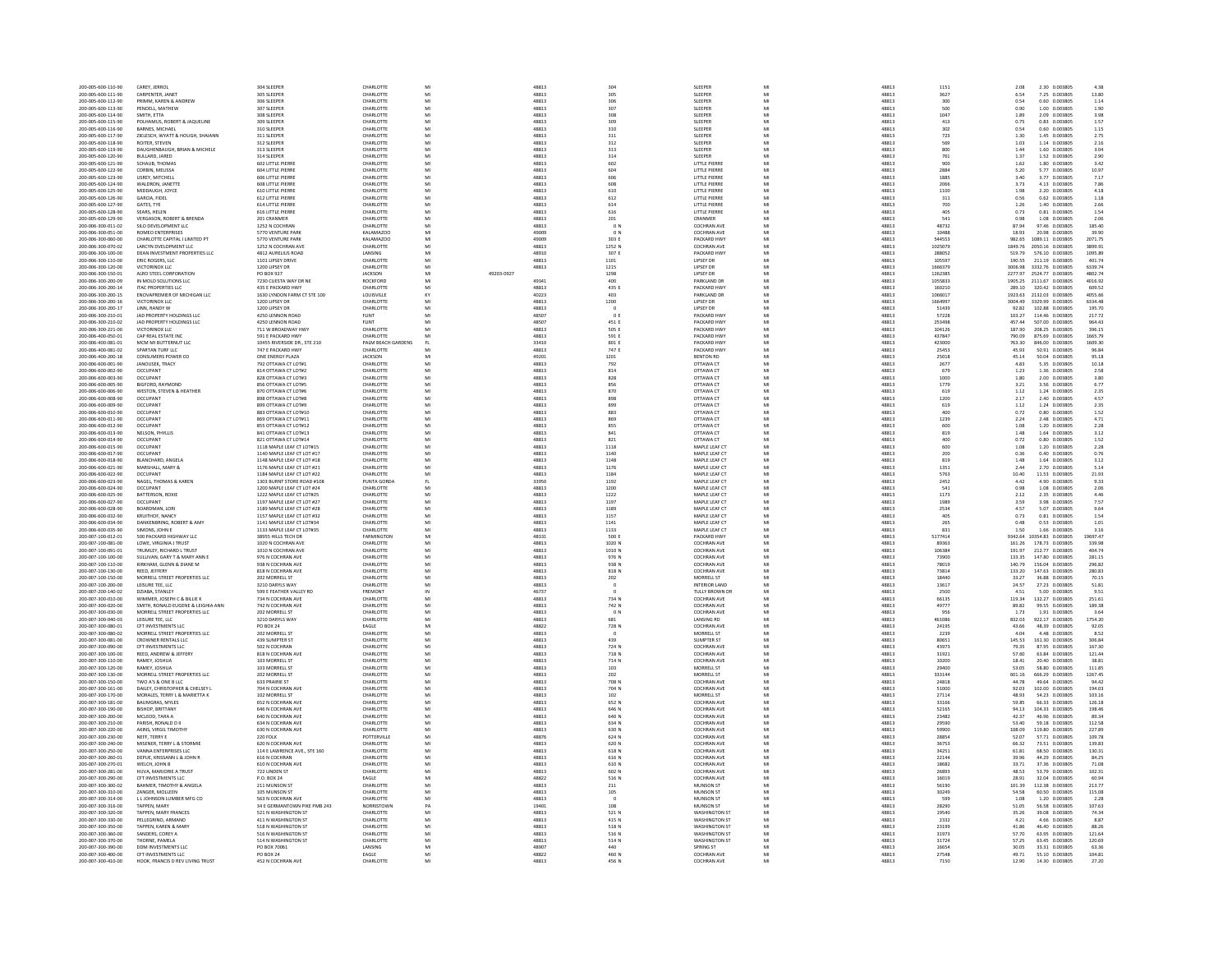| 200-005-600-110-90 | CAREY, JERROL                                       | 304 SLEEPER                  | CHARLOTTE          | MI             |            | 48813          | 304                                         | SLEEPER              | MI | 48813          | 1151        | 2.30 0.003805<br>2.08                              | 4.38                                        |
|--------------------|-----------------------------------------------------|------------------------------|--------------------|----------------|------------|----------------|---------------------------------------------|----------------------|----|----------------|-------------|----------------------------------------------------|---------------------------------------------|
| 200-005-600-111-90 |                                                     | 305 SLEEPER                  | CHARLOTTI          |                |            |                |                                             | SLEEPER              |    | 48813          |             |                                                    |                                             |
| 200-005-600-112-90 | CARPENTER, JANET<br>PRIMM KAREN & ANDREW            | 306 SLEEPER                  | CHARLOTTI          | MI             |            | 48813<br>48813 | 305<br>306                                  | SLEEPER              | MI | 48813          | 3627<br>300 | 6.54<br>7.25 0.003805<br>0.54<br>0.60 0.003805     | 13.80                                       |
|                    |                                                     |                              |                    |                |            |                |                                             |                      |    |                |             |                                                    | 1.14                                        |
| 200-005-600-113-90 | PENDELL, MATHEW                                     | 307 SLEEPER                  | CHARLOTTE          | MI             |            | 48813          | 307                                         | SLEEPER              | MI | 48813          | 500         | 0.90<br>1.00 0.003805                              | 1.90                                        |
| 200-005-600-114-90 | SMITH, ETTA                                         | 308 SLEEPEI                  | CHARLOTTE          |                |            | 48813          | 308                                         | SLEEPER              |    | 48813          | 1047<br>413 | 1.89<br>2.09 0.003805                              | $\begin{array}{c} 3.98 \\ 1.57 \end{array}$ |
| 200-005-600-115-90 | POLHAMUS, ROBERT & JAQUELINE                        | 309 SLEEPER                  | CHARLOTTI          | MI             |            | 48813          | 309                                         | SLEEPER              |    | 48813          |             | 0.75<br>0.83 0.003805                              |                                             |
| 200-005-600-116-90 | BARNES, MICHAEL                                     | 310 SLEEPEI                  | CHARLOTTI          |                |            | 48813          | 310                                         | SLEEPER              |    | 48813          | 302         | 0.54<br>0.60 0.003805                              | 1.15                                        |
| 200-005-600-117-90 | <b>ZIFLESCH WYATT &amp; HOLIGH SHAIANN</b>          | 311 SLEEPER                  | CHARLOTTE          | MI             |            | 48813          | 311                                         | SLEEPER              | MI | 48813          | 723         | 1.30<br>1.45 0.003805                              | 2.75                                        |
| 200-005-600-118-90 | ROITER, STEVEN                                      | 312 SLEEPER                  | CHARLOTTE          | MI             |            | 48813          | 312                                         | SLEEPER              |    | 48813          | 569         | 1.03<br>1.14 0.003805                              | 2.16                                        |
| 200-005-600-119-90 | DAUGHENBAUGH, BRIAN & MICHELE                       | 313 SLEEPER                  | CHARLOTTI          | MI             |            | 48813          | 313                                         | SLEEPER              | M  | 48813          | 800         | 1.44<br>1.60 0.003805                              | 3.04                                        |
| 200-005-600-120-90 | BULLARD, JARED                                      | 314 SLEEPER                  | CHARLOTTE          | MI             |            | 48813          | 314                                         | SLEEPER              | MI | 48813          | 761         | 1.37<br>1.52 0.003805                              | 2.90                                        |
|                    |                                                     |                              |                    |                |            |                |                                             |                      |    |                |             |                                                    |                                             |
| 200-005-600-121-90 | SCHAUB, THOMAS                                      | 602 LITTLE PIERR             | CHARLOTTE          | MI             |            | 48813          | 602                                         | LITTLE PIERRI        |    | 48813          | 900         | 1.62<br>1.80 0.003805                              | 3.42                                        |
| 200-005-600-122-90 | CORBIN, MELISSA                                     | <b>604 LITTLE PIERRI</b>     | CHARLOTTI          | MI             |            | 48813          | 604                                         | LITTLE PIERRE        | MI | 48813          | 2884        | 5.20<br>5.77 0.003805                              | 10.97                                       |
| 200-005-600-123-90 | USREY, MITCHELL                                     | 606 LITTLE PIERRI            | CHARLOTTI          | MI             |            | 48813          | 606                                         | LITTLE PIERRE        |    | 48813          | 1885        | 3,40<br>3.77 0.003805                              | 7.17                                        |
| 200-005-600-124-90 | WALDRON, JANETTE                                    | <b>608 LITTLE PIERRI</b>     | CHARLOTTI          | MI             |            | 48813          | 608                                         | LITTLE PIERRE        | MI | 48813          | 2066        | 3.73<br>4.13 0.003805                              | 7.86                                        |
| 200-005-600-125-90 | MIDDAUGH, JOYCE                                     | 610 LITTLE PIERRI            | CHARLOTTI          | MI             |            | 48813          | 610                                         | LITTLE PIERRE        | MI | 48813          | 1100        | 1.98<br>2.20 0.003805                              | 4.18                                        |
|                    |                                                     |                              |                    |                |            |                |                                             |                      |    |                |             |                                                    |                                             |
| 200-005-600-126-90 | GARCIA, FIDEL                                       | 612 LITTLE PIERR             | CHARLOTTI          |                |            | 48813          | 612                                         | LITTLE PIERRE        |    | 48813          | 311         | 0.56<br>0.62 0.003805                              | 1.18                                        |
| 200-005-600-127-90 | GATES TYP                                           | 614 LITTLE PIERRE            | CHARLOTTE          | MI             |            | 48813          | 614                                         | <b>LITTLE PIERRE</b> | MI | 48813          | 700         | 1.26<br>1.40 0.003805                              | $_{\rm 2.66}^{\rm 2.66}$                    |
| 200-005-600-128-90 | SEARS, HELEN                                        | 616 LITTLE PIERR             | CHARLOTTI          | $\overline{M}$ |            | 48813          | 616                                         | LITTLE PIERRE        |    | 48813          | 405         | 0.73<br>0.81 0.003805                              |                                             |
| 200-005-600-129-90 | VERGASON, ROBERT & BRENDA                           | 201 CRANMER                  | CHARLOTTI          | MI             |            | 48813          | 201                                         | CRANMER              | MI | 48813          | 541         | 0.98<br>1.08 0.003805                              | 2.06                                        |
| 200-006-300-011-02 | SILO DEVELOPMENT LLC                                | 1252 N COCHRAN               | CHARLOTTE          | MI             |            | 48813          | 0 N                                         | <b>COCHRAN AVE</b>   | MI | 48813          | 48732       | 87.94<br>97.46 0.003805                            | 185.40                                      |
| 200-006-300-051-00 | <b>ROMEO ENTERPRISES</b>                            | 5770 VENTURE PAR             | KALAMAZOC          |                |            | 49009          | 0 N                                         | COCHRAN AVI          |    | 48813          | 10488       | 18.93<br>20.98 0.00380                             | 39.90                                       |
| 200-006-300-060-00 | CHARLOTTE CAPITAL LUMITED PT                        | 5770 VENTURE PARK            | KALAMAZOO          | MI             |            | 49009          | 303 F                                       | PACKARD HW           | MI | 48813          | 544553      | 28.98<br>1089 11 0.003805                          | 2071.75                                     |
|                    |                                                     |                              |                    |                |            |                |                                             |                      |    |                |             |                                                    |                                             |
| 200-006-300-070-02 | LARCYN DVELOPMENT LLC                               | 1252 N COCHRAN AVE           | CHARLOTTE          | MI             |            | 48813          | 1252 N                                      | <b>COCHRAN AVE</b>   |    | 48813          | 1025079     | 1849.76 2050.16 0.003805                           | 3899.91                                     |
| 200-006-300-100-00 | DEAN INVESTMENT PROPERTIES LLC                      | 4812 AURELIUS ROAD           | <b>LANSING</b>     | MI             |            | 48910          | 307 F                                       | PACKARD HW           | MI | 48813          | 288052      | 519.79<br>576.10 0.003805                          | 1095.89                                     |
| 200-006-300-110-00 | ERIC ROGERS, LLC                                    | 1101 LIPSEY DRIVE            | CHARLOTTI          | MI             |            | 48813          | 1101                                        | LIPSEY DR            |    | 48813          | 105597      | 190.55<br>211.19 0.003805                          | 401.74                                      |
| 200-006-300-120-00 | VICTORINOX LLC                                      | 1200 LIPSEY DR               | CHARLOTTI          | MI             |            | 48813          | 1215                                        | LIPSEY DR            |    | 48813          | 1666379     | 3006.98<br>3332.76 0.003805                        | 6339.74                                     |
| 200-006-300-150-01 | ALRO STEEL CORPORATION                              | PO BOX 927                   | <b>JACKSON</b>     | MI             | 49203-0927 |                | 1298                                        | <b>LIPSEY DR</b>     | MI | 48813          | 1262385     | 2277.97 2524.77 0.003805                           | 4802.74                                     |
| 200-006-300-200-09 | IN MOLD SOLUTIONS LLC                               | 7230 CUESTA WAY DR NE        | ROCKFORD           | MI             |            | 49341          | 400                                         | PARKLAND DR          |    | 48813          | 1055833     | 1905.25 2111.67 0.003805                           | 4016.92                                     |
| 200-006-300-200-14 |                                                     | 435 E PACKARD HWY            | CHARLOTTI          | MI             |            | 48813          |                                             | PACKARD HW           | MI | 48813          | 160210      |                                                    | 609.52                                      |
|                    | ITAC PROPERTIES LLC<br>ENOVAPREMIER OF MICHIGAN LLC |                              |                    |                |            |                | 435 E                                       |                      |    |                |             | 289.10 320.42 0.003805<br>1923.63 2132.03 0.003805 |                                             |
| 200-006-300-200-15 |                                                     | 1630 LYNDON FARM CT STE 100  | LOUISVILLE         | KY             |            | 40223          | 403                                         | PARKLAND DR          |    | 48813          | 1066017     |                                                    | 4055.66                                     |
| 200-006-300-200-16 | VICTORINOX LLC                                      | 1200 LIPSEY DR               | CHARLOTTI          | MI             |            | 48813          | 1200                                        | LIPSEY DR            |    | 48813          | 1664997     | 3004.49<br>3329.99 0.003805                        | 6334.48                                     |
| 200-006-300-200-17 | LINN, RANDY W                                       | 1200 LIPSEY DR               | CHARLOTTE          | MI             |            | 48813          | $\Omega$                                    | <b>LIPSEY DR</b>     | MI | 48813          | 51439       | 92.82<br>102.88 0.003805                           | 195.70                                      |
| 200-006-300-210-01 | JAD PROPERTY HOLDINGS LLC                           | 4250 LENNON ROAD             | FLINT              |                |            | 48507          | 0 <sub>0</sub>                              | PACKARD HW           |    | 48813          | 57228       | 103.27<br>114.46 0.003805                          | 217.72                                      |
| 200-006-300-210-02 | JAD PROPERTY HOLDINGS LLC                           | 4250 LENNON ROAD             | FLINT              | MI             |            | 48507          | 451 E                                       | PACKARD HWY          | MI | 48813          | 253498      | 457.44<br>507.00 0.003805                          | 964.43                                      |
|                    | VICTORINOX LLC                                      |                              |                    |                |            |                |                                             |                      | MI |                |             |                                                    |                                             |
| 200-006-300-221-00 |                                                     | 711 W BROADWAY HWY           | CHARLOTTE          | MI             |            | 48813          | 505 E                                       | PACKARD HWY          |    | 48813          | 104126      | 187.90<br>208.25 0.003805                          | 396.15                                      |
| 200-006-400-050-01 | CAP REAL ESTATE INC                                 | 591 E PACKARD HWY            | CHARLOTTI          |                |            | 48813          | 591 E                                       | PACKARD HW           |    | 48813          | 437847      | 790.09<br>875.69 0.003805                          | 1665.79                                     |
| 200-006-400-081-01 | MCM MI BUTTERNUT LLC                                | 10455 RIVERSIDE DR., STE 210 | PALM BEACH GARDENS | FL.            |            | 33410          | 801 E                                       | PACKARD HWY          | MI | 48813          | 423000      | 763.30<br>846.00 0.003805                          | 1609.30                                     |
| 200-006-400-081-02 | SPARTAN TURF LLC                                    | 747 E PACKARD HW             | CHARLOTTI          |                |            | 48813          | 747 E                                       | PACKARD HW           |    | 48813          | 25453       | 45.93<br>50.91 0.00380                             | 96.84                                       |
| 200-006-400-200-18 | CONSUMERS POWER CO                                  | ONE ENERGY PLAZA             | <b>IACKSON</b>     | MI             |            | 49201          | 1201                                        | <b>RENTON RD</b>     | MI | 48813          | 25018       | 45.14<br>50.04 0.003805                            | 95.18                                       |
| 200-006-600-001-90 | JANOUSEK, TRACY                                     | 792 OTTAWA CT LOT#1          | CHARLOTTE          | MI             |            | 48813          | 792                                         | OTTAWA CT            |    | 48813          | 2677        | 4.83<br>5.35 0.003805                              | 10.18                                       |
|                    | <b>OCCUPAN</b>                                      |                              |                    | MI             |            |                |                                             | OTTAWA CT            |    |                |             |                                                    |                                             |
| 200-006-600-002-90 |                                                     | 814 OTTAWA CT LOT#2          | CHARLOTTE          |                |            | 48813          | 814                                         |                      |    | 48813          | 679         | 1.23<br>1.36 0.003805                              | 2.58                                        |
| 200-006-600-003-90 | OCCUPANT                                            | 828 OTTAWA CT LOT#3          | CHARLOTTI          | MI             |            | 48813          | 828                                         | OTTAWA CT            | MI | 48813          | 1000        | 1.80<br>2.00 0.003805                              | $\begin{array}{c} 3.80 \\ 6.77 \end{array}$ |
| 200-006-600-005-90 | <b>BIGFORD, RAYMOND</b>                             | 856 OTTAWA CT LOT#5          | CHARLOTTI          |                |            | 48813          | 856                                         | OTTAWA CT            |    | 48813          | 1779        | 3.21<br>3.56 0.003805                              |                                             |
| 200-006-600-006-90 | WESTON, STEVEN & HEATHER                            | 870 OTTAWA CT LOT#6          | CHARLOTTE          | MI             |            | 48813          | 870                                         | OTTAWA CT            | MI | 48813          | 619         | 1.12<br>1.24 0.003805                              | 2.35                                        |
| 200-006-600-008-90 | OCCUPANT                                            | 898 OTTAWA CT LOT#8          | CHARLOTTE          | MI             |            | 48813          | 898                                         | OTTAWA CT            |    | 48813          | 1200        | 2.17<br>2.40 0.003805                              | 4.57                                        |
| 200-006-600-009-90 | OCCUPANT                                            | 899 OTTAWA CT LOT#9          | CHARLOTTI          | MI             |            | 48813          | 899                                         | OTTAWA CT            | M  | 48813          | 619         | $1.12\,$<br>1.24 0.003805                          | 2.35                                        |
| 200-006-600-010-90 | OCCUPANT                                            | 883 OTTAWA CT LOT#10         | CHARLOTTE          | MI             |            | 48813          | 883                                         | OTTAWA CT            | MI | 48813          | 400         | 0.72<br>0.80 0.003805                              | 1.52                                        |
|                    |                                                     |                              |                    |                |            |                |                                             |                      |    |                |             |                                                    |                                             |
| 200-006-600-011-90 | <b>OCCUPAN</b>                                      | 869 OTTAWA CT LOT#11         | CHARLOTTE          | MI             |            | 48813          | 869                                         | OTTAWA CT            |    | 48813          | 1239        | 2.24<br>2.48 0.003805                              | 4.71                                        |
| 200-006-600-012-90 | OCCUPANT                                            | 855 OTTAWA CT LOT#12         | CHARLOTTI          | MI             |            | 48813          | 855                                         | OTTAWA CT            | MI | 48813          | 600         | 1.08<br>1.20 0.003805                              | 2.28                                        |
| 200-006-600-013-90 | NELSON, PHYLLIS                                     | 841 OTTAWA CT LOT#13         | CHARLOTTI          | MI             |            | 48813          | 841                                         | OTTAWA CT            |    | 48813          | 819         | 1.48<br>1.64 0.003805                              | 3.12                                        |
| 200-006-600-014-90 | OCCUPANT                                            | 821 OTTAWA CT LOT#14         | CHARLOTTE          | MI             |            | 48813          | 821                                         | OTTAWA CT            | MI | 48813          | 400         | 0.72<br>0.80 0.003805                              | $1.52\,$                                    |
| 200-006-600-015-90 | OCCUPANT                                            | 1118 MAPLE LEAF CT LOT#15    | CHARLOTTE          | MI             |            | 48813          | 1118                                        | MAPLE LEAF CT        | MI | 48813          | 600         | 1.08<br>1.20 0.003805                              | 2.28                                        |
| 200-006-600-017-90 | <b>OCCUPAN</b>                                      | 1140 MAPLE LEAF CT LOT #17   | CHARLOTTI          |                |            | 48813          | 1140                                        | MAPLE LEAF CT        |    | 48813          | 200         | 0.36<br>0.40 0.003805                              | 0.76                                        |
| 200-006-600-018-90 | <b>BLANCHARD ANGELA</b>                             | 1148 MAPLE LEAF CT LOT #18   | CHARLOTTE          | MI             |            | 48813          |                                             | MAPLE LEAF CT        | MI | 48813          | 819         | 1.48<br>1.64 0.003805                              | 3.12                                        |
| 200-006-600-021-90 | MARSHALL, MARY &                                    | 1176 MAPLE LEAF CT LOT #21   | CHARLOTTI          | MI             |            | 48813          | $\begin{array}{c} 1148 \\ 1176 \end{array}$ | MAPLE LEAF CT        |    | 48813          | 1351        | 2.44<br>2.70 0.003805                              | 5.14                                        |
| 200-006-600-022-90 | OCCUPANT                                            |                              | CHARLOTTE          | MI             |            |                |                                             | MAPLE LEAF CT        | MI | 48813          |             | 10.40                                              |                                             |
|                    |                                                     | 1184 MAPLE LEAF CT LOT #22   |                    |                |            | 48813          | 1184                                        |                      |    |                | 5763        | 11.53 0.003805                                     | 21.93                                       |
| 200-006-600-023-90 | NAGEL, THOMAS & KAREN                               | 1303 BURNT STORE ROAD #105   | PUNTA GORDA        | FL.            |            | 33950          | 1192                                        | MAPLE LEAF CT        | MI | 48813          | 2452        | 4.42<br>4.90 0.003805                              | 9.33                                        |
| 200-006-600-024-90 | <b>OCCUPAN</b>                                      | 1200 MAPLE LEAF CT LOT #24   | CHARLOTTE          |                |            | 48813          | 1200                                        | MAPLE LEAF CT        |    | 48813          | 541         | 0.98<br>1.08 0.003805                              | 2.06                                        |
| 200-006-600-025-90 | BATTERSON, ROXIE                                    | 1222 MAPLE LEAF CT LOT#25    | CHARLOTTE          | MI             |            | 48813          | 1222                                        | MAPLE LEAF CT        | MI | 48813          | 1173        | 2.12<br>2.35 0.003805                              | 4.46                                        |
| 200-006-600-027-90 | OCCUPANT                                            | 1197 MAPLE LEAF CT LOT #27   | CHARLOTTE          | MI             |            | 48813          | 1197                                        | MAPLE LEAF CT        | MI | 48813          | 1989        | 3.59<br>3.98 0.003805                              | 7.57                                        |
| 200-006-600-028-90 | ROARDMAN, LOR                                       | 1189 MAPLE LEAF CT LOT #28   | CHARLOTTE          | M              |            | 48813          |                                             | MAPLE LEAF CT        | M  | 48813          | 2534        | 4.57<br>5.07 0.003805                              |                                             |
| 200-006-600-032-90 | KRUITHOF, NANCY                                     | 1157 MAPLE LEAF CT LOT #32   | CHARLOTTI          | MI             |            |                | 1189<br>1157                                | MAPLE LEAF CT        |    |                | 405         | 0.73<br>0.81 0.003805                              | $\begin{array}{c} 9.64 \\ 1.54 \end{array}$ |
|                    |                                                     |                              |                    |                |            | 48813          |                                             |                      |    | 48813          |             |                                                    |                                             |
| 200-006-600-034-90 | DANKENBRING, ROBERT & AMY                           | 1141 MAPLE LEAF CT LOT#34    | CHARLOTTE          | MI             |            | 48813          | 1141                                        | MAPLE LEAF CT        | MI | 48813          | 265         | 0.48<br>0.53 0.003805                              | 1.01                                        |
| 200-006-600-035-90 | SIMONS, JOHN E                                      | 1133 MAPLE LEAF CT LOT#35    | CHARLOTTE          | MI             |            | 48813          | 1133                                        | MAPLE LEAF CT        | MI | 48813          | 831         | 1.50<br>1.66 0.003805                              | 3.16                                        |
| 200-007-100-012-01 | 500 PACKARD HIGHWAY LLO                             | 38955 HILLS TECH DR          | <b>FARMINGTON</b>  | MI             |            | 48331          | 500 E                                       | PACKARD HW           |    | 48813          | 5177414     | 9342.64 10354.83 0.003805                          | 19697.47                                    |
| 200-007-100-081-00 | LOWE, VIRGINIA J TRUST                              | 1020 N COCHRAN AVE           | CHARLOTTE          | MI             |            | 48813          | 1020 N                                      | COCHRAN AVE          | MI | 48813          | 89363       | 161.26<br>178.73 0.003805                          | 339.98                                      |
| 200-007-100-091-01 | TRUMLEY, RICHARD L TRUST                            | 1010 N COCHRAN AVE           | CHARLOTTE          | MI             |            | 48813          | 1010 N                                      | <b>COCHRAN AVE</b>   | MI | 48813          | 106384      | 191.97<br>212.77 0.003805                          | 404.74                                      |
| 200-007-100-100-00 | SULLIVAN, GARY T & MARY ANN E                       | 976 N COCHRAN AVE            | CHARLOTTI          | M              |            | 48813          | 976 N                                       | COCHRAN AVE          |    | 48813          | 73900       | 133.35<br>147.80 0.003805                          | 281.15                                      |
| 200-007-100-110-00 | KIRKHAM, GLENN & DIANE M                            | 938 N COCHRAN AVE            | CHARLOTTI          | MI             |            | 48813          | 938 N                                       | <b>COCHRAN AVE</b>   | MI | 48813          | 78019       | 140.79<br>156.04 0.003805                          | 296.82                                      |
|                    |                                                     |                              |                    |                |            |                |                                             |                      |    |                |             |                                                    |                                             |
| 200-007-100-130-00 | REED, JEFFERY                                       | 818 N COCHRAN AVE            | CHARLOTTI          |                |            | 48813          | 818 N                                       | COCHRAN AVE          |    | 48813          | 73814       | 133.20<br>147.63 0.003805                          | 280.83                                      |
| 200-007-100-150-00 | MORRELL STREET PROPERTIES LLC                       | 202 MORRELL ST               | CHARLOTTE          | MI             |            | 48813          | 202                                         | MORRELL ST           | MI | 48813          | 18440       | 33.27<br>36.88 0.003805                            | 70.15                                       |
| 200-007-100-200-00 | LEISURE TEE, LLC                                    | 3210 DARYLS WAY              | CHARLOTTE          | MI             |            | 48813          |                                             | INTERIOR LAND        | MI | 48813          | 13617       | 27.23 0.003805<br>24.57                            | 51.81                                       |
| 200-007-200-140-02 | DZIABA, STANLEY                                     | 599 E FEATHER VALLEY RD      | FREMONT            |                |            | 46737          |                                             | TULLY BROWN DI       |    | 48813          | 250         | 4.5:<br>5.00 0.003805                              | 9.51                                        |
| 200-007-300-010-00 | WIMMER, JOSEPH C & BILLIE K                         | 734 N COCHRAN AVE            | CHARLOTTE          | MI             |            | 48813          | 734 N                                       | <b>COCHRAN AVE</b>   | MI | 48813          | 66135       | 119.34<br>132.27 0.003805                          | 251.61                                      |
| 200-007-300-020-00 | SMITH, RONALD EUGENE & LEIGHIA ANN                  | 742 N COCHRAN AVE            | CHARLOTTI          |                |            | 48813          | 742 N                                       | COCHRAN AVI          |    | 48813          | 49777       | 89.82<br>99.55 0.003805                            | 189.38                                      |
| 200-007-300-030-00 | MORRELL STREET PROPERTIES LLC                       | 202 MORRELL ST               | CHARLOTTE          | MI             |            | 48813          | 0 N                                         | COCHRAN AVE          | MI | 48813          | 956         | 1.73<br>1.91 0.003805                              | 3.64                                        |
|                    |                                                     |                              |                    | MI             |            |                |                                             |                      |    |                |             |                                                    |                                             |
| 200-007-300-040-03 | LEISURE TEE, LLC                                    | 3210 DARYLS WAY              | CHARLOTTE          |                |            | 48813          | 681                                         | <b>LANSING RD</b>    |    | 48813          | 461086      | 832.03<br>922.17 0.003805                          | 1754.20                                     |
| 200-007-300-080-01 | CFT INVESTMENTS LLC                                 | <b>PO BOX 24</b>             | EAGLE              | MI             |            | 48822          | 728 N                                       | COCHRAN AVE          | MI | 48813          | 24195       | 43.66<br>48.39 0.003805                            | 92.05                                       |
| 200-007-300-080-02 | MORRELL STREET PROPERTIES LLC                       | 202 MORRELL ST               | CHARLOTTI          | MI             |            | 48813          |                                             | MORRELL ST           | MI | 48813          | 2239        | 4.04<br>4.48 0.003805                              | 8.52                                        |
| 200-007-300-081-00 | CROWNER RENTALS LLC                                 | 439 SUMPTER ST               | CHARLOTT           |                |            | 48813          | 439                                         | <b>SUMPTER ST</b>    |    | 48813          | 80651       | 145.53<br>161.30 0.003805                          | 306.84                                      |
| 200-007-300-090-00 | CFT INVESTMENTS LLC                                 | 502 N COCHRAN                | CHARLOTTE          | MI             |            | 48813          | 724 N                                       | <b>COCHRAN AVE</b>   | MI | 48813          | 43973       | 79.35<br>87.95 0.003805                            | 167.30                                      |
| 200-007-300-100-00 | REED, ANDREW & JEFFERY                              | 818 N COCHRAN AVE            | CHARLOTTI          | MI             |            | 48813          | 718 N                                       | <b>COCHRAN AVE</b>   |    | 48813          | 31921       | 63.84 0.003805<br>57.60                            | 121.44                                      |
| 200-007-300-110-00 | RAMEY, JOSHUA                                       | 103 MORRELL ST               | CHARLOTTI          | MI             |            | 48813          | 714 N                                       | COCHRAN AVE          | M  | 48813          | 10200       | 20.40 0.003805<br>18.41                            | 38.81                                       |
| 200-007-300-120-00 | RAMEY, JOSHUA                                       | 103 MORRELL ST               | CHARLOTTE          | MI             |            | 48813          | 103                                         | MORRELL ST           | MI | 48813          | 29400       | 53.05<br>58.80 0.003805                            | 111.85                                      |
| 200-007-300-130-00 | MORRELL STREET PROPERTIES LLC                       | 202 MORRELL ST               | CHARLOTTI          | MI             |            | 48813          |                                             | MORRELL ST           |    |                | 333144      | 601.16<br>666.29 0.003805                          | 1267.45                                     |
| 200-007-300-150-00 | TWO A'S & ONE B LLC                                 | 633 PRAIRIE ST               | CHARLOTTI          | MI             |            | 48813          | 202<br>708 N                                | <b>COCHRAN AVE</b>   | MI | 48813<br>48813 | 24818       | 44.78<br>49.64 0.003805                            | 94.42                                       |
|                    |                                                     |                              |                    |                |            |                |                                             |                      |    |                |             |                                                    |                                             |
| 200-007-300-161-00 | DAILEY, CHRISTOPHER & CHELSEY L                     | 704 N COCHRAN AVE            | CHARLOTTI          | MI             |            | 48813          | 704 N                                       | COCHRAN AVE          |    | 48813          | 51000       | 92.03<br>102.00 0.003805                           | 194.03                                      |
| 200-007-300-170-00 | MORALES, TERRY L & MARIETTA K                       | 102 MORRELL ST               | CHARLOTTE          | MI             |            | 48813          | 102                                         | MORRELL ST           | MI | 48813          | 27114       | 48.93<br>54.23 0.003805                            | 103.16                                      |
| 200-007-300-181-00 | <b>BAUMGRAS, MYLES</b>                              | 652 N COCHRAN AVE            | CHARLOTTE          | MI             |            | 48813          | 652 N                                       | COCHRAN AVE          | MI | 48813          | 33166       | 59.85<br>66.33 0.003805                            | 126.18                                      |
| 200-007-300-190-00 | <b>BISHOP, BRITTANY</b>                             | 646 N COCHRAN AVE            | CHARLOTTI          |                |            | 48813          | 646 N                                       | <b>COCHRAN AVE</b>   |    | 48813          | 52165       | 94.13<br>104.33 0.003805                           | 198.46                                      |
| 200-007-300-200-00 | MCLEOD TARA A                                       | <b>640 N COCHRAN AVE</b>     | CHARLOTTE          | MI             |            | 48813          | 640 N                                       | <b>COCHRAN AVE</b>   | MI | 48813          | 23482       | 42.37<br>46.96 0.003805                            | 89.34                                       |
| 200-007-300-210-00 | PARISH, RONALD D I                                  | 634 N COCHRAN AVE            | CHARLOTTI          | MI             |            | 48813          | 634 N                                       | <b>COCHRAN AVE</b>   |    | 48813          | 29590       | 59.18 0.003805<br>53.40                            | 112.58                                      |
| 200-007-300-220-00 | AKINS, VIRGIL TIMOTH'                               | 630 N COCHRAN AVE            | CHARLOTTI          | MI             |            | 48813          | 630 N                                       | <b>COCHRAN AVE</b>   | MI | 48813          | 59900       | 108.09<br>119.80 0.003805                          | 227.89                                      |
| 200-007-300-230-00 |                                                     |                              |                    | MI             |            |                |                                             |                      | MI |                | 28854       | 52.07                                              |                                             |
|                    | NEFF, TERRY E                                       | 220 FOLK                     | POTTERVILLE        |                |            | 48876          | 624 N                                       | <b>COCHRAN AVE</b>   |    | 48813          |             | 57.71 0.003805                                     | 109.78                                      |
| 200-007-300-240-00 | MISENER, TERRY L & STORMIE                          | 620 N COCHRAN AVE            | CHARLOTTE          | MI             |            | 48813          | 620 N                                       | COCHRAN AVI          |    | 48813          | 36753       | 66.32<br>73.51 0.003805                            | 139.83                                      |
| 200-007-300-250-00 | VANNA ENTERPRISES LLC                               | 114 E LAWRENCE AVE., STE 160 | CHARLOTTE          | MI             |            | 48813          | 618 N                                       | <b>COCHRAN AVE</b>   | MI | 48813          | 34251       | 61.81<br>68.50 0.003805                            | 130.31                                      |
| 200-007-300-260-01 | DEPUE, KRISSANN L & JOHN R                          | 616 N COCHRAN                | CHARLOTTE          | MI             |            | 48813          | 616 N                                       | COCHRAN AVE          |    | 48813          | 22144       | 44.29 0.003805<br>39.96                            | 84.25                                       |
| 200-007-300-270-01 | WELCH, JOHN B                                       | 610 N COCHRAN AVE            | <b>CHARLOTTE</b>   | MI             |            | 48813          | 610 N                                       | COCHRAN AVE          | M  | 48813          | 18682       | 33.71                                              | 71.08                                       |
| 200-007-300-281-00 | HUVA, MARJORIE A TRUST                              | 722 LINDEN ST                | CHARLOTTE          | MI             |            | 48813          | 602 N                                       | <b>COCHRAN AVE</b>   |    | 48813          | 26893       | 37.36 0.003805<br>53.79 0.003805<br>48.53          | 102.31                                      |
| 200-007-300-290-00 | CFT INVESTMENTS LLC                                 | P.O. BOX 24                  | EAGLE              | MI             |            | 48822          | 516 N                                       | COCHRAN AVE          | M  | 48813          | 16019       | 28.91<br>32.04 0.003805                            | 60.94                                       |
| 200-007-300-300-02 | BAHMER, TIMOTHY & ANGELA                            | 211 MUNSON ST                | CHARLOTTE          | MI             |            | 48813          | 211                                         | MUNSON ST            | MI | 48813          | 56190       | 101.39<br>112.38 0.003805                          | 213.77                                      |
| 200-007-300-310-00 | ZANGER, MOLLEEN                                     | 105 MUNSON ST                | CHARLOTTI          | MI             |            | 48813          | 105                                         | MUNSON ST            |    | 48813          | 30249       | 54.58<br>60.50 0.003805                            | 115.08                                      |
|                    |                                                     |                              |                    | MI             |            |                |                                             | MUNSON ST            |    |                |             |                                                    |                                             |
| 200-007-300-314-00 | L L JOHNSON LUMBER MFG CO                           | 563 N COCHRAN AVE            | CHARLOTTE          |                |            | 48813          |                                             |                      | MI | 48813          | 599         | 1.08<br>1.20 0.003805                              | 2.28                                        |
| 200-007-300-316-00 | TAPPEN, MARY                                        | 34 E GERMANTOWN PIKE PMB 243 | <b>NORRISTOWN</b>  | PA             |            | 19401          | 108                                         | MUNSON ST            |    | 48813          | 28290       | 51.05<br>56.58 0.003805                            | 107.63                                      |
| 200-007-300-320-00 | TAPPEN, MARY FRANCES                                | 521 N WASHINGTON ST          | CHARLOTTE          | MI             |            | 48813          | 521 N                                       | <b>WASHINGTON ST</b> |    | 48813          | 19540       | 35.26<br>39.08 0.003805                            | 74.34                                       |
| 200-007-300-330-00 | PELLEGRINO, ARMAND                                  | 411 N WASHINGTON ST          | CHARLOTTE          | MI             |            | 48813          | 415 N                                       | <b>WASHINGTON ST</b> | MI | 48813          | 2332        | 4.21<br>4.66 0.003805                              | 8.87                                        |
| 200-007-300-350-00 | TAPPEN, KAREN & MAR                                 | 518 N WASHINGTON ST          | CHARLOTTI          |                |            | 48813          | 518 N                                       | WASHINGTON ST        |    | 48813          | 23199       | 41.86<br>46.40 0.003805                            | 88.26                                       |
| 200-007-300-360-00 | SANDERS COREY A                                     | <b>516 N WASHINGTON ST</b>   | CHARLOTTE          | MI             |            | 48813          | 516 N                                       | WASHINGTON ST        | MI | 48813          | 31973       | 57.70<br>63.95 0.003805                            | 121.64                                      |
| 200-007-300-370-00 |                                                     |                              | CHARLOTTE          | MI             |            | 48813          | 514 N                                       | WASHINGTON ST        | MI | 48813          | 31724       | 57.25<br>63.45 0.003805                            | 120.69                                      |
| 200-007-300-390-00 |                                                     |                              |                    |                |            |                |                                             |                      |    |                |             |                                                    |                                             |
|                    | THORNE, PAMELA                                      | 514 N WASHINGTON ST          |                    |                |            |                |                                             |                      |    |                |             |                                                    |                                             |
|                    | <b>DDM INVESTMENTS LLC</b>                          | PO BOX 70061                 | LANSING            | MI             |            | 48907          | 440                                         | SPRING ST            |    | 48813          | 16654       | 30.0<br>33.31 0.003805                             | 63.36                                       |
| 200-007-300-400-00 | CFT INVESTMENTS LLC                                 | <b>PO BOX 24</b>             | EAGLE              | MI             |            | 48822          | 460 N                                       | <b>COCHRAN AVE</b>   | MI | 48813          | 27548       | 49.71<br>55.10 0.003805                            | 104.81                                      |
| 200-007-300-410-00 | HOOK, FRANCIS D REV LIVING TRUST                    | 452 N COCHRAN AVE            | CHARLOTTI          |                |            | 48813          | 456 N                                       | COCHRAN AVI          |    | 48813          |             | 14.30 0.00380                                      |                                             |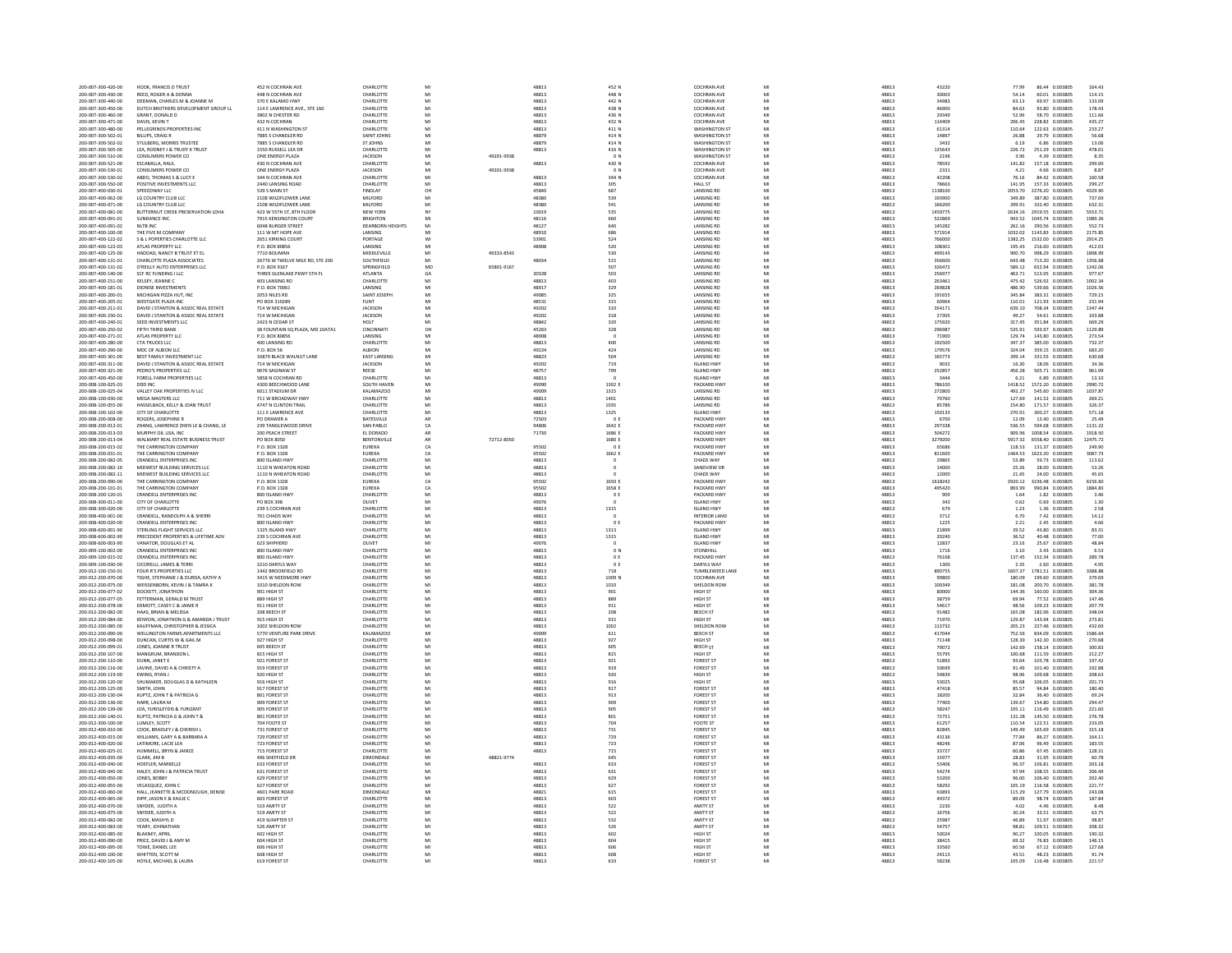| 200-007-300-420-00                       | HOOK, FRANCIS D TRUST                                                  | 452 N COCHRAN AVE                                | CHARLOTTE                      |                |            | 48813          | 452 N            | COCHRAN AVE                                 | MI       | 48813          | 43220             | 77.99<br>86.44 0.003805<br>164.43                                                                           |
|------------------------------------------|------------------------------------------------------------------------|--------------------------------------------------|--------------------------------|----------------|------------|----------------|------------------|---------------------------------------------|----------|----------------|-------------------|-------------------------------------------------------------------------------------------------------------|
| 200-007-300-430-00                       | REED ROGER A & DONNA                                                   | 448 N COCHRAN AVE                                | <b>CHARLOTTE</b>               | MI             |            | 48813          | 448 N            | COCHRAN AVE                                 | MI       | 48813          | 30003             | 54.14<br>60.01 0.003805<br>114.15                                                                           |
| 200-007-300-440-00<br>200-007-300-450-00 | DEDMAN, CHARLES M & JOANNE M<br>DUTCH BROTHERS DEVELOPMENT GROUP LL    | 370 E KALAMO HWY<br>114 E LAWRENCE AVE., STE 160 | CHARLOTTE<br>CHARLOTTE         | MI             |            | 48813<br>48813 | 442 N<br>438 N   | <b>COCHRAN AVE</b><br>COCHRAN AVE           | MI<br>MI | 48813<br>48813 | 34983<br>46900    | 69.97 0.003805<br>133.09<br>63.13<br>84.63<br>93.80 0.003805<br>178.43                                      |
| 200-007-300-460-00                       | GRANT DONALD D                                                         | 3802 N CHESTER RD                                | CHARLOTTE                      | M              |            | 48813          | 436 N            | <b>COCHRAN AVE</b>                          | MI       | 48813          | 29349             | 52.96<br>58.70 0.003805<br>111.66                                                                           |
| 200-007-300-471-00                       | DAVIS, KEVIN T                                                         | 432 N COCHRAN                                    | CHARLOTTE                      |                |            | 48813          | 432 N            | COCHRAN AVE                                 |          | 48813          | 114409            | 435.27<br>206.45<br>228.82 0.003805                                                                         |
| 200-007-300-480-00                       | PELLEGRINOS PROPERTIES INC                                             | 411 N WASHINGTON ST                              | CHARLOTTE                      | MI             |            | 48813          | 411 N            | WASHINGTON ST                               | MI       | 48813          | 61314             | 110.64<br>122.63 0.003805<br>233.27                                                                         |
| 200-007-300-502-01<br>200-007-300-502-02 | BILLIPS, CRAIG R<br>STULBERG, MORRIS TRUSTEE                           | 7885 S CHANDLER RD<br>7885 S CHANDLER RD         | SAINT JOHNS<br>ST JOHNS        | M              |            | 48879<br>48879 | 414 N<br>414 N   | <b>WASHINGTON ST</b><br><b>WASHINGTON S</b> | MI<br>M  | 48813<br>48813 | 14897<br>3432     | 26.88<br>29.79 0.003805<br>56.68<br>6.19<br>6.86 0.003805<br>13.06                                          |
| 200-007-300-505-00                       | <b>IFA RODNEY IS TRUDY K TRUST</b>                                     | 1550 RUSSELL LEADE                               | CHARLOTTE                      | MI             |            | 48813          | 416 N            | WASHINGTON ST                               | MI       | 48813          | 125643            | 226.72<br>251.29 0.003805<br>478.01                                                                         |
| 200-007-300-510-00                       | CONSUMERS POWER CO                                                     | ONE ENERGY PLAZA                                 | <b>JACKSON</b>                 | MI             | 49201-9938 |                | 0 N              | <b>WASHINGTON ST</b>                        | MI       | 48813          | 2196              | 4.39 0.003805<br>8.35<br>3.96                                                                               |
| 200-007-300-521-00                       | ESCAMILLA, RAUI                                                        | 430 N COCHRAN AVE                                | CHARLOTTE                      |                |            | 48813          | 430 N            | COCHRAN AVE                                 | MI       | 48813          | 78592             | 141.82<br>157.18  0.003805<br>299.00                                                                        |
| 200-007-300-530-01<br>200-007-300-530-02 | CONSUMERS POWER CO<br>ABDO, THOMAS S & LUCY E                          | ONE ENERGY PLAZA<br>344 N COCHRAN AVE            | <b>JACKSON</b><br>CHARLOTTE    | MI             | 49201-9938 | 48813          | 0 N<br>344 N     | <b>COCHRAN AVE</b><br>COCHRAN AVE           | MI<br>MI | 48813<br>48813 | 2331<br>42208     | 4.21<br>4.66 0.003805<br>8.87<br>76.16<br>84.42 0.003805<br>160.58                                          |
| 200-007-300-550-00                       | POSITIVE INVESTMENTS LLC                                               | 2440 LANSING ROAD                                | CHARLOTTE                      | M              |            | 48813          | 305              | HALL ST                                     | MI       | 48813          | 78663             | 141.95<br>157.33 0.003805<br>299.27                                                                         |
| 200-007-400-030-01                       | SPEEEDWAY LLC                                                          | 539 S MAIN ST                                    | FINDLAY                        | OH             |            | 45840          | 687              | <b>LANSING RD</b>                           | MI       | 48813          | 1138100           | 2053.70<br>2276.20 0.003805<br>4329.90                                                                      |
| 200-007-400-062-00                       | LG COUNTRY CLUB LLC                                                    | 2108 WILDFLOWER LAN                              | MILFORD                        |                |            | 48380          | 539              | <b>LANSING RD</b>                           | MI       | 48813          | 193900            | 349.89<br>387.80 0.003805<br>737.69                                                                         |
| 200-007-400-071-00                       | LG COUNTRY CLUB LLC                                                    | 2108 WILDFLOWER LANE                             | MILFORD                        | M              |            | 48380          | 541              | <b>LANSING RD</b>                           | MI       | 48813          | 166200            | 299.91<br>332.40 0.003805<br>632.31                                                                         |
| 200-007-400-081-00<br>200-007-400-091-01 | BUTTERNUT CREEK PRESERVATION LDH<br>SUNDANCE INC.                      | 423 W SSTH ST, 8TH FLOO<br>7915 KENSINGTON COURT | <b>NEW YORK</b><br>RRIGHTON    | M              |            | 10019<br>48116 | 535<br>660       | <b>LANSING RD</b><br><b>LANSING RD</b>      | MI       | 48813<br>48813 | 1459775<br>522869 | 2919.55 0.003805<br>2634.16<br>5553.71<br>943.52<br>1045.74 0.003805<br>1989.26                             |
| 200-007-400-091-02                       | NLTB INC                                                               | <b>6048 BURGER STREET</b>                        | <b>DEARBORN HEIGHTS</b>        | MI             |            | 48127          | 640              | <b>LANSING RD</b>                           | MI       | 48813          | 145282            | 262.16<br>290.56 0.003805<br>552.73                                                                         |
| 200-007-400-100-00                       | THE FIVE M COMPANY                                                     | 111 W MT HOPE AVE                                | LANSING                        |                |            | 48910          | 686              | <b>LANSING RD</b>                           | M        | 48813          | 571914            | 1032.02<br>1143.83 0.003805<br>2175.85                                                                      |
| 200-007-400-122-02                       | S & L POPERTIES CHARLOTTE LLC                                          | 2651 KIRKING COURT                               | PORTAGE                        | WI             |            | 53901          | 524              | <b>LANSING RD</b>                           | MI       | 48813          | 766000            | 1382.25<br>1532.00 0.003805<br>2914.25                                                                      |
| 200-007-400-122-03<br>200-007-400-125-00 | ATLAS PROPERTY LLC<br>HADDAD, NANCY B TRUST ET EL                      | P.O. BOX 80856                                   | LANSING<br>MIDDLEVILLE         | MI             | 49333-8543 | 48908          | 520<br>530       | <b>LANSING RD</b><br><b>LANSING RD</b>      | MI<br>MI | 48813<br>48813 | 108301<br>499143  | 412.03<br>195.43<br>216.60 0.003805<br>900.70<br>998.29 0.003805<br>1898.99                                 |
| 200-007-400-131-01                       | CHARLOTTE PLAZA ASSOCIATES                                             | 7710 BOUMAN<br>26776 W TWELVE MILE RD, STE 200   | SOUTHFIELD                     | MI             |            | 48034          | 515              | <b>LANSING RD</b>                           | MI       | 48813          | 356600            | 1356.68<br>643.48<br>713.20 0.003805                                                                        |
| 200-007-400-131-02                       | O'REILLY AUTO ENTERPRISES LLC                                          | P.O. BOX 9167                                    | SPRINGFIELD                    | MO             | 65801-9167 |                | 507              | <b>LANSING RD</b>                           | MI       | 48813          | 326472            | 589.12<br>652.94 0.003805<br>1242.06                                                                        |
| 200-007-400-140-00                       | SCE RC FUNDING LLC                                                     | THREE GLENLAKE PKWY STH FL                       | ATI ANTA                       | GA             |            | 30328          | 503              | <b>LANSING RD</b>                           | MI       | 48813          | 256977            | 463.71<br>513.95 0.003805<br>977.67                                                                         |
| 200-007-400-151-00                       | KELSEY, JEANNE C                                                       | 403 LANSING RD                                   | CHARLOTTE                      | MI             |            | 48813          | 403              | <b>LANSING RD</b>                           | MI       | 48813          | 263461            | 526.92 0.003805<br>1002.34<br>475.42                                                                        |
| 200-007-400-181-01<br>200-007-400-200-01 | DIONISE INVESTMENT:<br>MICHIGAN PIZZA HUT. INC.                        | P.O. BOX 70061<br>2053 NILES RD                  | LANSING<br>SAINT JOSEPH        | MI             |            | 48917<br>49085 | 329<br>325       | <b>LANSING RD</b><br><b>LANSING RD</b>      | MI<br>MI | 48813<br>48813 | 269828<br>191655  | 486.90<br>539.66 0.003805<br>1026.56<br>345.84<br>383.31 0.003805<br>729.15                                 |
| 200-007-400-205-01                       | WESTGATE PLAZA INC                                                     | PO BOX 310289                                    | FLINT                          |                |            | 48531          | $315\,$          | <b>LANSING RD</b>                           | MI       | 48813          | 60964             | 110.01<br>121.93 0.003805<br>231.94                                                                         |
| 200-007-400-211-01                       | DAVID J STANTON & ASSOC REAL ESTATE                                    | 714 W MICHIGAN                                   | <b>IACKSON</b>                 | MI             |            | 49202          | 310              | <b>LANSING RD</b>                           | MI       | 48813          | 354171            | 639.10<br>708.34 0.003805<br>1347.44                                                                        |
| 200-007-400-230-01                       | DAVID J STANTON & ASSOC REAL ESTATE                                    | 714 W MICHIGAN                                   | <b>JACKSON</b>                 | MI             |            | 49202          | 318              | LANSING RD                                  | MI       | 48813          | 27305             | 49.27<br>54.61 0.003805<br>103.88                                                                           |
| 200-007-400-240-01                       | SEED INVESTMENTS LLC                                                   | 2423 N CEDAR ST                                  | HOLT                           |                |            | 48842          | 320              | <b>LANSING RD</b>                           | M        | 48813          | 175920            | 317.45<br>351.84 0.003805<br>669.29                                                                         |
| 200-007-400-250-02                       | FIFTH THIRD RANK                                                       | 38 FOUNTAIN SO PLAZA, MD 10ATA1                  | CINCINNATI                     | OH             |            | 45263          | 328              | <b>LANSING RD</b>                           | MI       | 48813          | 296987            | 535.91<br>593.97 0.003805<br>1129.89                                                                        |
| 200-007-400-271-01<br>200-007-400-280-00 | ATLAS PROPERTY LLC<br>CTA TRUCKS LLC                                   | P.O. BOX 80856<br>400 LANSING RD                 | LANSING<br>CHARLOTTE           | MI<br>MI       |            | 48908<br>48813 | 400              | LANSING RD<br><b>LANSING RD</b>             | MI<br>MI | 48813<br>48813 | 71900<br>192500   | 129.74<br>143.80 0.003805<br>273.54<br>347 37<br>385.00 0.003805<br>732.37                                  |
| 200-007-400-290-00                       | MDC OF ALBION LLC                                                      | P.O. BOX 56                                      | <b>ALBION</b>                  | MI             |            | 49224          | 424              | <b>LANSING RD</b>                           | MI       | 48813          | 179576            | 324.04<br>359.15 0.003805<br>683.20                                                                         |
| 200-007-400-301-00                       | BEST FAMILY INVESTMENT LLC                                             | 16870 BLACK WALNUT LANE                          | <b>EAST LANSING</b>            |                |            | 48823          | 504              | <b>LANSING RD</b>                           | MI       | 48813          | 165773            | 299.14<br>331.55 0.003805<br>630.68                                                                         |
| 200-007-400-311-00                       | DAVID J STANTON & ASSOC REAL ESTATE                                    | 714 W MICHIGAN                                   | <b>JACKSON</b>                 | MI             |            | 49202          | 719              | ISLAND HWY                                  | MI       | 48813          | 9032              | 16.30<br>18.06 0.003805<br>34.36                                                                            |
| 200-007-400-321-00                       | PEDRO'S PROPERTIES LLC                                                 | 9676 SAGINAW ST                                  | REESE                          | MI             |            | 48757          | 799              | <b>ISLAND HWY</b>                           | MI       | 48813          | 252857            | 456.28<br>505.71 0.003805<br>961.99                                                                         |
| 200-007-400-450-00<br>200-008-100-025-03 | ORELL FARM PROPERTIES LLO<br>DDD INC                                   | 5858 N COCHRAN RD<br>4300 BEECHWOOD LANE         | CHARLOTTE<br>SOUTH HAVEN       | MI             |            | 48813<br>49090 | 1302 E           | <b>ISLAND HWY</b><br>PACKARD HW             | M<br>MI  | 48813<br>48813 | 3444<br>786100    | 6.21<br>6.89 0.00380<br>13.10<br>1418.52<br>1572.20 0.003805<br>2990.72                                     |
| 200-008-100-025-04                       | VALLEY OAK PROPERTIES IV LLC                                           | 6011 STADIUM DR                                  | <b>KALAMAZOO</b>               |                |            | 49009          | 1315             | <b>LANSING RD</b>                           | MI       | 48813          | 272800            | 492.27<br>545.60 0.003805<br>1037.87                                                                        |
| 200-008-100-030-00                       | MEGA MASTERS LLC                                                       | 711 W BROADWAY HW                                | CHARLOTTE                      | MI             |            | 48813          | 1401             | <b>LANSING RD</b>                           | MI       | 48813          | 70760             | 127.69<br>141.52 0.003805<br>269.21                                                                         |
| 200-008-100-055-00                       | HASSELBACK, KELLY & JOAN TRUST                                         | 4747 N CLINTON TRAIL                             | CHARLOTTE                      | MI             |            | 48813          | 1035             | <b>LANSING RD</b>                           | MI       | 48813          | 85786             | 154.80<br>171.57 0.003805<br>326.37                                                                         |
| 200-008-100-102-00                       | CITY OF CHARLOTTE                                                      | 111 E LAWRENCE AVE                               | CHARLOTTE                      |                |            | 48813          | 1325             | <b>ISLAND HWY</b>                           | M        | 48813          | 150133            | 270.91<br>300.27 0.003805<br>571.18                                                                         |
| 200-008-200-008-00<br>200-008-200-012-01 | ROGERS JOSEPHINE F                                                     | PO DRAWER A<br>239 TANGLEWOOD DRIVE              | <b>BATESVILLE</b><br>SAN PABLO | AR.            |            | 72503          | 0.1<br>1642 E    | PACKARD HW<br>PACKARD HW                    | MI<br>MI | 48813<br>48813 | 6700<br>297338    | 12.09<br>13.40 0.003805<br>25.49<br>536.55<br>1131.22                                                       |
| 200-008-200-013-03                       | ZHANG, LAWRENCE ZHEN LE & CHANG, LE<br>MURPHY OIL USA, INC             | 200 PEACH STREET                                 | EL DORADO                      | A <sub>R</sub> |            | 94806<br>71730 | 1686 F           | PACKARD HWY                                 | MI       | 48813          | 504272            | 594.68 0.003805<br>909.96<br>1008.54 0.003805<br>1918.50                                                    |
| 200-008-200-013-04                       | WALMART REAL ESTATE BUSINESS TRUST                                     | PO BOX 8050                                      | BENTONVILLE                    | AR             | 72712-8050 |                | 1680 E           | PACKARD HWY                                 | MI       | 48813          | 3279200           | 5917.32<br>6558.40 0.003805<br>12475.72                                                                     |
| 200-008-200-015-02                       | THE CARRINGTON COMPAN                                                  | P.O. BOX 1328                                    | EUREKA                         |                |            | 95502          | 0 E              | PACKARD HW                                  | MI       | 48813          | 65686             | 118.53<br>131.37 0.003805<br>249.90                                                                         |
| 200-008-200-031-01                       | THE CARRINGTON COMPANY                                                 | P.O. BOX 1328                                    | <b>FUREKA</b>                  | CA             |            | 95502          | 1662 E           | PACKARD HW                                  | MI       | 48813          | 811600            | 1464.53<br>1623.20 0.003805<br>3087.73                                                                      |
| 200-008-200-082-05                       | <b>CRANDELL ENTERPRISES INC</b><br>MIDWEST BUILDING SERVICES LLC       | 800 ISLAND HWY                                   | CHARLOTTE<br>CHARLOTTE         | MI             |            | 48813<br>48813 |                  | CHADS WAY                                   | MI<br>MI | 48813<br>48813 | 29865<br>14000    | 53.89<br>59.73 0.003805<br>113.62<br>25.26<br>53.26                                                         |
| 200-008-200-082-10<br>200-008-200-082-11 | MIDWEST BUILDING SERVICES LLC                                          | 1110 N WHEATON ROAD<br>1110 N WHEATON ROAD       | CHARLOTTE                      | M<br>MI        |            | 48813          |                  | SANDVIEW DR<br>CHADS WAY                    | MI       | 48813          | 12000             | 28.00 0.003805<br>21.65<br>24.00 0.003805<br>45.65                                                          |
| 200-008-200-090-00                       | THE CARRINGTON COMPANY                                                 | P.O. BOX 1328                                    |                                |                |            |                |                  |                                             |          |                |                   |                                                                                                             |
|                                          |                                                                        |                                                  |                                |                |            |                |                  |                                             |          |                |                   |                                                                                                             |
| 200-008-200-101-01                       | THE CARRINGTON COMPANY                                                 | P.O. BOX 1328                                    | EUREKA<br>EUREKA               | CA<br>CA       |            | 95502<br>95502 | 1650 E<br>1658 E | PACKARD HW<br>PACKARD HWY                   | MI<br>MI | 48813<br>48813 | 1618242<br>495420 | 2920.12<br>3236.48 0.003805<br>6156.60<br>990.84 0.003805<br>1884.83<br>893.99                              |
| 200-008-200-120-01                       | <b>CRANDELL ENTERPRISES INC.</b>                                       | 800 ISLAND HWY                                   | CHARLOTTE                      | MI             |            | 48813          | 0 E              | PACKARD HWY                                 | MI       | 48813          | 909               | 1.64<br>1.82 0.003805<br>3.46                                                                               |
| 200-008-300-011-00                       | CITY OF CHARLOTTE                                                      | PO BOX 398                                       | OLIVET                         |                |            | 49076          |                  | <b>ISLAND HWY</b>                           | MI       | 48813          | 343               | 0.62<br>0.69 0.003805<br>1.30                                                                               |
| 200-008-300-020-00                       | CITY OF CHARLOTTE                                                      | 239 S COCHRAN AVE                                | <b>CHARLOTTE</b>               | MI             |            | 48813          | 1315             | ISLAND HWY                                  | MI       | 48813          | 679               | 1.23<br>1.36 0.003805<br>2.58                                                                               |
| $200 - 008 - 400 - 001 - 00$             | CRANDELL, RANDOLPH A & SHERRI                                          | 701 CHADS WAY                                    | CHARLOTTE                      |                |            | 48813          |                  | INTERIOR LAND                               | MI       | 48813          | 3712              | 14.12<br>7.42 0.003805<br>6.70                                                                              |
| 200-008-400-020-00<br>200-008-600-001-90 | <b>CRANDELL ENTERPRISES INC</b><br>STERLING FLIGHT SERVICES LLC        | 800 ISLAND HWY<br>1325 ISLAND HWY                | CHARLOTTE<br>CHARLOTTE         | M<br>MI        |            | 48813<br>48813 | 0 E<br>1313      | PACKARD HW<br><b>ISLAND HWY</b>             | MI<br>MI | 48813<br>48813 | 1225<br>21899     | 2.21<br>2.45 0.003805<br>4.66<br>83.31<br>39.52<br>43.80 0.003805                                           |
| 200-008-600-002-90                       | PRECEDENT PROPERTIES & LIFETIME ADV                                    | 239 S COCHRAN AVE                                | CHARLOTTE                      |                |            | 48813          | 1315             | <b>ISLAND HWY</b>                           | MI       | 48813          | 20240             | 36.52<br>40.48 0.003805<br>77.00                                                                            |
| 200-008-600-003-90                       | VANATOR DOUGLAS FT AL                                                  | 623 SHIPHERD                                     | OLIVET                         | MI             |            | 49076          |                  | <b>ISLAND HWY</b>                           | MI       | 48813          | 12837             | 23.16<br>25.67 0.003805<br>48.84                                                                            |
| 200-009-100-002-00                       | <b>CRANDELL ENTERPRISES INC</b>                                        | 800 ISLAND HWY                                   | CHARLOTTE                      | MI             |            | 48813          | 0 N              | <b>STONEHILL</b>                            | MI       | 48813          | 1716              | 3.10<br>3.43 0.003805<br>6.53                                                                               |
| 200-009-100-015-02                       | <b>CRANDELL ENTERPRISES IN</b>                                         | 800 ISLAND HWY                                   | CHARLOTTE                      | M              |            | 48813          | 0 E              | PACKARD HW                                  | MI       | 48813          | 76168             | 137.45<br>152.34 0.003805<br>289.78                                                                         |
| 200-009-100-030-00                       | CICORELLI, JAMES & TERRI                                               | 3210 DARYLS WAY                                  | CHARLOTTE                      | MI             |            | 48813          | 0 E              | DARYLS WAY                                  | MI       | 48813          | 1300              | 2.35<br>2.60 0.003805<br>4.95                                                                               |
| 200-012-100-150-01<br>200-012-200-070-00 | FOUR R'S PROPERTIES LLC<br>TIGHE, STEPHANIE J & DURDA, KATHY A         | 1442 BROOKFIELD RD<br>3415 W NEEDMORE HWY        | CHARLOTTE<br>CHARLOTTE         | MI             |            | 48813<br>48813 | 718<br>1009 N    | TUMBLEWEED LAN<br>COCHRAN AVE               | MI<br>MI | 48813<br>48813 | 890755<br>99800   | 1607.37<br>1781.51 0.003805<br>3388.88<br>180.09<br>199.60 0.003805<br>379.69                               |
| 200-012-200-075-00                       | WEISSENBORN, KEVIN J & TAMRA K                                         | 1010 SHELDON ROW                                 | CHARLOTTE                      | MI             |            | 48813          | 1010             | SHELDON ROW                                 | MI       | 48813          | 100349            | 181.08<br>200.70 0.003805<br>381.78                                                                         |
| 200-012-200-077-02                       | DOCKETT, JONATHON                                                      | 901 HIGH ST                                      | CHARLOTTE                      |                |            | 48813          | 901              | HIGH ST                                     | MI       | 48813          | 80000             | 160.00 0.003805<br>304.36<br>144.36                                                                         |
| 200-012-200-077-05                       | FETTERMAN, GERALD M TRUST                                              | 889 HIGH ST                                      | CHARLOTTE                      | MI             |            | 48813          | 889              | HIGH ST                                     | MI       | 48813          | 38759             | 69.94<br>77.52 0.003805<br>147.46                                                                           |
| 200-012-200-078-00                       | DEMOTT, CASEY C & JAIME R                                              | 911 HIGH ST                                      | CHARLOTTE                      | M<br>M         |            | 48813          | $\mathsf{911}$   | HIGH ST                                     | MI       | 48813          | 54617             | 207.79<br>109.23 0.003805<br>98.56                                                                          |
| 200-012-200-082-00<br>200-012-200-084-00 | HAAS, BRIAN & MELISSA<br>KENYON, JONATHON G & AMANDA J TRUST           | 208 BEECH ST<br>915 HIGH ST                      | CHARLOTTE<br>CHARLOTTE         | MI             |            | 48813<br>48813 | 208<br>915       | <b>BEECH ST</b><br>HIGH ST                  | MI<br>MI | 48813<br>48813 | 91482<br>71970    | 165.08<br>182.96 0.003805<br>348.04<br>129.87<br>143.94 0.003805<br>273.81                                  |
| 200-012-200-085-00                       | KAUFFMAN, CHRISTOPHER & JESSICA                                        | 1002 SHELDON ROW                                 | CHARLOTTE                      |                |            | 48813          | 1002             | SHELDON ROW                                 | MI       | 48813          | 113732            | 227.46 0.003805<br>432.69<br>205.23                                                                         |
| 200-012-200-090-00                       | WELLINGTON FARMS APARTMENTS LLC                                        | 5770 VENTURE PARK DRIVE                          | KALAMAZOC                      | M              |            | 49009          | $611\,$          | <b>REFCH ST</b>                             | MI       | 48813          | 417044            | 752.56<br>1586.64                                                                                           |
| 200-012-200-098-00                       | DUNCAN, CURTIS W & GAIL M                                              | 927 HIGH ST                                      | CHARLOTTE                      | M              |            | 48813          | 927              | HIGH ST                                     | MI       | 48813          | 71148             | 834.09 0.003805<br>142.30 0.003805<br>270.68<br>128.39                                                      |
| 200-012-200-099-01<br>200-012-200-107-00 | JONES, JOANNE R TRUST<br>MANGRUM, BRANDON L                            | 605 BEECH ST<br>815 HIGH ST                      | CHARLOTTE<br>CHARLOTTE         | MI             |            | 48813<br>48813 | 605<br>815       | <b>BEECH ST</b><br>HIGH ST                  | MI<br>MI | 48813<br>48813 | 79072<br>55795    | 142.69<br>158.14 0.003805<br>300.83<br>100.68<br>111.59 0.003805<br>212.27                                  |
| 200-012-200-110-00                       | DUNN, JANET E                                                          | 921 FOREST ST                                    | CHARLOTTE                      |                |            | 48813          | 921              | <b>FOREST ST</b>                            | MI       | 48813          | 51892             | 103.78 0.003805<br>197.42<br>93.64                                                                          |
| 200-012-200-116-00                       | LAVINE, DAVID A & CHRISTY A                                            | 919 FOREST ST                                    | CHARLOTTE                      | MI             |            | 48813          | 919              | <b>FOREST ST</b>                            | MI       | 48813          | 50699             | 101.40 0.003805<br>91.49<br>192.88                                                                          |
| 200-012-200-119-00                       | EWING, RYAN J                                                          | 920 HIGH ST                                      | CHARLOTTE                      | MI             |            | 48813          | 920              | HIGH ST                                     | MI       | 48813          | 54839             | 98.96<br>109.68 0.003805<br>208.63                                                                          |
| 200-012-200-120-00<br>200-012-200-125-00 | SHUMAKER, DOUGLAS D & KATHLEEM<br>SMITH, JOHN                          | 916 HIGH ST<br>917 FOREST ST                     | CHARLOTTE<br>CHARLOTTE         | MI             |            | 48813<br>48813 | 916<br>917       | HIGH ST<br><b>FOREST ST</b>                 | MI<br>MI | 48813<br>48813 | 53025<br>47418    | 106.05 0.003805<br>201.73<br>95.68<br>85.57<br>94.84 0.003805<br>180.40                                     |
| 200-012-200-130-04                       | KUPTZ, JOHN T & PATRICIA G                                             | 801 FOREST ST                                    | CHARLOTTE                      | M              |            | 48813          | 913              | <b>FOREST ST</b>                            | MI       | 48813          | 18200             | 69.24<br>32.84<br>36.40 0.003805                                                                            |
| 200-012-200-136-00                       | HARR, LAURA M                                                          | 909 FOREST ST                                    | CHARLOTTE                      | M              |            | 48813          | 909              | <b>FOREST ST</b>                            | MI       | 48813          | 77400             | 154.80 0.003805<br>139.67<br>294.47                                                                         |
| 200-012-200-139-00                       | JOA, YURISLEYDIS & YURIZANT                                            | 905 FOREST ST                                    | CHARLOTTE                      | MI             |            | 48813          | 905              | <b>FOREST ST</b>                            | MI       | 48813          | 58247             | 105.11<br>116.49 0.003805<br>221.60                                                                         |
| 200-012-200-140-01                       | KUPTZ, PATRICIA G & JOHN T &                                           | 801 FOREST ST                                    | CHARLOTTE                      |                |            | 48813          | 801              | <b>FOREST ST</b>                            | MI       | 48813          | 72751             | 145.50 0.003805<br>276.78<br>131.28                                                                         |
| 200-012-300-100-00<br>200-012-400-010-00 | LUMLEY, SCOTT                                                          | 704 FOOTE ST                                     | <b>CHARLOTTE</b><br>CHARLOTTE  | M              |            | 48813<br>48813 | 704              | <b>FOOTE ST</b><br><b>FOREST ST</b>         | MI<br>MI | 48813<br>48813 | 61257<br>82845    | 110.54<br>233.05<br>315.18<br>149.49                                                                        |
| 200-012-400-015-00                       | COOK, BRADLEY J & CHERISH L<br><b>VILLIAMS, GARY A &amp; BARBARA A</b> | 731 FOREST ST<br>729 FOREST ST                   | CHARLOTTE                      |                |            | 48813          | 731<br>729       | <b>FOREST ST</b>                            | MI       | 48813          | 43136             | $\begin{array}{rr} 122.51 & 0.003805 \\ 165.69 & 0.003805 \end{array}$<br>86.27 0.003805<br>77.84<br>164.11 |
| 200-012-400-020-00                       | LATIMORE, LACIE LEA                                                    | 723 FOREST ST                                    | CHARLOTTE                      | M              |            | 48813          | 723              | <b>FOREST ST</b>                            | MI       | 48813          | 48246             | 87.06<br>96.49 0.003805<br>183.55                                                                           |
| 200-012-400-025-01                       | HUMMELL, BRYN & JANICE                                                 | 715 FOREST ST                                    | CHARLOTTE                      |                |            | 48813          | 715              | <b>FOREST ST</b>                            | MI       | 48813          | 33727             | 67.45 0.003805<br>60.86<br>128.31                                                                           |
| 200-012-400-035-00                       | CLARK, JIM B                                                           | 496 SHEFFIELD DR                                 | <b>DIMONDALE</b>               |                | 48821-9774 |                | 645              | <b>FOREST ST</b>                            | MI       | 48813          | 15977             | 28.83<br>31.95 0.003805<br>60.78                                                                            |
| 200-012-400-040-00<br>200-012-400-045-00 | HOEFLER, MARKELLE<br>HALEY, JOHN J & PATRICIA TRUST                    | 633 FOREST ST                                    | CHARLOTTE<br>CHARLOTTE         |                |            | 48813          | 633<br>631       | <b>FOREST ST</b><br><b>FOREST ST</b>        | MI<br>MI | 48813<br>48813 | 53406             | 96.37<br>106.81 0.003805<br>203.18                                                                          |
| 200-012-400-050-00                       | JONES, BOBBY                                                           | 631 FOREST ST<br>629 FOREST ST                   | CHARLOTTE                      | MI             |            | 48813<br>48813 | 629              | <b>FOREST ST</b>                            | MI       | 48813          | 54274<br>53200    | 97.94<br>108.55 0.003805<br>206.49<br>96.00<br>106.40 0.003805<br>202.40                                    |
| 200-012-400-055-00                       | VELASQUEZ, JOHN C                                                      | 627 FOREST ST                                    | CHARLOTTE                      | MI             |            | 48813          | 627              | <b>FOREST ST</b>                            | MI       | 48813          | 58292             | 221.77<br>105.19<br>116.58 0.003805                                                                         |
| 200-012-400-060-00                       | HALL, JEANETTE & MCDONOUGH, DENISE                                     | 4601 PARE ROAD                                   | DIMONDALE                      | M              |            | 48821          | 615              | <b>FOREST ST</b>                            | MI       | 48813          | 63893             | 127.79 0.003805<br>115.29<br>243.08                                                                         |
| 200-012-400-065-00                       | DIPP. JASON E & KAILIE C                                               | 603 FOREST ST                                    | CHARLOTTE                      | MI             |            | 48813          | 603              | <b>FOREST ST</b>                            | MI       | 48813          | 49372             | 89.09<br>98.74 0.003805<br>187.84                                                                           |
| 200-012-400-070-00<br>200-012-400-075-00 | SNYDER, JUDITH A<br>SNYDER, JUDITH A                                   | 519 AMITY ST<br>519 AMITY ST                     | CHARLOTTE<br>CHARLOTTE         | MI             |            | 48813<br>48813 | $522\,$<br>522   | AMITY ST<br>AMITY ST                        | MI<br>MI | 48813<br>48813 | 2230<br>16756     | 4.02<br>4.46 0.003805<br>8.48<br>30.24<br>33.51 0.003805<br>63.75                                           |
| 200-012-400-082-00                       | COOK, MASHYL D                                                         | 419 SUMPTER ST                                   | CHARLOTTE                      |                |            | 48813          | 532              | AMITY ST                                    | MI       | 48813          | 25987             | 51.97 0.003805<br>98.87<br>46.89                                                                            |
| 200-012-400-083-00                       | YEARY, JOHNATHAN                                                       | 526 AMITY ST                                     | CHARLOTTE                      |                |            | 48813          | 526              | AMITY ST                                    | MI       | 48813          | 54757             | 98.81<br>109.51 0.003805<br>208.32                                                                          |
| 200-012-400-085-00                       | <b>BLAKNEY, APRIL</b>                                                  | 602 HIGH ST                                      | CHARLOTTE                      | MI             |            | 48813          | 602              | HIGH ST                                     | MI       | 48813          | 50024             | 90.27<br>100.05 0.003805<br>190.32                                                                          |
| 200-012-400-090-00                       | PRICE, DAVID J & AMY M                                                 | 604 HIGH ST                                      | CHARLOTTE                      |                |            | 48813          | 604              | HIGH ST                                     | MI       | 48813          | 38415             | 69.32<br>76.83 0.003805<br>146.15                                                                           |
| 200-012-400-095-00<br>200-012-400-100-00 | TOWE, DANIEL LEE<br>WHITTEN, SCOTT M                                   | 606 HIGH ST<br>608 HIGH ST                       | <b>CHARLOTTE</b><br>CHARLOTTE  | M<br>MI        |            | 48813<br>48813 | 606<br>608       | HIGH ST<br>HIGH ST                          | MI<br>MI | 48813<br>48813 | 33560<br>24113    | 60.56<br>67.12 0.003805<br>127.68<br>43.51<br>48.23 0.003805<br>91.74                                       |
| 200-012-400-105-00                       | HOYLE, MICHAEL & LAURA                                                 | 619 FOREST ST                                    | CHARLOTTE                      |                |            | 48813          |                  | <b>FOREST ST</b>                            |          | 48813          | 58238             | 221.57<br>105.09<br>116.48 0.003805                                                                         |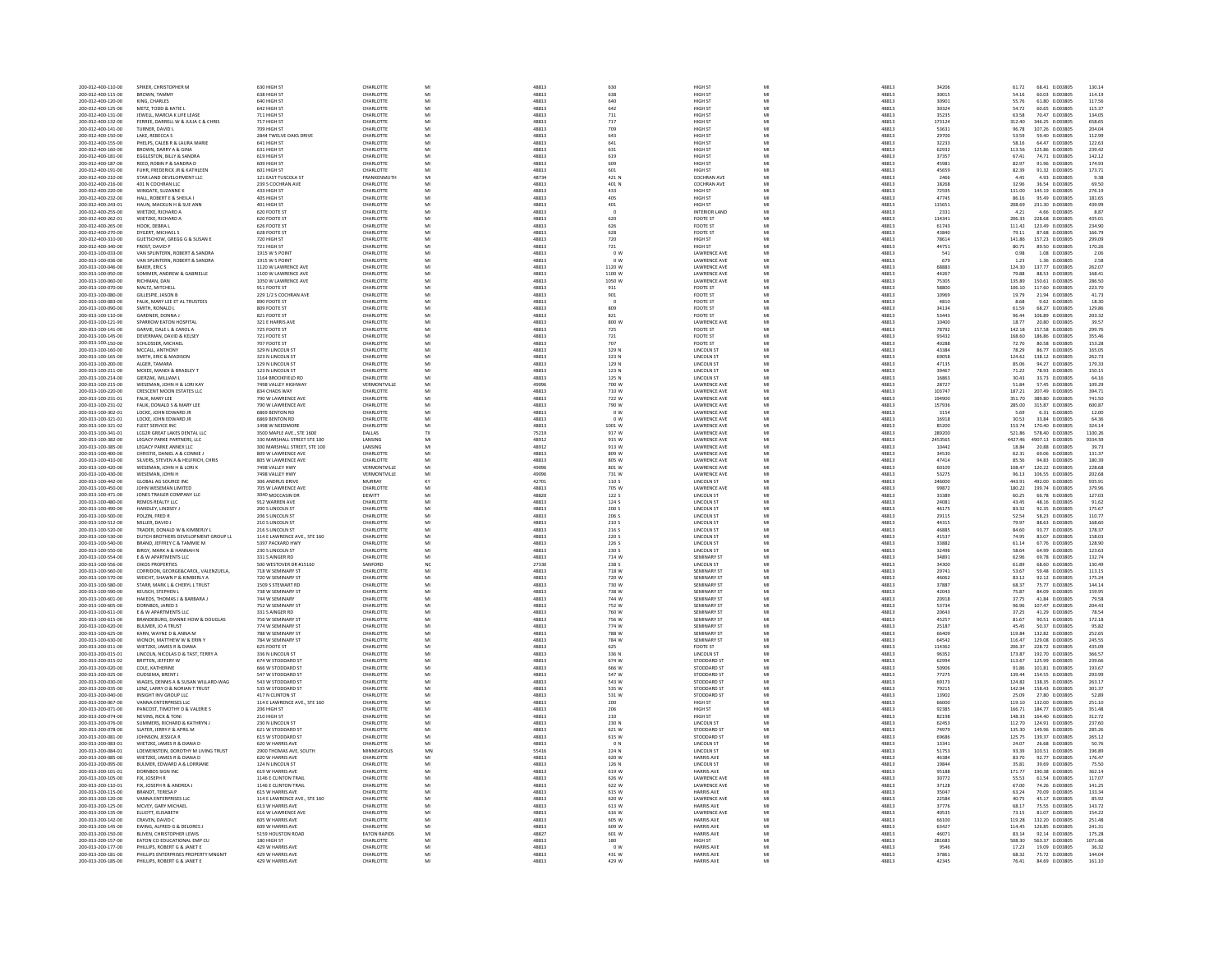| 200-012-400-110-00                       | SPIKER, CHRISTOPHER M                                              | 630 HIGH ST                                              | CHARLOTTE                        | MI<br>Mi | 48813                   | 630                                         | HIGH ST                                | MI       | 48813                   | 34206                   | 61.72<br>68.41 0.003805<br>130.14                                        |
|------------------------------------------|--------------------------------------------------------------------|----------------------------------------------------------|----------------------------------|----------|-------------------------|---------------------------------------------|----------------------------------------|----------|-------------------------|-------------------------|--------------------------------------------------------------------------|
| 200-012-400-115-00                       | BROWN, TAMMY                                                       | 638 HIGH ST                                              | CHARLOTTE                        |          | 48813                   | 638                                         | HIGH ST                                | MI       | 48813                   | 30015                   | 54.16<br>60.03 0.003805<br>114.19                                        |
| 200-012-400-120-00<br>200-012-400-125-00 | KING, CHARLES<br>METZ TODD & KATIF I                               | 640 HIGH ST<br>642 HIGH ST                               | CHARLOTTE<br>CHARLOTTE           | MI       | 48813<br>48813          | 640<br>642                                  | HIGH ST<br>HIGH ST                     | MI       | 48813<br>48813          | 30901<br>30324          | 55.76<br>61.80 0.00380<br>117.56<br>54.72<br>60.65 0.003805<br>115.37    |
| 200-012-400-131-00                       | JEWELL, MARCIA K LIFE LEASE                                        | 711 HIGH ST                                              | CHARLOTTE                        | MI       | 48813                   | 711                                         | HIGH ST                                | MI       | 48813                   | 35235                   | 63.58<br>70.47 0.003805<br>134.05                                        |
| 200-012-400-132-00                       | FERREE, DARRELL W & JULIA C & CHRIS                                | 717 HIGH ST                                              | CHARLOTTE                        | MI       | 48813                   | 717                                         | HIGH ST                                | MI       | 48813                   | 173124                  | 312.40<br>346.25 0.003805<br>658.65                                      |
| 200-012-400-141-00                       | TURNER, DAVID L                                                    | 709 HIGH ST                                              | CHARLOTTE                        | MI       | 48813                   | 709                                         | HIGH ST                                | MI       | 48813                   | 53631                   | 96.78<br>107.26 0.003805<br>204.04                                       |
| 200-012-400-150-00                       | LAKE, REBECCA S                                                    | 2844 TWELVE OAKS DRIVE                                   | CHARLOTTE                        | MI       | 48813                   | 643                                         | HIGH ST                                |          | 48813                   | 29700                   | 53.59<br>59.40 0.003805<br>112.99                                        |
| 200-012-400-155-00                       | PHEIPS CALER & LAURA MARIE                                         | 641 HIGH ST                                              | CHARLOTTE                        | MI       | 48813                   | 641                                         | HIGH ST                                | MI       | 48813                   | 32233                   | 58.16<br>64.47 0.003805<br>122.63                                        |
| 200-012-400-160-00                       | BROWN, DARRY A & GINA                                              | 631 HIGH ST                                              | CHARLOTTE                        | MI       | 48813                   | 631                                         | HIGH ST                                | MI       | 48813                   | 62932                   | 113.56<br>125.86 0.003805<br>239.42                                      |
| 200-012-400-181-00                       | EGGLESTON, BILLY & SANDRA                                          | 619 HIGH ST                                              | CHARLOTTE                        | MI       | 48813                   | 619                                         | HIGH ST                                | MI       | 48813                   | 37357                   | 67.43<br>74.71 0.003805<br>142.12                                        |
| 200-012-400-187-00                       | REED, ROBIN P & SANDRA D                                           | 609 HIGH ST                                              | CHARLOTTE                        | MI       | 48813                   | 609                                         | HIGH ST                                | MI       | 48813                   | 45981                   | 82.97<br>91.96 0.003805<br>174.93                                        |
| 200-012-400-191-00<br>200-012-400-210-00 | FUHR, FREDERICK JR & KATHLEEN<br>STAR LAND DEVELOPMENT LLC.        | 601 HIGH ST<br>121 FAST TUSCOLA ST                       | CHARLOTTE<br><b>FRANKFNMLITI</b> | MI       | 48813<br>48734          | 601<br>421 N                                | HIGH ST<br><b>COCHRAN AVE</b>          | MI       | 48813<br>48813          | 45659<br>2466           | 173.71<br>82.39<br>91.32 0.00380<br>4.45<br>4.93 0.003805<br>9 38        |
| 200-012-400-216-00                       | 401 N COCHRAN LLC                                                  | 239 S COCHRAN AVE                                        | CHARLOTTE                        | MI       | 48813                   | 401 N                                       | <b>COCHRAN AVE</b>                     | MI       | 48813                   | 18268                   | 69.50<br>32.96<br>36.54 0.003805                                         |
| 200-012-400-220-00                       | WINGATE, SUZANNE K                                                 | 433 HIGH ST                                              | CHARLOTTE                        | MI       | 48813                   | 433                                         | HIGH ST                                | MI       | 48813                   | 72595                   | 276.19<br>131.00<br>145.19 0.003805                                      |
| 200-012-400-232-00                       | HALL ROBERT E & SHEILA I                                           | 405 HIGH ST                                              | CHARLOTTE                        | MI       | 48813                   | 405                                         | HIGH ST                                | MI       | 48813                   | 47745                   | 86.16<br>95.49 0.003805<br>181.65                                        |
| 200-012-400-243-01                       | HAUN, MACKLIN H & SUE ANN                                          | 401 HIGH ST                                              | CHARLOTTE                        | MI       | 48813                   | 401                                         | HIGH ST                                | MI       | 48813                   | 115651                  | 439.99<br>208.69<br>231.30 0.003805                                      |
| 200-012-400-255-00                       | WIFTZKF RICHARD A                                                  | 620 FOOTE ST                                             | CHARLOTTE                        | MI       | 48813                   |                                             | INTERIOR LAND                          | MI       | 48813                   | 2331                    | 4.21<br>4.66 0.003805<br>8.87                                            |
| 200-012-400-262-01                       | WIETZKE, RICHARD A                                                 | 620 FOOTE ST                                             | CHARLOTTE                        | MI       | 48813                   | 620                                         | FOOTE ST                               | MI       | 48813                   | 114341                  | 435.01<br>206.33<br>228.68 0.003805                                      |
| 200-012-400-265-00                       | HOOK, DEBRA L                                                      | 626 FOOTE ST                                             | CHARLOTTE                        | MI       | 48813                   | 626                                         | FOOTE ST                               | MI       | 48813                   | 61743                   | 123.49 0.003805<br>234.90<br>111.42                                      |
| 200-012-400-270-00<br>200-012-400-310-00 | DYGERT, MICHAEL S<br>GUETSCHOW, GREGG G & SUSAN E                  | 628 FOOTE ST<br>720 HIGH ST                              | CHARLOTTE<br>CHARLOTTE           | MI<br>MI | 48813<br>48813          | 628<br>720                                  | <b>FOOTE ST</b><br>HIGH ST             | MI<br>MI | 48813<br>48813          | 43840<br>78614          | 79.11<br>87.68 0.003805<br>166.79<br>141.86<br>157.23 0.003805<br>299.09 |
| 200-012-400-340-00                       | FROST, DAVID P                                                     | 721 HIGH ST                                              | CHARLOTTE                        |          | 48813                   |                                             | HIGH ST                                | MI       | 48813                   | 44751                   | 89.50 0.003805<br>170.26<br>80.75                                        |
| 200-013-100-033-00                       | VAN SPLINTERN, ROBERT & SANDRA                                     | 1915 W 5 POINT                                           | CHARLOTTE                        | MI<br>Mi | 48813                   | $\begin{array}{c} 721 \\ 0 \ W \end{array}$ | LAWRENCE AVE                           | MI       | 48813                   | 541                     | 0.98<br>1.08 0.003805<br>2.06                                            |
| 200-013-100-036-00                       | VAN SPLINTERN, ROBERT & SANDRA                                     | 1915 W 5 POINT                                           | CHARLOTTE                        | MI       | 48813                   | 0 W                                         | <b>LAWRENCE AVE</b>                    | MI       | 48813                   | 679                     | 2.58<br>1.23<br>1.36 0.003805                                            |
| 200-013-100-046-00                       | <b>BAKER, ERIC S</b>                                               | 1120 W LAWRENCE AVE                                      | CHARLOTTE                        | MI       | 48813                   | 1120 W                                      | <b>LAWRENCE AVE</b>                    | MI       | 48813                   | 68883                   | 124.30<br>137.77 0.003805<br>262.07                                      |
| 200-013-100-050-00                       | SOMMER, ANDREW & GABRIELLE                                         | 1100 W LAWRENCE AVE                                      | CHARLOTTE                        | MI       | 48813                   | 1100 W                                      | <b>LAWRENCE AVE</b>                    | MI       | 48813                   | 44267                   | 88.53 0.003805<br>168.41<br>79.88                                        |
| 200-013-100-060-00                       | RICHMAN, DAN                                                       | 1050 W LAWRENCE AVE                                      | CHARLOTTE                        | MI       | 48813                   | 1050 W                                      | <b>LAWRENCE AVE</b>                    | MI       | 48813                   | 75305                   | 135.89<br>150.61 0.003805<br>286.50                                      |
| 200-013-100-070-00                       | MALTZ, MITCHELL                                                    | 911 FOOTE ST                                             | CHARLOTTE                        | MI       | 48813                   | 911                                         | FOOTE ST                               | MI       | 48813                   | 58800                   | 106.10<br>117.60 0.003805<br>223.70                                      |
| 200-013-100-080-00                       | GILLESPIE, JASON B<br>FALIK. MARY LEE ET AL TRUSTEES               | 229 1/2 S COCHRAN AVE                                    | CHARLOTT                         | MI       | 48813                   | 901                                         | FOOTE ST                               | MI       | 48813                   | 10969                   | 21.94 0.003805<br>41.73<br>19.79                                         |
| 200-013-100-083-00<br>200-013-100-090-00 | SMITH, RONALD L                                                    | 890 FOOTE ST<br>809 FOOTE ST                             | CHARLOTTE<br>CHARLOTTE           | MI<br>MI | 48813<br>48813          | 809                                         | <b>FOOTE ST</b><br>FOOTE ST            | MI<br>MI | 48813<br>48813          | 4810<br>34134           | 8.68<br>9.62 0.003805<br>18.30<br>61.59<br>68.27 0.003805<br>129.86      |
| 200-013-100-110-00                       | GARDNER, DONNA.                                                    | 821 FOOTE ST                                             | CHARLOTTE                        | MI       | 48813                   | 821                                         | FOOTE ST                               | MI       | 48813                   | 53443                   | 96.44<br>106.89 0.003805<br>203.32                                       |
| 200-013-100-121-90                       | SPARROW EATON HOSPITAL                                             | 321 E HARRIS AVE                                         | CHARLOTTE                        | MI       | 48813                   | 800 W                                       | <b>LAWRENCE AVE</b>                    | MI       | 48813                   | 10400                   | 18.77<br>20.80 0.003805<br>39.57                                         |
| 200-013-100-141-00                       | GARVIE, DALE L & CAROL A                                           | 725 FOOTE ST                                             | CHARLOTTE                        | MI       | 48813                   | $725\,$                                     | FOOTE ST                               |          | 48813                   | 78792                   | 142.18<br>157.58 0.003805<br>299.76                                      |
| 200-013-100-145-00                       | DEVERMAN DAVID & KEISEY                                            | 721 FOOTE ST                                             | CHARLOTTE                        | MI       | 48813                   | 721                                         | <b>FOOTE ST</b>                        | MI       | 48813                   | 93437                   | 168.60<br>186.86 0.003805<br>355.46                                      |
| 200-013-100-150-00                       | SCHLOSSER, MICHAEL                                                 | 707 FOOTE ST                                             | CHARLOTTE                        | MI       | 48813                   | 707                                         | FOOTE ST                               |          | 48813                   | 40288                   | 72.70<br>80.58 0.003805<br>153.28                                        |
| 200-013-100-160-00                       | MCCALL ANTHONY                                                     | 329 N LINCOLN ST                                         | CHARLOTTE                        | MI       | 48813                   | 329 N                                       | <b>LINCOLN ST</b>                      | MI       | 48813                   | 43384                   | 78.29<br>86.77 0.003805<br>165.05                                        |
| 200-013-100-165-00                       | SMITH, ERIC & MADISON                                              | 323 N LINCOLN ST                                         | CHARLOTTE                        | MI       | 48813                   | 323 N                                       | LINCOLN ST                             | MI       | 48813                   | 69058                   | 124.62<br>138.12 0.003805<br>262.73                                      |
| 200-013-100-200-00                       | ALGER, TAMARA                                                      | 129 N LINCOLN S                                          | CHARLOTTE                        |          | 48813                   | 129 N                                       | LINCOLN ST                             |          | 48813                   | 47135                   | 85.0<br>94.27 0.003805<br>179.33                                         |
| 200-013-100-211-00                       | MCKEE MANDL& BRADLEY T                                             | 123 N LINCOLN ST                                         | CHARLOTTE                        | MI       | 48813                   | 123 N                                       | <b>INCOLN ST</b>                       | MI       | 48813                   | 39467                   | 71 22<br>78.93 0.003805<br>150.15                                        |
| 200-013-100-214-00<br>200-013-100-215-00 | GIERZAK, WILLIAM L<br>WESEMAN, JOHN H & LORI KAY                   | 1164 BROOKFIELD RD<br>7498 VALLEY HIGHWAY                | CHARLOTTE<br>VERMONTVILLE        | MI<br>MI | 48813<br>49096          | 125 N<br>700 W                              | LINCOLN ST<br><b>LAWRENCE AVE</b>      | MI<br>MI | 48813<br>48813          | 16863<br>28727          | 33.73 0.003805<br>64.16<br>30.43<br>51.84<br>57.45 0.003805<br>109.29    |
| 200-013-100-220-00                       | <b>CRESCENT MOON ESTATES LLC</b>                                   | 834 CHADS WAY                                            | CHARLOTTE                        | MI       | 48813                   | 710 W                                       | <b>LAWRENCE AVE</b>                    | MI       | 48813                   | 103747                  | 207.49 0.003805<br>394.71<br>187.21                                      |
| 200-013-100-231-01                       | FALIK, MARY LEE                                                    | 790 W LAWRENCE AVE                                       | CHARLOTTE                        | MI       | 48813                   | 722 W                                       | LAWRENCE AVI                           | MI       | 48813                   | 194900                  | 351.70<br>389.80 0.003805<br>741.50                                      |
| 200-013-100-231-02                       | FAUK DONALD S & MARY LEE                                           | 790 W LAWRENCE AVE                                       | CHARLOTTE                        | MI       | 48813                   | 790 W                                       | <b>LAWRENCE AVE</b>                    | MI       | 48813                   | 157936                  | 285.00<br>315.87 0.003805<br>600.87                                      |
| 200-013-100-302-01                       | LOCKE, JOHN EDWARD JR                                              | 6869 BENTON RD                                           | CHARLOTTE                        | MI       | 48813                   | 0 W                                         | <b>LAWRENCE AVE</b>                    | MI       | 48813                   | 3154                    | 5.69<br>6.31 0.003805<br>12.00                                           |
| 200-013-100-321-01                       | LOCKE, JOHN EDWARD JR                                              | 6869 BENTON RD                                           | CHARLOTTE                        | MI       | 48813                   | 0 W                                         | LAWRENCE AVI                           | MI       | 48813                   | 16918                   | 30.53<br>33.84 0.003805                                                  |
| 200-013-100-321-02                       | FLEET SERVICE INC                                                  | 1498 W NEEDMORE                                          | CHARLOTTE                        | MI       | 48813                   | 1001 W                                      | <b>LAWRENCE AVE</b>                    | MI       | 48813                   | 85200                   | $64.36$<br>$324.14$<br>153.74<br>170.40 0.003805                         |
| 200-013-100-341-01                       | LCG2R GREAT LAKES DENTAL LLC                                       | 3500 MAPLE AVE., STE 1600                                | DALLAS                           | TX       | 75219                   | 917 W                                       | LAWRENCE AVI                           | MI       | 48813                   | 289200                  | 521.86<br>578.40 0.003805<br>1100.26                                     |
| 200-013-100-382-00                       | <b>I FGACY PARKE PARTNERS LLC</b>                                  | 330 MARSHALL STREET STE 100                              | <b>LANSING</b>                   | MI       | 48912                   | 915 W                                       | <b>LAWRENCE AVE</b>                    | MI       | 48813                   | 2453565                 | 4427.46<br>4907.13 0.003805<br>9334.59                                   |
| 200-013-100-385-00                       | LEGACY PARKE ANNEX LLC                                             | 300 MARSHALL STREET, STE 100                             | LANSING                          | MI       | 48912                   | 913 W                                       | <b>LAWRENCE AVE</b>                    | MI       | 48813                   | 10442                   | 20.88 0.003805<br>39.73<br>18.84                                         |
| 200-013-100-400-00                       | CHRISTIE, DANIEL A & CONNIE J                                      | 809 W LAWRENCE AVE                                       | CHARLOTTE                        | MI       | 48813                   | 809 W                                       | LAWRENCE AV                            | MI       | 48813                   | 34530                   | 131.37<br>62.31<br>69.06 0.003805                                        |
| 200-013-100-410-00<br>200-013-100-420-00 | SILVERS, STEVEN A & HELFRICH, CHRIS<br>WESEMAN, JOHN H & LORI K    | 805 W LAWRENCE AVE<br>7498 VALLEY HWY                    | CHARLOTTE<br>VERMONTVILLI        | MI<br>MI | 48813<br>49096          | 805 W<br>801 W                              | <b>LAWRENCE AVE</b><br>LAWRENCE AVI    | MI<br>MI | 48813<br>48813          | 47414                   | 85.56<br>94.83 0.003805<br>180.39<br>108.47<br>120.22 0.003805<br>228.68 |
| 200-013-100-430-00                       | WESEMAN, JOHN H                                                    | 7498 VALLEY HWY                                          | VERMONTVILLE                     | MI       | 49096                   | 731 W                                       | <b>LAWRENCE AVE</b>                    | MI       | 48813                   | 60109<br>53275          | 96.13<br>106.55 0.003805<br>202.68                                       |
| 200-013-100-442-00                       | <b>GLOBAL AG SOURCE INC</b>                                        | 306 ANDRUS DRIVE                                         | MURRAY                           | KY       | 42701                   | 110 S                                       | LINCOLN ST                             | MI       | 48813                   | 246000                  | 443.91<br>492.00 0.003805<br>935.91                                      |
| 200-013-100-450-00                       | JOHN WESEMAN LIMITED                                               | 705 W LAWRENCE AVE                                       | CHARLOTTE                        | MI       | 48813                   | 705 W                                       | LAWRENCE AVE                           | MI       | 48813                   | 99872                   | 199.74 0.003805<br>379.96<br>180.22                                      |
| 200-013-100-471-00                       | JONES TRAILER COMPANY LLC                                          | 3040 MOCCASIN DR                                         | DEWITT                           | MI       | 48820                   | 122 S                                       | LINCOLN ST                             | MI       | 48813                   | 33389                   | 60.25<br>66.78 0.003805<br>127.03                                        |
| 200-013-100-480-00                       | REMOS REALTY LLC                                                   | 912 WARREN AVE                                           | CHARLOTTE                        |          |                         |                                             |                                        |          |                         |                         |                                                                          |
|                                          |                                                                    |                                                          |                                  |          |                         |                                             |                                        |          |                         |                         |                                                                          |
| 200-013-100-490-00                       | HANDLEY, LINDSEY J                                                 |                                                          | CHARLOTTE                        | MI<br>MI | 48813                   | 124 S<br>200 S                              | <b>LINCOLN ST</b><br><b>LINCOLN ST</b> | MI<br>MI | 48813                   | 24081                   | 43.45<br>48.16 0.003805<br>91.62<br>83.32                                |
| 200-013-100-500-00                       | POLZIN, FRED R                                                     |                                                          | CHARLOTTE                        | MI       |                         | 206 S                                       | LINCOLN ST                             | MI       |                         |                         | 92.35 0.003805<br>58.23 0.003805<br>52.54                                |
| 200-013-100-512-00                       | MILLER, DAVID J                                                    | 200 S LINCOLN ST<br>206 S LINCOLN ST<br>210 S LINCOLN ST | CHARLOTTE                        | MI       | 48813<br>48813<br>48813 | 210S                                        | LINCOLN ST                             | MI       | 48813<br>48813<br>48813 | 46175<br>29115<br>44315 | 175.67<br>110.77<br>79.97<br>88.63 0.003805<br>168.60                    |
| 200-013-100-520-00                       | TRADER, DONALD W & KIMBERLY L                                      | 216 S LINCOLN ST                                         | CHARLOTTE                        | MI       | 48813                   | 216 S                                       | <b>LINCOLN ST</b>                      | MI       | 48813                   | 46885                   | 84.60<br>93.77 0.003805<br>178.37                                        |
| 200-013-100-530-00                       | DUTCH BROTHERS DEVELOPMENT GROUP LL                                | 114 E LAWRENCE AVE., STE 160                             | CHARLOTTE                        | MI       | 48813                   | 220 S                                       | LINCOLN ST                             |          | 48813                   | 41537                   | 83.07 0.003805<br>158.03<br>74.95                                        |
| 200-013-100-540-00                       | BRAND, JEFFREY C & TAMMIE M                                        | 5397 PACKARD HWY                                         | CHARLOTTE                        | MI       | 48813                   | 226 S                                       | <b>LINCOLN ST</b>                      | MI       | 48813                   | 33882                   | 61.14<br>67.76 0.003805<br>128.90                                        |
| 200-013-100-550-00                       | BIRGY, MARK A & HANNAH N                                           | 230 S LINCOLN ST                                         | CHARLOTTE                        | MI       | 48813                   | 230 S                                       | <b>LINCOLN ST</b>                      | MI       | 48813                   | 32496                   | 58.64<br>64.99 0.003805<br>123.63                                        |
| 200-013-100-554-00                       | E & W APARTMENTS LLC                                               | 331 S AINGER RD                                          | CHARLOTTE                        | MI       | 48813                   | 714 W                                       | <b>SEMINARY ST</b>                     | MI       | 48813                   | 34891                   | 62.96<br>69.78 0.003805<br>132.74                                        |
| 200-013-100-556-00                       | <b>OIKOS PROPERTIES</b>                                            | 500 WESTOVER DR #15160                                   | SANFORD                          | NC       | 27330                   | 238 S                                       | <b>LINCOLN ST</b>                      | MI       | 48813                   | 34300                   | 61.89<br>68.60 0.003805<br>130.49                                        |
| 200-013-100-560-00                       | CORRIDON, GEORGE&CAROL, VALENZUELA,<br>WEICHT SHAWN P & KIMBERLY A | 718 W SEMINARY ST                                        | CHARLOTTE<br>CHARLOTTE           | MI       | 48813                   | 718 W                                       | SEMINARY ST<br><b>SEMINARY ST</b>      | MI       | 48813                   | 29741                   | 53.67<br>59.48 0.003805<br>113.15<br>83.12                               |
| 200-013-100-570-00                       |                                                                    | 720 W SEMINARY ST                                        |                                  | MI       | 48813                   | 720 W                                       |                                        |          | 48813                   | 46062                   | 92.12 0.003805<br>175.24                                                 |
| 200-013-100-580-00<br>200-013-100-590-00 | STARR, MARK L & CHERYL L TRUST<br>KEUSCH, STEPHEN L                | 1509 S STEWART RD<br><b>738 W SEMINARY ST</b>            | CHARLOTTE<br>CHARLOTTE           | MI       | 48813<br>48813          | 730 W<br>738 W                              | <b>SEMINARY ST</b><br>SEMINARY ST      | MI       | 48813<br>48813          | 37887<br>42043          | 68.37<br>75.77 0.003805<br>144.14<br>75.87<br>84.09 0.003805<br>159.95   |
| 200-013-100-601-00                       | HAKEOS, THOMAS J & BARBARA J                                       | 744 W SEMINARY                                           | CHARLOTTE                        | MI       | 48813                   | 744 W                                       | SEMINARY ST                            | MI       | 48813                   | 20918                   | 37.75<br>41.84 0.003805<br>79.58                                         |
| 200-013-100-605-00                       | DORNBOS, JARED S                                                   | 752 W SEMINARY ST                                        | CHARLOTTE                        | MI       | 48813                   | 752 W                                       | <b>SEMINARY ST</b>                     |          | 48813                   | 53734                   | 204.43<br>96.96<br>107.47 0.003805                                       |
| 200-013-100-611-00                       | <b>F &amp; W APARTMENTS LLC</b>                                    | 331 S AINGER RD                                          | CHARLOTTE                        | MI       | 48813                   | 760 W                                       | SEMINARY ST                            | MI       | 48813                   | 20643                   | 37.25<br>41.29 0.003805<br>78.54                                         |
| 200-013-100-615-00                       | BRANDEBURG, DIANNE HOW & DOUGLAS                                   | 756 W SEMINARY ST                                        | CHARLOTTE                        | MI       | 48813                   | 756 W                                       | <b>SEMINARY ST</b>                     | MI       | 48813                   | 45257                   | 172.18<br>81.67<br>90.51 0.003805                                        |
| 200-013-100-620-00                       | BULMER, JO A TRUST                                                 | 774 W SEMINARY S'                                        | CHARLOTTE                        | MI       | 48813                   | 774 W                                       | <b>SEMINARY ST</b>                     | MI       | 48813                   | 25187                   | 45.45<br>50.37 0.00380<br>95.82                                          |
| 200-013-100-625-00<br>200-013-100-630-00 | KARN WAYNE D & ANNA N<br>WONCH, MATTHEW W & ERIN Y                 | 788 W SEMINARY ST<br>784 W SEMINARY ST                   | <b>CHARLOTTE</b><br>CHARLOTTE    | MI       | 48817<br>48813          | 788 W<br>784 W                              | SEMINARY ST<br><b>SEMINARY ST</b>      | MI       | 48813                   | 66409                   | 119.84<br>132.82 0.003805<br>252.65<br>116.47<br>129.08 0.003805         |
| 200-013-200-011-00                       | WIFTZKE JAMES R & DIANA                                            | 625 FOOTE ST                                             | CHARLOTTE                        | MI<br>MI | 48813                   | 625                                         | <b>FOOTE ST</b>                        | MI       | 48813<br>48813          | 64542<br>114362         | 245.55<br>206.37<br>228.72 0.003805<br>435.09                            |
| 200-013-200-015-01                       | LINCOLN, NICOLAS D & TAST, TERRY A                                 | 336 N LINCOLN ST                                         | CHARLOTTE                        | MI       | 48813                   | 336 N                                       | LINCOLN ST                             | MI       | 48813                   | 96352                   | 173.87<br>192.70 0.003805<br>366.57                                      |
| 200-013-200-015-02                       | BRITTEN, JEFFERY W                                                 | 674 W STODDARD ST                                        | CHARLOTTE                        | MI       | 48813                   | 674 W                                       | STODDARD ST                            | MI       | 48813                   | 62994                   | 113.67<br>125.99 0.003805<br>239.66                                      |
| 200-013-200-020-00                       | COLE KATHERINE                                                     | FE GRADODE W 333                                         | CHARLOTTE                        | MI       | 48813                   | 666 W                                       | STODDARD ST                            | MI       | 48813                   | 50906                   | 91.86<br>101.81 0.003805<br>193.67                                       |
| 200-013-200-025-00                       | OUDSEMA, BRENT J                                                   | 547 W STODDARD ST                                        | CHARLOTTE                        | MI       | 48813                   | 547 W                                       | STODDARD ST                            | MI       | 48813                   | 77275                   | 154.55 0.003805<br>139.44<br>293.99                                      |
| 200-013-200-030-00                       | WAGES, DENNIS A & SUSAN WILLARD-WAG                                | 543 W STODDARD ST                                        | CHARLOTTE                        |          | 48813                   | 543 W                                       | STODDARD ST                            | MI       | 48813                   | 69173                   | 263.17<br>124.82<br>138.35 0.003805                                      |
| 200-013-200-035-00                       | LENZ, LARRY O & NORIAN T TRUST                                     | 535 W STODDARD ST                                        | CHARLOTTE                        | MI<br>Mi | 48813                   | 535 W                                       | STODDARD ST                            | MI       | 48813                   | 79215                   | 142.94<br>158.43 0.003805<br>301.37                                      |
| 200-013-200-040-00<br>200-013-200-067-00 | INSIGHT INV GROUP LLC<br>VANNA ENTERPRISES LLC                     | 417 N CLINTON ST                                         | CHARLOTTE<br>CHARLOTTE           | MI<br>MI | 48813<br>48813          | 531 W<br>200                                | STODDARD ST<br>HIGH ST                 | MI<br>MI | 48813<br>48813          | 13902<br>66000          | 52.89<br>25.09<br>27.80 0.00380<br>119.10<br>132.00 0.003805<br>251.10   |
| 200-013-200-071-00                       | PANCOST, TIMOTHY D & VALERIE S                                     | 114 E LAWRENCE AVE., STE 160                             | CHARLOTTE                        | MI       | 48813                   | 206                                         | HIGH ST                                | MI       | 48813                   | 92385                   | 184.77 0.003805<br>351.48<br>166.71                                      |
| 200-013-200-074-00                       | NEVINS, RICK & TONI                                                | 206 HIGH ST<br>210 HIGH ST                               | CHARLOTTE                        | MI       | 48813                   | 210                                         | HIGH ST                                | MI       | 48813                   | 82198                   | 164.40 0.003805<br>312.72<br>148.33                                      |
| 200-013-200-076-00                       | SUMMERS, RICHARD & KATHRYN J                                       | 230 N LINCOLN ST                                         | CHARLOTTE                        | MI       | 48813                   | 230 N                                       | <b>LINCOLN ST</b>                      | MI       | 48813                   | 62453                   | 112.70<br>124.91 0.003805<br>237.60                                      |
| 200-013-200-078-00                       | SLATER, JERRY F & APRIL M                                          | 621 W STODDARD ST                                        | CHARLOTTE                        | MI       | 48813                   | 621 W                                       | STODDARD ST                            |          | 48813                   | 74979                   | 135.30<br>285.26<br>149.96 0.003805                                      |
| 200-013-200-081-00                       | JOHNSON, JESSICA R                                                 | 615 W STODDARD ST                                        | CHARLOTTE                        | MI       | 48813                   | 615 W                                       | STODDARD ST                            | MI       | 48813                   | 69686                   | 125.75<br>139.37 0.003805<br>265.12                                      |
| 200-013-200-083-01                       | WIETZKE, JAMES R & DIANA D                                         | 620 W HARRIS AVE                                         | CHARLOTTE                        | MI       | 48813                   | 0 N                                         | LINCOLN ST                             | MI       | 48813                   | 13341                   | 50.76<br>24.07<br>26.68 0.003805                                         |
| 200-013-200-084-01                       | LOEWENSTEIN, DOROTHY M LIVING TRUST                                | 2900 THOMAS AVE, SOUTH                                   | MINNEAPOLIS                      | MN       | 55416                   | 224 N                                       | LINCOLN ST                             | MI       | 48813                   | 51753                   | 93.39<br>103.51 0.003805<br>196.89                                       |
| 200-013-200-085-00                       | WIETZKE, JAMES R & DIANA D                                         | 620 W HARRIS AVE                                         | CHARLOTTE                        | MI       | 48813                   | 620 W                                       | <b>HARRIS AVE</b>                      | MI       | 48813                   | 46384                   | 83.70<br>92.77 0.003805<br>176.47                                        |
| 200-013-200-095-00<br>200-013-200-101-01 | BULMER, EDWARD A & LORRIANE<br>DORNBOS SIGN INC                    | 124 N LINCOLN ST<br>619 W HARRIS AVE                     | CHARLOTTE<br>CHARLOTTE           | MI<br>MI | 48813<br>48813          | 126 N<br>619 W                              | LINCOLN ST<br><b>HARRIS AVE</b>        | MI       | 48813<br>48813          | 19844<br>95188          | 39.69 0.003805<br>75.50<br>35.81<br>171.77<br>190.38 0.003805<br>362.14  |
| 200-013-200-105-00                       | FIX, JOSEPH R                                                      |                                                          | CHARLOTTE                        | MI       | 48813                   | 626 W                                       | <b>LAWRENCE AVE</b>                    | MI       | 48813                   | 30772                   | 55.53<br>61.54 0.003805                                                  |
| 200-013-200-110-01                       | FIX, JOSEPH R & ANDREA                                             | 1146 E CLINTON TRAIL<br>1146 E CLINTON TRAIL             | CHARLOTTE                        | MI       | 48813                   | 622 W                                       | LAWRENCE AVE                           | MI       | 48813                   | 37128                   | 117.07<br>74.26 0.003805<br>67.00<br>141.25                              |
| 200-013-200-115-00                       | <b>BRANDT, TERESA P</b>                                            | 615 W HARRIS AVE                                         | CHARLOTTE                        | MI       | 48813                   | 615 W                                       | <b>HARRIS AVE</b>                      | MI       | 48813                   | 35047                   | 63.24<br>70.09 0.003805<br>133.34                                        |
| 200-013-200-120-00                       | VANNA ENTERPRISES LLC                                              | 114 E LAWRENCE AVE., STE 160                             | CHARLOTTE                        | MI       | 48813                   | 620 W                                       | <b>LAWRENCE AVE</b>                    | MI       | 48813                   | 22584                   | 45.17 0.003805<br>85.92<br>40.75                                         |
| 200-013-200-125-00                       | MCVEY GARY MICHAEL                                                 | <b>613 W HARRIS AVE</b>                                  | CHARLOTTE                        | MI       | 48813                   | 613 W                                       | HARRIS AVE                             | MI       | 48813                   | 37776                   | 68.17<br>75.55 0.003805<br>143.72                                        |
| 200-013-200-135-00                       | ELLIOTT, ELISABETH                                                 | 616 W LAWRENCE AVE                                       | CHARLOTTE                        | MI       | 48813                   | 616 W                                       | LAWRENCE AVE                           |          | 48813                   | 40535                   | 81.07 0.003805<br>154.22<br>73.15                                        |
| 200-013-200-142-00                       | CRAVEN, DAVID 0                                                    | 605 W HARRIS AVE                                         | CHARLOTTE                        | MI       | 48813                   | 605 W                                       | <b>HARRIS AVE</b>                      | MI       | 48813                   | 66100                   | 119.28<br>132.20 0.003805<br>251.48                                      |
| 200-013-200-145-00                       | EWING, ALFRED G & DELORES J                                        | 609 W HARRIS AVE                                         | CHARLOTTE                        | MI       | 48813                   | 609 W                                       | <b>HARRIS AVE</b>                      | MI       | 48813                   | 63427                   | 114.45<br>126.85 0.003805<br>241.31                                      |
| 200-013-200-150-00<br>200-013-200-157-00 | BLIVEN, CHRISTOPHER LEWIS<br>EATON CO EDUCATIONAL EMP CU           | <b>5159 HOUSTON ROAD</b><br>180 HIGH ST                  | EATON RAPIDS<br>CHARLOTTE        | MI       | 48827<br>48813          | 601 W<br>180                                | <b>HARRIS AVE</b><br>HIGH ST           | MI       | 48813<br>48813          | 46071<br>281683         | 92.14 0.00380<br>175.28<br>83.14<br>508.30<br>563.37 0.003805<br>1071.66 |
| 200-013-200-177-00                       | PHILLIPS, ROBERT G & JANET E                                       | 429 W HARRIS AVE                                         | CHARLOTTE                        | MI       | 48813                   | 0 W                                         | <b>HARRIS AVE</b>                      | MI       | 48813                   | 9546                    | 17.23<br>19.09 0.003805<br>36.32                                         |
| 200-013-200-181-00                       | <b>PHILLIPS ENTERPRISES PROPERTY MNGMT</b>                         | 429 W HARRIS AV                                          | CHARLOTT                         |          | 4881                    | 431 W                                       | <b>HARRIS AVE</b>                      |          | 48813                   | 3786                    | 75.72 0.00380<br>144.04                                                  |
| 200-013-200-185-00                       | PHILLIPS, ROBERT G & JANET E                                       | 429 W HARRIS AVE                                         | CHARLOTTE                        | MI       | 48813                   | 429 W                                       | <b>HARRIS AVE</b>                      |          | 48813                   | 42345                   | 76.41<br>84.69 0.003805<br>161.10                                        |
|                                          |                                                                    |                                                          |                                  |          |                         |                                             |                                        |          |                         |                         |                                                                          |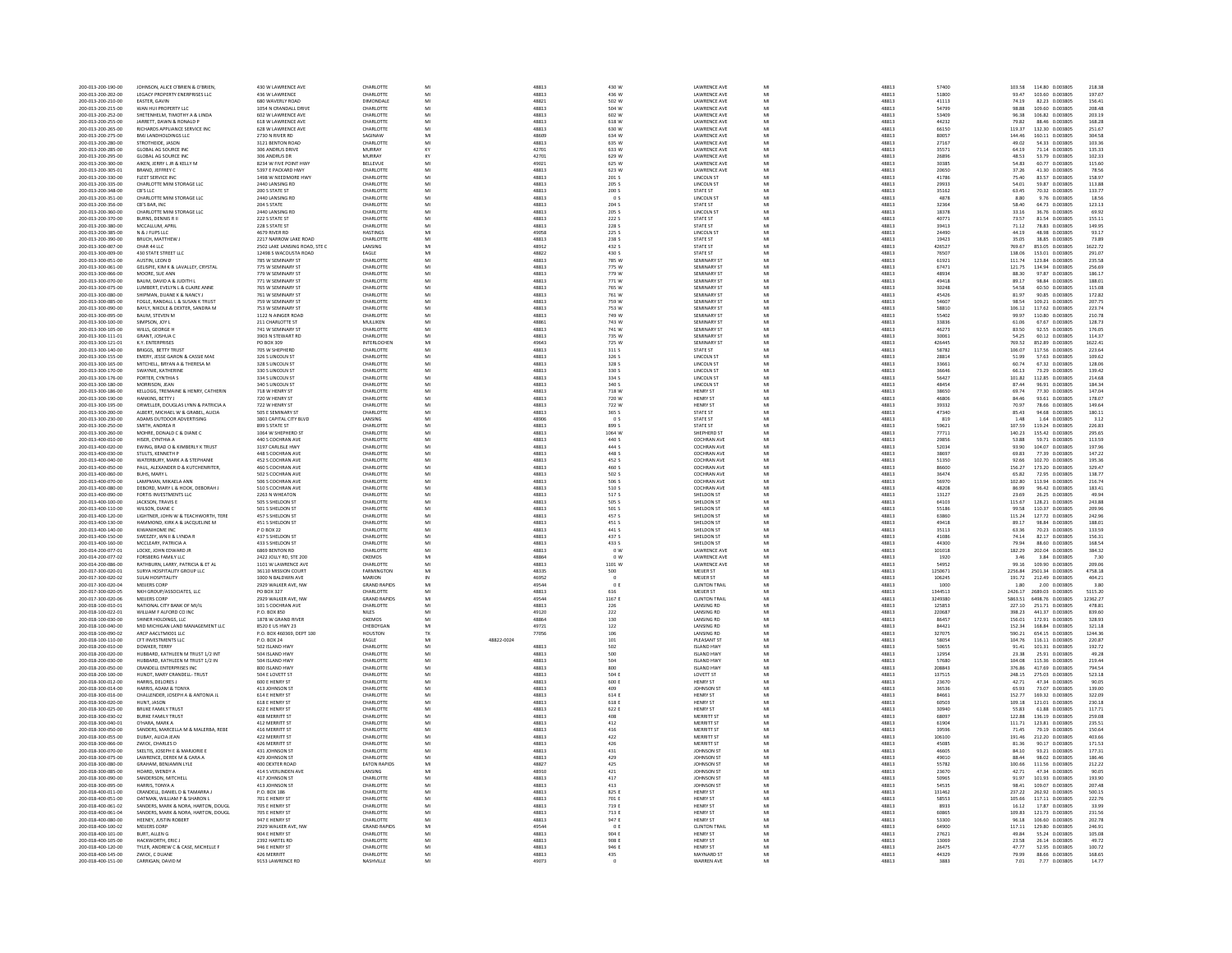| 200-013-200-190-00                       | JOHNSON, ALICE O'BRIEN & O'BRIEN                        | 430 W LAWRENCE AVE                            | CHARLOTTE                   | MI |            | 48813          | 430 W          | <b>LAWRENCE AVE</b>                    | M       | 48813          | 57400           | 114.80 0.003805<br>103.58                              | 218.38            |
|------------------------------------------|---------------------------------------------------------|-----------------------------------------------|-----------------------------|----|------------|----------------|----------------|----------------------------------------|---------|----------------|-----------------|--------------------------------------------------------|-------------------|
| 200-013-200-202-00                       | LEGACY PROPERTY ENERPRISES LLC                          | 436 W LAWRENCE                                | CHARLOTTE                   | M  |            | 48813          | 436 W          | <b>LAWRENCE AVE</b>                    | MI      | 48813          | 51800           | 93.47<br>103.60 0.003805                               | 197.07            |
| 200-013-200-210-00                       | EASTER, GAVIN                                           | 680 WAVERLY ROAD                              | <b>DIMONDALE</b>            | MI |            | 48821          | 502 W          | <b>LAWRENCE AVE</b>                    | MI      | 48813          | 41113           | 74.19<br>82.23 0.003805                                | 156.41            |
| 200-013-200-215-00                       | WAN HUI PROPERTY LLC                                    | 1054 N CRANDALL DRIVE                         | CHARLOTTE                   | MI |            | 48813          | 504 W          | <b>LAWRENCE AVE</b>                    | MI      | 48813          | 54799           | 98.88<br>109.60 0.003805                               | 208.48            |
| 200-013-200-252-00                       | SHETENHELM, TIMOTHY A & LINDA                           | 602 W LAWRENCE AVE                            | <b>CHARLOTTE</b>            | MI |            | 48813          | 602 W          | <b>LAWRENCE AVE</b>                    | M       | 48813          | 53409           | 106.82 0.003805<br>96.38                               | 203.19            |
| 200-013-200-255-00                       | JARRETT, DAWN & RONALD F                                | 618 W LAWRENCE AVE                            | CHARLOTTE                   | MI |            | 48813          | 618 W          | <b>LAWRENCE AVE</b>                    | MI      | 48813          | 44232           | 79.82<br>88.46 0.003805                                | 168.28            |
|                                          |                                                         |                                               |                             | MI |            |                |                |                                        | M       |                |                 |                                                        |                   |
| 200-013-200-265-00                       | RICHARDS APPLIANCE SERVICE INC                          | 628 W LAWRENCE AVE                            | CHARLOTTE                   |    |            | 48813          | 630 W          | <b>LAWRENCE AVE</b>                    |         | 48813          | 66150           | 119.37<br>132.30 0.003805                              | 251.67            |
| 200-013-200-275-00                       | <b>BMJ LANDHOLDINGS LLC</b>                             | 2730 N RIVER RD                               | SAGINAW                     | MI |            | 48609          | 634 W          | <b>LAWRENCE AVE</b>                    | MI      | 48813          | 80057           | 144.46<br>160.11 0.003805                              | 304.58            |
| 200-013-200-280-00                       | STROTHEIDE, JASON                                       | 3121 BENTON ROAD                              | CHARLOTTE                   | MI |            | 48813          | 635 W          | <b>LAWRENCE AVE</b>                    | MI      | 48813          | 27167           | 49.02<br>54.33 0.003805                                | 103.36            |
| 200-013-200-285-00                       | <b>GLOBAL AG SOURCE INC</b>                             | 306 ANDRUS DRIVE                              | MURRAY                      | KY |            | 42701          | 633 W          | <b>LAWRENCE AVE</b>                    | MI      | 48813          | 35571           | 64.19<br>71.14 0.003805                                | 135.33            |
| 200-013-200-295-00                       | <b>GLOBAL AG SOURCE INC</b>                             | 306 ANDRUS DR                                 | MURRAY                      | KY |            | 42701          | 629 W          | <b>LAWRENCE AVE</b>                    | MI      | 48813          | 26896           | 48.53<br>53.79 0.003805                                | 102.33            |
| 200-013-200-300-00                       | AIKEN, JERRY L JR & KELLY M                             | 8234 W FIVE POINT HWY                         | BELLEVUE                    |    |            | 49021          | 625 W          | <b>LAWRENCE AVI</b>                    | M       | 48813          | 30385           | 60.77 0.003805<br>54.83                                | 115.60            |
| 200-013-200-305-01                       | <b>BRAND, JEFFREY C</b>                                 | 5397 E PACKARD HWY                            | CHARLOTTE                   | MI |            | 48813          | 623 W          | <b>LAWRENCE AVE</b>                    | MI      | 48813          | 20650           | 37.26<br>41.30 0.003805                                | 78.56             |
| 200-013-200-330-00                       | FLEET SERVICE IN                                        | 1498 W NEEDMORE HWY                           | CHARLOTTE                   | M  |            | 48813          | 201 S          | LINCOLN ST                             |         | 48813          | 41786           | 75.40<br>83.57 0.003805                                | 158.97            |
| 200-013-200-335-00                       | CHARLOTTE MINI STORAGE LLC                              | 2440 LANSING RD                               | CHARLOTTE                   | MI |            | 48813          | 205 S          | <b>LINCOLN ST</b>                      | MI      | 48813          | 29933           | 54.01<br>59.87 0.003805                                | 113.88            |
|                                          |                                                         | 200 S STATE ST                                |                             |    |            |                |                |                                        | MI      |                |                 | 63.45                                                  |                   |
| 200-013-200-348-00                       | CB'S LLC                                                |                                               | CHARLOTTE                   | MI |            | 48813          | 200 S          | <b>STATE ST</b>                        | M       | 48813          | 35162           | 70.32 0.003805                                         | 133.77            |
| 200-013-200-351-00                       | CHARLOTTE MINI STORAGE LLC                              | 2440 LANSING RD                               | CHARLOTTE                   |    |            | 48813          | 0S             | LINCOLN ST                             |         | 48813          | 4878            | 8.80<br>9.76 0.003805                                  | 18.56             |
| 200-013-200-356-00                       | CR'S RAR INC                                            | 204 S STATE                                   | CHARLOTTE                   | MI |            | 48813          | 204.5          | STATE ST                               | MI      | 48813          | 32364           | 58.40<br>64.73 0.003805                                | 123.13            |
| 200-013-200-360-00                       | CHARLOTTE MINI STORAGE LLC                              | 2440 LANSING RD                               | CHARLOTTE                   |    |            | 48813          | 205 S          | LINCOLN ST                             |         | 48813          | 18378           | 33.16<br>36.76 0.003805                                | 69.92             |
| 200-013-200-370-00                       | <b>BURNS DENNIS R II</b>                                | 222 S STATE ST                                | CHARLOTTE                   | MI |            | 48813          | 222S           | STATE ST                               | MI      | 48813          | 40771           | 73.57<br>81.54 0.003805                                | 155.11            |
| 200-013-200-380-00                       | MCCALLUM, APRIL                                         | 228 S STATE ST                                | CHARLOTTE                   | MI |            | 48813          | 228 S          | <b>STATE ST</b>                        | MI      | 48813          | 39413           | 71.12<br>78.83 0.003805                                | 149.95            |
| 200-013-200-385-00                       | N & J FLIPS LLC                                         | 4679 RIVER RD                                 | <b>HASTINGS</b>             | MI |            | 49058          | 225 S          | LINCOLN ST                             | M       | 48813          | 24490           | 44.19<br>48.98 0.003805                                | 93.17             |
| 200-013-200-390-00                       | BRUCH, MATTHEW J                                        | 2217 NARROW LAKE ROAD                         | CHARLOTTE                   | MI |            | 48813          | 238 S          | STATE ST                               | MI      | 48813          | 19423           | 35.05<br>38.85 0.003805                                | 73.89             |
| 200-013-300-007-00                       | CHAR 44 LLC                                             | 2502 LAKE LANSING ROAD, STE C                 | LANSING                     | MI |            | 48912          | 432 S          | <b>STATE ST</b>                        | M       | 48813          | 426527          | 769.67<br>853.05 0.003805                              | 1622.72           |
| 200-013-300-009-00                       | 430 STATE STREET LLC                                    | 12498 S WACOUSTA ROAD                         | <b>FAGLE</b>                | MI |            | 48822          | 430.5          | STATE ST                               | MI      | 48813          | 76507           | 138.06<br>153.01 0.003805                              | 291.07            |
| 200-013-300-051-00                       | AUSTIN, LEON D                                          | 785 W SEMINARY ST                             | CHARLOTTE                   | MI |            | 48813          | 785 W          | SEMINARY ST                            | MI      | 48813          | 61921           | 111.74<br>123.84 0.003805                              | 235.58            |
| 200-013-300-061-00                       | GELISPIE, KIM K & LAVALLEY, CRYSTAL                     | 775 W SEMINARY ST                             | CHARLOTTE                   | M  |            | 48813          | 775 W          | <b>SEMINARY ST</b>                     | M       | 48813          | 67471           | 134.94 0.003805<br>121.75                              | 256.69            |
|                                          |                                                         |                                               |                             |    |            |                |                |                                        |         |                |                 |                                                        |                   |
| 200-013-300-066-00                       | MOORE, SUE ANN                                          | 779 W SEMINARY ST                             | CHARLOTTE                   | MI |            | 48813          | 779 W          | <b>SEMINARY ST</b>                     | MI      | 48813          | 48934           | 88.30<br>97.87 0.003805                                | 186.17            |
| 200-013-300-070-00                       | BAUM, DAVID A & JUDITH L                                | 771 W SEMINARY ST                             | CHARLOTTE                   | MI |            | 48813          | 771 W          | <b>SEMINARY ST</b>                     |         | 48813          | 49418           | 98.84 0.003805<br>89.17                                | 188.01            |
| 200-013-300-075-00                       | LUMBERT, EVELYN L & CLAIRE ANNE                         | 765 W SEMINARY ST                             | CHARLOTTE                   | MI |            | 48813          | 765 W          | <b>SEMINARY ST</b>                     | MI      | 48813          | 30248<br>45426  | 54.58<br>60.50 0.003805                                | 115.08<br>172.82  |
| 200-013-300-080-00                       | SHIPMAN, DUANE K & NANCY J                              | 761 W SEMINARY ST                             | CHARLOTTE                   | MI |            | 48813          | 761 W          | SEMINARY ST                            | M       | 48813          |                 | 81.97<br>90.85 0.003805                                |                   |
| 200-013-300-085-00                       | FOGLE, RANDALL L & SUSAN K TRUST                        | 759 W SEMINARY ST                             | CHARLOTTE                   | MI |            | 48813          | 759 W          | <b>SEMINARY ST</b>                     | MI      | 48813          | 54607           | 98.54<br>109.21 0.003805                               | 207.75            |
| 200-013-300-090-00                       | BAYLY, NIKOLE & DEXTER, SANDRA M                        | 753 W SEMINARY ST                             | CHARLOTTE                   | MI |            | 48813          | 753 W          | <b>SEMINARY ST</b>                     | MI      | 48813          | 58810           | 106.12<br>117.62 0.003805                              | 223.74            |
| 200-013-300-095-00                       | BAUM, STEVEN M                                          | 1122 N AINGER ROAD                            | CHARLOTTE                   |    |            | 48813          | 749 W          | <b>SEMINARY ST</b>                     |         | 48813          | 55402           | 110.80  0.003805<br>99.97                              | 210.78            |
| 200-013-300-100-00                       | SIMPSON TOYT                                            | 211 CHARLOTTE ST                              | <b>MULLIKEN</b>             | MI |            | 48861          | 743 W          | <b>SEMINARY ST</b>                     | MI      | 48813          | 33836           | 61.06<br>67.67 0.003805                                | 128.73            |
|                                          |                                                         | 741 W SEMINARY ST                             |                             |    |            |                |                |                                        | MI      |                |                 |                                                        | 176.05            |
| 200-013-300-105-00                       | WILLS, GEORGE H                                         |                                               | CHARLOTTE                   | MI |            | 48813          | 741 W          | <b>SEMINARY ST</b>                     | M       | 48813          | 46273           | 83.50<br>92.55 0.003805                                |                   |
| 200-013-300-111-01                       | GRANT, JOSHUA (                                         | 3903 N STEWART RD                             | CHARLOTTE                   |    |            | 48813          | 735 W          | <b>SEMINARY ST</b>                     |         | 48813          | 30061<br>426445 | 54.25<br>60.12 0.003805                                | 114.37            |
| 200-013-300-121-01                       | K.Y. ENTERPRISES                                        | PO BOX 309                                    | <b>INTERLOCHEM</b>          | MI |            | 49643          | 725 W          | <b>SEMINARY ST</b>                     | MI      | 48813          |                 | 769.52<br>852.89 0.003805                              | 1622.41           |
| 200-013-300-140-00                       | BRIGGS, BETTY TRUST                                     | 705 W SHEPHERD                                | CHARLOTTE                   |    |            | 48813          | 311 S          | <b>STATE ST</b>                        | M       | 48813          | 58782           | 106.07<br>117.56 0.003805                              | 223.64            |
| 200-013-300-155-00                       | <b>EMERY JESSE GARON &amp; CASSIE MAP</b>               | 326 S LINCOLN ST                              | CHARLOTTE                   | MI |            | 48813          | 326.5          | <b>LINCOLN ST</b>                      | MI      | 48813          | 28814           | 51.99<br>57.63 0.003805                                | 109.62            |
| 200-013-300-165-00                       | MITCHELL, BRYAN A & THERESA M                           | 328 S LINCOLN ST                              | CHARLOTTE                   | MI |            | 48813          | 328 S          | LINCOLN ST                             | MI      | 48813          | 33661           | 67.32 0.003805<br>60.74                                | 128.06            |
| 200-013-300-170-00                       | SWAYNIE, KATHERINE                                      | 330 S LINCOLN ST                              | CHARLOTTE                   | MI |            | 48813          | 330 S          | LINCOLN ST                             | M       | 48813          | 36646           | 66.13<br>73.29 0.003805                                | 139.42            |
| 200-013-300-176-00                       | PORTER, CYNTHIA S                                       | 334 S LINCOLN ST                              | CHARLOTTE                   | MI |            | 48813          | 334 S          | <b>LINCOLN ST</b>                      | MI      | 48813          | 56427           | 101.82<br>112.85 0.003805                              | 214.68            |
| 200-013-300-180-00                       | <b>MORRISON, JEAN</b>                                   | 340 S LINCOLN ST                              | CHARLOTTE                   | M  |            | 48813          | 340 S          | LINCOLN ST                             | M       | 48813          | 48454           | 96.91 0.003805<br>87.44                                | 184.34            |
| 200-013-300-186-00                       | KELLOGG, TREMAINE & HENRY, CATHERIN                     | 718 W HENRY ST                                | CHARLOTTE                   | MI |            | 48813          | 718 W          | <b>HENRY ST</b>                        | MI      | 48813          | 38650           | 69.74<br>77.30 0.003805                                | 147.04            |
|                                          | HANKINS, BETTY J                                        | 720 W HENRY ST                                | CHARLOTTE                   |    |            | 48813          | 720 W          | HENRY ST                               | M       | 48813          | 46806           | 93.61 0.003805                                         | 178.07            |
| 200-013-300-190-00                       |                                                         |                                               |                             | MI |            |                |                |                                        | M       |                |                 | 84.46                                                  |                   |
| 200-013-300-195-00                       | ORWELLER, DOUGLAS LYNN & PATRICIA A                     | 722 W HENRY ST                                | CHARLOTTE                   | M  |            | 48813          | 722 W          | <b>HENRY ST</b>                        |         | 48813          | 39332           | 70.97<br>78.66 0.003805                                | 149.64            |
| 200-013-300-200-00                       | ALBERT, MICHAEL W & GRABEL, ALICIA                      | <b>505 E SEMINARY ST</b>                      | CHARLOTTE                   | MI |            | 48813          | 365 S          | STATE ST                               | MI      | 48813          | 47340           | 85.43<br>94.68 0.003805                                | 180.11            |
| 200-013-300-230-00                       | ADAMS OUTDOOR ADVERTISING                               | 3801 CAPITAL CITY BLVD                        | LANSING                     |    |            | 48906          | 0S             | <b>STATE ST</b>                        |         | 48813          | 819             | 1.64 0.003805<br>1.48                                  | 3.12              |
| 200-013-300-250-00                       | SMITH, ANDREA R                                         | 899 S STATE ST                                | CHARLOTTE                   | MI |            | 48813          | 899 S          | <b>STATE ST</b>                        | MI      | 48813          | 59621           | 107.59<br>119.24 0.003805                              | 226.83            |
| 200-013-300-260-00                       | MOHRE, DONALD C & DIANE C                               | 1064 W SHEPHERD ST                            | CHARLOTTE                   | MI |            | 48813          | 1064 W         | SHEPHERD ST                            | M       | 48813          | 77711           | 140.23<br>155.42 0.003805                              | 295.65            |
| 200-013-400-010-00                       | HISER, CYNTHIA A                                        | 440 S COCHRAN AVE                             | CHARLOTTE                   | MI |            | 48813          | 440 S          | COCHRAN AVE                            | MI      | 48813          | 29856           | 59.71 0.003805<br>53.88                                | 113.59            |
| 200-013-400-020-00                       | EWING, BRAD O & KIMBERLY K TRUST                        | 3197 CARLISLE HWY                             | CHARLOTTE                   | MI |            | 48813          | 444 S          | <b>COCHRAN AVE</b>                     | MI      | 48813          | 52034           | 93.90<br>104.07 0.003805                               | 197.96            |
| 200-013-400-030-00                       | STULTS, KENNETH I                                       | 448 S COCHRAN AVE                             | CHARLOTTE                   |    |            | 48813          | 448 S          | COCHRAN AV                             | M       | 48813          | 38697           | 69.83<br>77.39 0.003805                                | 147.22            |
| 200-013-400-040-00                       | WATERRURY MARK A & STEPHANIE                            | 452 S COCHRAN AVE                             | CHARLOTTE                   | MI |            | 48813          | 452.5          | COCHRAN AVE                            | MI      | 48813          | 51350           | 92.66<br>102.70 0.003805                               |                   |
| 200-013-400-050-00                       | PAUL, ALEXANDER D & KUTCHENRITER                        | 460 S COCHRAN AVE                             | CHARLOTTE                   |    |            | 48813          | 460 S          | COCHRAN AV                             |         | 48813          |                 | 156.27<br>173.20 0.003805                              | 195.36<br>329.47  |
|                                          |                                                         |                                               |                             |    |            |                |                |                                        |         |                | 86600           |                                                        |                   |
| 200-013-400-060-00                       | <b>RUHS MARY L</b>                                      | 502 S COCHRAN AVE                             | CHARLOTTE                   | MI |            | 48813          | 502.5          | COCHRAN AVE                            | MI      | 48813          | 36474           | 65.82<br>72.95 0.003805                                | 138.77            |
| 200-013-400-070-00                       | LAMPMAN, MIKAELA ANN                                    |                                               |                             |    |            |                |                |                                        |         |                |                 |                                                        |                   |
|                                          |                                                         | 506 S COCHRAN AVE                             | CHARLOTTE                   | MI |            | 48813          | 506 S          | <b>COCHRAN AVE</b>                     | MI      | 48813          | 56970           | 102.80<br>113.94 0.003805                              | 216.74            |
| 200-013-400-080-00                       | DEBORD, MARY L & HOOK, DEBORAH                          | 510 S COCHRAN AVE                             | CHARLOTTE                   |    |            | 48813          | 510 S          | COCHRAN AV                             | M       | 48813          | 48208           | 86.9<br>96.42 0.003805                                 | 183.41            |
| 200-013-400-090-00                       | FORTIS INVESTMENTS LLC                                  | 2263 N WHEATON                                | CHARLOTTE                   | MI |            | 48813          | 517S           | SHELDON ST                             | MI      | 48813          | 13127           | 23.69<br>26.25 0.003805                                | 49.94             |
|                                          |                                                         |                                               |                             |    |            |                |                |                                        |         |                |                 |                                                        |                   |
| 200-013-400-100-00                       | JACKSON, TRAVIS E                                       | <b>505 S SHELDON ST</b>                       | CHARLOTTE                   | MI |            | 48813          | 505 S          | SHELDON ST                             | MI<br>M | 48813          | 64103           | 115.67<br>128.21 0.003805                              | 243.88            |
| 200-013-400-110-00                       | WILSON, DIANE O                                         | 501 S SHELDON ST                              | CHARLOTTE                   | MI |            | 48813          | 501 S          | SHELDON ST                             |         | 48813          | 55186           | 99.58<br>110.37 0.003805                               | 209.96            |
| 200-013-400-120-00                       | LIGHTNER, JOHN W & TEACHWORTH, TERE                     | 457 S SHELDON ST                              | CHARLOTTE                   | MI |            | 48813          | 457 S          | SHELDON ST                             | MI      | 48813          | 63860           | 115.24<br>127.72 0.003805                              | 242.96            |
| 200-013-400-130-00                       | HAMMOND, KIRK A & JACQUELINE M                          | 451 S SHELDON ST                              | CHARLOTTE                   | MI |            | 48813          | 451 S          | SHELDON ST                             | M       | 48813          | 49418           | 89.17<br>98.84 0.003805                                | 188.01            |
| 200-013-400-140-00                       | KIWANIHOME INC                                          | P O BOX 22                                    | CHARLOTTE                   | MI |            | 48813          | 441 S          | SHELDON ST                             | MI      | 48813          | 35113           | 63.36<br>70.23 0.003805                                | 133.59            |
| 200-013-400-150-00                       | SWEEZEY, WN II & LYNDA R                                | 437 S SHELDON ST                              | CHARLOTTE                   | MI |            | 48813          | 437 S          | SHELDON ST                             | MI      | 48813          | 41086           | 82.17 0.003805<br>74.14                                | 156.31            |
| 200-013-400-160-00                       | MCCLEARY, PATRICIA A                                    | 433 S SHELDON ST                              | CHARLOTTE                   | MI |            | 48813          | 433 S          | SHELDON ST                             | MI      | 48813          | 44300           | 88.60 0.003805<br>79.94                                | 168.54            |
| 200-014-200-077-01                       | LOCKE, JOHN EDWARD JR                                   | 6869 BENTON RD                                | CHARLOTTE                   | MI |            | 48813          | 0 W            | <b>LAWRENCE AVE</b>                    | MI      | 48813          | 101018          | 182.29<br>202.04 0.003805                              | 384.32            |
|                                          |                                                         |                                               |                             | M  |            |                |                |                                        | M       |                | 1920            | 3.46                                                   |                   |
| 200-014-200-077-02                       | FORSBERG FAMILY LLC                                     | 2422 JOLLY RD, STE 200                        | OKEMOS                      |    |            | 48864          | 0 W            | <b>LAWRENCE AVI</b>                    |         | 48813          |                 | 3.84 0.003805                                          | 7.30              |
| 200-014-200-086-00                       | RATHBURN, LARRY, PATRICIA & ET AL                       | 1101 W LAWRENCE AVE                           | CHARLOTTE                   | MI |            | 48813          | 1101 W         | <b>LAWRENCE AVE</b>                    | MI      | 48813          | 54952           | 99.16<br>109.90 0.003805                               | 209.06            |
| 200-017-300-020-01                       | SURYA HOSPITALITY GROUP LLC                             | 36110 MISSION COURT                           | <b>FARMINGTON</b>           | M  |            | 48335          | 500            | MEIJER ST                              |         | 48813          | 1250671         | 2256.84<br>2501.34 0.003805                            | 4758.18           |
| 200-017-300-020-02                       | SUI ALHOSPITALITY                                       | 1000 N RAI DWIN AVE                           | MARION                      | IN |            | 46952          |                | MEUER ST                               | MI      | 48813          | 106245          | 191.72<br>212.49 0.003805                              | 404.21            |
| 200-017-300-020-04                       | MELIERS CORP                                            | 2929 WALKER AVE, NW                           | <b>GRAND RAPIDS</b>         | MI |            | 49544          | 0 E            | <b>CLINTON TRAIL</b>                   | MI      | 48813          | 1000            | 1.80<br>2.00 0.003805                                  | 3.80              |
| 200-017-300-020-05                       | NKH GROUP/ASSOCIATES, LLC                               | PO BOX 327                                    | CHARLOTTE                   |    |            | 48813          | 616            | MEIJER ST                              | M       | 48813          | 1344513         | 2689.03 0.003805<br>2426.17                            | 5115.20           |
| 200-017-300-020-06                       | MEUERS CORP                                             | 2929 WALKER AVE, NW                           | <b>GRAND RAPIDS</b>         | MI |            | 49544          | 1167 E         | <b>CLINTON TRAIL</b>                   | MI      | 48813          | 3249380         | 5863.51 6498.76 0.003805                               | 12362.27          |
| 200-018-100-010-01                       | NATIONAL CITY BANK OF MI/IL                             | 101 S COCHRAN AVE                             | CHARLOTTE                   |    |            | 48813          | 226            | <b>LANSING RD</b>                      | M       | 48813          | 125853          | 227.10<br>251.71 0.003805                              | 478.81            |
| 200-018-100-022-01                       | WILLIAM F ALFORD CO INC.                                | P.O. BOX 850                                  | NILES.                      | MI |            | 49120          | 222            | <b>LANSING RD</b>                      | MI      | 48813          | 220687          | 398.23<br>441.37 0.003805                              | 839.60            |
| 200-018-100-030-00                       | SHINER HOLDINGS, LLC                                    |                                               | OKEMOS                      | MI |            | 48864          | 130            | LANSING RD                             | MI      | 48813          | 86457           | 172.91 0.003805<br>156.01                              | 328.93            |
|                                          |                                                         | 1878 W GRAND RIVER                            |                             |    |            |                |                |                                        | MI      |                |                 |                                                        |                   |
| 200-018-100-040-00<br>200-018-100-090-02 | MID MICHIGAN LAND MANAGEMENT LLC<br>ARCP AACLTMI001 LLC | 8520 E US HWY 23<br>P.O. BOX 460369, DEPT 100 | CHEBOYGAN<br><b>HOUSTON</b> | TX |            | 49721<br>77056 | 122<br>106     | <b>LANSING RD</b><br><b>LANSING RD</b> | MI      | 48813<br>48813 | 84421<br>327075 | 152.34<br>168.84 0.003805<br>590.21<br>654.15 0.003805 | 321.18<br>1244.36 |
| 200-018-100-110-00                       | CFT INVESTMENTS LLC                                     | P.O. BOX 24                                   | EAGLE                       |    | 48822-0024 |                |                | PLEASANT ST                            |         |                |                 | 104.76                                                 |                   |
| 200-018-200-010-00                       | DOWKER TERRY                                            | 502 ISLAND HWY                                | CHARLOTTE                   | MI |            | 48813          | $101\,$<br>502 | ISLAND HWY                             | MI      | 48813<br>48813 | 58054<br>50655  | 116.11 0.003805<br>91.41                               | 220.87            |
|                                          |                                                         |                                               |                             |    |            |                |                |                                        |         |                |                 | 101.31 0.003805                                        | 192.72            |
| 200-018-200-020-00                       | HUBBARD, KATHLEEN M TRUST 1/2 INT                       | 504 ISLAND HWY                                | CHARLOTTE                   | MI |            | 48813          | 500            | <b>ISLAND HWY</b>                      | MI      | 48813          | 12954           | 25.91 0.003805<br>23.38                                | 49.28             |
| 200-018-200-030-00                       | HUBBARD, KATHLEEN M TRUST 1/2 IN                        | 504 ISLAND HW                                 | CHARLOTTE                   | MI |            | 48813          | 504            | <b>ISLAND HWY</b>                      | M       | 48813          | 57680           | 104.08<br>115.36 0.003805                              | 219.44            |
| 200-018-200-050-00                       | <b>CRANDELL ENTERPRISES INC</b>                         | 800 ISLAND HWY                                | CHARLOTTE                   | MI |            | 48813          | 800            | <b>ISLAND HWY</b>                      | MI      | 48813          | 208843          | 376.86<br>417.69 0.003805                              | 794.54            |
| 200-018-200-100-00                       | HUNDT, MARY CRANDELL- TRUST                             | 504 E LOVETT ST                               | CHARLOTTE                   | MI |            | 48813          | 504 E          | LOVETT ST                              |         | 48813          | 137515          | 275.03  0.003805<br>248.15                             | 523.18            |
| 200-018-300-012-00                       | HARRIS DELORES I                                        | <b>600 E HENRY ST</b>                         | CHARLOTTE                   | MI |            | 48813          | 600 E          | HENRY ST                               | MI      | 48813          | 23670           | 47.34 0.003805<br>42.71                                |                   |
| 200-018-300-014-00                       | HARRIS, ADAM & TONY/                                    | 413 JOHNSON ST                                | CHARLOTTE                   | MI |            | 48813          | 409            | JOHNSON ST                             | M       | 48813          | 36536           | 73.07 0.003805<br>65.93                                |                   |
|                                          |                                                         |                                               | CHARLOTTE                   | MI |            |                |                | HENRY ST                               | M       |                | 84661           |                                                        | 90.05<br>139.00   |
| 200-018-300-016-00                       | CHALLENDER, JOSEPH A & ANTONIA JI                       | 614 E HENRY ST                                |                             |    |            | 48813          | 614 E          |                                        |         | 48813          |                 | 152.77<br>169.32 0.003805                              | 322.09            |
| 200-018-300-020-00                       | HUNT, JASON                                             | 618 E HENRY ST                                | CHARLOTTE                   | MI |            | 48813          | 618 E          | HENRY ST                               | MI      | 48813          | 60503           | 109.18<br>121.01 0.003805                              | 230.18            |
| 200-018-300-025-00                       | <b>BRUKE FAMILY TRUS</b>                                | 622 E HENRY ST                                | CHARLOTTE                   | M  |            | 48813          | 622 E          | HENRY ST                               |         | 48813          | 30940           | 61.88 0.003805<br>55.83                                | 117.71            |
| 200-018-300-030-02                       | <b>BURKE FAMILY TRUST</b>                               | 408 MERRITT ST                                | CHARLOTTE                   | MI |            | 48813          | 408            | MERRITT ST                             | MI      | 48813          | 68097           | 122.88<br>136.19 0.003805                              | 259.08            |
| 200-018-300-040-01                       | O'HARA, MARK A                                          | 412 MERRITT ST                                | CHARLOTTE                   | MI |            | 48813          | 412            | <b>MERRITT ST</b>                      | MI      | 48813          | 61904           | 111.71<br>123.81 0.003805                              | 235.51            |
| 200-018-300-050-00                       | SANDERS, MARCELLA M & MALERBA, REBE                     | 416 MERRITT ST                                | <b>CHARLOTTE</b>            | MI |            | 48813          | 416            | MERRITT ST                             | MI      | 48813          | 39596           | 71.45<br>79.19 0.003805                                | 150.64            |
| 200-018-300-055-00                       | DUBAY, ALICIA JEAN                                      | 422 MERRITT ST                                | CHARLOTTE                   | MI |            | 48813          | 422            | <b>MERRITT ST</b>                      | MI      | 48813          | 106100          | 191.46<br>212.20 0.003805                              | 403.66            |
| 200-018-300-066-00                       | <b>ZWICK, CHARLES D</b>                                 | 426 MERRITT ST                                | CHARLOTTE                   |    |            | 48813          | $426\,$        | <b>MERRITT ST</b>                      | M       | 48813          | 45085           | 81.3<br>90.17 0.003805                                 | 171.53            |
| 200-018-300-070-00                       | SKELTIS JOSEPH F & MARIORIE F                           | 431 IOHNSON ST                                | CHARLOTTE                   | MI |            | 48813          | 431            | <b>IOHNSON ST</b>                      | MI      | 48813          | 46605           | 84.10<br>93.21 0.003805                                | 177 31            |
| 200-018-300-075-00                       | LAWRENCE, DEREK M & CARA A                              | 429 JOHNSON ST                                | CHARLOTTE                   | MI |            | 48813          | 429            | JOHNSON ST                             | MI      | 48813          | 49010           | 98.02 0.003805<br>88.44                                | 186.46            |
|                                          |                                                         |                                               |                             | M  |            |                |                |                                        | M       |                |                 |                                                        |                   |
| 200-018-300-080-00                       | GRAHAM, BENJAMIN LYLE                                   | 400 DEXTER ROAD                               | EATON RAPIDS                |    |            | 48827          | 425            | JOHNSON ST                             | MI      | 48813          | 55782           | 100.66<br>111.56 0.003805                              | 212.22            |
| 200-018-300-085-00                       | HOARD, WENDY A                                          | 414 S VERLINDEN AVE                           | LANSING                     | MI |            | 48910          | 421            | JOHNSON ST                             |         | 48813          | 23670           | 42.71<br>47.34 0.003805                                | 90.05             |
| 200-018-300-090-00                       | SANDERSON, MITCHELL                                     | 417 JOHNSON ST                                | CHARLOTTE                   | M  |            | 48813          | 417            | JOHNSON ST                             | M       | 48813          | 50965           | 91.97<br>101.93 0.003805                               | 193.90            |
| 200-018-300-095-00                       | HARRIS TONYA A                                          | 413 IOHNSON ST                                | CHARLOTTE                   | MI |            | 48813          | 413            | <b>IOHNSON ST</b>                      | MI      | 48813          | 54535           | 98.41<br>109.07 0.003805                               | 207.48            |
| 200-018-400-011-00                       | CRANDELL, DANIEL D & TAMARRA.                           | P.O. BOX 186                                  | CHARLOTTE                   | MI |            | 48813          | 825 E          | HENRY ST                               | MI      | 48813          | 131462          | 237.22<br>262.92 0.003805                              | 500.15            |
| 200-018-400-051-00                       | OATMAN, WILLIAM P & SHARON I                            | 701 E HENRY ST                                | CHARLOTTE                   | MI |            | 48813          | 701 E          | <b>HENRY ST</b>                        | M       | 48813          | 58553           | 105.66<br>117.11 0.003805                              | 222.76            |
| 200-018-400-061-02                       | SANDERS, MARK & NORA, HARTON, DOUG                      | 705 E HENRY ST                                | CHARLOTTE                   | MI |            | 48813          | 719 E          | HENRY ST                               | MI      | 48813          | 8933            | 16.12<br>17.87 0.003805                                | 33.99             |
| 200-018-400-061-04                       | SANDERS, MARK & NORA, HARTON, DOUGL                     | 705 E HENRY ST                                | CHARLOTTI                   |    |            | 48813          | 713 E          | <b>HENRY ST</b>                        |         | 48813          | 60865           | 121.73 0.003805<br>109.83                              | 231.56            |
| 200-018-400-080-00                       | HEENEY, JUSTIN ROBERT                                   | 947 E HENRY ST                                | CHARLOTTE                   | MI |            | 48813          | 947 E          | <b>HENRY ST</b>                        | MI      | 48813          | 53300           | 96.18<br>106.60 0.003805                               | 202.78            |
|                                          | MEIJERS CORF                                            |                                               | <b>GRAND RAPIDS</b>         | MI |            |                | 0 E            | <b>CLINTON TRAIL</b>                   |         |                |                 | 117.11                                                 |                   |
| 200-018-400-100-02                       |                                                         | 2929 WALKER AVE, NW                           | CHARLOTTE                   | MI |            | 49544<br>48813 |                | HENRY ST                               | M       | 48813<br>48813 | 64900           | 129.80 0.003805<br>49.84                               | 246.91            |
| 200-018-400-101-00                       | <b>BURT, ALLEN G</b>                                    | 904 E HENRY ST                                |                             |    |            |                | 904 E          |                                        | MI      |                | 27621           | 55.24 0.003805                                         | 105.08            |
| 200-018-400-105-00                       | HACKWORTH, ERIC J                                       | 2392 HARTEL RD                                | CHARLOTTE                   | MI |            | 48813          | 908 E          | <b>HENRY ST</b>                        |         | 48813          | 13069           | 23.58<br>26.14 0.003805                                | 49.72             |
| 200-018-400-120-00                       | TYLER, ANDREW C & CASE, MICHELLE I                      | 946 E HENRY ST                                | CHARLOTTE                   |    |            | 48813          | 946 E          | <b>HENRY ST</b>                        |         | 48813          | 26475           | 47.77<br>52.95 0.003805                                | 100.72            |
| 200-018-400-145-00                       | <b>ZWICK C DUANE</b>                                    | 426 MFRRITT                                   | CHARLOTTE                   | MI |            | 48813          | 435            | MAYNARD ST                             | MI      | 48813          | 44329           | 208500.0.38.88<br>79.99                                | 168.65            |
| 200-018-400-151-00                       | CARRIGAN, DAVID M                                       | 9153 LAWRENCE RD                              | NASHVILLE                   |    |            | 49073          |                | <b>WARREN AVE</b>                      |         | 48813          | 3883            | 7.77 0.003805<br>7.01                                  |                   |
|                                          |                                                         |                                               |                             |    |            |                |                |                                        |         |                |                 |                                                        |                   |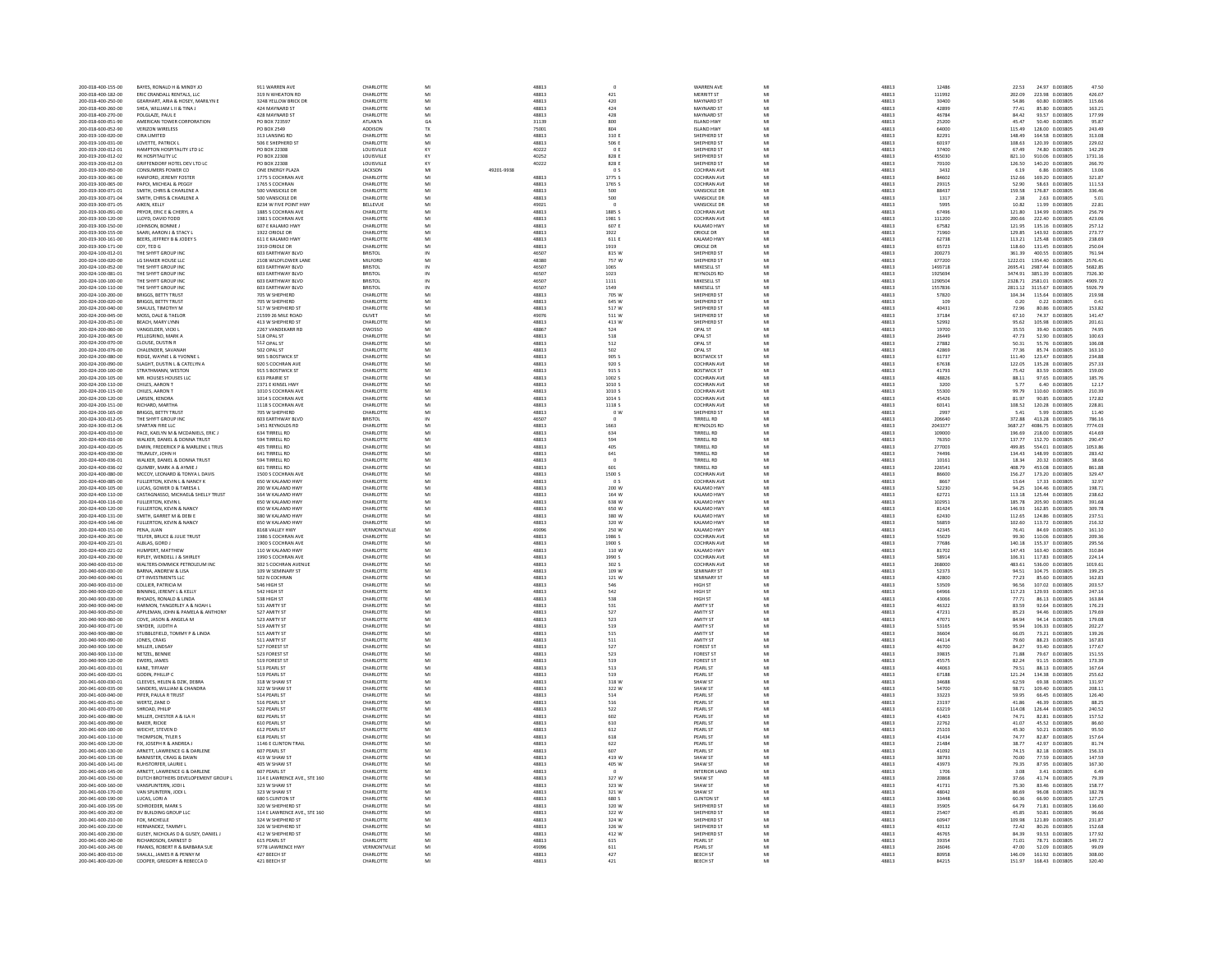|                                          | BAYES, RONALD H & MINDY JO                               | 911 WARREN AVE                               | CHARLOTTE                     | MI       |            | 48813          |                                           | WARREN AVE                | MI       | 48813<br>12486                   | 22.53            | 24.97 0.003805                                                        | 47.50            |
|------------------------------------------|----------------------------------------------------------|----------------------------------------------|-------------------------------|----------|------------|----------------|-------------------------------------------|---------------------------|----------|----------------------------------|------------------|-----------------------------------------------------------------------|------------------|
| 200-018-400-182-00                       | ERIC CRANDALL RENTALS. LLC                               | 319 N WHEATON RD                             | CHARLOTTE                     | MI       |            | 48813          | 421                                       | MERRITT ST                | MI       | 48813<br>111992                  | 202.09           | 223.98 0.003805                                                       | 426.07           |
| 200-018-400-250-00                       | GEARHART, ARIA & HOSEY, MARILYN I                        | 3248 YELLOW BRICK DF                         | CHARLOTTE                     |          |            | 48813          | 420                                       | MAYNARD ST                | MI       | 48813<br>30400                   | 54.86            | 60.80 0.003805                                                        | 115.66           |
| 200-018-400-260-00                       | SHEA, WILLIAM L II & TINA J                              | 424 MAYNARD ST                               | <b>CHARLOTTE</b>              | MI       |            | 48813          | 424                                       | MAYNARD ST                | MI       | 48813<br>42899                   | 77.41            | 85.80 0.003805                                                        | 163.21           |
| 200-018-400-270-00                       | POLGLAZE, PAUL E                                         | 428 MAYNARD ST                               | CHARLOTTE                     | MI       |            | 48813          | 428                                       | MAYNARD ST                | MI       | 48813<br>46784                   | 84.42            | 93.57 0.003805                                                        | 177.99           |
| 200-018-600-051-90                       | AMERICAN TOWER CORPORATION                               | PO BOX 723597                                | ATI ANTA                      | GA       |            | 31139          | 800                                       | <b>ISLAND HWY</b>         | MI       | 48813<br>25200                   | 45.47            | 50.40 0.003805                                                        | 95.87            |
| 200-018-600-052-90                       | <b>VERIZON WIRELESS</b>                                  | PO BOX 2549                                  | ADDISON                       | TX       |            | 75001          | 804                                       | <b>ISLAND HWY</b>         | MI       | 48813<br>64000                   | 115.49           | 128.00 0.003805                                                       | 243.49           |
| 200-019-100-020-00                       | CIRA LIMITED                                             | 313 LANSING RD                               | CHARLOTTE                     |          |            | 48813          | 3101                                      | SHEPHERD ST               | MI       | 48813<br>82291                   | 148.49           | 164.58 0.003805                                                       | 313.08           |
| 200-019-100-031-00                       | LOVETTE PATRICK I                                        | <b>506 E SHEPHERD ST</b>                     | <b>CHARLOTTE</b>              | MI       |            | 48813          | <b>SO6 E</b>                              | SHEPHERD ST               | MI       | 48813<br>60197                   | 108.63           | 120.39 0.003805                                                       | 229.02           |
| 200-019-200-012-01                       | HAMPTON HOSPITALITY LTD LC                               | PO BOX 22308                                 | LOUISVILLE                    | KY       |            | 40222          | 0 E                                       | SHEPHERD ST               | MI       | 37400<br>48813                   | 67.49            | 74.80 0.003805                                                        | 142.29           |
| 200-019-200-012-02                       | RK HOSPITALITY LC                                        | PO BOX 22308                                 | LOUISVILLE                    |          |            | 40252          | 828                                       | SHEPHERD ST               | MI       | 48813<br>455030                  | 821.10           | 910.06 0.003805                                                       | 1731.16          |
| 200-019-200-012-03                       | GRIFFFNDORF HOTEL DEV LTD LC                             | <b>PO BOX 22308</b>                          | <b>LOUISVILLE</b>             |          |            | 40222          | 828 F                                     | SHEPHERD ST               | MI       | 48813<br>70100                   | 126.50           | 140.20 0.003805                                                       | 266.70           |
| 200-019-300-050-00                       | CONSUMERS POWER CO                                       | ONE ENERGY PLAZA                             | <b>JACKSON</b>                |          | 49201-9938 |                | 0S                                        | COCHRAN AVE               | MI       | 48813                            | 3432<br>6.19     | 6.86 0.003805                                                         | 13.06            |
| 200-019-300-061-00                       | HANFORD IFREMY FOSTER                                    | 1775 S COCHRAN AVE                           | CHARLOTTE                     | MI       |            | 48813          | 1775.5                                    | <b>COCHRAN AVE</b>        | MI       | 48813<br>84602                   | 152.66           | 169.20 0.003805                                                       | 321.87           |
| 200-019-300-065-00                       | PAPOI, MICHEAL & PEGGY                                   | 1765 S COCHRAN                               | CHARLOTTE                     | MI       |            | 48813          | 1765 S                                    | <b>COCHRAN AVE</b>        | MI       | 48813<br>29315                   | 52.90            | 58.63 0.003805                                                        | 111.53           |
| 200-019-300-071-01                       | SMITH, CHRIS & CHARLENE                                  | 500 VANSICKLE DR                             | CHARLOTTE                     | M        |            | 48813          | 500                                       | VANSICKLE DF              | MI       | 48813<br>88437                   | 159.58           | 176.87 0.003805                                                       | 336.46           |
| 200-019-300-071-04                       | SMITH, CHRIS & CHARLENE A                                | 500 VANSICKLE DR                             | <b>CHARLOTTE</b>              | MI       |            | 48813          | 500                                       | VANSICKLE DR              | MI       | 48813<br>1317                    | 2.38             | 2.63 0.003805                                                         | 5.01             |
| 200-019-300-071-05                       | AIKEN, KELLY                                             | 8234 W FIVE POINT HWY                        | BELLEVUE                      | MI       |            | 49021          |                                           | VANSICKLE DF              | MI       | 48813                            | 5995<br>10.82    | 11.99 0.003805                                                        | 22.81            |
| 200-019-300-091-00                       | PRYOR, ERIC E & CHERYL A                                 | 1885 S COCHRAN AVE                           | CHARLOTTE                     | MI       |            | 48813          | 1885.5                                    | COCHRAN AVE               | MI       | 48813<br>67496                   | 121.80           | 134.99 0.003805                                                       | 256.79           |
| 200-019-300-120-00                       | LLOYD, DAVID TODD                                        | 1981 S COCHRAN AVE                           | CHARLOTTE                     | MI       |            | 48813          | 1981 S                                    | COCHRAN AVE               | MI       | 111200<br>48813                  | 200.66           | 222.40 0.003805                                                       | 423.06           |
| 200-019-300-150-00                       | <b>JOHNSON, BONNIE.</b>                                  | 607 E KALAMO HW                              | CHARLOTTE                     |          |            | 48813          | 6071                                      | KALAMO HW                 | MI       | 48813<br>67582                   | 121.95           | 135.16 0.003805                                                       | 257.12           |
| 200-019-300-155-00                       | SAARI, AARON J & STACY L                                 | 1922 ORIOLE DR                               | <b>CHARLOTTE</b>              | MI       |            | 48813          | 1922                                      | ORIOLE DR                 | MI       | 48813<br>71960                   | 129.85           | 143.92 0.003805                                                       | 273.77           |
| 200-019-300-161-00                       | BEERS, JEFFREY B & JODEY S                               | 611 E KALAMO HW                              | CHARLOTTE                     | MI       |            | 48813          | 611 E                                     | KALAMO HWY                | MI       | 62738<br>48813                   | 113.21           | 125.48 0.003805                                                       | 238.69           |
| 200-019-300-171-00                       | COY, TED G                                               | 1919 ORIOLE DR                               | CHARLOTTE                     |          |            | 48813          | 1919                                      | ORIOLE DR                 | MI       | 65723<br>48813                   | 118.60           | 131.45 0.003805                                                       | 250.04           |
| 200-024-100-012-01                       | THE SHYFT GROUP INC                                      | 603 EARTHWAY BLVD                            | <b>BRISTOL</b>                | IN       |            | 46507          | 815 W                                     | SHEPHERD ST               | MI       | 48813<br>200273                  | 361.39           | 400.55 0.003805                                                       | 761.94           |
| 200-024-100-020-00                       | LG SHAKER HOUSE LLC                                      | 2108 WILDFLOWER LANE                         | MILFORD                       |          |            | 48380          | 757 W                                     | SHEPHERD ST               | MI       | 48813<br>677200                  | 1222.01          | 1354.40 0.003805                                                      | 2576.41          |
| 200-024-100-052-00                       | THE SHYET GROUP IN                                       | 603 FARTHWAY RIVD                            | RRISTOL                       | IN       |            | 46507          | 2801                                      | MIKESELL ST               | MI       | 48813<br>1493718                 | 2695.41          | 2987 44 0.003805                                                      | 5682.85          |
| 200-024-100-081-01                       | THE SHYFT GROUP IN                                       | 603 EARTHWAY BLVD                            | <b>BRISTOL</b>                | IN       |            | 46507          | 1023                                      | <b>REYNOLDS RD</b>        | MI       | 1925694<br>48813                 | 3474.91          | 3851.39 0.003805                                                      | 7326.30          |
| 200-024-100-100-00                       | THE SHYFT GROUP IN                                       | 603 EARTHWAY BLVD                            | BRISTOL                       |          |            | 46507          | 1111                                      | MIKESELL ST               | MI       | 48813<br>1290504                 | 2328.71          | 2581.01 0.003805                                                      | 4909.72          |
| 200-024-100-110-00                       | THE SHYET GROUP IN                                       | 603 FARTHWAY RIVD                            | RRISTOL                       | IN       |            | 46507          | 1549                                      | MIKESELL ST               | MI       | 48813<br>1557836                 | 281112           | 3115.67 0.003805                                                      | 5926.79          |
| 200-024-100-200-00                       | <b>BRIGGS, BETTY TRUS</b>                                | 705 W SHEPHERD                               | CHARLOTTE                     |          |            | 48813          | 705 W                                     | SHEPHERD ST               | MI       | 48813<br>57820                   | 104.34           | 115.64 0.003805                                                       | 219.98           |
| 200-024-200-020-00                       | <b>BRIGGS, BETTY TRUST</b>                               | 705 W SHEPHERD                               | <b>CHARLOTTE</b>              | MI       |            | 48813          | 645 W                                     | SHEPHERD ST               | MI       | 48813                            | 0.20<br>109      | 0.22 0.003805                                                         | 0.41             |
| 200-024-200-040-00                       | SHAULIS, TIMOTHY M                                       | 517 W SHEPHERD ST                            | CHARLOTTE                     | MI       |            | 48813          | 517 W                                     | SHEPHERD ST               | MI       | 40431<br>48813                   | 72.96            | 80.86 0.003805                                                        | 153.82           |
| 200-024-200-045-00                       | MOSS, DALE & TAELO                                       | 21599 26 MILE ROAD                           | OLIVET                        |          |            | 49076          | 511 W                                     | SHEPHERD ST               | MI       | 48813<br>37184                   | 67.10            | 74.37 0.003805                                                        | 141.47           |
| 200-024-200-051-00                       | <b>REACH MARY LYNN</b>                                   | 413 W SHEPHERD ST                            | CHARLOTTE                     | MI       |            | 48813          | 413 W                                     | SHEPHERD ST               | MI       | 48813<br>52992                   | 95.62            | 105.98 0.003805                                                       | 201.61           |
| 200-024-200-060-00                       | VANGELDER, VICKI L                                       | 2267 VANDEKARR RD                            | OWOSSO                        | MI       |            | 48867          | 524                                       | OPAL ST                   | MI       | 48813<br>19700                   | 35.55            | 39.40 0.003805                                                        | 74.95            |
| 200-024-200-065-00                       | PELLEGRINO, MARK.                                        | 518 OPAL ST                                  | CHARLOTTI                     | MI       |            | 48813          |                                           | OPAL ST                   | MI       | 48813<br>26449                   | 47.73            | 52.90 0.003805                                                        | 100.63           |
| 200-024-200-070-00                       | CLOUSE, DUSTIN R                                         | 512 OPAL ST                                  | CHARLOTTE                     | MI       |            | 48813          | $\begin{array}{c} 518 \\ 512 \end{array}$ | <b>OPAL ST</b>            | MI       | 48813<br>27882                   | 50.31            | 55.76 0.003805                                                        | 106.08           |
| 200-024-200-076-00                       | CHALENDER, SAVANAI                                       | 502 OPAL ST                                  | CHARLOTTE                     | M        |            | 48813          | 502                                       | OPAL ST                   | MI       | 48813<br>42869                   | 77.36            | 85.74 0.003805                                                        | 163.10           |
| 200-024-200-080-00                       | RIDGE WAYNEL & YVONNEL                                   | 905 S BOSTWICK ST                            | CHARLOTTE                     | MI       |            | 48813          | 905.5                                     | <b>ROSTWICK ST</b>        | MI       | 48813<br>61737                   | 111.40           | 123.47 0.003805                                                       | 234.88           |
| 200-024-200-090-00                       | SLAGHT, DUSTIN L & CATELYN A                             | 920 S COCHRAN AVE                            | CHARLOTTE                     | MI       |            | 48813          | 920 S                                     | <b>COCHRAN AVE</b>        | MI       | 48813<br>67638                   | 122.05           | 135.28 0.003805                                                       | 257.33           |
| 200-024-200-100-00                       | STRATHMANN, WESTON                                       | 915 S BOSTWICK ST                            | CHARLOTTE                     | MI       |            | 48813          | 915 S                                     | <b>BOSTWICK ST</b>        | MI       | 48813<br>41793                   | 75.42            | 83.59 0.003805                                                        | 159.00           |
| 200-024-200-105-00                       | MR. HOUSES HOUSES LLC                                    | 633 PRAIRIE ST                               | CHARLOTTE                     | MI       |            | 48813          | 1002 S                                    | <b>COCHRAN AVE</b>        | MI       | 48813<br>48826                   | 88.11            | 97.65 0.003805                                                        | 185.76           |
| 200-024-200-110-00                       | CHILES, AARON 1                                          | 2371 E KINSEL HWY                            | CHARLOTTE                     |          |            | 48813          | 1010 S                                    | COCHRAN AVI               | MI       | 48813                            | 3200<br>5.77     | 6.40 0.003805                                                         | 12.17            |
| 200-024-200-115-00                       | CHILES AARON T                                           | 1010 S COCHRAN AVE                           | <b>CHARLOTTE</b>              | MI       |            | 48813          | 1010.5                                    | COCHRAN AVE               | MI       | 48813<br>55300                   | 99.79            | 110.60 0.003805                                                       | 210.39           |
| 200-024-200-120-00                       | LARSEN, KENDRA                                           | 1014 S COCHRAN AVE                           | CHARLOTTE                     | MI       |            | 48813          | 1014 S                                    | COCHRAN AVE               | MI       | 48813<br>45426                   | 81.97            | 90.85 0.003805                                                        | 172.82           |
| 200-024-200-151-00                       | RICHARD, MARTHA                                          | 1118 S COCHRAN AVE                           | CHARLOTTE                     | MI       |            | 48813          | 1118 S                                    | COCHRAN AVI               | MI       | 48813<br>60141                   | 108.52           | 120.28 0.003805                                                       | 228.81           |
| 200-024-200-165-00                       | <b>BRIGGS, BETTY TRUST</b>                               | 705 W SHEPHERD                               | CHARLOTTE                     | MI       |            | 48813          | 0 W                                       | SHEPHERD ST               | MI       | 48813                            | 2997<br>5.41     | 5.99 0.003805                                                         | 11.40            |
| 200-024-300-012-05                       | THE SHYFT GROUP INC                                      | 603 EARTHWAY BLVD                            | <b>BRISTOL</b>                |          |            | 46507          |                                           | <b>TIRRELL RD</b>         | MI       | 48813<br>206640                  | 372.88           | 413.28 0.003805                                                       | 786.16           |
| 200-024-300-012-06                       | SPARTAN FIRE LLC                                         | 1451 REYNOLDS RD                             | <b>CHARLOTTE</b>              | MI       |            | 48813          | 1663                                      | REYNOLDS RD               | MI       | 48813<br>2043377                 | 3687.27          | 4086.75 0.003805                                                      | 7774.03          |
| 200-024-400-010-00                       | PACE, KAELYN M & MCDANIELS, ERIC.                        | 634 TIRRELL RD                               | CHARLOTTE                     | MI       |            | 48813          | 634                                       | <b>TIRRELL RD</b>         | MI       | 48813<br>109000                  | 196.69           | 218.00 0.003805                                                       | 414.69           |
| 200-024-400-016-00                       | WALKER, DANIEL & DONNA TRUST                             | 594 TIRRELL RD                               | CHARLOTTE                     | MI       |            | 48813          | 594                                       | <b>TIRRELL RD</b>         | MI       | 48813<br>76350                   | 137.77           | 152.70 0.003805                                                       | 290.47           |
| 200-024-400-020-05                       | DARIN, FREDERICK P & MARLENE L TRUS                      | 405 TIRRELL RD                               | CHARLOTTE                     | MI       |            | 48813          | 405                                       | <b>TIRRELL RD</b>         | MI       | 48813<br>277003                  | 499.85           | 554.01 0.003805                                                       | 1053.86          |
| 200-024-400-030-00                       | TRUMLEY, JOHN H                                          | 641 TIRRELL RD                               | CHARLOTTE                     | MI       |            | 48813          | 641                                       | <b>TIRRELL RD</b>         | MI       | 48813<br>74496                   | 134.43           | 148.99 0.003805                                                       | 283.42           |
| 200-024-400-036-01                       |                                                          | 594 TIRRELL RD                               | CHARLOTTE                     | MI       |            |                |                                           | <b>TIRRELL RD</b>         | M        | 10161<br>48813                   | 18.34            | $20.32 \quad 0.003805$                                                |                  |
| 200-024-400-036-02                       | WALKER, DANIEL & DONNA TRUST<br>QUIMBY, MARK A & AYMIE J | 601 TIRRELL RD                               | CHARLOTTE                     | MI       |            | 48813<br>48813 | 601                                       | <b>TIRRELL RD</b>         | MI       | 48813<br>226541                  | 408.79           | 453.08 0.003805                                                       | 38.66<br>861.88  |
| 200-024-400-080-00                       | MCCOY, LEONARD & TONYA L DAVIS                           | 1500 S COCHRAN AVE                           | CHARLOTTE                     | M        |            | 48813          | 1500 S                                    | COCHRAN AVI               | MI       | 48813<br>86600                   | 156.27           | 173.20 0.003805                                                       | 329.47           |
| 200-024-400-085-00                       | FULLERTON, KEVIN L & NANCY K                             | 650 W KALAMO HWY                             | CHARLOTTE                     | MI       |            | 48813          | 0S                                        | COCHRAN AVE               | MI       | 48813                            | 8667<br>15.64    | 17.33 0.003805                                                        | 32.97            |
| 200-024-400-105-00                       | LUCAS, GOWER D & TARESA L                                | 200 W KALAMO HW                              | CHARLOTTE                     | MI       |            | 48813          | 200 W                                     | KALAMO HWY                | MI       | 48813                            | 52230<br>94.25   | 104.46 0.003805                                                       | 198.71           |
| 200-024-400-110-00                       | CASTAGNASSO, MICHAEL& SHELLY TRUST                       | 164 W KALAMO HW                              | CHARLOTTE                     | MI       |            | 48813          | 164 W                                     | KALAMO HWY                | MI       | 48813<br>62721                   | 113.18           | 125.44 0.003805                                                       | 238.62           |
| 200-024-400-116-00                       | <b>FULLERTON, KEVIN L</b>                                | 650 W KALAMO HWY                             | CHARLOTTE                     | MI       |            | 48813          | 638 W                                     | KALAMO HWY                | MI       | 48813<br>102951                  | 185.78           | 205.90 0.003805                                                       | 391.68           |
| 200-024-400-120-00                       | FULLERTON, KEVIN & NANC                                  | 650 W KALAMO HWY                             | CHARLOTTE                     | MI       |            | 48813          | 650 W                                     | KALAMO HWY                | MI       | 48813<br>81424                   | 146.93           | 162.85 0.003805                                                       | 309.78           |
| 200-024-400-131-00                       | SMITH, GARRET M & DEBI E                                 | 380 W KALAMO HWY                             | CHARLOTTE                     | MI       |            | 48813          | 380 W                                     | KALAMO HWY                | MI       | 48813<br>62430                   | 112.65           | 124.86 0.003805                                                       | 237.51           |
| 200-024-400-146-00                       | FULLERTON, KEVIN & NANCY                                 | 650 W KALAMO HW                              | CHARLOTTE                     | MI       |            | 48813          | 320 W                                     | KALAMO HWY                | MI       | 48813<br>56859                   | 102.60           | 113.72 0.003805                                                       | 216.32           |
| 200-024-400-151-00                       | PENA, JUAN                                               | 8168 VALLEY HWY                              | VERMONTVILL                   | M        |            | 49096          | 250 W                                     | KALAMO HWY                | MI       | 48813                            | 42345<br>76.41   | 84.69 0.003805                                                        | 161.10           |
| 200-024-400-201-00                       | TELFER, BRUCE & JULIE TRUST                              | 1986 S COCHRAN AVE                           | CHARLOTTE                     | MI       |            | 48813          | 1986 S                                    | <b>COCHRAN AVE</b>        | MI       | 48813<br>55029                   | 99.30            | 110.06 0.003805                                                       | 209.36           |
| 200-024-400-221-01                       | ALBLAS, GORD J                                           | 1900 S COCHRAN AVE                           | CHARLOTTE                     | MI       |            | 48813          | 1900 S                                    | COCHRAN AVE               | MI       | 48813<br>77686                   | 140.18           | 155.37 0.003805                                                       | 295.56           |
| 200-024-400-221-02                       | HUMPERT, MATTHEW                                         | 110 W KALAMO HWY                             | CHARLOTTE                     | MI       |            | 48813          | 110 W                                     | KALAMO HWY                | MI       | 81702<br>58914<br>48813          | 147.43           | $\begin{array}{r} 163.40 & 0.003805 \\ 117.83 & 0.003805 \end{array}$ | 310.84<br>224.14 |
| 200-024-400-230-00                       | RIPLEY, WENDELL J & SHIRLEY                              |                                              |                               | MI       |            | 48813          | 1990 S                                    | COCHRAN AVE               | MI       | 48813                            | 106.31           |                                                                       |                  |
| 200-040-600-010-00                       | WALTERS-DIMMICK PETROLEUM INC                            | 1990 S COCHRAN AVE                           | CHARLOTTE                     |          |            | 48813          |                                           |                           |          |                                  | 268000<br>483.61 | 536.00 0.003805                                                       | 1019.61          |
| 200-040-600-030-00                       |                                                          | 302 S COCHRAN AVENUE                         | <b>CHARLOTTE</b>              | MI       |            |                | 302S                                      | COCHRAN AVE               | MI       | 48813                            |                  |                                                                       | 199.25           |
|                                          | BARNA, ANDREW & LISA                                     | 109 W SEMINARY ST                            | CHARLOTTE                     | MI       |            | 48813          | 109 W                                     | <b>SEMINARY ST</b>        | MI       | 48813<br>52373                   | 94.51            | 104.75 0.003805                                                       |                  |
| 200-040-600-040-01                       | CFT INVESTMENTS LLC                                      | 502 N COCHRAN                                | CHARLOTTE                     | MI       |            | 48813          | 121 W                                     | SEMINARY ST               | MI       | 48813                            | 42800<br>77.23   | 85.60 0.003805                                                        | 162.83           |
| 200-040-900-010-00                       | COLLIER, PATRICIA M                                      | 546 HIGH ST                                  | CHARLOTTE                     | MI       |            | 48813          | 546                                       | HIGH ST                   | MI       | 48813<br>53509                   | 96.56            | 107.02 0.003805                                                       | 203.57           |
| 200-040-900-020-00                       | BINNING, JEREMY L & KELLY                                | 542 HIGH ST                                  | CHARLOTTE                     | MI       |            | 48813          | 542                                       | <b>HIGH ST</b>            | MI       | 48813<br>64966                   | 117.23           | 129.93 0.003805                                                       | 247.16           |
| 200-040-900-030-00                       | RHOADS, RONALD & LINDA                                   | 538 HIGH ST                                  | CHARLOTTE                     | M        |            | 48813          | 538                                       | HIGH ST                   | MI       | 48813<br>43066                   | 77.71            | 86.13 0.003805                                                        | 163.84           |
| 200-040-900-040-00                       | HARMON, TANGERLEY A & NOAH L                             | 531 AMITY ST                                 | CHARLOTTE                     | MI       |            | 48813          | 531                                       | AMITY ST                  | MI       | 48813<br>46322                   | 83.59            | 92.64 0.003805                                                        | 176.23           |
| 200-040-900-050-00                       | APPLEMAN, JOHN & PAMELA & ANTHONY                        | 527 AMITY ST                                 | CHARLOTTE                     | MI       |            | 48813          | 527                                       | AMITY ST                  | MI       | 48813<br>47231                   | 85.23            | 94.46 0.003805                                                        | 179.69           |
| 200-040-900-060-00                       | COVE, JASON & ANGELA M                                   | 523 AMITY ST                                 | CHARLOTTE                     | MI       |            | 48813          | 523                                       | AMITY ST                  | MI       | 48813<br>47071                   | 84.94            | 94.14 0.003805                                                        | 179.08           |
| 200-040-900-071-00                       | SNYDER, JUDITH A                                         | 519 AMITY ST                                 | CHARLOTTE                     | MI       |            | 48813          | 519                                       | AMITY ST                  | MI       | 48813<br>53165                   | 95.94            | 106.33 0.003805                                                       | 202.27           |
| 200-040-900-080-00                       | STUBBLEFIELD, TOMMY P & LINDA                            | 515 AMITY ST                                 | CHARLOTTE                     |          |            | 48813          | $515\,$                                   | AMITY ST                  |          | 48813<br>36604                   | 66.05            | 73.21 0.003805                                                        | 139.26           |
| 200-040-900-090-00                       | JONES, CRAIG                                             | 511 AMITY ST                                 | CHARLOTTE                     | MI       |            | 48813          | 511                                       | AMITY ST                  | MI       | 48813<br>44114                   | 79.60            | 88.23 0.003805                                                        | 167.83           |
| 200-040-900-100-00                       | MILLER, LINDSAY                                          | 527 FOREST ST                                | CHARLOTTE                     | MI       |            | 48813          | 527                                       | <b>FOREST ST</b>          | MI       | 48813                            | 46700<br>84.27   | 93.40 0.003805                                                        | 177.67           |
| 200-040-900-110-00                       | NETZEL, BENNIE                                           | 523 FOREST ST                                | CHARLOTTE                     | MI       |            | 48813          | ${\sf s} {\sf z} {\sf s}$                 | FOREST ST                 | MI       | 48813<br>39835                   | 71.88            | 79.67 0.003805                                                        | 151.55           |
| 200-040-900-120-00                       | <b>EWERS, JAMES</b>                                      | 519 FOREST ST                                | CHARLOTTE                     | MI       |            | 48813          | 519                                       | <b>FOREST ST</b>          | MI       | 48813<br>45575                   | 82.24            | 91.15 0.003805                                                        | 173.39           |
| 200-041-600-010-01                       | KANE, TIFFAN'                                            | 513 PEARL ST                                 | CHARLOTTE                     | M        |            | 48813          | ${\sf s}_{13}$                            | PEARL ST                  | MI       | 48813                            | 44063<br>79.51   | 88.13 0.003805                                                        | 167.64           |
| 200-041-600-020-01                       | GODIN PHILLIP O                                          | <b>S19 PEARL ST</b>                          | CHARLOTTE                     | MI       |            | 48813          | 519                                       | PEARL ST                  | MI       | 48813<br>67188                   | 121.24           | 134.38 0.003805                                                       | 255.62           |
| 200-041-600-030-01                       | CLEEVES, HELEN & DZIK, DEBRA                             | 318 W SHAW ST                                | CHARLOTTE                     | MI       |            | 48813          | 318 W                                     | <b>SHAW ST</b>            | MI       | 48813<br>34688                   | 62.59            | 69.38 0.003805                                                        | 131.97           |
| 200-041-600-035-00                       | SANDERS, WILLIAM & CHANDRA                               | 322 W SHAW ST                                | CHARLOTTE                     | MI       |            | 48813          | 322 W                                     | SHAW ST                   | MI       | 48813<br>54700                   | 98.71            | 109.40 0.003805                                                       | 208.11           |
| 200-041-600-040-00                       | PIFER, PAULA R TRUST                                     | 514 PEARL ST                                 | CHARLOTTE                     | MI       |            | 48813          | 514                                       | PEARL ST                  | MI       | 48813<br>33223                   | 59.95            | 66.45 0.003805                                                        | 126.40           |
| 200-041-600-051-00                       | WERTZ, ZANE D                                            | 516 PEARL ST                                 | CHARLOTTE                     |          |            | 48813          | ${\sf 516}$                               | PEARL ST                  | MI       | 48813<br>23197                   | 41.86            | 46.39 0.003805                                                        | 88.25            |
| 200-041-600-070-00                       | SHROAD, PHILIP                                           | 522 PEARL ST                                 | CHARLOTTE                     | MI       |            | 48813          | 522                                       | PEARL ST                  | MI       | 48813<br>63219                   | 114.08           | 126.44 0.003805                                                       | 240.52           |
| 200-041-600-080-00                       | MILLER, CHESTER A & ILA H                                | 602 PEARL ST                                 | CHARLOTTE                     | MI       |            | 48813          | 602                                       | PEARL ST                  | MI       | 48813<br>41403                   | 74.71            | 82.81 0.003805                                                        | 157.52           |
| 200-041-600-090-00                       | BAKER, RICKIE                                            | 610 PEARL ST                                 | CHARLOTTE                     |          |            | 48813          | $610\,$                                   | PEARL ST                  | MI       | 48813<br>22762                   | 41.07            | 45.52 0.003805                                                        | 86.60            |
| 200-041-600-100-00                       | WEICHT, STEVEN D                                         | 612 PEARL ST                                 | CHARLOTTE                     | MI       |            | 48813          | 612                                       | PEARL ST                  | MI       | 48813<br>25103                   | 45.30            | 50.21 0.003805                                                        | 95.50            |
| 200-041-600-110-00                       | THOMPSON, TYLER S                                        | 618 PEARL ST                                 | CHARLOTTE                     | M        |            | 48813          | $_{\rm 618}$                              | PEARL ST                  | MI       | 48813<br>41434                   | 74.77            | 82.87 0.003805                                                        | 157.64           |
| 200-041-600-120-00<br>200-041-600-130-00 | FIX, JOSEPH R & ANDREA J<br>ARNETT. LAWRENCE G & DARLENE | 1146 E CLINTON TRAIL<br>607 PEARL ST         | <b>CHARLOTTE</b><br>CHARLOTTE | MI<br>MI |            | 48813<br>48813 | 622<br>607                                | PEARL ST<br>PEARL ST      | MI<br>MI | 48813<br>21484<br>48813<br>41092 | 38.77<br>74.15   | 42.97 0.003805<br>82.18 0.003805                                      | 81.74<br>156.33  |
|                                          |                                                          |                                              |                               |          |            |                |                                           |                           |          |                                  |                  |                                                                       |                  |
| 200-041-600-135-00<br>200-041-600-141-00 | BANNISTER, CRAIG & DAWN<br><b>RUHSTORFFR LAURIEL</b>     | 419 W SHAW ST<br>405 W SHAW ST               | CHARLOTTE<br><b>CHARLOTTE</b> | MI       |            | 48813<br>48813 | 419 W<br>405 W                            | <b>SHAW ST</b><br>SHAW ST | MI<br>MI | 48813<br>38793<br>48813<br>43973 | 70.00<br>79.35   | 77.59 0.003805<br>87.95 0.003805                                      | 147.59<br>167.30 |
|                                          | ARNETT, LAWRENCE G & DARLENE                             |                                              | CHARLOTTE                     |          |            |                |                                           | INTERIOR LAND             | MI       | 48813<br>1706                    | 3.08             | 3.41 0.003805                                                         |                  |
| 200-041-600-145-00<br>200-041-600-150-00 | DUTCH BROTHERS DEVELOPEMENT GROUP L                      | 607 PEARL ST<br>114 E LAWRENCE AVE., STE 160 | CHARLOTTE                     | MI       |            | 48813<br>48813 | 327 W                                     | <b>SHAW ST</b>            | MI       | 48813<br>20868                   | 37.66            | 41.74 0.003805                                                        | 6.49             |
| 200-041-600-160-00                       | VANSPLINTERN, JODI L                                     | 323 W SHAW ST                                | CHARLOTTE                     | MI       |            | 48813          | 323 W                                     | SHAW ST                   | MI       | 41731<br>48813                   | 75.30            | 83.46 0.003805                                                        | 79.39<br>158.77  |
| 200-041-600-170-00                       | VAN SPLINTERN, JODI I                                    | 323 W SHAW ST                                | CHARLOTTE                     |          |            | 48813          | 321 W                                     | <b>SHAW ST</b>            | MI       | 48813<br>48042                   | 86.69            | 96.08 0.003805                                                        | 182.78           |
| 200-041-600-190-00                       | LUCAS, LORI A                                            | 680 S CLINTON ST                             | <b>CHARLOTTE</b>              | MI       |            | 48813          | 680.5                                     | CLINTON ST                | MI       | 48813<br>33448                   | 60.36            | 66.90 0.003805                                                        | 127.25           |
| 200-041-600-195-00                       | SCHROEDER, MARK !                                        | 320 W SHEPHERD ST                            | CHARLOTTE                     | MI       |            | 48813          | 320 W                                     | SHEPHERD ST               | MI       | 48813<br>35905                   | 64.79            | 71.81 0.003805                                                        | 136.60           |
| 200-041-600-202-00                       | DV BUILDING GROUP LLC                                    | 114 E LAWRENCE AVE., STE 160                 | CHARLOTTE                     | MI       |            | 48813          | 322 W                                     | SHEPHERD ST               | MI       | 48813<br>25407                   | 45.85            | 50.81 0.003805                                                        | 96.66            |
| 200-041-600-210-00                       | FOX. MICHELLE                                            | 324 W SHEPHERD ST                            | CHARLOTTE                     | MI       |            | 48813          | 324 W                                     | SHEPHERD ST               | MI       | 48813<br>60947                   | 109.98           | 121.89 0.003805                                                       | 231.87           |
| 200-041-600-220-00                       | HERNANDEZ, TAMMY I                                       | 326 W SHEPHERD ST                            | CHARLOTTE                     |          |            | 48813          | 326 W                                     | SHEPHERD ST               |          | 48813<br>40132                   | 72.42            | 80.26 0.003805                                                        | 152.68           |
| 200-041-600-230-00                       | GUSEY, NICHOLAS D & GUSEY, DANIEL J                      | 412 W SHEPHERD ST                            | <b>CHARLOTTE</b>              | MI       |            | 48813          | 412 W                                     | SHEPHERD ST               | MI       | 48813<br>46765                   | 84 39            | 93.53 0.003805                                                        | 177 92           |
| 200-041-600-240-00                       | RICHARDSON, EARNEST D                                    | <b>615 PEARL ST</b>                          | CHARLOTTE                     | MI       |            | 48813          | 615                                       | PEARL ST                  | MI       | 48813<br>39354                   | 71.01            | 78.71 0.003805                                                        | 149.72           |
| 200-041-600-245-00                       | FRANKS, ROBERT R & BARBARA SUE                           | 9778 LAWRENCE HW                             | VERMONTVILLI                  |          |            | 49096          | 611                                       | PEARL ST                  |          | 48813<br>26046                   | 47.00            | 52.09 0.003805                                                        | 99.09            |
| 200-041-800-010-00                       | SHALLL LAMES R & PENNY M                                 | 427 REFCH ST                                 | <b>CHARLOTTE</b>              | MI       |            | 48813          | 427                                       | <b>REFCH ST</b>           | MI       | 48813<br>80958                   | 146.09           | 161.92 0.003805                                                       | 308.00           |
| 200-041-800-020-00                       | COOPER, GREGORY & REBECCA D                              | 421 BEECH S                                  | CHARLOTTE                     |          |            | 48813          | 421                                       | <b>BEECH ST</b>           |          |                                  | 151.97           | 168.43 0.003805                                                       |                  |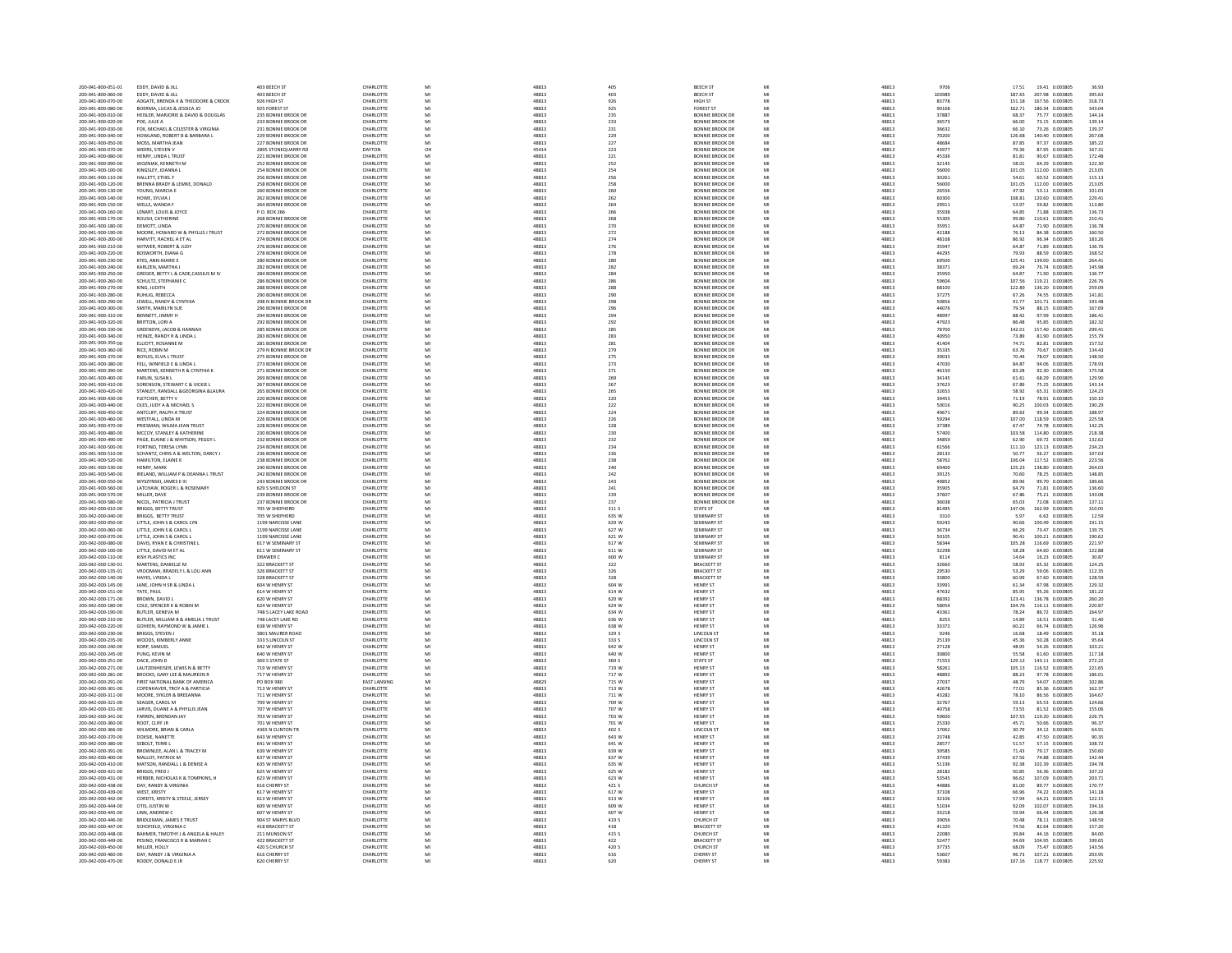| 200-041-800-051-01                       | EDDY, DAVID & JILL                                                | 403 BEECH ST                                 | CHARLOTTI                     | MI             | 48813          | 405            | <b>BEECH ST</b>                                  | MI       | 48813          | 9706           | 19.41 0.003805<br>17.51                                | 36.93            |
|------------------------------------------|-------------------------------------------------------------------|----------------------------------------------|-------------------------------|----------------|----------------|----------------|--------------------------------------------------|----------|----------------|----------------|--------------------------------------------------------|------------------|
| 200-041-800-060-00                       | EDDY, DAVID & JILL                                                | 403 BEECH ST                                 | CHARLOTTE                     | MI             | 48813          | 403            | <b>BEECH ST</b>                                  | MI       | 48813          | 103989         | 187.65<br>207.98 0.003805                              | 395.63           |
| 200-041-800-070-00<br>200-041-800-080-00 | ADGATE, BRENDA K & THEODORE & CROOK<br>BOERMA, LUCAS & JESSICA JO | 926 HIGH ST<br>925 FOREST ST                 | CHARLOTTI<br>CHARLOTTE        | MI<br>MI       | 48813<br>48813 | 926<br>925     | HIGH ST<br><b>FOREST ST</b>                      | MI       | 48813<br>48813 | 83778<br>90168 | 151.18<br>167.56 0.003805<br>162.71<br>180.34 0.003805 | 318.73<br>343.04 |
| 200-041-900-010-00                       | HEISLER, MARJORIE & DAVID & DOUGLAS                               | 235 BONNIE BROOK DR                          | CHARLOTTE                     | MI             | 48813          | 235            | <b>BONNIE BROOK DR</b>                           | MI       | 48813          | 37887          | 68.37<br>75.77 0.003805                                | 144.14           |
| 200-041-900-020-00                       | POE. JULIE A                                                      | 233 BONNIE BROOK DR                          | CHARLOTTE                     | MI             | 48813          | 233            | BONNIE BROOK DI                                  | MI       | 48813          | 36573          | 66.00<br>73.15 0.003805                                | 139.14           |
| 200-041-900-030-00                       | FOX. MICHAEL & CELESTER & VIRGINIA                                | 231 BONNIE BROOK DR                          | CHARLOTTE                     | MI             | 48813          | 231            | BONNIE BROOK DR                                  | MI       | 48813          | 36632          | 66.10<br>73.26 0.003805                                | 139.37           |
| 200-041-900-040-00                       | HOWLAND, ROBERT B & BARBARA L                                     | 229 BONNIE BROOK DI                          | CHARLOTTI                     | MI             | 48813          | 229            | <b>BONNIE BROOK DI</b>                           |          | 48813          | 70200          | 126.68<br>140.40 0.003805                              | 267.08           |
| 200-041-900-050-00                       | MOSS MARTHA IFAN                                                  | 227 BONNIE BROOK DR                          | CHARLOTTE                     | MI             | 48813          | 227            | <b>RONNIE BROOK DR</b>                           | MI       | 48813          | 48684          | 87.85<br>97.37 0.003805                                | 185.22           |
| 200-041-900-070-00                       | WEERS, STEVEN V                                                   | 2895 STONEQUARRY RD                          | DAYTON                        | OH             | 45414          | 223            | <b>BONNIE BROOK DR</b>                           | MI       | 48813          | 43977          | 87.95 0.003805<br>79.36                                | 167.31           |
| 200-041-900-080-00                       | HENRY, LINDA L TRUST                                              | 221 BONNIE BROOK DI                          | CHARLOTTI                     | MI             | 48813          | 221            | <b>BONNIE BROOK DI</b>                           | MI       | 48813          | 45336          | 81.81<br>90.67 0.003805                                | 172.48           |
| 200-041-900-090-00                       | WOZNIAK KENNETH M                                                 | 252 BONNIE BROOK DR                          | CHARLOTTE                     | MI<br>MI       | 48813          | 252            | <b>RONNIE BROOK DR</b>                           | MI       | 48813          | 32145          | 58.01<br>64.29 0.003805                                | 122.30           |
| 200-041-900-100-00<br>200-041-900-110-00 | KINGSLEY, JOANNA L<br>HALLETT FTHELF                              | 254 BONNIE BROOK DR<br>256 BONNIE BROOK DR   | CHARLOTTI<br>CHARLOTTE        | MI             | 48813<br>48813 | 254<br>256     | <b>BONNIE BROOK DI</b><br>BONNIE BROOK DR        | MI       | 48813<br>48813 | 56000<br>30261 | 101.05<br>112.00 0.003805<br>54.61<br>60.52 0.003805   | 213.05<br>115.13 |
| 200-041-900-120-00                       | BRENNA BRADY & LEMKE, DONALD                                      | 258 BONNIE BROOK DR                          | CHARLOTTE                     | MI             | 48813          | 258            | <b>BONNIE BROOK DR</b>                           | MI       | 48813          | 56000          | 101.05<br>112.00 0.003805                              | 213.05           |
| 200-041-900-130-00                       | YOUNG, MARCIA E                                                   | 260 BONNIE BROOK DI                          | CHARLOTTI                     | MI             | 48813          | 260            | <b>BONNIE BROOK DI</b>                           | MI       | 48813          | 26556          | 47.92<br>53.11 0.003805                                | 101.03           |
| 200-041-900-140-00                       | HOWE SYLVIA I                                                     | 262 BONNIE BROOK DR                          | CHARLOTTE                     | MI             | 48813          | 262            | BONNIE BROOK DR                                  | MI       | 48813          | 60300          | 108.81<br>120.60 0.003805                              | 229.41           |
| 200-041-900-150-00                       | WELLS, WANDA F                                                    | 264 BONNIE BROOK DR                          | CHARLOTTE                     | MI             | 48813          | 264            | <b>BONNIE BROOK DR</b>                           | MI       | 48813          | 29911          | 53.97<br>59.82 0.003805                                | 113.80           |
| 200-041-900-160-00                       | <b>I FNART LOUIS &amp; IOYCE</b>                                  | P.O. BOX 266                                 | CHARLOTTE                     | MI             | 48813          | 266            | <b>RONNIE BROOK DR</b>                           | MI       | 48813          | 35938          | 64.85<br>71.88 0.003805                                | 136.73           |
| 200-041-900-170-00                       | ROUSH, CATHERINE                                                  | 268 BONNIE BROOK DI                          | CHARLOTTE                     | MI             | 48813          | 268            | <b>BONNIE BROOK DR</b>                           | MI       | 48813          | 55305          | 110.61 0.003805<br>99.80                               | 210.41           |
| 200-041-900-180-01                       | DEMOTT, LINDA                                                     | 270 BONNIE BROOK DR                          | CHARLOTTI                     | MI             | 48813          | 270            | <b>BONNIE BROOK DI</b>                           | MI       | 48813          | 3595           | 64.87<br>71.90 0.003805                                | 136.78           |
| 200-041-900-190-00                       | MOORE HOWARD W.S. PHYLLIS LTRUST                                  | 272 BONNIE BROOK DR                          | CHARLOTTE                     | MI             | 48813          | 272            | <b>RONNIE BROOK DR</b>                           | MI       | 48813          | 42189          | 76.13<br>84.38 0.003805                                | 160.50           |
| 200-041-900-200-00                       | HARVITT, RACHEL A ET AL                                           | 274 BONNIE BROOK DR                          | CHARLOTTE                     | MI             | 48813          | 274            | <b>BONNIE BROOK DR</b>                           | MI       | 48813          | 48168          | 96.34 0.003805<br>86.92                                | 183.26           |
| 200-041-900-210-00                       | WITWER, ROBERT & JUDY                                             | 276 BONNIE BROOK DR                          | CHARLOTTE                     | M              | 48813          | 276            | BONNIE BROOK DI                                  | MI       | 48813          | 35947          | 64.87<br>71.89 0.003805                                | 136.76           |
| 200-041-900-220-00<br>200-041-900-230-00 | BOSWORTH, DIANA G<br>KYES, ANN-MARIE E                            | 278 BONNIE BROOK DI<br>280 BONNIE BROOK DI   | CHARLOTTE<br>CHARLOTTI        | MI<br>MI       | 48813<br>48813 | 278<br>280     | <b>BONNIE BROOK DR</b><br><b>BONNIE BROOK DI</b> | MI<br>MI | 48813<br>48813 | 44295<br>69500 | 79.93<br>88.59 0.003805<br>125.41<br>139.00 0.003805   | 168.52<br>264.41 |
| 200-041-900-240-00                       | KARI ZEN MARTHA I                                                 | 282 BONNIE BROOK DR                          | CHARLOTTE                     | MI             | 48813          | 282            | BONNIE BROOK DR                                  | MI       | 48813          | 38371          | 69.24<br>76.74 0.003805                                | 145.98           |
| 200-041-900-250-00                       | GREGER, BETTY L & CADE, CASSIUS M IV                              | 284 BONNIE BROOK DR                          | CHARLOTTE                     | MI             | 48813          | 284            | <b>BONNIE BROOK DR</b>                           | MI       | 48813          | 35950          | 64.87<br>71.90 0.003805                                | 136.77           |
| 200-041-900-260-00                       | SCHULTZ, STEPHANIE C                                              | 286 BONNIE BROOK DI                          | CHARLOTTE                     | MI             | 48813          | 286            | <b>BONNIE BROOK DR</b>                           | MI       | 48813          | 59604          | 107.56<br>119.21 0.003805                              | 226.76           |
| 200-041-900-270-00                       | KING, JUDITH                                                      | 288 BONNIE BROOK DR                          | CHARLOTTE                     | MI             | 48813          | 288            | BONNIE BROOK DR                                  | MI       | 48813          | 68100          | 122.89<br>136.20 0.003805                              | 259.09           |
| 200-041-900-280-00                       | RUHLIG, REBECCA                                                   | 290 BONNIE BROOK DI                          | CHARLOTTE                     | M              | 48813          | 290            | <b>BONNIE BROOK DI</b>                           |          | 48813          | 37275          | 74.55 0.003805                                         | 141.81           |
| 200-041-900-290-00                       | IFWELL RANDY & CYNTHIA                                            | 298 N RONNIE BROOK DE                        | CHARLOTTE                     | MI             | 48813          | 298            | BONNIE BROOK DR                                  | MI       | 48813          | 50856          | 91 77<br>101.71 0.003805                               | 193,48           |
| 200-041-900-300-00                       | SMITH, MARILYN SUE                                                | 296 BONNIE BROOK DR                          | CHARLOTTE                     | MI             | 48813          | 296            | <b>BONNIE BROOK DR</b>                           | MI       | 48813          | 44076          | 88.15 0.003805<br>79.54                                | 167.69           |
| 200-041-900-310-00                       | BENNETT, JIMMY H                                                  | 294 BONNIE BROOK DI                          | CHARLOTTI                     | M              | 48813          | 294            | BONNIE BROOK DI                                  | MI       | 48813          | 48997          | 88.42<br>97.99 0.003805                                | 186.41           |
| 200-041-900-320-00                       | BRITTON, LORI A                                                   | 292 BONNIE BROOK DR                          | CHARLOTTE                     | MI             | 48813          | 292            | BONNIE BROOK DR                                  | MI       | 48813          | 47923          | 86.48<br>95.85 0.003805                                | 182.32           |
| 200-041-900-330-00                       | GREENDYK, JACOB & HANNAH                                          | 285 BONNIE BROOK DR                          | CHARLOTTE<br><b>CHARLOTTI</b> | MI             | 48813          | 285            | <b>BONNIE BROOK DR</b>                           | MI<br>MI | 48813          | 78700          | 142.01<br>157.40 0.003805                              | 299.41           |
| 200-041-900-340-00                       | HEINZE, RANDY R & LINDA L<br>ELLIOTT, ROSANNE M                   | 283 BONNIE BROOK DI                          |                               | MI             | 48813          | 283            | <b>BONNIE BROOK DI</b>                           | MI       | 48813          | 40950<br>41404 | 81.90 0.003805<br>73.89<br>74.71                       | 155.79<br>157.52 |
| 200-041-900-350-00                       |                                                                   | 281 BONNIE BROOK DR                          | CHARLOTTE<br>CHARLOTTE        | MI<br>M        | 48813          | 281            | <b>BONNIE BROOK DR</b>                           | MI       | 48813          |                | 82.81 0.003805                                         |                  |
| 200-041-900-360-00<br>200-041-900-370-00 | RICE, ROBIN M<br><b>BOYLES, ELVA L TRUST</b>                      | 279 N BONNIE BROOK DR<br>275 BONNIE BROOK DR | CHARLOTTE                     | MI             | 48813<br>48813 | 279<br>275     | BONNIE BROOK DR<br>BONNIE BROOK DR               | MI       | 48813<br>48813 | 35335<br>39033 | 70.67 0.003805<br>63.76<br>70.44<br>78.07 0.003805     | 134.43<br>148.50 |
| 200-041-900-380-00                       | FELL, WINFIELD E & LINDA L                                        | 273 BONNIE BROOK DR                          | CHARLOTTE                     | MI             | 48813          | 273            | BONNIE BROOK DR                                  | MI       | 48813          | 47030          | 84.87<br>94.06 0.003805                                | 178.93           |
| 200-041-900-390-00                       | MARTENS, KENNETH R & CYNTHIA K                                    | 271 BONNIE BROOK DI                          | CHARLOTTE                     | MI             | 48813          | 271            | <b>BONNIE BROOK DR</b>                           | MI       | 48813          | 46150          | 92.30 0.003805<br>83.28                                | 175.58           |
| 200-041-900-400-00                       | FARLIN, SUSAN L                                                   | 269 BONNIE BROOK DR                          | CHARLOTTE                     | MI             | 48813          | 269            | BONNIE BROOK DR                                  | MI       | 48813          | 34145          | 61.61<br>68.29 0.003805                                | 129.90           |
| 200-041-900-410-00                       | SORENSON, STEWART C & VICKIE L                                    | 267 BONNIE BROOK DR                          | CHARLOTTI                     | MI             | 48813          | 267            | BONNIE BROOK DI                                  | MI       | 48813          | 37623          | 75.25 0.003805<br>67.89                                | 143.14           |
| 200-041-900-420-00                       | STANLEY, RANDALL &GEORGINA &LAURA                                 | 265 BONNIE BROOK DR                          | CHARLOTTE                     | MI             | 48813          | 265            | BONNIE BROOK DR                                  | MI       | 48813          | 32653          | 58.92<br>65.31 0.003805                                | 124.23           |
| 200-041-900-430-00                       | FLETCHER, BETTY V                                                 | 220 BONNIE BROOK DR                          | CHARLOTTE                     | MI             | 48813          | 220            | <b>BONNIE BROOK DR</b>                           | MI       | 48813          | 39453          | 78.91 0.003805<br>71.19                                | 150.10           |
| 200-041-900-440-00                       | OLES, JUDY A & MICHAEL S                                          | 222 BONNIE BROOK DR                          | CHARLOTTE                     | MI             | 48813          | 222            | RONNIE BROOK DE                                  | MI       | 48813          | 50016          | 100.03 0.003805<br>90.25                               | 190.29           |
| 200-041-900-450-00                       | ANTCLIFF, RALPH A TRUST                                           | 224 BONNIE BROOK DR                          | CHARLOTTE                     | MI             | 48813          | 224            | BONNIE BROOK DR                                  | MI       | 48813          | 49671          | 89.63<br>99.34 0.003805                                | 188.97           |
| 200-041-900-460-00                       | WESTFALL, LINDA M                                                 | 226 BONNIE BROOK DI                          | CHARLOTTI                     | M              | 48813          | 226            | BONNIE BROOK DR                                  |          | 48813          | 59294          | 107.00<br>118.59 0.003805                              | 225.58           |
| 200-041-900-470-00                       | PRIESMAN, WILMA JEAN TRUST                                        | 228 BONNIE BROOK DR                          | CHARLOTTE                     | MI             | 48813          | 228            | BONNIE BROOK DR                                  | MI       | 48813          | 37389          | 67.47<br>74.78 0.003805                                | 142.25           |
| 200-041-900-480-00                       | MCCOY, STANLEY & KATHERINE                                        | 230 BONNIE BROOK DR                          | CHARLOTTE                     | MI             | 48813          | 230            | <b>BONNIE BROOK DR</b>                           | MI       | 48813          | 57400          | 103.58<br>114.80 0.003805                              | 218.38           |
| 200-041-900-490-00                       | PAGE, ELAINE J & WHITSON, PEGGY L                                 | 232 BONNIE BROOK DI                          | CHARLOTTE                     | MI             | 48813          | 232            | <b>BONNIE BROOK DR</b>                           | MI       | 48813          | 34859          | 62.90<br>69.72 0.003805                                | 132.62           |
| 200-041-900-500-00<br>200-041-900-510-00 | FORTINO, TERESA LYNN<br>SCHANTZ, CHRIS A & WELTON, DARCY J        | 234 BONNIE BROOK DR<br>236 BONNIE BROOK DI   | CHARLOTTE<br>CHARLOTTE        | MI<br>MI       | 48813<br>48813 | 234<br>236     | BONNIE BROOK DR<br><b>BONNIE BROOK DR</b>        | MI<br>MI | 48813<br>48813 | 61566          | 111.10<br>123.13 0.003805<br>56.27 0.003805            | 234.23<br>107.03 |
| 200-041-900-520-00                       | HAMILTON, ELAINE K                                                | 238 BONNIE BROOK DR                          | CHARLOTTE                     | MI             | 48813          | 238            | <b>RONNIE BROOK DR</b>                           | MI       | 48813          | 28133          | 50.7<br>106.04<br>117.52 0.003805                      | 223.56           |
| 200-041-900-530-00                       | HENRY, MARK                                                       | 240 BONNIE BROOK DE                          | CHARLOTTI                     | $\overline{M}$ | 48813          | 240            | BONNIE BROOK DR                                  | MI       | 48813          | 58762<br>69400 | 125.23<br>138.80 0.003805                              | 264.03           |
| 200-041-900-540-00                       | IRELAND, WILLIAM P & DEANNA L TRUST                               | 242 BONNIE BROOK DI                          | CHARLOTTI                     | MI             | 48813          | 242            | <b>BONNIE BROOK DI</b>                           | MI       | 48813          | 39125          | 78.25 0.003805<br>70.60                                | 148.85           |
| 200-041-900-550-00                       | WYSZYNSKI, JAMES E III                                            | 243 BONNIE BROOK DR                          | CHARLOTTE                     | MI             | 48813          | 243            | BONNIE BROOK DR                                  | MI       | 48813          | 49852          | 89.96<br>99.70 0.003805                                | 189.66           |
| 200-041-900-560-00                       | LATCHAW, ROGER L & ROSEMARY                                       | 629 S SHELDON ST                             | CHARLOTTI                     | MI             | 48813          | 241            | <b>BONNIE BROOK DI</b>                           | MI       | 48813          | 35905          | 64.79<br>71.81 0.003805                                | 136.60           |
| 200-041-900-570-00                       | MILLER, DAVE                                                      | 239 BONNIE BROOK DI                          | CHARLOTTI                     | MI             | 48813          | 239            | BONNIE BROOK DI                                  | MI       | 48813          | 37607          | 67.86<br>75.21 0.003805                                | 143.08           |
| 200-041-900-580-00                       | NICOL, PATRICIA J TRUST                                           | 237 BONNIE BROOK DR                          | CHARLOTTE                     | MI             | 48813          | 237            | BONNIE BROOK DR                                  | MI       | 48813          | 36038          | 65.03<br>72.08 0.003805                                | 137.11           |
| 200-042-000-010-00                       | <b>BRIGGS, BETTY TRUST</b>                                        | 705 W SHEPHERD                               | CHARLOTTI                     |                | 48813          | 311 S          | <b>STATE ST</b>                                  |          | 48813          | 81495          | 147.06<br>162.99 0.003805                              | 310.05           |
| 200-042-000-040-00                       | <b>BRIGGS, BETTY TRUST</b>                                        | 705 W SHEPHERD                               | CHARLOTTE                     | MI             | 48813          | 635 W          | SEMINARY ST                                      | MI       | 48813          | 3310           | 5.97<br>6.62 0.003805                                  | 12.59            |
| 200-042-000-050-00                       | LITTLE, JOHN S & CAROL LYN                                        | 1199 NARCISSE LANE                           | CHARLOTTE                     | MI             | 48813          | 629 W          | <b>SEMINARY ST</b>                               |          | 48813          | 50243          | 90.66<br>100.49 0.003805                               | 191.15           |
| 200-042-000-060-00                       | LITTLE, JOHN S & CAROL L                                          | 1199 NARCISSE LANE                           | CHARLOTTE                     | MI             | 48813          | 627 W          | SEMINARY ST                                      | MI       | 48813          | 36734          | 66.29<br>73.47 0.003805                                | 139.75           |
| 200-042-000-070-00                       | LITTLE, JOHN S & CAROL L                                          | 1199 NARCISSE LANE                           | CHARLOTTE                     | MI             | 48813          | 621 W          | <b>SEMINARY ST</b>                               | MI       | 48813          | 50105          | 90.41<br>100.21 0.003805                               | 190.62           |
| 200-042-000-080-00                       | DAVIS, RYAN E & CHRISTINE                                         | 617 W SEMINARY ST                            | CHARLOTTI                     | MI             | 48813          | 617 W          | <b>SEMINARY ST</b>                               |          | 48813          | 58344          | 105.28<br>116.69 0.00380                               | 221.97           |
| 200-042-000-100-00                       | LITTLE DAVID M ET AL<br>KISH PLASTICS INC                         | 611 W SEMINARY ST<br><b>DRAWER</b> C         | CHARLOTTE<br>CHARLOTTI        | MI<br>MI       | 48813          | 611 W          | SEMINARY ST<br>SEMINARY ST                       | MI       | 48813<br>48813 | 32298<br>8114  | 58.28<br>64.60 0.003805<br>14.6<br>16.23 0.003805      | 122.88<br>30.87  |
| 200-042-000-110-00<br>200-042-000-130-01 | MARTENS DANIELLE M.                                               | 322 BRACKETT ST                              | CHARLOTTE                     | MI             | 48813<br>48813 | 600 W<br>322   | <b>BRACKETT ST</b>                               | MI       | 48813          | 32660          | 58.93<br>65.32 0.003805                                | 124.25           |
| 200-042-000-135-01                       | VROOMAN, BRADELY L & LOU ANN                                      | 326 BRACKETT ST                              | CHARLOTTE                     | MI             | 48813          | 326            | <b>BRACKETT ST</b>                               | MI       | 48813          | 29530          | 53.29<br>59.06 0.003805                                | 112.35           |
| 200-042-000-140-00                       | HAYES, LYNDA I                                                    | 328 BRACKETT S'                              | CHARLOTTI                     |                | 48813          | 328            | <b>BRACKETT ST</b>                               |          | 48813          | 33800          | 60.99<br>67.60 0.00380                                 | 128.59           |
| 200-042-000-145-00                       | JANE, JOHN H SR & LINDA L                                         | 604 W HENRY ST                               | CHARLOTTE                     | MI             | 48813          | 604 W          | HENRY ST                                         | MI       | 48813          | 33991          | 61.34<br>67.98 0.003805                                | 129.32           |
| 200-042-000-151-00                       | TATE, PAUL                                                        | 614 W HENRY ST                               | CHARLOTTE                     | MI             | 48813          | 614 W          | <b>HENRY ST</b>                                  | MI       | 48813          | 47632          | 95.26 0.003805<br>85.95                                | 181.22           |
| 200-042-000-171-00                       | BROWN, DAVID L                                                    | 620 W HENRY ST                               | CHARLOTTE                     | MI             | 48813          | 620 W          | <b>HENRY ST</b>                                  | MI       | 48813          | 68392          | 123.41<br>136.78 0.003805                              | 260.20           |
| 200-042-000-180-00                       | COLE, SPENCER K & ROBIN M                                         | 624 W HENRY ST                               | CHARLOTTE                     | MI             | 48813          | 624 W          | <b>HENRY ST</b>                                  |          |                |                | 104.76<br>116.11 0.003805                              | 220.87           |
| 200-042-000-190-00                       | BUTLER, GENEVA M                                                  | 748 S LACEY LAKE ROAD                        | CHARLOTTI                     | MI             | 48813          | 634 W          |                                                  | MI       | 48813          | 58054          | 78.24<br>86.72 0.003805                                | 164.97           |
| 200-042-000-210-00                       | <b>BUTLER WILLIAM B &amp; AMELIA LTRUST</b>                       | 748 LACEY LAKE RD                            | CHARLOTTE                     | MI             |                |                | <b>HENRY ST</b>                                  |          | 48813          | 4336           |                                                        |                  |
| 200-042-000-220-00                       | GOHEEN, RAYMOND W & JAMIE L                                       |                                              |                               |                | 48813          | 636 W          | HENRY ST                                         | MI       | 48813          | 8253           | 14.89<br>16.51 0.003805                                | 31.40            |
| 200-042-000-230-01<br>200-042-000-235-00 |                                                                   | 638 W HENRY ST                               | CHARLOTTE                     | MI             | 48813          | 638 W          | <b>HENRY ST</b>                                  | MI       | 48813          | 33372          | 66.74 0.003805<br>60.22                                | 126.96           |
| 200-042-000-240-00                       | BRIGGS, STEVEN J                                                  | 3801 MAURER ROAD                             | CHARLOTTI                     | MI             | 48813          | 329 S          | LINCOLN S                                        |          | 4881           | 9246           | 16.68<br>18.49 0.003805                                | 35.18            |
| 200-042-000-245-00                       | WOODS, KIMBERLY ANNE                                              | 333 S LINCOLN ST                             | CHARLOTTE                     | MI             | 48813          | 333 S          | LINCOLN ST                                       | MI       | 48813          | 25139          | 45.36<br>50.28 0.003805                                | 95.64            |
|                                          | KORP, SAMUEL<br>PUNG KEVIN M                                      | 642 W HENRY ST<br>640 W HENRY ST             | CHARLOTTI<br>CHARLOTTE        | MI<br>MI       | 48813<br>48813 | 642 W<br>640 W | <b>HENRY ST</b><br>HENRY ST                      | MI       | 48813<br>48813 | 27128<br>30800 | 48.95<br>54.26 0.003805<br>55.58<br>61.60 0.003805     | 103.21<br>117 18 |
| 200-042-000-251-00                       | DACK, JOHN D                                                      | 369 S STATE ST                               | CHARLOTTE                     | MI             | 48813          | 369 S          | STATE ST                                         | MI       | 48813          | 71553          | 129.12<br>143.11 0.003805                              | 272.22           |
| 200-042-000-271-00                       | LAUTZENHEISER, LEWIS N & BETTY                                    | 719 W HENRY S'                               | CHARLOTTE                     | MI             | 48813          | 719 W          | <b>HENRY ST</b>                                  |          | 48813          | 58261          | 105.13<br>116.52 0.003805                              | 221.65           |
| 200-042-000-281-00                       | BROOKS, GARY LEE & MAUREEN R                                      | 717 W HENRY ST                               | CHARLOTTE                     | MI             | 48813          | 717 W          | <b>HENRY ST</b>                                  | MI       | 48813          | 48892          | 88.23<br>97.78 0.003805                                | 186.01           |
| 200-042-000-291-00                       | FIRST NATIONAL BANK OF AMERICA                                    | PO BOX 980                                   | <b>EAST LANSING</b>           | MI             | 48823          | 715 W          | <b>HENRY ST</b>                                  |          | 48813          | 27037          | 54.07 0.003805<br>48.79                                | 102.86           |
| 200-042-000-301-00                       | COPENHAVER TROY A & PARTICIA                                      | 713 W HENRY ST                               | <b>CHARLOTTE</b>              | MI             | 48813          | 713 W          | <b>HENRY ST</b>                                  | MI       | 48813          | 42678          | 77.01<br>85.36 0.003805                                | 162.37           |
| 200-042-000-311-00                       | MOORE, SYKLER & BREEANNA                                          | 711 W HENRY ST                               | CHARLOTTE                     | MI             | 48813          | 711 W          | <b>HENRY ST</b>                                  | MI       | 48813          | 43282          | 86.56 0.003805<br>78.10                                | 164.67           |
| 200-042-000-321-00                       | SEAGER, CAROL M                                                   | 709 W HENRY ST                               | CHARLOTTI                     | MI             | 48813          | 709 W          | <b>HENRY ST</b>                                  |          | 48813          | 32767          | 59.13<br>65.53 0.003805                                | 124.66           |
| 200-042-000-331-00                       | JARVIS, DUANE A & PHYLLIS JEAN                                    | 707 W HENRY ST                               | CHARLOTTE                     | MI             | 48813          | 707 W          | <b>HENRY ST</b>                                  | MI       | 48813          | 40758          | 73.55<br>81.52 0.003805                                | 155.06           |
| 200-042-000-341-00                       | FARREN, BRENDAN JAY                                               | 703 W HENRY ST                               | CHARLOTTE                     | MI             | 48813          | 703 W          | HENRY ST                                         | MI       | 48813          | 59600          | 119.20 0.003805<br>107.55                              | 226.75           |
| 200-042-000-360-00                       | ROOT, CLIFF JR                                                    | 701 W HENRY ST                               | CHARLOTTI                     |                | 48813          | 701 W          | <b>HENRY ST</b>                                  | MI<br>MI | 48813          | 25330          | 45.71<br>50.66 0.003805                                |                  |
| 200-042-000-366-00                       | WILMORE, BRIAN & CARLA<br>DOXSIE, NANETTE                         | 4365 N CLINTON TR<br>643 W HENRY ST          | CHARLOTTE                     | MI<br>Mi<br>MI | 48813<br>48813 | 402 S<br>643 W | LINCOLN ST<br><b>HENRY ST</b>                    |          | 48813<br>48813 | 17062          | 34.12 0.003805<br>30.79<br>42.85<br>47.50 0.003805     | 96.37<br>64.91   |
| 200-042-000-370-00<br>200-042-000-380-00 | SEBOLT, TERRI L                                                   | 641 W HENRY ST                               | CHARLOTTE<br>CHARLOTTE        | MI             | 48813          | 641 W          | <b>HENRY ST</b>                                  | MI       | 48813          | 23748<br>28577 | 51.57<br>57.15 0.003805                                | 90.35<br>108.72  |
| 200-042-000-391-00                       | BROWNLEE, ALAN L & TRACEY M                                       | 639 W HENRY ST                               | CHARLOTTE                     | MI             | 48813          | 639 W          | <b>HENRY ST</b>                                  | MI       | 48813          | 39585          | 79.17 0.003805<br>71.43                                | 150.60           |
| 200-042-000-400-00                       | MALLOY, PATRICK M                                                 | 637 W HENRY ST                               | CHARLOTTE                     | MI             | 48813          | 637 W          | <b>HENRY ST</b>                                  | MI       | 48813          | 37439          | 67.56<br>74.88 0.003805                                | 142.44           |
| 200-042-000-410-00                       | MATSON, RANDALL L & DENISE A                                      | 635 W HENRY ST                               | CHARLOTTE                     | MI             | 48813          | 635 W          | <b>HENRY ST</b>                                  | MI       | 48813          | 51196          | 92.38<br>102.39 0.003805                               | 194.78           |
| 200-042-000-421-00                       | BRIGGS, FRED J                                                    | 625 W HENRY ST                               | CHARLOTTI                     | M              | 48813          | 625 W          | <b>IENRY ST</b>                                  |          | 48813          | 28182          | 56.36 0.003805<br>50.85                                | 107.22           |
| 200-042-000-431-00                       | HERBER, NICHOLAS K & TOMPKINS, H                                  | 623 W HENRY ST                               | CHARLOTTE                     | MI             | 48813          | 623 W          | <b>HENRY ST</b>                                  | MI       | 48813          | 53545          | 96.62<br>107.09 0.003805                               | 203.71           |
| 200-042-000-438-00                       | DAY, RANDY & VIRGINIA                                             | 616 CHERRY ST                                | CHARLOTTE                     | MI             | 48813          | 421 S          | CHURCH ST                                        | MI       | 48813          | 44886          | 89.77 0.003805<br>81.00                                | 170.77           |
| 200-042-000-439-00                       | WEST, KRISTY                                                      | 617 W HENRY ST                               | CHARLOTTI                     | MI             | 48813          | 617 W          | <b>HENRY ST</b>                                  | MI       | 48813          | 37108          | 66.96<br>74.22 0.003805                                | 141.18           |
| 200-042-000-442-00                       | CORDTS, KRISTY & STEELE, JERSEY                                   | 613 W HENRY ST                               | CHARLOTTE                     | MI             | 48813          | 613 W          | <b>HENRY ST</b>                                  | MI       | 48813          | 32106          | 57.94<br>64.21 0.003805                                | 122.15           |
| 200-042-000-444-00                       | OTIS, JUSTIN W                                                    | 609 W HENRY ST                               | CHARLOTTE                     | M              | 48813          | 609 W          | <b>HENRY ST</b>                                  | MI       | 48813          | 51034          | 102.07 0.003805<br>92.09                               | 194.16           |
| 200-042-000-445-00                       | LINN, ANDREW C                                                    | 607 W HENRY ST                               | CHARLOTTE                     | MI             | 48813          | 607 W          | <b>HENRY ST</b>                                  |          | 48813          | 33218          | 59.94<br>66,44 0.003805                                | 126.38           |
| 200-042-000-446-00                       | BRIDLEMAN, JAMES E TRUST                                          | 904 ST MARYS BLVD                            | CHARLOTTE                     | MI             | 48813          | 419 S          | CHURCH ST                                        |          | 48813          | 39056          | 78.11 0.003805<br>70.48                                | 148.59           |
| 200-042-000-447-00<br>200-042-000-448-00 | SCHOFIELD, VIRGINIA C<br>BAHMER, TIMOTHY J & ANGELA & HALEY       | 418 BRACKETT ST<br>211 MUNSON ST             | CHARLOTTE<br>CHARLOTTE        | MI<br>MI       | 48813<br>48813 | 418<br>415 S   | <b>BRACKETT ST</b><br>CHURCH ST                  | MI       | 48813<br>48813 | 41320<br>22080 | 74.56<br>82.64 0.003805<br>39.84<br>44.16 0.003805     | 157.20<br>84.00  |
|                                          |                                                                   |                                              | CHARLOTTE                     | MI             | 48813          | 422            | <b>BRACKETT ST</b>                               |          | 48813          | 52477          | 104.95 0.003805<br>94.69                               | 199.65           |
| 200-042-000-449-00<br>200-042-000-450-00 | PESINO, FRANCISCO R & MARIAH C<br>MILLER, HOLLY                   | 422 BRACKETT ST<br>420 S CHURCH ST           | CHARLOTTE                     | MI             | 48813          | 420 S          | CHURCH ST                                        | MI       | 48813          | 37735          | 68.09<br>75.47 0.003805                                | 143.56           |
| 200-042-000-460-00                       | DAY, RANDY J & VIRGINIA A                                         | 616 CHERRY ST                                | CHARLOTTE                     | MI             | 48813          | 616            | CHERRY ST                                        | MI       | 48813          | 53607          | 96.73<br>107.21 0.003805                               | 203.95           |
| 200-042-000-470-00                       | RODDY, DONALD E JR                                                | 620 CHERRY ST                                | CHARLOTTI                     | MI             | 48813          | 620            | CHERRY ST                                        |          | 48813          | 59383          | 107.16<br>118.77 0.003805                              | 225.92           |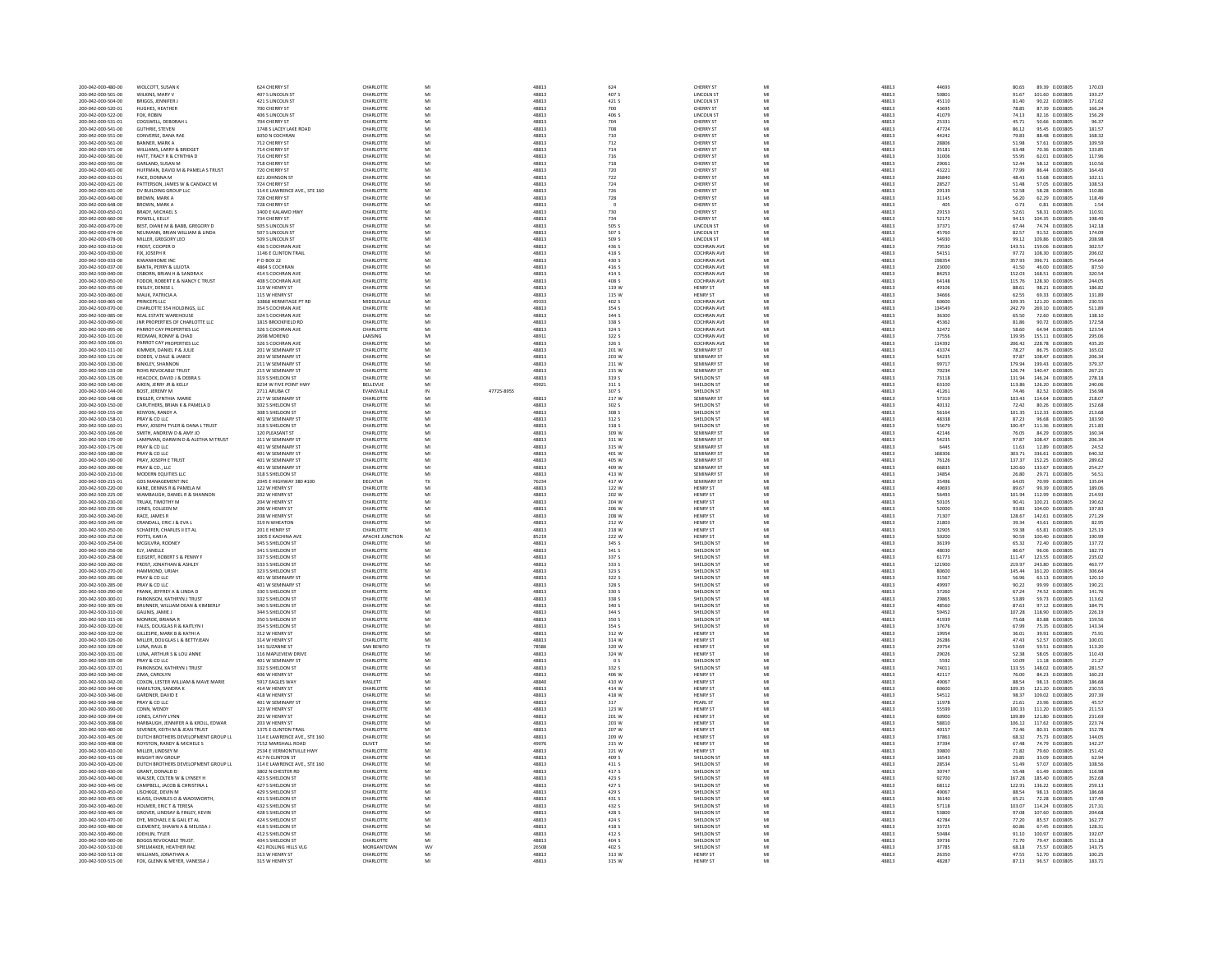| 200-042-000-480-00                       | WOLCOTT, SUSAN K                                                  | 624 CHERRY ST                                    | CHARLOTTE                     |        |            | 48813          | 624             | CHERRY ST                                | M        | 48813          | 44693           | 80.65<br>89.39 0.003805                                | 170.03               |
|------------------------------------------|-------------------------------------------------------------------|--------------------------------------------------|-------------------------------|--------|------------|----------------|-----------------|------------------------------------------|----------|----------------|-----------------|--------------------------------------------------------|----------------------|
| 200-042-000-501-00                       | WILKINS MARY V                                                    | 407 S LINCOLN ST                                 | <b>CHARLOTTE</b>              | M      |            | 48813          | 407S            | <b>LINCOLN ST</b>                        | MI       | 48813          | 50801           | 91.67<br>101.60 0.003805                               | 193.27               |
| 200-042-000-504-00<br>200-042-000-520-01 | BRIGGS, JENNIFER.<br>HUGHES, HEATHER                              | 421 S LINCOLN ST<br>700 CHERRY ST                | CHARLOTTE<br>CHARLOTTE        | M<br>M |            | 48813<br>48813 | 421 S<br>700    | LINCOLN ST<br>CHERRY ST                  | MI<br>MI | 48813<br>48813 | 45110<br>43695  | 90.22 0.003805<br>81.40<br>78.85<br>87.39 0.003805     | 171.62<br>166.24     |
| 200-042-000-522-00                       | FOX, ROBIN                                                        | 406 S LINCOLN ST                                 | CHARLOTTE                     | M      |            | 48813          | 406 S           | <b>LINCOLN ST</b>                        | MI       | 48813          | 41079           | 74.13<br>82.16 0.003805                                | 156.29               |
| 200-042-000-531-01                       | COGSWELL, DEBORAH I                                               | 704 CHERRY ST                                    | CHARLOTT                      |        |            | 48813          | 704             | CHERRY ST                                |          | 48813          | 25331           | 45.71<br>50.66 0.00380                                 | 96.37                |
| 200-042-000-541-00                       | <b>GUTHRIE, STEVEN</b>                                            | 1748 S LACEY LAKE ROAD                           | CHARLOTTE                     | M      |            | 48813          | 708             | CHERRY ST                                | MI       | 48813          | 47724           | 86.12<br>95.45 0.003805                                | 181.57               |
| 200-042-000-551-00<br>200-042-000-561-00 | CONVERSE, DANA RAE<br>BANNER, MARK A                              | 6050 N COCHRAM<br>712 CHERRY ST                  | CHARLOTTE<br>CHARLOTTE        | M<br>M |            | 48813<br>48813 | 710<br>$712\,$  | CHERRY ST<br>CHERRY ST                   | MI<br>MI | 48813<br>48813 | 44242<br>28806  | 88.48 0.003805<br>79.83<br>51.98<br>57.61 0.003805     | 168.32<br>109.59     |
| 200-042-000-571-00                       | WILLIAMS, LARRY & BRIDGET                                         | 714 CHERRY ST                                    | CHARLOTTE                     | M      |            | 48813          | 714             | CHERRY ST                                | MI       | 48813          | 35181           | 63.48<br>70.36 0.003805                                | 133.85               |
| 200-042-000-581-00                       | HATT, TRACY R & CYNTHIA D                                         | 716 CHERRY ST                                    | CHARLOTTE                     |        |            | 48813          | 716             | CHERRY ST                                | M        | 48813          | 31006           | 62.01 0.003805<br>55.95                                | 117.96               |
| 200-042-000-591-00                       | GARLAND, SLISAN M                                                 | 718 CHERRY ST<br>720 CHERRY ST                   | <b>CHARLOTTE</b>              | M      |            | 48813          | 718             | CHERRY ST                                | MI       | 48813          | 29061           | 52.44<br>58.12 0.003805                                | $110.56$<br>$164.43$ |
| 200-042-000-601-00<br>200-042-000-610-01 | HUFFMAN, DAVID M & PAMELA S TRUST<br>FACE, DONNA M                | 621 JOHNSON ST                                   | CHARLOTTE<br>CHARLOTTE        | M      |            | 48813<br>48813 | 720<br>$722\,$  | CHERRY ST<br>CHERRY ST                   | M<br>M   | 48813<br>48813 | 43221<br>26840  | 86.44 0.003805<br>77.99<br>48.43<br>53.68 0.003805     | 102.11               |
| 200-042-000-621-00                       | PATTERSON, JAMES W & CANDACE M                                    | 724 CHERRY ST                                    | CHARLOTTE                     | M      |            | 48813          | 724             | CHERRY ST                                | MI       | 48813          | 28527           | 51.48<br>57.05 0.003805                                | 108.53               |
| 200-042-000-631-00                       | DV BUILDING GROUP LLC                                             | 114 E LAWRENCE AVE., STE 160                     | CHARLOTTE                     |        |            | 48813          | 726             | CHERRY ST                                |          | 48813          | 29139           | 52.58<br>58.28 0.003805                                | 110.86               |
| 200-042-000-640-00                       | BROWN, MARK A                                                     | 728 CHERRY ST                                    | CHARLOTTE                     | M      |            | 48813          | 728             | CHERRY ST                                | MI       | 48813          | 31145           | 56.20<br>62.29 0.003805                                | 118.49               |
| 200-042-000-648-00                       | <b>BROWN, MARK A</b>                                              | 728 CHERRY ST                                    | CHARLOTTE                     | M      |            | 48813          |                 | CHERRY ST                                | MI       | 48813          | 405             | 0.73<br>0.81 0.003805                                  | 1.54                 |
| 200-042-000-650-01                       | BRADY, MICHAELS                                                   | 1400 E KALAMO HWY                                | CHARLOTTE                     | M      |            | 48813          | 730             | CHERRY ST                                | M        | 48813          | 29153           | 52.61<br>58.31 0.003805                                | 110.91               |
| 200-042-000-660-00<br>200-042-000-670-00 | POWELL, KELLY<br>BEST, DIANE M & BABB, GREGORY D                  | 734 CHERRY ST<br>505 S LINCOLN ST                | CHARLOTTE<br>CHARLOTTE        | M      |            | 48813<br>48813 | 734<br>505 S    | CHERRY ST<br>LINCOLN ST                  | MI       | 48813<br>48813 | 52173<br>37371  | 94.15<br>104.35 0.003805<br>67.44<br>74.74 0.003805    | 198.49<br>142.18     |
| 200-042-000-674-00                       | NEUMANN RRIAN WILLIAM & UNDA                                      | 507 S LINCOLN ST                                 | CHARLOTTE                     | M      |            | 48813          | 507.5           | <b>LINCOLN ST</b>                        | MI       | 48813          | 45760           | 82.57<br>91.52 0.003805                                | 174.09               |
| 200-042-000-678-00                       | MILLER, GREGORY LEO                                               | 509 S LINCOLN ST                                 | CHARLOTTE                     | M      |            | 48813          | 509 S           | LINCOLN ST                               | MI       | 48813          | 54930           | 99.12<br>109.86 0.003805                               | 208.98               |
| 200-042-500-010-01                       | FROST, COOPER D                                                   | 436 S COCHRAN AV                                 | CHARLOTT                      |        |            | 48813          | 436 S           | COCHRAN AV                               | M        | 48813          | 79530           | 143.51<br>159.06 0.003805                              | 302.57               |
| 200-042-500-030-00                       | FIX, JOSEPH R                                                     | 1146 E CLINTON TRAIL                             | CHARLOTTE                     | M      |            | 48813          | 418 S           | <b>COCHRAN AVE</b>                       | MI       | 48813          | 54151           | 97.72<br>108.30 0.003805                               | 206.02               |
| 200-042-500-033-00<br>200-042-500-037-00 | KIWANIHOME IN<br><b>RANTA PERRY &amp; IIIIOTA</b>                 | P O BOX 22<br>4864 S COCHRAN                     | CHARLOTTE<br>CHARLOTTE        | M      |            | 48813<br>48813 | 430 S<br>416.5  | COCHRAN AV<br>COCHRAN AVE                | M<br>MI  | 48813<br>48813 | 198354<br>23000 | 357.93<br>396.71 0.003805<br>41.50<br>46.00 0.003805   | 754.64<br>87.50      |
| 200-042-500-040-00                       | OSBORN, BRIAN H & SANDRA K                                        | 414 S COCHRAN AVE                                | CHARLOTTE                     | M      |            | 48813          | 414 S           | <b>COCHRAN AVE</b>                       | MI       | 48813          | 84253           | 152.03<br>168.51 0.003805                              | 320.54               |
| 200-042-500-050-00                       | FODOR, ROBERT E & NANCY C TRUST                                   | 408 S COCHRAN AVE                                | CHARLOTTE                     |        |            | 48813          | 408 S           | COCHRAN AVE                              | M        | 48813          | 64148           | 115.76<br>128.30 0.003805                              | 244.05               |
| 200-042-500-055-00                       | ENSLEY, DENISE I                                                  | 119 W HENRY ST                                   | CHARLOTTE                     | M      |            | 48813          | 119 W           | <b>HENRY ST</b>                          | MI       | 48813          | 49106           | 88.61<br>98.21 0.003805                                | 186.82               |
| 200-042-500-060-00                       | MAUK, PATRICIA A                                                  | 115 W HENRY ST                                   | CHARLOTTE                     |        |            | 48813          | 115 W           | <b>HENRY ST</b>                          |          | 48813          | 34666           | 62.55<br>69.33 0.003805                                | 131.89               |
| 200-042-500-065-00<br>200-042-500-070-00 | PRINCEPS LLC<br>CHARLOTTE 354 HOLDINGS, LLC                       | 10868 HERMITAGE PT RD<br>354 S COCHRAN AVE       | MIDDLEVILLE                   | M<br>M |            | 49333<br>48813 | 402S            | COCHRAN AVE<br>COCHRAN AVE               | MI<br>MI | 48813<br>48813 | 60600<br>134549 | 109.35<br>121.20 0.003805<br>242.79<br>269.10 0.003805 | 230.55<br>511.89     |
| 200-042-500-085-00                       | REAL ESTATE WAREHOUSE                                             | 324 S COCHRAN AVE                                | CHARLOTTE<br>CHARLOTTE        | M      |            | 48813          | 354 S<br>344 \$ | COCHRAN AV                               | M        | 48813          | 36300           | 65.50<br>72.60 0.003805                                | 138.10               |
| 200-042-500-090-00                       | <b>JNR PROPERTIES OF CHARLOTTE LLC</b>                            | 1815 BROOKFIELD RD                               | CHARLOTTE                     | M      |            | 48813          | 338 S           | <b>COCHRAN AVE</b>                       | MI       | 48813          | 45362           | 81.86<br>90.72 0.003805                                | 172.58               |
| 200-042-500-095-00                       | PARROT CAY PROPERTIES LLC                                         | 326 S COCHRAN AVE                                | CHARLOTTE                     |        |            | 48813          | 324 S           | COCHRAN AVE                              | MI       | 48813          | 32472           | 64.94 0.003805<br>58.60                                | 123.54               |
| 200-042-500-101-00                       | REDMAN, RONNY & CHAD                                              | 2698 MORENO<br>326 S COCHRAN AVE                 | LANSING                       |        |            | 48911          | 322 S           | <b>COCHRAN AVE</b>                       | M        | 48813          | 77556           | 139.95<br>155.11 0.003805                              | 295.06               |
| 200-042-500-106-01                       | PARROT CAY PROPERTIES LLC                                         |                                                  | CHARLOTTE                     | M      |            | 48813          | 326 S           | <b>COCHRAN AVE</b><br>SEMINARY ST        | M<br>MI  | 48813          | 114392          | 228.78 0.003805<br>206.42                              | 435.20               |
| 200-042-500-111-00<br>200-042-500-121-00 | KIMMER, DANIEL P & JULIE<br>DODDS, V.DALE & JANICE                | 201 W SEMINARY ST<br>203 W SEMINARY ST           | CHARLOTTE<br>CHARLOTTE        | M      |            | 48813<br>48813 | 201 W<br>203 W  | <b>SEMINARY ST</b>                       | MI       | 48813<br>48813 | 43374<br>54235  | 78.27<br>86.75 0.003805<br>97.87<br>108.47 0.003805    | 165.02<br>206.34     |
| 200-042-500-130-00                       | <b>BINKLEY, SHANNON</b>                                           | 211 W SEMINARY ST                                | CHARLOTTE                     |        |            | 48813          | 211 W           | SEMINARY ST                              | M        | 48813          | 99717           | 179.94<br>199.43 0.003805                              | 379.37               |
| 200-042-500-133-00                       | ROHS REVOCABLE TRUST                                              | 215 W SEMINARY ST                                | CHARLOTTE                     | M      |            | 48813          | 215 W           | <b>SEMINARY ST</b>                       | MI       | 48813          | 70234           | 126.74<br>140.47 0.003805                              | 267.21               |
| 200-042-500-135-00                       | HEACOCK, DAVID J & DEBRA S                                        | 319 S SHELDON ST                                 | CHARLOTTE                     |        |            | 48813          | 319 S           | SHELDON ST                               | MI       | 48813          | 73118           | 131.94<br>146.24 0.003805                              | 278.18               |
| 200-042-500-140-00                       | AIKEN, JERRY JR & KELLY                                           | 8234 W FIVE POINT HWY                            | BELLEVUE                      |        |            | 49021          | 311 S           | SHELDON ST                               | M        | 48813          | 63100           | 113.86<br>126.20 0.003805                              | 240.06               |
| 200-042-500-144-00<br>200-042-500-148-00 | BOST, JEREMY M                                                    | 2711 ARUBA CT<br>217 W SEMINARY S'               | EVANSVILLE<br>CHARLOTTE       |        | 47725-8955 | 48813          | 307 S           | SHELDON ST<br>SEMINARY ST                | MI<br>M  | 48813          | 41261           | 74.46<br>82.52 0.003805<br>103.43                      | 156.98               |
| 200-042-500-150-00                       | ENGLER, CYNTHIA MARI<br>CARUTHERS, BRIAN K & PAMELA D             | 302 S SHELDON ST                                 | CHARLOTTE                     | M      |            | 48813          | 217 W<br>302 S  | SHELDON ST                               | MI       | 48813<br>48813 | 57319<br>40132  | 114.64 0.003805<br>72.42<br>80.26 0.003805             | 218.07<br>152.68     |
| 200-042-500-155-00                       | KENYON, RANDY A                                                   | 308 S SHELDON ST                                 | CHARLOTTE                     | M      |            | 48813          | 308 S           | SHELDON ST                               | MI       | 48813          | 56164           | 101.35<br>112.33 0.003805                              | 213.68               |
| 200-042-500-158-01                       | PRAY & CO LLC                                                     | 401 W SEMINARY ST                                | CHARLOTT                      |        |            | 48813          | 312 S           | SHELDON ST                               |          | 48813          | 48338           | 87.23<br>96.68 0.003805                                | 183.90               |
| 200-042-500-160-01                       | PRAY, JOSEPH TYLER & DANA L TRUST                                 | 318 S SHELDON ST                                 | CHARLOTTE                     | M      |            | 48813          | 318 S           | SHELDON ST                               | MI       | 48813          | 55679           | 100.47<br>111.36 0.003805                              | 211.83               |
| 200-042-500-166-00                       | SMITH, ANDREW D & AMY JO                                          | 120 PLEASANT ST                                  | CHARLOTTE                     |        |            | 48813          | 309 W           | <b>SEMINARY ST</b>                       |          | 48813          | 42146           | 84.29 0.003805<br>76.05                                | 160.34               |
| 200-042-500-170-00                       | LAMPMAN, DARWIN D & ALETHA M TRUST                                | 311 W SEMINARY ST<br>401 W SEMINARY ST           | <b>CHARLOTTE</b>              | M<br>M |            | 48813          | 311 W           | <b>SEMINARY ST</b>                       | MI<br>MI | 48813          | 54235           | 97.87<br>108.47 0.003805                               | 206.34<br>24.52      |
| 200-042-500-175-00<br>200-042-500-180-00 | PRAY & CO LLC<br>PRAY & CO LLO                                    | 401 W SEMINARY S'                                | CHARLOTTE<br>CHARLOTTE        |        |            | 48813<br>48813 | 315 W<br>401 W  | <b>SEMINARY ST</b><br><b>SEMINARY ST</b> | M        | 48813<br>48813 | 6445<br>168306  | 11.63<br>12.89 0.003805<br>303.71<br>336.61 0.003805   | 640.32               |
| 200-042-500-190-00                       | PRAY JOSEPH F TRUST                                               | 401 W SEMINARY ST                                | CHARLOTTE                     | M      |            | 48813          | 405 W           | <b>SEMINARY ST</b>                       | MI       | 48813          | 76126           | 137 37<br>152.25 0.003805                              | 289.62               |
| 200-042-500-200-00                       | PRAY & CO., LLC                                                   | 401 W SEMINARY S                                 | CHARLOTTE                     |        |            | 48813          | 409 W           | SEMINARY ST                              |          | 48813          | 66835           | 133.67 0.003805<br>120.60                              | 254.27               |
| 200-042-500-210-00                       | MODERN FOURTIES LLC                                               | 318 S SHELDON ST                                 | CHARLOTTE                     | M      |            | 48813          | 413 W           | <b>SEMINARY ST</b>                       | MI       | 48813          | 14854           | 26.80<br>29.71 0.003805                                | 56.51                |
| 200-042-500-215-01<br>200-042-500-220-00 | <b>GDS MANAGEMENT INC</b><br>KANE, DENNIS R & PAMELA N            | 2045 E HIGHWAY 380 #100<br>122 W HENRY ST        | DECATUR<br>CHARLOTTE          | TX     |            | 76234<br>48813 | 417 W<br>122 W  | <b>SEMINARY ST</b><br><b>HENRY ST</b>    | MI<br>MI | 48813<br>48813 | 35496           | 70.99 0.003805<br>64.05<br>89.67<br>99.39 0.003805     | 135.04<br>189.06     |
| 200-042-500-225-00                       | WAMRAUGH DANIELR & SHANNON                                        | 202 W HENRY ST                                   | CHARLOTTE                     | M      |            | 48813          | 202 W           | HENRY ST                                 | MI       | 48813          | 49693<br>56493  | 101.94<br>112.99 0.003805                              | 214.93               |
| 200-042-500-230-00                       | TRUAX. TIMOTHY M                                                  | 204 W HENRY ST                                   | CHARLOTTE                     | M      |            | 48813          | 204 W           | <b>HENRY ST</b>                          | MI       | 48813          | 50105           | 100.21 0.003805<br>90.41                               | 190.62               |
| 200-042-500-235-00                       | JONES, COLLEEN M                                                  | 206 W HENRY ST                                   | CHARLOTTE                     | M      |            | 48813          | 206 W           | <b>HENRY ST</b>                          | M        | 48813          | 52000<br>71307  | 93.83<br>104.00 0.003805                               | 197.83               |
| 200-042-500-240-00                       | RACE, JAMES R                                                     | 208 W HENRY ST                                   | CHARLOTTE                     |        |            | 48813          | 208 W           | HENRY ST                                 | M        | 48813          |                 | 142.61 0.003805<br>128.67                              | 271.29               |
| 200-042-500-245-00                       | CRANDALL, ERIC J & EVA                                            |                                                  |                               |        |            |                |                 |                                          |          |                |                 |                                                        | 82.95                |
|                                          |                                                                   | 319 N WHEATON                                    | CHARLOTTE                     |        |            | 48813          | 212 W           | HENRY ST                                 | M        | 48813          | 21803           | 39.34<br>43.61 0.003805                                |                      |
| 200-042-500-250-00                       | SCHAEFER, CHARLES II ET AL                                        | 201 E HENRY ST                                   | CHARLOTTE                     | M      |            | 48813          | 218 W           | <b>HENRY ST</b>                          | MI       | 48813          | 32905           | 59.38<br>65.81 0.003805                                | 125.19               |
| 200-042-500-252-00                       | POTTS, KARI A                                                     | 1005 E KACHINA AVE                               | APACHE JUNCTION               | AZ     |            | 85219          | 222 W           | <b>HENRY ST</b>                          | MI       | 48813          | 50200           | 100.40 0.003805<br>90.59                               | 190.99               |
| 200-042-500-254-00<br>200-042-500-256-00 | MCGILVRA, RODNEY<br>ELY, JANELLE                                  | 345 S SHELDON ST<br>341 S SHELDON ST             | CHARLOTTE<br>CHARLOTTE        | M<br>M |            | 48813<br>48813 | 345 S<br>341 S  | SHELDON ST<br>SHELDON ST                 | MI<br>MI | 48813<br>48813 | 36199<br>48030  | 65.32<br>72.40 0.003805<br>86.67<br>96.06 0.003805     | 137.72<br>182.73     |
| 200-042-500-258-00                       | ELEGERT, ROBERT S & PENNY F                                       | 337 S SHELDON ST                                 | CHARLOTT                      |        |            | 48813          | 337 S           | SHELDON ST                               | M        | 48813          | 61773           | 111.47<br>123.55 0.003805                              | 235.02               |
| 200-042-500-260-00                       | FROST, JONATHAN & ASHLEY                                          | 333 S SHELDON ST                                 | CHARLOTTE                     | M      |            | 48813          | 333 S           | SHELDON ST                               | MI       | 48813          | 121900          | 219.97<br>243.80 0.003805                              | 463.77               |
| 200-042-500-270-00                       | HAMMOND, URIAH                                                    | 323 S SHELDON ST                                 | CHARLOTTE                     |        |            | 48813          | 323 S           | SHELDON ST                               | M        | 48813          | 80600           | 145.44<br>161.20 0.003805                              | 306.64               |
| 200-042-500-281-00                       | PRAY & CO LLC                                                     | 401 W SEMINARY ST                                | CHARLOTTE                     | M      |            | 48813          | 322 S           | SHELDON ST                               | MI       | 48813          | 31567           | 63.13 0.003805<br>56.96                                | 120.10               |
| 200-042-500-285-00                       | PRAY & CO LLC                                                     | 401 W SEMINARY ST                                | CHARLOTTE<br>CHARLOTTE        | M      |            | 48813          | 328 S           | SHELDON ST                               | MI       | 48813          | 49997           | 90.22<br>99.99 0.003805<br>74.52 0.003805              | 190.21               |
| 200-042-500-290-00<br>200-042-500-300-01 | FRANK, JEFFREY A & LINDA D<br>PARKINSON, KATHRYN J TRUST          | 330 S SHELDON ST<br>332 S SHELDON ST             | CHARLOTTE                     | M      |            | 48813<br>48813 | 330 S<br>338 S  | SHELDON ST<br>SHELDON ST                 | MI       | 48813<br>48813 | 37260<br>29865  | 67.24<br>53.89<br>59.73 0.003805                       | 141.76<br>113.62     |
| 200-042-500-305-00                       | BRUNNER, WILLIAM DEAN & KIMBERLY                                  | 340 S SHELDON ST                                 | CHARLOTTE                     |        |            | 48813          | 340 S           | SHELDON ST                               | M        | 48813          | 48560           | 97.12 0.003805<br>87.63                                | 184.75               |
| 200-042-500-310-00                       | GALINIS, JAMIE J                                                  | 344 S SHELDON ST                                 | CHARLOTTE                     | M      |            | 48813          | 344 S           | SHELDON ST                               | MI       | 48813          | 59452           | 107.28<br>118.90 0.003805                              | 226.19               |
| 200-042-500-315-00                       | MONROE, BRIANA R                                                  | 350 S SHELDON ST                                 | CHARLOTTE                     | M      |            | 48813          | 350 S           | SHELDON ST                               | MI       | 48813          | 41939           | 75.68<br>83,88 0.003805                                | 159.56               |
| 200-042-500-320-00<br>200-042-500-322-00 | FALES, DOUGLAS R & KAITLYN<br>GILLESPIE, MARK B.S. KATHLA         | 354 S SHELDON ST<br>312 W HENRY ST               | CHARLOTTE<br><b>CHARLOTTE</b> | M      |            | 48813<br>48813 | 354 S<br>312 W  | SHELDON ST<br><b>HENRY ST</b>            | M<br>MI  | 48813<br>48813 | 37676<br>19954  | 67.99<br>75.35 0.003805<br>36.01<br>39.91 0.003805     | 143.34<br>75.91      |
| 200-042-500-326-00                       | MILLER, DOUGLAS L & BETTYJEAN                                     | 314 W HENRY ST                                   | CHARLOTTE                     |        |            | 48813          | 314 W           | <b>HENRY ST</b>                          |          | 48813          | 26286           | 47.43<br>52.57 0.003805                                | 100.01               |
| 200-042-500-329-00                       | LUNA, RAUL B                                                      | 141 SUZANNE ST                                   | SAN BENITO                    | TX     |            | 78586          | 320 W           | <b>HENRY ST</b>                          | MI       | 48813          | 29754           | 53.69<br>59.51 0.003805                                | 113.20               |
| 200-042-500-331-00                       | LUNA, ARTHUR S & LOU ANNE                                         | 116 MAPLEVIEW DRIVE                              | CHARLOTTE                     | M      |            | 48813          | 324 W           | <b>HENRY ST</b>                          | MI       | 48813          | 29026           | 52.38<br>58.05 0.003805                                | 110.43               |
| 200-042-500-335-00<br>200-042-500-337-01 | PRAY & CO LLC<br>PARKINSON KATHRYN I TRUST                        | 401 W SEMINARY ST<br>332 S SHELDON ST            | CHARLOTTE<br>CHARLOTTE        | M      |            | 48813<br>48813 | 0S<br>3325      | SHELDON ST<br>SHELDON ST                 | M<br>MI  | 48813<br>48813 | 5592<br>74011   | 10.09<br>11.18 0.003805<br>133.55<br>148.02 0.003805   | 21.27<br>281.57      |
| 200-042-500-340-00                       | ZIMA, CAROLYN                                                     | 406 W HENRY ST                                   | CHARLOTTE                     | M      |            | 48813          | 406 W           | HENRY ST                                 | MI       | 48813          | 42117           | 84.23 0.003805<br>76.00                                | 160.23               |
| 200-042-500-342-01                       | COXON, LESTER WILLIAM & MAVE MARIE                                | 5917 EAGLES WAY                                  | HASLETT                       |        |            | 48840          | 410 W           | HENRY ST                                 | M        | 48813          | 49067           | 88.54<br>98.13 0.003805                                | 186.68               |
| 200-042-500-344-00                       | HAMILTON, SANDRA K                                                | 414 W HENRY ST                                   | CHARLOTTE                     | M      |            | 48813          | 414 W           | <b>HENRY ST</b>                          | Ш        | 48813          | 60600           | 109.35<br>121.20 0.003805                              | 230.55               |
| 200-042-500-346-00<br>200-042-500-348-00 | GARDNER, DAVID E<br>PRAY & COLLC                                  | 418 W HENRY ST<br>401 W SEMINARY ST              | CHARLOTTE<br>CHARLOTTE        | M      |            | 48813<br>48813 | 418 W<br>317    | HENRY ST<br>PEARL ST                     | M<br>MI  | 48813<br>48813 | 54512           | 98.37<br>109.02 0.003805<br>21.61                      | 207.39<br>45.57      |
| 200-042-500-390-00                       | CONN, WENDY                                                       | 123 W HENRY ST                                   | CHARLOTTE                     | M      |            | 48813          | 123 W           | <b>HENRY ST</b>                          | MI       | 48813          | 11978<br>55599  | 23.96 0.003805<br>111.20 0.003805<br>100.33            | 211.53               |
| 200-042-500-394-00                       | JONES, CATHY LYNN                                                 | 201 W HENRY ST                                   | CHARLOTTE                     |        |            | 48813          | 201 W           | HENRY ST                                 | M        | 48813          | 60900           | 109.89<br>121.80 0.003805                              | 231.69               |
| 200-042-500-398-00                       | HARBAUGH, JENNIFER A & KROLL, EDWAR                               | 203 W HENRY ST                                   | CHARLOTTE                     | M      |            | 48813          | 203 W           | <b>HENRY ST</b>                          | MI       | 48813          | 58810           | 106.12<br>117.62 0.003805                              | 223.74               |
| 200-042-500-400-00                       | SEVENER, KEITH M & JEAN TRUS                                      | 1375 E CLINTON TRAIL                             | CHARLOTTE                     |        |            | 48813          | 207 W           | <b>HENRY ST</b>                          |          | 48813          | 40157           | 72.4<br>80.31 0.003805                                 | 152.78               |
| 200-042-500-405-00<br>200-042-500-408-00 | DUTCH BROTHERS DEVELOPMENT GROUP LL<br>ROYSTON, RANDY & MICHELE S | 114 F LAWRENCE AVE STE 160<br>7152 MARSHALL ROAD | CHARLOTTE<br>OLIVET           | M      |            | 48813<br>49076 | 209 W<br>215 W  | HENRY ST<br><b>HENRY ST</b>              | MI<br>MI | 48813<br>48813 | 37863<br>37394  | 68.32<br>75.73 0.003805<br>67.48<br>74.79 0.003805     | 144.05<br>142.27     |
|                                          | MILLER, LINDSEY M                                                 |                                                  | CHARLOTTE                     | M      |            | 48813          | 221 V           | <b>HENRY ST</b>                          | M        | 48813          | 39800           | 71.82<br>79.60 0.003805                                | 151.42               |
| 200-042-500-410-00<br>200-042-500-415-00 | INSIGHT INV GROUP                                                 | 2534 E VERMONTVILLE HWY<br>417 N CLINTON ST      | CHARLOTTE                     | M      |            | 48813          | 409 S           | SHELDON ST                               | MI       | 48813          | 16543           | 29.85<br>33.09 0.003805                                | 62.94                |
| 200-042-500-420-00                       | DUTCH BROTHERS DEVELOPMENT GROUP LL                               | 114 E LAWRENCE AVE., STE 160                     | CHARLOTTE                     |        |            | 48813          | 411 S           | SHELDON ST                               | M        | 48813          | 28534           | 57.07 0.003805<br>51.49                                | 108.56               |
| 200-042-500-430-00                       | GRANT, DONALD D                                                   | 3802 N CHESTER RD                                | CHARLOTTE                     | M      |            | 48813          | 417 S           | SHELDON ST                               | MI       | 48813          | 30747           | 55.48<br>61.49 0.003805                                | 116.98               |
| 200-042-500-440-00                       | WALSER, COLTEN W & LYNSEY H                                       | 423 S SHELDON ST                                 | CHARLOTTE                     | M<br>M |            | 48813          | 423 S           | SHELDON ST                               | MI<br>M  | 48813          | 92700           | 167.28<br>185.40 0.003805                              | 352.68               |
| 200-042-500-445-00<br>200-042-500-450-00 | CAMPBELL, JACOB & CHRISTINA L<br>LISCHKGE, DEVIN M                | 427 S SHELDON ST<br>429 S SHELDON ST             | CHARLOTTE<br>CHARLOTTE        | M      |            | 48813<br>48813 | 427 S<br>429 S  | SHELDON ST<br>SHELDON ST                 | MI       | 48813<br>48813 | 68112<br>49067  | 122.91<br>136.22 0.003805<br>88.54<br>98.13 0.003805   | 259.13<br>186.68     |
| 200-042-500-455-00                       | KLAISS, CHARLES O & WADSWORTH,                                    | 431 S SHELDON ST                                 | CHARLOTTE                     |        |            | 48813          | 431 S           | SHELDON ST                               |          | 48813          | 36140           | 72.28 0.003805<br>65.21                                | 137.49               |
| 200-042-500-460-00                       | HOLMER, ERIC T & TERESA                                           | 432 S SHELDON ST                                 | <b>CHARLOTTE</b>              | M      |            | 48813          | 432.5           | SHELDON ST                               | MI       | 48813          |                 | 103.07<br>114.24 0.003805                              | 217.31               |
| 200-042-500-465-00                       | GROVER, LINDSAY & FINLEY, KEVIN                                   | 428 S SHELDON ST                                 | CHARLOTTE                     |        |            | 48813          | 428 S           | SHELDON ST                               |          | 48813          | 57118<br>53800  | 97.08<br>107.60 0.003805                               | 204.68               |
| 200-042-500-470-00                       | DYE, MICHAEL E & GAIL ET AL                                       | 424 S SHELDON ST                                 | CHARLOTTE                     | M      |            | 48813          | 424 S           | SHELDON ST                               | MI       | 48813          | 42784           | 77.20<br>85.57 0.003805                                | 162.77               |
| 200-042-500-480-00<br>200-042-500-490-00 | CLEMENTZ, SHAWN A & MELISSA J<br>JOEHLIN, TYLER                   | 418 S SHELDON ST<br>412 S SHELDON ST             | CHARLOTTE<br>CHARLOTTE        | M      |            | 48813          | 418 S<br>412 S  | SHELDON ST<br>SHELDON ST                 | MI       | 48813<br>48813 | 33725           | 60.86<br>67.45 0.003805<br>100.97 0.003805<br>91.10    | 128.31<br>192.07     |
| 200-042-500-500-00                       | <b>BOGGS REVOCABLE TRUST</b>                                      | 404 S SHELDON ST                                 | CHARLOTTE                     | MI     |            | 48813<br>48813 | 404S            | SHELDON ST                               | MI       | 48813          | 50484<br>39736  | 71.70<br>79.47 0.003805                                | 151.18               |
| 200-042-500-510-00                       | SPIELMAKER, HEATHER RAE                                           | 421 ROLLING HILLS VLG                            | MORGANTOW                     | wv     |            | 26508          | 402 S           | SHELDON ST                               | MI       | 48813          | 37785           | 68.18<br>75.57 0.003805                                | 143.75               |
| 200-042-500-513-00                       | VILLIAMS, JONATHAN                                                | 313 W HENRY S'                                   | CHARLOTTE                     |        |            | 4881           | 313 W           | <b>HENRY ST</b>                          |          | 48813          | 2635            | 52.70 0.00380                                          | 100.25               |
| 200-042-500-515-00                       | FOX. GLENN & MEYER, VANESSA J                                     | 315 W HENRY ST                                   | CHARLOTTE                     |        |            | 48813          | 315 W           | <b>HENRY ST</b>                          |          | 48813          | 48287           | 87.13<br>96.57 0.003805                                | 183.71               |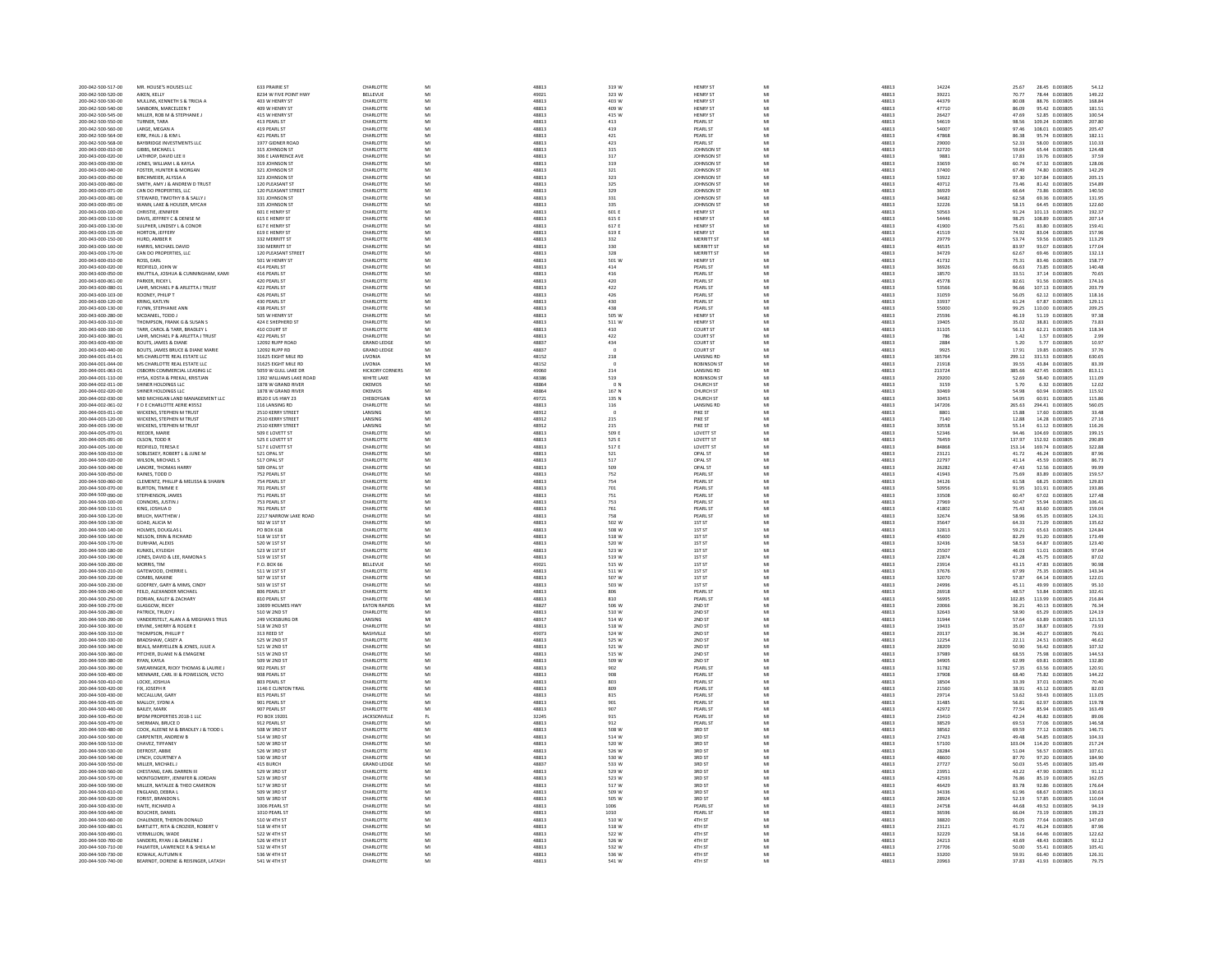|                                          | MR. HOUSE'S HOUSES LLC                                               | <b>633 PRAIRIE ST</b>                | CHARLOTTE                      |                 | 48813          | 319 W                 | <b>HENRY ST</b>                    | MI      | 48813          | 14224          | 25.67          | 28.45 0.003805                    | 54.12             |
|------------------------------------------|----------------------------------------------------------------------|--------------------------------------|--------------------------------|-----------------|----------------|-----------------------|------------------------------------|---------|----------------|----------------|----------------|-----------------------------------|-------------------|
| 200-042-500-520-00                       | AIKEN, KELLY                                                         | 8234 W FIVE POINT HWY                | BELLEVUE                       |                 | 49021          | 323 W                 | <b>HENRY ST</b>                    | MI<br>M | 48813          | 39221          | 70.77          | 78.44 0.003805                    | 149.22            |
| 200-042-500-530-00<br>200-042-500-540-00 | MULLINS, KENNETH S & TRICIA A<br>SANBORN, MARCELEEN T                | 403 W HENRY ST<br>409 W HENRY ST     | CHARLOTTE<br>CHARLOTTE         | MI              | 48813<br>48813 | 403 W<br>409 W        | <b>HENRY ST</b><br><b>HENRY ST</b> | MI      | 48813<br>48813 | 44379<br>47710 | 80.08<br>86.09 | 88.76 0.003805<br>95.42 0.003805  | 168.84<br>181.51  |
| 200-042-500-545-00                       | MILLER, ROB M & STEPHANIE.                                           | 415 W HENRY ST                       | CHARLOTTE                      |                 | 48813          | 415 W                 | <b>HENRY ST</b>                    |         | 48813          | 26427          | 47.69          | 52.85 0.003805                    | 100.54            |
| 200-042-500-550-00                       | <b>TURNER, TARA</b>                                                  | 413 PEARL ST                         | CHARLOTTE                      | MI              | 48813          | 413                   | PEARL ST                           | MI      | 48813          | 54619          | 98.56          | 109.24 0.003805                   | 207.80            |
| 200-042-500-560-00                       | LARGE, MEGAN A                                                       | 419 PEARL ST                         | CHARLOTTE                      |                 | 48813          | 419                   | PEARL ST                           | M       | 48813          | 54007          | 97.46          | 108.01  0.003805                  | 205.47            |
| 200-042-500-564-00                       | KIRK, PAUL J & KIM L                                                 | 421 PEARL ST                         | CHARLOTTE                      | MI              | 48813          | 421                   | PEARL ST                           | MI      | 48813          | 47868          | 86.38          | 95.74 0.003805                    | 182.11            |
| 200-042-500-568-00                       | <b>BAYBRIDGE INVESTMENTS LLC</b>                                     | 1977 GIDNER ROAD                     | CHARLOTTE                      | MI              | 48813          | 423                   | PEARL ST                           | MI      | 48813          | 29000          | 52.33          | 58.00 0.003805                    | 110.33            |
| 200-043-000-010-00                       | <b>GIBBS, MICHAEL L</b>                                              | 315 JOHNSON ST                       | CHARLOTTE                      |                 | 48813          | 315                   | JOHNSON ST                         | M       | 48813          | 32720          | 59.04          | 65.44 0.003805                    | 124.48            |
| 200-043-000-020-00                       | LATHROP, DAVID LEE II                                                | 306 E LAWRENCE AVE                   | CHARLOTTE                      | MI              | 48813          | 317                   | JOHNSON ST                         | MI      | 48813          | 9881           | 17.83          | 19.76 0.003805                    | 37.59             |
| 200-043-000-030-00<br>200-043-000-040-00 | JONES, WILLIAM L & KAYLA<br>FOSTER, HUNTER & MORGAN                  | 319 JOHNSON ST                       | CHARLOTTE<br>CHARLOTTE         | MI<br><b>Ad</b> | 48813          | 319                   | JOHNSON ST<br>JOHNSON ST           | MI<br>M | 48813<br>48813 | 33659          | 60.74<br>67.49 | 67.32 0.003805                    | 128.06            |
| 200-043-000-050-00                       | BIRCHMEIER, ALYSSA A                                                 | 321 JOHNSON ST<br>323 JOHNSON ST     | CHARLOTTE                      | MI              | 48813<br>48813 | 321<br>323            | JOHNSON ST                         | MI      | 48813          | 37400<br>53922 | 97.30          | 74.80 0.003805<br>107.84 0.003805 | 142.29<br>205.15  |
| 200-043-000-060-00                       | SMITH, AMY J & ANDREW D TRUST                                        | 120 PLEASANT ST                      | CHARLOTTE                      |                 | 48813          | 325                   | JOHNSON ST                         |         | 48813          | 40712          | 73.46          | 81.42 0.003805                    | 154.89            |
| 200-043-000-071-00                       | CAN DO PROPERTIES, LLC                                               | 120 PLEASANT STREET                  | CHARLOTTE                      | MI              | 48813          | 329                   | JOHNSON ST                         | MI      | 48813          | 36929          | 66.64          | 73.86 0.003805                    | 140.50            |
| 200-043-000-081-00                       | STEWARD, TIMOTHY B & SALLY J                                         | 331 JOHNSON ST                       | CHARLOTTE                      | MI              | 48813          | 331                   | JOHNSON ST                         | MI      | 48813          | 34682          | 62.58          | 69.36 0.003805                    | 131.95            |
| 200-043-000-091-00                       | WANN, LAKE & HOUSER, MYCAH                                           | 335 JOHNSON ST                       | CHARLOTTE                      |                 | 48813          | 335                   | JOHNSON ST                         |         | 48813          | 32226          | 58.15          | 64.45 0.003805                    | 122.60            |
| 200-043-000-100-00                       | CHRISTIE, JENNIFER                                                   | 601 E HENRY ST                       | CHARLOTTE                      | MI              | 48813          | 601 E                 | <b>HENRY ST</b>                    | MI      | 48813          | 50563          | 91.24          | 101.13 0.003805                   | 192.37            |
| 200-043-000-110-00                       | DAVIS, JEFFREY C & DENISE M                                          | 615 E HENRY ST                       | CHARLOTTE                      |                 | 48813          | 615 E                 | HENRY ST                           | M       | 48813          | 54446          | 98.25          | 108.89 0.003805                   | 207.14            |
| 200-043-000-130-00                       | SULPHER, LINDSEY L & CONOR                                           | 617 E HENRY ST                       | CHARLOTTE                      | MI              | 48813          | 617 E                 | <b>HENRY ST</b>                    | MI      | 48813          | 41900          | 75.61          | 83.80 0.003805                    | 159.41            |
| 200-043-000-135-00                       | HORTON, JEFFERY                                                      | 619 E HENRY ST                       | CHARLOTTE                      | MI              | 48813          | 619 E                 | <b>HENRY ST</b>                    | MI      | 48813          | 41519          | 74.92          | 83.04 0.003805                    | 157.96            |
| 200-043-000-150-00                       | HURD, AMBER R                                                        | 332 MERRITT ST                       | CHARLOTTE                      |                 | 48813          | 332                   | MERRITT ST                         |         | 48813          | 29779          | 53.74          | 59.56 0.003805                    | 113.29            |
| 200-043-000-160-00                       | HARRIS MICHAEL DAVID                                                 | 330 MERRITT ST                       | CHARLOTTE                      | MI              | 48813          | 330<br>328            | MERRITT ST                         | MI      | 48813          | 46535          | 83.97          | 93.07 0.003805                    | 177.04            |
| 200-043-000-170-00                       | CAN DO PROPERTIES, LLC                                               | 120 PLEASANT STREET                  | CHARLOTTE                      |                 | 48813          |                       | MERRITT ST                         | MI      | 48813          | 34729          | 62.67          | 69.46 0.003805                    | 132.13            |
| 200-043-600-010-00<br>200-043-600-020-00 | ROSS, EARL<br>REDFIELD, JOHN W                                       | 501 W HENRY ST<br>414 PEARL ST       | CHARLOTTE<br>CHARLOTTE         | MI<br>MI        | 48813<br>48813 | 501 W<br>414          | <b>HENRY ST</b><br>PEARL ST        | MI      | 48813<br>48813 | 41732<br>36926 | 75.31<br>66.63 | 83.46 0.003805<br>73.85 0.003805  | 158.77<br>140.48  |
| 200-043-600-050-00                       | KNUTTILA, JOSHUA & CUNNINGHAM, KAM                                   | 416 PEARL ST                         | CHARLOTTE                      |                 | 48813          | 416                   | PEARL ST                           |         | 48813          | 18570          | 33.51          | 37.14 0.003805                    | 70.65             |
| 200-043-600-061-00                       | PARKER, RICKY L                                                      | 420 PEARL ST                         | CHARLOTTE                      | MI              | 48813          | 420                   | PEARL ST                           | MI      | 48813          | 45778          | 82.61          | 91.56 0.003805                    | 174.16            |
| 200-043-600-080-01                       | LAHR, MICHAEL P & ARLETTA J TRUST                                    | 422 PEARL ST                         | CHARLOTTE                      | MI              | 48813          | 422                   | PEARL ST                           | MI      | 48813          | 53566          | 96.66          | 107.13 0.003805                   | 203.79            |
| 200-043-600-103-00                       | ROONEY, PHILIP 1                                                     | 426 PEARL ST                         | CHARLOTTE                      | MI              | 48813          | 426                   | PEARL ST                           | MI      | 48813          | 31059          | 56.05          | 62.12 0.003805                    | 118.16            |
| 200-043-600-120-00                       | KRING, KATLYN                                                        | 430 PEARL ST                         | CHARLOTTE                      | MI              | 48813          | 430                   | PEARL ST                           | MI      | 48813          | 33937          | 61.24          | 67.87 0.003805                    | 129.11            |
| 200-043-600-130-00                       | FLYNN, STEPHANIE AND                                                 | 438 PEARL ST                         | CHARLOTTE                      |                 | 48813          | 438                   | PEARL ST                           |         | 48813          | 55000          | 99.25          | 110.00 0.003805                   | 209.25            |
| 200-043-600-280-00                       | MCDANIEL TODD J                                                      | 505 W HENRY ST                       | CHARLOTTE                      | MI              | 48813          | 505 W                 | <b>HENRY ST</b>                    | MI      | 48813          | 25596          | 46.19          | 51.19 0.003805                    | 97.38             |
| 200-043-600-310-00                       | THOMPSON, FRANK G & SUSAN S                                          | 424 E SHEPHERD ST                    | CHARLOTTE                      | MI              | 48813          | 511 W                 | <b>HENRY ST</b>                    | MI      | 48813          | 19405          | 35.02          | 38.81 0.003805                    | 73.83             |
| 200-043-600-330-00                       | TARR, CAROL & TARR, BRADLEY L                                        | 410 COURT ST                         | CHARLOTTE                      |                 | 48813          | 410                   | COURT ST                           |         | 48813          | 31105          | 56.13          | 62.21 0.003805                    | 118.34            |
| 200-043-600-380-01                       | LAHR, MICHAEL P & ARLETTA J TRUST<br><b>BOUTS, JAMES &amp; DIANE</b> | 422 PEARL ST                         | CHARLOTTE<br><b>GRAND LEDG</b> | MI              | 48813<br>48837 | 422<br>434            | COURT ST<br>COURT ST               | MI      | 48813<br>48813 | 786<br>2884    | 1.42<br>5.20   | 1.57 0.003805<br>5.77 0.003805    | $2.99$<br>$10.97$ |
| 200-043-600-430-00<br>200-043-600-440-00 | BOUTS, JAMES BRUCE & DIANE MARIE                                     | 12092 RUPP ROAD<br>12092 RUPP RD     | <b>GRAND LEDGE</b>             | MI              | 48837          |                       | COURT ST                           | MI      | 48813          | 9925           | 17.91          | 19.85 0.003805                    | 37.76             |
| 200-044-001-014-01                       | MS CHARLOTTE REAL ESTATE LLC                                         | 31625 EIGHT MILE RD                  | LIVONIA                        | MI              | 48152          | 218                   | <b>LANSING RD</b>                  | MI      | 48813          | 165764         | 299.12         | 331.53 0.003805                   | 630.65            |
| 200-044-001-044-00                       | MS CHARLOTTE REAL ESTATE LLC                                         | 31625 EIGHT MILE RD                  | LIVONIA                        |                 | 48152          |                       | ROBINSON ST                        | M       | 48813          | 21918          | 39.55          | 43.84 0.003805                    | 83.39             |
| 200-044-001-063-01                       | OSBORN COMMERCIAL LEASING LC                                         | 5059 W GULL LAKE DR                  | <b>HICKORY CORNERS</b>         | MI              | 49060          | 214                   | <b>LANSING RD</b>                  | MI      | 48813          | 213724         | 385.66         | 427.45 0.003805                   | 813.11            |
| 200-044-001-110-00                       | HYSA, KOSTA & PREKAJ, KRISTJAN                                       | 1392 WILLIAMS LAKE ROAD              | WHITE LAKE                     | MI              | 48386          | 519                   | ROBINSON ST                        | MI      | 48813          | 29200          | 52.69          | 58.40 0.003805                    | 111.09            |
| 200-044-002-011-00                       | SHINER HOLDINGS LLC                                                  | 1878 W GRAND RIVER                   | OKEMOS                         | MI              | 48864          | 0 N                   | CHURCH ST                          | MI      | 48813          | 3159           | 5.70           | 6.32 0.003805                     | 12.02             |
| 200-044-002-020-00                       | SHINER HOLDINGS LLC                                                  | 1878 W GRAND RIVER                   | OKEMOS                         | MI              | 48864          | 167 N                 | CHURCH ST                          | MI      | 48813          | 30469          | 54.98          | 60.94 0.003805                    | 115.92            |
| 200-044-002-030-00                       | MID MICHIGAN LAND MANAGEMENT LLC                                     | 8520 E US HWY 23                     | CHEBOYGAN                      |                 | 49721          | 135 N                 | CHURCH ST                          |         | 48813          | 30453          | 54.95          | 60.91 0.003805                    | 115.86            |
| 200-044-002-061-02                       | F O F CHARLOTTE AFRIE #3552                                          | 116 LANSING RD                       | CHARLOTTE                      | MI              | 48813          | 116                   | <b>LANSING RD</b>                  | MI      | 48813          | 147206         | 265.63         | 294.41 0.003805                   | 560.05            |
| 200-044-003-011-00                       | WICKENS, STEPHEN M TRUST                                             | 2510 KERRY STREET                    | LANSING                        | MI              | 48912          |                       | PIKE ST                            | MI      | 48813          | 8801           | 15.88          | 17.60 0.003805                    | 33.48             |
| 200-044-003-120-00                       | WICKENS, STEPHEN M TRUS                                              | 2510 KERRY STREET                    | LANSING                        | MI              | 48912          | 215                   | PIKE ST                            | MI      | 48813          | 7140           | 12.88          | 14.28 0.003805                    | 27.16             |
| 200-044-003-190-00<br>200-044-005-070-01 | WICKENS, STEPHEN M TRUST<br>REEDER, MARIE                            | 2510 KERRY STREET<br>509 E LOVETT ST | LANSING<br>CHARLOTTE           |                 | 48912<br>48813 | 215<br>509 E          | PIKE ST<br>LOVETT ST               | M       | 48813<br>48813 | 30558<br>52346 | 55.14<br>94.4  | 61.12 0.003805<br>104.69 0.003805 | 116.26<br>199.15  |
| 200-044-005-091-00                       | OLSON, TODD F                                                        | 525 E LOVETT ST                      | <b>CHARLOTTE</b>               | MI              | 48813          | 525 F                 | <b>LOVETT ST</b>                   | MI      | 48813          | 76459          | 137.97         | 152.92 0.003805                   | 290.89            |
| 200-044-005-100-00                       | REDFIELD, TERESA E                                                   | 517 E LOVETT ST                      | CHARLOTTE                      | MI              | 48813          | 517 E                 | LOVETT ST                          | MI      | 48813          | 84868          | 153.14         | 169.74 0.003805                   | 322.88            |
| 200-044-500-010-00                       | SOBLESKEY, ROBERT L & JUNE M                                         | 521 OPAL ST                          | CHARLOTTE                      |                 | 48813          | ${\sf S21}$           | OPAL ST                            | M       | 48813          | 23121          | 41.72          | 46.24 0.003805                    | 87.96             |
| 200-044-500-020-00                       | WILSON MICHAELS                                                      | 517 OPAL ST                          | <b>CHARLOTTE</b>               | MI              | 48813          | 517                   | OPAL ST                            | MI      | 48813          | 22797          | 41.14          | 45.59 0.003805                    | 86.73             |
| 200-044-500-040-00                       | LANORE, THOMAS HARRY                                                 | 509 OPAL ST                          | CHARLOTTE                      |                 | 48813          | 509                   | OPAL ST                            |         | 48813          | 26282          | 47.43          | 52.56 0.003805                    | 99.99             |
| 200-044-500-050-00                       | RAINES TODD D                                                        | 752 PEARL ST                         | CHARLOTTE                      | MI              | 48813          | 752                   | PEARL ST                           | MI      | 48813          | 41943          | 75.69          | 83.89 0.003805                    | 159.57            |
| 200-044-500-060-00                       | CLEMENTZ, PHILLIP & MELISSA & SHAWN                                  | 754 PEARL ST                         | CHARLOTTE                      | MI              | 48813          | 754                   | <b>PEARL ST</b>                    | MI      | 48813          | 34126          | 61.58          | 68.25 0.003805                    | 129.83            |
| 200-044-500-070-00                       | <b>BURTON, TIMMIE 6</b>                                              | 701 PEARL ST                         | CHARLOTTE                      |                 | 48813          | 701                   | PEARL ST                           | M       | 48813          | 50956          | 91.95          | 101.91 0.003805                   | 193.86            |
| 200-044-500-090-00                       | STEPHENSON JAMES                                                     | 751 PEARL ST                         | CHARLOTTE                      | MI              | 48813          | 751                   | PEARL ST                           | MI      | 48813          | 33508          | 60.47          | 67.02 0.003805                    | 127.48            |
| 200-044-500-100-00                       | CONNORS, JUSTIN J                                                    | 753 PEARL ST                         | CHARLOTTE                      | MI              | 48813          | 753                   | PEARL ST                           | MI      | 48813          | 27969          | 50.47          | 55.94 0.003805                    | 106.41            |
| 200-044-500-110-01                       | KING, JOSHUA D<br>BRUCH, MATTHEW J                                   | 761 PEARL ST                         | CHARLOTTE                      |                 | 48813          | $761\,$               | PEARL ST                           | M       | 48813          | 41802          | 75.43          | 83.60 0.003805                    | 159.04            |
| 200-044-500-120-00                       |                                                                      | 2217 NARROW LAKE ROAD                | CHARLOTTE                      | MI              | 48813          | 758                   | PEARL ST                           | MI      | 48813          | 32674          | 58.96          | 65.35 0.003805                    | 124.31            |
| 200-044-500-130-00<br>200-044-500-140-00 | GOAD, ALICIA M<br>HOLMES DOUGLAST                                    | 502 W 1ST ST<br><b>PO ROX 618</b>    | CHARLOTTE<br>CHARLOTTE         | MI              | 48813          | 502 W                 | 1ST ST                             | M<br>MI | 48813          | 35647          | 64.33<br>59.21 | 71.29 0.003805<br>55.63 0.003805  | 135.62<br>124.84  |
| 200-044-500-160-00                       | NELSON, ERIN & RICHARD                                               |                                      |                                |                 |                |                       |                                    |         |                |                |                |                                   | 173.49            |
| 200-044-500-170-00                       |                                                                      |                                      |                                |                 | 48813          | 508 W                 | 1ST ST                             |         | 48813          | 32813          |                |                                   |                   |
|                                          |                                                                      | 518 W 1ST ST                         | CHARLOTTE                      | MI              | 48813          | 518 W                 | 1ST ST                             | MI      | 48813          | 45600          | 82.29          | 91.20 0.003805                    |                   |
|                                          | DURHAM, ALEXIS                                                       | 520 W 1ST ST                         | CHARLOTTE                      | MI              | 48813          | 520 W                 | 1ST ST                             | MI      | 48813          | 32436          | 58.53          | 64.87 0.003805                    | 123.40            |
| 200-044-500-180-00                       | KUNKEL, KYLEIGH                                                      | 523 W 1ST ST                         | CHARLOTTE                      | MI              | 48813          | 523 W                 | 1ST ST                             | MI      | 48813          | 25507          | 46.03          | 51.01 0.003805                    | 97.04             |
| 200-044-500-190-00<br>200-044-500-200-00 | JONES, DAVID & LEE, RAMONA S<br>MORRIS TIM                           | 519 W 1ST ST<br>BO BOX 66            | CHARLOTTI<br><b>RELLEVUE</b>   | MI              | 48813<br>49021 | 519 W<br><b>515 W</b> | 1ST ST<br>1ST ST                   | M<br>MI | 48813<br>48813 | 22874<br>23914 | 41.28<br>43.15 | 45.75 0.003805<br>47.83 0.003805  | 87.02<br>90.98    |
| 200-044-500-210-00                       | GATEWOOD, CHERRIE L                                                  | 511 W 1ST ST                         | CHARLOTTE                      | MI              | 48813          | 511 W                 | 1ST ST                             | MI      | 48813          | 37676          | 67.99          | 75.35 0.003805                    | 143.34            |
| 200-044-500-220-00                       | COMBS, MAXINI                                                        | 507 W 1ST ST                         | CHARLOTTE                      |                 | 48813          | 507 W                 | 1ST ST                             | M       | 48813          |                |                | 64.14 0.003805                    | 122.01            |
| 200-044-500-230-00                       | GODFREY, GARY & MIMS, CINDY                                          | 503 W 1ST ST                         | CHARLOTTE                      | MI              | 48813          | 503 W                 | 1ST ST                             | MI      | 48813          | 32070<br>24996 | 57.87<br>45.11 | 49.99 0.003805                    | 95.10             |
| 200-044-500-240-00                       | FEILD, ALEXANDER MICHAEL                                             | 806 PEARL ST                         | CHARLOTTE                      |                 | 48813          | 806                   | PEARL ST                           | M       | 48813          | 26918          | 48.57          | 53.84 0.003805                    | 102.41            |
| 200-044-500-250-00                       | DORIAN KALEY & ZACHARY                                               | <b>R10 PEARL ST</b>                  | <b>CHARLOTTE</b>               |                 | 48813          | 810                   | PEARL ST                           | MI      | 48813          | 56995          | 102.85         | 113.99 0.003805                   | 216.84            |
| 200-044-500-270-00                       | GLASGOW, RICKY                                                       | 10699 HOLMES HWY                     | <b>EATON RAPIDS</b>            | MI              | 48827          | 506 W                 | 2ND ST                             | MI      | 48813          | 20066          | 36.21          | 40.13 0.003805                    | 76.34             |
| 200-044-500-280-00                       | PATRICK, TRUDY J                                                     | 510 W 2ND ST                         | CHARLOTTE                      | MI              | 48813          | 510 W                 | 2ND ST                             | MI      | 48813          | 32643          | 58.90          | 65.29 0.003805                    | 124.19            |
| 200-044-500-290-00                       | VANDERSTELT, ALAN A & MEGHAN S TRUS                                  | 249 VICKSBURG DR                     | LANSING                        | MI              | 48917          | 514 W                 | 2ND ST                             | MI      | 48813          | 31944          | 57.64          | 63.89 0.003805                    | 121.53            |
| 200-044-500-300-00<br>200-044-500-310-00 | ERVINE, SHERRY & ROGER E                                             | 518 W 2ND ST<br>313 REED ST          | CHARLOTTE<br>.<br>NASHVILLE    | MI              | 48813          | 518 W<br>524 W        | 2ND ST<br>2ND ST                   | MI<br>M | 48813<br>48813 | 19433          | 35.07          | 38.87 0.003805<br>40.27 0.003805  | 73.93             |
| 200-044-500-330-00                       | <b>THOMPSON, PHILLIP T</b><br><b>BRADSHAW, CASEY A</b>               | 525 W 2ND ST                         | CHARLOTTE                      | MI              | 49073<br>48813 | 525 W                 | 2ND ST                             | MI      | 48813          | 20137<br>12254 | 36.34<br>22.11 | 24.51 0.003805                    | 76.61<br>46.62    |
| 200-044-500-340-00                       | BEALS, MARYELLEN & JONES, JULIE A                                    | 521 W 2ND ST                         | CHARLOTTE                      |                 | 48813          | 521 W                 | 2ND ST                             | M       | 48813          | 28209          | 50.90          | 56.42 0.003805                    | 107.32            |
| 200-044-500-360-00                       | PITCHER, DUANE N & EMAGENE                                           | 515 W 2ND ST                         | CHARLOTTE                      | MI              | 48813          | 515 W                 | 2ND ST                             | MI      | 48813          | 37989          | 68.55          | 75.98 0.003805                    | 144.53            |
| 200-044-500-380-00                       | RYAN, KAYLA                                                          | 509 W 2ND ST                         | CHARLOTTE                      | MI              | 48813          | 509 W                 | 2ND ST                             | MI      | 48813          | 34905          | 62.99          | 69.81 0.003805                    | 132.80            |
| 200-044-500-390-00                       | SWEARINGER, RICKY THOMAS & LAURIE J                                  | 902 PEARL ST                         | CHARLOTTE                      | MI              | 48813          | 902                   | PEARL ST                           | M       | 48813          | 31782          | 57.35          | 63.56 0.003805                    | 120.91            |
| 200-044-500-400-00                       | MENNARE, CARL III & POWELSON, VICTO                                  | 908 PEARL ST                         | CHARLOTTE                      | MI              | 48813          | 908                   | PEARL ST                           | MI      | 48813          | 37908          | 68.40          | 75.82 0.003805                    | 144.22            |
| 200-044-500-410-00                       | LOCKE, JOSHUA                                                        | 803 PEARL ST                         | CHARLOTTE                      |                 | 48813          | 803                   | PEARL ST                           |         | 48813          | 1850           | 33.39          | 37.01 0.003805                    | 70.40             |
| 200-044-500-420-00                       | FIX, JOSEPH R                                                        | 1146 E CLINTON TRAIL                 | CHARLOTTE                      | MI              | 48813          | 809                   | PEARL ST                           | MI      | 48813          | 21560          | 38.91          | 43.12 0.003805                    | 82.03             |
| 200-044-500-430-00                       | MCCALLUM, GAR                                                        | 815 PEARL ST                         | CHARLOTTE                      |                 | 48813          | 815                   | PEARL ST                           | MI<br>M | 48813          | 29714          | 53.62          | 59.43 0.003805                    | 113.05            |
| 200-044-500-435-00<br>200-044-500-440-00 | MALLOY, SYDNI A<br><b>BAILEY, MARK</b>                               | 901 PEARL ST<br>907 PEARL ST         | CHARLOTTE<br>CHARLOTTE         | MI<br>MI        | 48813<br>48813 | 901<br>907            | PEARL ST<br>PEARL ST               | MI      | 48813<br>48813 | 31485<br>42972 | 56.81<br>77.54 | 62.97 0.003805<br>85.94 0.003805  | 119.78<br>163.49  |
|                                          |                                                                      |                                      |                                | FL.             |                |                       |                                    | M       |                |                |                |                                   |                   |
| 200-044-500-450-00<br>200-044-500-470-00 | BPDM PROPERTIES 2018-1 LLC<br>SHERMAN, BRUCE D                       | PO BOX 19201<br>912 PEARL ST         | JACKSONVILLE<br>CHARLOTTE      |                 | 32245          | 915                   | PEARL ST<br>PEARL ST               | MI      | 48813<br>48813 | 23410          | 42.24<br>69.53 | 46.82 0.003805                    | 89.06             |
| 200-044-500-480-00                       | COOK, ALEENE M & BRADLEY J & TODD L                                  | 508 W 3RD ST                         | CHARLOTTE                      | M               | 48813<br>48813 | 912<br>508 W          | 3RD ST                             | M       | 48813          | 38529<br>38562 | 69.59          | 77.06 0.003805<br>77.12 0.003805  | 146.58<br>146.71  |
| 200-044-500-500-00                       | CARPENTER, ANDREW B                                                  | 514 W 3RD ST                         | CHARLOTTE                      | MI              | 48813          | 514 W                 | 3RD ST                             | M       | 48813          | 27423          | 49.48          | 54.85 0.003805                    | 104.33            |
| 200-044-500-510-00                       | CHAVEZ, TIFFANEY                                                     | 520 W 3RD ST                         | CHARLOTTE                      | MI              | 48813          | 520 W                 | <b>3RD ST</b>                      | MI      | 48813          | 57100          | 103.04         | 114.20 0.003805                   | 217.24            |
| 200-044-500-530-00                       | DEFROST, ABBIE                                                       | 526 W 3RD ST                         | CHARLOTTE                      |                 | 48813          | 526 W                 | <b>3RD ST</b>                      |         | 48813          | 28284          | 51.04          | 56.57 0.003805                    | 107.61            |
| 200-044-500-540-00                       | LYNCH, COURTNEY A                                                    | 530 W 3RD ST                         | CHARLOTTE                      | M               | 48813          | 530 W                 | <b>3RD ST</b>                      | M       | 48813          | 48600          | 87.70          | 97.20 0.003805                    | 184.90            |
| 200-044-500-550-00                       | MILLER, MICHAEL J                                                    | 415 BURCH                            | <b>GRAND LEDGE</b>             | MI              | 48837          | 533 W                 | <b>3RD ST</b>                      | MI      | 48813          | 27727          | 50.03          | 55.45 0.003805                    | 105.49            |
| 200-044-500-560-00                       | CHESTANG, EARL DARREN III                                            | 529 W 3RD ST                         | CHARLOTTE                      |                 | 48813          | 529 W                 | <b>BRD ST</b>                      | M       | 48813          | 23951          | 43.22          | 47.90 0.003805                    | 91.12             |
| 200-044-500-570-00                       | MONTGOMERY, JENNIFER & JORDAN                                        | 523 W 3RD ST                         | CHARLOTTE                      | MI              | 48813          | 523 W                 | 3RD ST                             | MI      | 48813          | 42593          | 76.86          | 85.19 0.003805                    | 162.05            |
| 200-044-500-590-00                       | MILLER, NATALEE & THEO CAMERON                                       | 517 W 3RD ST                         | CHARLOTTE                      |                 | 48813          | 517 W                 | <b>3RD ST</b>                      | M<br>M  | 48813          | 46429          | 83.78          | 92.86 0.003805                    | 176.64            |
| 200-044-500-610-00<br>200-044-500-620-00 | ENGLAND, DEBRA L<br>FORIST, BRANDON L                                | 509 W 3RD ST<br>505 W 3RD ST         | CHARLOTTE<br>CHARLOTTE         | MI<br>MI        | 48813<br>48813 | 509 W<br>505 W        | <b>3RD ST</b><br>3RD ST            | MI      | 48813<br>48813 | 34336<br>28924 | 61.96<br>52.19 | 68.67 0.003805<br>57.85 0.003805  | 130.63<br>110.04  |
|                                          | HAITE, RICHARD A                                                     |                                      |                                |                 |                | 1006                  |                                    |         |                |                |                |                                   |                   |
| 200-044-500-630-00<br>200-044-500-640-00 | <b>BOUCHER, DANIEL</b>                                               | 1006 PEARL ST<br>1010 PEARL ST       | CHARLOTTE<br>CHARLOTTE         | MI              | 48813<br>48813 | 1010                  | PEARL ST<br>PEARL ST               | MI      | 48813<br>48813 | 24758<br>36596 | 44.68<br>66.04 | 49.52 0.003805<br>73.19 0.003805  | 94.19<br>139.23   |
| 200-044-500-660-00                       | CHALENDER, THERON DONALD                                             | 510 W 4TH ST                         | CHARLOTTE                      |                 | 48813          | 510 W                 | 4TH ST                             |         | 48813          | 38820          | 70.05          | 77.64 0.003805                    | 147.69            |
| 200-044-500-680-01                       | BARTLETT, RITA & CROZIER, ROBERT V                                   | 518 W 4TH ST                         | CHARLOTTE                      |                 | 48813          | 518 W                 | 4TH ST                             | M       | 48813          | 23121          | 41.72          | 46.24 0.003805                    | 87.96             |
| 200-044-500-690-01                       | VERMILLION, WADE                                                     | 522 W 4TH ST                         | CHARLOTTE                      | MI              | 48813          | 522 W                 | 4TH ST                             | MI      | 48813          | 32229          | 58.16          | 64.46 0.003805                    | 122.62            |
| 200-044-500-700-00                       | SANDERS, RYAN J & DARLENE                                            | 526 W 4TH ST                         | CHARLOTTE                      |                 | 48813          | 526 W                 | 4TH ST                             |         | 48813          | 24213          | 43.69          | 48.43 0.003805                    | 92.12             |
| 200-044-500-710-00                       | PALMITER, LAWRENCE R & SHEILA M                                      | 532 W 4TH ST                         | CHARLOTTE                      | MI              | 48813          | 532 W                 | <b>ATH ST</b>                      | MI      | 48813          | 27706          | 50.00          | 55.41 0.003805                    | 105.41            |
| 200-044-500-730-00                       | KOWALK, AUTUMN K                                                     | 536 W 4TH ST                         | CHARLOTTE                      | MI              | 48813          | 536 W                 | 4TH ST                             | MI<br>M | 48813          | 33200          | 59.91          | 66.40 0.003805                    | 126.31            |
| 200-044-500-740-00                       | BEARNDT, DORENE & REISINGER, LATASH                                  | 541 W 4TH ST                         | CHARLOTTE                      |                 | 48813          | 541 W                 | 4TH ST                             |         | 48813          | 20963          | 37.83          | 41.93 0.003805                    | 79.75             |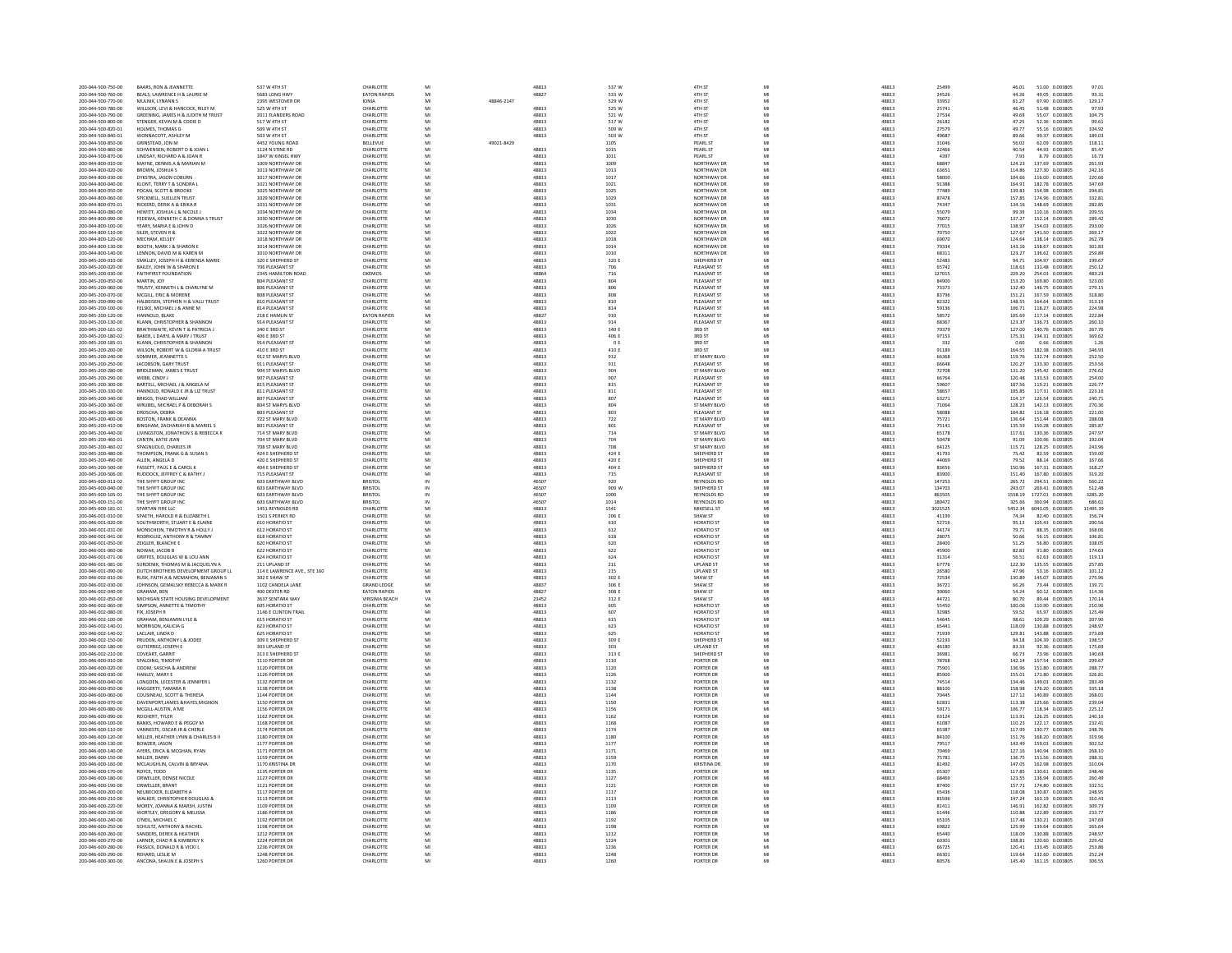| 200-044-500-750-00                       | <b>BAARS, RON &amp; JEANNETTE</b>                                       | 537 W 4TH ST                                  | CHARLOTTE                     |          |            | 48813          | 537 W               | 4TH ST                            | MI      | 48813          | 25499            | 46.01             | 51.00 0.003805                                                           | 97.01              |
|------------------------------------------|-------------------------------------------------------------------------|-----------------------------------------------|-------------------------------|----------|------------|----------------|---------------------|-----------------------------------|---------|----------------|------------------|-------------------|--------------------------------------------------------------------------|--------------------|
| 200-044-500-760-00                       | BEALS, LAWRENCE H & LAURIE M                                            | 5683 LONG HWY                                 | <b>EATON RAPIDS</b>           | MI       |            | 48827          | 533 W               | 4TH ST                            | MI      | 48813          | 24526            | 44.26             | 49.05 0.003805                                                           | 93.31              |
| 200-044-500-770-00<br>200-044-500-780-00 | MULNIX, LYNANN S<br>WILLSON, LEVI & HANCOCK, RILEY M                    | 2395 WESTOVER DR<br>525 W ATH ST              | IONIA<br><b>CHARLOTTE</b>     | MI       | 48846-2147 | 48813          | 529 W<br>525 W      | 4TH ST<br><b>ATH ST</b>           | MI      | 48813<br>48813 | 33952<br>25741   | 61.27<br>46.45    | 67.90 0.003805<br>51.48 0.003805                                         | 129.17<br>97.93    |
| 200-044-500-790-00                       | GREENING, JAMES H & JUDITH M TRUST                                      | 2011 FLANDERS ROAD                            | CHARLOTTE                     |          |            | 48813          | 521 W               | 4TH ST                            | MI      | 48813          | 27534            | 49.69             | 55.07 0.003805                                                           | 104.75             |
| 200-044-500-800-00                       | STENGER, KEVIN M & CODIE D                                              | 517 W 4TH ST                                  | CHARLOTTE                     | MI       |            | 48813          | 517 W               | <b>ATH ST</b>                     | MI      | 48813          | 26182            | 47.25             | 52.36 0.003805                                                           | 99.61              |
| 200-044-500-820-01                       | HOLMES, THOMAS G                                                        | 509 W 4TH ST                                  | CHARLOTTE                     | MI       |            | 48813          | 509 W               | 4TH ST                            | MI      | 48813          | 27579            | 49.77             | 55.16 0.003805                                                           | 104.92             |
| 200-044-500-840-01                       | WONNACOTT, ASHLEY M                                                     | 503 W 4TH ST                                  | CHARLOTTE                     |          |            | 48813          | 503 W               | 4TH ST                            |         | 48813          | 49687            | 89.66             | 99.37 0.003805                                                           | 189.03             |
| 200-044-500-850-00                       | <b>GRINSTEAD, JON M</b>                                                 | 4452 YOUNG ROAD                               | <b>BELLEVUE</b>               | MI       | 49021-8429 |                | 1105                | PEARL ST                          | MI      | 48813          | 31046            | 56.02             | 62.09 0.003805                                                           | 118.11             |
| 200-044-500-860-00                       | SCHWENSEN, ROBERT D & JOAN I                                            | 1124 N STINE RD                               | CHARLOTTE                     | MI       |            | 48813          | 1015                | PEARL ST                          | MI      | 48813          | 22466            | 40.54             | 44.93 0.003805                                                           | 85.47              |
| 200-044-500-870-00<br>200-044-800-010-00 | LINDSAY, RICHARD A & JOAN F<br>MAYNE, DENNIS A & MARIAN M               | 1847 W KINSEL HW<br>1009 NORTHWAY DR          | CHARLOTTE<br><b>CHARLOTTE</b> | MI       |            | 48813<br>48813 | 1011<br>1009        | PEARL ST<br>NORTHWAY DR           | MI      | 48813<br>48813 | 4397<br>68847    | 7.93<br>124.23    | 8.79 0.003805                                                            | 16.73<br>261.93    |
| 200-044-800-020-00                       | BROWN, JOSHUA S                                                         | 1013 NORTHWAY DR                              | CHARLOTTE                     |          |            | 48813          | 1013                | NORTHWAY DE                       | MI      | 48813          | 63651            | 114.86            | $\begin{array}{rrrr} 137.69 & 0.003805 \\ 127.30 & 0.003805 \end{array}$ | 242.16             |
| 200-044-800-030-00                       | DYKSTRA, JASON COBURI                                                   | 1017 NORTHWAY DR                              | <b>CHARLOTTE</b>              | MI       |            | 48813          | 1017                | NORTHWAY DR                       | MI      | 48813          | 58000            | 104.66            | 116.00 0.003805                                                          | 220.66             |
| 200-044-800-040-00                       | KLONT, TERRY T & SONDRA L                                               | 1021 NORTHWAY DR                              | CHARLOTTE                     | MI       |            | 48813          | 1021                | NORTHWAY DR                       | MI      | 48813          | 91388            | 164.91            | 182.78 0.003805                                                          | 347.69             |
| 200-044-800-050-00                       | POCAN, SCOTT & BROOKE                                                   | 1025 NORTHWAY DR                              | CHARLOTTE                     |          |            | 48813          | 1025                | NORTHWAY DI                       |         | 48813          | 77489            | 139.83            | 154.98 0.003805                                                          | 294.81             |
| 200-044-800-060-00                       | SPICKNELL SUELLEN TRUST                                                 | 1029 NORTHWAY DR                              | <b>CHARLOTTE</b>              | MI       |            | 48813          | 1029                | NORTHWAY DR                       | MI      | 48813          | 87478            | 157.85            | 174.96 0.003805                                                          | 332.81             |
| 200-044-800-070-01                       | RICKERD, DERIK A & ERIKA F                                              | 1031 NORTHWAY DR                              | CHARLOTTE                     | MI       |            | 48813          | 1031                | NORTHWAY DR                       | MI      | 48813          | 74347            | 134.16            | 148.69 0.003805                                                          | 282.85             |
| 200-044-800-080-00                       | HEWITT, JOSHUA L & NICOLE J                                             | 1034 NORTHWAY DR                              | CHARLOTTE                     | MI       |            | 48813          | 1034                | NORTHWAY DF                       | MI      | 48813          | 55079            | 99.39             | $110.16$ 0.003805                                                        | 209.55             |
| 200-044-800-090-00<br>200-044-800-100-00 | FEDEWA, KENNETH C & DONNA S TRUST<br>YEARY, MARIA E & JOHN D            | 1030 NORTHWAY DR<br>1026 NORTHWAY DR          | CHARLOTTE<br>CHARLOTTE        | MI       |            | 48813<br>48813 | 1030<br>1026        | NORTHWAY DR<br>NORTHWAY DE        | MI      | 48813<br>48813 | 76072<br>77015   | 137.27<br>138.97  | 152.14 0.003805<br>154.03 0.003805                                       | 289.42<br>293.00   |
| 200-044-800-110-00                       | SILER, STEVEN R &                                                       | 1022 NORTHWAY DR                              | <b>CHARLOTTE</b>              | MI       |            | 48813          | 1022                | NORTHWAY DR                       | MI      | 48813          | 70750            | 127.67            | 141.50 0.003805                                                          | 269.17             |
| 200-044-800-120-00                       | MECHAM, KELSEY                                                          | 1018 NORTHWAY DR                              | CHARLOTTE                     | MI       |            | 48813          | 1018                | NORTHWAY DR                       | MI      | 48813          | 69070            | 124.64            | 138.14 0.003805                                                          | 262.78             |
| 200-044-800-130-00                       | BOOTH, MARK J & SHARON I                                                | 1014 NORTHWAY DR                              | CHARLOTTI                     |          |            | 48813          | 1014                | NORTHWAY DI                       |         | 48813          | 79334            | 143.16            | 158.67 0.003805                                                          | 301.83             |
| 200-044-800-140-00                       | LENNON, DAVID M & KAREN M                                               | 1010 NORTHWAY DR                              | CHARLOTTE                     | MI       |            | 48813          | 1010                | NORTHWAY DI                       | MI      | 48813          | 68311            | 123.27            | 136.62 0.003805                                                          | 259.89             |
| 200-045-200-010-00                       | SMALLEY, JOSEPH H & KERENSA MARIE                                       | 320 E SHEPHERD ST                             | CHARLOTTE                     |          |            | 48813          | 320 E               | SHEPHERD ST                       | MI      | 48813          | 52483            | 94.71             | 104.97 0.003805                                                          | 199.67             |
| 200-045-200-020-00                       | BAILEY, JOHN W & SHARON E                                               | 706 PLEASANT ST                               | CHARLOTTE                     | MI       |            | 48813          | 706                 | PLEASANT ST                       | MI      | 48813          | 65742            | 118.63            | 131.48 0.003805                                                          | 250.12             |
| 200-045-200-030-00                       | <b>FAITHFIRST FOUNDATION</b>                                            | 2345 HAMILTON ROAD                            | OKEMOS                        | MI       |            | 48864          | 716                 | PLEASANT ST                       | MI      | 48813          | 127015           | 229.20            | 254.03 0.003805                                                          | 483.23             |
| 200-045-200-050-00<br>200-045-200-060-00 | MARTIN, JOY<br>TRUSTY, KENNETH L & CHARLYNE M                           | 804 PLEASANT ST<br><b>ROG PLEASANT ST</b>     | CHARLOTTI<br><b>CHARLOTTE</b> | MI       |            | 48813<br>48813 | 804<br>806          | PLEASANT ST<br>PLEASANT ST        | MI      | 48813<br>48813 | 84900<br>73373   | 153.20<br>132.40  | 169.80 0.003805<br>146.75 0.003805                                       | 323.00<br>279.15   |
| 200-045-200-070-00                       | MCGILL, ERIC & MORENE                                                   | 808 PLEASANT ST                               | CHARLOTTE                     |          |            | 48813          | 808                 | PLEASANT ST                       |         | 48813          | 83796            | 151.21            | 167.59 0.003805                                                          | 318.80             |
| 200-045-200-090-00                       | HALBEISEN, STEPHEN H & VALLI TRUST                                      | 810 PLEASANT ST                               | CHARLOTTE                     | MI       |            | 48813          | 810                 | PLEASANT ST                       | MI      | 48813          | 82322            | 148.55            | 164.64 0.003805                                                          | 313.19             |
| 200-045-200-100-00                       | FELSKE, MICHAEL J & ANNE M                                              | 814 PLEASANT ST                               | CHARLOTTE                     | MI       |            | 48813          | 814                 | PLEASANT ST                       | MI      | 48813          | 59136            | 106.71            | 118.27 0.003805                                                          | 224.98             |
| 200-045-200-120-00                       | HANNOLD, BLAKE                                                          | 218 E HAMLIN ST                               | EATON RAPIDS                  |          |            | 48827          | 910                 | PLEASANT ST                       |         | 48813          | 58572            | 105.69            | 117.14 0.003805                                                          | 222.84             |
| 200-045-200-130-00                       | KLANN, CHRISTOPHER & SHANNON                                            | 914 PLEASANT ST                               | CHARLOTTE                     | MI       |            | 48813          | 914                 | PLEASANT ST                       | MI      | 48813          | 68367            | 123.37            | 136.73 0.003805                                                          | 260.10             |
| 200-045-200-161-02                       | BRAITHWAITE, KEVIN T & PATRICIA J                                       | 340 E 3RD ST                                  | CHARLOTTE                     | MI       |            | 48813          | 340 E               | 3RD ST                            | MI      | 48813          | 70379            | 127.00            | 140.76 0.003805                                                          | 267.76             |
| 200-045-200-180-02                       | BAKER, L DARYL & MARY J TRUST                                           | 406 E 3RD ST                                  | CHARLOTTI                     |          |            | 48813          | 406 E               | 3RD ST                            |         | 48813          | 97153            | 175.31            | 194.31 0.003805                                                          | 369.62             |
| 200-045-200-185-01<br>200-045-200-200-00 | KLANN, CHRISTOPHER & SHANNON<br>WILSON, ROBERT W & GLORIA A TRUST       | 914 PLEASANT ST<br>410 E 3RD ST               | CHARLOTTE<br>CHARLOTTE        | MI       |            | 48813          | 0 E<br>410 E        | 3RD ST                            | MI      | 48813          | 332              | 0.60<br>164.55    | 0.66 0.003805                                                            | 1.26               |
| 200-045-200-240-00                       | SOMMER, JEANNETTE S                                                     | 912 ST MARYS BLVD                             | <b>CHARLOTTE</b>              | MI       |            | 48813<br>48813 | 912                 | 3RD ST<br>ST MARY RLVD            | MI      | 48813<br>48813 | 91189<br>66368   | 119.76            | 182.38 0.003805<br>132.74 0.003805                                       | 346.93<br>252.50   |
| 200-045-200-250-00                       | JACOBSON, GARY TRUST                                                    | 911 PLEASANT ST                               | CHARLOTTE                     | MI       |            | 48813          | 911                 | PLEASANT ST                       | MI      | 48813          | 66648            | 120.27            | 133.30 0.003805                                                          | 253.56             |
| 200-045-200-280-00                       | BRIDLEMAN, JAMES E TRUST                                                | 904 ST MARYS BLVD                             | CHARLOTTE                     |          |            | 48813          | 904                 | ST MARY BLVD                      |         | 48813          | 72708            | 131.20            | 145.42 0.003805                                                          | 276.62             |
| 200-045-200-290-00                       | WFRR CINDY I                                                            | 907 PLEASANT ST                               | CHARLOTTE                     | MI       |            | 48813          | 907                 | PLEASANT ST                       | MI      | 48813          | 66764            | 120.48            | 133.53 0.003805                                                          | 254.00             |
| 200-045-200-300-00                       | BARTELL, MICHAEL J & ANGELA M                                           | 815 PLEASANT ST                               | CHARLOTTE                     |          |            | 48813          | 815                 | PLEASANT ST                       |         | 48813          | 5960             | 107.56            | 119.21 0.003805                                                          | 226.77             |
| 200-045-200-330-00                       | HANNOLD, RONALD E JR & LIZ TRUST                                        | 811 PLEASANT ST                               | <b>CHARLOTTE</b>              | MI       |            | 48813          | $811\,$             | PLEASANT ST                       | MI      | 48813          | 58657            | 105.85            | 117.31 0.003805                                                          | 223.16             |
| 200-045-200-340-00                       | <b>BRIGGS, THAD WILLIAM</b>                                             | 807 PLEASANT ST                               | CHARLOTTE                     | MI       |            | 48813          | 807                 | PLEASANT ST                       | MI      | 48813          | 63271            | 114.17            | 126.54 0.003805                                                          | 240.71             |
| 200-045-200-360-00<br>200-045-200-380-00 | WRUBEL, MICHAEL P & DEBORAH S<br>DROSCHA DERRA                          | 804 ST MARYS BLVD<br>803 PLEASANT ST          | CHARLOTTE<br><b>CHARLOTTE</b> | MI       |            | 48813<br>48813 | 804<br>803          | ST MARY BLVD<br>PLEASANT ST       | MI      | 48813<br>48813 | 71064<br>58088   | 128.23<br>104.82  | 142.13 0.003805<br>116.18 0.003805                                       | 270.36<br>221.00   |
| 200-045-200-400-00                       | <b>BOSTON, FRANK &amp; DEANNA</b>                                       | 722 ST MARY BLVD                              | CHARLOTTE                     | MI       |            | 48813          | 722                 | ST MARY BLVD                      | MI      | 48813          | 75721            | 136.64            | 151.44 0.003805                                                          | 288.08             |
| 200-045-200-410-00                       | BINGHAM, ZACHARIAH B & MARIEL S                                         | 801 PLEASANT ST                               | CHARLOTTI                     | MI       |            | 48813          | 801                 | PLEASANT ST                       | MI      | 48813          | 75141            | 135.59            | 150.28 0.003805                                                          | 285.87             |
| 200-045-200-440-00                       | LIVINGSTON, JONATHON S & REBECCA K                                      | 714 ST MARY BLVD                              | CHARLOTTE                     | MI       |            | 48813          | 714                 | ST MARY BLVD                      | MI      | 48813          | 65178            | 117.61            | 130.36 0.003805                                                          | 247.97             |
| 200-045-200-460-01                       | CANTIN, KATIE JEAN                                                      | 704 ST MARY BLVD                              | CHARLOTTE                     |          |            | 48813          | 704                 | ST MARY BLVD                      | MI      | 48813          | 50478            | 91.09             | 100.96 0.003805                                                          | 192.04             |
| 200-045-200-460-02                       | SPAGNUOLO, CHARLES JF                                                   | 708 ST MARY BLVD                              | CHARLOTTE                     | MI       |            | 48813          | 708                 | ST MARY BLVD                      | MI      | 48813          | 64125            | 115.71            | 128.25 0.003805                                                          | 243.96             |
| 200-045-200-480-00                       | THOMPSON, FRANK G & SUSAN S                                             | 424 E SHEPHERD ST                             | CHARLOTTE                     | MI       |            | 48813          | 424 E               | SHEPHERD ST                       | MI      | 48813          | 41793            | 75.42             | 83.59 0.003805                                                           | 159.00             |
| 200-045-200-490-00                       | ALLEN, ANGELA D                                                         | 420 E SHEPHERD ST                             | CHARLOTTI                     |          |            | 48813          | 420 E               | SHEPHERD ST                       |         | 48813          | 44069            | 79.52             | 88.14 0.003805                                                           | 167.66             |
| 200-045-200-500-00<br>200-045-200-506-00 | FASSETT, PAUL E & CAROL K                                               | 404 E SHEPHERD ST                             | CHARLOTTE<br>CHARLOTTE        | MI<br>MI |            | 48813<br>48813 | 404 E               | SHEPHERD ST<br>PLEASANT ST        | MI      | 48813<br>48813 | 83656<br>83900   | 150.96<br>151.40  | 167.31 0.003805<br>167.80 0.003805                                       | 318.27<br>319.20   |
| 200-045-600-013-02                       | RUDDOCK, JEFFREY C & KATHY J<br>THE SHYFT GROUP INC                     | 715 PLEASANT ST<br>603 EARTHWAY BLVD          | <b>BRISTOL</b>                |          |            |                | 715                 |                                   |         |                |                  |                   |                                                                          |                    |
|                                          |                                                                         |                                               |                               |          |            |                |                     |                                   |         |                |                  |                   |                                                                          |                    |
|                                          |                                                                         |                                               |                               |          |            | 46507          | 920                 | <b>REYNOLDS RD</b>                | MI      | 48813          | 147253           | 265.72            | 294.51 0.003805                                                          | 560.22             |
| 200-045-600-040-00                       | THE SHYFT GROUP INC                                                     | 603 EARTHWAY BLVD                             | <b>BRISTOL</b>                | IN       |            | 46507          | 909 W               | SHEPHERD ST                       | MI      | 48813          | 134703           | 243.07            | 269.41 0.003805                                                          | 512.48             |
| 200-045-600-105-01                       | THE SHYFT GROUP IN                                                      | 603 EARTHWAY BLVD<br>603 FARTHWAY RLVD        | <b>BRISTOL</b>                |          |            | 46507          | 1000<br>1014        | <b>REYNOLDS RD</b>                | MI      | 48813          | 863505<br>180472 | 1558.19<br>325.66 | 1727.01 0.003805                                                         | 3285.20            |
| 200-045-600-151-00<br>200-045-600-181-01 | THE SHYFT GROUP INC<br>SPARTAN FIRE LLC                                 | 1451 REYNOLDS RD                              | <b>BRISTOL</b><br>CHARLOTTI   | MI       |            | 46507<br>48813 | 1541                | <b>REYNOLDS RD</b><br>MIKESELL ST | MI      | 48813<br>48813 | 3021525          | 5452.34           | 360.94 0.003805<br>6043.05 0.003805                                      | 686.61<br>11495.39 |
| 200-046-001-010-00                       | SPAETH, HAROLD R & ELIZABETH I                                          | 1501 S PERKEY RD                              | CHARLOTTE                     | MI       |            | 48813          | 206 E               | SHAW ST                           | MI      | 48813          | 41199            | 74 34             | 82.40 0.003805                                                           | 156.74             |
| 200-046-001-020-00                       | SOUTHWORTH, STUART E & ELAINE                                           | <b>610 HORATIO ST</b>                         | CHARLOTTE                     | MI       |            | 48813          | 610                 | HORATIO ST                        | MI      | 48813          | 52716            | 95.13             | 105.43 0.003805                                                          | 200.56             |
| 200-046-001-031-00                       | MONSCHEIN, TIMOTHY R & HOLLY.                                           | <b>612 HORATIO ST</b>                         | CHARLOTTE                     |          |            | 48813          | 612                 | HORATIO ST                        |         | 48813          | 44174            | 79.71             | 88.35 0.003805                                                           | 168.06             |
| 200-046-001-041-00                       | RODRIGUIZ, ANTHONY R & TAMMY                                            | <b>618 HORATIO ST</b>                         | CHARLOTTE                     | MI       |            | 48813          | 618                 | HORATIO ST                        | MI      | 48813          | 28075            | 50.66             | 56.15 0.003805                                                           | 106.81             |
| 200-046-001-050-00                       | ZEIGLER, BLANCHE E                                                      | 620 HORATIO ST                                | CHARLOTTE                     | MI       |            | 48813          | 620                 | HORATIO ST                        | MI      | 48813          | 28400            | 51.25             | 56.80 0.003805                                                           | 108.05             |
| 200-046-001-060-00                       | NOWAK, JACOB B                                                          | 622 HORATIO ST                                | CHARLOTTI                     | MI       |            | 48813          | 622                 | HORATIO ST                        |         | 48813          | 45900            | 82.83             | 91.80 0.003805                                                           | 174.63             |
| 200-046-001-071-00                       | GRIFFES, DOUGLAS W & LOU ANN                                            | 624 HORATIO ST                                | CHARLOTTE<br>CHARLOTTE        |          |            | 48813<br>48813 | 624                 | HORATIO ST<br><b>UPLAND ST</b>    | MI      | 48813<br>48813 | 31314<br>67776   | 56.51             | 62.63 0.003805<br>135.55 0.003805                                        | 119.13<br>257.85   |
| 200-046-001-081-00<br>200-046-001-090-00 | SURDENIK, THOMAS M & JACQUELYN A<br>DUTCH BROTHERS DEVELOPMENT GROUP LL | 211 UPLAND ST<br>114 E LAWRENCE AVE., STE 160 | <b>CHARLOTTE</b>              | MI       |            | 48813          | $_{\rm 211}$<br>215 | <b>UPLAND ST</b>                  | MI      | 48813          | 26580            | 122.30<br>47.96   | 53.16 0.003805                                                           | 101.12             |
| 200-046-002-010-00                       | RUSK, FAITH A & MCMAHON, BENJAMIN S                                     | 302 E SHAW ST                                 | CHARLOTTE                     | MI       |            | 48813          | 302 E               | SHAW ST                           | MI      | 48813          | 72534            | 130.89            | 145.07 0.003805                                                          | 275.96             |
| 200-046-002-030-00                       | JOHNSON, GEMALSKY REBECCA & MARK R                                      | 1102 CANDELA LANE                             | <b>GRAND LEDGE</b>            |          |            | 48837          | 306 E               | SHAW ST                           |         | 48813          | 36721            | 66.26             | 73.44 0.003805                                                           | 139.71             |
| 200-046-002-040-00                       | <b>GRAHAM REN</b>                                                       | 400 DEXTER RD                                 | <b>EATON RAPIDS</b>           | MI       |            | 48827          | 308 F               | SHAW ST                           | MI      | 48813          |                  | 54.24             |                                                                          | 114.36             |
| 200-046-002-050-00                       | MICHIGAN STATE HOUSING DEVELOPMENT                                      | 3637 SENTARA WAY                              | <b>VIRGINIA BEACH</b>         | VA       |            | 23452          | 312 E               | SHAW ST                           | MI      | 48813          | 30060<br>44721   | 80.70             |                                                                          | 170.14             |
| 200-046-002-060-00                       | SIMPSON, ANNETTE & TIMOTHY                                              | <b>605 HORATIO ST</b>                         | CHARLOTTE                     | MI       |            | 48813          | 605                 | HORATIO ST                        | MI      | 48813          | 55450            | 100.06            | 110.90 0.003805                                                          | 210.96             |
| 200-046-002-080-00                       | FIX, JOSEPH R                                                           | 1146 E CLINTON TRAIL                          | CHARLOTTE                     | MI       |            | 48813          | 607                 | HORATIO ST                        | MI      | 48813          | 32985            | 59.52             | 65.97 0.003805                                                           | 125.49             |
| 200-046-002-100-00<br>200-046-002-140-01 | GRAHAM, BENJAMIN LYLE &<br>MORRISON, KALICIA G                          | 615 HORATIO ST<br>623 HORATIO ST              | CHARLOTTE<br><b>CHARLOTTE</b> | MI       |            | 48813<br>48813 | 615<br>623          | HORATIO ST<br>HORATIO ST          | MI      | 48813<br>48813 | 54645<br>65441   | 98.61<br>118.09   | 109.29 0.003805<br>130.88 0.003805                                       | 207.90<br>248.97   |
| 200-046-002-140-02                       | LACLAIR, LINDA D                                                        | <b>625 HORATIO ST</b>                         | CHARLOTTE                     | MI       |            | 48813          | 625                 | HORATIO ST                        | MI      | 48813          | 71939            | 129.81            | 143.88 0.003805                                                          | 273.69             |
| 200-046-002-150-00                       | PRUDEN, ANTHONY L & JODEE                                               | 309 E SHEPHERD ST                             | CHARLOTTE                     |          |            | 48813          | 309 E               | SHEPHERD ST                       | M       | 48813          | 52193            | 94.18             | 104.39 0.003805                                                          | 198.57             |
| 200-046-002-180-00                       | <b>GUTIERREZ, JOSEPH E</b>                                              | 303 UPLAND ST                                 | CHARLOTTE                     | MI       |            | 48813          | 303                 | <b>UPLAND ST</b>                  | MI      | 48813          | 46180            | 83.33             | 92.36 0.003805                                                           | 175.69             |
| 200-046-002-210-00                       | COVEART, GARRIT                                                         | 313 E SHEPHERD ST                             | CHARLOTTE                     |          |            | 48813          | 313 E               | SHEPHERD ST                       |         | 48813          | 36981            | 66.73             | 73.96 0.003805                                                           | 140.69             |
| 200-046-600-010-00                       | SPALDING, TIMOTHY                                                       | 1110 PORTER DR                                | CHARLOTTE                     | MI       |            | 48813          | 1110                | PORTER DR                         | MI      | 48813          | 78768            | 142.14            | 157.54 0.003805                                                          | 299.67             |
| 200-046-600-020-00                       | ODOM, SASCHA & ANDREW                                                   | 1120 PORTER DR                                | CHARLOTTE                     | MI       |            | 48813          | 1120                | PORTER DR                         | MI      | 48813          | 75901            | 136.96            | 151.80 0.003805                                                          | 288.77             |
| 200-046-600-030-00<br>200-046-600-040-00 | HANLEY, MARY E<br>LONGDEN, LECESTER & JENNIFER L                        | 1126 PORTER DR<br>1132 PORTER DR              | CHARLOTTE<br><b>CHARLOTTE</b> | MI       |            | 48813<br>48813 | 1126<br>1132        | PORTER DR<br>PORTER DR            | MI      | 48813<br>48813 | 85900<br>74514   | 155.01<br>134.46  | 171.80 0.003805<br>149.03 0.003805                                       | 326.81<br>283.49   |
| 200-046-600-050-00                       | HAGGERTY, TAMARA F                                                      | 1138 PORTER DR                                | CHARLOTTE                     |          |            | 48813          | 1138                | PORTER DR                         |         | 48813          | 88100            | 158.98            | 176.20 0.003805                                                          | 335.18             |
| 200-046-600-060-00                       | COUSINEAU, SCOTT & THERESA                                              | 1144 PORTER DR                                | CHARLOTTE                     | MI       |            | 48813          | 1144                | PORTER DR                         | MI      | 48813          | 70445            | 127.12            | 140.89 0.003805                                                          | 268.01             |
| 200-046-600-070-00                       | DAVENPORT, JAMES & HAYES, MIGNON                                        | 1150 PORTER DR                                | CHARLOTTE                     | MI       |            | 48813          | 1150                | PORTER DR                         | MI      | 48813          | 62831            | 113.38            | 125.66 0.003805                                                          | 239.04             |
| 200-046-600-080-00                       | MCGILL-AUSTIN, A'ME                                                     | 1156 PORTER DR                                | CHARLOTTE                     |          |            | 48813          | 1156                | PORTER DR                         |         | 48813          | 59171            | 106.77            | 118.34  0.003805                                                         | 225.12             |
| 200-046-600-090-00                       | REICHERT, TYLER                                                         | 1162 PORTER DR                                | CHARLOTTE                     | MI       |            | 48813          | 1162                | PORTER DR                         | MI      | 48813          | 63124            | 113.91            | 126.25 0.003805                                                          | 240.16             |
| 200-046-600-100-00                       | BANKS, HOWARD E & PEGGY M                                               | 1168 PORTER DR                                | CHARLOTTE<br>CHARLOTTE        | MI<br>MI |            | 48813          | 1168                | PORTER DR                         | MI<br>M | 48813          | 61087<br>65387   | 110.23<br>117.99  | 122.17 0.003805                                                          | 232.41             |
| 200-046-600-110-00<br>200-046-600-120-00 | VANNESTE, OSCAR JR & CHERLE<br>MILLER. HEATHER LYNN & CHARLES B II      | 1174 PORTER DR<br>1180 PORTER DR              | CHARLOTTE                     | MI       |            | 48813<br>48813 | 1174<br>1180        | PORTER DR<br>PORTER DR            | MI      | 48813<br>48813 | 84100            | 151.76            | 130.77 0.003805<br>168.20 0.003805                                       | 248.76<br>319.96   |
| 200-046-600-130-00                       | BOWZER, JASON                                                           | 1177 PORTER DR                                | CHARLOTTE                     |          |            | 48813          | 1177                | PORTER DR                         |         | 48813          | 79517            | 143.49            | 159.03 0.003805                                                          | 302.52             |
| 200-046-600-140-00                       | AYERS, ERICA & MCGHAN, RYAN                                             | 1171 PORTER DR                                | <b>CHARLOTTE</b>              | MI       |            | 48813          | 1171                | PORTER DR                         | MI      | 48813          | 70469            | 127.16            | 140.94 0.003805                                                          | 268.10             |
| 200-046-600-150-00                       | MILLER, DARIN                                                           | 1159 PORTER DR                                | CHARLOTTE                     | MI       |            | 48813          | 1159                | PORTER DR                         | MI      | 48813          | 75781            | 136.75            | 151.56 0.003805                                                          | 288.31             |
| 200-046-600-160-00                       | MCLAUGHLIN, CALVIN & BRYANA                                             | 1170 KRISTINA DR                              | CHARLOTTI                     |          |            | 48813          | $1170\,$            | <b>KRISTINA DF</b>                |         | 48813          | 81492            | 147.05            | 162.98 0.003805                                                          | 310.04             |
| 200-046-600-170-00                       | ROYCE, TODD                                                             | 1135 PORTER DR                                | CHARLOTTE                     | MI       |            | 48813          | 1135                | PORTER DR                         | MI      | 48813          | 65307            | 117.85            | 130.61 0.003805                                                          | 248.46             |
| 200-046-600-180-00                       | ORWELLER, DENISE NICOLE                                                 | 1127 PORTER DR                                | CHARLOTTE                     |          |            | 48813          | 1127                | PORTER DR                         | MI      | 48813          | 68469            | 123.55            | 136.94 0.003805                                                          | 260.49             |
| 200-046-600-190-00                       | ORWELLER, BRANT                                                         | 1121 PORTER DR                                | CHARLOTTE                     | MI       |            | 48813          | 1121                | PORTER DR                         | MI      | 48813          | 87400            | 157.71            | 174.80 0.003805                                                          | 332.51             |
| 200-046-600-200-00<br>200-046-600-210-00 | NEUBECKER, ELIZABETH A<br>WALKER, CHRISTOPHER DOUGLAS &                 | 1117 PORTER DR<br>1113 PORTER DR              | CHARLOTTE<br>CHARLOTTE        | MI       |            | 48813          | 1117<br>1113        | PORTER DR<br>PORTER DR            | MI      | 48813          | 65436            | 118.08<br>147.24  | 130.87 0.003805<br>163.19 0.003805                                       | 248.95<br>310.43   |
| 200-046-600-220-00                       | MOREY JOANNA & MARSH JUSTIN                                             | 1109 PORTER DR                                | <b>CHARLOTTE</b>              | MI       |            | 48813<br>48813 | 1109                | PORTER DR                         | MI      | 48813<br>48813 | 81596<br>81411   | 146.91            | 162.82 0.003805                                                          | 309.73             |
| 200-046-600-230-00                       | WORTLEY, GREGORY & MELISSA                                              | 1186 PORTER DR                                | CHARLOTTE                     |          |            | 48813          | 1186                | PORTER DR                         |         | 48813          | 61446            | 110.88            | 122.89 0.003805                                                          | 233.77             |
| 200-046-600-240-00                       | O'NEIL, MICHAEL C                                                       | 1192 PORTER DR                                | CHARLOTTE                     |          |            | 48813          | 1192                | PORTER DR                         | MI      | 48813          | 65105            | 117.48            | 130.21 0.003805                                                          | 247.69             |
| 200-046-600-250-00                       | SCHULTZ, ANTHONY & RACHEL                                               | 1198 PORTER DR                                | CHARLOTTE                     | MI       |            | 48813          | 1198                | PORTER DR                         | MI      | 48813          | 69822            | 125.99            | 139.64 0.003805                                                          | 265.64             |
| 200-046-600-260-00                       | SANDERS, DEREK & HEATHER                                                | 1212 PORTER DR                                | CHARLOTTE                     |          |            | 48813          | 1212                | PORTER DR                         |         | 48813          | 65440            | 118.09            | 130.88 0.003805                                                          | 248.97             |
| 200-046-600-270-00                       | LARNER, CHAD R & KIMBERLY K                                             | 1224 PORTER DF                                | CHARLOTTE                     |          |            | 48813          | 1224                | PORTER DR                         | MI      | 48813          | 10803            | 108.81            | 120.60 0.003805                                                          | 229.42             |
| 200-046-600-280-00                       | PASSICK, DONALD R & VICKI L                                             | 1236 PORTER DF                                | CHARLOTTE                     | MI       |            | 48813          | 1236                | PORTER DR                         | MI      | 48813          | 66725            | 120.41            | 133.45 0.003805                                                          | 253.86             |
| 200-046-600-290-00<br>200-046-600-300-00 | REHARD, LESLIE M<br>ANCONA, SHAUN E & JOSEPH S                          | 1248 PORTER DR<br>1260 PORTER DF              | CHARLOTTI<br>CHARLOTTE        |          |            | 48813<br>48813 | 1248<br>1260        | PORTER DR<br>PORTER DR            | MI      | 48813<br>48813 | 80576            | 119.64<br>145.40  | 132.60 0.003805<br>161.15 0.003805                                       | 252.24<br>306.55   |
|                                          |                                                                         |                                               |                               |          |            |                |                     |                                   |         |                |                  |                   |                                                                          |                    |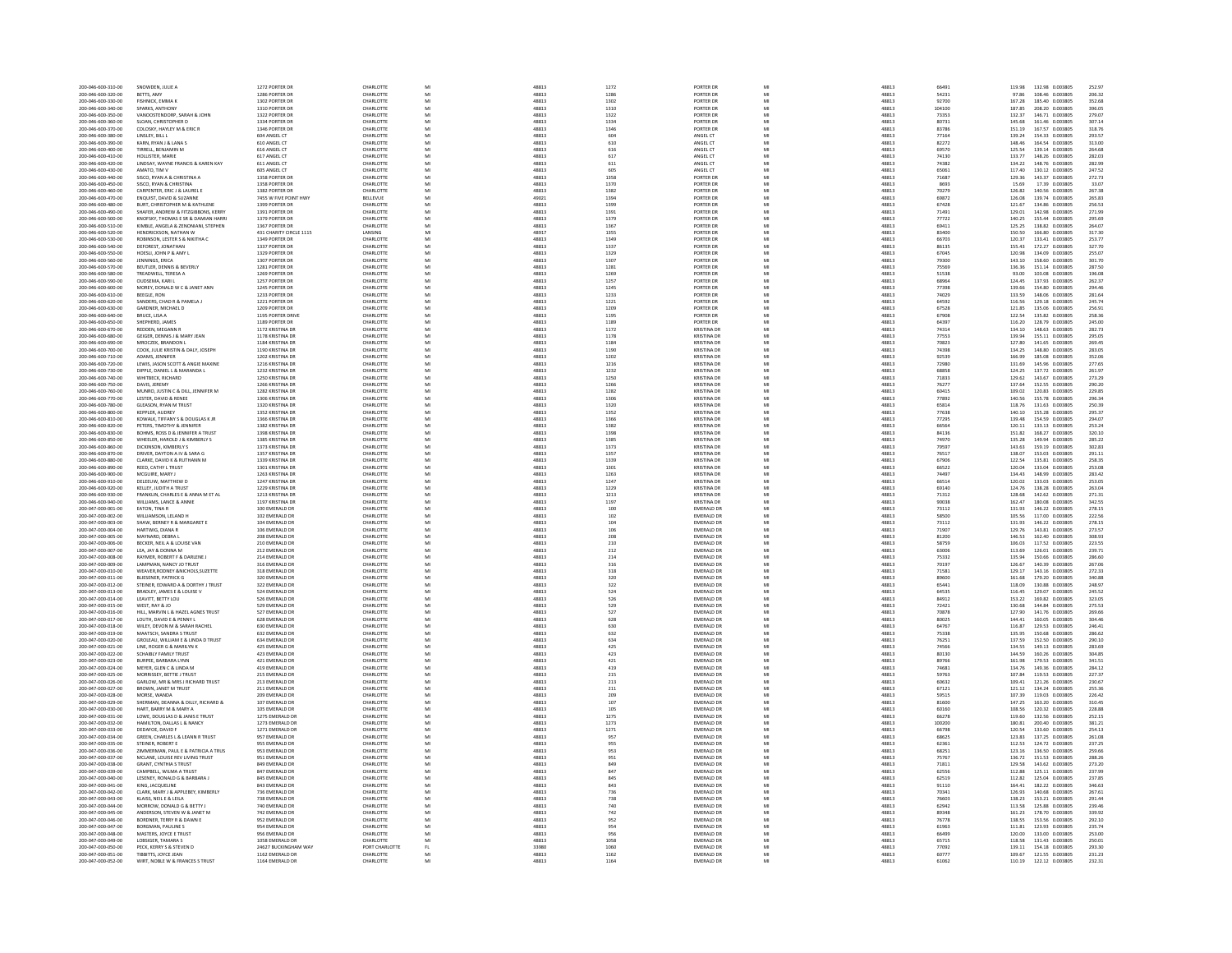| 200-046-600-310-00                       | SNOWDEN, JULIE A                                            | 1272 PORTER DF                       | CHARLOTTE                     | MI       | 48813          | 1272                                      | PORTER DR                                | MI       | 48813          | 66491          | 132.98 0.003805<br>252.97<br>119.98                                        |
|------------------------------------------|-------------------------------------------------------------|--------------------------------------|-------------------------------|----------|----------------|-------------------------------------------|------------------------------------------|----------|----------------|----------------|----------------------------------------------------------------------------|
| 200-046-600-320-00                       | BETTS, AMY                                                  | 1286 PORTER DR                       | CHARLOTTE                     | MI       | 48813          | 1286                                      | PORTER DR                                | MI       | 48813          | 54231          | 97.86<br>108.46 0.003805<br>206.32                                         |
| 200-046-600-330-00                       | FISHNICK, EMMA                                              | 1302 PORTER D                        | CHARLOTTE                     |          | 48813          | 1302                                      | PORTER DF                                | M        | 48813          | 92700          | 167.28<br>185.40 0.003805<br>352.68                                        |
| 200-046-600-340-00                       | SPARKS ANTHONY                                              | 1310 PORTER DR                       | CHARLOTTE                     | MI       | 48813          | 1310                                      | PORTER DR                                | MI       | 48813          | 104100         | 187.85<br>208.20 0.003805<br>396.05                                        |
| 200-046-600-350-00<br>200-046-600-360-00 | VANOOSTENDORP, SARAH & JOHN<br>SLOAN, CHRISTOPHER D         | 1322 PORTER DR<br>1334 PORTER DE     | CHARLOTTE<br><b>CHARLOTTE</b> | MI<br>MI | 48813<br>48813 | 1322<br>1334                              | PORTER DR<br>PORTER DR                   | M<br>MI  | 48813<br>48813 | 73353<br>80731 | 279.07<br>132.37<br>146.71 0.003805<br>145.68<br>161.46 0.003805<br>307.14 |
| 200-046-600-370-00                       | COLOSKY, HAYLEY M & ERIC R                                  | 1346 PORTER DR                       | CHARLOTTE                     | MI       | 48813          | 1346                                      | PORTER DR                                | MI       | 48813          | 83786          | 318.76<br>151.19<br>167.57 0.003805                                        |
| 200-046-600-380-00                       | LINSLEY, BILL L                                             | 604 ANGEL CT                         | CHARLOTTE                     |          | 48813          | 604                                       | ANGEL CT                                 | M        | 48813          | 77164          | 139.24<br>154.33 0.003805<br>293.57                                        |
| 200-046-600-390-00                       | KARN RYAN I & LANA S                                        | 610 ANGEL CT                         | CHARLOTTE                     | MI       | 48813          | 610                                       | ANGEL CT                                 | MI       | 48813          | 82272          | 148.46<br>164.54 0.003805<br>313.00                                        |
| 200-046-600-400-00                       | TIRRELL, BENJAMIN M                                         | 616 ANGEL CT                         | CHARLOTTE                     | MI       | 48813          | 616                                       | ANGEL CT                                 | MI       | 48813          | 69570          | 139.14 0.003805<br>264.68<br>125.54                                        |
| 200-046-600-410-00                       | HOLLISTER, MARIE                                            | 617 ANGEL CT                         | CHARLOTTE                     |          | 48813          | 617                                       | ANGEL CT                                 | M        | 48813          | 74130          | 133.77<br>148.26 0.003805<br>282.03                                        |
| 200-046-600-420-00                       | LINDSAY, WAYNE FRANCIS & KAREN KAY                          | 611 ANGEL CT                         | CHARLOTTE                     | MI       | 48813          | 611                                       | ANGEL CT                                 | MI       | 48813          | 74382          | 134.22<br>148.76 0.003805<br>282.99                                        |
| 200-046-600-430-00                       | AMATO, TIM V                                                | 605 ANGEL CT                         | CHARLOTTE                     |          | 48813          | 605                                       | ANGEL CT                                 |          | 48813          | 65061          | 130.12 0.003805<br>247.52<br>117.40                                        |
| 200-046-600-440-00                       | SISCO, RYAN A & CHRISTINA A                                 | 1358 PORTER DE                       | CHARLOTTE                     | MI       | 48813          | 1358                                      | PORTER DR                                | MI       | 48813          | 71687          | 129.36<br>143.37 0.003805<br>272.73                                        |
| 200-046-600-450-00<br>200-046-600-460-00 | SISCO, RYAN & CHRISTINA<br>CARPENTER, ERIC J & LAUREL E     | 1358 PORTER DR<br>1382 PORTER DR     | CHARLOTTE<br>CHARLOTTE        | MI<br>M  | 48813          | 1370<br>1382                              | PORTER DR<br>PORTER DR                   | MI<br>M  | 48813          | 8693           | 17.39 0.003805<br>33.07<br>15.69<br>126.82<br>140.56 0.003805              |
| 200-046-600-470-00                       | ENQUIST, DAVID & SUZANNE                                    | 7455 W FIVE POINT HWY                | BELLEVUE                      | MI       | 48813<br>49021 | 1394                                      | PORTER DR                                | MI       | 48813<br>48813 | 70279<br>69872 | 267.38<br>126.08<br>139.74 0.003805<br>265.83                              |
| 200-046-600-480-00                       | BURT, CHRISTOPHER M & KATHLENE                              | 1399 PORTER DR                       | CHARLOTTE                     | MI       | 48813          | 1399                                      | PORTER DR                                |          | 48813          | 67428          | 256.53<br>121.67<br>134.86 0.003805                                        |
| 200-046-600-490-00                       | SHAFFR ANDREW & FITZGIBRONS KERRY                           | 1391 PORTER DR                       | CHARLOTTE                     | MI       | 48813          | 1391                                      | PORTER DR                                | MI       | 48813          | 71491          | 129.01<br>142.98 0.003805<br>271.99                                        |
| 200-046-600-500-00                       | KNOFSKY, THOMAS E SR & DAMIAN HARR                          | 1379 PORTER DR                       | CHARLOTTE                     | MI       | 48813          | 1379                                      | PORTER DR                                | MI       | 48813          | 77722          | 155.44 0.003805<br>140.25<br>295.69                                        |
| 200-046-600-510-00                       | KIMBLE, ANGELA & ZENONIANI, STEPHEN                         | 1367 PORTER DR                       | CHARLOTTE                     | MI       | 48813          | 1367                                      | PORTER DR                                | M        | 48813          | 69411          | 138.82 0.003805<br>264.07<br>125.25                                        |
| 200-046-600-520-00                       | HENDRICKSON, NATHAN W                                       | 431 CHARITY CIRCLE 1115              | LANSING                       | MI       | 48917          | 1355                                      | PORTER DR                                | MI       | 48813          | 83400          | 150.50<br>166.80 0.003805<br>317.30                                        |
| 200-046-600-530-00                       | ROBINSON, LESTER S & NIKITHA C                              | 1349 PORTER DR                       | CHARLOTTE                     | MI       | 48813          | 1349                                      | PORTER DR                                | M        | 48813          | 66703          | 133.41 0.003805<br>253.77<br>120.37                                        |
| 200-046-600-540-00<br>200-046-600-550-00 | DEFOREST, JONATHAN                                          | 1337 PORTER DR                       | CHARLOTTE<br>CHARLOTTE        | MI<br>MI | 48813          | 1337                                      | PORTER DR                                | MI<br>M  | 48813<br>48813 | 86135<br>67045 | 155.43<br>172.27 0.003805<br>327.70<br>255.07<br>120.98<br>134.09 0.003805 |
| 200-046-600-560-00                       | HOESLI, JOHN P & AMY L<br>JENNINGS, ERICA                   | 1307 PORTER DR                       | CHARLOTTE                     | MI       | 48813<br>48813 | 1329<br>1307                              | PORTER DR<br>PORTER DR                   | M        | 48813          | 79300          | 158.60 0.003805<br>143.10<br>301.70                                        |
| 200-046-600-570-00                       | BEUTLER, DENNIS & BEVERLY                                   | 1281 PORTER DR                       | CHARLOTTE                     | MI       | 48813          | 1281                                      | PORTER DR                                | MI       | 48813          | 75569          | 136.36<br>151.14 0.003805<br>287.50                                        |
| 200-046-600-580-00                       | TREADWELL, TERESA A                                         | 1269 PORTER DR                       | CHARLOTTE                     | MI       | 48813          | 1269                                      | PORTER DR                                |          | 48813          | 51538          | 103.08 0.003805<br>196.08<br>93.00                                         |
| 200-046-600-590-00                       | OUDSEMA KARLL                                               | 1257 PORTER DR                       | CHARLOTTE                     | MI       | 48813          | 1257                                      | PORTER DR                                | MI       | 48813          | 68964          | 124.45<br>137.93 0.003805<br>262.37                                        |
| 200-046-600-600-00                       | MOREY, DONALD W C & JANET ANN                               | 1245 PORTER DF                       | CHARLOTTE                     | MI       | 48813          | 1245                                      | PORTER DR                                | MI       | 48813          | 77398          | 139.66<br>154.80 0.003805<br>294.46                                        |
| 200-046-600-610-00                       | BEEGLE, RON                                                 | 1233 PORTER D                        | CHARLOTTE                     | M        | 48813          | 1233                                      | PORTER DF                                | M        | 48813          | 74029          | 133.59<br>148.06 0.003805<br>281.64                                        |
| 200-046-600-620-00                       | SANDERS, CHAD R & PAMELA J                                  | 1221 PORTER DR                       | CHARLOTTE                     | MI       | 48813          | 1221                                      | PORTER DR                                | MI       | 48813          | 64592          | 116.56<br>129.18 0.003805<br>245.74                                        |
| 200-046-600-630-00<br>200-046-600-640-00 | GARDNER, MICHAEL D<br>BRUCE, LISA A                         | 1209 PORTER DR<br>1195 PORTER DRIV   | CHARLOTTE<br>CHARLOTTE        | MI<br>MI | 48813<br>48813 | 1209                                      | PORTER DR<br>PORTER DR                   | MI       | 48813<br>48813 | 67528<br>67908 | 135.06 0.003805<br>256.91<br>121.85<br>122.54<br>135.82 0.003805<br>258.36 |
| 200-046-600-650-00                       | SHEPHERD, JAMES                                             | 1189 PORTER DR                       | CHARLOTTE                     | MI       | 48813          | 1195<br>1189                              | PORTER DR                                | MI       | 48813          | 64397          | 116.20<br>128.79 0.003805<br>245.00                                        |
| 200-046-600-670-00                       | REDDEN, MEGANN                                              | 1172 KRISTINA DR                     | CHARLOTTE                     |          | 48813          | $1172\,$                                  | <b>KRISTINA DI</b>                       |          | 48813          | 74314          | 134.10<br>148.63 0.003805<br>282.73                                        |
| 200-046-600-680-00                       | GEIGER, DENNIS J & MARY JEAN                                | 1178 KRISTINA DR                     | CHARLOTTE                     | MI       | 48813          | 1178                                      | <b>KRISTINA DR</b>                       | MI       | 48813          | 77553          | 139.94<br>155.11 0.003805<br>295.05                                        |
| 200-046-600-690-00                       | MROCZEK, BRANDON L                                          | 1184 KRISTINA DR                     | CHARLOTTE                     |          | 48813          | 1184                                      | <b>KRISTINA DR</b>                       |          | 48813          | 70823          | 269.45<br>127.80<br>141.65 0.003805                                        |
| 200-046-600-700-00                       | COOK, JULIE KRISTIN & DALY, JOSEPH                          | 1190 KRISTINA DR                     | CHARLOTTE                     | MI       | 48813          | 1190                                      | <b>KRISTINA DR</b>                       | MI       | 48813          | 74398          | 134.25<br>148.80 0.003805<br>283.05                                        |
| 200-046-600-710-00                       | ADAMS, JENNIFER                                             | 1202 KRISTINA DR                     | CHARLOTTE                     | MI       | 48813          | 1202                                      | <b>KRISTINA DR</b>                       | MI       | 48813          | 92539          | 352.06<br>166.99<br>185.08 0.003805                                        |
| 200-046-600-720-00                       | LEWIS, JASON SCOTT & ANGIE MAXINI                           | 1216 KRISTINA DR                     | CHARLOTTE                     |          | 48813          | 1216                                      | <b>KRISTINA DF</b>                       | M        | 48813          | 72980          | 131.69<br>145.96 0.003805<br>277.65                                        |
| 200-046-600-730-00                       | DIPPLE DANIELL & MARANDA L                                  | 1232 KRISTINA DR                     | CHARLOTTE                     | MI       | 48813          | 1232                                      | <b>KRISTINA DR</b>                       | MI       | 48813          | 68858          | 124.25<br>137.72 0.003805<br>261.97                                        |
| 200-046-600-740-00<br>200-046-600-750-00 | WHITBECK, RICHARD<br><b>DAVIS IFREMY</b>                    | 1250 KRISTINA DR<br>1266 KRISTINA DR | CHARLOTTE<br>CHARLOTTE        | MI<br>MI | 48813<br>48813 | 1250<br>1266                              | <b>KRISTINA DR</b><br><b>KRISTINA DR</b> | MI<br>MI | 48813<br>48813 | 71833<br>76277 | 143.67 0.003805<br>273.29<br>129.62<br>137.64<br>152.55 0.003805<br>290.20 |
|                                          | MUNRO, JUSTIN C & DILL, JENNIFER M                          | 1282 KRISTINA DR                     |                               |          |                | 1282                                      |                                          | MI       |                |                | 229.85                                                                     |
| 200-046-600-760-00<br>200-046-600-770-00 | LESTER, DAVID & RENEE                                       | 1306 KRISTINA DR                     | CHARLOTTE<br>CHARLOTTE        | MI       | 48813<br>48813 | 1306                                      | <b>KRISTINA DR</b><br><b>KRISTINA DF</b> | M        | 48813<br>48813 | 60415<br>77892 | 109.02<br>120.83 0.003805<br>140.56<br>155.78 0.003805<br>296.34           |
| 200-046-600-780-00                       | <b>GIFASON RYAN M TRUST</b>                                 | 1320 KRISTINA DR                     | CHARLOTTE                     | MI       | 48813          | 1320                                      | <b>KRISTINA DR</b>                       | MI       | 48813          | 65814          | 118.76<br>131.63 0.003805<br>250.39                                        |
| 200-046-600-800-00                       | KEPPLER, AUDREY                                             | 1352 KRISTINA DR                     | CHARLOTTE                     | MI       | 48813          | 1352                                      | <b>KRISTINA DR</b>                       | MI       | 48813          | 77638          | 295.37<br>140.10<br>155.28 0.003805                                        |
| 200-046-600-810-00                       | KOWALK, TIFFANY S & DOUGLAS K JR                            | 1366 KRISTINA DR                     | CHARLOTTE                     | MI       | 48813          | 1366                                      | <b>KRISTINA DR</b>                       | M        | 48813          | 77295          | 139.48<br>154.59 0.003805<br>294.07                                        |
| 200-046-600-820-00                       | PETERS, TIMOTHY & JENNIFER                                  | 1382 KRISTINA DR                     | CHARLOTTE                     | MI       | 48813          | 1382                                      | <b>KRISTINA DR</b>                       | MI       | 48813          | 66564          | 253.24<br>120.11<br>133.13 0.003805                                        |
| 200-046-600-830-00                       | BOHMS, ROSS D & JENNIFER A TRUST                            | 1398 KRISTINA DR                     | CHARLOTTE                     |          | 48813          | 1398                                      | <b>KRISTINA DF</b>                       | M        | 48813          | 84136          | 151.82<br>168.27 0.003805<br>320.10                                        |
| 200-046-600-850-00                       | WHEELER HAROLD L& KIMBERLYS                                 | 1385 KRISTINA DR                     | CHARLOTTE                     | MI       | 48813          | 1385                                      | <b>KRISTINA DR</b>                       | MI       | 48813          | 74970          | 135.28<br>149.94 0.003805<br>285.22                                        |
| 200-046-600-860-00                       | DICKINSON, KIMBERLY S                                       | 1373 KRISTINA DR                     | CHARLOTTE                     | MI       | 48813          | 1373                                      | <b>KRISTINA DR</b>                       | MI<br>M  | 48813          | 79597          | 159.19 0.003805<br>302.83<br>143.63                                        |
| 200-046-600-870-00<br>200-046-600-880-00 | DRIVER, DAYTON A IV & SARA G<br>CLARKE, DAVID K & RUTHANN M | 1357 KRISTINA DR<br>1339 KRISTINA DR | CHARLOTTE<br>CHARLOTTE        | MI       | 48813<br>48813 | 1357<br>1339                              | <b>KRISTINA DF</b><br><b>KRISTINA DR</b> | MI       | 48813<br>48813 | 76517<br>67906 | 138.07<br>153.03 0.003805<br>291.11<br>122.54<br>135.81 0.003805<br>258.35 |
| 200-046-600-890-00                       | REED, CATHY L TRUST                                         | 1301 KRISTINA DR                     | CHARLOTTE                     | M        | 48813          | 1301                                      | <b>KRISTINA DF</b>                       | M        | 48813          | 66522          | 133.04 0.003805<br>253.08<br>120.04                                        |
| 200-046-600-900-00                       | MCGUIRE, MARY J                                             | 1263 KRISTINA DR                     | CHARLOTTE                     | MI       | 48813          | 1263                                      | <b>KRISTINA DR</b>                       | MI       | 48813          | 74497          | 134.43<br>148.99 0.003805<br>283.42                                        |
| 200-046-600-910-00                       | DELEEUW, MATTHEW D                                          | 1247 KRISTINA DR                     | CHARLOTTE                     | MI       | 48813          | 1247                                      | <b>KRISTINA DR</b>                       | MI       | 48813          | 66514          | 133.03 0.003805<br>253.05<br>120.02                                        |
| 200-046-600-920-00                       | KELLEY, JUDITH A TRUST                                      | 1229 KRISTINA DR                     | CHARLOTTE                     | MI       | 48813          | 1229                                      | <b>KRISTINA DR</b>                       | M        | 48813          | 69140          | 263.04<br>124.76<br>138.28 0.003805                                        |
| 200-046-600-930-00                       | FRANKLIN, CHARLES E & ANNA M ET AL                          | 1213 KRISTINA DR                     | CHARLOTTE                     | MI       | 48813          | 1213                                      | <b>KRISTINA DR</b>                       | MI       | 48813          | 71312          | 128.68<br>142.62 0.003805<br>271.31                                        |
| 200-046-600-940-00                       | WILLIAMS, LANCE & ANNIE                                     | 1197 KRISTINA DR                     | CHARLOTTE                     | MI       | 48813          | 1197                                      | <b>KRISTINA DR</b>                       |          | 48813          | 90038          | 180.08 0.003805<br>342.55<br>162.47                                        |
| 200-047-000-001-00                       | EATON, TINA R                                               | 100 EMERALD DR                       | CHARLOTTE                     | MI       | 48813          | $\begin{array}{c} 100 \\ 102 \end{array}$ | <b>EMERALD DR</b>                        | MI       | 48813<br>48813 | 73112<br>58500 | 278.15<br>222.56<br>131.93                                                 |
| 200-047-000-002-00                       | WILLIAMSON, LELAND I                                        | 102 EMERALD DR                       | CHARLOTTE                     | MI       | 48813          |                                           | <b>EMERALD DR</b>                        | M        |                |                | 105.56                                                                     |
| 200-047-000-003-00                       | SHAW, BERNEY R & MARGARET E                                 | 104 EMERALD DR                       | CHARLOTTE                     | MI       | 48813          | $104\,$                                   | EMERALD DR                               | M        | 48813          | 73112          | 131.93<br>146.22 0.003805<br>278.15                                        |
| 200-047-000-004-00<br>200-047-000-005-00 | HARTWIG, DIANA R                                            | 106 EMERALD DR                       | CHARLOTTE<br>CHARLOTTE        | MI<br>MI | 48813          | 106                                       | <b>EMERALD DR</b><br>EMERALD DR          | MI       | 48813          | 71907          | 129.76<br>143.81 0.003805<br>273.57<br>146.53                              |
| 200-047-000-006-00                       | MAYNARD, DEBRA L<br>BECKER, NEIL A & LOUISE VAN             | 208 EMERALD DR<br>210 EMERALD DR     | CHARLOTTE                     | MI       | 48813<br>48813 | 208<br>210                                | <b>EMERALD DR</b>                        | MI       | 48813<br>48813 | 81200<br>58759 | 162.40 0.003805<br>308.93<br>106.03<br>117.52 0.003805<br>223.55           |
| 200-047-000-007-00                       | LEA, JAY & DONNA M                                          | 212 EMERALD DR                       | CHARLOTTE                     | MI       | 48813          | 212                                       | <b>EMERALD DR</b>                        | MI       | 48813          | 63006          | 113.69<br>126.01 0.003805<br>239.71                                        |
| 200-047-000-008-00                       | RAYMER, ROBERT F & DARLENE J                                | 214 EMERALD DR                       | CHARLOTTE                     | MI       | 48813          | 214                                       | <b>EMERALD DR</b>                        | M        | 48813          | 75332          | 150.66 0.003805<br>286.60<br>135.94                                        |
| 200-047-000-009-00                       | LAMPMAN, NANCY JO TRUST                                     | 316 EMERALD DR                       | CHARLOTTE                     | MI       | 48813          | 316                                       | <b>EMERALD DR</b>                        | MI       | 48813          | 70197          | 126.67<br>140.39 0.003805<br>267.06                                        |
| 200-047-000-010-00                       | WEAVER, RODNEY & NICHOLS, SUZETTI                           | 318 EMERALD DR                       | CHARLOTTE                     |          | 48813          | $318\,$                                   | EMERALD DR                               |          | 48813          | 71581          | 129.17<br>143.16 0.003805<br>272.33                                        |
| 200-047-000-011-00                       | BLIESENER, PATRICK G                                        | 320 EMERALD DR                       | CHARLOTTE                     | MI       | 48813          | 320                                       | <b>FMFRAID DR</b>                        | MI       | 48813          | 89600          | 161.68<br>179.20 0.003805<br>340.88                                        |
| 200-047-000-012-00                       | STEINER, EDWARD A & DORTHY J TRUST                          | 322 EMERALD DR                       | CHARLOTTE                     | MI       | 48813          | 322                                       | <b>EMERALD DR</b>                        | MI       | 48813          | 65441          | 248.97<br>118.09<br>130.88 0.003805                                        |
| 200-047-000-013-00<br>200-047-000-014-00 | BRADLEY, JAMES E & LOUISE V<br>LEAVITT, BETTY LOU           | 524 EMERALD DR<br>526 EMERALD DR     | CHARLOTTE<br>CHARLOTTE        | MI       | 48813<br>48813 | 524<br>526                                | <b>EMERALD DR</b><br><b>EMERALD DR</b>   | MI       | 48813<br>48813 | 64535<br>84912 | 116.45<br>129.07 0.003805<br>245.52<br>153.22<br>169.82 0.003805<br>323.05 |
| 200-047-000-015-00                       | WEST, RAY & JO                                              | 529 EMERALD DR                       | CHARLOTTE                     |          | 48813          | 529                                       | <b>EMERALD DR</b>                        | M        | 48813          | 72421          | 130.68<br>144.84 0.003805<br>275.53                                        |
| 200-047-000-016-00                       | HILL, MARVIN L & HAZEL AGNES TRUST                          | 527 EMERALD DR                       | CHARLOTTE                     | MI       | 48813          | 527                                       | <b>EMERALD DR</b>                        | MI       | 48813          | 70878          | 127.90<br>141.76 0.003805<br>269.66                                        |
| 200-047-000-017-00                       | LOUTH, DAVID E & PENNY L                                    | 628 EMERALD DR                       | CHARLOTTE                     | MI       | 48813          | 628                                       | <b>EMERALD DR</b>                        | MI       | 48813          | 80025          | 304.46<br>144.41<br>160.05 0.003805                                        |
| 200-047-000-018-00                       | WILEY, DEVON M & SARAH RACHEI                               | 630 EMERALD DR                       | CHARLOTTE                     | M        | 48813          | 630                                       | <b>EMERALD DR</b>                        | M        | 48813          | 64767          | 116.87<br>129.53 0.003805<br>246.41                                        |
| 200-047-000-019-00                       | MAATSCH, SANDRA S TRUST                                     | 632 EMERALD DR                       | CHARLOTTE                     | MI       | 48813          | 632                                       | <b>EMERALD DR</b>                        | MI       | 48813          | 75338          | 135.95<br>150.68 0.003805<br>286.62                                        |
| 200-047-000-020-00                       | GROLEAU, WILLIAM E & LINDA D TRUST                          | 634 EMERALD DR                       | CHARLOTTE                     |          | 48813          | 634                                       | <b>EMERALD DR</b>                        |          | 48813          |                | 290.10<br>137.59<br>152.50 0.003805                                        |
| 200-047-000-021-00                       | <b>INF ROGER G &amp; MARILYN K</b>                          | 425 EMERALD DR                       | CHARLOTTE                     | MI       | 48813          | 425                                       | <b>EMERALD DR</b>                        | MI       | 48813          | 74566          | 134.55<br>149.13 0.003805<br>283.69                                        |
| 200-047-000-022-00<br>200-047-000-023-00 | <b>SCHAIBLY FAMILY TRUST</b><br><b>BURPEE, BARBARA LYNN</b> | 423 EMERALD DR<br>421 EMERALD DR     | CHARLOTTE<br>CHARLOTTE        | MI       | 48813<br>48813 | 423<br>421                                | <b>EMERALD DR</b><br><b>EMERALD DR</b>   | MI<br>M  | 48813<br>48813 | 80130<br>89766 | 304.85<br>144.59<br>160.26 0.003805<br>161.98<br>179.53 0.003805<br>341.51 |
| 200-047-000-024-00                       | MEYER GLEN C & LINDA M                                      | 419 FMFRAID DR                       | CHARLOTTE                     | MI       | 48813          | 419                                       | <b>EMERALD DR</b>                        | MI       | 48813          | 74681          | 134.76<br>149.36 0.003805<br>284 12                                        |
| 200-047-000-025-00                       | MORRISSEY, BETTIE J TRUST                                   | 215 EMERALD DR                       | CHARLOTTE                     | MI       | 48813          | 215                                       | <b>EMERALD DR</b>                        | MI       | 48813          | 59763          | 227.37<br>119.53 0.003805<br>107.84                                        |
| 200-047-000-026-00                       | GARLOW, MR & MRS J RICHARD TRUST                            | 213 EMERALD DR                       | CHARLOTTE                     | MI       | 48813          | $_{\rm 213}$                              | <b>EMERALD DR</b>                        | M        | 48813          | 60632          | 109.41<br>121.26 0.003805<br>230.67                                        |
| 200-047-000-027-00                       | <b>BROWN, JANET M TRUST</b>                                 | 211 EMERALD DR                       | CHARLOTTE                     | MI       | 48813          | 211                                       | <b>EMERALD DR</b>                        | MI       | 48813          | 67121          | 121.12<br>134.24 0.003805<br>255.36                                        |
| 200-047-000-028-00                       | MORSE, WANDA                                                | 209 EMERALD DR                       | CHARLOTTE                     | M        | 48813          | 209                                       | <b>EMERALD DR</b>                        | M        | 48813          | 59515          | 107.39<br>119.03 0.003805<br>226.42                                        |
| 200-047-000-029-00                       | SHERMAN, DEANNA & DILLY, RICHARD &                          | 107 EMERALD DR                       | CHARLOTTE                     | MI       | 48813          | 107                                       | <b>EMERALD DR</b>                        | MI       | 48813          | 81600          | 147.25<br>163.20 0.003805<br>310.45                                        |
| 200-047-000-030-00<br>200-047-000-031-00 | HART, BARRY M & MARY A<br>LOWE, DOUGLAS D & JANIS E TRUST   | 105 EMERALD DR<br>1275 EMERALD DR    | CHARLOTTE<br>CHARLOTTE        | MI<br>MI | 48813<br>48813 | 105<br>1275                               | EMERALD DR<br><b>EMERALD DR</b>          | MI<br>M  | 48813<br>48813 | 60160<br>66278 | 228.88<br>120.32 0.003805<br>108.56<br>132.56 0.003805<br>119.60<br>252.15 |
| 200-047-000-032-00                       | HAMILTON, DALLAS L & NANCY                                  | 1273 EMERALD DR                      | CHARLOTTE                     | MI       | 48813          | 1273                                      | <b>EMERALD DR</b>                        | MI       | 48813          | 100200         | 180.81<br>200.40 0.003805<br>381.21                                        |
| 200-047-000-033-00                       | DEDAFOE, DAVID I                                            | 1271 EMERALD DR                      | CHARLOTTI                     |          | 48813          | 1271                                      | <b>EMERALD DR</b>                        |          | 48813          | 66798          | 120.54<br>133.60 0.003805<br>254.13                                        |
| 200-047-000-034-00                       | GREEN, CHARLES L & LEANN R TRUST                            | 957 EMERALD DR                       | CHARLOTTE                     | MI       | 48813          | 957                                       | <b>EMERALD DR</b>                        | MI       | 48813          | 68625          | 123.83<br>137.25 0.003805<br>261.08                                        |
| 200-047-000-035-00                       | STEINER, ROBERT E                                           | 955 EMERALD DR                       | CHARLOTTE                     | MI       | 48813          | 955                                       | EMERALD DR                               | MI       | 48813          | 62361          | 237.25<br>112.53<br>124.72 0.003805                                        |
| 200-047-000-036-00                       | ZIMMERMAN, PAUL E & PATRICIA A TRUS                         | 953 EMERALD DR                       | CHARLOTTE                     | MI       | 48813          | 953                                       | EMERALD DR                               | M        | 48813          | 68251          | 123.16<br>136.50 0.003805<br>259.66                                        |
| 200-047-000-037-00                       | MCLANE. LOUISE REV LIVING TRUST                             | 951 EMERALD DR                       | CHARLOTTE                     | MI       | 48813          | 951                                       | <b>EMERALD DR</b>                        | MI       | 48813          | 75767          | 136.72<br>151.53 0.003805<br>288.26                                        |
| 200-047-000-038-00                       | GRANT, CYNTHIA S TRUST                                      | 849 EMERALD DR                       | CHARLOTTE                     | M        | 48813          | 849                                       | EMERALD DR                               |          | 48813          | 71811          | 129.58<br>143.62 0.003805<br>273.20                                        |
| 200-047-000-039-00<br>200-047-000-040-00 | CAMPBELL, WILMA A TRUST                                     | 847 EMERALD DR                       | CHARLOTTE<br>CHARLOTTE        | MI<br>MI | 48813<br>48813 | 847                                       | <b>EMERALD DR</b><br>EMERALD DR          | MI<br>M  | 48813<br>48813 | 62556<br>62519 | 112.88<br>125.11 0.003805<br>237.99<br>237.85<br>112.82<br>125.04 0.003805 |
| 200-047-000-041-00                       | LESENEY, RONALD G & BARBARA J<br>KING, JACQUELINE           | 845 EMERALD DR<br>843 EMERALD DR     | CHARLOTTE                     | MI       | 48813          | 845<br>843                                | <b>EMERALD DR</b>                        | MI       | 48813          | 91110          | 182.22 0.003805<br>164.41<br>346.63                                        |
| 200-047-000-042-00                       | CLARK, MARY J & APPLEBEY, KIMBERLY                          | 736 EMERALD DR                       | CHARLOTTE                     | MI       | 48813          | 736                                       | <b>EMERALD DR</b>                        | MI       | 48813          | 70341          | 126.93<br>140.68 0.003805<br>267.61                                        |
| 200-047-000-043-00                       | KLAISS, NEIL E & LEILA                                      | 738 EMERALD DR                       | CHARLOTTE                     |          | 48813          | 738                                       | EMERALD DR                               |          | 48813          | 76603          | 138.23<br>153.21 0.003805<br>291.44                                        |
| 200-047-000-044-00                       | MORROW DONALD G & RETTY I                                   | 740 FMFRAID DR                       | CHARLOTTE                     | MI       | 48813          | 740                                       | <b>EMERALD DR</b>                        | MI       | 48813          | 62942          | 125.88 0.003805<br>239.46<br>113.58                                        |
| 200-047-000-045-00                       | ANDERSON, STEVEN W & JANET M                                | 742 EMERALD DR                       | CHARLOTTE                     |          | 48813          | 742                                       | EMERALD DR                               |          | 48813          | 89348          | 178.70 0.003805<br>339.92<br>161.23                                        |
| 200-047-000-046-00                       | <b>BORDNER, TERRY R &amp; DAWN E</b>                        | 952 EMERALD DR                       | CHARLOTTE                     | MI       | 48813          | 952                                       | <b>EMERALD DR</b>                        | MI       | 48813          | 76778          | 138.55<br>153.56 0.003805<br>292.10                                        |
| 200-047-000-047-00                       | BORGMAN, PAULINES                                           | 954 EMERALD DR                       | CHARLOTTE                     | MI       | 48813          | 954                                       | <b>EMERALD DR</b>                        | MI       | 48813          | 61963          | 111.81<br>123.93 0.003805<br>235.74                                        |
| 200-047-000-048-00<br>200-047-000-049-00 | MASTERS, JOYCE E TRUST<br>LOBSIGER TAMARA S                 | 956 EMERALD DR<br>1058 EMERALD DR    | CHARLOTTE<br>CHARLOTTE        | MI       | 48813<br>48813 | 956<br>1058                               | <b>EMERALD DR</b><br><b>EMERALD DR</b>   | MI       | 48813<br>48813 | 66499<br>65715 | 133.00 0.003805<br>253.00<br>120.00<br>118.58<br>131.43 0.003805<br>250.01 |
| 200-047-000-050-00                       | PECK, KERRY S & STEVEN D                                    | 24627 BUCKINGHAM WAY                 | PORT CHARLOTTE                | FL       | 33980          | 1060                                      | <b>EMERALD DR</b>                        | MI       | 48813          | 77092          | 139.11<br>154.18 0.003805<br>293.30                                        |
| 200-047-000-051-0                        | <b><i>IBBITTS, JOYCE JEAN</i></b>                           | 1162 EMERALD DF                      | CHARLOTTE                     |          | 48813          | 1162                                      | <b>EMERALD DR</b>                        |          | 4881           | 60777          | 121.55 0.003805<br>231.23                                                  |
| 200-047-000-052-00                       | WIRT, NOBLE W & FRANCES S TRUST                             | 1164 EMERALD DR                      | CHARLOTTE                     |          | 48813          | 1164                                      | <b>EMERALD DR</b>                        |          | 48813          | 61062          | 110.19<br>122.12 0.003805<br>232.31                                        |
|                                          |                                                             |                                      |                               |          |                |                                           |                                          |          |                |                |                                                                            |
|                                          |                                                             |                                      |                               |          |                |                                           |                                          |          |                |                |                                                                            |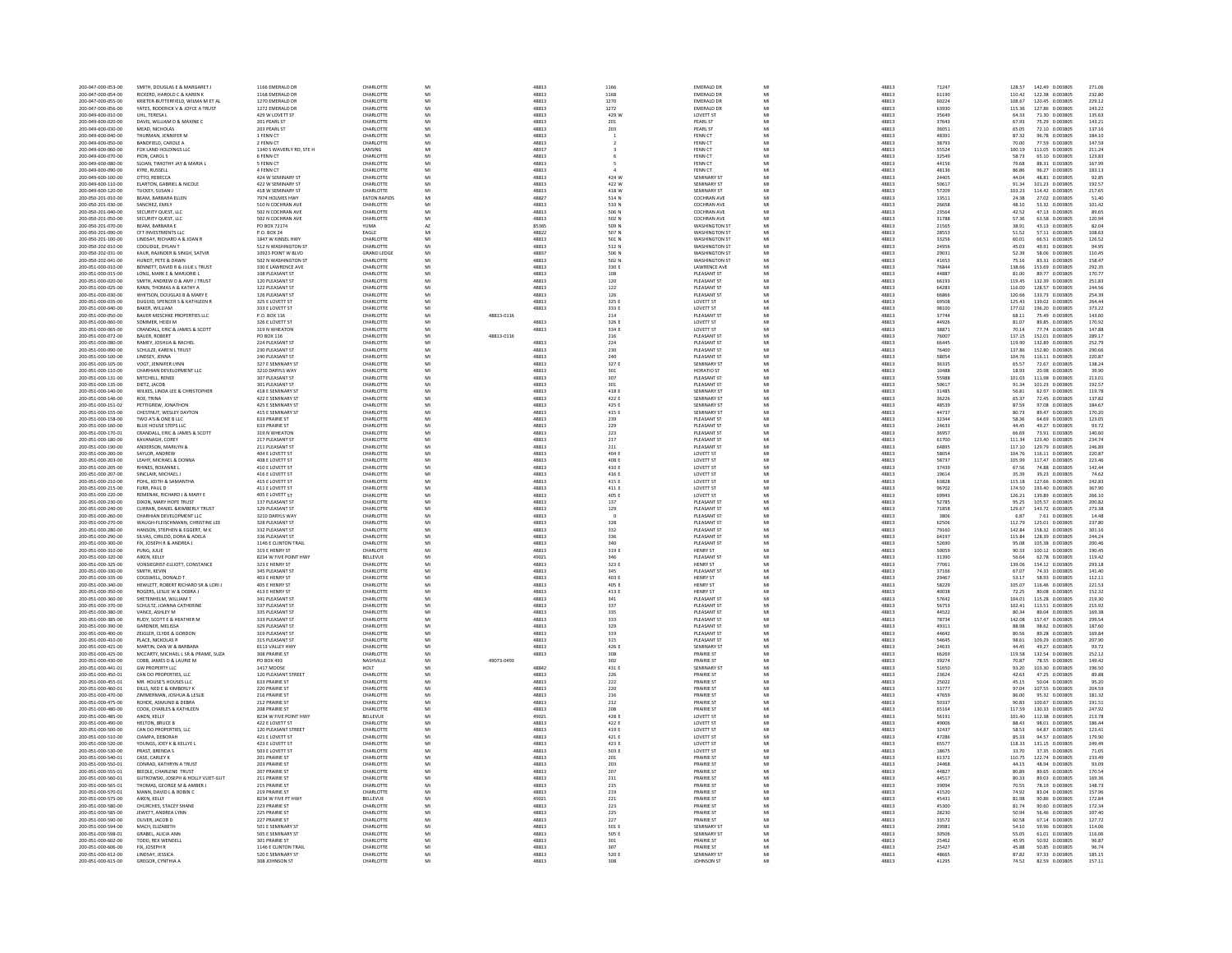| 200-047-000-053-00                       | SMITH, DOUGLAS E & MARGARET J                           | 1166 EMERALD DR                           | CHARLOTTI                     |          |            | 48813          | 1166           | EMERALD DR                               | M       | 48813          | 71247          | 128.57           | 142.49 0.003805                    | 271.06           |
|------------------------------------------|---------------------------------------------------------|-------------------------------------------|-------------------------------|----------|------------|----------------|----------------|------------------------------------------|---------|----------------|----------------|------------------|------------------------------------|------------------|
| 200-047-000-054-00                       | <b>RICKERD HAROLD C &amp; KAREN K</b>                   | 1168 FMFRAID DR                           | CHARLOTTE                     | MI       |            | 48813          | 1168           | <b>FMFRAID DR</b>                        | MI      | 48813          | 61190          | 110.42           | 122.38 0.003805                    | 232.80           |
| 200-047-000-055-00                       | KRIETER-BUTTERFIELD, WILMA M ET AL                      | 1270 EMERALD DR                           | CHARLOTTE                     | MI       |            | 48813          | 1270           | <b>EMERALD DR</b>                        | MI      | 48813          | 60224          | 108.67           | 120.45 0.003805                    | 229.12           |
| 200-047-000-056-00                       | YATES, RODERICK V & JOYCE A TRUST                       | 1272 EMERALD DR                           | CHARLOTTE                     | MI       |            | 48813          | 1272           | <b>EMERALD DR</b>                        | M       | 48813          | 63930          | 115.36           | 127.86 0.003805                    | 243.22           |
| 200-049-600-010-00<br>200-049-600-020-00 | UHL. TERESA L<br><b>DAVIS, WILLIAM D &amp; MAXINE C</b> | 429 W LOVETT ST<br>201 PEARL ST           | CHARLOTTE<br>CHARLOTTI        | MI       |            | 48813<br>48813 | 429 W<br>201   | LOVETT ST<br>PEARL ST                    | MI      | 48813<br>48813 | 35649<br>37643 | 64.33<br>67.93   | 71.30 0.003805<br>75.29 0.003805   | 135.63<br>143.21 |
| 200-049-600-030-00                       | MEAD NICHOLAS                                           | 203 PEARL ST                              | CHARLOTTE                     | MI       |            | 48813          | 203            | PEARL ST                                 | MI      | 48813          | 36051          | 65.05            | 72.10 0.003805                     | 137 16           |
| 200-049-600-040-00                       | THURMAN, JENNIFER M                                     | 1 FENN CT                                 | CHARLOTTE                     | MI       |            | 48813          |                | FENN CT                                  | MI      | 48813          | 48391          | 87.32            | 96.78 0.003805                     | 184.10           |
| 200-049-600-050-00                       | BANDFIELD, CAROLE A                                     | 2 FENN CT                                 | CHARLOTTI                     | MI       |            | 48813          |                | FENN CT                                  | M       | 48813          | 38793          | 70.00            | 77.59 0.003805                     | 147.59           |
| 200-049-600-060-00                       | FOX LAND HOLDINGS LLC                                   | 1340 S WAVERLY RD, STE H                  | <b>LANSING</b>                | MI       |            | 48917          |                | FENN CT                                  | MI      | 48813          | 55524          | 100 19           | 111.05 0.003805                    | 211.24           |
| 200-049-600-070-00                       | PION, CAROL S                                           | 6 FENN CT                                 | CHARLOTTE                     | MI       |            | 48813          |                | <b>FENN CT</b>                           | MI      | 48813          | 32549          | 58.73            | 65.10 0.003805                     | 123.83           |
| 200-049-600-080-00                       | <b>SLOAN, TIMOTHY JAY &amp; MARIA L</b>                 | 5 FENN CT                                 | CHARLOTTE                     | MI       |            | 48813          |                | FENN CT                                  | M       | 48813          | 44156          | 79.68            | 88.31 0.003805                     | 167.99           |
| 200-049-600-090-00                       | KYRE, RUSSELL                                           | 4 FENN CT                                 | CHARLOTTI                     | MI       |            | 48813          |                | FENN CT                                  | M<br>M  | 48813          | 48136          | 86.86            | 96.27 0.003805                     | 183.13           |
| 200-049-600-100-00<br>200-049-600-110-00 | OTTO, REBECCA<br>ELARTON, GABRIEL & NICOLE              | 424 W SEMINARY ST<br>422 W SEMINARY ST    | CHARLOTTI<br>CHARLOTTE        | MI<br>MI |            | 48813<br>48813 | 424 W<br>422 W | <b>SEMINARY ST</b><br><b>SEMINARY ST</b> | MI      | 48813<br>48813 | 24405<br>50617 | 44.04<br>91.34   | 48.81 0.003805<br>101.23 0.003805  | 92.85<br>192.57  |
| 200-049-600-120-00                       | TUCKEY, SUSAN J                                         | 418 W SEMINARY ST                         | CHARLOTTE                     | MI       |            | 48813          | 418 W          | <b>SEMINARY ST</b>                       | MI      | 48813          | 57209          | 103.23           | 114.42 0.003805                    | 217.65           |
| 200-050-201-010-00                       | <b>BEAM, BARBARA ELLET</b>                              | 7974 HOLMES HWY                           | <b>EATON RAPID</b>            | MI       |            | 48827          | 514 N          | COCHRAN AV                               | M       | 48813          | 13511          | 24.38            | 27.02 0.003805                     | 51.40            |
| 200-050-201-030-00                       | SANCHEZ, EMILY                                          | 510 N COCHRAN AVE                         | CHARLOTTE                     | MI       |            | 48813          | 510 N          | <b>COCHRAN AVE</b>                       | MI      | 48813          | 26658          | 48.10            | 53.32 0.003805                     | 101.42           |
| 200-050-201-040-00                       | SECURITY QUEST, LLC                                     | 502 N COCHRAN AV                          | CHARLOTTI                     | M        |            | 48813          | 506 N          | COCHRAN AVI                              |         | 48813          | 23564          | 42.52            | 47.13 0.003805                     | 89.65            |
| 200-050-201-050-00                       | SECURITY OUEST LLC                                      | 502 N COCHRAN AVE                         | CHARLOTTE                     | MI       |            | 48813          | 502 N          | COCHRAN AVE                              | MI      | 48813          | 31788          | 57.36            | 63.58 0.003805                     | 120.94           |
| 200-050-201-070-00                       | BEAM, BARBARA E                                         | PO BOX 72174                              | YUMA                          | AZ       |            | 85365          | 509 N          | WASHINGTON ST                            | MI      | 48813          | 21565          | 38.91            | 43.13 0.003805                     | 82.04            |
| 200-050-201-090-00                       | CFT INVESTMENTS LLC                                     | P.O. BOX 24                               | EAGLE                         | MI       |            | 48822          | 507 N          | WASHINGTON ST                            | M       | 48813          | 28553          | 51.52            | 57.11 0.003805                     | 108.63           |
| 200-050-201-100-00                       | LINDSAY, RICHARD A & JOAN R                             | 1847 W KINSEL HWY                         | CHARLOTTE                     | MI       |            | 48813          | 501 N          | WASHINGTON ST                            | MI<br>M | 48813          | 33256          | 60.01            | 66.51 0.003805                     | 126.52           |
| 200-050-202-010-00<br>200-050-202-031-00 | COOLIDGE, DYLAN T<br>KAUR RAIINDER & SINGH SATVIR       | 512 N WASHINGTON ST<br>10923 POINT W RIVD | CHARLOTTE<br>GRAND LEDGE      | MI<br>MI |            | 48813<br>48837 | 512 N<br>506 N | WASHINGTON ST<br>WASHINGTON ST           | MI      | 48813<br>48813 | 24956<br>29031 | 45.03<br>52.39   | 49.91 0.003805<br>58.06 0.003805   | 94.95<br>110.45  |
| 200-050-202-041-00                       | HUNDT, PETE & DAWN                                      | 502 N WASHINGTON ST                       | CHARLOTTE                     | MI       |            | 48813          | 502 N          | WASHINGTON ST                            | MI      | 48813          | 41653          | 75.16            | 83.31 0.003805                     | 158.47           |
| 200-051-000-010-00                       | BENNETT, DAVID R & JULIE L TRUST                        | 330 E LAWRENCE AVE                        | CHARLOTTI                     | MI       |            | 48813          | 330 E          | <b>LAWRENCE AVE</b>                      | M       | 48813          | 76844          | 138.66           | 153.69 0.003805                    | 292.35           |
| 200-051-000-015-00                       | LONG MARK F & MARIORIE L                                | 108 PLEASANT ST                           | CHARLOTTE                     | MI       |            | 48813          | 108            | PLEASANT ST                              | MI      | 48813          | 44887          | 81.00            | 89.77 0.003805                     | 170.77           |
| 200-051-000-020-00                       | SMITH, ANDREW D & AMY J TRUS'                           | 120 PLEASANT ST                           | CHARLOTTE                     | MI       |            | 48813          | 120            | PLEASANT ST                              | MI      | 48813          | 66193          | 119.45           | 132.39 0.003805                    | 251.83           |
| 200-051-000-025-00                       | RANN, THOMAS A & KATHY                                  | 122 PLEASANT ST                           | CHARLOTTI                     | M        |            | 48813          | 122            | PLEASANT S'                              | M<br>Ш  | 48813          | 64283          | 116.00           | 128.57 0.003805                    | 244.56           |
| 200-051-000-030-00                       | WHITSON, DOUGLAS B & MARY E                             | 126 PLEASANT ST                           | CHARLOTTE                     | MI       |            | 48813          | 126            | PLEASANT ST                              |         | 48813          | 66866          | 120.66           | 133.73 0.003805                    | 254.39           |
| 200-051-000-035-00<br>200-051-000-040-00 | DUGUID, SPENCER S & KATHLEEN<br><b>RAKER WILLIAM</b>    | 325 E LOVETT ST<br>333 E LOVETT ST        | CHARLOTTI<br>CHARLOTTE        | MI       |            | 48813<br>48813 | 325 E<br>333 F | <b>LOVETT ST</b><br><b>LOVETT ST</b>     | M<br>MI | 48813<br>48813 | 69508<br>98100 | 125.43<br>177.02 | 139.02 0.003805<br>196.20 0.003805 | 264.44<br>373.22 |
| 200-051-000-050-00                       | <b>BAUER MESCHKE PROPERTIES LLC</b>                     | P.O. BOX 116                              | CHARLOTTE                     | MI       | 48813-0116 |                | 214            | PLEASANT ST                              | MI      | 48813          | 37744          | 68.11            | 75.49 0.003805                     | 143.60           |
| 200-051-000-060-00                       | SOMMER, HEIDI N                                         | 326 E LOVETT ST                           | CHARLOTTI                     |          |            | 48813          | 326 E          | LOVETT ST                                | M       | 48813          | 44926          | 81.07            | 89.85 0.003805                     | 170.92           |
| 200-051-000-065-00                       | CRANDALL, ERIC & JAMES & SCOT                           | 319 N WHEATON                             | CHARLOTTE                     | MI       |            | 48813          | 334 F          | <b>LOVETT ST</b>                         | MI      | 48813          | 38871          | 70.14            | 77.74 0.003805                     | 147.88           |
| 200-051-000-072-00                       | BAUER, ROBERT                                           | PO BOX 116                                | CHARLOTTE                     | MI       | 48813-0116 |                | 216            | PLEASANT ST                              | M       | 48813          | 76007          | 137.15           | 152.01 0.003805                    | 289.17           |
| 200-051-000-080-00                       | RAMEY JOSHUA & RACHEL                                   | 224 PLEASANT ST                           | CHARLOTTE                     | MI       |            | 48813          | 224            | PLEASANT ST                              | MI      | 48813          | 66445          | 119.90           | 132.89 0.003805                    | 252.79           |
| 200-051-000-090-00                       | SCHULZE, KAREN L TRUST                                  | 230 PLEASANT ST                           | CHARLOTTE                     | MI       |            | 48813          | 230            | PLEASANT ST                              | MI      | 48813          | 76400          | 137.86           | 152.80 0.003805                    | 290.66           |
| 200-051-000-100-00                       | LINDSEY, JENNA                                          | 240 PLEASANT ST                           | CHARLOTTI                     | MI       |            | 48813          | 240            | PLEASANT ST                              | MI      | 48813          | 58054          | 104.76           | 116.11 0.003805                    | 220.87           |
| 200-051-000-105-00                       | VOGT IFNNIFFR I YNN                                     | 327 F SEMINARY ST                         | CHARLOTTE                     | MI       |            | 48813          | 327 F          | <b>SEMINARY ST</b>                       | MI      | 48813          | 36335          | 65.57            | 72.67 0.003805                     | 138.24           |
| 200-051-000-110-00                       | CHARHIAN DEVELOPMENT LLC                                | 3210 DARYLS WAY                           | CHARLOTTE                     | MI       |            | 48813          | 301            | HORATIO ST                               | M       | 48813          | 10488          | 18.93            | 20.98 0.003805                     | 39.90            |
| 200-051-000-131-00                       | MITCHELL, RENEE                                         | 307 PLEASANT ST                           | CHARLOTTI                     | MI       |            | 48813          | 307            | PLEASANT S'                              | M       | 48813          | 55988          | 101.03           | 111.98 0.003805                    | 213.01           |
| 200-051-000-135-00<br>200-051-000-140-00 | DIETZ, JACOB<br>WILKES, LINDA LEE & CHRISTOPHER         | 301 PLEASANT ST<br>418 E SEMINARY S'      | CHARLOTTE<br>CHARLOTTI        | MI<br>MI |            | 48813<br>48813 | 301<br>418 E   | PLEASANT ST<br><b>SEMINARY ST</b>        | MI<br>M | 48813<br>48813 | 50617<br>31485 | 91.34<br>56.81   | 101.23 0.003805<br>62.97 0.003805  | 192.57<br>119.78 |
| 200-051-000-146-00                       | ROF TRINA                                               | 422 F SEMINARY ST                         | CHARLOTTE                     | MI       |            | 48813          | 422 F          | SEMINARY ST                              | MI      | 48813          | 36226          | 65.37            | 72.45 0.003805                     | 137.82           |
| 200-051-000-151-02                       | PETTIGREW, JONATHON                                     | 425 E SEMINARY ST                         | CHARLOTTE                     | MI       |            | 48813          | 425 E          | <b>SEMINARY ST</b>                       | MI      | 48813          | 48539          | 87.59            | 97.08 0.003805                     | 184.67           |
| 200-051-000-155-00                       | CHESTNUT, WESLEY DAYTON                                 | 415 E SEMINARY ST                         | CHARLOTTI                     | MI       |            | 48813          | 415 E          | SEMINARY ST                              | M       | 48813          | 44737          | 80.73            | 89.47 0.003805                     | 170.20           |
| 200-051-000-158-00                       | TWO A'S & ONE BLLC.                                     | <b>633 PRAIRIE ST</b>                     | CHARLOTTI                     | MI       |            | 48813          | 239            | PLEASANT ST                              | MI      | 48813          | 32344          | 58.36            | 64.69 0.003805                     | 123.05           |
| 200-051-000-160-00                       | BLUE HOUSE STEPS LLC                                    | 633 PRAIRIE ST                            | CHARLOTTI                     |          |            | 48813          | 229            | PLEASANT ST                              |         | 48813          | 24633          | 44.45            | 49.27 0.003805                     | 93.72            |
| 200-051-000-120-01                       | CRANDALL FRIC & IAMES & SCOTT                           | 319 N WHEATON                             | CHARLOTTE                     | MI       |            | 48813          | 223            | PLEASANT ST                              | MI      | 48813          | 36957          | 66.69            | 73.91 0.003805                     | 140.60           |
| 200-051-000-180-00                       | KAVANAGH, COREY                                         | 217 PLEASANT ST                           | CHARLOTTE                     | MI       |            | 48813          | 217            | PLEASANT ST                              | MI      | 48813          | 61700          | 111.34           | 123.40 0.003805                    | 234.74           |
| 200-051-000-190-00                       | ANDERSON, MARILYN 8                                     | 211 PLEASANT ST                           | CHARLOTTI                     | MI       |            | 48813          | 211            | PLEASANT ST                              | M       | 48813          | 64895          | 117.10           | 129.79 0.003805                    | 246.89           |
| 200-051-000-200-00                       | SAYLOR ANDREW                                           | 404 F LOVETT ST                           | CHARLOTTE                     | MI       |            | 48813          | 404 F          | LOVETT ST                                | MI      | 48813          | 58054          | 104.76           | 116.11 0.003805                    | 220.87           |
| 200-051-000-203-00                       | LEAHY, MICHAEL & DONNA<br><b>RHINFS ROXANNEL</b>        | 408 E LOVETT ST                           | CHARLOTTE<br>CHARLOTTI        | MI<br>MI |            | 48813          | 408 E<br>410 F | LOVETT ST<br>LOVETT ST                   | M<br>MI | 48813<br>48813 | 58737          | 105.99<br>67.56  | 117.47 0.003805<br>74.88 0.003805  | 223.46           |
| 200-051-000-205-00                       |                                                         | 410 E LOVETT ST                           |                               |          |            | 48813          |                |                                          |         |                | 37439          |                  |                                    | 142.44           |
| 200-051-000-207-00<br>200-051-000-210-00 | SINCLAIR, MICHAEL J<br>POHL, KEITH & SAMANTH.           | 416 E LOVETT ST<br>415 E LOVETT ST        | CHARLOTTE<br>CHARLOTTI        | MI       |            | 48813<br>48813 | 416 E<br>415 E | LOVETT ST<br>LOVETT ST                   | MI      | 48813<br>48813 | 19614<br>63828 | 35.39<br>115.18  | 39.23 0.003805<br>127.66 0.003805  | 74.62<br>242.83  |
| 200-051-000-215-00                       | FURR PAUL D                                             | 411 F LOVETT ST                           | CHARLOTTE                     | MI       |            | 48813          | 411 F          | <b>LOVETT ST</b>                         | MI      | 48813          | 96702          | 174.50           | 193.40 0.003805                    | 367.90           |
| 200-051-000-220-00                       | REMENAK, RICHARD J & MARY E                             | 405 E LOVETT ST                           | CHARLOTTE                     | MI       |            | 48813          | 405 E          | <b>LOVETT ST</b>                         | MI      | 48813          | 69943          | 126.21           | 139.89 0.003805                    | 266.10           |
| 200-051-000-230-00                       | DIXON, MARY HOPE TRUST                                  | 137 PLEASANT ST                           | CHARLOTTI                     | MI       |            | 48813          | 137            | PLEASANT ST                              | M       | 48813          | 52785          | 95.25            | 105.57 0.003805                    | 200.82           |
| 200-051-000-240-00                       | CURRAN DANIEL SKIMBERLY TRUST                           | 129 PLEASANT ST                           | CHARLOTTE                     | MI       |            | 48813          | 129            | PLEASANT ST                              | MI      | 48813          | 71858          | 129.67           | 143.72 0.003805                    | 273.38           |
| 200-051-000-260-00                       | CHARHIAN DEVELOPMENT LLC                                | 3210 DARYLS WAY                           | CHARLOTTI                     |          |            | 48813          |                | PLEASANT ST                              |         | 48813          | 380            |                  | 7.61 0.003805                      | 14.48            |
| 200-051-000-220-00                       | WALIGH-FLEISCHMANN CHRISTINE LEE                        | 328 PLEASANT ST                           | CHARLOTTE                     | MI       |            | 48813          | 328            | PLEASANT ST                              | MI      | 48813          | 62506          | 112.79           | 125.01 0.003805                    | 237.80           |
| 200-051-000-280-00                       | HANSON, STEPHEN & EGGERT, M K                           | 332 PLEASANT ST                           | CHARLOTTE                     | MI       |            | 48813          | 332            | PLEASANT ST                              | MI      | 48813          | 79160          | 142.84           | 158.32 0.003805                    | 301.16           |
| 200-051-000-290-00                       | SILVAS, CIRILDO, DORA & ADELA                           | 336 PLEASANT ST                           | CHARLOTTI                     | MI       |            | 48813          | 336            | PLEASANT S'                              | M       | 48813          | 64197          | 115.84           | 128.39 0.003805                    | 244.24           |
| 200-051-000-300-00                       | FIX, JOSEPH R & ANDREA J                                | 1146 F CLINTON TRAIL                      | CHARLOTTE                     | MI       |            | 48813          | aan            | PLEASANT ST                              | MI      | 48813          | 52690          | 95.08            | 105.38 0.003805                    | 200.46           |
| 200-051-000-310-00<br>200-051-000-320-00 | PUNG, JULIE<br>AIKEN KELLY                              | 319 E HENRY ST<br>8234 W FIVE POINT HWY   | CHARLOTTE<br><b>BELLEVLIE</b> | MI<br>MI |            | 48813<br>49021 | 319 E<br>346   | <b>HENRY ST</b><br>PLEASANT ST           | M<br>MI | 48813<br>48813 | 50059<br>31390 | 90.33<br>56.64   | 100.12 0.003805<br>62.78 0.003805  | 190.45<br>119.42 |
|                                          | VONSIEGRIST-ELLIOTT, CONSTANCE                          |                                           |                               |          |            |                | 323 E          |                                          | MI      |                |                | 139.06           |                                    |                  |
| 200-051-000-325-00<br>200-051-000-330-00 | SMITH, KEVIN                                            | 323 E HENRY ST<br>345 PLEASANT ST         | CHARLOTTE<br>CHARLOTTI        | MI<br>MI |            | 48813<br>48813 | 345            | <b>HENRY ST</b><br>PLEASANT ST           | M       | 48813<br>48813 | 77061<br>37166 | 67.07            | 154.12 0.003805<br>74.33 0.003805  | 293.18<br>141.40 |
| 200-051-000-335-00                       | COGSWELL, DONALD T                                      | 403 F HENRY ST                            | CHARLOTTE                     | MI       |            | 48813          | 403 F          | HENRY ST                                 | MI      | 48813          | 29467          | 53.17            | 58.93 0.003805                     | 112 11           |
| 200-051-000-340-00                       | HEWLETT, ROBERT RICHARD SR & LORI J                     | 405 E HENRY ST                            | CHARLOTTE                     | MI       |            | 48813          | 405 E          | <b>HENRY ST</b>                          | MI      | 48813          | 58229          | 105.07           | 116.46 0.003805                    | 221.53           |
| 200-051-000-350-00                       | ROGERS, LESLIE W & DEBRAJ                               | 413 E HENRY ST                            | CHARLOTTE                     | MI       |            | 48813          | 413 E          | HENRY ST                                 | м       | 48813          | 40038          | 72.25            | $80.08 \quad 0.003805$             | 152.32           |
| 200-051-000-360-00                       | SHETENHELM, WILLIAM T                                   | 341 PLEASANT ST                           | CHARLOTTI                     | MI       |            | 48813          | 341            | PLEASANT ST                              | M       | 48813          | 57642          | 104.01           | 115.28 0.003805                    | 219.30           |
| 200-051-000-370-00                       | SCHULTZ, JOANNA CATHERINI                               | 337 PLEASANT ST                           | CHARLOTTI                     | MI       |            | 48813          | 337            | PLEASANT ST                              | M       | 48813          | 56753          | 102.41           | 113.51 0.003805                    | 215.92           |
| 200-051-000-380-00                       | VANCE ASHLEY M                                          | 335 PLEASANT ST                           | CHARLOTTE                     | MI       |            | 48813          | 335            | PLEASANT ST                              | MI      | 48813          | 44522          | 80.34            | 89.04 0.003805                     | 169.38           |
| 200-051-000-385-00<br>200-051-000-390-00 | RUDY, SCOTT E & HEATHER M<br>GARDNER, MELISSA           | 333 PLEASANT ST<br>329 PLEASANT ST        | CHARLOTTE<br>CHARLOTTI        | MI<br>MI |            | 48813<br>48813 | 333<br>329     | PLEASANT ST<br>PLEASANT ST               | MI<br>M | 48813<br>48813 | 78734<br>49311 | 142.08<br>88.98  | 157.47 0.003805<br>98.62 0.003805  | 299.54<br>187.60 |
| 200-051-000-400-00                       | ZEIGLER, CLYDE & GORDON                                 | 319 PLEASANT ST                           | CHARLOTTE                     | MI       |            | 48813          | 319            | PLEASANT ST                              | MI      | 48813          | 44642          | 80.56            | 89.28 0.003805                     | 169.84           |
| 200-051-000-410-00                       | PLACE, NICKOLAS R                                       | 315 PLEASANT ST                           | CHARLOTTI                     |          |            | 48813          | 315            | PLEASANT S'                              |         | 48813          | 54645          | 98.61            | 109.29 0.003805                    | 207.90           |
| 200-051-000-421-00                       | MARTIN, DAN W & BARBARA                                 | 6113 VALLEY HWY                           | CHARLOTTE                     | MI       |            | 48813          | 426 F          | <b>SEMINARY ST</b>                       | MI      | 48813          | 24633          | 44.45            | 49.27 0.003805                     | 93.72            |
| 200-051-000-425-00                       | MCCARTY, MICHAEL L SR & PRAME, SUZA                     | 308 PRAIRIE ST                            | CHARLOTTE                     | MI       |            | 48813          | 308            | <b>PRAIRIE ST</b>                        | MI      | 48813          | 66269          | 119.58           | 132.54 0.003805                    | 252.12           |
| 200-051-000-430-00                       | COBB, JAMES D & LAURIE N                                | PO BOX 493                                | NASHVILLE                     |          | 49073-0493 |                | 302            | <b>PRAIRIE ST</b>                        | M       | 48813          | 39274          | 70.87            | 78.55 0.003805                     | 149.42           |
| 200-051-000-441-01                       | <b>GW PROPERTY LLC</b>                                  | 1417 MOOSE                                | HOLT                          | MI       |            | 48842          | 431 F          | <b>SEMINARY ST</b>                       | MI      | 48813          | 51650          | 93.20            | 103.30 0.003805                    | 196.50           |
| 200-051-000-450-01                       | CAN DO PROPERTIES, LLC                                  | 120 PLEASANT STREET                       | CHARLOTTE                     | MI       |            | 48813          | 226            | <b>PRAIRIE ST</b>                        | MI      | 48813          | 23624          | 42.63            | 47.25 0.003805                     | 89.88            |
| 200-051-000-455-01                       | MR. HOUSE'S HOUSES LLC                                  | <b>633 PRAIRIE ST</b><br>220 PRAIRIE ST   | CHARLOTTI                     | MI<br>MI |            | 48813          | 222            | <b>PRAIRIE ST</b>                        | M<br>M  | 48813          | 25022<br>53777 | 45.15<br>97.04   | 50.04 0.003805<br>107.55 0.003805  | 95.20            |
| 200-051-000-460-01<br>200-051-000-470-00 | DILLS, NED E & KIMBERLY K<br>ZIMMERMAN, JOSHUA & LESLIE | 216 PRAIRIE ST                            | CHARLOTTI<br>CHARLOTTI        | MI       |            | 48813<br>48813 | 220<br>216     | <b>PRAIRIE ST</b><br><b>PRAIRIE ST</b>   |         | 48813<br>48813 | 47659          | 86.00            | 95.32 0.003805                     | 204.59<br>181.32 |
| 200-051-000-475-00                       | ROHDE ASMUND & DERRA                                    | 212 PRAIRIE ST                            | CHARLOTTE                     | MI       |            | 48813          | 212            | PRAIRIE ST                               | MI      | 48813          | 50337          | 90.83            | 100.67 0.003805                    | 191.51           |
| 200-051-000-480-00                       | COOK, CHARLES & KATHLEEN                                | 208 PRAIRIE ST                            | CHARLOTTE                     | MI       |            | 48813          | 208            | <b>PRAIRIE ST</b>                        | MI      | 48813          | 65164          | 117.59           | 130.33 0.003805                    | 247.92           |
| 200-051-000-485-00                       |                                                         |                                           |                               | MI       |            | 49021          | 428 E          | LOVETT ST                                | M       | 48813          | 56191          | 101.40           | 112.38 0.003805                    | 213.78           |
| 200-051-000-490-00                       | AIKEN, KELLY                                            | 8234 W FIVE POINT HW                      | BELLEVUE                      |          |            |                |                |                                          | MI      | 48813          |                | 88.43            | 98.01 0.003805                     | 186.44           |
|                                          | HELTON RRUCE R                                          | 422 F LOVETT ST                           | CHARLOTTE                     | MI       |            | 48813          | 422 F          | <b>LOVETT ST</b>                         |         |                | 49006          |                  |                                    | 123.41           |
| 200-051-000-500-00                       | CAN DO PROPERTIES, LLC                                  | 120 PLEASANT STREET                       | CHARLOTTI                     | MI       |            | 48813          | 419 E          | LOVETT ST                                |         | 48813          | 32437          | 58.53            | 64.87 0.003805                     |                  |
| 200-051-000-510-00                       | CIAMPA DERORAH                                          | 421 E LOVETT ST                           | CHARLOTTI                     | MI       |            | 48813          | 421 F          | LOVETT ST                                | MI      | 48813          | 47286          | 85.33            | 94.57 0.003805                     | 179.90           |
| 200-051-000-520-00                       | YOUNGS, JOEY K & KELLYE L                               | 423 E LOVETT ST                           | CHARLOTTE                     | MI       |            | 48813          | 423 E          | LOVETT ST                                | MI      | 48813          | 65577          | 118.33           | 131.15 0.003805                    | 249.49           |
| 200-051-000-530-00                       | PRAST, BRENDA S                                         | 503 E LOVETT ST                           | CHARLOTTI                     | MI       |            | 48813          | 503 E          | LOVETT ST                                |         | 48813          | 18675          | 33.70            | 37.35 0.003805                     | 71.05            |
| 200-051-000-540-01                       | CASE CARLEY K                                           | 201 PRAIRIE ST                            | CHARLOTTE                     | MI       |            | 48813          | 201            | PRAIRIE ST                               | MI      | 48813          | 61372          | 110.75           | 122.74 0.003805                    | 233.49           |
| 200-051-000-550-01<br>200-051-000-555-01 | CONRAD, KATHRYN A TRUST<br>BEEDLE, CHARLENE TRUST       | 203 PRAIRIE ST<br>207 PRAIRIE ST          | CHARLOTTE<br>CHARLOTTE        | MI<br>MI |            | 48813<br>48813 | 203<br>207     | <b>PRAIRIE ST</b><br>PRAIRIE ST          | M<br>MI | 48813<br>48813 | 24468<br>44827 | 44.15<br>80.89   | 48.94 0.003805<br>89.65 0.003805   | 93.09<br>170.54  |
| 200-051-000-560-01                       | GUTKOWSKI, JOSEPH & HOLLY VLIET-GUT                     | 211 PRAIRIE ST                            | CHARLOTTE                     | MI       |            | 48813          | 211            | <b>PRAIRIE ST</b>                        | MI      | 48813          | 44517          | 80.33            | 89.03 0.003805                     | 169.36           |
| 200-051-000-565-01                       | THOMAS, GEORGE M & AMBER J                              | 215 PRAIRIE ST                            | CHARLOTTI                     | MI       |            | 48813          | 215            | <b>PRAIRIE ST</b>                        | M       | 48813          | 39094          | 70.55            | 78.19 0.003805                     | 148.73           |
| 200-051-000-570-01                       | MANN, DAVID L & ROBIN C                                 | 219 PRAIRIE ST                            | CHARLOTTE                     | MI       |            | 48813          | 219            | PRAIRIE ST                               | MI      | 48813          | 41520          | 74.92            | 83.04 0.003805                     | 157.96           |
| 200-051-000-575-00                       | AIKEN, KELLY                                            | 8234 W FIVE PT HW                         | BELLEVUE                      | MI       |            | 49021          | 221            | <b>PRAIRIE ST</b>                        | MI      | 48813          | 45431          | 81.98            | 90.86 0.003805                     | 172.84           |
| 200-051-000-580-00                       | CHURCHES, STACEY SHANE                                  | 223 PRAIRIE ST                            | CHARLOTTI                     |          |            | 48813          | 223            | <b>PRAIRIE ST</b>                        |         | 4881           | 45300          | 81.74            | 90.60 0.003805                     | 172.34           |
| 200-051-000-585-00                       | JEWETT, ANDREA LYNN                                     | 225 PRAIRIE ST                            | CHARLOTTE                     | MI       |            | 48813          | 225            | <b>PRAIRIE ST</b>                        | MI      | 48813          | 28230          | 50.94            | 56.46 0.003805                     | 107.40           |
| 200-051-000-590-00                       | OLIVER, JACOB D                                         | 227 PRAIRIE ST                            | CHARLOTTI                     |          |            | 48813          | 227            | <b>PRAIRIE ST</b>                        |         | 48813          | 33572          | 60.58            | 67.14 0.003805                     | 127.72           |
| 200-051-000-594-00                       | MACH FLIZARETH                                          | 501 F SEMINARY ST                         | CHARLOTTE                     | MI       |            | 48813          | 501 F          | <b>SEMINARY ST</b>                       | MI      | 48813          | 29981          | 54.10            | 59.96 0.003805                     | 114.06           |
| 200-051-000-598-01                       | GRABEL, ALICIA ANN                                      | <b>505 E SEMINARY ST</b>                  | CHARLOTTE                     | MI       |            | 48813          | 505 E          | <b>SEMINARY ST</b>                       | MI      | 48813          | 30506          | 55.05            | 61.01 0.003805                     | 116.06           |
| 200-051-000-602-00                       | TODD, REX WENDELL                                       | 301 PRAIRIE ST                            | CHARLOTTI                     |          |            | 48813          | 301            | <b>PRAIRIE ST</b>                        |         | 48813          | 25462          | 45.95            | 50.92 0.003805                     | 96.87            |
| 200-051-000-606-00                       | FIX JOSEPH R                                            | 1146 F CLINTON TRAIL                      | CHARLOTTE                     | MI       |            | 48813          | 307            | PRAIRIE ST                               | MI      | 48813          | 25427          | 45.88            | 50.85 0.003805                     | 96.74            |
| 200-051-000-612-00<br>200-051-000-615-00 | LINDSAY, JESSICA<br>GREGOR, CYNTHIA A                   | 520 E SEMINARY ST<br>308 JOHNSON ST       | CHARLOTTE<br>CHARLOTTE        | MI<br>MI |            | 48813<br>48813 | 520 E<br>308   | <b>SEMINARY ST</b><br><b>IOHNSON ST</b>  | M       | 48813<br>48813 | 48665<br>41295 | 87.82<br>74.52   | 97.33 0.003805<br>82.59 0.003805   | 185.15<br>157.11 |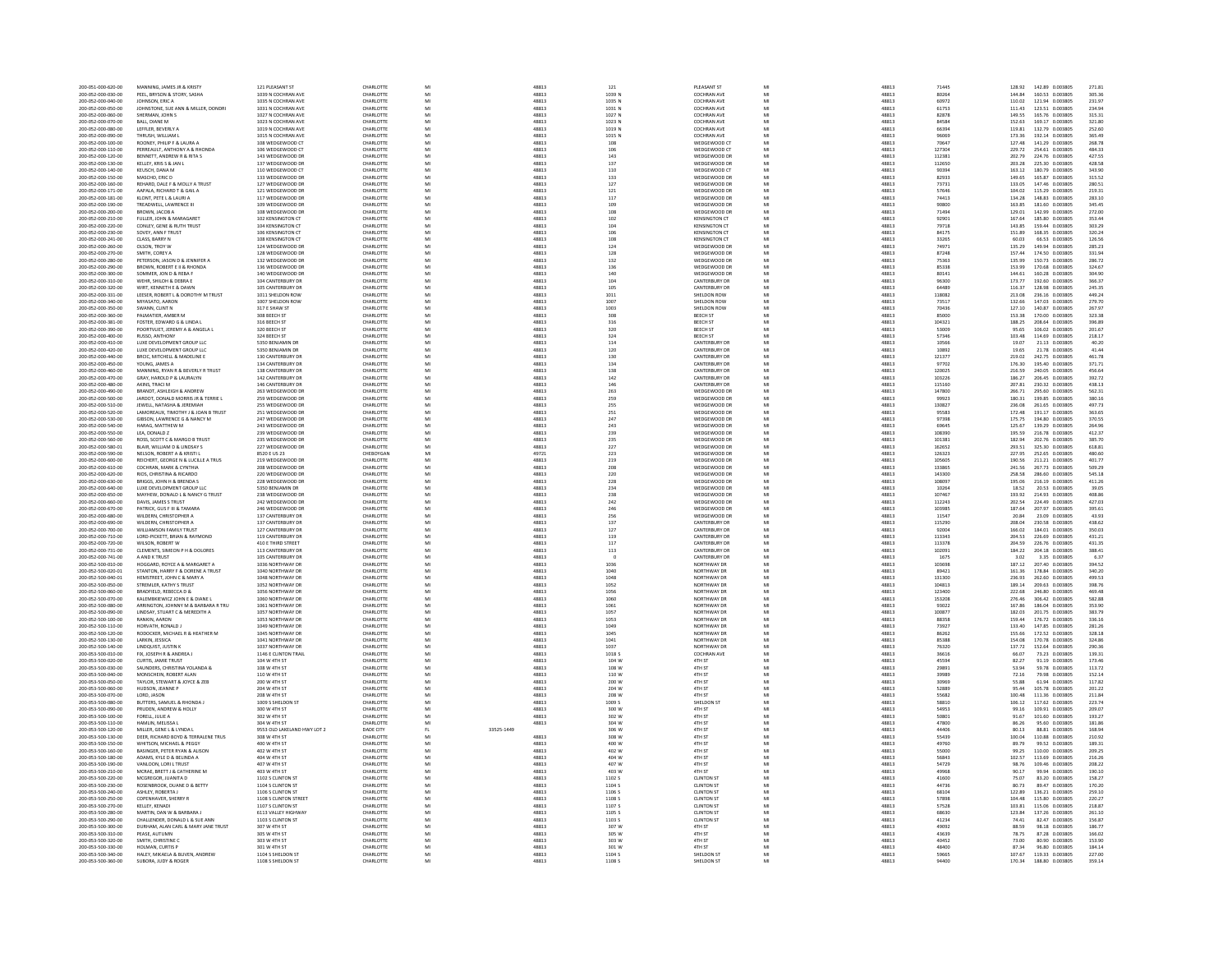| 200-051-000-620-00                       | MANNING, JAMES JR & KRISTY                                           | 121 PLEASANT ST                          | CHARLOTTE              | MI<br>Mi |            | 48813          | 121              | PLEASANT ST                            | MI<br>MI | 48813          | 71445            | 142.89 0.003805<br>271.81<br>128.92                                        |
|------------------------------------------|----------------------------------------------------------------------|------------------------------------------|------------------------|----------|------------|----------------|------------------|----------------------------------------|----------|----------------|------------------|----------------------------------------------------------------------------|
| 200-052-000-030-00<br>200-052-000-040-00 | PEEL, BRYSON & STORY, SASHA<br>JOHNSON, ERIC A                       | 1039 N COCHRAN AVE<br>1035 N COCHRAN AVE | CHARLOTTE<br>CHARLOTTE |          |            | 48813<br>48813 | 1039 N<br>1035 N | <b>COCHRAN AVE</b><br>COCHRAN AVI      | M        | 48813<br>48813 | 80264            | 144.84<br>160.53 0.003805<br>305.36<br>110.02<br>121.94 0.003805<br>231.97 |
| 200-052-000-050-00                       | JOHNSTONE, SUE ANN & MILLER, DONDRI                                  | 1031 N COCHRAN AVE                       | CHARLOTTE              | MI       |            | 48813          | 1031 N           | COCHRAN AVE                            | MI       | 48813          | 60972<br>61753   | 111.43<br>123.51 0.003805<br>234.94                                        |
| 200-052-000-060-00                       | SHERMAN, JOHN S                                                      | 1027 N COCHRAN AVE                       | CHARLOTTE              | MI       |            | 48813          | 1027 N           | <b>COCHRAN AVE</b>                     | MI       | 48813          | 82878            | 165.76 0.003805<br>315.31<br>149.55                                        |
| 200-052-000-070-00                       | <b>RAIL DIANEM</b>                                                   | 1023 N COCHRAN AVE                       | CHARLOTTE              | MI       |            | 48813          | 1023 N           | <b>COCHRAN AVE</b>                     | MI       | 48813          | 84584            | 152.63<br>169.17 0.003805<br>321.80                                        |
| 200-052-000-080-00<br>200-052-000-090-00 | LEFFLER, BEVERLY A<br>THRUSH, WILLIAM                                | 1019 N COCHRAN AVE<br>1015 N COCHRAN AV  | CHARLOTTE<br>CHARLOTTE | MI<br>MI |            | 48813<br>48813 | 1019 N<br>1015 N | <b>COCHRAN AVE</b><br>COCHRAN AVI      | MI<br>MI | 48813<br>48813 | 66394<br>96069   | 252.60<br>119.81<br>132.79 0.003805<br>173.36<br>192.14 0.003805<br>365.49 |
| 200-052-000-100-00                       | ROONEY PHILIP F & LAURA A                                            | 108 WEDGEWOOD CT                         | CHARLOTTE              | MI       |            | 48813          | 108              | WEDGEWOOD CT                           | MI       | 48813          | 70647            | 127.48<br>141.29 0.003805<br>268.78                                        |
| 200-052-000-110-00                       | PERREAULT, ANTHONY A & RHONDA                                        | 106 WEDGEWOOD CT                         | CHARLOTTE              | MI       |            | 48813          | 106              | WEDGEWOOD CT                           | MI       | 48813          | 127304           | 484.33<br>254.61 0.003805<br>229.72                                        |
| 200-052-000-120-00                       | BENNETT, ANDREW R & RITA S                                           | 143 WEDGEWOOD D                          | CHARLOTTE              | MI       |            | 48813          | 143              | WEDGEWOOD DR                           | MI       | 48813          | 112381           | 224.76 0.003805<br>427.55<br>202.79                                        |
| 200-052-000-130-00                       | KELLEY, KRIS S & JAN L                                               | 137 WEDGEWOOD DR                         | CHARLOTTE              | MI<br>MI |            | 48813          | 137              | WEDGEWOOD DR                           | MI<br>MI | 48813          | 112650           | 203.28<br>225.30 0.003805<br>428.58                                        |
| 200-052-000-140-00<br>200-052-000-150-00 | KEUSCH, DANA M<br>MASCHO, ERIC D                                     | 110 WEDGEWOOD CT<br>133 WEDGEWOOD DR     | CHARLOTTE<br>CHARLOTTE | MI       |            | 48813<br>48813 | 110<br>133       | WEDGEWOOD CT<br>WEDGEWOOD DR           | MI       | 48813<br>48813 | 90394<br>82933   | 180.79 0.003805<br>343.90<br>163.12<br>149.65<br>165.87 0.003805<br>315.52 |
| 200-052-000-160-00                       | REHARD, DALE F & MOLLY A TRUST                                       | 127 WEDGEWOOD DR                         | CHARLOTTE              | MI       |            | 48813          | 127              | WEDGEWOOD DR                           | MI       | 48813          | 73731            | 280.51<br>133.05<br>147.46 0.003805                                        |
| 200-052-000-171-00                       | AAPALA, RICHARD T & GAIL A                                           | 121 WEDGEWOOD DR                         | CHARLOTTE              | MI       |            | 48813          | 121              | WEDGEWOOD DR                           | MI       | 48813          | 57646            | 115.29 0.003805<br>219.31<br>104.02                                        |
| 200-052-000-181-00                       | KLONT, PETE L & LAURI A                                              | 117 WEDGEWOOD DR                         | CHARLOTTE              | MI       |            | 48813          | 117              | WEDGEWOOD DR                           | MI       | 48813          | 74413            | 134.28<br>148.83 0.003805<br>283.10                                        |
| 200-052-000-190-00<br>200-052-000-200-00 | TREADWELL, LAWRENCE III<br>BROWN, JACOB A                            | 109 WEDGEWOOD DR<br>108 WEDGEWOOD DR     | CHARLOTTE<br>CHARLOTTE | MI<br>MI |            | 48813<br>48813 | 109<br>108       | WEDGEWOOD DR<br>WEDGEWOOD DR           | MI       | 48813<br>48813 | 90800<br>71494   | 163.85<br>181.60 0.003805<br>345.45<br>129.01<br>142.99 0.003805<br>272.00 |
| 200-052-000-210-00                       | FULLER, JOHN & MARAGARE                                              | 102 KENSINGTON CT                        | CHARLOTTE              | MI       |            | 48813          | 102              | <b>KENSINGTON CT</b>                   | MI       | 48813          | 92901            | 167.64<br>185.80 0.003805<br>353.44                                        |
| 200-052-000-220-00                       | CONLEY, GENE & RUTH TRUST                                            | 104 KENSINGTON CT                        | CHARLOTTE              | MI       |            | 48813          | 104              | <b>KENSINGTON CT</b>                   | MI       | 48813          | 79718            | 143.85<br>159.44 0.003805<br>303.29                                        |
| 200-052-000-230-00                       | SOVEY, ANN F TRUST                                                   | 106 KENSINGTON CT                        | CHARLOTTE              | MI       |            | 48813          | 106              | <b>KENSINGTON CT</b>                   | MI       | 48813          | 84175            | 151.89<br>168.35 0.003805<br>320.24                                        |
| 200-052-000-241-00<br>200-052-000-260-00 | CLASS, BARRY N<br>OLSON TROY W                                       | 108 KENSINGTON CT<br>124 WEDGEWOOD DE    | CHARLOTTE<br>CHARLOTTE | MI<br>MI |            | 48813<br>48813 | 108<br>124       | <b>KENSINGTON CT</b><br>WEDGEWOOD DR   | MI       | 48813<br>48813 | 33265<br>74971   | 60.03<br>66.53 0.003805<br>126.56<br>135.29<br>149.94 0.003805<br>285.23   |
| 200-052-000-270-00                       | SMITH, COREY A                                                       | 128 WEDGEWOOD DR                         | CHARLOTTE              | MI       |            | 48813          | 128              | WEDGEWOOD DR                           |          | 48813          | 87248            | 174.50 0.003805<br>331.94<br>157.44                                        |
| 200-052-000-280-00                       | PETERSON, JASON D & JENNIFER A                                       | 132 WEDGEWOOD DR                         | CHARLOTTE              | MI       |            | 48813          | 132              | WEDGEWOOD DR                           | MI       | 48813          | 75363            | 135.99<br>150.73 0.003805<br>286.72                                        |
| 200-052-000-290-00                       | BROWN, ROBERT E II & RHONDA                                          | 136 WEDGEWOOD DR                         | CHARLOTTE              | MI       |            | 48813          | 136              | WEDGEWOOD DR                           | MI       | 48813          | 85338            | 170.68 0.003805<br>324.67<br>153.99                                        |
| 200-052-000-300-00<br>200-052-000-310-00 | SOMMER, JON D & REBA F<br>WEHR SHILOH & DERRA E                      | 140 WEDGEWOOD DF<br>104 CANTERRURY DR    | CHARLOTTE<br>CHARLOTTE | MI<br>MI |            | 48813<br>48813 | 140<br>104       | WEDGEWOOD DI<br>CANTERRURY DR          | MI<br>MI | 48813<br>48813 | 80141<br>96300   | 144.61<br>160.28 0.003805<br>304.90<br>173.77<br>192.60 0.003805<br>366 37 |
| 200-052-000-320-00                       | WIRT, KENNETH E & DAWN                                               | 105 CANTERBURY DR                        | CHARLOTTE              | MI       |            | 48813          | 105              | CANTERBURY DR                          | MI       | 48813          | 64489            | 245.35<br>116.37<br>128.98 0.003805                                        |
| 200-052-000-331-00                       | LEESER, ROBERT L& DOROTHY M TRUST                                    | 1011 SHELDON ROW                         | <b>CHARLOTTE</b>       | MI       |            | 48813          | 1011             | SHELDON ROW                            | MI       | 48813          | 118082           | 213.08<br>236.16 0.003805<br>449.24                                        |
| 200-052-000-340-00                       | MIYASATO, AARON                                                      | 1007 SHELDON ROW                         | CHARLOTTE              | MI       |            | 48813          | 1007             | SHELDON ROW                            | MI       | 48813          | 73517            | 147.03 0.003805<br>279.70<br>132.66                                        |
| 200-052-000-350-00                       | SWANN, CLINT N                                                       | 317 E SHAW ST                            | CHARLOTTE              | MI       |            | 48813          | 1003             | SHELDON ROW                            | MI       | 48813          | 70436            | 127.10<br>140.87 0.003805<br>267.97                                        |
| 200-052-000-360-00<br>200-052-000-381-00 | PALMATIER, AMBER M<br>FOSTER, EDWARD G & LINDA L                     | 308 BEECH ST<br>316 BEECH ST             | CHARLOTTE<br>CHARLOTTE | MI<br>MI |            | 48813<br>48813 | 308<br>316       | BEECH ST<br><b>BEECH ST</b>            | MI<br>MI | 48813<br>48813 | 85000<br>104321  | 153.38<br>170.00 0.003805<br>323.38<br>208.64 0.003805<br>396.89<br>188.25 |
| 200-052-000-390-00                       | POORTVLIET, JEREMY A & ANGELA L                                      | 320 BEECH ST                             | CHARLOTTE              | MI       |            | 48813          | 320              | <b>BEECH ST</b>                        | M        | 48813          | 53009            | 106.02 0.003805<br>201.67<br>95.65                                         |
| 200-052-000-400-00                       | RUSSO, ANTHONY                                                       | 324 BEECH ST                             | CHARLOTTE              | MI       |            | 48813          | 324              | <b>BEECH ST</b>                        | MI       | 48813          | 57346            | 103.48<br>114.69 0.003805<br>218.17                                        |
| 200-052-000-410-00                       | LUXE DEVELOPMENT GROUP LLC                                           | 5350 BENJAMIN DR                         | CHARLOTTE              | MI       |            | 48813          | 114              | CANTERBURY DR                          | MI       | 48813          | 10566            | 40.20<br>19.07<br>21.13 0.003805                                           |
| 200-052-000-420-00                       | LUXE DEVELOPMENT GROUP LLC                                           | 5350 BENJAMIN DR                         | CHARLOTTE              | MI       |            | 48813          | 120              | CANTERBURY DR                          | MI       | 48813          | 10892            | 19.65<br>21.78 0.003805<br>41.44                                           |
| 200-052-000-440-00                       | BRCIC, MITCHELL & MADELINE E                                         | 130 CANTERBURY DR                        | CHARLOTTE              | MI       |            | 48813          | 130              | CANTERBURY DF                          | MI       | 48813          | 121377           | 242.75 0.003805<br>461.78<br>219.02                                        |
| 200-052-000-450-00<br>200-052-000-460-00 | YOUNG, JAMES A<br>MANNING, RYAN R & BEVERLY R TRUST                  | 134 CANTERBURY DR<br>138 CANTERBURY DR   | CHARLOTTE<br>CHARLOTTE | MI<br>MI |            | 48813<br>48813 | 134<br>138       | CANTERBURY DF<br>CANTERBURY DR         | MI<br>MI | 48813<br>48813 | 97702<br>120025  | 176.30<br>195.40 0.003805<br>371.71<br>216.59<br>240.05 0.003805<br>456.64 |
| 200-052-000-470-00                       | GRAY, HAROLD P & LAURALYN                                            | 142 CANTERBURY DR                        | CHARLOTTE              | MI       |            | 48813          | 142              | CANTERBURY DR                          |          | 48813          | 103226           | 186.27<br>206.45 0.003805<br>392.72                                        |
| 200-052-000-480-00                       | AKINS, TRACI M                                                       | 146 CANTERBURY DR                        | CHARLOTTE              | MI       |            | 48813          | 146              | CANTERBURY DR                          | MI       | 48813          | 115160           | 207.81<br>230.32 0.003805<br>438.13                                        |
| 200-052-000-490-00                       | BRANDT, ASHLEIGH & ANDREW                                            | 263 WEDGEWOOD DR                         | CHARLOTTE              | MI       |            | 48813          | 263              | WEDGEWOOD DR                           | MI       | 48813          | 147800           | 266.71<br>295.60 0.003805<br>562.31                                        |
| 200-052-000-500-00                       | JARDOT, DONALD MORRIS JR & TERRIE L                                  | 259 WEDGEWOOD DR                         | CHARLOTTE              | MI       |            | 48813          | 259              | WEDGEWOOD DR                           | MI       | 48813          | 99923            | 180 31<br>199.85 0.003805<br>380.16                                        |
| 200-052-000-510-00<br>200-052-000-520-00 | JEWELL, NATASHA & JEREMIAH<br>LAMOREAUX, TIMOTHY J & JOAN B TRUST    | 255 WEDGEWOOD DR<br>251 WEDGEWOOD DF     | CHARLOTTE<br>CHARLOTTE | MI<br>MI |            | 48813<br>48813 | 255<br>251       | WEDGEWOOD DR<br>WEDGEWOOD DI           | MI<br>MI | 48813<br>48813 | 130827<br>95583  | 497.73<br>236.08<br>261.65 0.003805<br>172.48<br>191.17 0.003805<br>363.65 |
| 200-052-000-530-00                       | GIBSON, LAWRENCE G & NANCY M                                         | 247 WEDGEWOOD DR                         | CHARLOTTE              | MI       |            | 48813          | 247              | WEDGEWOOD DR                           | MI       | 48813          | 97398            | 175.75<br>194.80 0.003805<br>370.55                                        |
| 200-052-000-540-00                       | HARAG, MATTHEW M                                                     | 243 WEDGEWOOD D                          | CHARLOTTE              | MI       |            | 48813          | 243              | WEDGEWOOD DR                           |          | 48813          | 69645            | 139.29 0.003805<br>264.96<br>125.67                                        |
| 200-052-000-550-00                       | <b>IFA DONAID 7</b>                                                  | 239 WEDGEWOOD DR                         | CHARLOTTE              | MI       |            | 48813          | 239              | WEDGEWOOD DR                           | MI       | 48813          | 108390           | 195.59<br>216.78 0.003805<br>412.37                                        |
| 200-052-000-560-00                       | ROSS, SCOTT C & MARGO B TRUST                                        | 235 WEDGEWOOD DR                         | CHARLOTTE              | MI       |            | 48813          | 235              | WEDGEWOOD DR                           | MI       | 48813          | 101381           | 385.70<br>182.94<br>202.76 0.003805                                        |
| 200-052-000-580-01<br>200-052-000-590-00 | BLAIR, WILLIAM D & LINDSAY S<br>NELSON, ROBERT A & KRISTI L          | 227 WEDGEWOOD DR<br>8520 E US 23         | CHARLOTTE<br>CHEBOYGAN | MI<br>MI |            | 48813<br>49721 | 227<br>223       | WEDGEWOOD DR<br>WEDGEWOOD DR           | MI<br>MI | 48813<br>48813 | 162652<br>126323 | 293.51<br>325.30 0.003805<br>618.81<br>227.95<br>252.65 0.003805<br>480.60 |
| 200-052-000-600-00                       | REICHERT, GEORGE N & LUCILLE A TRUS                                  | 219 WEDGEWOOD DR                         | CHARLOTTE              | MI       |            | 48813          | 219              | WEDGEWOOD DR                           | MI       | 48813          | 105605           | 401.77<br>190.56<br>211.21 0.003805                                        |
| 200-052-000-610-00                       | COCHRAN MARK & CYNTHIA                                               | 208 WEDGEWOOD DR                         | CHARLOTTE              | MI       |            | 48813          | 208              | WEDGEWOOD DR                           | MI       | 48813          | 133865           | 241.56<br>267.73 0.003805<br>509.29                                        |
| 200-052-000-620-00                       | RIOS, CHRISTINA & RICARDO                                            | 220 WEDGEWOOD DF                         | CHARLOTTE              | MI       |            | 48813          | 220              | WEDGEWOOD DR                           | MI       | 48813          | 143300           | 545.18<br>286.60 0.003805<br>258.58                                        |
| 200-052-000-630-00                       | BRIGGS, JOHN H & BRENDA S                                            | 228 WEDGEWOOD DR                         | CHARLOTTE              | MI       |            | 48813          | 228              | WEDGEWOOD DI                           | MI       | 48813          | 108097           | 411.26<br>195.06<br>216.19 0.003805                                        |
| 200-052-000-640-00                       | LUXE DEVELOPMENT GROUP LLC                                           | 5350 BENJAMIN DR                         | CHARLOTTE              | MI<br>MI |            | 48813<br>48813 | 234<br>238       | WEDGEWOOD DR<br>WEDGEWOOD DR           | MI<br>MI | 48813<br>48813 | 10264            | 18.52<br>20.53 0.003805<br>39.05<br>193.92                                 |
| 200-052-000-650-00<br>200-052-000-660-00 | MAYHEW, DONALD L & NANCY G TRUST<br>DAVIS, JAMES S TRUST             | 238 WEDGEWOOD DR<br>242 WEDGEWOOD DR     | CHARLOTTE<br>CHARLOTTE | MI       |            | 48813          | 242              | WEDGEWOOD DR                           | MI       | 48813          | 107467<br>112243 | 214.93 0.003805<br>408.86<br>202.54<br>224.49 0.003805<br>427.03           |
| 200-052-000-670-00                       | PATRICK, GUS F III & TAMARA                                          | 246 WEDGEWOOD DR                         | CHARLOTTE              | MI       |            | 48813          | 246              | WEDGEWOOD DR                           | MI       | 48813          | 103985           | 187.64<br>207.97 0.003805<br>395.61                                        |
| 200-052-000-680-00                       | WILDERN, CHRISTOPHER A                                               | 137 CANTERBURY DR                        | CHARLOTTE              | MI       |            | 48813          | 256              | WEDGEWOOD DR                           | MI       | 48813          | 11547            | 23.09 0.003805<br>43.93<br>20.84                                           |
| 200-052-000-690-00                       | WILDERN, CHRISTOPHER A                                               | 137 CANTERBURY DR                        | CHARLOTTE              | MI       |            | 48813          | 137              | CANTERBURY DR                          | MI       | 48813          | 115290           | 208.04<br>230.58 0.003805<br>438.62                                        |
| 200-052-000-700-00<br>200-052-000-710-00 | WILLIAMSON FAMILY TRUS'<br>LORD-PICKETT, BRIAN & RAYMOND             | 127 CANTERBURY DR<br>119 CANTERBURY DR   | CHARLOTTE<br>CHARLOTTE | MI<br>MI |            | 48813          | 127              | CANTERBURY DR<br>CANTERRURY DR         | MI<br>MI | 48813<br>48813 | 92004<br>113343  | 166.02<br>184.01 0.003805<br>350.03<br>204.53<br>431.21                    |
| 200-052-000-720-00                       | WILSON, ROBERT W                                                     | 410 E THIRD STREET                       | CHARLOTTE              | MI       |            | 48813<br>48813 | 119<br>117       | <b>CANTERBURY DR</b>                   | MI       | 48813          | 113378           | 226.69 0.003805<br>204.59<br>226.76 0.003805<br>431.35                     |
| 200-052-000-731-00                       | CLEMENTS, SIMEON P H & DOLORES                                       | 113 CANTERBURY DR                        | CHARLOTT               |          |            | 48813          | $113\,$          | CANTERBURY DF                          |          | 48813          | 102091           | 184.22<br>204.18 0.003805<br>388.41                                        |
| 200-052-000-741-00                       | A AND K TRUST                                                        | 105 CANTERBURY DR                        | CHARLOTTE              | MI       |            | 48813          |                  | CANTERBURY DR                          | MI       | 48813          | 1675             | 3.02<br>3.35 0.003805<br>6.37                                              |
| 200-052-500-010-00                       | HOGGARD, ROYCE A & MARGARET A                                        | 1036 NORTHWAY DR                         | CHARLOTTE              | MI       |            | 48813          | 1036             | NORTHWAY DR                            | MI       | 48813          | 103698           | 187.12<br>207.40 0.003805<br>394.52                                        |
| 200-052-500-020-01                       | STANTON, HARRY F & DORENE A TRUST<br>HEMSTREET, JOHN C & MARY A      | 1040 NORTHWAY DR<br>1048 NORTHWAY DR     | CHARLOTTE              | MI<br>MI |            | 48813          | 1040<br>1048     | NORTHWAY DR<br>NORTHWAY DR             | MI<br>MI | 48813          | 89421            | 161.36<br>178.84 0.003805<br>340.20<br>499.53                              |
| 200-052-500-040-01<br>200-052-500-050-00 | STREMLER, KATHY S TRUST                                              | 1052 NORTHWAY DR                         | CHARLOTTE<br>CHARLOTTE | MI       |            | 48813<br>48813 | 1052             | NORTHWAY DI                            | MI       | 48813<br>48813 | 131300<br>104813 | 236.93<br>262.60 0.003805<br>189.14<br>209.63 0.003805<br>398.76           |
| 200-052-500-060-00                       | BRADFIELD, REBECCA D &                                               | 1056 NORTHWAY DR                         | CHARLOTTE              | MI       |            | 48813          | 1056             |                                        | MI       | 48813          |                  | 222.68<br>246.80 0.003805<br>469.48                                        |
| 200-052-500-070-00                       | KALEMBKIEWICZ JOHN E & DIANE I                                       | 1060 NORTHWAY DR                         | CHARLOTTE              |          |            |                |                  | NORTHWAY DR                            |          |                | 123400           |                                                                            |
| 200-052-500-080-00                       | ARRINGTON JOHNNY M & RARRARA R TRU<br>LINDSAY, STUART C & MEREDITH A | 1061 NORTHWAY DR                         |                        |          |            | 48813          | 1060             | NORTHWAY DI                            |          | 48813          | 153208           | 276.46<br>306.42 0.003805<br>582.88                                        |
| 200-052-500-090-00<br>200-052-500-100-00 |                                                                      |                                          | CHARLOTTE              | MI       |            | 48813          | 1061             | NORTHWAY DR                            | MI       | 48813          | 93022            | 167.86<br>186.04 0.003805<br>353.90                                        |
| 200-052-500-110-00                       |                                                                      | 1057 NORTHWAY DR                         | CHARLOTTE              | MI       |            | 48813          | 1057             | NORTHWAY DR                            | MI       | 48813          | 100877           | 383.79<br>182.03<br>201.75 0.003805                                        |
| 200-052-500-120-00                       | RANKIN, AAROM<br>HORVATH, RONALD J                                   | 1053 NORTHWAY DR<br>1049 NORTHWAY DR     | CHARLOTTE<br>CHARLOTTE | MI<br>MI |            | 48813<br>48813 | 1053<br>1049     | NORTHWAY DR<br>NORTHWAY DR             | MI<br>MI | 48813<br>48813 | 88358<br>73927   | 176.72 0.003805<br>159.44<br>336.16<br>133.40<br>147.85 0.003805<br>281.26 |
|                                          |                                                                      |                                          | CHARLOTTE              | MI       |            | 48813          | 1045             |                                        | MI       | 48813          | 86262            | 155.66                                                                     |
| 200-052-500-130-00                       | RODOCKER, MICHAEL R & HEATHER M<br>LARKIN, JESSICA                   | 1045 NORTHWAY DR<br>1041 NORTHWAY DR     | CHARLOTTE              | MI       |            | 48813          | 1041             | NORTHWAY DR<br>NORTHWAY DR             | MI       | 48813          | 85388            | 172.52 0.003805<br>328.18<br>154.08<br>170.78 0.003805<br>324.86           |
| 200-052-500-140-00                       | LINDQUIST, JUSTIN K                                                  | 1037 NORTHWAY DR                         | CHARLOTTE              | MI       |            | 48813          | 1037             | NORTHWAY DR                            | MI       | 48813          | 76320            | 137.72<br>152.64 0.003805<br>290.36                                        |
| 200-053-500-010-00<br>200-053-500-020-00 | FIX, JOSEPH R & ANDREA J<br><b>CURTIS, JAMIE TRUST</b>               | 1146 E CLINTON TRAIL<br>104 W 4TH ST     | CHARLOTTE<br>CHARLOTTE | MI<br>MI |            | 48813<br>48813 | 1018 S<br>104 W  | <b>COCHRAN AVE</b><br>4TH ST           | MI<br>MI | 48813<br>48813 | 36616<br>45594   | 139.31<br>66.07<br>73.23 0.003805<br>82.27<br>91.19 0.003805<br>173.46     |
|                                          |                                                                      | 108 W 4TH ST                             | CHARLOTTE              | MI       |            | 48813          | 108 W            | 4TH ST                                 | MI       | 48813          | 29891            | 59.78 0.003805<br>53.94                                                    |
| 200-053-500-030-00<br>200-053-500-040-00 | SAUNDERS, CHRISTINA YOLANDA &<br>MONSCHEIN, ROBERT ALAM              | 110 W 4TH ST                             | CHARLOTTE              | MI       |            | 48813          | 110 W            | <b>ATH ST</b>                          | MI       | 48813          | 39989            | 113.72<br>72.16<br>79.98 0.003805<br>152.14                                |
| 200-053-500-050-00                       | TAYLOR, STEWART & JOYCE & ZEB                                        | 200 W 4TH ST                             | CHARLOTTE              | MI       |            | 48813          | 200 W            | 4TH ST                                 | MI       | 48813          | 30969            | 55.88<br>61.94 0.003805<br>117.82                                          |
| 200-053-500-060-00                       | HUDSON, JEANNE P                                                     | 204 W ATH ST                             | CHARLOTTE              | MI       |            | 48813          | 204 W            | <b>ATH ST</b>                          | MI       | 48813          | 52889            | 95.44<br>105.78 0.003805<br>201.22                                         |
| 200-053-500-070-00                       | LORD, JASON                                                          | 208 W 4TH ST                             | CHARLOTTE              | MI       |            | 48813          | 208 W            | 4TH ST                                 | MI       | 48813          | 55682            | 100.48<br>111.36 0.003805<br>211.84                                        |
| 200-053-500-080-00<br>200-053-500-090-00 | <b>BUTTERS, SAMUEL &amp; RHONDA J</b><br>PRUDEN, ANDREW & HOLLY      | 1009 S SHELDON ST<br>300 W 4TH ST        | CHARLOTTE<br>CHARLOTTE | MI<br>MI |            | 48813<br>48813 | 1009 S<br>300 W  | SHELDON ST<br><b>ATH ST</b>            | MI       | 48813<br>48813 | 58810<br>54953   | 106.12<br>117.62 0.003805<br>223.74<br>109.91 0.003805<br>209.07<br>99.16  |
| 200-053-500-100-00                       | FORELL, JULIE A                                                      | 302 W 4TH ST                             | CHARLOTTE              | MI       |            | 48813          | 302 W            | 4TH ST                                 | MI       | 48813          | 50801            | 193.27<br>91.67<br>101.60 0.003805                                         |
| 200-053-500-110-0                        | HAMLIN, MELISSA                                                      | 304 W 4TH ST                             | CHARLOTT               |          |            | 48813          | 304 W            | 4TH ST                                 | MI       | 48813          | 47800            | 86.26<br>95.60 0.003805<br>181.86                                          |
| 200-053-500-120-00                       | MILLER, GENE L & LYNDA L                                             | 9553 OLD LAKELAND HWY LOT 2              | DADE CITY              | FL.      | 33525-1449 |                | 306 W            | 4TH ST                                 | MI       | 48813          | 44406            | 80.13<br>88.81 0.003805<br>168.94                                          |
| 200-053-500-130-00<br>200-053-500-150-00 | DEER, RICHARD BOYD & TERRALENE TRUS<br>WHITSON MICHAEL & PEGGY       | 308 W 4TH ST<br>400 W 4TH ST             | CHARLOTTE<br>CHARLOTTE | MI       |            | 48813<br>48813 | 308 W<br>400 W   | 4TH ST<br><b>ATH ST</b>                | MI<br>MI | 48813<br>48813 | 55439<br>49760   | 100.04<br>110.88 0.003805<br>210.92<br>89.79<br>99.52 0.003805<br>189 31   |
| 200-053-500-160-00                       | BASINGER, PETER RYAN & ALISON                                        | 402 W 4TH ST                             | CHARLOTTE              | MI       |            | 48813          | 402 W            | 4TH ST                                 | MI       | 48813          | 55000            | 110.00 0.003805<br>209.25<br>99.25                                         |
| 200-053-500-180-00                       | ADAMS, KYLE D & BELINDA A                                            | 404 W 4TH ST                             | CHARLOTTE              | MI       |            | 48813          | 404 W            | 4TH ST                                 | MI       | 48813          | 56843            | 102.57<br>113.69 0.003805<br>216.26                                        |
| 200-053-500-190-00                       | VANLOON, LORI L TRUST                                                | 407 W 4TH ST                             | CHARLOTTE              | MI       |            | 48813          | 407 W            | 4TH ST                                 | MI       | 48813          | 54729            | 98.76<br>109.46 0.003805<br>208.22                                         |
| 200-053-500-210-00                       | MCRAE, BRETT J & CATHERINE M                                         | 403 W 4TH ST                             | CHARLOTTE              | MI       |            | 48813          | 403 W            | 4TH ST                                 |          | 48813          | 49968            | 190.10<br>90.17<br>99.94 0.003805                                          |
| 200-053-500-220-00                       | MCGREGOR ILIANITA D                                                  | 1102 S CLINTON ST                        | CHARLOTTE<br>CHARLOTTE | MI       |            | 48813          | 1102S            | CLINTON ST                             | MI       | 48813          | 41600            | 75.07<br>83.20 0.003805<br>158.27<br>80.73                                 |
| 200-053-500-230-00                       | ROSENBROOK, DUANE D & BETTY<br>ASHLEY, ROBERTA J                     | 1104 S CLINTON ST<br>1106 S CLINTON ST   |                        | MI<br>MI |            | 48813<br>48813 | 1104 S<br>1106 S | <b>CLINTON ST</b><br><b>CLINTON ST</b> | MI<br>MI | 48813<br>48813 | 44736            | 170.20<br>89.47 0.003805<br>122.89<br>136.21 0.003805<br>259.10            |
| 200-053-500-240-00<br>200-053-500-250-00 | COPENHAVER, SHERRY R                                                 | 1108 S CLINTON STREET                    | CHARLOTTE<br>CHARLOTTE | MI       |            | 48813          | 1108 S           | <b>CLINTON ST</b>                      | MI       | 48813          | 68104<br>57898   | 104.48<br>115.80 0.003805<br>220.27                                        |
| 200-053-500-270-00                       | KELLEY, KENADI                                                       | 1107 S CLINTON ST                        | CHARLOTTE              | MI       |            | 48813          | 1107 S           | <b>CLINTON ST</b>                      |          | 48813          | 57528            | 115.06 0.003805<br>218.87<br>103.81                                        |
| 200-053-500-280-00                       | MARTIN, DAN W & BARBARA J                                            | 6113 VALLEY HIGHWAY                      | CHARLOTTE              | MI       |            | 48813          | 1105 S           | <b>CLINTON ST</b>                      | MI       | 48813          | 68630            | 123.84<br>137.26 0.003805<br>261.10                                        |
| 200-053-500-290-00                       | CHALLENDER, DONALD L & SUE ANN                                       | 1103 S CLINTON ST<br>307 W 4TH ST        | CHARLOTTE<br>CHARLOTTE | MI<br>MI |            | 48813          | 1103 S<br>307 W  | <b>CLINTON ST</b><br>4TH ST            | MI<br>MI | 48813<br>48813 | 41234<br>49092   | 82.47 0.003805<br>156.87<br>74.41                                          |
| 200-053-500-300-00<br>200-053-500-310-00 | DURHAM, ALAN CARL & MARY JANE TRUST<br>PEASE, AUTUMN                 | 305 W 4TH ST                             | CHARLOTTE              | MI       |            | 48813<br>48813 | 305 W            | 4TH ST                                 | MI       | 48813          | 43639            | 186.77<br>88.59<br>98.18 0.003805<br>78.75<br>87.28 0.003805<br>166.02     |
| 200-053-500-320-00                       | SMITH, CHRISTINE                                                     | 303 W 4TH ST                             | CHARLOTTE              |          |            | 48813          | 303 W            | 4TH ST                                 |          | 48813          | 40452            | 80.90 0.003805<br>153.90<br>73.00                                          |
| 200-053-500-330-00                       | HOLMAN CURTIS P                                                      | 301 W ATH ST                             | CHARLOTTE              | MI       |            | 48813          | 301 W            | <b>ATH ST</b>                          | MI       | 48813          | 48400            | 87 34<br>96.80 0.003805<br>184.14                                          |
| 200-053-500-340-00                       | HALEY, MIKAELA & BLIVEN, ANDREW                                      | 1104 S SHELDON ST                        | CHARLOTTE              | MI       |            | 48813          | 1104 S           | SHELDON ST                             | MI       | 48813          | 59665            | 107.67<br>119.33 0.003805<br>227.00                                        |
| 200-053-500-360-00                       | SUBORA, JUDY & ROGER                                                 | 1108 S SHELDON ST                        | CHARLOTTE              |          |            | 48813          | 1108 S           | SHELDON ST                             |          | 48813          | 94400            | 170.34<br>188.80 0.003805                                                  |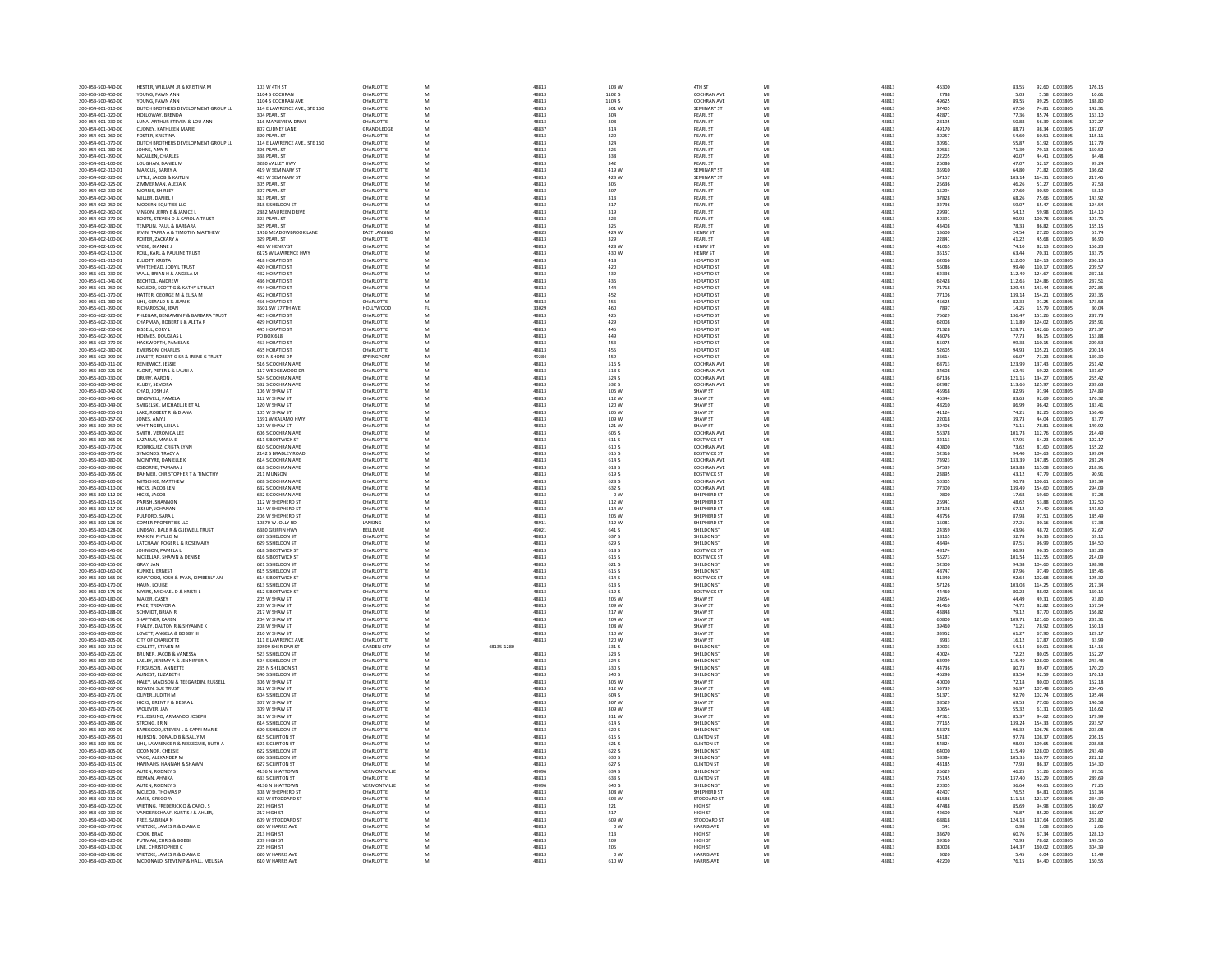| 200-053-500-440-00                       | HESTER, WILLIAM JR & KRISTINA M                         | 103 W 4TH ST                                       | CHARLOTTE                      | MI       |            | 48813          | 103 W           | 4TH ST                               | MI                            | 48813          | 46300          | 83.55           | 92.60 0.003805                      | 176.15           |
|------------------------------------------|---------------------------------------------------------|----------------------------------------------------|--------------------------------|----------|------------|----------------|-----------------|--------------------------------------|-------------------------------|----------------|----------------|-----------------|-------------------------------------|------------------|
| 200-053-500-450-00                       | YOUNG, FAWN ANN                                         | 1104 S COCHRAN                                     | CHARLOTTE<br>CHARLOTTE         | MI       |            | 48813          | 1102 S          | <b>COCHRAN AVE</b>                   | $\mathsf{M} \mathsf{I}$<br>MI | 48813          | 2788           | 5.03            | 5.58 0.003805                       | 10.61            |
| 200-053-500-460-00<br>200-054-001-010-00 | YOUNG, FAWN AN!<br>DUTCH BROTHERS DEVELOPMENT GROUP LL  | 1104 S COCHRAN AVE<br>114 E LAWRENCE AVE., STE 160 | CHARLOTTE                      | MI<br>MI |            | 48813<br>48813 | 1104 S<br>501 W | COCHRAN AVE<br>SEMINARY ST           | MI                            | 48813<br>48813 | 49625<br>37405 | 89.55<br>67.50  | 99.25 0.003805<br>74.81 0.003805    | 188.80<br>142.31 |
| 200-054-001-020-00                       | HOLLOWAY, BRENDA                                        | 304 PEARL ST                                       | CHARLOTTE                      | MI       |            | 48813          | 304             | PEARL ST                             |                               | 48813          | 42871          | 77.36           | 85.74 0.003805                      | 163.10           |
| 200-054-001-030-00                       | LUNA, ARTHUR STEVEN & LOU ANN                           | 116 MAPLEVIEW DRIVE                                | CHARLOTTE                      | MI       |            | 48813          | 308             | PEARL ST                             | MI                            | 48813          | 28195          | 50.88           | 56.39 0.003805                      | 107.27           |
| 200-054-001-040-00                       | CUDNEY, KATHLEEN MARIE                                  | 807 CUDNEY LANE                                    | <b>GRAND LEDGE</b>             | MI       |            | 48837          | 314             | PEARL ST                             | MI                            | 48813          | 49170          | 88.73           | 98.34 0.003805                      | 187.07           |
| 200-054-001-060-00                       | FOSTER, KRISTINA                                        | 320 PEARL ST                                       | CHARLOTTE                      | MI       |            | 48813          | 320             | PEARL S'                             | MI                            | 48813          | 30257          | 54.60           | 60.51 0.003805                      | 115.11           |
| 200-054-001-070-00                       | DUTCH BROTHERS DEVELOPMENT GROUP LL                     | 114 E LAWRENCE AVE., STE 160                       | CHARLOTTE                      | MI       |            | 48813          | 324             | PEARL ST                             | MI                            | 48813          | 30961          | 55.87           | 61.92 0.003805                      | 117.79           |
| 200-054-001-080-00                       | JOHNS, AMY R                                            | 326 PEARL ST                                       | CHARLOTTI                      | MI       |            | 48813          | 326             | PEARL ST                             | MI                            | 48813          | 39563          | 71.39           | 79.13 0.003805                      | 150.52           |
| 200-054-001-090-00                       | MCALLEN, CHARLES                                        | 338 PEARL ST                                       | CHARLOTTI                      | MI       |            | 48813          | 338             | PEARL ST                             | MI                            | 48813          | 22205          | 40.07           | 44.41 0.003805                      | 84.48            |
| 200-054-001-100-00                       | LOUGHAN, DANIEL M                                       | 3280 VALLEY HWY                                    | CHARLOTTE                      | MI       |            | 48813          | 342             | <b>PEARL ST</b>                      | MI<br>MI                      | 48813          | 26086          | 47.07           | 52.17 0.003805                      | 99.24            |
| 200-054-002-010-01                       | MARCUS, BARRY A                                         | 419 W SEMINARY ST                                  | CHARLOTTI                      | M        |            | 48813          | 419 W           | <b>SEMINARY ST</b>                   |                               | 48813          | 35910          | 64.80           | 71.82 0.003805                      | 136.62           |
| 200-054-002-020-00<br>200-054-002-025-00 | LITTLE, JACOB & KAITLIN<br>ZIMMERMAN, ALEXA K           | 423 W SEMINARY ST<br>305 PEARL ST                  | CHARLOTTE<br>CHARLOTTE         | MI<br>MI |            | 48813<br>48813 | 423 W<br>305    | <b>SEMINARY ST</b><br>PEARL ST       | MI<br>MI                      | 48813<br>48813 | 57157<br>25636 | 103.14<br>46.26 | 114.31 0.003805<br>51.27 0.003805   | 217.45<br>97.53  |
| 200-054-002-030-00                       | MORRIS, SHIRLEY                                         | 307 PEARL ST                                       | CHARLOTTI                      | MI       |            | 48813          | 307             | PEARL ST                             | MI                            | 48813          | 15294          | 27.60           | 30.59 0.003805                      | 58.19            |
| 200-054-002-040-00                       | MILLER, DANIEL J.                                       | 313 PEARL ST                                       | CHARLOTTE                      | MI       |            | 48813          | 313             | PEARL ST                             | MI                            | 48813          | 37828          | 68.26           | 75.66 0.003805                      | 143.92           |
| 200-054-002-050-00                       | MODERN EQUITIES LLC                                     | 318 S SHELDON ST                                   | CHARLOTTE                      | MI       |            | 48813          | 317             | PEARL ST                             |                               | 48813          | 32736          | 59.07           | 65.47 0.003805                      | 124.54           |
| 200-054-002-060-00                       | VINSON, JERRY E & JANICE L                              | 2882 MAUREEN DRIVE                                 | CHARLOTTE                      | MI       |            | 48813          | 319             | PEARL ST                             | MI                            | 48813          | 29991          | 54.12           | 59.98 0.003805                      | 114.10           |
| 200-054-002-070-00                       | <b>BOOTS, STEVEN D &amp; CAROL A TRUST</b>              | 323 PEARL ST                                       | CHARLOTTE                      | MI       |            | 48813          | 323             | <b>PEARL ST</b>                      | MI                            | 48813          | 50391          | 90.93           | 100.78 0.003805                     | 191.71           |
| 200-054-002-080-00                       | TEMPLIN, PAUL & BARBARA                                 | 325 PEARL ST                                       | CHARLOTTE                      | MI       |            | 48813          | 325             | PEARL ST                             | MI                            | 48813          | 43408          | 78.33           | 86.82 0.003805                      | 165.15           |
| 200-054-002-090-00                       | <b>IRVIN, TARRA A &amp; TIMOTHY MATTHEW</b>             | 1416 MEADOWBROOK LANE                              | <b>EAST LANSING</b>            | MI       |            | 48823          | 424 W           | <b>HENRY ST</b>                      | MI                            | 48813          | 13600          | 24.54           | 27.20 0.003805                      | 51.74            |
| 200-054-002-100-00                       | ROITER, ZACKARY A                                       | 329 PEARL ST                                       | CHARLOTTE                      | MI       |            | 48813          | 329             | PEARL ST                             |                               | 48813          | 22841          | 41.22           | 45.68 0.003805                      | 86.90            |
| 200-054-002-105-00                       | WEBB, DIANNE J                                          | 428 W HENRY ST                                     | CHARLOTTI                      | MI       |            | 48813          | 428 W           | HENRY ST                             | MI                            | 48813          | 41065<br>35157 | 74.10           | 82.13 0.003805                      | 156.23<br>133.75 |
| 200-054-002-110-00                       | ROLL, KARL & PAULINE TRUST                              | 6175 W LAWRENCE HWY                                | CHARLOTTI                      | MI       |            | 48813          | 430 W           | <b>HENRY ST</b>                      | MI                            | 48813          |                | 63.44           | 70.31 0.003805                      |                  |
| 200-056-601-010-01                       | ELLIOTT, KRISTA                                         | 418 HORATIO ST                                     | CHARLOTTI                      | MI       |            | 48813          | 418             | HORATIO ST                           | MI                            | 48813          | 62066          | 112.00          | 124.13 0.003805                     | 236.13           |
| 200-056-601-020-00<br>200-056-601-030-00 | WHITEHEAD, JODY L TRUST<br>WALL, BRIAN H & ANGELA M     | 420 HORATIO ST<br>432 HORATIO ST                   | CHARLOTTE<br>CHARLOTTE         | MI<br>MI |            | 48813<br>48813 | 420<br>432      | HORATIO ST<br>HORATIO ST             | MI<br>MI                      | 48813<br>48813 | 55086<br>62336 | 99.40<br>112.49 | 110.17 0.003805<br>124.67 0.003805  | 209.57<br>237.16 |
| 200-056-601-041-00                       | BECHTOL, ANDREW                                         | 436 HORATIO ST                                     | CHARLOTTE                      | MI       |            | 48813          | 436             | HORATIO ST                           | MI                            | 48813          | 62428          | 112.65          | 124.86 0.003805                     | 237.51           |
| 200-056-601-050-00                       | MCLEOD, SCOTT G & KATHY L TRUST                         | 444 HORATIO ST                                     | CHARLOTTE                      | MI       |            | 48813          | 444             | HORATIO ST                           | MI                            | 48813          | 71718          | 129.42          | 143.44 0.003805                     | 272.85           |
| 200-056-601-070-00                       | HATTER, GEORGE M & ELISA N                              | 452 HORATIO ST                                     | CHARLOTTI                      | M        |            | 48813          | 452             | HORATIO ST                           | MI                            | 4881           | 77106          | 139.14          | 154.21 0.003805                     | 293.35           |
| 200-056-601-080-00                       | UHL, GERALD R & JEAN K                                  | 456 HORATIO ST                                     | CHARLOTTE                      | MI       |            | 48813          | 456             | <b>HORATIO ST</b>                    | MI                            | 48813          | 45625          | 82.33           | 91.25 0.003805                      | 173.58           |
| 200-056-601-090-00                       | RICHARDSON, JEAN                                        | 3501 SW 177TH AVE                                  | HOLLYWOOD                      | FL       |            | 33029          | 460             | HORATIO ST                           | MI                            | 48813          | 7897           | 14.25           | 15.79 0.003805                      | 30.04            |
| 200-056-602-020-00                       | PHLEGAR, BENJAMIN F & BARBARA TRUST                     | 425 HORATIO ST                                     | CHARLOTTE                      | MI       |            | 48813          | 425             | HORATIO ST                           | MI                            | 48813          | 75629          | 136.47          | 151.26 0.003805                     | 287.73           |
| 200-056-602-030-00                       | CHAPMAN, ROBERT L & ALETA R                             | 429 HORATIO ST                                     | CHARLOTTE                      | MI       |            | 48813          | 429             | HORATIO ST                           | MI                            | 48813          | 62008          | 111.89          | 124.02 0.003805                     | 235.91           |
| 200-056-602-050-00                       | <b>BISSELL, CORY L</b>                                  | 445 HORATIO ST                                     | CHARLOTTI                      | MI       |            | 48813          | 445             | HORATIO ST                           |                               | 48813          | 71328          | 128.71          | 142.66 0.003805                     | 271.37           |
| 200-056-602-060-00                       | HOLMES, DOUGLAS I                                       | PO BOX 618                                         | CHARLOTTI                      | MI       |            | 48813          | 449             | HORATIO ST                           | MI                            | 48813          | 43076<br>55075 | 77.73           | 86.15 0.003805                      | 163.88           |
| 200-056-602-070-00                       | HACKWORTH, PAMELA S                                     | 453 HORATIO ST                                     | CHARLOTTE                      | MI       |            | 48813          | 453             | HORATIO ST                           | MI<br>MI                      | 48813          |                | 99.38           | 110.15 0.003805                     | 209.53           |
| 200-056-602-080-00                       | EMERSON, CHARLES                                        | 455 HORATIO ST                                     | CHARLOTTE                      | MI       |            | 48813          | 455             | HORATIO ST                           |                               | 48813          | 52605          | 94.93           | 105.21 0.003805                     | 200.14           |
| 200-056-602-090-00                       | JEWETT, ROBERT G SR & IRENE G TRUST<br>RENIEWICZ, JESSI | 991 N SHORE DR                                     | <b>SPRINGPORT</b><br>CHARLOTTE | MI<br>MI |            | 49284<br>48813 | 459<br>516 S    | HORATIO ST<br>COCHRAN AVI            | MI<br>MI                      | 48813<br>48813 | 36614          | 66.07<br>123.99 | 73.23 0.003805                      | 139.30<br>261.42 |
| 200-056-800-011-00<br>200-056-800-021-00 | KLONT, PETER L & LAURI A                                | 516 S COCHRAN AVE<br>117 WEDGEWOOD DR              | CHARLOTTE                      | MI       |            | 48813          | 518 S           | COCHRAN AVI                          | MI                            | 48813          | 68713<br>34608 | 62.45           | 137.43 0.003805<br>69.22 0.003805   | 131.67           |
| 200-056-800-030-00                       | DRURY, AARON J                                          | 524 S COCHRAN AVE                                  | CHARLOTTI                      | MI       |            | 48813          | 524 S           | <b>COCHRAN AVI</b>                   | MI                            | 48813          | 67136          | 121.15          | 134.27 0.003805                     | 255.42           |
| 200-056-800-040-00                       | KLUDY, SEMORA                                           | 532 S COCHRAN AVI                                  | CHARLOTTI                      | MI       |            | 48813          | 532 S           | COCHRAN AVI                          | MI                            | 48813          | 62987          | 113.66          | 125.97 0.003805                     | 239.63           |
| 200-056-800-042-00                       | CHAD, JOSHUA                                            | 106 W SHAW ST                                      | CHARLOTTE                      | MI       |            | 48813          | 106 W           | SHAW ST                              | MI                            | 48813          | 45968          | 82.95           | 91.94 0.003805                      | 174.89           |
| 200-056-800-045-00                       | DINGWELL, PAMEL                                         | 112 W SHAW ST                                      | CHARLOTTI                      | MI       |            | 48813          | 112 W           | <b>SHAW ST</b>                       |                               | 48813          | 46344          | 83.63           | 92.69 0.003805                      | 176.32           |
| 200-056-800-049-00                       | SMIGELSKI, MICHAEL JR ET AL                             | 120 W SHAW ST                                      | CHARLOTTI                      | MI       |            | 48813          | 120 W           | SHAW ST                              | MI                            | 48813          | 48210          | 86.99           | 96.42 0.003805                      | 183.41           |
| 200-056-800-055-01                       | LAKE, ROBERT R & DIANA                                  | 105 W SHAW ST                                      | CHARLOTTE                      | MI       |            | 48813          | 105 W           | SHAW ST                              | MI                            | 48813          | 41124          | 74.21           | 82.25 0.003805                      | 156.46           |
| 200-056-800-057-00                       | JONES, AMY J                                            | 1691 W KALAMO HWY                                  | CHARLOTTI                      | MI       |            | 48813          | 109 W           | SHAW ST                              |                               | 48813          | 22018          | 39.73           | 44.04 0.003805                      | 83.77            |
| 200-056-800-059-00                       | WHITINGER, LEILA I                                      | 121 W SHAW ST                                      | CHARLOTTI                      | MI       |            | 48813          | 121 W           | SHAW ST                              | MI                            | 48813          | 39406          | 71.11           | 78.81 0.003805                      | 149.92           |
| 200-056-800-060-00                       | SMITH, VERONICA LEE                                     | 606 S COCHRAN AVE                                  | CHARLOTTI                      | MI       |            | 48813          | 606 S           | COCHRAN AVI                          | MI                            | 48813          | 56378          | 101.73          | 112.76 0.003805                     | 214.49           |
| 200-056-800-065-00                       | LAZARUS, MARIA E                                        | 611 S BOSTWICK ST                                  | CHARLOTTE                      | MI       |            | 48813          | 611 S           | <b>BOSTWICK ST</b>                   | MI                            | 48813          | 32113          | 57.95           | 64.23 0.003805                      | 122.17           |
| 200-056-800-070-00                       | RODRIGUEZ, CRISTA LYNN                                  | 610 S COCHRAN AVE                                  | CHARLOTTE                      | MI       |            | 48813          | 610 S           | <b>COCHRAN AVE</b>                   | MI                            | 48813          | 40800          | 73.62           | 81.60 0.003805                      | 155.22           |
| 200-056-800-075-00<br>200-056-800-080-00 | SYMONDS, TRACY A<br>MCINTYRE, DANIELLE K                | 2142 S BRADLEY ROAD<br>614 S COCHRAN AVE           | CHARLOTTI<br>CHARLOTTE         | MI<br>MI |            | 48813<br>48813 | 615 S<br>614.5  | <b>BOSTWICK ST</b><br>COCHRAN AVE    | MI                            | 48813          | 52316          | 94.40<br>133.39 | 104.63 0.003805                     | 199.04<br>281.24 |
| 200-056-800-090-00                       | OSBORNE, TAMARA J                                       | 618 S COCHRAN AVE                                  | CHARLOTTI                      | MI       |            | 48813          | 618 S           | <b>COCHRAN AVE</b>                   | MI                            | 48813<br>48813 | 73923<br>57539 | 103.83          | 147.85 0.003805<br>115.08  0.003805 | 218.91           |
| 200-056-800-095-00                       | BAHMER, CHRISTOPHER T & TIMOTHY                         | 211 MUNSON                                         | CHARLOTTI                      | MI       |            | 48813          | 619 S           | <b>BOSTWICK ST</b>                   | MI                            | 48813          | 23895          | 43.12           | 47.79 0.003805                      | 90.91            |
| 200-056-800-100-00                       | MITSCHKE, MATTHEW                                       | 628 S COCHRAN AVE                                  | CHARLOTTE                      | MI       |            | 48813          | 628 S           | <b>COCHRAN AVE</b>                   | MI                            | 48813          | 50305          | 90.78           | 100.61 0.003805                     | 191.39           |
| 200-056-800-110-00                       | HICKS, JACOB LEN                                        | 632 S COCHRAN AVI                                  | CHARLOTTI                      | MI       |            | 48813          | 632 S           | COCHRAN AVE                          |                               | 48813          | 77300          | 139.49          | 154.60 0.003805                     | 294.09           |
| 200-056-800-112-00                       | HICKS, JACOB                                            | 632 S COCHRAN AVI                                  | CHARLOTTI                      | MI       |            | 48813          | 0 <sub>W</sub>  | SHEPHERD ST                          | MI                            | 48813          | 9800           | 17.68           | 19.60 0.003805                      | 37.28            |
| 200-056-800-115-00                       | PARISH, SHANNON                                         | 112 W SHEPHERD ST                                  | CHARLOTTE                      | MI       |            | 48813          | 112 W           | SHEPHERD ST                          | MI                            | 48813          | 26941          | 48.62           | 53.88 0.003805                      | 102.50           |
| 200-056-800-117-00                       | JESSUP, JOHANAN                                         | 114 W SHEPHERD ST                                  | CHARLOTTE                      | MI       |            | 48813          | 114 W           | SHEPHERD ST                          |                               | 48813          | 37198          | 67.12           | 74.40 0.003805                      | 141.52           |
| 200-056-800-120-00                       | PULFORD, SARA L                                         | 206 W SHEPHERD ST                                  | CHARLOTTE                      | MI       |            | 48813          | 206 W           | SHEPHERD ST                          | MI                            | 48813          | 48756          | 87.98           | 97.51 0.003805                      | 185.49           |
| 200-056-800-126-00                       | <b>COMER PROPERTIES LLC</b>                             | 10870 W JOLLY RD                                   | LANSING                        | MI       |            | 48911          | 212 W           | SHEPHERD ST                          |                               | 48813          | 15081          | 27.21           | 30.16 0.003805                      | 57.38            |
| 200-056-800-128-00                       | LINDSAY, DALE R & G JEWELL TRUST                        | 6380 GRIFFIN HWY                                   | BELLEVUE                       | MI       |            | 49021          | 641 S           | SHELDON ST                           | MI                            | 48813          | 24359          | 43.96           | 48.72 0.003805                      | 92.67            |
| 200-056-800-130-00                       | RANKIN, PHYLLIS M                                       | 637 S SHELDON ST                                   | CHARLOTTI                      | MI       |            | 48813          | 637 S           | SHELDON ST                           | MI                            | 48813          | 18165          | 32.78           | 36.33 0.003805                      | 69.11            |
| 200-056-800-140-00                       | LATCHAW, ROGER L & ROSEMARY                             | 629 S SHELDON ST                                   | CHARLOTTI                      |          |            | 48813          | 629 S           | SHELDON ST                           |                               | 48813          | 48494          | 87.51           | 96.99 0.003805                      | 184.50           |
| 200-056-800-145-00                       | <b>IOHNSON PAMELA I</b>                                 | <b>618 S ROSTWICK ST</b>                           | CHARLOTTE                      | MI       |            | 48813          | 618.5           | <b>ROSTWICK ST</b>                   | MI                            | 48813          | 48174<br>56273 | 86.93           | 96.35 0.003805                      | 183.28           |
| 200-056-800-151-00                       | MCKELLAR, SHAWN & DENISE                                | 616 S BOSTWICK ST                                  | CHARLOTTI<br>CHARLOTTI         | MI       |            | 48813          | 616 S           | <b>BOSTWICK ST</b>                   | MI                            | 48813          |                | 101.54          | 112.55 0.003805                     | 214.09           |
| 200-056-800-155-00                       | GRAY, JAN<br>KUNKEL, ERNEST                             | 621 S SHELDON ST                                   |                                | MI       |            | 48813          | 621 S<br>615 S  | SHELDON ST                           |                               | 48813          | 52300<br>48747 | 94.38           | 104.60 0.003805                     | 198.98           |
| 200-056-800-160-00<br>200-056-800-165-00 |                                                         | 615 S SHELDON ST                                   | CHARLOTTE                      | MI       |            | 48813          |                 |                                      |                               |                |                |                 | 97.49 0.003805                      | 185.46<br>195.32 |
| 200-056-800-170-00                       | IGNATOSKI, JOSH & RYAN, KIMBERLY AN<br>HALIN LOUISE     |                                                    |                                |          |            |                |                 | SHELDON ST                           | MI                            | 48813          |                | 87.96           |                                     |                  |
| 200-056-800-175-00                       | MYERS, MICHAEL D & KRISTI L                             | 614 S BOSTWICK S'                                  | CHARLOTTI                      | MI       |            | 48813          | 614 S           | <b>BOSTWICK ST</b>                   |                               | 48813          | 51340          | 92.64           | 102.68 0.003805                     |                  |
| 200-056-800-180-00                       |                                                         | 613 S SHELDON ST                                   | CHARLOTTE                      | MI       |            | 48813          | 613.5           | SHELDON ST                           | MI                            | 48813          | 57126          | 103.08          | 114.25 0.003805                     | 217.34           |
| 200-056-800-186-00                       |                                                         | 612 S BOSTWICK ST                                  | CHARLOTTE<br>CHARLOTTI         | MI<br>MI |            | 48813<br>48813 | 612 S<br>205 W  | <b>BOSTWICK ST</b><br><b>SHAW ST</b> | MI<br>MI                      | 48813          | 44460          | 80.23<br>44.49  | 88.92 0.003805<br>49.31 0.003805    | 169.15           |
|                                          | MAKER, CASEY<br>PAGE, TREAVOR A                         | 205 W SHAW ST<br>209 W SHAW ST                     | CHARLOTTI                      | MI       |            | 48813          | 209 W           | SHAW ST                              | MI                            | 48813<br>48813 | 24654<br>41410 | 74.72           | 82.82 0.003805                      | 93.80<br>157.54  |
| 200-056-800-188-00                       | SCHMIDT, BRIAN F                                        | 217 W SHAW ST                                      | CHARLOTTI                      | MI       |            | 48813          | 217 W           | SHAW ST                              |                               | 48813          |                | 79.12           | 87.70 0.003805                      | 166.82           |
| 200-056-800-191-00                       | SHAFTNER, KAREN                                         | 204 W SHAW ST                                      | CHARLOTTE                      | MI       |            | 48813          | 204 W           | SHAW ST                              | MI                            | 48813          | 43848<br>60800 | 109.71          | 121.60 0.003805                     | 231.31           |
| 200-056-800-195-00                       | FRALEY, DALTON R & SHYANNE K                            | 208 W SHAW ST                                      | CHARLOTTE                      | MI       |            | 48813          | 208 W           | <b>SHAW ST</b>                       | MI                            | 48813          | 39460          | 71.21           | 78.92 0.003805                      | 150.13           |
| 200-056-800-200-00                       | LOVETT, ANGELA & BOBBY III                              | 210 W SHAW ST                                      | CHARLOTTI                      |          |            | 48813          | 210 W           | SHAW ST                              |                               | 4881           | 33952          | 61.27           | 67.90 0.003805                      | 129.17           |
| 200-056-800-205-00                       | CITY OF CHARLOTTE                                       | 111 E LAWRENCE AVE                                 | CHARLOTTE                      | MI       |            | 48813          | 220 W           | SHAW ST                              | MI                            | 48813          | 8933           | 16.12           | 17.87 0.003805                      | 33.99            |
| 200-056-800-210-00                       | COLLETT, STEVEN M                                       | 32599 SHERIDAN ST                                  | <b>GARDEN CITY</b>             | MI       | 48135-1280 |                | 531 S           | SHELDON S                            |                               | 48813          | 30003          | 54.14           | 60.01 0.003805                      | 114.15           |
| 200-056-800-221-00                       | BRUNER, JACOB & VANESSA                                 | 523 S SHELDON ST                                   | CHARLOTTE                      | MI       |            | 48813          | 523 S           | SHELDON ST                           | MI                            | 48813          | 40024          | 72.22           | 80.05 0.003805                      | 152.27           |
| 200-056-800-230-00                       | LASLEY, JEREMY A & JENNIFFER A                          | <b>524 S SHELDON ST</b>                            | CHARLOTTE                      | MI       |            | 48813          | 524 S           | SHELDON ST                           | MI                            | 48813          | 63999          | 115.49          | 128.00 0.003805                     | 243.48           |
| 200-056-800-240-00<br>200-056-800-260-00 | FERGUSON, ANNETT<br>AUNGST FUZARETH                     | 235 N SHELDON ST<br>S40 S SHELDON ST               | CHARLOTTI<br>CHARLOTTI         | MI<br>MI |            | 48813<br>48813 | 530 S<br>san s  | SHELDON ST<br>SHELDON ST             | MI                            | 48813<br>48813 | 44736<br>46296 | 80.73<br>83.54  | 89.47 0.003805<br>92.59 0.003805    | 170.20<br>176.13 |
| 200-056-800-265-00                       | HALEY, MADISON & TEEGARDIN, RUSSELL                     | 306 W SHAW ST                                      | CHARLOTTE                      | MI       |            | 48813          | 306 W           | <b>SHAW ST</b>                       | MI                            | 48813          | 40000          | 72.18           | 80.00 0.003805                      | 152.18           |
| 200-056-800-267-00                       | <b>BOWEN, SUE TRUST</b>                                 | 312 W SHAW ST                                      | CHARLOTTI                      | MI       |            | 48813          | 312 W           | <b>SHAW ST</b>                       | MI                            | 48813          | 53739          | 96.97           | 107.48 0.003805                     | 204.45           |
| 200-056-800-271-00                       | OLIVER, JUDITH M                                        | 604 S SHELDON ST                                   | CHARLOTTE                      | MI       |            | 48813          | 604 S           | SHELDON ST                           | MI                            | 48813          | 51371          | 92.70           | 102.74 0.003805                     | 195.44           |
| 200-056-800-275-00                       | HICKS, BRENT F & DEBRA I                                | 307 W SHAW ST                                      | CHARLOTTI                      |          |            | 48813          | 307 W           | SHAW ST                              |                               | 48813          | 38529          | 69.53           | 77.06 0.003805                      | 146.58           |
| 200-056-800-276-00                       | WOLEVER, JAN                                            | 309 W SHAW ST                                      | CHARLOTTE                      | MI       |            | 48813          | 309 W           | SHAW ST                              | MI                            | 48813          | 30654          | 55.32           | 61.31 0.003805                      | 116.62           |
| 200-056-800-278-00                       | PELLEGRINO, ARMANDO JOSEPH                              | 311 W SHAW ST                                      | CHARLOTTE                      | MI       |            | 48813          | 311 W           | <b>SHAW ST</b>                       | MI                            | 48813          | 47311          | 85.37           | 94.62 0.003805                      | 179.99           |
| 200-056-800-285-00                       | STRONG, ERIN                                            | 614 S SHELDON S                                    | CHARLOTT                       |          |            | 48813          | 614 S           | <b>HELDONS</b>                       |                               | 4881           | 77165          | 139.24          | 154.33 0.003805                     | 293.57           |
| 200-056-800-290-00                       | EAREGOOD, STEVEN L & CAPRI MARIE                        | 620 S SHELDON ST                                   | CHARLOTTE                      | MI       |            | 48813          | 620 S           | SHELDON ST                           | MI                            | 48813          | 53378          | 96.32           | 106.76 0.003805                     | 203.08           |
| 200-056-800-295-01<br>200-056-800-301-00 | HUDSON, DONALD B & SALLY M                              | 615 S CLINTON ST                                   | CHARLOTTI<br>CHARLOTTE         | MI<br>MI |            | 48813          | 615 S<br>621.5  | <b>CLINTON ST</b><br>CUNTON ST       | MI                            | 48813<br>48813 | 54187          | 97.78<br>98.93  | 108.37 0.003805                     | 206.15           |
|                                          | UHL, LAWRENCE R & RESSEGUIE, RUTH A                     | 621 S CLINTON ST                                   |                                |          |            | 48813          |                 |                                      |                               |                | 54824          |                 | 109.65 0.003805                     | 208.58           |
| 200-056-800-305-00                       | OCONNOR, CHELSIE                                        | 622 S SHELDON ST                                   | CHARLOTTE                      | MI       |            | 48813          | 622 S           | SHELDON ST                           | MI                            | 48813          | 64000          | 115.49          | 128.00 0.003805                     | 243.49           |
| 200-056-800-310-00<br>200-056-800-315-00 | VAGO, ALEXANDER M<br>HANNAHS, HANNAH & SHAWN            | 630 S SHELDON ST<br>627 S CLINTON ST               | CHARLOTTI<br>CHARLOTTE         | MI       |            | 48813<br>48813 | 630 S<br>627.5  | SHELDON ST<br>CLINTON ST             | MI                            | 48813<br>48813 | 58384<br>43185 | 105.35<br>77.93 | 116.77 0.003805<br>86.37 0.003805   | 222.12<br>164.30 |
| 200-056-800-320-00                       | AUTEN, RODNEY S                                         | 4136 N SHAYTOW                                     | VERMONTVILLE                   | MI       |            | 49096          | 634 S           | SHELDON ST                           |                               | 48813          | 25629          | 46.25           | 51.26 0.003805                      | 97.51            |
| 200-056-800-325-00                       | <b>ISFMAN AHNIKA</b>                                    | 633 S CLINTON ST                                   | CHARLOTTE                      | MI       |            | 48813          | 633.5           | <b>CLINTON ST</b>                    | MI                            | 48813          | 76145          | 137.40          | 152.29 0.003805                     | 289.69           |
| 200-056-800-330-00                       | AUTEN, RODNEY'S                                         | 4136 N SHAYTOWN                                    | VERMONTVILLE                   | MI       |            | 49096          | 640 S           | SHELDON ST                           | MI                            | 48813          | 20305          | 36.64           | 40.61 0.003805                      | 77.25            |
| 200-056-800-335-00                       | MCLEOD, THOMAS I                                        | 308 W SHEPHERD ST                                  | CHARLOTTI                      |          |            | 48813          | 308 W           | SHEPHERD ST                          |                               | 4881           | 42407          | 76.52           | 84.81 0.003805                      | 161.34           |
| 200-058-600-010-00                       | AMES GREGORY                                            | 603 W STODDARD ST                                  | CHARLOTTE                      | MI       |            | 48813          | 603 W           | STODDARD ST                          | MI                            | 48813          | 61586          | 111.13          | 123.17 0.003805                     | 234.30           |
| 200-058-600-020-00                       | WIETING, FREDERICK O & CAROLS                           | 221 HIGH ST                                        | CHARLOTTE                      | MI       |            | 48813          | 221             | HIGH ST                              | MI                            | 48813          | 47488          | 85.69           | 94.98 0.003805                      | 180.67           |
| 200-058-600-030-00                       | VANDERSCHAAF, KURTIS J & AHLER                          | 217 HIGH ST                                        | CHARLOTTI                      | MI       |            | 48813          | 217             | HIGH ST                              | MI                            | 48813          | 42600          | 76.87           | 85.20 0.003805                      | 162.07           |
| 200-058-600-040-00                       | FREE, SABRINA N                                         | 609 W STODDARD ST                                  | CHARLOTTE                      | MI       |            | 48813          | 609 W           | STODDARD ST                          | MI                            | 48813          | 68818          | 124.18          | 137.64 0.003805                     | 261.82           |
| 200-058-600-070-00                       | WIETZKE, JAMES R & DIANA D                              | 620 W HARRIS AVE                                   | CHARLOTTI                      |          |            | 48813          | 0 W             | <b>HARRIS AVE</b>                    |                               | 48813          | 541            | 0.98            | 1.08 0.003805                       | 2.06             |
| 200-058-600-090-00                       | COOK BRAD                                               | 213 HIGH ST                                        | CHARLOTTE                      | MI       |            | 48813          | 213             | <b>HIGH ST</b>                       | MI                            | 48813          | 33670          | 60.76           | 67.34 0.003805                      | 128.10           |
| 200-058-600-120-00                       | PUTMAN, CHRIS & BOBB                                    | 209 HIGH ST                                        | CHARLOTTE                      | MI       |            | 48813          | 209             | HIGH ST                              | MI                            | 48813          | 39310          | 70.93           | 78.62 0.003805                      | 149.55           |
| 200-058-600-130-00<br>200-058-600-191-00 | LINE, CHRISTOPHER C<br>WIFTZKE JAMES R & DIANA D        | <b>205 HIGH ST</b><br>620 W HARRIS AVI             | CHARLOTTI<br>CHARLOTTI         | MI       |            | 48813<br>48813 | 205<br>0.16     | HIGH ST<br>HARRIS AVE                | MI                            | 4881<br>48813  | 80008<br>3020  | 144.37<br>5.45  | 160.02 0.003805<br>6.04 0.003805    | 304.39<br>11.49  |
| 200-058-600-200-00                       | MCDONALD, STEVEN P & HALL, MELISSA                      | 610 W HARRIS AVI                                   | CHARLOTTI                      |          |            | 48813          | 610 W           | <b>HARRIS AVE</b>                    |                               | 48813          | 42200          | 76.15           | 84.40 0.003805                      | 160.55           |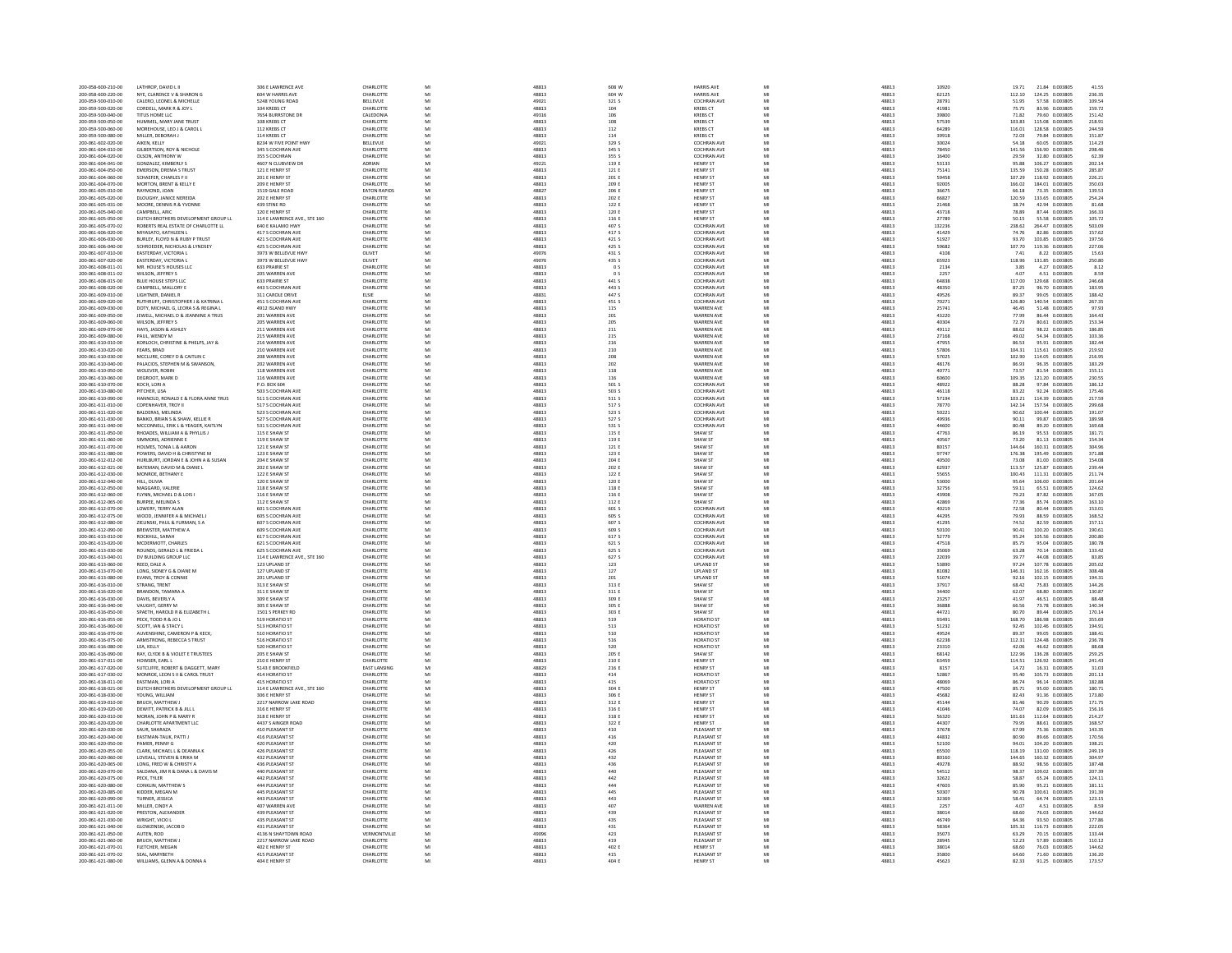| 200-058-600-210-00                                 | LATHROP, DAVID L II                                                             | 306 E LAWRENCE AVE                                | CHARLOTTE                        | $\frac{M}{M}$ | 48813          | 608 W          | <b>HARRIS AVE</b>                       | MI<br>MI            | 48813          | 10920          | 19.71            | 21.84 0.003805                     | 41.55                                          |
|----------------------------------------------------|---------------------------------------------------------------------------------|---------------------------------------------------|----------------------------------|---------------|----------------|----------------|-----------------------------------------|---------------------|----------------|----------------|------------------|------------------------------------|------------------------------------------------|
| 200-058-600-220-00<br>200-059-500-010-00           | NYE, CLARENCE V & SHARON G<br>CALERO, LEONEL & MICHELLE                         | 604 W HARRIS AVE<br>5248 YOUNG ROAD               | CHARLOTTE<br>BELLEVUE            |               | 48813<br>49021 | 604 W          | <b>HARRIS AVE</b><br>COCHRAN AVE        | M                   | 48813<br>48813 | 62125          | 112.10<br>51.95  | 124.25 0.003805<br>57.58 0.00380   | 236.35<br>109.54                               |
| 200-059-500-020-00                                 | CORDELL, MARK R & JOY L                                                         | 104 KREBS CT                                      | <b>CHARLOTTE</b>                 | MI            | 48813          | 321S<br>104    | KREBS CT                                | MI                  | 48813          | 28791<br>41981 | 75.75            | 83.96 0.003805                     | 159.72                                         |
| 200-059-500-040-00                                 | TITUS HOME LLC                                                                  | 7654 BURRSTONE DR                                 | CALEDONIA                        | MI            | 49316          | 106            | <b>KREBS CT</b>                         | MI                  | 48813          | 39800          | 71.82            | 79.60 0.003805                     | 151.42                                         |
| 200-059-500-050-00                                 | HUMMEL MARY IANE TRUST                                                          | 108 KREBS CT                                      | <b>CHARLOTTE</b>                 | MI            | 48813          | 108            | <b>KREBS CT</b>                         | MI                  | 48813          | 57539          | 103.83           | 115.08 0.003805                    | 218.91                                         |
| 200-059-500-060-00<br>200-059-500-080-00           | MOREHOUSE, LEO J & CAROL L<br>MILLER, DEBORAH.                                  | 112 KREBS CT<br>114 KREBS C                       | CHARLOTTE<br>CHARLOTTE           | MI            | 48813<br>4881  | 112<br>114     | <b>KREBS CT</b><br>KREBS CT             | MI<br>MI            | 48813<br>48813 | 64289<br>39918 | 116.01<br>72.03  | 128.58 0.003805<br>79.84 0.003805  | 244.59<br>151.87                               |
| 200-061-602-020-00                                 | AIKEN KELLY                                                                     | 8234 W FIVE POINT HWY                             | <b>RELLEVILLE</b>                | MI            | 49021          | 329.5          | COCHRAN AVE                             | MI                  | 48813          | 30024          | 54.18            | 60.05 0.003805                     | 114.23                                         |
| 200-061-604-010-00                                 | GILBERTSON, ROY & NICHOLE                                                       | 345 S COCHRAN AVE                                 | CHARLOTTE                        | MI            | 48813          | 345 S          | COCHRAN AVE                             | MI                  | 48813          | 78450          | 141.56           | 156.90 0.003805                    | 298.46                                         |
| 200-061-604-020-00                                 | OLSON, ANTHONY W                                                                | 355 S COCHRAN                                     | CHARLOTTE                        | MI            | 48813          | 355 S          | COCHRAN AVI                             | MI                  | 48813          | 16400          | 29.59            | 32.80 0.003805                     | 62.39                                          |
| 200-061-604-041-00                                 | <b>GONZALEZ, KIMBERLY S</b>                                                     | 4607 N CLUBVIEW DR                                | ADRIAN                           | MI            | 49221          | 119 E          | <b>HENRY ST</b>                         | MI<br>MI            | 48813          | 53133          | 95.88            | 106.27 0.003805                    | 202.14                                         |
| 200-061-604-050-01<br>200-061-604-060-00           | <b>EMERSON, DREMA S TRUS</b><br>SCHAEFER, CHARLES F II                          | 121 E HENRY ST<br>201 E HENRY ST                  | CHARLOTTE<br>CHARLOTTE           | MI            | 48813<br>48813 | 121 E<br>201 E | <b>HENRY ST</b><br><b>HENRY ST</b>      | MI                  | 48813<br>48813 | 75141<br>59458 | 135.59<br>107.29 | 150.28 0.003805<br>118.92 0.003805 | 285.87<br>226.21                               |
| 200-061-604-070-00                                 | MORTON, BRENT & KELLY E                                                         | 209 E HENRY ST                                    | CHARLOTTE                        | MI            | 48813          | 209 E          | <b>HENRY ST</b>                         | MI                  | 48813          | 92005          | 166.02           | $184.01 \quad 0.003805$            | 350.03                                         |
| 200-061-605-010-00                                 | RAYMOND, JOAN                                                                   | 1519 GALE ROAD                                    | <b>EATON RAPIDS</b>              | MI            | 48827          | 206 E          | <b>HENRY ST</b>                         | MI                  | 48813          | 36675          | 66.18            | 73.35 0.003805                     | 139.53                                         |
| 200-061-605-020-00                                 | DLOUGHY, JANICE NEREIDA                                                         | 202 E HENRY ST                                    | CHARLOTTE                        | MI            | 48813          | 202 E          | <b>HENRY ST</b>                         | MI                  | 48813          | 66827          | 120.59           | 133.65 0.003805                    | 254.24                                         |
| 200-061-605-031-00<br>200-061-605-040-00           | MOORE, DENNIS R & YVONNE<br>CAMPBELL, ARIC                                      | 439 STINE RD<br>120 E HENRY ST                    | CHARLOTTE<br>CHARLOTTE           | MI            | 48813<br>48813 | 122 E<br>120 E | <b>HENRY ST</b><br><b>HENRY ST</b>      | MI                  | 48813<br>48813 | 21468<br>43718 | 38.74<br>78.89   | 42.94 0.003805<br>87.44 0.003805   | 81.68<br>166.33                                |
| 200-061-605-050-00                                 | DUTCH BROTHERS DEVELOPMENT GROUP LL                                             | 114 E LAWRENCE AVE., STE 160                      | CHARLOTTE                        |               | 48813          | 116 E          | <b>HENRY ST</b>                         | MI                  | 48813          | 27789          | 50.15            | 55.58 0.003805                     | 105.72                                         |
| 200-061-605-070-02                                 | ROBERTS REAL ESTATE OF CHARLOTTE LL                                             | 640 E KALAMO HWY                                  | CHARLOTTE                        | MI            | 48813          | 407 S          | COCHRAN AVI                             | MI                  | 48813          | 132236         | 238.62           | 264.47 0.003805                    | 503.09                                         |
| 200-061-606-020-00                                 | MIYASATO, KATHLEEN L                                                            | 417 S COCHRAN AVE                                 | CHARLOTTE                        | MI            | 48813          | 417 S          | <b>COCHRAN AVE</b>                      | MI                  | 48813          | 41429          | 74.76            | 82.86 0.003805                     | 157.62                                         |
| 200-061-606-030-00                                 | BURLEY, FLOYD N & RUBY P TRUS                                                   | 421 S COCHRAN AVE                                 | CHARLOTTE                        |               | 48813          | 421 S          | COCHRAN AVI                             |                     | 48813          | 51927          | 93.70            | 103.85 0.003805                    | 197.56                                         |
| 200-061-606-040-00<br>200-061-607-010-00           | SCHROEDER, NICHOLAS & LYNDSEY<br>EASTERDAY, VICTORIA L                          | 425 S COCHRAN AVE<br>3973 W BELLEVUE HWY          | CHARLOTTE<br>OLIVET              | MI            | 48813<br>49076 | 425 S<br>431 S | COCHRAN AVE<br>COCHRAN AVI              | MI<br>MI            | 48813<br>48813 | 59682<br>4108  | 107.70<br>7.41   | 119.36 0.003805<br>8.22 0.003805   | 227.06<br>15.63                                |
| 200-061-607-020-00                                 | EASTERDAY, VICTORIA L                                                           | 3973 W BELLEVUE HWY                               | OLIVET                           | MI            | 49076          | 435 S          | <b>COCHRAN AVE</b>                      | MI                  | 48813          | 65923          | 118.96           | 131.85 0.003805                    | 250.80                                         |
| 200-061-608-011-01                                 | MR. HOUSE'S HOUSES LLC                                                          | <b>633 PRAIRIE ST</b>                             | CHARLOTTE                        | MI            | 48813          | 0S             | <b>COCHRAN AVE</b>                      | MI                  | 48813          | 2134           | 3.85             | 4.27 0.003805                      | 8.12                                           |
| 200-061-608-011-02                                 | WILSON, JEFFREY S                                                               | 205 WARREN AVE                                    | CHARLOTTE                        |               | 48813          | 0S             | COCHRAN AVI                             | MI                  | 48813          | 2257           | 4.07             | 4.51 0.00380                       | 8.59                                           |
| 200-061-608-015-00                                 | <b>BLUE HOUSE STEPS LLC</b>                                                     | <b>633 PRAIRIE ST</b>                             | CHARLOTTE                        | MI            | 48813          | 441.5          | COCHRAN AVE                             | MI                  | 48813          | 64838          | 117.00           | 129.68 0.003805                    | 246.68                                         |
| 200-061-608-020-00<br>200-061-609-010-00           | CAMPBELL, MALLORY E<br><b>LIGHTNER DANIEL R</b>                                 | 443 S COCHRAN AVI<br>311 CAROLE DRIVE             | CHARLOTTE<br><b>FISIE</b>        | MI<br>MI      | 48813<br>48831 | 443 S<br>447.5 | <b>COCHRAN AVE</b><br>COCHRAN AVE       | MI<br>MI            | 48813<br>48813 | 48350<br>49526 | 87.25<br>89.37   | 96.70 0.003805<br>99.05 0.003805   | 183.95<br>188.42                               |
| 200-061-609-020-00                                 | RUTHRUFF, CHRISTOPHER J & KATRINA L                                             | 451 S COCHRAN AVE                                 | CHARLOTTE                        | MI            | 48813          | 451 S          | <b>COCHRAN AVE</b>                      | MI                  | 48813          | 70271          | 126.80           | 140.54 0.003805                    | 267.35                                         |
| 200-061-609-030-00                                 | DOTY, MICHAEL G, LEORA S & REGINA I                                             | 4912 ISLAND HWY                                   | CHARLOTTE                        |               | 48813          | $115\,$        | WARREN AVE                              | MI                  | 48813          | 25741          | 46.45            | 51.48 0.00380                      | 97.93                                          |
| 200-061-609-050-00                                 | IEWELL MICHAELD & IFANNINE A TRUS                                               | 201 WARREN AVE                                    | <b>CHARLOTTE</b>                 | MI            | 48813          | 201            | WARREN AVE                              | MI                  | 48813          | 43220          | 77.99            | 86.44 0.003805                     | 164.43                                         |
| 200-061-609-060-00                                 | WILSON, JEFFREY S                                                               | 205 WARREN AVE                                    | CHARLOTTE                        | MI            | 48813          | 205            | <b>WARREN AVE</b>                       | MI                  | 48813          | 40304          | 72.73            | 80.61 0.003805                     | 153.34                                         |
| 200-061-609-070-00<br>200-061-609-080-00           | HAYS, JASON & ASHLEY<br>PAUL. WENDY M                                           | 211 WARREN AVE<br>215 WARREN AVE                  | CHARLOTTE<br>CHARLOTTE           | MI            | 48813<br>48813 | 211<br>215     | WARREN AVE<br><b>WARREN AVE</b>         | MI<br>MI            | 48813<br>48813 | 49112<br>27168 | 88.62<br>49.02   | 98.22 0.003805<br>54.34 0.003805   | 186.85<br>103.36                               |
| 200-061-610-010-01                                 | KORLOCH, CHRISTINE & PHELPS, JAY &                                              | 216 WARREN AVE                                    | CHARLOTTI                        |               | 48813          | 216            | WARREN AVE                              |                     | 48813          | 47955          | 86.53            | 95.91 0.00380                      | 182.44                                         |
| 200-061-610-020-00                                 | FEARS, BRAD                                                                     | 210 WARREN AVE                                    | CHARLOTTE                        | MI            | 48813          | 210            | <b>WARREN AVE</b>                       | MI                  | 48813          | 57806          | 104.31           | 115.61 0.003805                    | 219.92                                         |
| 200-061-610-030-00                                 | MCCLURE, COREY D & CAITLIN C                                                    | 208 WARREN AVE                                    | CHARLOTTE                        | MI            | 48813          | 208            | WARREN AVE                              | MI                  | 48813          | 57025          | 102.90           | 114.05 0.003805                    | 216.95                                         |
| 200-061-610-040-00                                 | PALACIOS, STEPHEN M & SWANSON                                                   | 202 WARREN AVE                                    | CHARLOTTE                        | MI            | 48813          | 202            | <b>WARREN AVE</b>                       | MI                  | 48813          | 48176          | 86.93            | 96.35 0.003805                     | 183.29                                         |
| 200-061-610-050-00                                 | WOLEVER, ROBIN                                                                  | 118 WARREN AVE                                    | CHARLOTTE                        | MI            | 48813          | 118            | <b>WARREN AVE</b>                       | MI                  | 48813          | 40771          | 73.57            | 81.54 0.003805                     | 155.11                                         |
| 200-061-610-060-00<br>200-061-610-070-00           | DEGROOT, MARK D<br>KOCH, LORI A                                                 | 116 WARREN AVE<br>P.O. BOX 604                    | CHARLOTTE<br>CHARLOTTE           | MI            | 48813<br>48813 | 116<br>501 S   | <b>WARREN AVE</b><br><b>COCHRAN AVI</b> | MI                  | 48813<br>48813 | 60600<br>48922 | 109.35<br>88.28  | 121.20 0.003805<br>97.84 0.003805  | 230.55<br>186.12                               |
| 200-061-610-080-00                                 | PITCHER, LISA                                                                   | 503 S COCHRAN AVE                                 | CHARLOTTE                        | MI            | 48813          | 503 S          | COCHRAN AVE                             | MI                  | 48813          | 46118          | 83.22            | 92.24 0.003805                     | 175.46                                         |
| 200-061-610-090-00                                 | HANNOLD, RONALD E & FLORA ANNE TRUS                                             | 511 S COCHRAN AVE                                 | CHARLOTTE                        | MI            | 48813          | 511 S          | COCHRAN AVE                             | MI                  | 48813          | 57194          | 103.21           | 114.39 0.003805                    | 217.59                                         |
| 200-061-611-010-00                                 | <b>COPENHAVER, TROY II</b>                                                      | 517 S COCHRAN AVE                                 | CHARLOTTE                        | MI            | 48813          | 517 S          | <b>COCHRAN AVE</b>                      | MI                  | 48813          | 78770          | 142.14           | 157.54 0.003805                    | 299.68                                         |
| 200-061-611-020-00                                 | BALDERAS, MELINDA                                                               | 523 S COCHRAN AVE                                 | CHARLOTTE                        |               | 48813          | 523 S          | COCHRAN AVI                             | MI                  | 48813          | 50221          | 90.62            | 100.44 0.003805                    | 191.07                                         |
| 200-061-611-030-00                                 | <b>RANKO RRIAN S &amp; SHAW KELLIE R</b><br>MCCONNELL, ERIK L & YEAGER, KAITLYN | 527 S COCHRAN AVE                                 | <b>CHARLOTTE</b><br>CHARLOTTE    | MI            | 48813<br>48813 | 527.5          | COCHRAN AVE<br>COCHRAN AVE              | MI<br>$\frac{1}{M}$ | 48813          | 49936<br>44600 | 90.11            | 99.87 0.003805                     | 189.98                                         |
| $200 - 061 - 611 - 040 - 00$<br>200-061-611-050-00 | RHOADES, WILLIAM A & PHYLLIS J                                                  | 531 S COCHRAN AVE<br>115 E SHAW ST                | CHARLOTTE                        | MI            | 48813          | 531 S<br>115 E | SHAW ST                                 | MI                  | 48813<br>48813 | 47763          | 80.48<br>86.19   | 89.20 0.003805<br>95.53 0.003805   | 169.68<br>181.71                               |
| 200-061-611-060-00                                 | SIMMONS, ADRIENNE E                                                             | 119 E SHAW ST                                     | CHARLOTTE                        | MI            | 48813          | 119 E          | SHAW ST                                 | MI                  | 48813          | 40567          | 73.20            | 81.13 0.003805                     | 154.34                                         |
| 200-061-611-070-00                                 | HOLMES, TONIA L & AAROI                                                         | 121 E SHAW ST                                     | CHARLOTTE                        |               | 48813          | 121 E          | SHAW ST                                 |                     | 48813          | 80157          | 144.64           | 160.31 0.003805                    | 304.96                                         |
| 200-061-611-080-00                                 | POWERS DAVID H & CHRISTYNE M                                                    | 123 F SHAW ST                                     | <b>CHARLOTTE</b>                 | MI            | 48813          | 123 E          | SHAW ST                                 | MI                  | 48813          | 97747          | 176 38           | 195.49 0.003805                    | 371.88                                         |
| 200-061-612-012-00<br>200-061-612-021-00           | HURLBURT, JORDAN E & JOHN A & SUSAN<br><b>RATEMAN DAVID M &amp; DIANE I</b>     | 204 E SHAW ST<br>202 E SHAW ST                    | CHARLOTTE<br><b>CHARLOTTE</b>    | MI<br>MI      | 48813<br>48813 | 204 E<br>202 F | SHAW ST<br>SHAW ST                      | MI<br>MI            | 48813<br>48813 | 40500<br>62937 | 73.08<br>113.57  | 81.00 0.003805<br>125.87 0.003805  | 154.08<br>239.44                               |
| 200-061-612-030-00                                 | MONROE, BETHANY E                                                               | 122 E SHAW ST                                     | CHARLOTTE                        | MI            | 48813          | 122 E          | SHAW ST                                 | MI                  | 48813          | 55655          | 100.43           | 111.31 0.003805                    | 211.74                                         |
| 200-061-612-040-00                                 | HILL, OLIVIA                                                                    | 120 E SHAW ST                                     | CHARLOTTE                        |               | 4881           | 120 E          | SHAW ST                                 | MI                  | 48813          | 53000          | 95.64            | 106.00 0.003805                    | 201.64                                         |
| 200-061-612-050-00                                 | MAGGARD VALERIE                                                                 | 118 F SHAW ST                                     | CHARLOTTE                        | MI            | 48813          | 118 F          | SHAW ST                                 | MI                  | 48813          | 32756          | 59.11            | 65.51 0.003805                     | 124.62                                         |
| 200-061-612-060-00                                 | FLYNN, MICHAEL D & LOIS I                                                       | 116 E SHAW ST                                     | CHARLOTTE                        | MI            | 48813          | 116 E          | SHAW ST                                 | MI                  | 48813          | 43908          | 79.23            | 87.82 0.003805                     | 167.05                                         |
| 200-061-612-065-00                                 | BURPEE, MELINDA S                                                               | 112 E SHAW ST                                     | CHARLOTTE                        | MI            | 48813          | 112 E          | SHAW ST                                 | MI                  | 48813          | 42869          | 77.30            | 85.74 0.003805                     | 163.10                                         |
| 200-061-612-070-00<br>200-061-612-075-00           | LOWERY, TERRY ALAN<br>WOOD, JENNIFER A & MICHAEL J                              | 601 S COCHRAN AVE<br>605 S COCHRAN AVI            | CHARLOTTE<br>CHARLOTTI           | MI            | 48813<br>48813 | 601 S<br>605 S | <b>COCHRAN AVE</b><br>COCHRAN AVE       | MI<br>M             | 48813<br>48813 | 40219<br>44295 | 72.58<br>79.93   | 80.44 0.003805<br>88.59 0.003805   | 153.01<br>168.52                               |
| 200-061-612-080-00                                 | ZIELINSKI, PAUL & FURMAN, S A                                                   | 607 S COCHRAN AVE                                 | CHARLOTTE                        | MI            | 48813          | 607.5          | <b>COCHRAN AVE</b>                      | MI                  | 48813          | 41295          | 74.52            | 82.59 0.003805                     | 157 11                                         |
| 200-061-612-090-00                                 | BREWSTER, MATTHEW A                                                             | 609 S COCHRAN AVE                                 | CHARLOTTE                        | MI            | 48813          | 609 S          | COCHRAN AVE                             | MI                  | 48813          | 50100          | 90.41            | 100.20 0.003805                    | 190.61                                         |
| 200-061-613-010-00                                 | ROCKHILL, SARAH                                                                 | 617 S COCHRAN AVE                                 | CHARLOTTE                        |               | 48813          | 617 S          | COCHRAN AVI                             | MI                  | 48813          | 52779          | 95.24            | 105.56 0.003805                    | 200.80                                         |
| 200-061-613-020-00                                 | MCDERMOTT, CHARLES                                                              | 621 S COCHRAN AVE                                 | CHARLOTTE                        | MI            | 48813          | 621 S          | <b>COCHRAN AVE</b>                      | MI                  | 48813          | 47518          | 85.75            | 95.04 0.003805                     | 180.78                                         |
| 200-061-613-030-00<br>200-061-613-040-01           | ROUNDS, GERALD L & FRIEDA L<br>DV BUILDING GROUP LLC                            | 625 S COCHRAN AVE<br>114 E LAWRENCE AVE., STE 160 | CHARLOTTE<br>CHARLOTTE           | MI            | 48813<br>48813 | 625 S<br>627 S | COCHRAN AVE<br><b>COCHRAN AVE</b>       | MI<br>MI            | 48813<br>48813 | 35069<br>22039 | 63.28<br>39.77   | $70.14$ 0.003805<br>44.08 0.003805 | 133.42<br>83.85                                |
| 200-061-613-060-00                                 | REED, DALE A                                                                    | 123 UPLAND ST                                     | CHARLOTTE                        |               | 48813          | 123            | <b>UPLAND ST</b>                        | MI                  | 48813          | 53890          | 97.24            | 107.78 0.003805                    | 205.02                                         |
| 200-061-613-070-00                                 | LONG, SIDNEY G & DIANE M                                                        | 127 UPLAND ST                                     | CHARLOTTE                        | M             | 48813          | 127            | <b>UPLAND ST</b>                        | MI                  | 48813          | 81082          | 146.31           | 162.16 0.003805                    | 308.48                                         |
| 200-061-613-080-00                                 | <b>EVANS, TROY &amp; CONNIE</b>                                                 | 201 UPLAND ST                                     | CHARLOTTE                        | MI            | 48813          | 201            | <b>UPLAND ST</b>                        | MI                  | 48813          | 51074          | 92.16            | 102.15 0.003805                    | 194.31                                         |
| 200-061-616-010-00                                 | STRANG, TRENT                                                                   | 313 E SHAW ST                                     | CHARLOTTE                        |               | 48813          | 313 E          | SHAW ST                                 |                     | 48813          | 37917          | 68.42            | 75.83 0.00380                      | 144.26                                         |
| 200-061-616-020-00<br>$200 - 061 - 616 - 030 - 00$ | RRANDON TAMARA A<br>DAVIS, BEVERLY A                                            | 311 E SHAW ST<br>309 E SHAW ST                    | <b>CHARLOTTE</b><br>CHARLOTTE    | MI            | 48813<br>48813 | 311 E          | SHAW ST<br>SHAW ST                      | MI<br>MI            | 48813<br>48813 | 34400<br>23257 | 62.07<br>41.97   | 68.80 0.003805<br>46.51 0.003805   | $\begin{array}{c} 130.87 \\ 88.48 \end{array}$ |
| 200-061-616-040-00                                 | VAUGHT, GERRY M                                                                 | 305 E SHAW ST                                     | CHARLOTTE                        | MI            | 48813          | 309 E<br>305 E | SHAW ST                                 | MI                  | 48813          | 36888          | 66.56            | 73.78 0.003805                     | 140.34                                         |
| 200-061-616-050-00                                 | SPAETH, HAROLD R & ELIZABETH L                                                  | 1501 S PERKEY RD                                  | CHARLOTTE                        | MI            | 48813          | 303 E          | SHAW ST                                 | MI                  | 48813          | 44721          | 80.70            | 89.44 0.003805                     | 170.14                                         |
| 200-061-616-055-00                                 | PECK, TODD R & JO L                                                             | 519 HORATIO ST                                    | CHARLOTTE                        |               | 48813          | 519            | HORATIO ST                              |                     | 48813          | 93491          | 168.70           | 186.98 0.003805                    | 355.69                                         |
| 200-061-616-060-00                                 | SCOTT JAN & STACY I                                                             | 513 HORATIO ST                                    | CHARLOTTE                        | MI            | 48813          | 513            | HORATIO ST                              | MI                  | 48813          | 51232          | 92.45            | 102.46 0.003805                    | 194.91                                         |
| 200-061-616-070-00<br>200-061-616-075-00           | AUVENSHINE, CAMERON P & KECK,<br>ARMSTRONG, REBECCA S TRUST                     | 510 HORATIO ST<br>516 HORATIO ST                  | CHARLOTTE<br>CHARLOTTE           | MI<br>MI      | 48813<br>48813 | 510<br>516     | <b>HORATIO ST</b><br>HORATIO ST         | MI<br>MI            | 48813<br>48813 | 49524<br>62238 | 89.37<br>112.31  | 99.05 0.003805<br>124.48 0.003805  | 188.41<br>236.78                               |
| 200-061-616-080-00                                 | LEA KELLY                                                                       | 520 HORATIO ST                                    | CHARLOTTE                        | MI            | 48813          | 520            | <b>HORATIO ST</b>                       | MI                  | 48813          | 23310          | 42.06            | 46.62 0.003805                     | 88.68                                          |
| 200-061-616-090-00                                 | RAY, CLYDE B & VIOLET E TRUSTEES                                                | 205 E SHAW ST                                     | CHARLOTTE                        |               | 48813          | 205            | <b>SHAW ST</b>                          |                     | 48813          | 68142          | 122.96           | 136.28 0.00380                     | 259.25                                         |
| 200-061-617-011-00                                 | HOWSER FARLL                                                                    | 210 F HENRY ST                                    | CHARLOTTE                        | MI            | 48813          | 210 F          | <b>HENRY ST</b>                         | MI                  | 48813          | 63459          | 114.51           | 126.92 0.003805                    | 241.43                                         |
| 200-061-617-020-00                                 | SUTCLIFFE, ROBERT & DAGGETT, MARY                                               | 5143 E BROOKFIELD                                 | <b>EAST LANSING</b>              | MI            | 48823          | 216 E          | <b>HENRY ST</b>                         | MI<br>MI            | 48813          | 8157           | 14.72            | 16.31 0.003805                     | 31.03                                          |
| 200-061-617-030-02<br>200-061-618-011-00           | MONROE, LEON S II & CAROL TRUST<br>EASTMAN, LORI A                              | 414 HORATIO ST<br>415 HORATIO ST                  | CHARLOTTE<br>CHARLOTTE           | MI            | 48813<br>48813 | 414<br>415     | HORATIO ST<br>HORATIO ST                | MI                  | 48813<br>48813 | 52867<br>48069 | 95.40<br>86.74   | 105.73 0.003805<br>96.14 0.003805  | 201.13<br>182.88                               |
| 200-061-618-021-00                                 | DUTCH BROTHERS DEVELOPMENT GROUP LI                                             | 114 E LAWRENCE AVE., STE 160                      | CHARLOTTE                        |               | 48813          | 304            | <b>HENRY ST</b>                         | M                   | 48813          | 47500          | 85.71            | 95.00 0.003805                     | 180.71                                         |
| 200-061-618-030-00                                 | YOUNG WILLIAM                                                                   | 306 F HENRY ST                                    | CHARLOTTE                        | MI            | 48813          | 306 F          | HENRY ST                                | MI                  | 48813          | 45682          | 82.43            | 91.36 0.003805                     | 173.80                                         |
| 200-061-619-010-00                                 | BRUCH, MATTHEW.                                                                 | 2217 NARROW LAKE ROAD                             | CHARLOTTE                        | MI            | 48813          | 312 E          | <b>HENRY ST</b>                         | MI                  | 48813          | 45144          | 81.46            | 90.29 0.003805                     | 171.75                                         |
| 200-061-619-020-00<br>200-061-620-010-00           | DEWITT, PATRICK B & JILL I<br>MORAN, JOHN P & MARY R                            | 316 E HENRY ST<br>318 E HENRY ST                  | CHARLOTTE<br>CHARLOTTE           | MI<br>MI      | 48813<br>48813 | 316 E<br>318 E | <b>HENRY ST</b><br><b>HENRY ST</b>      | MI<br>MI            | 48813<br>48813 | 41046<br>56320 | 74.07<br>101.63  | 82.09 0.003805<br>112.64 0.003805  | 156.16<br>214.27                               |
| 200-061-620-020-00                                 | CHARLOTTE APARTMENT LLC                                                         | 4437 S AINGER ROAD                                | CHARLOTTE                        |               | 48813          | 322 E          | HENRY ST                                |                     | 48813          | 44307          | 79.95            | 88.61 0.003805                     | 168.57                                         |
| 200-061-620-030-00                                 | SAUR, SHARAZA                                                                   | 410 PLEASANT ST                                   | CHARLOTTE                        | MI            | 48813          | 410            | PLEASANT ST                             | MI                  | 48813          | 37678          | 67.99            | 75.36 0.003805                     | 143.35                                         |
| 200-061-620-040-00                                 | EASTMAN-TALIK, PATTI J                                                          | 416 PLEASANT ST                                   | CHARLOTTE                        | MI            | 48813          | 416            | PLEASANT ST                             | MI                  | 48813          | 44832          | 80.90            | 89.66 0.003805                     | 170.56                                         |
| 200-061-620-050-00                                 | PAMER, PENNY G                                                                  | 420 PLEASANT ST                                   | CHARLOTTE                        | M             | 48813          | 420            | PLEASANT ST                             | MI                  | 48813          | 52100          | 94.01            | 104.20 0.003805                    | 198.21                                         |
| 200-061-620-055-00<br>200-061-620-060-00           | CLARK, MICHAEL L & DEANNA K<br>LOVEALL, STEVEN & ERIKA M                        | 426 PLEASANT ST<br>432 PLEASANT ST                | CHARLOTTE<br>CHARLOTTE           | MI            | 48813<br>48813 | 426<br>432     | PLEASANT ST<br>PLEASANT ST              | MI<br>MI            | 48813<br>48813 | 65500<br>80160 | 118.19<br>144.65 | 131.00 0.003805<br>160.32 0.003805 | 249.19<br>304.97                               |
| 200-061-620-065-00                                 | LONG, FRED W & CHRISTY A                                                        | 436 PLEASANT ST                                   | <b>CHARLOTTE</b>                 | MI            | 48813          | 436            | PLEASANT ST                             | MI                  | 48813          |                | 88.92            | 98.56 0.003805                     | 187.48                                         |
| 200-061-620-070-00                                 | SALDANA, JIM R & DANA L & DAVIS M                                               | 440 PLEASANT ST                                   | CHARLOTTE                        |               | 48813          | 440            | PLEASANT ST                             | MI                  | 48813          | 49278<br>54512 | 98.37            | 109.02 0.003805                    | 207.39                                         |
| 200-061-620-075-00                                 | PECK, TYLER                                                                     | 442 PLEASANT ST                                   | CHARLOTTE                        | MI            | 48813          | 442            | PLEASANT ST                             | MI                  | 48813          | 32622          | 58.87            | 65.24 0.003805                     | 124.11                                         |
| 200-061-620-080-00                                 | CONKLIN, MATTHEW S                                                              | 444 PLEASANT ST                                   | CHARLOTTE                        | MI            | 48813          | 444            | PLEASANT ST                             | MI                  | 48813          | 47603          | 85.90            | 95.21 0.003805                     | 181.11                                         |
| 200-061-620-085-00<br>200-061-620-090-00           | KIDDER, MEGAN M<br>TURNER IFSSICA                                               | 445 PLEASANT ST<br>443 PLEASANT ST                | CHARLOTTE<br><b>CHARLOTTE</b>    | MI            | 48813<br>48813 | 445<br>443     | PLEASANT ST<br>PLEASANT ST              | MI                  | 48813<br>48813 | 50307<br>32369 | 90.78<br>58.41   | 100.61 0.003805<br>64.74 0.003805  | 191.39<br>123.15                               |
| 200-061-621-011-00                                 | MILLER, CINDY A                                                                 | 407 WARREN AVE                                    | CHARLOTTE                        |               | 48813          | 407            | <b>WARREN AVE</b>                       | MI                  | 48813          | 2257           | 4.07             | 4.51 0.003805                      | 8.59                                           |
| 200-061-621-020-00                                 | PRESTON, ALEXANDER                                                              | 439 PLEASANT ST                                   | <b>CHARLOTTE</b>                 |               | 48813          | 439            | PLEASANT ST                             | MI                  | 48813          | 38014          | 68.60            | 76.03 0.003805                     | 144.62                                         |
| 200-061-621-030-00                                 | WRIGHT, VICKI L                                                                 | 435 PLEASANT ST                                   | CHARLOTTE                        | MI            | 48813          | 435            | PLEASANT ST                             | MI                  | 48813          | 46749          | 84.36            | 93.50 0.003805                     | 177.86                                         |
| 200-061-621-040-00                                 | GLOWZINSKI, JACOB I                                                             | 431 PLEASANT ST                                   | CHARLOTTE                        |               | 48813          | 431            | PLEASANT ST                             |                     | 48813          | 5836           | 105.32           | 116.73 0.003805                    | 222.05                                         |
| 200-061-621-050-00<br>200-061-621-060-00           | ALITEN ROD<br>BRUCH, MATTHEW.                                                   | 4136 N SHAYTOWN ROAD<br>2217 NARROW LAKE ROAD     | <b>VERMONTVILLE</b><br>CHARLOTTE | MI<br>MI      | 49096<br>48813 | 423<br>419     | PLEASANT ST<br>PLEASANT ST              | MI<br>MI            | 48813<br>48813 | 35073<br>28945 | 63.29<br>52.23   | 20.15 0.003805<br>57.89 0.003805   | 133.44<br>110.12                               |
| 200-061-621-070-01                                 | FLETCHER, MEGAN                                                                 | 402 E HENRY ST                                    | CHARLOTTE                        | MI            | 48813          | 402            | HENRY ST                                | MI                  | 48813          | 38014          | 68.60            | 76.03 0.003805                     | 144.62                                         |
| 200-061-621-070-02                                 | SEAL, MARYBETH                                                                  | 415 PLEASANT ST                                   | CHARLOTTE                        | MI            | 48813          | 415            | PLEASANT ST                             | MI                  | 48813          | 35800          | 64.60            | 71.60 0.003805                     | 136.20                                         |
| 200-061-621-080-00                                 | WILLIAMS, GLENN A & DONNA A                                                     | 404 E HENRY ST                                    | CHARLOTTE                        |               | 48813          | 404            | <b>HENRY ST</b>                         |                     | 48813          |                |                  | 91.25 0.00380                      |                                                |
|                                                    |                                                                                 |                                                   |                                  |               |                |                |                                         |                     |                |                |                  |                                    |                                                |
|                                                    |                                                                                 |                                                   |                                  |               |                |                |                                         |                     |                |                |                  |                                    |                                                |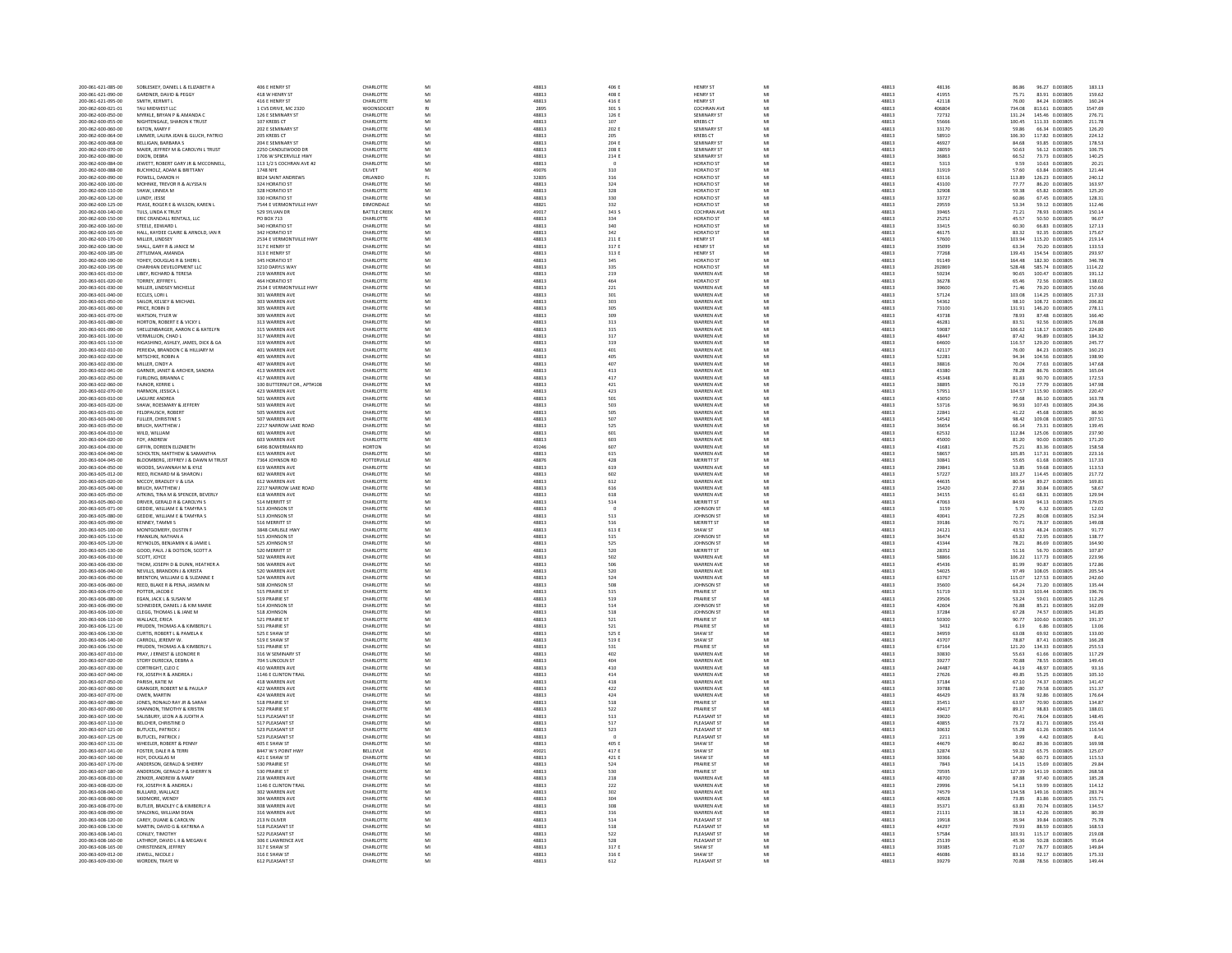| 200-061-621-085-00                       | SOBLESKEY, DANIEL L & ELIZABETH A                                | 406 E HENRY ST                                 | CHARLOTTE                        | MI<br>Mi | 48813          | 406 E            | HENRY ST                               | MI       | 48813          | 48136                  | 96.27 0.003805<br>86.86                              | 183.13           |
|------------------------------------------|------------------------------------------------------------------|------------------------------------------------|----------------------------------|----------|----------------|------------------|----------------------------------------|----------|----------------|------------------------|------------------------------------------------------|------------------|
| 200-061-621-090-00<br>200-061-621-095-00 | GARDNER, DAVID & PEGGY<br>SMITH, KERMIT                          | 418 W HENRY ST<br>416 E HENRY ST               | CHARLOTTE<br>CHARLOTTE           | MI       | 48813<br>48813 | 408 E            | <b>HENRY ST</b><br>HENRY ST            | MI       | 48813<br>48813 | 41955<br>42118         | 75.71<br>83.91 0.003805<br>76.00<br>84.24 0.00380    | 159.62<br>160.24 |
| 200-062-600-021-01                       | TALLMIDWEST LLC                                                  | 1 CVS DRIVE MC 2320                            | WOONSOCKET                       | R1       | 2895           | 416 B<br>301S    | COCHRAN AVE                            | MI       | 48813          | 406804                 | 734.08<br>813.61 0.003805                            | 1547.69          |
| 200-062-600-050-00                       | MYRKLE, BRYAN P & AMANDA C                                       | 126 E SEMINARY ST                              | CHARLOTTE                        | MI       | 48813          | 126 E            | SEMINARY ST                            | MI       | 48813          | 72732                  | 131.24<br>145.46 0.003805                            | 276.71           |
| 200-062-600-055-00                       | NIGHTENGALE, SHARON K TRUST                                      | 107 KREBS CT                                   | CHARLOTTE                        | MI       | 48813          | 107              | KREBS CT                               | MI       | 48813          | 55666                  | 100.45<br>111.33 0.003805                            | 211.78           |
| 200-062-600-060-00<br>200-062-600-064-00 | EATON, MARY F<br>LIMMER, LAURA JEAN & GLUCH, PATRIC              | 202 E SEMINARY ST<br>205 KREBS CT              | CHARLOTTE<br>CHARLOTTE           | MI<br>MI | 48813<br>48813 | 202 E            | <b>SEMINARY ST</b><br><b>KREBS CT</b>  | MI<br>MI | 48813<br>48813 | 33170<br>58910         | 59.86<br>66.34 0.003805<br>106.30<br>117.82 0.003805 | 126.20<br>224.12 |
| 200-062-600-068-00                       | <b>RELLIGAN RARRARAS</b>                                         | 204 F SEMINARY ST                              | CHARLOTTE                        | MI       | 48813          | 205<br>204 F     | SEMINARY ST                            | MI       | 48813          | 46927                  | 84.68<br>93.85 0.003805                              | 178.53           |
| 200-062-600-070-00                       | MAIER, JEFFREY M & CAROLYN L TRUST                               | 2250 CANDLEWOOD DR                             | CHARLOTTE                        | MI       | 48813          | 208 E            | <b>SEMINARY ST</b>                     | MI       | 48813          | 28059                  | 56.12 0.003805<br>50.63                              | 106.75           |
| 200-062-600-080-00                       | DIXON, DEBRA                                                     | 1706 W SPICERVILLE HWY                         | CHARLOTTE                        | MI       | 48813          | 214 E            | SEMINARY ST                            | MI       | 48813          | 36863                  | 66.52<br>73.73 0.003805                              | 140.25           |
| 200-062-600-084-00                       | JEWETT, ROBERT GARY JR & MCCONNELL                               | 113 1/2 S COCHRAN AVE #2                       | CHARLOTTE                        | MI<br>MI | 48813          |                  | HORATIO ST                             | MI       | 48813          | 5313                   | 9.59<br>10.63 0.003805                               | 20.21            |
| 200-062-600-088-00<br>200-062-600-090-00 | BUCHHOLZ, ADAM & BRITTANY<br>POWELL, DAMON H                     | <b>1748 NYE</b><br>8024 SAINT ANDREWS          | OLIVET<br>ORLANDO                | FL.      | 49076<br>32835 | $310$<br>316     | HORATIO ST<br>HORATIO ST               | MI       | 48813<br>48813 | 31919<br>63116         | 57.60<br>63.84 0.003805<br>113.89<br>126.23 0.003805 | 121.44<br>240.12 |
| 200-062-600-100-00                       | MOHNKE, TREVOR R & ALYSSA N                                      | 324 HORATIO ST                                 | CHARLOTTE                        | MI       | 48813          | 324              | HORATIO ST                             | MI       | 48813          | 43100                  | 77.77<br>86.20 0.003805                              | 163.97           |
| 200-062-600-110-00                       | SHAW, LINNEA M                                                   | 328 HORATIO ST                                 | CHARLOTTE                        | MI       | 48813          | 328              | <b>HORATIO ST</b>                      | M        | 48813          | 32908                  | 59.38<br>65.82 0.003805                              | 125.20           |
| 200-062-600-120-00                       | LUNDY, JESSE                                                     | 330 HORATIO ST                                 | CHARLOTTE                        | MI       | 48813          | 330              | HORATIO ST                             | MI       | 48813          | 33727                  | 60.86<br>67.45 0.003805                              | 128.31           |
| 200-062-600-125-00<br>200-062-600-140-00 | PEASE, ROGER E & WILSON, KAREN L<br>TULS, LINDA K TRUST          | 7544 E VERMONTVILLE HWY<br>529 SYLVAN DR       | DIMONDALE<br><b>BATTLE CREEK</b> | MI<br>MI | 48821<br>49017 | 332<br>343 S     | HORATIO ST<br><b>COCHRAN AVE</b>       | MI       | 48813<br>48813 | 29559<br>39465         | 53.34<br>59.12 0.003805<br>71.21<br>78.93 0.003805   | 112.46<br>150.14 |
| 200-062-600-150-00                       | ERIC CRANDALL RENTALS, LLC                                       | PO BOX 713                                     | CHARLOTTE                        | MI       | 48813          | 334              | HORATIO ST                             | MI       | 48813          | 25252                  | 45.57<br>50.50 0.003805                              | 96.07            |
| 200-062-600-160-00                       | STEELE, EDWARD L                                                 | 340 HORATIO ST                                 | CHARLOTTE                        | MI       | 48813          | 340              | HORATIO ST                             | MI       | 48813          | 33415                  | 60.30<br>66.83 0.003805                              | 127.13           |
| 200-062-600-165-00                       | HALL, KAYDEE CLAIRE & ARNOLD, IAN R                              | 342 HORATIO ST                                 | CHARLOTTE                        | MI       | 48813          | 342              | HORATIO ST                             | MI       | 48813          | 46175                  | 83.32<br>92.35 0.003805                              | 175.67           |
| 200-062-600-170-00<br>200-062-600-180-00 | MILLER, LINDSEY<br>SHALL GARY R & JANICE M                       | 2534 E VERMONTVILLE HW<br>317 F HENRY ST       | CHARLOTTE<br>CHARLOTTE           | MI       | 48813<br>48813 | $211$ B<br>317.6 | <b>HENRY ST</b><br><b>HENRY ST</b>     | MI       | 48813          | 57600                  | 103.94<br>115.20 0.00380<br>63.34<br>20.20 0.003805  | 219.14           |
| 200-062-600-185-00                       | ZITTLEMAN, AMANDA                                                | 313 E HENRY ST                                 | CHARLOTTE                        | MI<br>MI | 48813          | 313f             | <b>HENRY ST</b>                        |          | 48813<br>48813 | 35099<br>77268         | 154.54 0.003805<br>139.43                            | 133.53<br>293.97 |
| 200-062-600-190-00                       | YOHEY, DOUGLAS R & SHERIL                                        | 345 HORATIO ST                                 | CHARLOTTE                        | MI       | 48813          | 345              | HORATIO ST                             | MI       | 48813          | 91149                  | 164.48<br>182.30 0.003805                            | 346.78           |
| 200-062-600-195-00                       | CHARHIAN DEVELOPMENT LLC                                         | 3210 DARYLS WAY                                | CHARLOTTE                        | MI       | 48813          | 335              | <b>HORATIO ST</b>                      | MI       | 48813          | 292869                 | 528.48<br>585.74 0.003805                            | 1114.22          |
| 200-063-601-010-00                       | LIBEY, RICHARD & TERESA                                          | 219 WARREN AVE                                 | CHARLOTTE                        | MI       | 48813          | 219              | <b>WARREN AVE</b>                      | MI       | 48813          | 50234                  | 90.65<br>100.47 0.003805                             | 191.12           |
| 200-063-601-020-00<br>200-063-601-030-00 | TORREY IFFEREY I<br>MILLER, LINDSEY MICHELLE                     | 464 HORATIO ST<br>2534 E VERMONTVILLE HWY      | CHARLOTTE<br>CHARLOTTE           | MI<br>MI | 48813<br>48813 | 464<br>221       | HORATIO ST<br><b>WARREN AVE</b>        | MI<br>MI | 48813<br>48813 | 36278                  | 65.46<br>22.56 0.003805<br>71.46<br>79.20 0.003805   | 138.02<br>150.66 |
| 200-063-601-040-00                       | <b>ECCLES LORLL</b>                                              | 301 WARREN AVE                                 | CHARLOTTE                        | MI       | 48817          | 301              | WARREN AVE                             | MI       | 48813          | 39600<br>57124         | 103.08<br>114.25 0.003805                            | 217 33           |
| 200-063-601-050-00                       | SAILOR, KELSEY & MICHAEL                                         | 303 WARREN AVE                                 | CHARLOTTE                        | MI       | 48813          | 303              | <b>WARREN AVE</b>                      | MI       | 48813          | 54362                  | 108.72 0.003805<br>98.10                             | 206.82           |
| 200-063-601-060-00                       | PRICE, ROBIN D                                                   | 305 WARREN AVE                                 | CHARLOTTE                        | MI       | 48813          | 305              | <b>WARREN AVE</b>                      | MI       | 48813          | 73100                  | 131.91<br>146.20 0.003805                            | 278.11           |
| 200-063-601-070-00                       | WATSON, TYLER W                                                  | 309 WARREN AVE                                 | CHARLOTTE<br>CHARLOTTE           | MI       | 48813<br>48813 | 309<br>313       | <b>WARREN AVE</b><br><b>WARREN AVE</b> | MI       | 48813          | 43738                  | 78.93<br>87.48 0.003805<br>83.51<br>92.56 0.003805   | 166.40           |
| 200-063-601-080-00<br>200-063-601-090-00 | HORTON, ROBERT E & VICKY L<br>SHELLENBARGER, AARON C & KATELYN   | 313 WARREN AVE<br>315 WARREN AVE               | CHARLOTTE                        | MI<br>MI | 48813          | 315              | <b>WARREN AVE</b>                      | MI<br>MI | 48813<br>48813 | 46281<br>59087         | 106.62<br>118.17 0.003805                            | 176.08<br>224.80 |
| 200-063-601-100-00                       | VERMILLION, CHAD L                                               | 317 WARREN AVE                                 | CHARLOTTE                        | MI       | 48813          | 317              | <b>WARREN AVE</b>                      | MI       | 48813          | 48447                  | 87.42<br>96.89 0.003805                              | 184.32           |
| 200-063-601-110-00                       | <b>IIGASHINO, ASHLEY, JAMES, DICK &amp; GA</b>                   | 319 WARREN AVI                                 | CHARLOTT                         | MI       | 48813          | 319              | WARREN AVE                             | MI       | 48813          | 64600                  | 116.57<br>129.20 0.003805                            | 245.77           |
| 200-063-602-010-00                       | PEREIDA, BRANDON C & HILLIARY M                                  | 401 WARREN AVE                                 | CHARLOTTE                        | MI       | 48813          | 401              | <b>WARREN AVE</b>                      | MI       | 48813          | 42117                  | 76.00<br>84.23 0.003805                              | 160.23           |
| 200-063-602-020-00<br>200-063-602-030-00 | MITSCHKE, ROBIN A<br>MILLER, CINDY A                             | 405 WARREN AVE<br>407 WARREN AVE               | CHARLOTTE<br>CHARLOTTE           | MI<br>MI | 48813<br>48813 | 405<br>407       | <b>WARREN AVE</b><br>WARREN AVE        | MI<br>MI | 48813<br>48813 | 52281                  | 104.56 0.003805<br>94.34<br>70.04<br>77.63 0.003805  | 198.90<br>147.68 |
| 200-063-602-041-00                       | GARNER, JANET & ARCHER, SANDRA                                   | 413 WARREN AVE                                 | CHARLOTTE                        | MI       | 48813          | 413              | <b>WARREN AVE</b>                      | MI       | 48813          | 38816<br>43380         | 78.28<br>86.76 0.003805                              | 165.04           |
| 200-063-602-050-00                       | FURLONG, BRIANNA C                                               | 417 WARREN AVE                                 | CHARLOTTE                        | MI       | 48813          | 417              | <b>WARREN AVE</b>                      |          | 48813          | 45348                  | 81.83<br>90.70 0.003805                              | 172.53           |
| 200-063-602-060-00                       | FAINOR, KERRIE L                                                 | 100 BUTTERNUT DR., APT#108                     | CHARLOTTE                        | MI       | 48813          | 421              | <b>WARREN AVE</b>                      | MI       | 48813          | 38895                  | 70.19<br>77.79 0.003805                              | 147.98           |
| 200-063-602-070-00                       | HARMON, JESSICA L                                                | 423 WARREN AVE                                 | CHARLOTTE                        | MI       | 48813          | 423              | <b>WARREN AVE</b>                      |          | 48813          | 57951                  | 104.57<br>115.90 0.003805                            | 220.47           |
| 200-063-603-010-00<br>200-063-603-020-00 | <b>LAGUIRE ANDREA</b><br>SHAW, ROESMARY & JEFFERY                | 501 WARREN AVE<br>503 WARREN AVE               | CHARLOTTE<br>CHARLOTTE           | MI<br>MI | 48813<br>48813 | 501<br>503       | WARREN AVE<br><b>WARREN AVE</b>        | MI<br>MI | 48813<br>48813 | 43050<br>53716         | 77.68<br>86.10 0.003805<br>96.93<br>107.43 0.003805  | 163.78<br>204.36 |
| 200-063-603-031-00                       | FELDPAUSCH, ROBERT                                               | 505 WARREN AVE                                 | CHARLOTTE                        | MI       | 48813          | 505              | <b>WARREN AVE</b>                      | MI       | 48813          | 22841                  | 41.2<br>45.68 0.003805                               | 86.90            |
| 200-063-603-040-00                       | FULLER CHRISTINES                                                | 507 WARREN AVE                                 | CHARLOTTE                        | MI       | 48813          | 507              | WARREN AVE                             | MI       | 48813          | 54542                  | 98.42<br>109.08 0.003805                             | 207.51           |
| 200-063-603-050-00                       | BRUCH, MATTHEW J                                                 | 2217 NARROW LAKE ROAD                          | CHARLOTTE                        | MI       | 48813          | 525              | <b>WARREN AVE</b>                      |          | 48813          | 36654                  | 66.14<br>73.31 0.003805                              | 139.45           |
| 200-063-604-010-00                       | WILD WILLIAM                                                     | 601 WARREN AVE                                 | CHARLOTTE                        | MI       | 48813          | 601              | WARREN AVE                             | MI       | 48813          | 62532                  | 112.84<br>125.06 0.003805                            | 237.90           |
| 200-063-604-020-00<br>200-063-604-030-00 | FOY, ANDREW<br>GIFFIN, DOREEN ELIZABETH                          | 603 WARREN AVE<br>6496 BOWERMAN RD             | CHARLOTTE<br>HORTON              | MI<br>MI | 48813<br>49246 | 603<br>607       | <b>WARREN AVE</b><br><b>WARREN AVE</b> | MI<br>MI | 48813<br>48813 | 45000<br>41681         | 90.00 0.003805<br>81.20<br>75.21<br>83.36 0.003805   | 171.20<br>158.58 |
| 200-063-604-040-00                       | SCHOLTEN, MATTHEW & SAMANTHA                                     | <b>615 WARREN AVE</b>                          | CHARLOTTE                        | MI       | 48813          | 615              | <b>WARREN AVE</b>                      | MI       | 48813          | 58657                  | 105.85<br>117.31 0.003805                            | 223.16           |
| 200-063-604-045-00                       | BLOOMBERG, JEFFREY J & DAWN M TRUST                              | 7364 JOHNSON RD                                | POTTERVILLE                      | MI       | 48876          | 428              | MERRITT ST                             | MI       | 48813          | 30841                  | 55.65<br>61.68 0.003805                              | 117.33           |
| 200-063-604-050-00                       | WOODS SAVANNAH M & KYLE                                          | 619 WARREN AVE                                 | CHARLOTTE                        | MI       | 48813          | 619              | WARREN AVE                             | MI       | 48813          | 29841                  | 53.85<br>59.68 0.003805                              | 113.53           |
| 200-063-605-012-00<br>200-063-605-020-00 | REED, RICHARD M & SHARON.<br>MCCOY, BRADLEY V & LISA             | 602 WARREN AVE<br>612 WARREN AVE               | CHARLOTTE<br>CHARLOTTE           | MI<br>MI | 48813<br>48813 | 602<br>612       | <b>WARREN AVE</b><br><b>WARREN AVE</b> | MI<br>MI | 48813<br>48813 | 57227<br>44635         | 114.45 0.003805<br>103.27<br>80.54<br>89.27 0.003805 | 217.72<br>169.81 |
| 200-063-605-040-00                       | BRUCH, MATTHEW J                                                 | 2217 NARROW LAKE ROAD                          | CHARLOTTE                        | MI       | 48813          | 616              | <b>WARREN AVE</b>                      | MI       | 48813          | 15420                  | 27.83<br>30.84 0.003805                              | 58.67            |
| 200-063-605-050-00                       | AITKINS, TINA M & SPENCER, BEVERLY                               | 618 WARREN AVE                                 | CHARLOTTE                        | MI       | 48813          | 618              | <b>WARREN AVE</b>                      | MI       | 48813          | 34155                  | 68.31 0.003805<br>61.63                              | 129.94           |
| 200-063-605-060-00                       | DRIVER, GERALD R & CAROLYN S                                     | 514 MERRITT ST                                 | CHARLOTTE                        | MI       | 48813          | 514              | MERRITT ST                             | MI       | 48813          | 47063                  | 84.93<br>94.13 0.003805                              | 179.05           |
| 200-063-605-071-00                       | GEDDIE, WILLIAM E & TAMYRA S                                     | 513 JOHNSON ST                                 | CHARLOTTE                        | MI       | 48813          |                  | JOHNSON ST                             | MI<br>M  | 48813          | 3159                   | 5.70<br>6.32 0.003805                                | 12.02            |
| 200-063-605-080-00<br>200-063-605-090-00 | GEDDIE, WILLIAM E & TAMYRA!<br>KENNEY, TAMMI S                   | 513 JOHNSON ST<br><b>516 MERRITT ST</b>        | CHARLOTTE<br>CHARLOTTE           | MI<br>MI | 48813<br>48813 | 513<br>516       | JOHNSON ST<br>MERRITT ST               | MI       | 48813<br>48813 | 40041<br>39186         | 72.25<br>80.08 0.003805<br>70.71<br>78.37 0.003805   | 152.34<br>149.08 |
| 200-063-605-100-00                       | MONTGOMERY, DUSTIN                                               | 3848 CARLISLE HWY                              | CHARLOTTE                        | MI       | 48813          | 613 E            | SHAW ST                                | MI       | 48813          | 24121                  | 43.53<br>48.24 0.003805                              | 91.77            |
| 200-063-605-110-00                       | FRANKLIN NATHAN A                                                | <b>515 JOHNSON ST</b>                          | CHARLOTTE                        | MI       | 48813          | 515              | <b>IOHNSON ST</b>                      | MI       | 48813          | 36474                  | 65.82<br>72.95 0.003805                              | 138.77           |
| 200-063-605-120-00                       | REYNOLDS, BENJAMIN K & JAMIE L                                   | <b>525 JOHNSON ST</b>                          | CHARLOTTE                        | MI       | 48813          | 525              | JOHNSON ST                             | MI       | 48813          | 43344                  | 78.21<br>86.69 0.003805                              | 164.90           |
| 200-063-605-130-00<br>200-063-606-010-00 | GOOD, PAUL J & DOTSON, SCOTT A<br>SCOTT, JOYCE                   | 520 MERRITT ST<br>502 WARREN AVE               | CHARLOTT<br>CHARLOTTE            | MI       | 4881<br>48813  | 520<br>502       | MERRITT ST<br><b>WARREN AVE</b>        | MI       | 48813          | 28352<br>58866         | 51.10<br>56.70 0.00380                               | 107.87<br>223.96 |
| 200-063-606-030-00                       | THOM, JOSEPH D & DUNN, HEATHER                                   | 506 WARREN AVI                                 |                                  |          |                |                  |                                        |          |                |                        |                                                      | 172.86           |
| 200-063-606-040-00                       | NEVILLS BRANDON L& KRISTA                                        |                                                |                                  |          |                |                  |                                        |          | 48813          |                        | 106.22<br>117.73 0.003805                            |                  |
| 200-063-606-050-00                       |                                                                  | 520 WARREN AVE                                 | CHARLOTTE<br>CHARLOTTE           | MI<br>MI | 48813<br>48817 | 506<br>520       | <b>WARREN AVE</b><br>WARREN AVE        | MI       | 48813<br>48813 | 45436<br>54025         | 90.87 0.00380<br>81.99<br>97.49<br>108.05 0.003805   | 205.54           |
| 200-063-606-060-00                       | BRENTON, WILLIAM G & SUZANNE E                                   | 524 WARREN AVE                                 | CHARLOTTE                        | MI       | 48813          | 524              | <b>WARREN AVE</b>                      | MI       | 48813          | 63767                  | 127.53 0.003805<br>115.07                            | 242.60           |
| 200-063-606-070-00<br>200-063-606-080-00 | REED, BLAKE R & PENA, JASMIN N                                   | 508 JOHNSON ST                                 | CHARLOTTE                        | MI       | 48813          | 508              | JOHNSON ST                             | MI       | 48813          | 35600                  | 64.24<br>71.20 0.003805                              | 135.44           |
|                                          | POTTER, JACOB E                                                  | <b>515 PRAIRIE ST</b>                          | CHARLOTTE                        | MI       | 48813          | 515              | <b>PRAIRIE ST</b>                      | MI       | 48813          | 51719                  | 93.33<br>103.44 0.003805                             | 196.76           |
| 200-063-606-090-00                       | EGAN, JACK L & SUSAN M<br>SCHNEIDER DANIEL L& KIM MARIE          | 519 PRAIRIE ST<br>514 IOHNSON ST               | CHARLOTTE<br>CHARLOTTE           | MI       | 48813<br>48813 | 519<br>514       | <b>PRAIRIE ST</b><br><b>IOHNSON ST</b> | MI       | 48813<br>48813 | 29506<br>42604         | 53.24<br>59.01 0.003805<br>76.88<br>85.21 0.003805   | 112.26<br>162.09 |
| 200-063-606-100-00                       | CLEGG, THOMAS L & JANE M                                         | 518 JOHNSON                                    | CHARLOTTE                        | MI       | 48813          | 518              | JOHNSON ST                             | MI       | 48813          | 37284                  | 67.28<br>74.57 0.003805                              | 141.85           |
| 200-063-606-110-00                       | WALLACE, ERICA                                                   | 521 PRAIRIE ST                                 | CHARLOTTE                        | MI       | 48813          | 521              | <b>PRAIRIE ST</b>                      | MI       | 48813          | 50300                  | 90.77<br>100.60 0.003805                             | 191.37           |
| 200-063-606-121-00                       | PRUDEN. THOMAS A & KIMBERLY L                                    | 531 PRAIRIE ST                                 | CHARLOTTE                        | MI       | 48813          | 521              | <b>PRAIRIE ST</b>                      | MI       | 48813          | 3432                   | 6.19<br>6.86 0.003805                                | 13.06            |
| 200-063-606-130-00<br>200-063-606-140-00 | CURTIS, ROBERT L & PAMELA K<br>CARROLL, JEREMY W.                | 525 E SHAW ST<br>519 E SHAW ST                 | CHARLOTTE<br>CHARLOTTE           | MI<br>MI | 48813<br>48813 | 525<br>519 E     | SHAW ST<br><b>SHAW ST</b>              | MI       | 48813<br>48813 | 34959<br>43707         | 63.08<br>69.92 0.003805<br>78.87<br>87.41 0.003805   | 133.00<br>166.28 |
| 200-063-606-150-00                       | PRUDEN, THOMAS A & KIMBERLY L                                    | 531 PRAIRIE ST                                 | CHARLOTTE                        | MI       | 48813          | 531              | <b>PRAIRIE ST</b>                      | MI       | 48813          | 67164                  | 121.20<br>134.33 0.003805                            | 255.53           |
| 200-063-607-010-00                       | PRAY, J ERNEST & LEONORE R                                       | 316 W SEMINARY ST                              | CHARLOTTE                        | MI       | 48813          | 402              | <b>WARREN AVE</b>                      | MI       | 48813          | 30830                  | 55.63<br>61.66 0.003805                              | 117.29           |
| 200-063-607-020-00                       | STORY DURECKA, DEBRA A                                           | 704 S LINCOLN ST                               | CHARLOTTE                        | MI       | 48813          | 404              | <b>WARREN AVE</b>                      | MI       | 48813          | 39277                  | 70.88<br>78.55 0.003805                              | 149.43           |
| 200-063-607-030-00<br>200-063-607-040-00 | CORTRIGHT, CLEO C<br>FIX. JOSEPH R & ANDREA J                    | 410 WARREN AVE<br>1146 E CLINTON TRAIL         | CHARLOTTE<br>CHARLOTTE           | MI<br>MI | 48813<br>48813 | 410<br>414       | <b>WARREN AVE</b><br>WARREN AVE        | MI<br>MI | 48813<br>48813 | 24487<br>27626         | 44.19<br>48.97 0.003805<br>49.85<br>55.25 0.003805   | 93.16<br>105.10  |
| 200-063-607-050-00                       | PARISH, KATIE M                                                  | 418 WARREN AVE                                 | CHARLOTTE                        | MI       | 48813          | 418              | <b>WARREN AVE</b>                      | MI       | 48813          | 37184                  | 67.10<br>74.37 0.003805                              | 141.47           |
| 200-063-607-060-00                       | <b>GRANGER, ROBERT M &amp; PAULA P</b>                           | 422 WARREN AVE                                 | CHARLOTTE                        | MI       | 48813          | 422              | WARREN AVE                             | MI       | 48813          | 39788                  | 71.80<br>79.58 0.003805                              | 151.37           |
| 200-063-607-070-00                       | OWEN, MARTIN                                                     | 424 WARREN AVE                                 | CHARLOTTE                        | MI       | 48813          | 424              | <b>WARREN AVE</b>                      | MI       | 48813          | 46429                  | 83.78<br>92.86 0.003805                              | 176.64           |
| 200-063-607-080-00<br>200-063-607-090-00 | JONES, RONALD RAY JR & SARAH<br>SHANNON TIMOTHY & KRISTIN        | <b>518 PRAIRIE ST</b><br><b>522 PRAIRIE ST</b> | CHARLOTTE<br>CHARLOTTE           | MI       | 48813          | 518<br>522       | <b>PRAIRIE ST</b><br>PRAIRIE ST        | MI       | 48813          | 35451                  | 63.97<br>70.90 0.003805<br>89.17                     | 134.87           |
| 200-063-607-100-00                       | SALISBURY, LEON A & JUDITH A                                     | 513 PLEASANT ST                                | CHARLOTTE                        | MI<br>MI | 48813<br>48813 | 513              | PLEASANT ST                            | MI       | 48813<br>48813 | 49417<br>39020         | 98.83 0.003805<br>70.41<br>78.04 0.003805            | 188.01<br>148.45 |
| 200-063-607-110-00                       | BELCHER, CHRISTINE D                                             | 517 PLEASANT ST                                | CHARLOTTE                        | M        | 48813          | 517              | PLEASANT ST                            |          | 48813          | 40855                  | 73.72<br>81.71 0.003805                              | 155.43           |
| 200-063-607-121-00                       | BUTUCEL, PATRICK J                                               | 523 PLEASANT ST                                | CHARLOTTE                        | MI       | 48813          | 523              | PLEASANT ST                            | MI       | 48813          | 30632                  | 55.28<br>61.26 0.003805                              | 116.54           |
| 200-063-607-125-00<br>200-063-607-131-00 | <b>BUTUCEL, PATRICK.</b><br>WHEELER ROBERT & PENNY               | 523 PLEASANT ST<br>405 F SHAW ST               | CHARLOTTE<br>CHARLOTTE           | MI<br>MI | 48813<br>48813 | 405 F            | PLEASANT ST<br>SHAW ST                 | MI       | 48813<br>48813 | 2211<br>44679          | 3.99<br>4.42 0.00380<br>80.62<br>208200.0.38.98      | 8.41<br>169.98   |
| 200-063-607-141-00                       | FOSTER, DALE R & TERRI                                           | 8447 W S POINT HWY                             | BELLEVUE                         | MI       | 49021          | 417 E            | SHAW ST                                | MI       | 48813          | 32874                  | 65.75 0.003805<br>59.32                              | 125.07           |
| 200-063-607-160-00                       | HOY, DOUGLAS M                                                   | 421 E SHAW ST                                  | CHARLOTTE                        | MI       | 48813          | 421 E            | SHAW ST                                | MI       | 48813          | 30366                  | 54.80<br>60.73 0.003805                              | 115.53           |
| 200-063-607-170-00                       | ANDERSON, GERALD & SHERRY                                        | 530 PRAIRIE ST                                 | CHARLOTTE                        | MI       | 48813          | 524              | <b>PRAIRIE ST</b>                      | MI       | 48813          |                        | 14.15<br>15.69 0.003805                              | 29.84            |
| 200-063-607-180-00<br>200-063-608-010-00 | ANDERSON, GERALD P & SHERRY N<br><b>ZENKER ANDREW &amp; MARY</b> | 530 PRAIRIE ST<br>218 WARREN AVE               | CHARLOTT<br>CHARLOTTE            | MI<br>MI | 48813<br>48813 | 530<br>218       | <b>PRAIRIE ST</b><br>WARREN AVE        | MI       | 48813<br>48813 | 7843<br>70595<br>48700 | 127.39<br>141.19 0.003805<br>87.88<br>97.40 0.003805 | 268.58<br>185.28 |
| 200-063-608-020-00                       | FIX, JOSEPH R & ANDREA J                                         | 1146 E CLINTON TRAIL                           | CHARLOTTE                        | MI       | 48813          | 222              | <b>WARREN AVE</b>                      | MI       | 48813          | 29996                  | 54.13<br>59.99 0.003805                              | 114.12           |
| 200-063-608-040-00                       | BULLARD, WALLACE                                                 | 302 WARREN AVE                                 | CHARLOTTE                        | MI       | 48813          | 302              | <b>WARREN AVE</b>                      | MI       | 48813          | 74579                  | 134.58<br>149.16 0.003805                            | 283.74           |
| 200-063-608-060-00                       | SKIDMORE, WENDY                                                  | 304 WARREN AVE                                 | CHARLOTTE                        | MI       | 48813          | 304              | <b>WARREN AVE</b>                      | MI       | 48813          | 40928                  | 73.85<br>81.86 0.003805                              | 155.71           |
| 200-063-608-070-00                       | BUTLER, BRADLEY C & KIMBERLY A                                   | 308 WARREN AVE                                 | CHARLOTTE                        | MI       | 48813          | 308              | <b>WARREN AVE</b>                      |          | 48813          | 35371                  | 70.74 0.003805<br>63.83                              | 134.57           |
| 200-063-608-090-00                       | SPALDING, WILLIAM DEAN                                           | 316 WARREN AVE                                 | CHARLOTTE<br>CHARLOTTE           | MI<br>MI | 48813          | 316              | <b>WARREN AVE</b><br>PLEASANT ST       | MI       | 48813          | 21131                  | 38.13<br>42.26 0.003805                              | 80.39            |
| 200-063-608-120-00<br>200-063-608-130-00 | CAREY, DUANE & CAROLYN<br>MARTIN, DAVID G & KATRINA /            | 213 N OLIVER<br>518 PLEASANT ST                | CHARLOTTE                        | MI       | 48813<br>48813 | 514<br>518       | PLEASANT ST                            | MI       | 48813<br>48813 | 19918<br>44297         | 39.84 0.003805<br>35.9<br>79.93<br>88.59 0.003805    | 75.78<br>168.53  |
| 200-063-608-140-01                       | CONLEY, TIMOTHY                                                  | <b>522 PLEASANT ST</b>                         | CHARLOTTE                        | MI       | 48813          | 522              | PLEASANT ST                            | MI       | 48813          | 57584                  | 103.91<br>115.17 0.003805                            | 219.08           |
| 200-063-608-160-00                       | LATHROP, DAVID L II & MEGAN I                                    | 306 E LAWRENCE AVE                             | CHARLOTTE                        | MI       | 48813          | 528              | PLEASANT ST                            |          | 48813          | 25139                  | 50.28 0.00380<br>45.36                               | 95.64            |
| 200-063-608-165-00                       | CHRISTENSEN, JEFFREY                                             | 317 F SHAW ST                                  | CHARLOTTE                        | MI       | 48817          | 317f             | SHAW ST                                | MI       | 48813          | 39385                  | 71.07<br>78.77 0.003805                              | 149.84           |
| 200-063-609-012-00<br>200-063-609-030-00 | JEWELL, NICOLE J<br>WORDEN, TRAYE W                              | 316 E SHAW ST<br><b>612 PLEASANT ST</b>        | CHARLOTTE<br>CHARLOTTE           | MI       | 48813<br>48813 | 316 E<br>612     | <b>SHAW ST</b><br>PLEASANT ST          | MI       | 48813<br>48813 | 46086<br>39279         | 83.16<br>92.17 0.003805<br>70.88<br>78.56 0.003805   | 175.33<br>149.44 |
|                                          |                                                                  |                                                |                                  |          |                |                  |                                        |          |                |                        |                                                      |                  |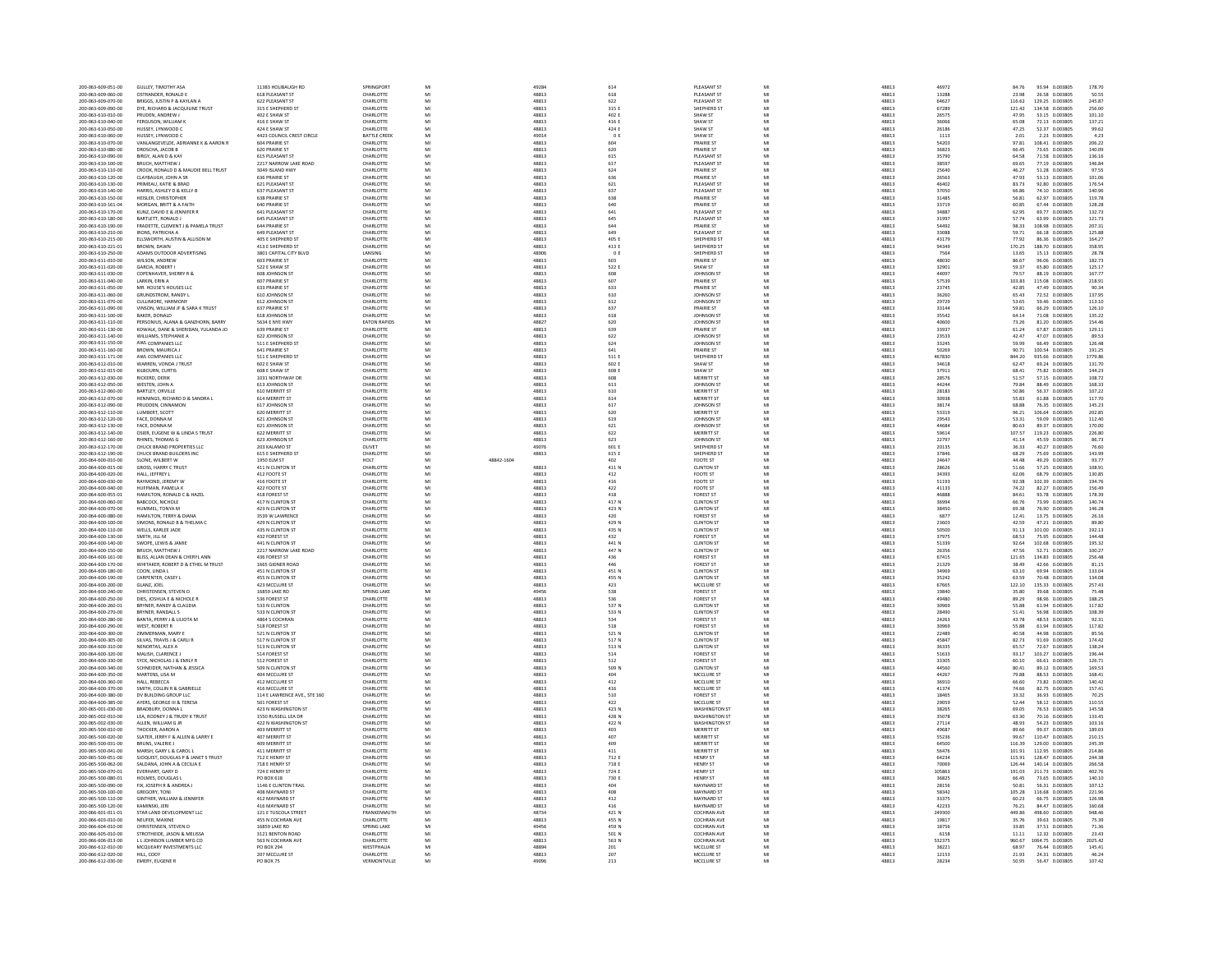| 200-063-609-051-00                       | GULLEY, TIMOTHY ASA                                          | 11383 HOLIBAUGH RD                   | SPRINGPORT             |          |            | 49284          | 614                                         | PLEASANT ST                        |    | 48813          | 4697           | 84.76<br>93.94 0.00380<br>178.70                                          |
|------------------------------------------|--------------------------------------------------------------|--------------------------------------|------------------------|----------|------------|----------------|---------------------------------------------|------------------------------------|----|----------------|----------------|---------------------------------------------------------------------------|
| 200-063-609-060-00                       | OSTRANDER RONALD E                                           | 618 PLEASANT ST                      | <b>CHARLOTTE</b>       | MI       |            | 48813          | 618                                         | PLEASANT ST                        | MI | 48813          | 13288          | 23.98<br>26.58 0.003805<br>50.55                                          |
| 200-063-609-070-00                       | BRIGGS, JUSTIN P & KAYLAN                                    | 622 PLEASANT ST                      | CHARLOTTE              | MI       |            | 48813          | 622                                         | PLEASANT ST                        | MI | 48813          | 64627          | 129.25 0.003805<br>116.62<br>245.87                                       |
| 200-063-609-090-00                       | DYE, RICHARD & JACQUILINE TRUST                              | 315 E SHEPHERD ST                    | CHARLOTTE              | MI       |            | 48813          | 315 E                                       | SHEPHERD ST                        | M  | 48813          | 67289          | 256.00<br>121.42<br>134.58 0.003805                                       |
| 200-063-610-010-00                       | PRUDEN, ANDREW J                                             | 402 E SHAW ST                        | CHARLOTTE              | MI       |            | 48813          | 402 E                                       | SHAW ST                            | MI | 48813          | 26575          | 47.95<br>53.15 0.003805<br>101.10                                         |
| 200-063-610-040-00                       | FERGUSON, WILLIAM                                            | 416 E SHAW ST                        | CHARLOTTE              |          |            | 48813          | 416 E                                       | SHAW ST                            |    | 48813          | 36066          | 137.21<br>65.08<br>72.13 0.00380                                          |
| 200-063-610-050-00                       | HUSSEY TYNWOOD C                                             | 424 F SHAW ST                        | CHARLOTTE              | MI       |            | 48813          | 424 F                                       | SHAW ST                            | MI | 48813          | 26186          | 47.25<br>52.37 0.003805<br>99.62                                          |
| 200-063-610-060-00                       | HUSSEY, LYNWOOD C                                            | 4423 COUNCIL CREST CIRCLE            | <b>BATTLE CREEK</b>    | MI       |            | 49014          | 0 E                                         | SHAW ST                            |    | 48813          | 1113           | 4.23<br>2.23 0.003805<br>2.01                                             |
| 200-063-610-070-00                       | VANLANGEVELDE, ADRIANNE K & AARON F                          | 604 PRAIRIE ST                       | CHARLOTTE              | MI       |            | 48813          | 604                                         | <b>PRAIRIE ST</b>                  |    | 48813          | 54203          | $108.41\quad 0.003805$<br>206.22<br>97.81                                 |
| 200-063-610-080-00                       | DROSCHA, JACOB B                                             | 620 PRAIRIE ST                       | CHARLOTTE              | MI       |            | 48813          | 620                                         | <b>PRAIRIE ST</b>                  | MI | 48813          | 36823          | 66.45<br>73.65 0.003805<br>140.09                                         |
| 200-063-610-090-00                       | BIRGY, ALAN D & KAY                                          | 615 PLEASANT ST                      | CHARLOTTE              | MI       |            | 48813          | 615                                         | PLEASANT ST                        |    | 48813          | 35790          | 136.16<br>64.58<br>71.58 0.003805                                         |
| 200-063-610-100-00                       | BRUCH, MATTHEW J                                             | 2217 NARROW LAKE ROAD                | <b>CHARLOTTE</b>       | MI       |            | 48813          | 617                                         | DI FASANT ST                       | M  | 48813          | 38597<br>25640 | 77.19 0.003805<br>146.84<br>97.55<br>69.65                                |
| 200-063-610-110-00                       | CROOK, RONALD D & MAUDIE BELL TRUST                          | 3049 ISLAND HWY                      | CHARLOTTE              | MI       |            | 48813          | 624                                         | <b>PRAIRIE ST</b>                  |    | 48813          |                | 46.27<br>51.28 0.003805                                                   |
| 200-063-610-120-00                       | CLAYBAUGH, JOHN A SR                                         | 636 PRAIRIE ST                       | CHARLOTTE              | MI       |            | 48813          | 636                                         | PRAIRIE ST                         | M  | 48813          | 26563          | 47.93<br>53.13 0.003805<br>101.06                                         |
| 200-063-610-130-00                       | PRIMEAU, KATIE & BRAD                                        | 621 PLEASANT ST                      | CHARLOTTE              | MI       |            | 48813          | 621                                         | PLEASANT ST                        | MI | 48813          | 46402          | 83.73<br>92.80 0.003805<br>176.54                                         |
| 200-063-610-140-00                       | HARRIS, ASHLEY D & KELLY B                                   | 637 PLEASANT ST                      | CHARLOTTE              | MI       |            | 48813          | 637                                         | PLEASANT ST                        |    | 48813          | 37050          | 74.10 0.003805<br>140.96<br>66.86                                         |
| 200-063-610-150-00                       | HEISLER, CHRISTOPHER                                         | <b>638 PRAIRIE ST</b>                | CHARLOTTE              | MI       |            | 48813          | 638                                         | PRAIRIE ST                         | MI | 48813          | 31485          | 56.81<br>62.97 0.003805<br>119.78                                         |
| 200-063-610-161-04                       | MORGAN, BRITT & A FAITH                                      | <b>640 PRAIRIE ST</b>                | CHARLOTTE              | MI       |            | 48813          | 640                                         | <b>PRAIRIE ST</b>                  | MI | 48813          | 33719          | 60.85<br>67.44 0.003805<br>128.28                                         |
| 200-063-610-170-00                       | KUNZ, DAVID E & JENNIFER R                                   | 641 PLEASANT ST                      | CHARLOTTE              | MI       |            | 48813          | 641                                         | PLEASANT ST                        |    | 48813          | 34887          | 62.99<br>69.77 0.003805<br>132.73                                         |
| 200-063-610-180-00                       | BARTLETT, RONALD J                                           | <b>645 PLEASANT ST</b>               | CHARLOTTE              | MI       |            | 48813          | 645                                         | PLEASANT ST                        | MI | 48813          | 31997          | 57.74<br>63.99 0.003805<br>121.73                                         |
| 200-063-610-190-00                       | FRADETTE, CLEMENT J & PAMELA TRUST                           | 644 PRAIRIE ST                       | CHARLOTTE              | MI       |            | 48813          | 644                                         | PRAIRIE ST                         |    | 48813          | 54492          | 108.98 0.003805<br>207.31<br>98.33                                        |
| 200-063-610-210-00                       | <b>IRONS, PATRICHA A</b>                                     | 649 PLEASANT ST                      | CHARLOTTE              | MI       |            | 48813          | 649                                         | PLEASANT ST                        | MI | 48813          | 33088          | 59.71<br>66.18 0.003805<br>125.88                                         |
| 200-063-610-215-00                       | ELLSWORTH, AUSTIN & ALLISON M                                | 405 E SHEPHERD ST                    | CHARLOTTE              | MI       |            | 48813          | 405 E                                       | SHEPHERD ST                        | MI | 48813          | 43179          | 77.92<br>86.36 0.003805<br>164.27                                         |
| 200-063-610-221-01                       | BROWN, DAWN                                                  | 413 E SHEPHERD ST                    | CHARLOTTE              |          |            | 48813          | 413 E                                       | SHEPHERD ST                        |    | 48813          | 94349          | 170.25<br>188.70 0.003805<br>358.95                                       |
| 200-063-610-250-00                       | ADAMS OUTDOOR ADVERTISING                                    | 3801 CAPITAL CITY BLVD               | LANSING                | MI       |            | 48906          | 0 E                                         | SHEPHERD ST                        | MI | 48813          | 7564           | 13.65<br>15.13 0.003805<br>28.78                                          |
| 200-063-611-010-00                       | WILSON, ANDREW                                               | 603 PRAIRIE ST                       | CHARLOTTE              | MI       |            | 48813          | 603                                         | PRAIRIE ST                         |    | 48813          | 48030          | 182.73<br>86.67<br>96.06 0.003805                                         |
| 200-063-611-020-00                       | GARCIA, ROBERT                                               | 522 E SHAW ST                        | CHARLOTTE              | MI       |            | 48813          | 522 E                                       | SHAW ST                            | MI | 48813          | 32901          | 59.37<br>65.80 0.003805<br>125.17                                         |
| 200-063-611-030-00                       | <b>COPENHAVER, SHERRY R &amp;</b>                            | 608 JOHNSON ST                       | CHARLOTTE              | MI       |            | 48813          | 608                                         | JOHNSON ST                         | MI | 48813          | 44097          | 79.57<br>88.19 0.003805<br>167.77                                         |
| 200-063-611-040-00                       | LARKIN, ERIN A                                               | 607 PRAIRIE ST                       | CHARLOTTE              |          |            | 48813          | 607                                         | <b>PRAIRIE ST</b>                  |    | 48813          | 57539          | 103.83<br>115.08 0.00380<br>218.91                                        |
| 200-063-611-050-00                       | MR. HOUSE'S HOUSES LLC                                       | <b>633 PRAIRIE ST</b>                | CHARLOTTE              | MI       |            | 48813          | 633                                         | <b>PRAIRIE ST</b>                  | MI | 48813          | 23745          | 42.85<br>47.49 0.003805<br>90.34                                          |
| 200-063-611-060-00                       | GRUNDSTROM, RANDY L                                          | 610 JOHNSON ST                       | CHARLOTTE              |          |            | 48813          | 610                                         | JOHNSON ST                         |    | 48813          | 36260          | 137.95<br>65.43<br>72.52 0.003805                                         |
| 200-063-611-070-00                       | CULLIMORE, HARMONY                                           | 612 JOHNSON ST                       | CHARLOTTE              | MI       |            | 48813          | 612                                         | JOHNSON ST                         | MI | 48813          | 29729          | 59.46 0.003805<br>113.10<br>53.65                                         |
| 200-063-611-090-00                       | VINSON, WILLIAM JF & SARA K TRUST                            | 637 PRAIRIE ST                       | CHARLOTTE              | MI       |            | 48813          | 637                                         | <b>PRAIRIE ST</b>                  | MI | 48813          | 33144          | 59.81<br>66.29 0.003805<br>126.10                                         |
| 200-063-611-100-00                       | BAKER, DONALD                                                | 618 JOHNSON ST                       | CHARLOTTE              |          |            | 48813          | 618                                         | JOHNSON ST                         |    | 48813          |                | 64.1<br>71.08 0.003805<br>135.22                                          |
| 200-063-611-110-00                       | PERSONILIS ALANA & GANZHORN BARRY                            | 5634 E NYE HWY                       | <b>FATON RAPIDS</b>    | MI       |            | 48827          | 620                                         | <b>IOHNSON ST</b>                  | MI | 48813          | 35542<br>40600 | 73.26<br>81.20 0.003805<br>154.46                                         |
|                                          |                                                              |                                      |                        |          |            |                |                                             |                                    |    |                |                |                                                                           |
| 200-063-611-130-00                       | KOWALK, DANE & SHERIDAN, YULANDA JO                          | 639 PRAIRIE ST                       | CHARLOTTE              | MI       |            | 48813          | 639                                         | <b>PRAIRIE ST</b>                  | MI | 48813          | 33937          | 67.87 0.003805<br>129.11<br>61.24                                         |
| 200-063-611-140-00                       | WILLIAMS, STEPHANIE A                                        | 622 JOHNSON ST                       | CHARLOTT               |          |            | 48813          | 622                                         | JOHNSON ST                         |    | 4881           | 23533          | 42.47<br>47.07 0.00380<br>89.53                                           |
| 200-063-611-150-00                       | AWL COMPANIES LLC                                            | <b>511 E SHEPHERD ST</b>             | CHARLOTTE              | MI       |            | 48813          | 624                                         | JOHNSON ST                         | MI | 48813          | 33245          | 59.99<br>66.49 0.003805<br>126.48                                         |
| 200-063-611-160-00                       | BROWN, MAURICA.                                              | 641 PRAIRIE ST                       | CHARLOTTE              |          |            | 48813          | 641                                         | <b>PRAIRIE ST</b>                  |    | 48813          | 50269          | 90.7<br>100.54 0.00380<br>191.25                                          |
| 200-063-611-171-00                       | AWLCOMPANIES LIC                                             | 511 F SHEPHERD ST                    | CHARLOTTE              | MI       |            | 48813          | 511.6                                       | SHEPHERD ST                        | MI | 48813          | 467830         | 844.20<br>935.66 0.003805<br>1779.86                                      |
| 200-063-612-010-00                       | WARREN, VONDA J TRUST                                        | 602 E SHAW ST                        | CHARLOTTE              | MI       |            | 48813          | 602 E                                       | <b>SHAW ST</b>                     | MI | 48813          | 34618          | 62.47<br>69.24 0.003805<br>131.70                                         |
| 200-063-612-015-00                       | KILBOURN, CURTIS                                             | 608 E SHAW ST                        | CHARLOTTE              | MI       |            | 48813          | 608 E                                       | <b>SHAW ST</b>                     |    | 48813          | 37911          | 68.43<br>75.82 0.003805<br>144.23                                         |
| 200-063-612-030-00                       | <b>RICKERD DERIK</b>                                         | 1031 NORTHWAY DR                     | CHARLOTTE              | MI       |            | 48813          | 608                                         | MERRITT ST                         | MI | 48813          | 28576          | 51.57<br>57.15 0.003805<br>108.72                                         |
| 200-063-612-050-00                       | WESTEN, JOHN                                                 | 613 JOHNSON ST                       | CHARLOTTE              |          |            | 48813          | 613                                         | JOHNSON ST                         |    | 48813          | 44244          | 168.33<br>79.84<br>88.49 0.00380                                          |
| 200-063-612-060-00                       | <b>BARTLEY ORVILLE</b>                                       | 610 MERRITT ST                       | CHARLOTTE              | MI       |            | 48813          | 610                                         | MERRITT ST                         | MI | 48813          | 28183          | 50.86<br>56.37 0.003805<br>107.22                                         |
| 200-063-612-070-00                       | HENNINGS, RICHARD D & SANDRA I                               | 614 MERRITT ST                       | CHARLOTTE              | MI       |            | 48813          | 614                                         | MERRITT ST                         | MI | 48813          | 30938          | 55.83<br>61.88 0.003805<br>117.70                                         |
| 200-063-612-090-00                       | PRUDDEN, CINNAMON                                            | 617 JOHNSON ST                       | CHARLOTTE              | MI       |            | 48813          | 617                                         | JOHNSON ST                         |    | 48813          | 38174          | 68.88<br>76.35 0.003805<br>145.23                                         |
| 200-063-612-110-00                       | LUMBERT, SCOTT                                               | 620 MERRITT ST                       | CHARLOTTE              | MI       |            | 48813          | 620                                         | <b>MERRITT ST</b>                  | MI | 48813          | 53319          | 96.21<br>106.64 0.003805<br>202.85                                        |
| 200-063-612-120-00                       | FACE, DONNA M                                                | 621 JOHNSON ST                       | CHARLOTTE              | MI       |            | 48813          | 619                                         | JOHNSON ST                         |    | 48813          | 29543          | 53.31<br>112.40<br>59.09 0.003805                                         |
| 200-063-612-130-00                       | <b>FACE DONNA M</b>                                          | 621 IOHNSON ST                       | CHARLOTTE              | MI       |            | 48813          | 621                                         | <b>IOHNSON ST</b>                  | MI | 48813          | 44684          | 80.63<br>89.37 0.003805<br>170.00                                         |
| 200-063-612-140-00                       | OSIER, EUGENE W & LINDA S TRUST                              | 622 MERRITT ST                       | CHARLOTTE              | MI       |            | 48813          | 622                                         | <b>MERRITT ST</b>                  | MI | 48813          | 59614          | 107.57<br>119.23 0.003805<br>226.80                                       |
| 200-063-612-160-00                       | RHINES, THOMAS G                                             | 623 JOHNSON ST                       | CHARLOTTE              |          |            | 48813          | 623                                         | JOHNSON ST                         |    | 48813          | 22797          | 41.14<br>45.59 0.003805<br>86.73                                          |
| 200-063-612-170-00                       | CHUCK BRAND PROPERTIES LLC                                   | 203 KALAMO ST                        | OLIVET                 | MI       |            | 49076          | 601 E                                       | SHEPHERD ST                        | MI | 48813          | 20135          | 36.33<br>40.27 0.003805<br>76.60                                          |
| 200-063-612-190-00                       | CHUCK BRAND BUILDERS INC                                     | <b>615 E SHEPHERD ST</b>             | CHARLOTTE              | MI       |            | 48813          | 615 E                                       | SHEPHERD ST                        |    | 48813          | 37846          | 143.99<br>68.29<br>75.69 0.003805                                         |
| 200-064-600-010-00                       | SLONE, WILBERT W                                             | <b>1950 ELM ST</b>                   | HOLT                   |          | 48842-1604 |                |                                             | <b>FOOTE ST</b>                    |    | 48813          | 24647          | 44.48<br>49.29 0.003805<br>93.77                                          |
| 200-064-600-015-00                       | <b>GROSS, HARRY C TRUST</b>                                  |                                      |                        | MI<br>Mi |            |                |                                             |                                    |    |                |                |                                                                           |
|                                          |                                                              |                                      |                        |          |            |                |                                             |                                    |    |                |                |                                                                           |
|                                          |                                                              | 411 N CLINTON ST                     | CHARLOTTE              |          |            | 48813          | $\begin{array}{c} 402 \\ 411 \end{array}$ N | <b>CLINTON ST</b>                  |    | 48813          | 28626          | 108.91<br>51.66<br>57.25 0.003805                                         |
| 200-064-600-020-00                       | HALL, JEFFREY I                                              | 412 FOOTE ST                         | CHARLOTTE              | MI       |            | 48813          | 412                                         | FOOTE ST                           | M  | 48813          | 34393          | 62.06<br>68.79 0.003805<br>130.85                                         |
| 200-064-600-030-00                       | RAYMOND, JEREMY W                                            | 416 FOOTE ST                         | CHARLOTTE              | MI       |            | 48813          | 416                                         | <b>FOOTE ST</b>                    | MI | 48813          | 51193          | 92.38<br>102.39 0.003805<br>194.76                                        |
| 200-064-600-040-00                       | HUFFMAN, PAMELA K                                            | 422 FOOTE ST                         | CHARLOTTE              | MI       |            | 48813          | 422                                         | <b>FOOTE ST</b>                    |    | 48813          | 41133          | 82.27 0.003805<br>156.49<br>74.22                                         |
| 200-064-600-055-01                       | HAMILTON, RONALD C & HAZEI                                   | 418 FOREST ST                        | CHARLOTTE              | MI       |            | 48813          | $_{\rm 418}$                                | <b>FOREST ST</b>                   | M  | 48813          | 46888          | 93.78 0.003805<br>178.39<br>84.61                                         |
| 200-064-600-060-00                       | <b>BABCOCK, NICHOLE</b>                                      | 417 N CLINTON ST                     | CHARLOTTE              | MI       |            | 48813          | 417 N                                       | <b>CLINTON ST</b>                  | MI | 48813          | 36994          | 66.76<br>73.99 0.003805<br>140.74                                         |
| 200-064-600-070-00                       | HUMMEL, TONYA M                                              | 423 N CLINTON ST                     | CHARLOTTE              | MI       |            | 48813          | 423 N                                       | <b>CLINTON ST</b>                  |    | 48813          | 38450          | 76.90 0.003805<br>146.28<br>69.38                                         |
| 200-064-600-080-00                       | HAMILTON, TERRY & DIANA                                      | 3539 W LAWRENCE                      | CHARLOTTE              | MI       |            | 48813          | 420                                         | <b>FOREST ST</b>                   | MI | 48813          | 6877           | 12.41<br>13.75 0.003805<br>26.16                                          |
| 200-064-600-100-00                       | SIMONS, RONALD B & THELMA C                                  | 429 N CLINTON ST                     | CHARLOTTE              | MI       |            | 48813          | 429 N                                       | <b>CLINTON ST</b>                  |    | 48813          | 23603          | 89.80<br>42.59<br>47.21 0.003805                                          |
| 200-064-600-110-00                       | WELLS, KARLEE JADE                                           | 435 N CLINTON ST                     | CHARLOTTE              | M        |            | 48813          | 435 N                                       | <b>CLINTON ST</b>                  | M  | 48813          | 50500          | 101.00 0.003805<br>192.13<br>91.13                                        |
| 200-064-600-130-00                       | SMITH, JILL M                                                | 432 FOREST ST                        | CHARLOTTE              | MI       |            | 48813          | 432                                         | <b>FOREST ST</b>                   | MI | 48813          | 37975          | 68.53<br>75.95 0.003805<br>144.48                                         |
| 200-064-600-140-00                       | SWOPE, LEWIS & JAMIE                                         | 441 N CLINTON ST                     | CHARLOTTE              |          |            | 48813          | 441 N                                       | CLINTON ST                         |    |                | 51339          | 92.64<br>102.68 0.003805<br>195.32                                        |
| 200-064-600-150-00                       | BRUCH, MATTHEW J                                             | 2217 NARROW LAKE ROAD                | CHARLOTTE              | MI       |            | 48813          | 447 N                                       | CLINTON ST                         | MI | 48813<br>48813 |                | 47.56<br>52.71 0.003805<br>100.27                                         |
|                                          |                                                              |                                      | CHARLOTTE              | MI       |            | 48813          | 436                                         | <b>FOREST ST</b>                   |    |                |                |                                                                           |
| 200-064-600-161-00<br>200-064-600-170-00 | BLISS, ALLAN DEAN & CHERYL ANN                               | 436 FOREST ST<br>1665 GIDNER ROAD    | CHARLOTTE              | MI       |            | 48813          | 446                                         | <b>FOREST ST</b>                   | MI | 48813<br>48813 | 26356<br>67415 | 134.83 0.003805<br>256.48<br>121.65<br>42.66 0.003805<br>38.49            |
| 200-064-600-180-00                       | WHITAKER, ROBERT D & ETHEL M TRUST<br>COON, LINDA L          | 451 N CLINTON ST                     | CHARLOTTE              | MI       |            | 48813          | 451 N                                       | <b>CLINTON ST</b>                  | MI | 48813          | 21329<br>34969 | 81.15<br>63.10<br>69.94 0.003805<br>133.04                                |
|                                          | CARPENTER, CASEY I                                           | 455 N CLINTON ST                     | CHARLOTTE              | MI       |            |                |                                             | CLINTON ST                         |    |                |                | 63.59                                                                     |
| 200-064-600-190-00<br>200-064-600-200-00 | GLANZ, JOEL                                                  | 423 MCCLURE ST                       | CHARLOTTE              | MI       |            | 48813<br>48813 | 455 N<br>423                                | MCCLURE ST                         | MI | 48813<br>48813 | 35242<br>67665 | 70.48 0.003805<br>134.08<br>122.10<br>135.33 0.003805<br>257.43           |
| 200-064-600-240-00                       | CHRISTENSEN, STEVEN O                                        | <b>16859 LAKE RD</b>                 | SPRING LAKE            | MI       |            | 49456          | 538                                         | <b>FOREST ST</b>                   | MI | 48813          | 19840          | 35.80<br>39.68 0.003805<br>75.48                                          |
| 200-064-600-250-00                       | DIES, JOSHUA E & NICHOLE R                                   | 536 FOREST ST                        | CHARLOTTE              | MI       |            | 48813          | 536                                         | <b>FOREST ST</b>                   |    | 48813          | 49480          | 89.29<br>98.96 0.003805<br>188.25                                         |
| 200-064-600-260-01                       | BRYNER, RANDY & CLAUDIA                                      | 533 N CLINTON                        | CHARLOTTE              | MI       |            | 48813          | 537 N                                       | <b>CLINTON ST</b>                  | MI | 48813          | 30969          | 55.88<br>61.94 0.003805<br>117.82                                         |
| 200-064-600-270-00                       | BRYNER, RANDALL S                                            | 533 N CLINTON ST                     | CHARLOTTE              |          |            | 48813          | 533 N                                       | CLINTON ST                         |    | 48813          |                | 51.41<br>56.98 0.003805<br>108.39                                         |
| 200-064-600-280-00                       | BANTA, PERRY J & LILIOTA M                                   | 4864 S COCHRAN                       | CHARLOTTE              | MI       |            | 48813          | 534                                         | <b>FOREST ST</b>                   | MI | 48813          | 28490<br>24263 | 43.78<br>48.53 0.003805<br>92.31                                          |
| 200-064-600-290-00                       | WEST, ROBERT R                                               | 518 FOREST ST                        | CHARLOTTE              | MI       |            | 48813          | 518                                         | <b>FOREST ST</b>                   | MI | 48813          | 30969          | 117.82<br>55.88<br>61.94 0.003805                                         |
|                                          | ZIMMERMAN, MARY                                              |                                      | CHARLOTT               |          |            |                |                                             | <b>CLINTON S</b>                   |    |                |                | 44.98 0.00380                                                             |
| 200-064-600-300-00<br>200-064-600-305-00 | SILVAS, TRAVIS J & CARLI R                                   | 521 N CLINTON ST<br>517 N CLINTON ST | CHARLOTTE              | MI       |            | 48813<br>48813 | 521 N<br>517 N                              | <b>CLINTON ST</b>                  | MI | 48813<br>48813 | 22489<br>45847 | 40.58<br>85.56<br>82.73<br>91.69 0.003805<br>174.42                       |
| 200-064-600-310-00                       | NENORTAS, ALEX A                                             | 513 N CLINTON ST                     | CHARLOTTE              | MI       |            | 48813          | 513h                                        | CLINTON ST                         |    |                |                | 65.57<br>72.67 0.00380                                                    |
| 200-064-600-320-00                       | MALISH CLARENCE L                                            | 514 FOREST ST                        | CHARLOTTE              | MI       |            | 48813          | 514                                         | <b>FOREST ST</b>                   | MI | 48813<br>48813 | 36335<br>51633 | 138.24<br>93.17<br>103.27 0.003805<br>196.44                              |
| 200-064-600-330-00                       | SYCK, NICHOLAS J & EMILY R                                   | 512 FOREST ST                        | CHARLOTTE              | MI       |            | 48813          | 512                                         | <b>FOREST ST</b>                   | MI | 48813          | 33305          | 60.10<br>66.61 0.003805<br>126.71                                         |
| 200-064-600-340-00                       | SCHNEIDER, NATHAN & JESSIC/                                  | 509 N CLINTON ST                     | CHARLOTTE              |          |            | 48813          | 509 N                                       | CLINTON ST                         |    | 48813          | 44560          | 80.41<br>89.12 0.003805<br>169.53                                         |
| 200-064-600-350-00                       | MARTENS LISA M                                               | 404 MCCLURE ST                       | CHARLOTTE              | MI       |            | 48813          | 404                                         | MCCLURE ST                         | MI | 48813          | 44267          | 79.88<br>88.53 0.003805<br>168.41                                         |
| 200-064-600-360-00                       | HALL, REBECCA                                                | 412 MCCLURE ST                       | CHARLOTTE              | MI       |            | 48813          | 412                                         | MCCLURE ST                         |    | 48813          | 36910          | 66.60<br>73.82 0.003805<br>140.42                                         |
| 200-064-600-370-00                       | SMITH, COLLIN R & GABRIELLE                                  | 416 MCCLURE ST                       | CHARLOTTE              | MI       |            | 48813          | 416                                         | MCCLURE ST                         | MI | 48813          | 41374          | 74.66<br>82.75 0.003805<br>157.41                                         |
| 200-064-600-380-00                       | DV BUILDING GROUP LLC                                        | 114 E LAWRENCE AVE., STE 160         | CHARLOTTE              | MI       |            | 48813          | 510                                         | <b>FOREST ST</b>                   | MI | 48813          | 18465          | 33.32<br>36.93 0.003805<br>70.25                                          |
|                                          |                                                              |                                      |                        |          |            |                |                                             |                                    |    |                |                |                                                                           |
| 200-064-600-385-00<br>200-065-001-030-00 | AYERS, GEORGE III & TERESA<br>RRADRURY DONNA I               | 501 FOREST ST<br>423 N WASHINGTON ST | CHARLOTTE<br>CHARLOTTE | MI       |            | 48813<br>48813 | 422<br>423 N                                | MCCLURE ST<br>WASHINGTON ST        | MI | 4881<br>48813  | 29059<br>38265 | 110.55<br>52.44<br>58.12 0.003805<br>69.05<br>26.53 0.003805<br>145.58    |
| 200-065-002-010-00                       |                                                              | 1550 RUSSELL LEA DR                  | CHARLOTTE              | MI       |            | 48813          | 428 N                                       | <b>WASHINGTON ST</b>               | MI | 48813          | 35078          | 70.16 0.003805<br>63.30<br>133.45                                         |
|                                          | LEA, RODNEY J & TRUDY K TRUST                                |                                      |                        |          |            |                |                                             |                                    | MI |                |                |                                                                           |
| 200-065-002-030-00                       | ALLEN, WILLIAM G JR                                          | 422 N WASHINGTON ST                  | CHARLOTTE              |          |            | 48813          | 422 N                                       | WASHINGTON ST<br><b>MERRITT ST</b> | MI | 48813          | 27114          | 48.93<br>54.23 0.003805<br>103.16                                         |
| 200-065-500-010-00                       | THOCKER, AARON A                                             | 403 MERRITT ST                       | CHARLOTTE              | MI<br>Mi |            | 48813          | 403                                         |                                    |    | 48813          | 49687          | 189.03<br>89.66<br>99.37 0.003805                                         |
| 200-065-500-020-00<br>200-065-500-031-00 | SLATER, JERRY F & ALLEN & LARRY E<br><b>RRIINS VALERIE L</b> | 407 MERRITT ST<br>409 MFRRITT ST     | CHARLOTTE<br>CHARLOTTE | MI       |            | 48813<br>48813 | 407<br>409                                  | MERRITT ST<br>MERRITT ST           | MI | 48813<br>48813 | 55236<br>64500 | 99.67<br>110.47 0.003805<br>210.15<br>116.39<br>129.00 0.003805<br>245.39 |
|                                          |                                                              |                                      |                        |          |            |                |                                             |                                    |    |                |                |                                                                           |
| 200-065-500-041-00                       | MARSH, GARY L & CAROL L                                      | 411 MERRITT ST                       | CHARLOTTE              | MI       |            | 48813          | 411                                         | MERRITT ST                         |    | 48813          | 56476          | 214.86<br>101.91<br>112.95 0.003805                                       |
| 200-065-500-051-00                       | SJOQUIST, DOUGLAS P & JANET S TRUST                          | 712 E HENRY ST                       | CHARLOTTE              | MI       |            | 48813          | 712 E                                       | <b>HENRY ST</b>                    |    | 48813          | 64234          | 128.47 0.003805<br>244.38<br>115.91                                       |
| 200-065-500-062-00                       | SALDANA, JOHN A & CECILIA E                                  | 718 E HENRY ST                       | CHARLOTTE              | MI       |            | 48813          | 718 E                                       | <b>HENRY ST</b>                    | MI | 48813          | 70069          | 126.44<br>140.14 0.003805<br>266.58                                       |
| 200-065-500-070-01                       | EVERHART, GARY D                                             | 724 E HENRY ST                       | CHARLOTT               |          |            | 48813          | 724 E                                       | <b>HENRY ST</b>                    |    | 48813          | 105863         | 191.03<br>211.73 0.003805<br>402.76                                       |
| 200-065-500-080-01                       | HOLMES, DOUGLAS L                                            | PO BOX 618                           | CHARLOTTE              | MI       |            | 48813          | 730 E                                       | <b>HENRY ST</b>                    | MI | 48813          | 36825          | 66.45<br>73.65 0.003805<br>140.10                                         |
| 200-065-500-090-00                       | FIX, JOSEPH R & ANDREA J                                     | 1146 E CLINTON TRAIL                 | CHARLOTTE              | MI       |            | 48813          | 404                                         | MAYNARD ST                         |    | 48813          | 28156          | 56.31 0.003805<br>107.12<br>50.81                                         |
| 200-065-500-100-00                       | GREGORY, TONI                                                | 408 MAYNARD ST                       | CHARLOTTE              | MI       |            | 48813          | 408                                         | MAYNARD ST                         | MI | 48813          | 58342          | 221.96<br>105.28<br>116.68 0.003805                                       |
| 200-065-500-110-00                       | GINTHER, WILLIAM & JENNIFER                                  | 412 MAYNARD ST                       | CHARLOTTE              | MI       |            | 48813          | 412                                         | MAYNARD ST                         | MI | 48813          | 33375          | 60.23<br>66.75 0.003805<br>126.98                                         |
| 200-065-500-120-00                       | KAMINSKI, JERI                                               | 416 MAYNARD ST                       | CHARLOTTE              | MI       |            | 48813          | 416                                         | MAYNARD ST                         |    | 48813          | 42233          | 84.47 0.003805<br>160.68<br>76.21                                         |
| 200-066-601-011-01                       | STAR LAND DEVELOPMENT LLC                                    | 121 E TUSCOLA STREET                 | <b>FRANKENMUTH</b>     | MI       |            | 48734          | 421 N                                       | <b>COCHRAN AVI</b>                 | M  | 48813          | 249300         | 449.86<br>498.60 0.003805<br>948.46                                       |
| 200-066-603-010-00                       | NEUFER, MAXINE                                               | 455 N COCHRAN AVE                    | CHARLOTTE              | MI       |            | 48813          | 455 N                                       | COCHRAN AVI                        |    | 48813          | 19817          | 39.63 0.003805<br>35.76<br>75.39                                          |
| 200-066-604-010-00                       | CHRISTENSEN, STEVEN O                                        | 16859 LAKE RD                        | SPRING LAKE            | MI       |            | 49456          | 459 N                                       | COCHRAN AVI                        |    | 48813          | 18756          | 71.36<br>33.85<br>37.51 0.003805                                          |
| 200-066-605-010-00                       | STROTHEIDE, JASON & MELISSA                                  | 3121 BENTON ROAD                     | CHARLOTTE              | MI       |            | 48813          | 501 N                                       | <b>COCHRAN AVI</b>                 | MI | 48813          | 6158           | 11.11<br>12.32 0.003805<br>23.43                                          |
| 200-066-606-013-00                       | L LJOHNSON LUMBER MFG CO                                     | 563 N COCHRAN AVE                    | CHARLOTTE              | MI       |            | 48813          | 563 N                                       | COCHRAN AVI                        |    | 48813          | 532375         | 1064.75 0.003805<br>960.67<br>2025.42                                     |
| 200-066-612-010-00                       | MCQUEARY INVESTMENTS LLC                                     | PO BOX 294                           | <b>WESTPHALLA</b>      | MI       |            | 48894          | 201                                         | MCCLURE ST                         | MI | 48813          | 38221          | 68.97<br>76.44 0.003805<br>145.41                                         |
| 200-066-612-020-00                       | HILL CODY                                                    | 207 MCCLURE ST                       | CHARLOTTE              | MI       |            | 48813          | 207                                         | MCCLURE ST                         |    | 48813          | 12153          | 21.93<br>24.31 0.003805<br>46.24                                          |
| 200-066-612-030-00                       | <b>EMERY, EUGENE F</b>                                       | PO BOX 75                            | VERMONTVILLE           | M        |            | 49096          | 213                                         | MCCLURE ST                         |    | 48813          | 28234          | 56.47 0.003805<br>107.42<br>50.95                                         |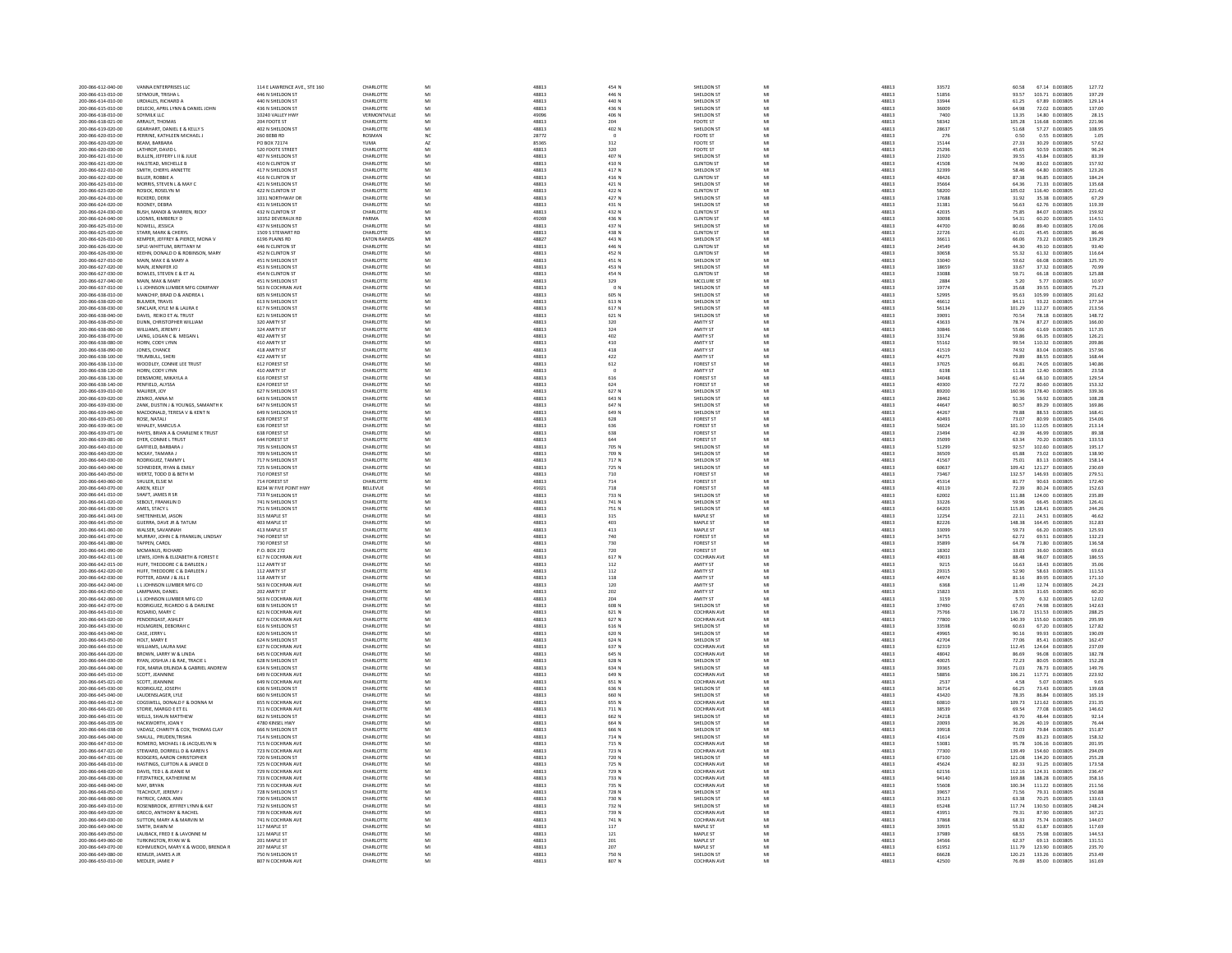| 200-066-612-040-00                       | VANNA ENTERPRISES LLC                                              | 114 E LAWRENCE AVE., STE 160                 | CHARLOTTE                     |                | 48813          | 454 N                                     | SHELDON ST                               | M        | 48813          | 33572                   | 60.58<br>67.14 0.003805<br>127.72                                                                                |
|------------------------------------------|--------------------------------------------------------------------|----------------------------------------------|-------------------------------|----------------|----------------|-------------------------------------------|------------------------------------------|----------|----------------|-------------------------|------------------------------------------------------------------------------------------------------------------|
| 200-066-613-010-00                       | SEYMOUR TRISHALL                                                   | 446 N SHELDON ST                             | <b>CHARLOTTE</b>              | M              | 48813          | 446 N                                     | SHELDON ST                               | MI       | 48813          | 51856                   | 93.57<br>103.71 0.003805<br>197.29                                                                               |
| 200-066-614-010-00<br>200-066-615-010-00 | URDIALES, RICHARD A<br>DELECKI, APRIL LYNN & DANIEL JOHN           | 440 N SHELDON ST<br>436 N SHELDON ST         | CHARLOTTE<br>CHARLOTTE        | M<br>M         | 48813<br>48813 | 440 N<br>436 N                            | SHELDON ST<br>SHELDON ST                 | MI<br>MI | 48813<br>48813 | 33944<br>36009          | 67.89 0.003805<br>129.14<br>61.25<br>64.98<br>72.02 0.003805<br>137.00                                           |
| 200-066-618-010-00                       | SOYMILK LLC                                                        | 10240 VALLEY HWY                             | VERMONTVILLE                  | M              | 49096          | 406 N                                     | SHELDON ST                               | MI       | 48813          | 7400                    | 13.35<br>14.80 0.003805<br>28.15                                                                                 |
| 200-066-618-021-00                       | ARRAUT, THOMAS                                                     | 204 FOOTE ST                                 | CHARLOTTE                     |                | 48813          | 204                                       | FOOTE ST                                 |          | 48813          | 58342                   | 116.68 0.003805<br>221.96<br>105.28                                                                              |
| 200-066-619-020-00                       | <b>GEARHART DANIELE &amp; KELLYS</b>                               | 402 N SHELDON ST                             | CHARLOTTE                     | M              | 48813          | 402 N                                     | SHELDON ST                               | MI       | 48813          | 28637                   | 51.68<br>57.27 0.003805<br>108.95                                                                                |
| 200-066-620-010-00<br>200-066-620-020-00 | PERRINE, KATHLEEN MICHAEL J<br>BEAM, BARBARA                       | 260 BEBB RD<br>PO BOX 72174                  | ROSMAN<br><b>UMA</b>          | N <sub>C</sub> | 28772<br>85365 | 312                                       | FOOTE ST<br>FOOTE ST                     | MI<br>M  | 48813<br>48813 | 276<br>15144            | 1.05<br>0.50<br>0.55 0.003805<br>27.33<br>30.29 0.003805<br>57.62                                                |
| 200-066-620-030-00                       | LATHROP, DAVID L                                                   | 520 FOOTE STREET                             | CHARLOTTE                     | M              | 48813          | 320                                       | FOOTE ST                                 | MI       | 48813          | 25296                   | 45.65<br>50.59 0.003805<br>96.24                                                                                 |
| 200-066-621-010-00                       | BULLEN, JEFFERY L II & JULIE                                       | 407 N SHELDON ST                             | CHARLOTTE                     | M              | 48813          | 407 N                                     | SHELDON ST                               | MI       | 48813          | 21920                   | 43.84 0.003805<br>83.39<br>39.55                                                                                 |
| 200-066-621-020-00                       | HAISTEAD MICHELLE R                                                | 410 N CLINTON ST                             | <b>CHARLOTTE</b>              | M              | 48813<br>48813 | 410 N                                     | <b>CLINTON ST</b>                        | MI       | 48813          | 41508<br>32399          | 74.90<br>58.46<br>83.02 0.003805<br>157.92<br>123.26                                                             |
| 200-066-622-010-00<br>200-066-622-020-00 | SMITH, CHERYL ANNETTE<br>BILLER, ROBBIE A                          | 416 N CLINTON ST                             | CHARLOTTE<br>CHARLOTTE        | M              | 48813          | 417 N<br>416 N                            | SHELDON ST<br><b>CLINTON ST</b>          | M<br>M   | 48813<br>48813 | 48426                   | 64.80 0.003805<br>87.38<br>96.85 0.003805<br>184.24                                                              |
| 200-066-623-010-00                       | MORRIS, STEVEN L & MAY C                                           | 421 N SHELDON ST                             | CHARLOTTE                     | M              | 48813          | 421 N                                     | SHELDON ST                               | MI       | 48813          | 35664                   | 64.36<br>71.33 0.003805<br>135.68                                                                                |
| 200-066-623-020-00                       | ROSICK, ROSELYN M                                                  | 422 N CLINTON ST                             | CHARLOTTE                     |                | 48813          | 422 N                                     | <b>CLINTON ST</b>                        |          | 48813          | 58200                   | 105.02<br>116.40 0.003805<br>221.42                                                                              |
| 200-066-624-010-00                       | RICKERD, DERIK                                                     | 1031 NORTHWAY DR                             | CHARLOTTE                     | M              | 48813          | 427 N                                     | SHELDON ST                               | MI       | 48813          | 17688                   | 35.38 0.003805<br>67.29<br>31.92                                                                                 |
| 200-066-624-020-00                       | ROONEY, DEBRA                                                      | 431 N SHELDON ST                             | CHARLOTTE                     | M              | 48813          | 431 N                                     | SHELDON ST                               | MI       | 48813          | 31381                   | 56.63<br>62.76 0.003805<br>119.39                                                                                |
| 200-066-624-030-00                       | BUSH, MANDI & WARREN, RICKY                                        | 432 N CLINTON ST                             | CHARLOTTE                     | M              | 48813          | 432 N                                     | <b>CLINTON ST</b>                        | M        | 48813          | 42035                   | 75.85<br>84.07 0.003805<br>159.92                                                                                |
| 200-066-624-040-00<br>200-066-625-010-00 | LOOMIS, KIMBERLY D<br>NOWELL, JESSICA                              | 10352 DEVERAUX RD<br>437 N SHELDON ST        | PARMA<br>CHARLOTTE            | M              | 49269<br>48813 | 436 N<br>437 N                            | <b>CLINTON ST</b><br>SHELDON ST          | MI       | 48813<br>48813 | 30098<br>44700          | 54.31<br>60.20 0.003805<br>114.51<br>89.40 0.003805<br>170.06<br>80.66                                           |
| 200-066-625-020-00                       | STARR MARK & CHERYL                                                | 1509 S STEWART RD                            | CHARLOTTE                     | M              | 48813          | 438 N                                     | <b>CLINTON ST</b>                        | MI       | 48813          | 22726                   | 41.01<br>45.45 0.003805<br>86.46                                                                                 |
| 200-066-626-010-00                       | KEMPER, JEFFREY & PIERCE, MONA \                                   | 6196 PLAINS RD                               | <b>EATON RAPIDS</b>           | M              | 48827          | 443 N                                     | SHELDON ST                               | MI       | 48813          | 36611                   | 139.29<br>66.06<br>73.22 0.003805                                                                                |
| 200-066-626-020-00                       | SIPLE-WHITTUM, BRITTANY M                                          | 446 N CLINTON ST                             | CHARLOTTE                     |                | 48813          | 446 N                                     | <b>CLINTON ST</b>                        |          | 48813          | 24549                   | 44.30<br>49.10 0.003805<br>93.40                                                                                 |
| 200-066-626-030-00                       | KEEHN, DONALD D & ROBINSON, MARY                                   | 452 N CLINTON ST                             | CHARLOTTE                     | M              | 48813          | 452 N                                     | <b>CLINTON ST</b>                        | MI       | 48813          | 30658                   | 55.32<br>61.32 0.003805<br>116.64                                                                                |
| 200-066-627-010-00<br>200-066-627-020-00 | MAIN, MAX E & MARY A<br>MAIN, JENNIFER JO                          | 451 N SHELDON ST<br>453 N SHELDON ST         | CHARLOTTE<br>CHARLOTTE        | M              | 48813<br>48813 | 451 N<br>453 N                            | SHELDON ST<br>SHELDON ST                 | MI       | 48813<br>48813 | 33040<br>18659          | 59.62<br>66.08 0.003805<br>125.70<br>33.67<br>37.32 0.003805<br>70.99                                            |
| 200-066-627-030-00                       | BOWLES, STEVEN E & ET AL                                           | 454 N CLINTON ST                             | CHARLOTTE                     | M              | 48813          | 454 N                                     | <b>CLINTON ST</b>                        | MI       | 48813          | 33088                   | 125.88<br>59.71<br>66.18 0.003805                                                                                |
| 200-066-627-040-00                       | MAIN, MAX & MARY                                                   | 451 N SHELDON ST                             | CHARLOTTE                     |                | 48813          | 329                                       | MCCLURE ST                               | M        | 48813          | 2884                    | 5.20<br>5.77 0.003805<br>10.97                                                                                   |
| 200-066-637-010-00                       | LI JOHNSON LUMBER MEG COMPANY                                      | 563 N COCHRAN AVE                            | CHARLOTTE                     | M              | 48813          | 0 N                                       | SHELDON ST                               | MI       | 48813          | 19774                   | 35.68<br>39.55 0.003805<br>75.23                                                                                 |
| 200-066-638-010-00                       | MANCHIP, BRAD D & ANDREA L                                         | 605 N SHELDON ST                             | CHARLOTTE                     |                | 48813          | 605 N                                     | SHELDON ST                               |          | 48813          | 52995                   | 105.99  0.003805<br>201.62<br>95.63                                                                              |
| 200-066-638-020-00                       | <b>RULMER TRAVIS</b>                                               | 613 N SHELDON ST                             | CHARLOTTE                     | M              | 48813          | 613 N                                     | SHELDON ST                               | MI       | 48813          | 46612                   | 84.11<br>93.22 0.003805<br>177.34                                                                                |
| 200-066-638-030-00<br>200-066-638-040-00 | SINCLAIR, KYLE M & LAURA E<br>DAVIS, REIKO ET AL TRUST             | 617 N SHELDON ST<br>621 N SHELDON ST         | CHARLOTTE<br>CHARLOTTE        | M              | 48813<br>48813 | 617 N<br>621 N                            | SHELDON ST<br>SHELDON ST                 | MI<br>M  | 48813<br>48813 | 56134<br>3909           | 112.27 0.003805<br>213.56<br>101.29<br>70.54<br>78.18 0.003805<br>148.72                                         |
| 200-066-638-050-00                       | DUNN CHRISTOPHER WILLIAM                                           | 320 AMITY ST                                 | CHARLOTTE                     | M              | 48813          | $320 -$                                   | AMITY ST                                 | MI       | 48813          | 43633                   | 78.74<br>87.27 0.003805<br>166.00                                                                                |
| 200-066-638-060-00                       | WILLIAMS, JEREMY J                                                 | 324 AMITY ST                                 | CHARLOTTE                     |                | 48813          | 324                                       | AMITY ST                                 | MI       | 48813          | 30846                   | 117.35<br>61.69 0.003805<br>55.66                                                                                |
| 200-066-638-070-00                       | LAING, LOGAN C & MEGAN                                             | 402 AMITY ST                                 | CHARLOTTE                     |                | 48813          | $\begin{array}{c} 402 \\ 410 \end{array}$ | AMITY ST                                 | M        | 48813          | 33174                   | 59.86<br>66.35 0.003805<br>126.21                                                                                |
| 200-066-638-080-00                       | HORN, CODY LYNN                                                    | 410 AMITY ST                                 | CHARLOTTE                     | M              | 48813          |                                           | AMITY ST                                 | MI       | 48813          | 55162                   | 99.54<br>110.32 0.003805<br>209.86                                                                               |
| 200-066-638-090-00                       | JONES, CHANCE                                                      | 418 AMITY ST                                 | CHARLOTTE                     |                | 48813          | 418                                       | AMITY ST                                 | M        | 48813          | 41519                   | 157.96<br>74.92<br>83.04 0.003805                                                                                |
| 200-066-638-100-00<br>200-066-638-110-00 | TRUMBULL SHERL<br>WOODLEY, CONNIE LEE TRUST                        | 422 AMITY ST<br>612 FOREST ST                | CHARLOTTE<br>CHARLOTTE        | M<br>M         | 48813<br>48813 | 422<br>612                                | <b>AMITY ST</b><br><b>FOREST ST</b>      | MI<br>MI | 48813<br>48813 | 44275<br>37025          | 79.89<br>88.55 0.003805<br>168.44<br>74.05 0.003805<br>140.86<br>66.81                                           |
| 200-066-638-120-00                       | HORN, CODY LYNN                                                    | 410 AMITY ST                                 | CHARLOTTE                     | M              | 48813          |                                           | AMITY ST                                 | M        | 48813          | 6198                    | 23.58<br>11.18<br>12.40 0.003805                                                                                 |
| 200-066-638-130-00                       | DENSMORE, MIKAYLA A                                                | 616 FOREST ST                                | CHARLOTTE                     | M              | 48813          | 616                                       | <b>FOREST ST</b>                         | MI       | 48813          | 34048                   | 61.44<br>68.10 0.003805<br>129.54                                                                                |
| 200-066-638-140-00                       | PENFIELD, ALYSSA                                                   | 624 FOREST ST                                | CHARLOTT                      |                | 48813          | 624                                       | <b>FOREST ST</b>                         |          | 48813          | 40300                   | 72.72<br>153.32<br>80.60 0.003805                                                                                |
| 200-066-639-010-00                       | MAURER, JOY                                                        | 627 N SHELDON ST                             | CHARLOTTE                     | M              | 48813          | 627 N                                     | SHELDON ST                               | MI       | 48813          | 89200                   | 160.96<br>178.40 0.003805<br>339.36                                                                              |
| 200-066-639-020-00                       | ZEMKO, ANNA M                                                      | 643 N SHELDON ST                             | CHARLOTTE                     |                | 48813          | 643 N                                     | SHELDON ST                               | MI<br>M  | 48813          | 28462<br>44647          | 51.36<br>56.92 0.003805<br>108.28                                                                                |
| 200-066-639-030-00<br>200-066-639-040-00 | ZANK, DUSTIN J & YOUNGS, SAMANTH K<br>MACDONALD, TERESA V & KENT N | 647 N SHELDON ST<br>649 N SHELDON ST         | CHARLOTTE<br>CHARLOTTE        | M<br>M         | 48813<br>48813 | 647 N<br>649 N                            | SHELDON ST<br>SHELDON ST                 | MI       | 48813<br>48813 | 44267                   | 169.86<br>80.57<br>89.29 0.003805<br>79.88<br>88.53 0.003805<br>168.41                                           |
| 200-066-639-051-00                       | ROSE, NATALI                                                       | 628 FOREST ST                                | CHARLOTTE                     |                | 48813          | 628                                       | FOREST ST                                |          | 48813          | 40493                   | 154.06<br>73.07<br>80.99 0.003805                                                                                |
| 200-066-639-061-00                       | WHALEY, MARCUS A                                                   | 636 FOREST ST                                | CHARLOTTE                     | M              | 48813          | 636                                       | <b>FOREST ST</b>                         | MI       | 48813          | 56024                   | 101.10<br>112.05 0.003805<br>213.14                                                                              |
| 200-066-639-071-00                       | HAYES, BRIAN A & CHARLENE K TRUST                                  | 638 FOREST ST                                | CHARLOTTE                     |                | 48813          | 638                                       | <b>FOREST ST</b>                         | MI       | 48813          | 23494                   | 42.39<br>46.99 0.003805<br>89.38                                                                                 |
| 200-066-639-081-00                       | DYER, CONNIE L TRUST                                               | 644 FOREST ST                                | CHARLOTTE                     | M              | 48813          | 644                                       | <b>FOREST ST</b>                         | M        | 48813          | 35099                   | 70.20 0.003805<br>133.53<br>63.34                                                                                |
| 200-066-640-010-00<br>200-066-640-020-00 | GAFFIELD, BARBARA J<br>MCKAY, TAMARA J                             | 705 N SHELDON ST<br>709 N SHELDON ST         | CHARLOTTE<br>CHARLOTTE        | M              | 48813<br>48813 | 705 N                                     | SHELDON ST<br>SHELDON ST                 | MI       | 48813<br>48813 | 51299<br>36509          | 92.57<br>102.60 0.003805<br>195.17<br>73.02 0.003805<br>138.90                                                   |
| 200-066-640-030-00                       | RODRIGUEZ TAMMY                                                    |                                              | <b>CHARLOTTE</b>              | M              | 48813          | 709 N<br>717 N                            | SHELDON ST                               | MI       | 48813          |                         | 65.88<br>75.01                                                                                                   |
| 200-066-640-040-00                       | SCHNEIDER, RYAN & EMILY                                            | 717 N SHELDON ST<br>725 N SHELDON ST         | CHARLOTTE                     |                | 48813          | 725 N                                     | SHELDON ST                               | M        | 48813          | 41567<br>60637          | $\begin{array}{r} 83.13 \  \  \, 0.003805 \\ 121.27 \  \  \, 0.003805 \end{array}$<br>158.14<br>230.69<br>109.42 |
| 200-066-640-050-00                       | WERTZ, TODD D & BETH M                                             | 710 FOREST ST                                | CHARLOTTE                     | M              | 48813          | 710                                       | <b>FOREST ST</b>                         | MI       | 48813          | 73467                   | 132.57<br>146.93 0.003805<br>279.51                                                                              |
| 200-066-640-060-00                       | SHULER, ELSIE M                                                    | 714 FOREST ST                                | CHARLOTTE                     | M              | 48813          | 714                                       | <b>FOREST ST</b>                         | MI       | 48813          | 45314                   | 81.77<br>90.63 0.003805<br>172.40                                                                                |
| 200-066-640-070-00                       | AIKEN, KELLY                                                       | 8234 W FIVE POINT HWY                        | BELLEVUE                      |                | 49021          | 718                                       | <b>FOREST ST</b>                         |          | 48813          | 40119                   | 72.39<br>80.24 0.003805<br>152.63                                                                                |
| 200-066-641-010-00                       | SHAFT JAMES R SE                                                   | 733 N SHELDON ST                             | CHARLOTTE                     | M              | 48813          | 733 N                                     | SHELDON ST                               | MI       | 48813          | 62002                   | 111.88<br>124.00 0.003805<br>235.89                                                                              |
| 200-066-641-020-00<br>200-066-641-030-00 | SEBOLT, FRANKLIN D<br>AMES, STACY L                                | 741 N SHELDON ST<br>751 N SHELDON ST         | CHARLOTTE<br>CHARLOTT         | M              | 48813<br>48813 | 741 N<br>751 N                            | SHELDON ST<br>SHELDON ST                 | MI<br>M  | 48813<br>48813 | 33226<br>64203          | 59.96<br>66.45 0.003805<br>126.41<br>115.85<br>$128.41\quad 0.003805$<br>244.26                                  |
| 200-066-641-043-00                       | SHETENHELM, JASON                                                  | 315 MAPLE ST                                 | CHARLOTTE                     | M              | 48813          | 315                                       | MAPLE ST                                 | MI       | 48813          | 12254                   | 22.11<br>24.51 0.003805<br>46.62                                                                                 |
| 200-066-641-050-00                       | GUERRA, DAVE JR & TATUM                                            | 403 MAPLE ST                                 | CHARLOTTE                     |                | 48813          | 403                                       | MAPLE ST                                 |          | 48813          | 82226                   | 148.38<br>164.45 0.003805<br>312.83                                                                              |
| 200-066-641-060-00                       | WALSER, SAVANNAH                                                   | 413 MAPLE ST                                 | CHARLOTTE                     | M              | 48813          | 413                                       | MAPLE ST                                 | MI       | 48813          | 33099                   | 59.73<br>66.20 0.003805<br>125.93                                                                                |
| 200-066-641-070-00                       | MURRAY, JOHN C & FRANKLIN, LINDSAY                                 |                                              | CHARLOTTE                     | M              | 48813          |                                           |                                          |          |                |                         |                                                                                                                  |
| 200-066-641-080-00<br>200-066-641-090-00 |                                                                    | 740 FOREST ST                                |                               |                |                | 740                                       | <b>FOREST ST</b>                         | MI       | 48813          | 34755                   | 69.51 0.003805<br>132.23<br>62.72                                                                                |
|                                          | TAPPEN, CAROI                                                      | 730 FOREST ST                                | CHARLOTTE                     |                | 48813          | 730                                       | <b>FOREST ST</b>                         | M        | 48813          | 35899                   | 64.78<br>71.80 0.003805<br>136.58                                                                                |
|                                          | MCMANUS RICHARD                                                    | P O ROX 272                                  | CHARLOTTE                     | M              | 48813          | 720                                       | <b>FOREST ST</b>                         | MI       | 48813          | 18302                   | 33.03<br>36.60 0.003805<br>69.63                                                                                 |
| 200-066-642-011-00<br>200-066-642-015-00 | LEWIS, JOHN & ELIZABETH & FOREST E                                 | 617 N COCHRAN AVE<br>112 AMITY ST            | CHARLOTTE<br>CHARLOTTE        | M              | 48813<br>48813 | 617 N<br>112                              | COCHRAN AVE<br>AMITY ST                  | MI       | 48813<br>48813 | 49033<br>9215           | 98.07 0.003805<br>186.55<br>88.48<br>16.63<br>18.43 0.003805<br>35.06                                            |
| 200-066-642-020-00                       | HUFF, THEODORE C & DARLEEN J<br>HUFF, THEODORE C & DARLEEN J       | 112 AMITY ST                                 | CHARLOTTE                     | M              | 48813          | 112                                       | AMITY ST                                 | MI       | 48813          | 29315                   | 58.63 0.003805<br>111.53<br>52.90                                                                                |
| 200-066-642-030-00                       | POTTER, ADAM J & JILL E                                            | 118 AMITY ST                                 | CHARLOTTE                     |                | 48813          | 118                                       | AMITY ST                                 | M        | 48813          | 44974                   | 81.16<br>89.95 0.003805<br>171.10                                                                                |
| 200-066-642-040-00                       | L LJOHNSON LUMBER MFG CO                                           | 563 N COCHRAN AVE                            | CHARLOTTE                     | M              | 48813          | 120                                       | AMITY ST                                 | MI       | 48813          | 6368                    | 11.49<br>12.74 0.003805<br>24.23                                                                                 |
| 200-066-642-050-00                       | LAMPMAN, DANIEL                                                    | 202 AMITY ST                                 | CHARLOTTE                     |                | 48813          | 202                                       | AMITY ST                                 | M        | 48813          | 15823                   | 60.20<br>31.65 0.003805<br>28.55                                                                                 |
| 200-066-642-060-00                       | LI JOHNSON LUMBER MEG CO                                           | 563 N COCHRAN AVE                            | <b>CHARLOTTE</b>              | M              | 48813          | 204                                       | AMITY ST                                 | MI       | 48813          | 3159                    | 5.70<br>6.32 0.003805<br>12.02                                                                                   |
| 200-066-642-070-00<br>200-066-643-010-00 | RODRIGUEZ, RICARDO G & DARLENE<br>ROSARIO, MARY C                  | 608 N SHELDON ST<br>621 N COCHRAN AVE        | CHARLOTTE<br>CHARLOTTE        | M              | 48813          | 608 N<br>621 N                            | SHELDON ST<br>COCHRAN AV                 | MI<br>MI | 48813          | 37490                   | 67.65<br>74.98 0.003805<br>142.63<br>136.72<br>151.53 0.003805<br>288.25                                         |
| 200-066-643-020-00                       | PENDERGAST, ASHLEY                                                 | 627 N COCHRAN AVE                            | CHARLOTTE                     | M              | 48813<br>48813 | 627 N                                     | <b>COCHRAN AVE</b>                       | MI       | 48813<br>48813 | 75766<br>77800          | 140.39<br>155.60 0.003805<br>295.99                                                                              |
| 200-066-643-030-00                       | HOLMGREN, DEBORAH C                                                | 616 N SHELDON ST                             | CHARLOTTE                     |                | 48813          | 616 N                                     | SHELDON ST                               | MI       | 48813          | 33598                   | 127.82<br>67.20 0.003805<br>60.63                                                                                |
| 200-066-643-040-00                       |                                                                    | 620 N SHELDON ST                             | CHARLOTTE                     | M              | 48813          | 620 N                                     | SHELDON ST                               | M        | 48813          | 49965                   | 90.16<br>99.93 0.003805<br>190.09                                                                                |
| 200-066-643-050-00                       | CASE, JERRY L<br>HOLT, MARY E                                      | 624 N SHELDON ST                             | CHARLOTTE                     | M<br>M         | 48813          | 624 N                                     | SHELDON ST                               | MI<br>M  | 48813          | 42704                   | 85.41 0.003805<br>162.47<br>77.06                                                                                |
| 200-066-644-010-00<br>200-066-644-020-00 | WILLIAMS, LAURA MAE<br>BROWN, LARRY W & LINDA                      | 637 N COCHRAN AVE<br>645 N COCHRAN AVE       | CHARLOTTE<br>CHARLOTTE        | M              | 48813<br>48813 | 637 N<br>645 N                            | COCHRAN AV<br><b>COCHRAN AVE</b>         | MI       | 48813<br>48813 | 62319<br>48042          | 124.64 0.003805<br>237.09<br>112.45<br>86.69<br>96.08 0.003805<br>182.78                                         |
| 200-066-644-030-00                       | RYAN, JOSHUA J & RAE, TRACIE L                                     |                                              | CHARLOTTE                     |                | 48813          | 628 N                                     | SHELDON ST                               | MI       | 48813          | 40025                   | 152.28<br>72.23<br>80.05 0.003805                                                                                |
| 200-066-644-040-00                       | FOX, MARIA ERLINDA & GABRIEL ANDREW                                | 628 N SHELDON ST<br>634 N SHELDON ST         | CHARLOTTE                     | M              | 48813          | 634 N                                     | SHELDON ST                               | M        | 48813          | 39365                   | 78.73 0.003805<br>71.03<br>149.76                                                                                |
| 200-066-645-010-00                       | SCOTT, JEANNINE                                                    | 649 N COCHRAN AVE                            | CHARLOTTE                     | M              | 48813          | 649 N                                     | <b>COCHRAN AVE</b>                       | MI       | 48813          | 58856                   | 106.21<br>117.71 0.003805<br>223.92                                                                              |
| 200-066-645-021-00                       | SCOTT, JEANNINE                                                    | 649 N COCHRAN AVE                            | CHARLOTTE                     | M              | 48813          | 651 N                                     | COCHRAN AVE                              |          | 48813          | 2537                    | 5.07 0.003805<br>9.65<br>4.58                                                                                    |
| 200-066-645-030-00                       | RODRIGUEZ, JOSEPH<br>LAUDENSLAGER, LYLE                            | 636 N SHELDON ST                             | CHARLOTTE<br>CHARLOTTE        |                | 48813          | 636 N<br>660 N                            | SHELDON ST                               | MI<br>M  | 48813          | 36714                   | 66.25<br>73.43 0.003805<br>139.68<br>78.35                                                                       |
| 200-066-645-040-00<br>200-066-646-012-00 | COGSWELL, DONALD F & DONNA M                                       | 660 N SHELDON ST<br><b>655 N COCHRAN AVE</b> | CHARLOTTE                     | M              | 48813<br>48813 | 655 N                                     | SHELDON ST<br>COCHRAN AVE                | MI       | 48813<br>48813 | 43420<br>60810          | 86.84 0.003805<br>165.19<br>109.73<br>121.62 0.003805<br>231.35                                                  |
| 200-066-646-021-00                       | STORIE, MARGO E ET EL                                              | 711 N COCHRAN AVE                            | CHARLOTTE                     | M              | 48813          | 711 N                                     | <b>COCHRAN AVE</b>                       | MI       | 48813          | 38539                   | 69.54<br>77.08 0.003805<br>146.62                                                                                |
| 200-066-646-031-00                       | WELLS, SHAUN MATTHEV                                               | 662 N SHELDON ST                             | CHARLOTTE                     |                | 48813          | 662 N                                     | SHELDON ST                               |          | 48813          | 24218                   | 43.70<br>48.44 0.003805<br>92.14                                                                                 |
| 200-066-646-035-00                       | HACKWORTH JOAN Y                                                   | 4780 KINSEL HWY                              | <b>CHARLOTTE</b>              | M              | 48813          | 664 N                                     | SHELDON ST                               | MI       | 48813          |                         | 36.26<br>40.19 0.003805<br>76.44                                                                                 |
| 200-066-646-038-00<br>200-066-646-040-00 | VADASZ, CHARITY & COX, THOMAS CLAY<br>SHAULL, PRUDEN, TRISHA       | 666 N SHELDON ST<br>714 N SHELDON ST         | CHARLOTTE<br>CHARLOTTE        | M              | 48813<br>48813 | 666 N<br>714 N                            | <b>SHELDON ST</b><br>SHELDON ST          | MI       | 48813<br>48813 | 20093<br>39918<br>41614 | 72.03<br>151.87<br>79.84 0.003805<br>83.23 0.003805<br>158.32<br>75.09                                           |
| 200-066-647-010-00                       | ROMERO, MICHAEL I & JACQUELYN N                                    | 715 N COCHRAN AVE                            | CHARLOTTE                     | M              | 48813          | 715 N                                     | <b>COCHRAN AVE</b>                       | MI       | 48813          | 53081                   | 95.78<br>106.16 0.003805<br>201.95                                                                               |
| 200-066-647-021-00                       | STEWARD, DORRELL D & KAREN S                                       | 723 N COCHRAN AVE                            | CHARLOTTE                     |                | 48813          | 723 N                                     | COCHRAN AV                               |          | 48813          | 77300                   | 139.49<br>154.60 0.003805<br>294.09                                                                              |
| 200-066-647-031-00                       | RODGERS, AARON CHRISTOPHER                                         | 720 N SHELDON ST                             | CHARLOTTE                     | M              | 48813          | 720 N                                     | SHELDON ST                               | MI       | 48813          | 67100                   | 121.08<br>134.20 0.003805<br>255.28                                                                              |
| 200-066-648-010-00                       | HASTINGS, CLIFTON A & JANICE D                                     | 725 N COCHRAN AVE                            | CHARLOTTE                     | M              | 48813          | 725 N                                     | <b>COCHRAN AVE</b>                       | MI       | 48813          | 45624                   | 173.58<br>82.33<br>91.25 0.003805                                                                                |
| 200-066-648-020-00<br>200-066-648-030-00 | DAVIS, TED L & JEANIE M<br>FITZPATRICK, KATHERINE M                | 729 N COCHRAN AVE<br>733 N COCHRAN AVE       | <b>CHARLOTTE</b><br>CHARLOTTE | M<br>M         | 48813<br>48813 | 729 N<br>733 N                            | <b>COCHRAN AVE</b><br><b>COCHRAN AVE</b> | MI<br>MI | 48813<br>48813 | 62156<br>94140          | 112.16<br>124.31 0.003805<br>236.47<br>169.88<br>188.28 0.003805<br>358.16                                       |
| 200-066-648-040-00                       | MAY, BRYAN                                                         | 735 N COCHRAN AVE                            | CHARLOTTE                     |                |                | 735 N                                     | COCHRAN AV                               |          | 48813          |                         | 100.34<br>111.22 0.003805                                                                                        |
| 200-066-648-050-00                       | TEACHOUT IFREMY                                                    | 728 N SHELDON ST                             | CHARLOTTE                     | M              | 48813<br>48813 | 728 N                                     | SHELDON ST                               | MI       | 48813          | 55608<br>39657          | 211.56<br>71.56<br>79.31 0.003805<br>150.88                                                                      |
| 200-066-648-060-00                       | PATRICK, CAROL ANN                                                 | 730 N SHELDON ST                             | CHARLOTTE                     | M              | 48813          | 730 N                                     | SHELDON ST                               | MI       | 48813          | 35123                   | 70.25 0.003805<br>133.63<br>63.38                                                                                |
| 200-066-649-010-01                       | ROSENBROOK, JEFFREY LYNN & KAT                                     | 732 N SHELDON ST                             | CHARLOTTE                     |                | 48813          | 732 N                                     | SHELDON ST                               |          | 48813          | 65248                   | 117.74<br>130.50 0.003805<br>248.24                                                                              |
| 200-066-649-020-00                       | GRECO, ANTHONY & RACHEL                                            | 739 N COCHRAN AVE                            | CHARLOTTE                     |                | 48813          | 739 N                                     | <b>COCHRAN AVE</b>                       | M        | 48813          | 43951                   | 79.31<br>87.90 0.003805<br>167.21                                                                                |
| 200-066-649-030-00<br>200-066-649-040-00 | SUTTON, MARY A & MARVIN M<br>SMITH DAWN M                          | 741 N COCHRAN AVE<br>117 MAPLE ST            | CHARLOTTE<br>CHARLOTTE        | M              | 48813<br>48813 | 741 N<br>117                              | COCHRAN AVE<br>MAPLE ST                  | MI       | 48813<br>48813 | 37868<br>30935          | 68.33<br>75.74 0.003805<br>144.07<br>55.82<br>61.87 0.003805<br>117.69                                           |
| 200-066-649-050-00                       | LAUBACK, FRED E & LAVONNE M                                        | 121 MAPLE ST                                 | CHARLOTTE                     | M              | 48813          | 121                                       | MAPLE ST                                 | MI       | 48813          | 37989                   | 75.98 0.003805<br>144.53<br>68.55                                                                                |
| 200-066-649-060-00                       | TURKINGTON, RYAN W &                                               | 201 MAPLE ST                                 | CHARLOTTE                     | M              | 48813          | 201                                       | MAPLE ST                                 | M        | 48813          | 34566                   | 62.37<br>69.13 0.003805<br>131.51                                                                                |
| 200-066-649-070-00                       | KOHMUENCH, MARY K & WOOD, BRENDA R                                 | 207 MAPLE ST                                 | CHARLOTTE                     | M              | 48813          | 207                                       | MAPLE ST                                 | MI       | 48813          | 61952                   | 111.79<br>123.90 0.003805<br>235.70                                                                              |
| 200-066-649-080-00                       | KEMLER, JAMES A JR                                                 | 750 N SHELDON S                              | CHARLOTTE                     |                | 48813          | 750 N                                     | SHELDON ST                               |          | 48813          | 66628                   | 253.49<br>120.23<br>133.26 0.003805                                                                              |
| 200-066-650-010-00                       | MEDLER JAMIE P                                                     | 807 N COCHRAN AVE                            | CHARLOTTE                     |                | 48813          | 807 N                                     | COCHRAN AVE                              | M        | 48813          | 42500                   | 85.00 0.003805<br>161.69<br>76.69                                                                                |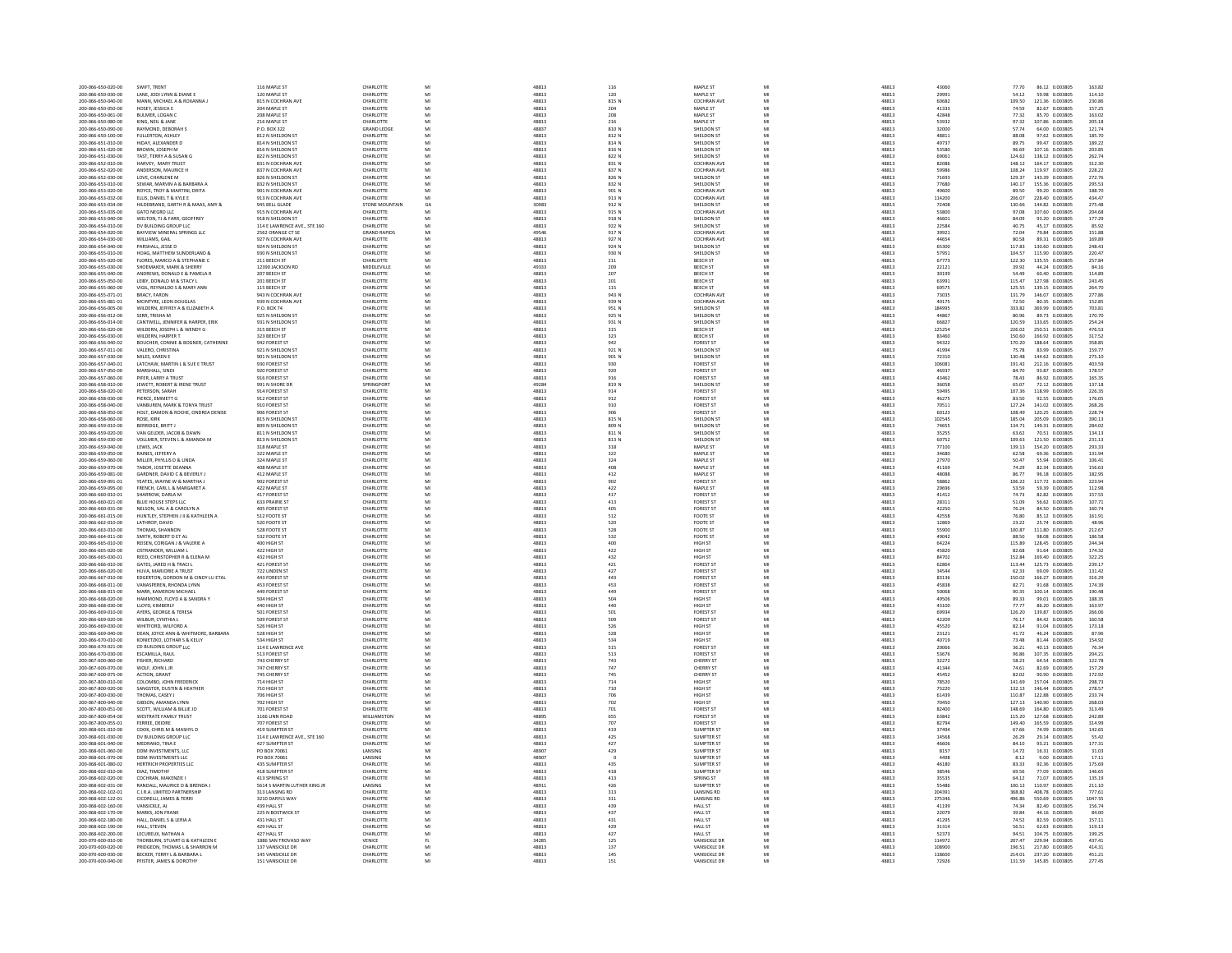| 200-066-650-020-00                       | SWIFT, TRENT                                          | 116 MAPLE ST                         | CHARLOTTE              | MI        | 48813          | 116            | MAPLE ST            | MI | 48813          | 43060                   | 77.70<br>86.12 0.003805<br>163.82                                      |
|------------------------------------------|-------------------------------------------------------|--------------------------------------|------------------------|-----------|----------------|----------------|---------------------|----|----------------|-------------------------|------------------------------------------------------------------------|
| 200-066-650-030-00                       | LANE, JODI LYNN & DIANE E                             | 120 MAPLE ST                         | CHARLOTTE              | M         | 48813          | 120            | MAPLE ST            | MI | 48813          | 29991                   | 54.12<br>59.98 0.003805<br>114.10                                      |
| 200-066-650-040-00                       | MANN, MICHAEL A & ROXANNA J                           | 815 N COCHRAN AVE                    | CHARLOTTE              | MI        | 48813          | 815 N          | COCHRAN AVE         | MI | 48813          | 60682                   | 109.50<br>121.36 0.003805<br>230.86                                    |
| 200-066-650-050-00                       | HOSEY, JESSICA E                                      | 204 MAPLE ST                         | CHARLOTTE              | MI        | 48813          | 204            | MAPLE ST            | MI | 48813          | 41333                   | 74.59<br>82.67 0.003805<br>157.25                                      |
| 200-066-650-061-00                       | BULMER, LOGAN                                         | 208 MAPLE ST                         | CHARLOTTE              |           | 48813          | 208            | MAPLE ST            |    | 48813          | 42848                   | 85.70 0.003805<br>163.02<br>77.32                                      |
| 200-066-650-080-00                       | KING, NEIL & JANE                                     | 216 MAPLE ST                         | CHARLOTTE              | MI        | 48813          | 216            | MAPLE ST            | MI | 48813          | 53932                   | 97.32<br>107.86 0.003805<br>205.18                                     |
| 200-066-650-090-00                       | RAYMOND, DEBORAH S                                    | P.O. BOX 322                         | <b>GRAND LEDGE</b>     |           | 48837          | 810 N          | SHELDON ST          | MI | 48813          | 32000                   | 57.74<br>121.74<br>64.00 0.003805                                      |
| 200-066-650-100-00                       | FULLERTON, ASHLEY                                     | 812 N SHELDON ST                     | CHARLOTTE              | MI        | 48813          | 812 N          | SHELDON ST          | MI | 48813          | 48811                   | 97.62 0.003805<br>185.70<br>88.08                                      |
| 200-066-651-010-00                       | HIDAY, ALEXANDER D                                    | 814 N SHELDON ST                     | CHARLOTTE              | MI        | 48813          | 814 N          | SHELDON ST          | MI | 48813          | 49737                   | 89.75<br>99.47 0.003805<br>189.22                                      |
| 200-066-651-020-00                       | BROWN, JOSEPH M                                       | 816 N SHELDON ST                     | CHARLOTTE              |           | 48813          | 816 N          | SHELDON ST          |    | 48813          | 53580                   | 107.16 0.00380<br>203.85<br>96.69                                      |
| 200-066-651-030-00                       | TAST. TERRY A & SUSAN G                               | 822 N SHELDON ST                     | <b>CHARLOTTE</b>       | MI        | 48813          | 822 N          | SHELDON ST          | MI | 48813          | 69061                   | 124.62<br>138.12 0.003805<br>262.74                                    |
| 200-066-652-010-00                       | HARVEY, MARY TRUST                                    | 831 N COCHRAN AVE                    | CHARLOTTE              | MI        | 48813          | 831 N          | <b>COCHRAN AVE</b>  | MI | 48813          | 82086                   | 312.30<br>148.12<br>164.17 0.003805                                    |
| 200-066-652-020-00                       | ANDERSON, MAURICE H                                   | 837 N COCHRAN AVE                    | <b>CHARLOTTE</b>       | MI        | 48813          | 837 N          | COCHRAN AVE         | MI | 48813          | 59986                   | 108.24<br>119.97 0.003805<br>228.22                                    |
| 200-066-652-030-00                       | LOVE, CHARLENE M                                      | 826 N SHELDON ST                     | CHARLOTTE              | MI        | 48813          | 826 N          | SHELDON ST          | MI | 48813          | 71693                   | 129.37<br>143.39 0.003805<br>272.76                                    |
| 200-066-653-010-00                       | SEWAR, MARVIN A & BARBARA A                           | 832 N SHELDON ST                     | CHARLOTTE              |           | 48813          | 832 N          | SHELDON ST          |    | 48813          | 77680                   | 140.17<br>155.36 0.003805<br>295.53                                    |
| 200-066-653-020-00                       | ROYCE TROY & MARTINI DRITA                            | 901 N COCHRAN AVE                    | CHARLOTTE              | MI        | 48813          | 901 N          | <b>COCHRAN AVE</b>  | MI | 48813          | 49600                   | 89.50<br>99.20 0.003805<br>188.70                                      |
| 200-066-653-032-00                       | ELLIS, DANIEL T & KYLE E                              | 913 N COCHRAN AVE                    | CHARLOTTE              | MI        | 48813          | 913 N          | <b>COCHRAN AVE</b>  | MI | 48813          | 114200                  | 228.40 0.003805<br>434.47<br>206.07                                    |
| 200-066-653-034-00                       | ILDEBRAND, GARTH R & MAAS, AMY &                      | 945 BELL GLADE                       | <b>STONE MOUNTAIR</b>  |           | 3008           | 912 N          | SHELDON ST          | MI | 48813          | 72408                   | 130.66<br>144.82 0.00380<br>275.48                                     |
| 200-066-653-035-00                       | <b>GATO NEGRO LLC</b>                                 | 915 N COCHRAN AVE                    | CHARLOTTE              | MI        | 48813          | 915 N          | <b>COCHRAN AVE</b>  | MI | 48813          | 53800                   | 97.08<br>107.60 0.003805<br>204.68                                     |
| 200-066-653-040-00                       | WELTON, TJ & FARR, GEOFFREY                           | 918 N SHELDON ST                     | CHARLOTTE              |           | 48813          | 918 N          | SHELDON ST          |    | 48813          | 46601                   | 84.09<br>93.20 0.00380<br>177.29                                       |
| 200-066-654-010-00                       | DV BUILDING GROUP LLC                                 | 114 E LAWRENCE AVE., STE 160         | CHARLOTTE              | MI        | 48813          | 922 N          | SHELDON ST          | MI | 48813          | 22584                   | 40.75<br>45.17 0.003805<br>85.92                                       |
| 200-066-654-020-00                       | BAYVIEW MINERAL SPRINGS LLC                           | 2562 ORANGE CT SE                    | <b>GRAND RAPIDS</b>    | MI        | 49546          | 917 N          | <b>COCHRAN AVE</b>  | MI | 48813          | 39921                   | 79.84 0.003805<br>151.88<br>72.04                                      |
| 200-066-654-030-00                       | WILLIAMS, GAI                                         | 927 N COCHRAN AVE                    | CHARLOTTE              |           | 48813          | 927 N          | COCHRAN AV          | MI | 48813          | 44654                   | 80.58<br>89.31 0.003805<br>169.89                                      |
| 200-066-654-040-00                       | PARSHALL, JESSE D                                     | 924 N SHELDON ST                     | CHARLOTTE              | MI        | 48813          | 924 N          | SHELDON ST          | MI | 48813          | 65300                   | 117.83<br>130.60 0.003805<br>248.43                                    |
| 200-066-655-010-00                       | HOAG, MATTHEW SUNDERLAND &                            | 930 N SHELDON ST                     | CHARLOTTE              |           | 48813          | 930 N          | SHELDON ST          |    | 48813          | 57951                   | 220.47<br>104.57<br>115.90 0.00380                                     |
| 200-066-655-020-00                       | FLORES MARCO A & STEPHANIE C                          | 211 REFCH ST                         | CHARLOTTE              | MI        | 48813          | 211            | <b>REFCH ST</b>     | MI | 48813          | 67773                   | 122.30<br>135.55 0.003805<br>257.84                                    |
| 200-066-655-030-00                       | SHOEMAKER, MARK & SHERRY                              | 12390 JACKSON RD                     | MIDDLEVILLE            | MI        | 49333          | 209            | <b>BEECH ST</b>     | MI | 48813          | 22121                   | 44.24 0.003805<br>84.16<br>39.92                                       |
| 200-066-655-040-00                       | ANDREWS, DONALD E & PAMELA I                          | 207 BEECH ST                         | CHARLOTTE              | MI        | 4881           | 207            | BEECH ST            | MI | 48813          | 30199                   | 114.89<br>54.49<br>60.40 0.003805                                      |
| 200-066-655-050-00                       | LEIBY, DONALD M & STACY L                             | 201 BEECH ST                         | CHARLOTTE              | MI        | 48813          | 201            | <b>BEECH ST</b>     | MI | 48813          | 63991                   | 115.47<br>127.98 0.003805<br>243.45                                    |
| 200-066-655-060-00                       | VIGIL, REYNALDO S & MARY ANN                          | 115 BEECH ST                         | CHARLOTTE              |           | 48813          | 115            | <b>BEECH ST</b>     | MI | 48813          | 69575                   | 264.70<br>125.55<br>139.15 0.003805                                    |
| 200-066-655-071-01                       | <b>RRACY FARON</b>                                    | 943 N COCHRAN AVE                    | <b>CHARLOTTE</b>       | MI        | 48813          | 943 N          | COCHRAN AVE         | MI | 48813          | 73035                   | 131.79<br>146.07 0.003805<br>277.86                                    |
| 200-066-655-081-01                       | MCINTYRE, LEON DOUGLAS                                | 939 N COCHRAN AVE                    | CHARLOTTE              | MI        | 48813          | 939 N          | <b>COCHRAN AVE</b>  | MI | 48813          | 40175                   | 80.35 0.003805<br>152.85<br>72.50                                      |
| 200-066-656-005-00                       | WILDERN, JEFFREY A & ELIZABETH A                      | P.O. BOX 74                          | CHARLOTTE              | MI        | 48813          | 951 N          | SHELDON ST          | MI | 48813          | 184995                  | 333.82<br>369.99 0.003805<br>703.81                                    |
| 200-066-656-012-00                       | SERR. TRISHA M                                        | 925 N SHELDON ST                     | CHARLOTTE              | MI        | 48813          | 925 N          | SHELDON ST          | MI | 48813          | 44867                   | 80.96<br>89.73 0.003805<br>170.70                                      |
| 200-066-656-014-00                       | CANTWELL, JENNIFER & HARPER, ERIK                     | 931 N SHELDON ST                     | CHARLOTTE              |           | 48813          | 931 N          | SHELDON ST          | MI | 48813          | 66827                   | 120.59<br>133.65 0.003805<br>254.24                                    |
| 200-066-656-020-00                       | WILDERN, JOSEPH L & WENDY G                           | 315 BEECH ST                         | CHARLOTTE              | M         | 48813          | 315            | <b>BEECH ST</b>     | MI | 48813          | 125254                  | 226.02<br>250.51 0.003805<br>476.53                                    |
| 200-066-656-030-00                       | WILDERN, HARPER T                                     | 323 BEECH ST                         | CHARLOTTE              | MI        | 48813          | 323            | <b>BEECH ST</b>     | MI | 48813          | 83460                   | 150.60<br>166.92 0.003805<br>317.52                                    |
| 200-066-656-040-02                       | BOUCHER, CONNIE & BOGNER, CATHERINE                   | 942 FOREST ST                        | CHARLOTTI              |           | 48813          | 942            | <b>FOREST ST</b>    | MI | 48813          | 94322                   | 170.20<br>188.64 0.003805<br>358.85                                    |
| 200-066-657-011-00                       | VALERO, CHRISTINA                                     | 921 N SHELDON ST                     | CHARLOTTE              | MI        | 48813          | 921 N          | SHELDON ST          | MI | 48813          | 41994                   | 75.78<br>83.99 0.003805<br>159.77                                      |
| 200-066-657-030-00                       | MILES, KAREN E                                        | 901 N SHELDON ST                     | CHARLOTTE              |           | 48813          | 901 N          | SHELDON ST          | MI | 48813          | 72310                   | 144.62 0.003805<br>275.10<br>130.48                                    |
| 200-066-657-040-01                       | LATCHAW, MARTIN L & SUE E TRUST                       | 930 FOREST ST                        | CHARLOTTE              | MI        | 48813          | 930            | <b>FOREST ST</b>    | MI | 48813          | 106081                  | 212.16 0.003805<br>403.59<br>191.42                                    |
| 200-066-657-050-00                       | MARSHALL, SINDI                                       | 920 FOREST ST                        | CHARLOTTE              | MI        | 48813          | 920            | <b>FOREST ST</b>    | MI | 48813          | 46937                   | 84.70<br>93.87 0.003805<br>178.57                                      |
| 200-066-657-060-00                       | PIFER, LARRY A TRUST                                  | 916 FOREST ST                        | CHARLOTTE              |           | 48813          |                | <b>FOREST ST</b>    |    | 48813          | 43462                   | 86.92 0.003805<br>165.35                                               |
| 200-066-658-010-00                       | JEWETT, ROBERT & IRENE TRUST                          | 991 N SHORE DF                       | SPRINGPORT             | MI        | 49284          | 916<br>819 N   | SHELDON ST          | MI | 48813          | 36058                   | 78.43<br>65.07<br>72.12 0.003805<br>137.18                             |
| 200-066-658-020-00                       | PETERSON, SARAH                                       | 914 FOREST ST                        | CHARLOTTE              |           | 48813          | 914            | <b>FOREST ST</b>    | MI | 48813          |                         | 107.36<br>226.35                                                       |
| 200-066-658-030-00                       |                                                       | 912 FOREST ST                        | CHARLOTTE              | MI        | 48813          | 912            |                     | MI | 48813          | 59495<br>46275          | 118.99 0.003805<br>83.50                                               |
|                                          | PIERCE, EMMETT G                                      |                                      |                        |           |                |                | <b>FOREST ST</b>    |    |                |                         | 92.55 0.003805<br>176.05                                               |
| 200-066-658-040-00                       | VANBUREN, MARK & TONYA TRUST                          | 910 FOREST ST                        | CHARLOTTE              | MI        | 48813          | 910            | <b>FOREST ST</b>    | MI | 48813          | 70511                   | 127.24<br>141.02 0.003805<br>268.26                                    |
| 200-066-658-050-00                       | HOLT, DAMON & ROCHE, ONDREA DENISE                    | 906 FOREST ST                        | CHARLOTTE              |           | 48813          | 906            | <b>FOREST ST</b>    |    | 48813          | 60123                   | 108.49<br>120.25 0.003805<br>228.74                                    |
| 200-066-658-060-00                       | <b>ROSE KIRK</b>                                      | <b>R15 N SHELDON ST</b>              | <b>CHARLOTTE</b>       | MI        | 48813          | 815 N          | SHELDON ST          | MI | 48813          | 102545                  | 185.04<br>205.09 0.003805<br>390.13                                    |
| 200-066-659-010-00                       | BERRIDGE, BRITT J                                     | 809 N SHELDON ST                     | CHARLOTTE              |           | 48813          | 809 N          | SHELDON ST          |    | 48813          | 74655                   | 284.02<br>134.71<br>149.31 0.003805                                    |
| 200-066-659-020-00                       | VAN GELDER JACOR & DAWN                               | <b>811 N SHELDON ST</b>              | <b>CHARLOTTE</b>       | MI        | 48813          | 811 N          | SHELDON ST          | MI | 48813          | 35255                   | 63.62<br>20.51 0.003805<br>134.13                                      |
| 200-066-659-030-00                       | VOLLMER, STEVEN L & AMANDA M                          | 813 N SHELDON ST                     | CHARLOTTE              | MI        | 48813          | 813 N          | SHELDON ST          | MI | 48813          | 60752                   | 109.63<br>121.50 0.003805<br>231.13                                    |
| 200-066-659-040-00                       | LEWIS, JACK                                           | 318 MAPLE ST                         | CHARLOTTE              |           | 48813          | $_{\rm 318}$   | MAPLE ST            |    | 48813          | 77100                   | 139.13<br>154.20 0.003805<br>293.33                                    |
| 200-066-659-050-00                       | <b>RAINES IFFFERY A</b>                               | 322 MAPLE ST                         | CHARLOTTE              | MI        | 48813          | 322            | MAPLE ST            | MI | 48813          | 34680                   | 62.58<br>69.36 0.003805<br>131.94                                      |
| 200-066-659-060-00                       | MILLER, PHYLLIS D & LINDA                             | 324 MAPLE ST                         | CHARLOTTE              | MI        | 48813          | 324            | MAPLE ST            | MI | 48813          | 27970                   | 50.47<br>55.94 0.003805<br>106.41                                      |
| 200-066-659-070-00                       | TABOR, JOSETTE DEANNA                                 | 408 MAPLE ST                         | <b>CHARLOTTE</b>       | MI        | 48813          | 408            | MAPLE ST            | MI | 48813          | 41169                   | 74.29<br>82.34 0.003805<br>156.63                                      |
| 200-066-659-081-00                       | GARDNER, DAVID C & BEVERLY.                           | 412 MAPLE ST                         | CHARLOTTE              | MI        |                |                |                     |    |                |                         |                                                                        |
|                                          |                                                       |                                      |                        |           | 48813          | 412            | MAPLE ST            | MI | 48813          | 48088                   | 86.77<br>96.18 0.003805<br>182.95                                      |
| 200-066-659-091-01                       | YEATES, WAYNE W & MARTHA                              | 902 FOREST ST                        | CHARLOTTE              |           | 48813          | 902            | <b>FOREST ST</b>    | MI | 48813          | 58862                   | 106.22<br>117.72 0.003805<br>223.94                                    |
| 200-290-928-880-005                      | FRENCH, CARL L & MARGARET A                           | 422 MAPLE ST                         | CHARLOTTE              | MI        | 48813          | 422            | MAPLE ST            | MI | 48813          | 29696                   | 53.59<br>59.39 0.003805<br>112.98                                      |
| 200-066-660-010-01                       | SHARROW, DARLA M                                      | 417 FOREST ST                        | CHARLOTTE              | MI        | 48813          | 417            | <b>FOREST ST</b>    | MI | 48813          | 41412                   | 74.73<br>82.82 0.003805<br>157.55                                      |
| 200-066-660-021-00                       | BLUE HOUSE STEPS LLC                                  | 633 PRAIRIE ST                       | CHARLOTTE              |           | 48813          | 413            | <b>FOREST ST</b>    | MI | 48813          | 2831                    | 51.09<br>56.62 0.003805<br>107.71                                      |
| 200-066-660-031-00                       | NELSON, VAL A & CAROLYN A                             | 405 FOREST ST                        | CHARLOTTE              | MI        | 48813          | 405            | <b>FOREST ST</b>    | MI | 48813          | 42250                   | 76.24<br>84.50 0.003805<br>160.74                                      |
| 200-066-661-015-00                       | HUNTLEY, STEPHEN J II & KATHLEEN A                    | 512 FOOTE ST                         | CHARLOTTI              |           | 48813          | 512            | FOOTE ST            |    | 48813          | 42558                   | 76.80<br>85.12 0.003805<br>161.91                                      |
| 200-066-662-010-00                       | <b>LATHROP DAVID</b>                                  | 520 FOOTE ST                         | CHARLOTTE              | MI        | 48813          | 520            | <b>FOOTE ST</b>     | MI | 48813          | 12869                   | 23.22<br>25.74 0.003805<br>48.96                                       |
| 200-066-663-010-00                       | THOMAS, SHANNON                                       | 528 FOOTE ST                         | CHARLOTTE              | MI        | 48813          | 528            | FOOTE ST            | MI | 48813          | 55900                   | 212.67<br>111.80 0.003805<br>100.87                                    |
| 200-066-664-011-00                       | SMITH, ROBERT D ET AL                                 | 532 FOOTE ST                         | CHARLOTTE              |           | 48813          | 532            | FOOTE ST            | MI | 48813          |                         | 88.50<br>98.08 0.003805<br>186.58                                      |
| 200-066-665-010-00                       | REISEN, CORIGAN J & VALERIE A                         | 400 HIGH ST                          | CHARLOTTE              | MI        | 48813          | 400            | <b>HIGH ST</b>      | MI | 48813          | 49042<br>64224          | 115.89<br>128.45 0.003805<br>244.34                                    |
|                                          |                                                       | 422 HIGH ST                          | CHARLOTTE              |           | 48813          |                | HIGH ST             | MI | 48813          |                         | 91.64 0.003805<br>82.68                                                |
| 200-066-665-020-00<br>10-066-665-030-01  | OSTRANDER, WILLIAM L<br>REED CHRISTOPHER R & FLENA M  | 432 HIGH ST                          | CHARLOTTE              |           | 48813          | $422\,$<br>432 | HIGH ST             | MI | 48813          | 45820<br>84702          | 174.32<br>152.84<br>169.40 0.003805<br>322.25                          |
| 200-066-666-010-00                       | GATES, JARED H & TRACI L                              | 421 FOREST ST                        | CHARLOTTE              |           | 48813          | 421            | <b>FOREST ST</b>    | MI | 48813          | 62864                   | 125.73 0.003805<br>239.17<br>113.44                                    |
| 200-066-666-020-00                       | HUVA, MARJORIE A TRUST                                |                                      | CHARLOTTE              | MI        |                |                | <b>FOREST ST</b>    | MI |                | 34544                   | 62.33<br>69.09 0.003805                                                |
| 200-066-667-010-00                       | EDGERTON, GORDON M & CINDY LU ETAL                    | 722 LINDEN ST<br>443 FOREST ST       | CHARLOTTE              | MI        | 48813<br>48813 | $427\,$<br>443 | <b>FOREST ST</b>    | MI | 48813<br>48813 | 83136                   | 131.42<br>150.02<br>166.27 0.003805<br>316.29                          |
| 200-066-668-011-00                       | VANASPEREN, RHONDA LYNN                               | 453 FOREST ST                        | CHARLOTTE              |           |                |                | <b>FOREST ST</b>    | MI |                |                         | 82.71                                                                  |
| 200-066-668-015-00                       | MARR KAMERON MICHAEL                                  | 449 FOREST ST                        | <b>CHARLOTTE</b>       | MI        | 48813<br>48813 | 453<br>449     | <b>FOREST ST</b>    | MI | 48813<br>48813 | 45838                   | 174.39<br>91.68 0.003805<br>100.14 0.003805<br>190.48<br>90.35         |
| 200-066-668-020-00                       | HAMMOND, FLOYD A & SANDRA Y                           | 504 HIGH ST                          | CHARLOTTE              |           | 48813          | 504            | <b>HIGH ST</b>      | MI | 48813          |                         | 89.33<br>188.35                                                        |
| 200-066-668-030-00                       | LLOYD, KIMBERLY                                       | 440 HIGH ST                          | CHARLOTTE              | MI        |                | 440            | HIGH ST             | MI |                | 50068<br>49506<br>43100 | 99.01 0.003805<br>77.77                                                |
| 200-066-669-010-00                       | AYERS, GEORGE & TERESA                                | 501 FOREST ST                        | CHARLOTTE              | MI        | 48813<br>48813 | 501            | <b>FOREST ST</b>    | MI | 48813<br>48813 | 69934                   | 86.20 0.003805<br>163.97<br>126.20<br>139.87 0.003805<br>266.06        |
|                                          |                                                       | 509 FOREST ST                        | CHARLOTTE              |           | 48813          |                | <b>FOREST ST</b>    | MI | 48813          | 42209                   | 84.42 0.003805<br>160.58<br>76.17                                      |
| 200-066-669-020-00<br>200-066-669-030-00 | WILBUR, CYNTHIA L<br>WHITFORD, WILFORD A              | 526 HIGH ST                          | CHARLOTTE              | MI        | 48813          | 509<br>526     | HIGH ST             | MI | 48813          | 45520                   | 91.04 0.003805<br>173.18<br>82.14                                      |
| 200-066-669-040-00                       | DEAN, JOYCE ANN & WHITMORE, BARBARA                   | 528 HIGH ST                          | CHARLOTTE              | MI        | 48813          | 528            | <b>HIGH ST</b>      | MI | 48813          | 23121                   | 41.72<br>46.24 0.003805<br>87.96                                       |
| 200-066-670-010-00                       | KONIETZKO, LOTHAR S & KELLY                           | 534 HIGH ST                          | CHARLOTTE              | <b>Ad</b> | 48813          | 534            | HIGH ST             | M  | 48813          | 40719                   | 73.48<br>81.44 0.003805<br>154.92                                      |
| 200-066-670-021-00                       | CD BUILDING GROUP LLC                                 | 114 E LAWRENCE AVE                   | CHARLOTTE              | MI        | 48813          | 515            | <b>FOREST ST</b>    | MI | 48813          | 20066                   | 36.21<br>40.13 0.003805<br>76.34                                       |
| 200-066-670-030-00                       | ESCAMILLA, RAUL                                       | 513 FOREST ST                        | CHARLOTTE              |           | 48813          | 513            | <b>FOREST ST</b>    |    | 48813          | 53676                   | 107.35 0.003805<br>204.21<br>96.86                                     |
| 200-067-600-060-00                       | <b>FISHER, RICHARD</b>                                | 743 CHERRY ST                        | <b>CHARLOTTE</b>       | MI        | 48813          | 743            | CHERRY ST           | MI | 48813          | 32272                   | 58.23<br>64.54 0.003805<br>122.78                                      |
| 200-067-600-070-00                       | WOLF, JOHN LJR                                        | 747 CHERRY ST                        | CHARLOTTE              | MI        | 48813          | 747            | CHERRY ST           | MI | 48813          | 41344                   | 74.61<br>82.69 0.003805<br>157.29                                      |
| 200-067-600-075-00                       | <b>ACTION, GRANT</b>                                  | 745 CHERRY ST                        | CHARLOTTE              |           | 48813          | 745            | CHERRY ST           |    | 48813          | 45452                   | 82.02<br>90.90 0.003805<br>172.92                                      |
| 200-067-800-010-00                       | COLOMBO, JOHN EREDERICK                               | 714 HIGH ST                          | <b>CHARLOTTE</b>       | MI        | 48813          | 714            | HIGH ST             | MI | 48813          | 78520                   | 141.69<br>157.04 0.003805                                              |
| 200-067-800-020-00                       | SANGSTER, DUSTIN & HEATHER                            | 710 HIGH ST                          | CHARLOTTE              |           | 48813          | 710            | HIGH ST             |    | 48813          | 73220                   | 298.73<br>278.57<br>132.13<br>146.44 0.003805                          |
| 200-067-800-030-00                       | THOMAS CASEY I                                        | <b>706 HIGH ST</b>                   | <b>CHARLOTTE</b>       | MI        | 48813          | 706            | HIGH ST             | MI | 48813          | 61439                   | 110.87<br>122.88 0.003805<br>233.74                                    |
| 200-067-800-040-00                       | GIBSON, AMANDA LYNN                                   | 702 HIGH ST                          | CHARLOTTE              | MI        | 48813          | 702            | <b>HIGH ST</b>      | MI | 48813          | 70450                   | 127.13<br>140.90 0.003805<br>268.03                                    |
| 200-067-800-051-00                       | SCOTT, WILLIAM & BILLIE JO                            | 701 FOREST ST                        | CHARLOTTE              |           | 48813          | 701            | <b>FOREST ST</b>    | MI | 48813          | 82400                   | 148.69<br>164.80 0.003805<br>313.49                                    |
| 200-067-800-054-00                       | <b>WESTRATE FAMILY TRUST</b>                          | 1166 LINN ROAD                       | WILLIAMSTOP            | MI        | 48895          | 655            | <b>FOREST ST</b>    | MI | 48813          | 63842                   | 115.20<br>127.68 0.003805<br>242.89                                    |
| 200-067-800-055-01                       | FERREE, DEIDRE                                        | 707 FOREST ST                        | CHARLOTTE              | MI        | 48813          | 707            | <b>FOREST ST</b>    | MI | 48813          | 82794                   | 165.59 0.003805<br>314.99<br>149.40                                    |
| 200-068-601-010-00                       | COOK, CHRIS M & MASHYLD                               | 419 SUMPTER ST                       | <b>CHARLOTTE</b>       | MI        | 48813          | 419            | SUMPTER ST          | MI | 48813          | 37494                   | 74.99 0.003805<br>142.65<br>67.66                                      |
| 200-068-601-030-00                       | DV BUILDING GROUP LLC                                 | 114 E LAWRENCE AVE., STE 160         | CHARLOTTE              | MI        | 48813          | 425            | SUMPTER ST          | MI | 48813          | 14568                   | 26.29<br>29.14 0.003805<br>55.42                                       |
| 200-068-601-040-00                       | MEDRANO, TINA E                                       | 427 SUMPTER ST                       | CHARLOTTE              |           | 48813          | 427            | <b>SUMPTER ST</b>   | MI | 48813          | 46606                   | 177.31<br>84.10<br>93.21 0.003805                                      |
| 200-068-601-060-00                       | DDM INVESTMENTS LLC                                   | PO BOX 70061                         | <b>LANSING</b>         | MI        | 48907          | 429            | <b>SUMPTER ST</b>   | MI | 48813          | 8157                    | 14.72<br>16.31 0.003805<br>31.03                                       |
| 200-068-601-070-00                       | <b>DDM INVESTMENTS LLC</b>                            | PO BOX 70061                         | LANSING                | MI        | 48907          |                | <b>SUMPTER ST</b>   | MI | 48813          | 4498                    | 9.00 0.003805<br>17.11<br>8.12                                         |
|                                          |                                                       |                                      |                        |           |                |                | <b>SUMPTER ST</b>   | MI |                |                         |                                                                        |
| 200-068-601-080-02<br>200-068-602-010-00 | HERTRICH PROPERTIES LLC<br>DIAZ, TIMOTHY              | 435 SUMPTER ST<br>418 SUMPTER ST     | CHARLOTTE<br>CHARLOTTE | MI        | 48813<br>48813 | 435<br>418     | <b>SUMPTER ST</b>   | MI | 48813<br>48813 | 46180<br>38546          | 175.69<br>83.33<br>92.36 0.003805<br>69.56<br>77.09 0.003805<br>146.65 |
| 200-068-602-020-00                       | COCHRAN, MAKENZIE I                                   | 413 SPRING ST                        | CHARLOTTE              | MI        | 48813          | 413            | SPRING ST           | MI | 48813          | 35535                   | 64.12<br>71.07 0.003805<br>135.19                                      |
| 200-068-602-031-00                       | RANDALL, MAURICE D & BRENDA J                         | 5614 S MARTIN LUTHER KING JR         | LANSING                | MI        | 48911          | 426            | SUMPTER ST          | MI | 48813          | 55486                   | 100.12<br>110.97 0.003805<br>211.10                                    |
| 200-068-602-102-01                       | C.I.R.A. LIMITED PARTNERSHIP                          | 313 LANSING RD                       | CHARLOTTE              |           | 48813          | 313            | <b>LANSING RD</b>   | MI | 48813          | 204391                  | 777.61<br>368.82<br>408.78 0.003805                                    |
| 200-068-602-122-01                       |                                                       |                                      | CHARLOTTE              | MI        | 48813          |                | <b>LANSING RD</b>   | MI | 48813          | 275346                  | 550.69 0.003805<br>496.86<br>1047.55                                   |
| 200-068-602-160-00                       | CICORELLI, JAMES & TERRI<br>VANSICKLE, AJ             | 3210 DARYLS WAY<br>439 HALL ST       | CHARLOTTE              | MI        | 48813          | 311<br>439     | <b>HALL ST</b>      | MI | 48813          | 41199                   | 74.34<br>82.40 0.003805<br>156.74                                      |
| 200-068-602-170-00                       |                                                       |                                      | CHARLOTTI              |           |                |                | HALL ST             |    |                |                         | 39.84                                                                  |
| 200-068-602-180-00                       | MARKS, JON FRANK<br>HALL, DANIEL S & LERIA A          | 225 N BOSTWICK ST<br>431 HALL ST     | CHARLOTTE              | MI        | 48813<br>48813 | 437<br>431     | <b>HALL ST</b>      | MI | 48813<br>48813 | 22079<br>41295          | 44.16 0.003805<br>84.00<br>74.52<br>82.59 0.003805<br>157.11           |
| 200-068-602-190-00                       | HALL, STEVEN                                          | 429 HALL ST                          | CHARLOTTE              |           | 48813          | 429            | <b>HALL ST</b>      | MI | 48813          | 31314                   | 62.63 0.003805<br>119.13<br>56.51                                      |
| 200-068-602-200-00                       |                                                       | 427 HALL ST                          | CHARLOTTE              |           | 48813          | 427            | <b>HALL ST</b>      | MI | 48813          |                         | 94.51<br>199.25                                                        |
| 200-070-600-010-00                       | LECUREUX, NATHAN A<br>THORBURN, STUART G & KATHLEEN E | 1886 SAN TROVASO WAY                 | VENICE                 | FL.       | 34285          | 125            | VANSICKLE DR        | MI | 48813          | 52373<br>114972         | $104.75 \> \ 0.003805$<br>207.47<br>229.94 0.003805<br>437.41          |
| 200-070-600-020-00                       | PRIDGEON, THOMAS L & SHARRON M                        |                                      | CHARLOTTE              |           | 48813          | 137            | <b>VANSICKLE DE</b> | MI | 48813          | 108900                  | 196.51<br>414.31<br>217.80 0.003805                                    |
| 200-070-600-030-00                       | RECKER TERRY   & RARRARA I                            | 137 VANSICKLE DR<br>145 VANSICKLE DR | <b>CHARLOTTE</b>       |           | 48813          | 145            | VANSICKLE DR        | MI | 48813          | 118600                  | 214.01<br>237.20 0.003805<br>451.21                                    |
| 200-070-600-040-00                       | PFISTER, JAMES & DOROTHY                              | 151 VANSICKLE DR                     | CHARLOTTE              |           | 48813          | 151            | VANSICKLE DR        |    | 48813          | 72926                   | 277.45<br>145.85 0.003805<br>131.59                                    |
|                                          |                                                       |                                      |                        |           |                |                |                     |    |                |                         |                                                                        |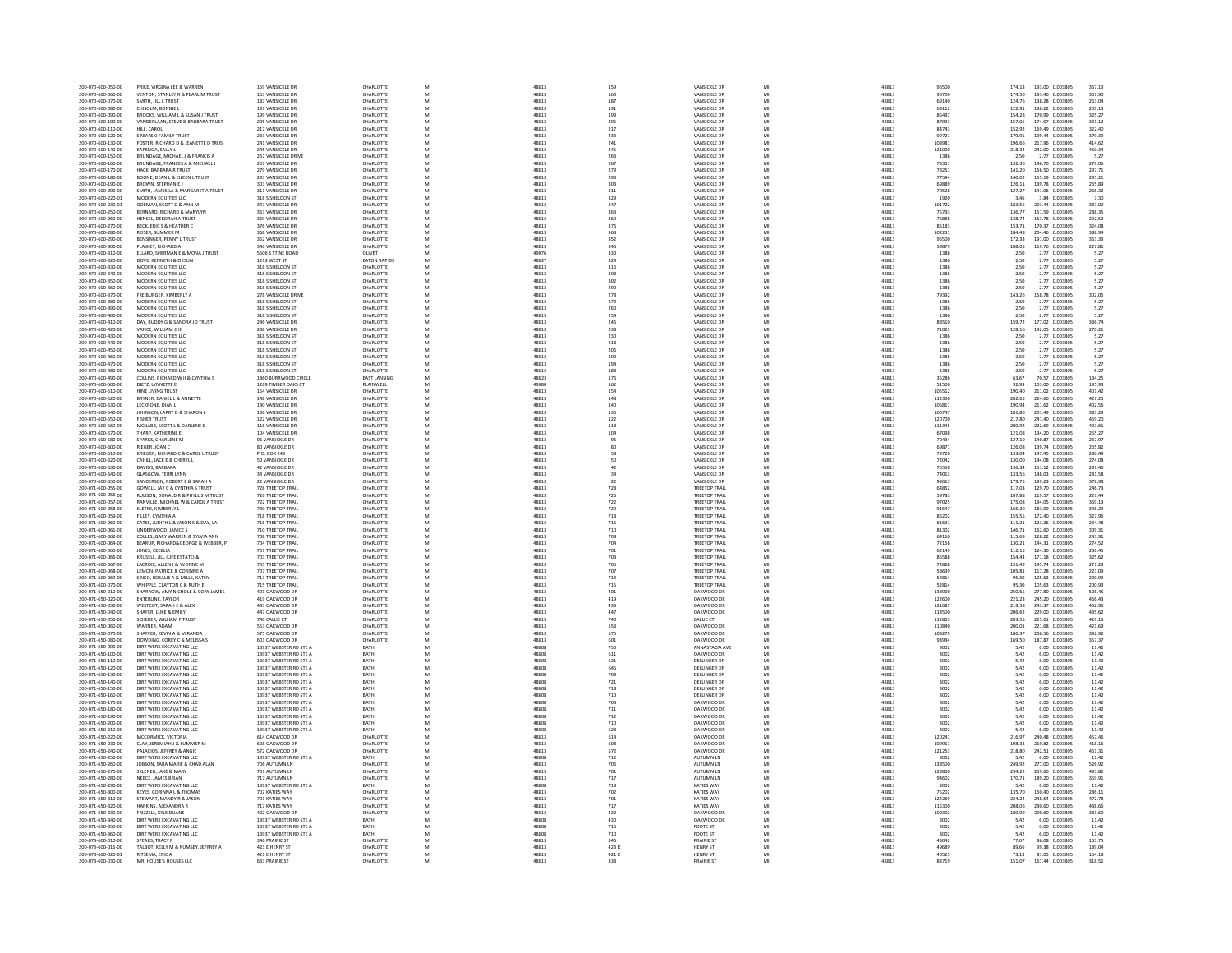| 200-070-600-050-00                       | PRICE, VIRGINA LEE & WARREN                                                | 159 VANSICKLE DR                                 | CHARLOTTI                     |                      | 48813          | 159               | VANSICKLE DR                                 |          | 48813          | 96500            | 174.13<br>193.00 0.003805                              | 367.13                                        |
|------------------------------------------|----------------------------------------------------------------------------|--------------------------------------------------|-------------------------------|----------------------|----------------|-------------------|----------------------------------------------|----------|----------------|------------------|--------------------------------------------------------|-----------------------------------------------|
| 200-020-600-060-00                       | VENTON STANLEY R & PEARL M TRUST                                           | 163 VANSICKLE DR                                 | <b>CHARLOTTE</b>              | MI                   | 48813          | 163               | VANSICKLE DR                                 | M        | 48813          | 96700            | 174.50<br>193.40 0.003805                              | 367.90                                        |
| 200-070-600-070-00<br>200-070-600-080-00 | SMITH, JILL L TRUST<br>CHISOLM, BONNIE L                                   | 187 VANSICKLE DR<br>191 VANSICKLE DR             | CHARLOTTE<br>CHARLOTTE        | MI<br>MI             | 48813<br>48813 | 187<br>191        | VANSICKLE DR<br>VANSICKLE DR                 | M        | 48813<br>48813 | 69140<br>68112   | 138.28 0.003805<br>124.76<br>122.91<br>136.22 0.003805 | 263.04<br>259.13                              |
| 200-070-600-090-00                       | BROOKS, WILLIAM L & SUSAN J TRUST                                          | 199 VANSICKLE DR                                 | CHARLOTTE                     | MI                   | 48813          | 199               | VANSICKLE DR                                 | M        | 48813          | 85497            | 154.28<br>170.99 0.003805                              | 325.27                                        |
| 200-070-600-100-00                       | VANDERLAAN, STEVE & BARBARA TRUST                                          | 205 VANSICKLE DR                                 | CHARLOTTE                     | M                    | 48813          | 205               | VANSICKLE DE                                 |          | 48813          | 87033            | 157.05<br>174.07 0.003805                              | 331.12                                        |
| 200-070-600-110-00                       | HILL CAROL                                                                 | 217 VANSICKLE DR                                 | CHARLOTTE                     | MI                   | 48813          | 217<br>233        | VANSICKLE DR                                 | M        | 48813          | 84743            | 152.92<br>169.49 0.003805                              | 322.40                                        |
| 200-070-600-120-00<br>200-070-600-130-00 | SINIARSKI FAMILY TRUST<br>FOSTER, RICHARD D & JEANETTE D TRUS              | 233 VANSICKLE DR<br>241 VANSICKLE DR             | CHARLOTTE<br>CHARLOTTE        | MI<br>M              | 48813<br>48813 | 241               | VANSICKLE DR<br>VANSICKLE DR                 | <b>M</b> | 48813<br>48813 | 99721<br>108981  | 199.44 0.003805<br>179.95<br>217.96 0.003805<br>196.66 | 379.39<br>414.62                              |
| 200-070-600-140-00                       | KAPENGA, SALLY L                                                           | 245 VANSICKLE DR                                 | CHARLOTTE                     | MI                   | 48813          | 245               | VANSICKLE DR                                 | M        | 48813          | 121000           | 218.34<br>242.00 0.003805                              | 460.34                                        |
| 200-070-600-150-00                       | BRUNDAGE, MICHAEL J & FRANCIS A                                            | 267 VANSICKLE DRIVE                              | CHARLOTTE                     | MI                   | 48813          | 263               | VANSICKLE DR                                 |          | 48813          | 1386             | 2.77 0.003805<br>2.50                                  | 5.27                                          |
| 200-070-600-160-00                       | BRUNDAGE, FRANCES A & MICHAEL J                                            | 267 VANSICKLE DR                                 | <b>CHARLOTTE</b>              | MI                   | 48813          | 267               | VANSICKLE DR                                 | M        | 48813          | 73351            | 132.36<br>146.70 0.003805                              | 279.06                                        |
| 200-070-600-170-00<br>200-070-600-180-00 | HACK, BARBARA R TRUST<br>BOONE, DEAN L & EILEEN L TRUST                    | 279 VANSICKLE DR<br>293 VANSICKLE DF             | CHARLOTTE<br>CHARLOTTE        | $\overline{M}$<br>MI | 48813<br>48813 | 279<br>293        | VANSICKLE DR<br>VANSICKLE DR                 | M        | 48813<br>48813 | 78251<br>77594   | 156.50 0.003805<br>141.20<br>140.02<br>155.19 0.003805 | 297.71<br>295.21                              |
| 200-070-600-190-00                       | <b>BROWN, STEPHANIE J</b>                                                  | 303 VANSICKLE DR                                 | CHARLOTTE                     | MI                   | 48813          | 303               | VANSICKLE DR                                 | M        | 48813          | 69889            | 126.11<br>139.78 0.003805                              | 265.89                                        |
| 200-070-600-200-00                       | SMITH, JAMES LA & MARGARET A TRUST                                         | 311 VANSICKLE DR                                 | CHARLOTTE                     | MI                   | 48813          | 311               | VANSICKLE DR                                 |          | 48813          | 70528            | 127.27<br>141.06 0.003805                              | 268.32                                        |
| 200-070-600-220-01                       | MODERN FOURTIES LLC.                                                       | 318 S SHELDON ST                                 | <b>CHARLOTTE</b>              | MI                   | 48813          | 329               | VANSICKLE DR                                 | M        | 48813          | 1920             | 3.46<br>3.84 0.003805                                  | 7.30                                          |
| 200-070-600-230-01<br>200-070-600-250-00 | GOEMAN, SCOTT D & ANN M<br>RERNARD, RICHARD & MARYLYN                      | 347 VANSICKLE DF<br>363 VANSICKLE DR             | CHARLOTTE<br><b>CHARLOTTE</b> | MI<br>MI             | 48813<br>48813 | 347<br>363        | VANSICKLE DR<br>VANSICKLE DR                 | M        | 48813<br>48813 | 101722<br>75793  | 183.56<br>203.44 0.003805<br>136.77<br>151.59 0.003805 | 387.00<br>288.35                              |
| 200-070-600-260-00                       | HENSEL, DEBORAH A TRUST                                                    | 369 VANSICKLE DF                                 | CHARLOTTE                     | MI                   | 48813          | 369               | VANSICKLE DR                                 | M        | 48813          | 76888            | 138.74<br>153.78 0.003805                              | 292.52                                        |
| 200-070-600-270-00                       | BECK, ERIC S & HEATHER C                                                   | 376 VANSICKLE DR                                 | CHARLOTTI                     | MI                   | 48813          | 376               | VANSICKLE DR                                 |          | 48813          | 85183            | 153.71<br>170.37 0.003805                              | 324.08                                        |
| 200-070-600-280-00                       | REISER SUMMER M                                                            | 368 VANSICKLE DR                                 | <b>CHARLOTTE</b>              | MI                   | 48813          | 368               | VANSICKLE DR                                 | M        | 48813          | 102231           | 184.48<br>204.46 0.003805                              | 388.94                                        |
| 200-070-600-290-00                       | BENSINGER, PENNY L TRUST                                                   | 352 VANSICKLE DF                                 | CHARLOTTE                     | MI                   | 48813          | 352               | <b>VANSICKLE DR</b>                          |          | 48813          | 95500            | 172.33<br>191.00 0.003805                              | 363.33                                        |
| 200-070-600-300-00<br>200-070-600-310-00 | PLASKEY, RICHARD A<br>ELLARD, SHERMAN E & MONA J TRUST                     | 346 VANSICKLE DR<br>5506 S STINE ROAD            | CHARLOTTE<br>OLIVET           | MI<br>MI             | 48813<br>49076 | 346<br>330        | <b>VANSICKLE DE</b><br>VANSICKLE DR          |          | 48813<br>48813 | 59879<br>1386    | 108.05<br>119.76 0.003805<br>2.50<br>2.77 0.003805     | 227.81<br>5.27                                |
| 200-070-600-320-00                       | DOVE, KENNETH & OKSUN                                                      | 1213 WEST ST                                     | <b>EATON RAPIDS</b>           | MI                   | 48827          | 324               | <b>VANSICKLE DE</b>                          |          | 48813          | 1386             | 2.50<br>2.77 0.003805                                  | 5.27                                          |
| 200-070-600-330-00                       | MODERN EQUITIES LLC                                                        | 318 S SHELDON ST                                 | CHARLOTTE                     | MI                   | 48813          | 316               | VANSICKLE DR                                 | <b>M</b> | 48813          | 1386             | 2.50<br>2.77 0.003805                                  | 5.27                                          |
| 200-070-600-340-00                       | MODERN EQUITIES LLC                                                        | 318 S SHELDON ST                                 | CHARLOTTE                     | MI                   | 48813          | 308               | VANSICKLE DR                                 |          | 48813          | 1386             | 2.77 0.003805<br>2.50                                  | 5.27                                          |
| 200-070-600-350-00                       | MODERN EQUITIES LLC                                                        | 318 S SHELDON ST                                 | CHARLOTTE                     | M                    | 48813          | 302               | VANSICKLE DR                                 |          | 48813          | 1386             | 2.50<br>2.77 0.003805                                  | 5.27                                          |
| 200-070-600-360-00<br>200-070-600-370-00 | MODERN EQUITIES LLC<br>FREIBURGER, KIMBERLY A                              | 318 S SHELDON ST<br>278 VANSICKLE DRIVE          | CHARLOTTE<br>CHARLOTTI        | MI<br>MI             | 48813<br>48813 | 290<br>278        | VANSICKLE DR<br>VANSICKLE DE                 | M        | 48813<br>48813 | 1386<br>79392    | 2.50<br>2.77 0.003805<br>143.26<br>158.78 0.003805     | 5.27<br>302.05                                |
| 200-070-600-380-00                       | MODERN EQUITIES LLC                                                        | 318 S SHELDON ST                                 | CHARLOTTE                     | MI                   | 48813          | 272               | VANSICKLE DR                                 | M        | 48813          | 1386             | 2.50<br>2.77 0.003805                                  | 5.27                                          |
| 200-070-600-390-00                       | MODERN EQUITIES LLC                                                        | 318 S SHELDON ST                                 | CHARLOTTE                     | M                    | 48813          | 260               | VANSICKLE DR                                 |          | 48813          | 1386             | 2.50<br>2.77 0.003805                                  | 5.27                                          |
| 200-070-600-400-00                       | MODERN EQUITIES LLC                                                        | 318 S SHELDON ST                                 | CHARLOTTE                     | MI                   | 48813          | 254               | VANSICKLE DR                                 | M        | 48813          | 1386             | 2.50<br>2.77 0.003805                                  | 5.27                                          |
| 200-070-600-410-00                       | DAY, BUDDY G & SANDRA JO TRUST                                             | 246 VANSICKLE DR                                 | CHARLOTTE                     | MI                   | 48813          | 246               | VANSICKLE DR                                 | M        | 48813          | 88510            | 159.72<br>177.02 0.003805                              | 336.74                                        |
| 200-070-600-420-00<br>200-070-600-430-00 | VANCE, WILLIAM C III<br>MODERN FOURTIES LLC                                | 238 VANSICKLE DI<br>318 S SHELDON ST             | CHARLOTTE<br><b>CHARLOTTE</b> | MI<br>MI             | 48813<br>48813 | 238<br>230        | VANSICKLE DR<br>VANSICKLE DR                 | M        | 48813<br>48813 | 71023<br>1386    | 128.16<br>142.05 0.003805<br>2.50<br>2.77 0.003805     | 270.21<br>5.27                                |
| 200-070-600-440-00                       | MODERN EQUITIES LLC                                                        | 318 S SHELDON ST                                 | CHARLOTTE                     | M                    | 48813          | 218               | VANSICKLE DR                                 |          | 48813          | 1386             | 2.77 0.003805<br>2.50                                  | 5.27                                          |
| 200-070-600-450-00                       | MODERN EQUITIES LLC                                                        | 318 S SHELDON ST                                 | <b>CHARLOTTE</b>              | MI                   | 48813          | 206               | VANSICKLE DR                                 | M        | 48813          | 1386             | 2.50<br>2.77 0.003805                                  | 5.27                                          |
| 200-070-600-460-00                       | MODERN EQUITIES LLC                                                        | 318 S SHELDON ST                                 | CHARLOTTE                     | MI                   | 48813          | 202               | VANSICKLE DR                                 | M        | 48813          | 1386             | 2.77 0.003805<br>2.50                                  | 5.27                                          |
| 200-070-600-470-00<br>200-070-600-480-00 | MODERN EQUITIES LLC<br>MODERN FOURTIES LLC                                 | 318 S SHELDON ST<br>318 S SHELDON ST             | CHARLOTTI<br><b>CHARLOTTE</b> | MI                   | 48813<br>48813 | 194<br>188        | VANSICKLE DR<br>VANSICKLE DR                 | M        | 48813<br>48813 | 1386<br>1386     | 2.50<br>2.77 0.003805<br>2.50<br>2.77 0.003805         | 5.27<br>5.27                                  |
| 200-070-600-490-00                       | COLLINS, RICHARD W II & CYNTHIA S                                          | 1860 BURRWOOD CIRCLE                             | <b>EAST LANSING</b>           | MI                   | 48823          | 176               | <b>VANSICKLE DR</b>                          |          | 48813          | 35286            | 63.67<br>70.57 0.003805                                | 134.25                                        |
| 200-070-600-500-00                       | DIFTZ I YNNETTE F                                                          | 1269 TIMBER OAKS CT                              | PLAINWELL                     | MI                   | 49080          | 162               | VANSICKLE DR                                 | M        | 48813          | 51500            | 92.93<br>103.00 0.003805                               | 195.93                                        |
| 200-070-600-510-00                       | HINE LIVING TRUST                                                          | 154 VANSICKLE DR                                 | CHARLOTTE                     | MI                   | 48813          | 154               | VANSICKLE DR                                 | M        | 48813          | 105512           | 190.40<br>211.02 0.003805                              | 401.42                                        |
| 200-070-600-520-00                       | BRYNER, DANIEL L & ANNETTE                                                 | 148 VANSICKLE DR                                 | CHARLOTTI                     | MI                   | 48813          | 148               | <b>VANSICKLE DE</b>                          |          | 48813          | 112300           | 202.65<br>224.60 0.003805                              | 427.25                                        |
| 200-070-600-530-00                       | LECKRONE, DIAN L                                                           | 140 VANSICKLE DR                                 | CHARLOTTE                     | MI                   | 48813          | 140               | VANSICKLE DR                                 | <b>M</b> | 48813          | 105811           | 190.94<br>211.62 0.003805                              | 402.56                                        |
| 200-070-600-540-00<br>200-070-600-550-00 | JOHNSON, LARRY D & SHARON L<br><b>FISHER TRUST</b>                         | 136 VANSICKLE DR<br>122 VANSICKLE DR             | CHARLOTTE<br>CHARLOTTE        | MI                   | 48813<br>48813 | 136               | <b>VANSICKLE DR</b><br>VANSICKLE DR          |          | 48813          | 100747<br>120700 | 181.80<br>201.49 0.003805<br>241.40 0.003805           | 383.29<br>459.20                              |
| 200-070-600-560-00                       | MCNABB, SCOTT L & DARLENE S                                                | 118 VANSICKLE DF                                 | CHARLOTTE                     | MI<br>MI             | 48813          | 122<br>118        | VANSICKLE DR                                 |          | 48813<br>48813 | 111345           | 217.80<br>200.92<br>222.69 0.003805                    | 423.61                                        |
| 200-070-600-570-00                       | THARP, KATHERINE E                                                         | 104 VANSICKLE DR                                 | CHARLOTTE                     | M                    | 48813          | 104               | <b>VANSICKLE DE</b>                          |          | 48813          | 67098            | 121.08<br>134.20 0.003805                              | 255.27                                        |
| 200-070-600-580-00                       | SPARKS. CHARLENE M                                                         | 96 VANSICKLE DR                                  | CHARLOTTE                     | MI                   | 48813          | 96                | <b>VANSICKLE DR</b>                          | M        | 48813          | 70434            | 127.10<br>140.87 0.003805                              | 267.97                                        |
| 200-070-600-600-00                       | RIEGER, JOAN C                                                             | 80 VANSICKLE DF                                  | CHARLOTTE                     | MI                   | 48813          |                   | VANSICKLE DR                                 |          | 48813          | 69871            | 139.74 0.003805<br>126.08                              | 265.82                                        |
| 200-070-600-610-00<br>200-070-600-620-00 | KRIEGER, RICHARD C & CAROL L TRUST<br>CAHILL JACK E & CHERYL L             | P.O. BOX 248<br>50 VANSICKLE DF                  | CHARLOTTE<br>CHARLOTTE        | MI<br>MI             | 48813<br>48813 | 58<br>50          | VANSICKLE DR<br>VANSICKLE DR                 | M<br>M   | 48813<br>48813 | 73726<br>72042   | 133.04<br>147.45 0.003805<br>130.00<br>144.08 0.003805 | 280.49<br>274.08                              |
| 200-070-600-630-00                       | DAVIDS, BARBARA                                                            | 42 VANSICKLE DR                                  | CHARLOTTE                     | MI                   | 48813          | $\overline{A2}$   | VANSICKLE DR                                 |          | 48813          | 75558            | 136.34<br>151.12 0.003805                              | 287.46                                        |
| 200-070-600-640-00                       | <b>GLASGOW, TERRI LYNN</b>                                                 | 34 VANSICKLE DF                                  | CHARLOTTE                     | MI                   | 48813          | 24                | VANSICKLE DR                                 | M        | 48813          | 74013            | 133.56<br>148.03 0.003805                              | 281.58                                        |
| 200-070-600-650-00                       | SANDERSON, ROBERT E & SARAH A                                              | 22 VANSICKLE DR                                  | CHARLOTTE                     | M                    | 48813          |                   | VANSICKLE DR                                 |          | 48813          | 99613            | 179.75<br>199.23 0.003805                              | 378.98                                        |
| 200-071-600-055-00                       | GOWELL, JAY C & CYNTHIA S TRUST                                            | 728 TREETOP TRAIL                                | CHARLOTTE                     | MI                   | 48813          | 728               | TREFTOP TRAIL                                | M        | 48813          | 64852            | 117.03<br>129.70 0.003805                              | 246.73                                        |
| 200-071-600-056-00<br>200-071-600-057-00 | RULISON, DONALD R & PHYLLIS M TRUST<br>RANVILLE, MICHAEL W & CAROL A TRUST | 726 TREETOP TRAIL<br>722 TREETOP TRAIL           | CHARLOTTE<br>CHARLOTTI        | MI                   | 48813<br>48813 | 726<br>722        | <b>TREETOP TRAIL</b><br>TREETOP TRAI         | M        | 48813<br>48813 | 59783            | 107.88<br>119.57 0.003805<br>175.08<br>194.05 0.003805 | 227.44<br>369.13                              |
| 200-071-600-058-00                       | KLETKE KIMBERLY I                                                          | 720 TREETOP TRAIL                                | <b>CHARLOTTE</b>              | MI                   | 48813          | 720               | <b>TREFTOP TRAIL</b>                         | M        | 48813          | 97025<br>91547   | 165.20<br>183.09 0.003805                              | 348.29                                        |
| 200-071-600-059-00                       | FILLEY, CYNTHIA A                                                          | 718 TREETOP TRAI                                 | CHARLOTTE                     | $\overline{M}$       | 48813          | 718               | TREETOP TRAI                                 |          | 48813          | 86202            | 155.55<br>172.40 0.003805                              | 327.96                                        |
| 200-071-600-060-00                       | CATES, JUDITH L & JASON S & DAY, LA                                        | <b>716 TREFTOP TRAIL</b>                         | <b>CHARLOTTE</b>              | MI                   | 48813          | 716               | <b>TREFTOP TRAIL</b>                         | M        | 48813          | 61631            | 111.21<br>123.26 0.003805                              | 234.48                                        |
| 200-071-600-061-00                       | UNDERWOOD, JANICE S                                                        |                                                  |                               |                      |                |                   |                                              |          |                |                  |                                                        | 309.31                                        |
|                                          |                                                                            | 710 TREETOP TRAIL                                | CHARLOTTE                     | MI                   | 48813          | 710               | <b>TREETOP TRAIL</b>                         | M        | 48813          | 81302            | 146.71<br>162.60 0.003805                              |                                               |
| 200-071-600-062-00                       | COLLES, GARY WARREN & SYLVIA ANN                                           | 708 TREETOP TRAIL                                | CHARLOTTE                     | MI                   | 48813          | 708               | TREETOP TRAI                                 |          | 48813          | 64110            | 115.69<br>128.22 0.003805                              | 243.91                                        |
| 200-071-600-064-00                       | <b>REARUP RICHARDRGEORGE &amp; WERRER P</b>                                | <b>704 TREETOP TRAIL</b>                         | CHARLOTTE                     | MI                   | 48813          | 704               | <b>TREFTOP TRAIL</b>                         | M        | 48813          | 72156            | 130.21<br>144 31 0.003805                              | 274.52                                        |
| 200-071-600-065-00<br>200-071-600-066-00 | JONES, CECELIA<br>KRUSELL, JILL (LIFE ESTATE) &                            | 701 TREETOP TRAIL<br><b>703 TREFTOP TRAIL</b>    | CHARLOTTE<br><b>CHARLOTTE</b> | MI<br>MI             | 48813<br>48813 | 701<br>703        | <b>TREETOP TRAIL</b><br><b>TREFTOP TRAIL</b> | <b>M</b> | 48813<br>48813 | 62149<br>85588   | 124.30 0.003805<br>112.15<br>154.44<br>171.18 0.003805 | 236.45<br>325.62                              |
| 200-071-600-067-00                       | LACROIX, ALLEN J & YVONNE M                                                | 705 TREETOP TRAIL                                | CHARLOTTE                     | MI                   | 48813          | 705               | <b>TREETOP TRAI</b>                          |          | 48813          | 72868            | 131.49<br>145.74 0.003805                              | 277.23                                        |
| 200-071-600-068-00                       | LEMON, PATRICK & CORINNE A                                                 | 707 TREETOP TRAIL                                | CHARLOTTE                     | MI                   | 48813          | 707               | TREETOP TRAI                                 |          | 48813          | 58639            | 105.81<br>117.28 0.003805                              | 223.09                                        |
| 200-071-600-069-00                       | SINKO, ROSALIE A & MILLS, KATHY                                            | 713 TREETOP TRAIL                                | CHARLOTTE                     | MI                   | 48813          | 713               | <b>TREETOP TRAIL</b>                         | M        | 48813          | 52814            | 95.30<br>105.63 0.003805                               | 200.93                                        |
| 200-071-600-070-00<br>200-071-650-010-00 | WHIPPLE, CLAYTON C & RUTH E                                                | 715 TREETOP TRAIL                                | CHARLOTTE<br>CHARLOTTI        | MI                   | 48813          | 715               | <b>TREETOP TRAIL</b><br>OAKWOOD DF           |          | 48813          | 52814            | 105.63 0.003805<br>95.30                               | 200.93                                        |
| 200-071-650-020-00                       | SHARROW, AMY NICHOLE & CORY JAMES<br>ENTERLINE, TAYLOR                     | 401 OAKWOOD DR                                   | CHARLOTTE                     | MI<br>Mi             | 48813<br>48813 | $\frac{401}{419}$ | OAKWOOD DF                                   |          | 48813<br>48813 | 138900<br>122600 | 250.65<br>277.80 0.003805<br>221.23<br>245.20 0.003805 | 528.45<br>466.43                              |
| 200-071-650-030-00                       | WESTCOT, SARAH E & ALEX                                                    | 433 OAKWOOD DR                                   | CHARLOTTE                     | MI                   | 48813          | 433               | OAKWOOD DF                                   | M        | 48813          | 121687           | 219.58<br>243.37 0.003805                              | 462.96                                        |
| 200-071-650-040-00                       | SHAFER, LUKE & EMILY                                                       | 447 OAKWOOD DR                                   | CHARLOTTE                     | MI                   | 48813          | 447               | OAKWOOD DR                                   | M        | 48813          | 114500           | 206.62<br>229.00 0.003805                              | 435.62                                        |
| 200-071-650-050-00<br>200-071-650-060-00 | SCHERER, WILLIAM F TRUST<br>WARNER ADAM                                    | 740 CALLIE CT<br>553 OAKWOOD DR                  | CHARLOTTE<br><b>CHARLOTTE</b> | M<br>MI              | 48813<br>48813 | 740<br>553        | CALLIE CT<br>OAKWOOD DR                      | M        | 48813<br>48813 | 112803<br>110840 | 203.55<br>225.61 0.003805<br>200.01<br>221.68 0.003805 | 429.16<br>421.69                              |
| 200-071-650-070-00                       | SHAFFER, KEVIN A & MIRANDA                                                 | 575 OAKWOOD DR                                   | CHARLOTTE                     | MI                   | 48813          | 575               | OAKWOOD DF                                   | M        | 48813          | 103279           | 186.37<br>206.56 0.003805                              | 392.92                                        |
| 200-071-650-080-00                       | DOWDING, COREY C & MELISSA S                                               | 601 OAKWOOD DR                                   | CHARLOTTI                     | MI                   | 48813          | 601               | OAKWOOD DF                                   |          | 48813          | 93934            | 169.50<br>187.87 0.003805                              | 357.37                                        |
| 200-071-650-090-00                       | DIRT WERX EXCAVATING LLC                                                   | 13937 WEBSTER RD STE A                           | RATH                          | MI                   | 48808          | 750               | ANNASTACIA AVE                               | M        | 48813          | 3002             | 5.42<br>6.00 0.003805                                  | 11.42                                         |
| 200-071-650-100-00<br>200-071-650-110-00 | DIRT WERX EXCAVATING LL<br>DIRT WERX EXCAVATING LLC                        | 13937 WEBSTER RD STE A<br>13937 WEBSTER RD STE A | BATH<br>RATH                  | MI<br>MI             | 48808<br>48808 | 611<br>621        | OAKWOOD DR<br>DELLINGER DR                   | M        | 48813<br>48813 | 3002<br>3002     | 5.42<br>6.00 0.003805<br>5.42<br>6.00 0.003805         | 11.42                                         |
| 200-071-650-120-00                       | DIRT WERX EXCAVATING LLC                                                   | 13937 WEBSTER RD STE A                           | BATH                          | MI                   | 48808          | 645               | <b>DELLINGER DR</b>                          | M        | 48813          | 3002             | 5.42<br>6.00 0.003805                                  | 11.42<br>11.42                                |
| 200-071-650-130-00                       | DIRT WERX EXCAVATING LLC                                                   | 13937 WEBSTER RD STE A                           | BATH                          | MI                   | 48808          | 709               | <b>DELLINGER DR</b>                          |          | 48813          | 3002             | 5.42<br>6.00 0.003805                                  | 11.42                                         |
| 200-071-650-140-00                       | DIRT WERX EXCAVATING LLC                                                   | 13937 WEBSTER RD STE A                           | RATH                          | MI                   | 48808          | 721               | DELLINGER DR                                 | M        | 48813          | 3002             | 542<br>6.00 0.003805                                   |                                               |
| 200-071-650-150-00                       | DIRT WERX EXCAVATING LLC                                                   | 13937 WEBSTER RD STE A                           | <b>BATH</b>                   |                      | 48808          | 718               | <b>DELLINGER DR</b>                          |          | 48813          | 3002             | 5.42<br>6.00 0.003805                                  | $\begin{array}{c} 11.42 \\ 11.42 \end{array}$ |
| 200-071-650-160-00<br>200-071-650-170-00 | DIRT WERX EXCAVATING LLC<br>DIRT WERX EXCAVATING LLC                       | 13937 WEBSTER RD STE A<br>13937 WEBSTER RD STE A | RATH<br>BATH                  | MI<br>MI             | 48808<br>48808 | 710<br>703        | DELLINGER DR<br>OAKWOOD DF                   | M        | 48813<br>48813 | 3002<br>3002     | 542<br>6.00 0.003805<br>5.42<br>6.00 0.003805          | 11.42<br>11.42                                |
| 200-071-650-180-00                       | DIRT WERX EXCAVATING LLC                                                   | 13937 WEBSTER RD STE A                           | BATH                          | MI                   | 48808          | 711               | OAKWOOD DF                                   |          | 48813          | 3002             | 5.42<br>6.00 0.003805                                  | 11.42                                         |
| 200-071-650-190-00                       | DIRT WERX EXCAVATING LLC                                                   | 13937 WEBSTER RD STE A                           | BATH                          | MI                   | 48808          | 712               | OAKWOOD DF                                   | M        | 48813          | 3002             | 5.42<br>6.00 0.003805                                  | 11.42                                         |
| 200-071-650-200-00                       | DIRT WERX EXCAVATING LLC                                                   | 13937 WEBSTER RD STE A                           | BATH                          | MI                   | 48808          | 710               | OAKWOOD DF                                   |          | 48813          | 3002             | 5.42<br>6.00 0.003805                                  | 11.42                                         |
| 200-071-650-210-00                       | DIRT WERX EXCAVATING LLC                                                   | 13937 WEBSTER RD STE A                           | RATH                          | MI                   | 48808          | 628               | OAKWOOD DR                                   | M        | 48813          | 3002             | 542<br>6.00 0.003805                                   | 11.42                                         |
| 200-071-650-220-00<br>200-071-650-230-00 | MCCORMICK, VICTORIA<br>CLAY, JEREMIAH J & SUMMER N                         | 614 OAKWOOD DR<br>608 OAKWOOD DR                 | CHARLOTTE<br>CHARLOTTE        | MI<br>M              | 48813<br>48813 | 614<br>608        | OAKWOOD DF<br>OAKWOOD DF                     | M        | 48813<br>48813 | 120241<br>109911 | 216.97<br>240.48 0.003805<br>198.33                    | 457.46<br>418.16                              |
| 200-071-650-240-00                       | PALACIOS, JEFFREY & ANGIE                                                  | 572 OAKWOOD DR                                   | CHARLOTTE                     | MI                   | 48813          | 572               | OAKWOOD DR                                   | M        | 48813          | 121253           | 219.82 0.003805<br>218.80<br>242.51 0.003805           | 461.31                                        |
| 200-071-650-250-00                       | DIRT WERX EXCAVATING LLC                                                   | 13937 WEBSTER RD STE A                           | BATH                          | MI                   | 48808          | 712               | AUTUMN LN                                    |          | 48813          | 3002             | 6.00 0.003805<br>5.42                                  | 11.42                                         |
| 200-071-650-260-00                       | JOBSON, SARA MARIE & CHAD ALAN                                             | <b>706 AUTUMN IN</b>                             | <b>CHARLOTTE</b>              | MI                   | 48813          | 706               | ALITUMN LN                                   | M        | 48813          | 138500           | 249.92                                                 | 526.92                                        |
| 200-071-650-270-00                       | SKLENER, JAKE & MARY                                                       | 701 AUTUMN LN<br>717 AUTUMN LN                   | CHARLOTTE                     | MI                   | 48813          | 701               | AUTUMN LN                                    | <b>M</b> | 48813          | 129800           | 277.00 0.003805<br>259.60 0.003805<br>234.22           | 493.82                                        |
| 200-071-650-280-00<br>200-071-650-290-00 | NEECE, JAMES BRIAN<br>DIRT WERX EXCAVATING LLC                             | 13937 WEBSTER RD STE A                           | CHARLOTTE<br>RATH             | MI<br>MI             | 48813<br>48808 | 717<br>718        | AUTUMN LN<br>KATIES WAY                      | M        | 48813<br>48813 | 94602<br>3002    | 170.71<br>189.20 0.003805<br>5.42<br>6.00 0.003805     | 359.91<br>11.42                               |
| 200-071-650-300-00                       | KEYES, CORINNA L & THOMAS                                                  | 702 KATIES WAY                                   | CHARLOTTI                     | MI                   | 48813          | 702               | KATIES WAY                                   |          | 48813          | 75202            | 135.70<br>150.40 0.003805                              | 286.11                                        |
| 200-071-650-310-00                       | STEWART, MANDY R & IASON                                                   | 701 KATIES WAY                                   | <b>CHARLOTTE</b>              | MI                   | 48813          | 701               | KATIES WAY                                   | M        | 48813          | 124269           | 224.24<br>248.54 0.003805                              | 472.78                                        |
| 200-071-650-320-00                       | HARKINS, ALEXANDRA R                                                       | 717 KATIES WAY                                   | CHARLOTTE                     | MI                   | 48813          | 717               | KATIES WAY                                   |          | 48813          | 115300           | 208.06<br>230.60 0.003805                              | 438.66                                        |
| 200-071-650-330-00                       | FRIZZELL, KYLE DUANE                                                       | 422 OAKWOOD DR                                   | CHARLOTTE                     | MI                   | 48813          | 422               | OAKWOOD DR                                   | M        | 48813          | 100302           | 180.99<br>200.60 0.003805                              | 381.60                                        |
| 200-071-650-340-00<br>200-071-650-350-00 | DIRT WERX EXCAVATING LLC<br>DIRT WERX EXCAVATING LLC                       | 13937 WEBSTER RD STE A<br>13937 WEBSTER RD STE A | BATH<br>BATH                  | MI                   | 48808<br>48808 | 430<br>716        | OAKWOOD DR<br>FOOTE ST                       |          | 48813<br>48813 | 3002<br>3002     | 5.42<br>6.00 0.003805<br>5.42<br>6.00 0.003805         | 11.42<br>11.42                                |
| 200-071-650-360-00                       | DIRT WERX EXCAVATING LLC                                                   | 13937 WEBSTER RD STE A                           | RATH                          | MI                   | 48808          | 710               | <b>FOOTE ST</b>                              | <b>M</b> | 48813          | 3002             | 542<br>6.00 0.003805                                   | 11.42                                         |
| 200-073-600-010-00                       | SPEARS, TRACY R                                                            | 346 PRAIRIE ST                                   | CHARLOTTE                     | MI                   | 48813          | 346               | <b>PRAIRIE ST</b>                            |          | 48813          | 43042            | 77.67<br>86.08 0.003805                                | 163.75                                        |
| 200-073-600-015-00                       | TALBOT, KELLY M & RUMSEY, JEFFREY A                                        | 423 E HENRY S'                                   | CHARLOTTE                     | MI                   | 48813          | 423 E             | HENRY ST                                     |          | 48813          | 49689            | 89.66<br>99.38 0.003805                                | 189.04                                        |
| 200-073-600-020-01<br>200-073-600-030-00 | RITSEMA, ERIC A<br>MR. HOUSE'S HOUSES LLC                                  | 421 E HENRY ST<br>633 PRAIRIE ST                 | CHARLOTTE<br>CHARLOTTI        | MI                   | 48813          | 421 E             | <b>HENRY ST</b><br><b>PRAIRIE ST</b>         |          | 48813<br>48813 | 40525            | 73.13<br>81.05 0.003805<br>167.44 0.003805             | 154.18                                        |
|                                          |                                                                            |                                                  |                               |                      |                |                   |                                              |          |                |                  |                                                        |                                               |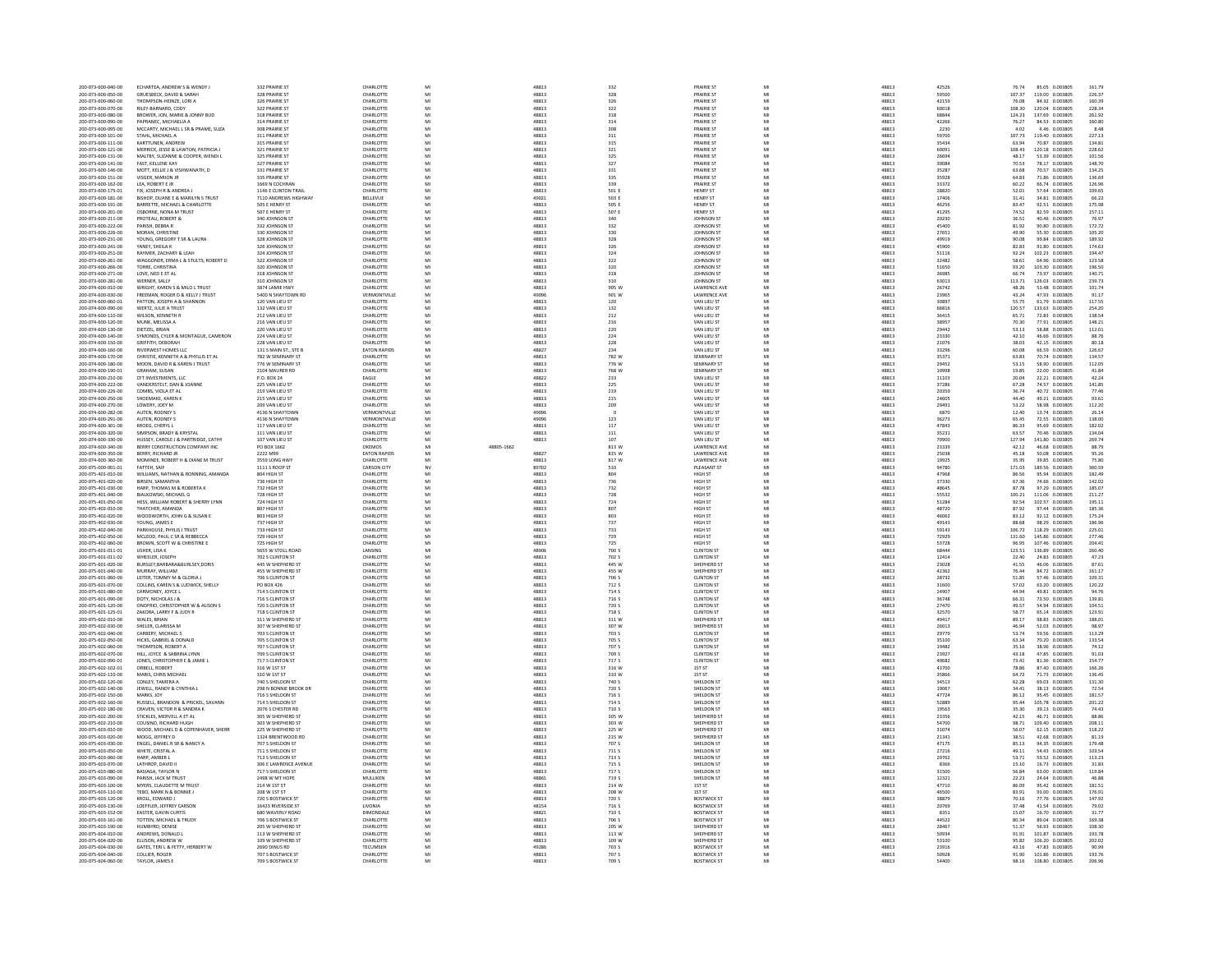| 200-073-600-040-00                       | ECHARTEA, ANDREW S & WENDY J                                     | 332 PRAIRIE ST                                   | CHARLOTTI                     |                |            | 48813          | 332            | <b>PRAIRIE ST</b>                          |          | 48813          | 42526          | 76.74<br>85.05 0.00380                               | 161.79           |
|------------------------------------------|------------------------------------------------------------------|--------------------------------------------------|-------------------------------|----------------|------------|----------------|----------------|--------------------------------------------|----------|----------------|----------------|------------------------------------------------------|------------------|
| 200-073-600-050-00                       | GRUESBECK DAVID & SARAH                                          | 328 PRAIRIE ST<br>326 PRAIRIE ST                 | CHARLOTTE                     | MI             |            | 48813          | 328            | PRAIRIE ST                                 | MI       | 48813          | 59500          | 107 37<br>119.00 0.003805                            | 226.37           |
| 200-073-600-060-00<br>200-073-600-070-00 | THOMPSON-HEINZE, LORI A<br>RILEY-BARNARD, COD'                   | 322 PRAIRIE ST                                   | CHARLOTTE<br>CHARLOTTI        | MI<br>MI       |            | 48813<br>48813 | 326<br>322     | <b>PRAIRIE ST</b><br><b>PRAIRIE ST</b>     | MI       | 48813<br>48813 | 42159<br>60018 | 84.32 0.003805<br>76.08<br>108.30<br>120.04 0.003805 | 160.39<br>228.34 |
| 200-073-600-080-00                       | BROWER JON MARIE & JONNY BLID                                    | 318 PRAIRIE ST                                   | CHARLOTTE                     | MI             |            | 48813          | 318            | <b>PRAIRIE ST</b>                          | MI       | 48813          | 68844          | 124.23<br>137.69 0.003805                            | 261.92           |
| 200-073-600-090-00<br>200-073-600-095-00 | PAPRANEC, MICHAELIA.                                             | 314 PRAIRIE ST<br>308 PRAIRIE ST                 | CHARLOTTI<br>CHARLOTTE        | MI<br>MI       |            | 48813<br>48813 | 314<br>308     | <b>PRAIRIE ST</b><br><b>PRAIRIE ST</b>     | MI       | 48813<br>48813 | 42266<br>2230  | 84.53 0.003805<br>76.2<br>402<br>4.46 0.003805       | 160.80<br>8.48   |
| 200-073-600-101-00                       | MCCARTY, MICHAEL L SR & PRAME, SUZA<br>STAHL, MICHAEL A          | 311 PRAIRIE ST                                   | CHARLOTTE                     | MI             |            | 48813          | 311            | <b>PRAIRIE ST</b>                          | MI       | 48813          | 59700          | 107.73<br>119.40 0.003805                            | 227.13           |
| 200-073-600-111-00                       | KARTTUNEN, ANDREW                                                | 315 PRAIRIE ST                                   | CHARLOTTI                     | MI             |            | 48813          | 315            | <b>PRAIRIE ST</b>                          |          | 48813          | 35434          | 63.94<br>70.87 0.00380                               | 134.81           |
| 200-073-600-121-00                       | MERRICK, JESSE & LAWTON, PATRICIA J                              | 321 PRAIRIE ST                                   | CHARLOTTE                     | MI             |            | 48813          | 321            | <b>PRAIRIE ST</b>                          | MI       | 48813          | 60091          | 108.43<br>120.18 0.003805                            | 228.62           |
| 200-073-600-131-00<br>200-073-600-141-00 | MALTBY, SUZANNE & COOPER, WENDI L<br>FAST, KELLENE KAY           | 325 PRAIRIE ST<br>327 PRAIRIE ST                 | CHARLOTTE<br>CHARLOTTI        | MI             |            | 48813<br>48813 | 325<br>327     | <b>PRAIRIE ST</b><br><b>PRAIRIES</b>       | MI       | 48813<br>48813 | 26694          | 48.17<br>53.39 0.003805<br>70.53<br>78.17 0.003805   | 101.56<br>148.70 |
| 200-073-600-146-00                       | MOTT, KELLIE J & VISHWANATH, D                                   | 331 PRAIRIE ST                                   | CHARLOTTI                     | MI             |            | 48813          | 331            | <b>PRAIRIE ST</b>                          | MI       | 48813          | 39084<br>35287 | 63.68<br>70.57 0.003805                              | 134.25           |
| 200-073-600-151-00                       | VISGER, MARION JR                                                | 335 PRAIRIE ST                                   | CHARLOTTI                     | MI             |            | 48813          | 335            | <b>PRAIRIE ST</b>                          |          | 48813          | 35928          | 64.83<br>71.86 0.003805                              | 136.69           |
| 200-073-600-162-00<br>200-073-600-175-01 | LEA, ROBERT E JR<br>FIX, JOSEPH R & ANDREA J                     | 1669 N COCHRAN<br>1146 E CLINTON TRAIL           | CHARLOTTE<br>CHARLOTTE        | MI<br>MI       |            | 48813<br>48813 | 339<br>501 E   | PRAIRIE ST<br><b>HENRY ST</b>              | MI<br>MI | 48813<br>48813 | 33372<br>28820 | 60.22<br>66.74 0.003805<br>52.01<br>57.64 0.003805   | 126.96<br>109.65 |
| 200-073-600-181-00                       | BISHOP, DUANE E & MARILYN S TRUST                                | 7110 ANDREWS HIGHWAY                             | BELLEVUE                      | MI             |            | 49021          | 5031           | <b>HENRY ST</b>                            |          | 48813          | 17406          | 31.41<br>34.81 0.003805                              | 66.22            |
| 200-073-600-191-00                       | BARRETTE, MICHAEL & CHARLOTTE                                    | <b>SOS F HENRY ST</b>                            | CHARLOTTE                     | MI             |            | 48813          | 505.1          | <b>HENRY ST</b>                            | MI       | 48813          | 46256          | 83.47<br>92.51 0.003805                              | 175.98           |
| 200-073-600-201-00<br>200-073-600-211-00 | OSBORNE, NONA M TRUST<br>PROTEAU, ROBERT &                       | 507 E HENRY ST<br>340 JOHNSON ST                 | CHARLOTTI<br>CHARLOTTI        | MI<br>MI       |            | 48813<br>48813 | 507E<br>340    | <b>HENRY ST</b><br>JOHNSON ST              | M        | 48813<br>48813 | 41295<br>20230 | 82.59 0.003805<br>74.52<br>36.51<br>40.46 0.003805   | 157.11<br>76.97  |
| 200-073-600-222-00                       | PARISH, DEBRA R                                                  | 332 JOHNSON ST                                   | CHARLOTTE                     | MI             |            | 48813          | 332            | JOHNSON ST                                 | MI       | 48813          | 45400          | 81.92<br>90.80 0.003805                              | 172.72           |
| 200-073-600-226-00                       | MORAN, CHRISTIN                                                  | 330 JOHNSON ST                                   | CHARLOTTE                     | MI             |            | 48813          | 330            | JOHNSON ST                                 |          | 48813          | 27651          | 55.30 0.003805<br>49.90                              | 105.20           |
| 200-073-600-231-00                       | YOUNG, GREGORY T SR & LAURA                                      | 328 JOHNSON ST                                   | CHARLOTTE                     | MI             |            | 48813          | 328            | JOHNSON ST                                 | MI       | 48813          | 49919          | 90.08<br>99.84 0.003805                              | 189.92           |
| 200-073-600-241-00<br>200-073-600-251-00 | YANEY, SHEILA K<br>RAYMER, ZACHARY & LEAH                        | 326 JOHNSON ST<br>324 JOHNSON ST                 | CHARLOTTE<br>CHARLOTTE        | MI<br>M        |            | 48813<br>48813 | 326<br>324     | JOHNSON ST<br>JOHNSON ST                   | MI       | 48813<br>48813 | 45900<br>51116 | 82.83<br>91.80 0.003805<br>92.24<br>102.23 0.003805  | 174.63<br>194.47 |
| 200-073-600-261-00                       | WAGGONER, ERMA L & STULTS, ROBERT D                              | 322 JOHNSON ST                                   | CHARLOTTE                     | MI             |            | 48813          | 322            | JOHNSON ST                                 | MI       | 48813          | 32482          | 58.61<br>64.96 0.003805                              | 123.58           |
| 200-073-600-266-00                       | TORRE, CHRISTINA                                                 | 320 JOHNSON ST                                   | CHARLOTTE                     | MI             |            | 48813          | 320            | JOHNSON ST                                 | MI       | 48813          | 51650          | 93.20<br>103.30 0.003805                             | 196.50           |
| 200-073-600-271-00<br>200-073-600-281-00 | LOVE, NED E ET AI<br>WERNER, SALLY                               | 318 JOHNSON ST<br>310 JOHNSON ST                 | CHARLOTTE<br>CHARLOTTE        | MI<br>MI       |            | 48813<br>48813 | 318<br>310     | JOHNSON ST<br>JOHNSON ST                   | MI<br>MI | 48813<br>48813 | 36985<br>63013 | 66.74<br>73.97 0.003805<br>113.71<br>126.03 0.003805 | 140.71<br>239.73 |
| 200-074-600-010-00                       | WRIGHT, KAREN S & MILO L TRUST                                   | 3874 LAMIE HWY                                   | CHARLOTTE                     | MI             |            | 48813          | 905 W          | <b>LAWRENCE AVI</b>                        | MI       | 48813          | 26742          | 53.48 0.003805<br>48.26                              | 101.74           |
| 200-074-600-030-00                       | <b>ERFEMAN ROGER D &amp; KELLY LTRUST</b>                        | 5400 N SHAYTOWN RD                               | <b>VERMONTVILLE</b>           | MI             |            | 49096          | 901 W          | <b>LAWRENCE AVE</b>                        | MI       | 48813          | 23965          | 43.24<br>47.93 0.003805                              | 91 17            |
| 200-074-600-060-01<br>200-074-600-090-00 | PATTON, JOSEPH A & SHANNON<br>WERTZ, JULIE A TRUST               | 120 VAN LIEU ST<br>132 VAN LIEU ST               | CHARLOTTE<br>CHARLOTTE        | MI<br>MI       |            | 48813<br>48813 | 120<br>132     | VAN LIEU ST<br>VAN LIEU ST                 | MI<br>MI | 48813<br>48813 | 30897<br>66816 | 61.79 0.003805<br>55.75<br>120.57<br>133.63 0.003805 | 117.55<br>254.20 |
| 200-074-600-110-00                       | WILSON, KENNETH R                                                | 212 VAN LIEU ST                                  | CHARLOTTE                     | MI             |            | 48813          | 212            | VAN LIEU ST                                | MI       | 48813          | 36415          | 65.71<br>72.83 0.003805                              | 138.54           |
| 200-074-600-120-00                       | MUNK, MELISSA A                                                  | 216 VAN LIEU ST                                  | CHARLOTTE                     | MI             |            | 48813          | 216            | VAN LIEU ST                                | MI       | 48813          | 38957          | 77.91 0.003805<br>70.30                              | 148.21           |
| 200-074-600-130-00<br>200-074-600-140-00 | DIETZEL, BRIAN<br>SYMONDS, CYLER & MONTAGUE, CAMERON             | 220 VAN LIEU ST<br>224 VAN LIEU ST               | CHARLOTTE<br>CHARLOTTE        | MI<br>MI       |            | 48813<br>48813 | 220<br>224     | VAN LIEU ST<br>VAN LIEU ST                 | MI<br>MI | 48813<br>48813 | 29442<br>23330 | 58.88 0.003805<br>53.13<br>42.10<br>46.66 0.003805   | 112.01<br>88.76  |
| 200-074-600-150-00                       | GRIFFITH, DEBORA                                                 | 228 VAN LIEU ST                                  | CHARLOTTI                     |                |            | 48813          | 228            | VAN LIEU ST                                |          | 48813          | 21076          | 42.15 0.003805<br>38.03                              | 80.18            |
| 200-074-600-160-00                       | <b>RIVERWEST HOMES LLC</b>                                       | 131 S MAIN ST STER                               | <b>FATON RAPIDS</b>           | MI             |            | 48827          | 234            | VAN LIFLI ST                               | MI       | 48813          | 33296          | 60.08<br>208200.0.92.33                              | 126.67           |
| 200-074-600-170-00                       | CHRISTIE, KENNETH A & PHYLLIS ET AL                              | 782 W SEMINARY ST                                | CHARLOTTE                     | MI             |            | 48813          | 782 W          | <b>SEMINARY ST</b>                         | MI       | 48813          | 35371          | 63.83<br>70.74 0.003805                              | 134.57           |
| 200-074-600-180-00<br>200-074-600-190-01 | MOON, DAVID R & KAREN J TRUST<br><b>GRAHAM SUSAN</b>             | 776 W SEMINARY ST<br>2104 MAURER RD              | CHARLOTTI<br><b>CHARLOTTE</b> | MI<br>MI       |            | 48813<br>48813 | 776 W<br>768 W | <b>SEMINARY ST</b><br><b>SEMINARY ST</b>   | MI       | 48813<br>48813 | 29452<br>10995 | 53.15<br>58.90 0.003805<br>19.85<br>22.00 0.003805   | 112.05<br>41.84  |
| 200-074-600-210-00                       | CFT INVESTMENTS, LLC                                             | P.O. BOX 24                                      | EAGLE                         | MI             |            | 48822          | 233            | VAN LIEU ST                                | MI       | 48813          | 11103          | 20.04<br>22.21 0.003805                              | 42.24            |
| 200-074-600-222-00                       | VANDERSTELT DAN & IOANNE                                         | 225 VAN LIEU ST                                  | CHARLOTTE                     | MI             |            | 48813          | 225            | VAN LIFLI ST                               | MI       | 48813          | 37286          | 67.28<br>74.57 0.003805                              | 141.85           |
| 200-074-600-226-00<br>200-074-600-250-00 | COMBS, VIOLA ET AL<br>SHOEMAKE, KAREN I                          | 219 VAN LIEU ST<br>215 VAN LIEU ST               | CHARLOTTE<br>CHARLOTTI        | MI             |            | 48813<br>48813 | 219<br>215     | VAN LIEU ST<br>VAN LIEU ST                 | MI       | 48813<br>48813 | 20359<br>2460  | 36.74<br>40.72 0.003805<br>44.40<br>49.21 0.00380    | 77.46<br>93.61   |
| 200-074-600-270-00                       | LOWERY JOEY M                                                    | 209 VAN LIFLI ST                                 | CHARLOTTE                     | MI             |            | 48813          | 209            | VAN LIFLI ST                               | MI       | 48813          | 29491          | 53.22<br>58.98 0.003805                              | 112.20           |
| 200-074-600-282-00                       | AUTEN, RODNEY S                                                  | 4136 N SHAYTOWN                                  | VERMONTVILLE                  | MI             |            | 49096          | $\overline{0}$ | VAN LIEU ST                                | MI       | 48813          | 6870           | 13.74 0.003805<br>12.40                              | 26.14            |
| 200-074-600-291-00<br>200-074-600-301-00 | AUTEN, RODNEY:<br>KROEG, CHERYL L                                | 4136 N SHAYTOWN<br>117 VAN LIEU ST               | VERMONTVILLE<br>CHARLOTTE     | MI             |            | 49096<br>48813 | 123<br>117     | VAN LIEU ST<br>VAN LIEU ST                 | MI       | 48813<br>48813 | 36273<br>47843 | 65.45<br>72.55 0.003805<br>86.33<br>95.69 0.003805   | 138.00<br>182.02 |
| 200-074-600-320-00                       | SIMPSON, BRADY & KRYSTAL                                         | 111 VAN LIEU ST                                  | CHARLOTTI                     | MI             |            | 48813          | 111            | VAN LIEU ST                                |          | 48813          | 35231          | 63.57<br>70.46 0.00380                               | 134.04           |
| 200-074-600-330-00                       | HUSSEY, CAROLE J & PARTRIDGE, CATHY                              | 107 VAN LIEU ST                                  | CHARLOTTE                     | MI             |            | 48813          | 107            | VAN LIFLI ST                               | MI       | 48813          | 70900          | 127.94<br>141.80 0.003805                            | 269.74           |
| 200-074-600-340-00<br>200-074-600-350-00 | BERRY CONSTRUCTION COMPANY INC.<br>BERRY, RICHARD JF             | PO BOX 1662<br>2222 M99                          | OKEMOS<br><b>EATON RAPIDS</b> | MI<br>MI       | 48805-1662 | 48827          | 813 W<br>815 W | <b>LAWRENCE AVE</b><br><b>LAWRENCE AVI</b> | MI       | 48813          | 23339          | 42.12<br>46.68 0.003805<br>45.18<br>50.08 0.00380    | 88.79            |
| 200-074-600-360-00                       | MOMINEE, ROBERT H & DIANE M TRUST                                | 3559 LONG HWY                                    | <b>CHARLOTTE</b>              | MI             |            | 48813          | 817 W          | <b>LAWRENCE AVE</b>                        | MI       | 48813<br>48813 | 25038          | 35.95<br>39.85 0.003805                              | 95.26<br>75.80   |
| 200-075-000-001-01                       | FATTEH, SAI                                                      | 1111 S ROOP ST                                   | CARSON CITY                   | NV             |            | 89702          | 510            | PLEASANT ST                                |          | 48813          | 19925<br>94780 | 171.03<br>189.56 0.003805                            | 360.59           |
| 200-075-401-010-00                       | WILLIAMS, NATHAN & RONNING, AMANDA                               | S04 HIGH ST<br>736 HIGH ST                       | CHARLOTTE<br>CHARLOTTE        | MI<br>MI       |            | 48813          | 804            | HIGH ST                                    | MI       | 48813          | 47968          | 95.94 0.003805<br>86.56                              | 182.49           |
| 200-075-401-020-00                       | BIRSEN, SAMANTHA                                                 |                                                  |                               |                |            |                |                |                                            |          |                |                |                                                      |                  |
|                                          |                                                                  |                                                  |                               |                |            | 48813          | 736            | HIGH ST                                    | MI       | 48813          | 37330          | 67.36<br>74.66 0.003805                              | 142.02           |
| 200-075-401-030-00<br>200-075-401-040-00 | HARP, THOMAS M & ROBERTA K<br>BIALKOWSKI, MICHAEL G              | 732 HIGH ST<br>728 HIGH ST                       | CHARLOTTE<br>CHARLOTTE        | MI<br>MI       |            | 48813<br>48813 | 732<br>728     | HIGH ST<br>HIGH ST                         | MI       | 48813<br>48813 | 48645<br>55532 | 87.78<br>97.29 0.003805<br>100.21<br>111.06 0.003805 | 185.07<br>211.27 |
| 200-075-401-050-00                       | HESS, WILLIAM ROBERT & SHERRY LYNN                               | 724 HIGH ST                                      | CHARLOTTE                     | MI             |            | 48813          | 724            | HIGH ST                                    | MI       | 48813          | 51284          | 92.54<br>102.57 0.003805                             | 195.11           |
| 200-075-402-010-00                       | THATCHER, AMANDA                                                 | 807 HIGH ST                                      | CHARLOTTI                     |                |            | 48813          |                | HIGH ST                                    |          | 48813          | 48720          | 87.92<br>97.44 0.003805                              | 185.36           |
| 200-075-402-020-00                       | WOODWORTH, JOHN G & SUSAN E<br>YOUNG, JAMES E                    | 803 HIGH ST<br>737 HIGH ST                       | CHARLOTTE                     | MI<br>MI       |            | 48813<br>48813 | 803<br>737     | HIGH ST<br>HIGH ST                         | MI       | 48813<br>48813 | 46062          | 83.12<br>92.12 0.003805<br>98.29 0.003805<br>88.68   | 175.24           |
| 200-075-402-030-00<br>200-075-402-040-00 | PARKHOUSE, PHYLIS J TRUST                                        | 733 HIGH ST                                      | CHARLOTTE<br>CHARLOTTI        | MI             |            | 48813          | 733            | HIGH ST                                    | M        | 48813          | 49143<br>59143 | 106.72<br>118.29 0.003805                            | 186.96<br>225.01 |
| 200-075-402-050-00                       | MCLEOD, PAUL C SR & REBBECCA                                     | 729 HIGH ST                                      | CHARLOTTE                     | MI             |            | 48813          | 729            | HIGH ST                                    | MI       | 48813          | 72929          | 131.60<br>145.86 0.003805                            | 277.46           |
| 200-075-402-060-00                       | BROWN, SCOTT W & CHRISTINE E<br>USHER, LISA K                    | 725 HIGH ST                                      | CHARLOTTE<br>LANSING          | MI<br>MI       |            | 48813          | 725            | HIGH ST<br><b>CLINTON ST</b>               | MI       | 48813          | 53728          | 107.46 0.003805<br>96.95                             | 204.41           |
| 200-075-601-011-01<br>200-075-601-011-02 | WHEELER, JOSEPH                                                  | 5655 W STOLL ROAD<br>702 S CLINTON ST            | CHARLOTTE                     | $\overline{M}$ |            | 48906<br>48813 | 700 S<br>702 S | <b>CLINTON ST</b>                          | MI       | 48813<br>48813 | 68444<br>12414 | 123.51<br>136.89 0.003805<br>24.83 0.003805<br>22.40 | 260.40<br>47.23  |
| 200-075-601-020-00                       | BURSLEY, BARBARA&BURLSEY, DORIS                                  | 445 W SHEPHERD ST                                | CHARLOTTI                     | MI             |            | 48813          | 445 W          | SHEPHERD ST                                | MI       | 48813          | 23028          | 41.55<br>46.06 0.003805                              | 87.61            |
| 200-075-601-040-00                       | MURRAY, WILLIAM                                                  | <b>455 W SHEPHERD ST</b>                         | CHARLOTTE<br>CHARLOTTE        | MI<br>MI       |            | 48813          | 455 W          | SHEPHERD ST<br><b>CLINTON ST</b>           | MI<br>MI | 48813          | 42362          | 76.44<br>84.72 0.003805                              | 161.17           |
| 200-075-601-060-00<br>200-075-601-070-00 | LEITER, TOMMY M & GLORIA J<br>COLLINS, KAREN S & LUDWICK, SHELLY | 706 S CLINTON ST<br><b>PO BOX 426</b>            | CHARLOTTE                     | MI             |            | 48813<br>48813 | 706 S<br>712 S | <b>CLINTON ST</b>                          | MI       | 48813<br>48813 | 28732<br>31600 | 51.85<br>57.46 0.003805<br>63.20 0.003805<br>57.02   | 109.31<br>120.22 |
| 200-075-601-080-00                       | CARMONEY, JOYCE L                                                | 714 S CLINTON S'                                 | CHARLOTTE                     | MI             |            | 48813          | 714 S          | <b>CLINTON ST</b>                          | MI       | 48813          | 24907          | 44.94<br>49.81 0.003805                              | 94.76            |
| 200-075-601-090-00<br>200-075-601-120-00 | DOTY, NICHOLAS J &<br>ONOFRIO CHRISTOPHER W & ALISON S           | 716 S CLINTON ST<br><b>720 S CLINTON ST</b>      | CHARLOTTE<br>CHARLOTTE        | M<br>MI        |            | 48813<br>48813 | 716 S<br>720 S | <b>CLINTON S</b><br>CLINTON ST             | MI       | 48813<br>48813 | 36748<br>27470 | 66.31<br>73.50 0.003805<br>49.57<br>54.94 0.003805   | 139.81<br>104.51 |
| 200-075-601-125-01                       | ZAKORA, LARRY F & JUDY R                                         | 718 S CLINTON ST                                 | CHARLOTTE                     | MI             |            | 48813          | 718 S          | <b>CLINTON ST</b>                          | MI       | 48813          | 32570          | 65.14 0.003805<br>58.77                              | 123.91           |
| 200-075-602-010-00                       | WALES, BRIAN                                                     | 311 W SHEPHERD ST                                | CHARLOTTI                     | MI             |            | 48813          | 311 W          | SHEPHERD ST                                | MI       | 48813          | 49417          | 89.17<br>98.83 0.003805                              | 188.01           |
| 200-075-602-030-00                       | SHELER, CLARISSA M                                               | 307 W SHEPHERD ST                                | CHARLOTTE                     | MI             |            | 48813          | 307 W          | SHEPHERD ST                                | MI<br>MI | 48813          | 26013          | 46.94<br>52.03 0.003805                              | 98.97            |
| 200-075-602-040-00<br>200-075-602-050-00 | CARBERY, MICHAEL S<br>HICKS GARRIEL & DONALD                     | 703 S CLINTON ST<br><b>705 S CLINTON ST</b>      | CHARLOTTE<br>CHARLOTTE        | MI<br>MI       |            | 48813<br>48813 | 703 S<br>705.5 | <b>CLINTON ST</b><br>CUNTON ST             | MI       | 48813<br>48813 | 29779<br>35100 | 53.74<br>59.56 0.003805<br>63.34<br>70.20 0.003805   | 113.29<br>133.54 |
| 200-075-602-060-00                       | THOMPSON, ROBERT A                                               | 707 S CLINTON ST                                 | CHARLOTTE                     | MI             |            | 48813          | 707 S          | <b>CLINTON ST</b>                          | MI       | 48813          | 19482          | 38.96 0.003805<br>35.16                              | 74.12            |
| 200-075-602-070-00<br>200-075-602-090-01 | HILL, JOYCE & SABRINA LYP<br>JONES, CHRISTOPHER E & JAMIE I      | 709 S CLINTON S'<br><b>717 S CLINTON ST</b>      | CHARLOTTI<br>CHARLOTTE        | MI<br>MI       |            | 48813<br>48813 | 709 %<br>717S  | <b>CLINTON S</b><br><b>CLINTON ST</b>      | MI       | 48813<br>48813 | 23927<br>40687 | 43.18<br>47.85 0.00380<br>73.41<br>81.36 0.003805    | 91.03<br>154.77  |
| 200-075-602-102-01                       | ORBELL, ROBERT                                                   | 316 W 1ST ST                                     | CHARLOTTE                     | MI             |            | 48813          | 316 W          | 1ST ST                                     | MI       | 48813          | 43700          | 87.40 0.003805<br>78.86                              | 166.26           |
| 200-075-602-110-00                       | MARIS, CHRIS MICHAEL                                             | 310 W 1ST ST                                     | CHARLOTTI                     | MI             |            | 48813          | 310 W          | 1ST ST                                     |          | 48813          | 35866          | 64.72<br>71.73 0.003805                              | 136.45           |
| 200-075-602-120-00<br>200-075-602-140-00 | CONLEY TAMERA A<br>JEWELL, RANDY & CYNTHIA L                     | <b>740 S SHELDON ST</b><br>298 N BONNIE BROOK DR | CHARLOTTE<br>CHARLOTTI        | MI             |            | 48813<br>48813 | 740 S<br>720 S | SHELDON ST<br>SHELDON ST                   | MI       | 48813<br>48813 | 34517<br>19067 | 62.28<br>69.03 0.003805<br>34.4<br>38.13 0.00380     | 131.30<br>72.54  |
| 200-075-602-150-00                       | MARKS IOY                                                        | 716 S SHELDON ST                                 | CHARLOTTE                     | MI             |            | 48813          | 716.5          | SHELDON ST                                 | MI       | 48813          | 47724          | 86.12<br>95.45 0.003805                              | 181.57           |
| 200-075-602-160-00                       | RUSSELL, BRANDON & PRICKEL, SAVANN                               | 714 S SHELDON ST                                 | CHARLOTTE                     | MI             |            | 48813          | 714 S          | SHELDON ST                                 | MI       | 48813          | 52889          | 105.78 0.003805<br>95.44                             | 201.22           |
| 200-075-602-180-00<br>200-075-602-200-00 | CRAVEN, VICTOR R & SANDRA K<br>STICKLES MERVELLA ET AL.          | 2076 S CHESTER RD<br>305 W SHEPHERD ST           | CHARLOTTI<br>CHARLOTTE        | MI<br>MI       |            | 48813<br>48813 | 710 S<br>305 W | <b>HELDON ST</b><br>SHEPHERD ST            | MI       | 48813<br>48813 | 1956<br>23356  | 35.30<br>39.13 0.00380<br>42.15<br>46.71 0.003805    | 74.43<br>88.86   |
| 200-075-602-210-00                       | COUSINO, RICHARD HUGH                                            | 303 W SHEPHERD ST                                | CHARLOTTE                     | MI             |            | 48813          | 303 W          | SHEPHERD ST                                | MI       | 48813          | 54700          | 109.40 0.003805<br>98.71                             | 208.11           |
| 200-075-603-010-00                       | WOOD, MICHAEL D & COPENHAVER, SHERR                              | 225 W SHEPHERD ST                                | CHARLOTTI                     | MI             |            | 48813          | 225 W          | SHEPHERD ST                                | MI       | 48813          | 31074          | 56.07<br>62.15 0.003805                              | 118.22           |
| 200-075-603-020-00<br>200-075-603-030-00 | MOGG. JEFFREY D<br>ENGEL, DANIEL R SR & NANCY                    | 1324 BRENTWOOD RD<br>707 S SHELDON ST            | CHARLOTTE<br>CHARLOTTI        | MI<br>MI       |            | 48813<br>48813 | 215 W<br>707 S | SHEPHERD ST<br>SHELDON ST                  | MI       | 48813<br>48813 | 21341<br>47175 | 38.51<br>42.68 0.003805<br>94.35 0.003805<br>85.13   | 81.19<br>179.48  |
| 200-075-603-050-00                       | WHITE, CRISTAL A                                                 | 711 S SHELDON ST                                 | CHARLOTTE                     | MI             |            | 48813          | 711 S          | SHELDON ST                                 | MI       | 48813          | 27216          | 49.11<br>54.43 0.003805                              | 103.54           |
| 200-075-603-060-00                       | HARP, AMBER L                                                    | 713 S SHELDON ST                                 | CHARLOTTE                     | MI             |            | 48813          | 713 S          | SHELDON ST                                 | MI       | 48813          | 29762          | 53.71<br>59.52 0.003805                              | 113.23           |
| 200-075-603-070-00<br>200-075-603-080-00 | LATHROP, DAVID I<br><b>BASIAGA, TAYLOR N</b>                     | 306 E LAWRENCE AVENUE<br>717 S SHELDON ST        | CHARLOTTI<br>CHARLOTTE        | MI             |            | 48813<br>48813 | 715 S<br>717 S | SHELDON ST<br>SHELDON ST                   | MI       | 48813<br>48813 | 8366<br>31500  | 15.10<br>16.73 0.003805<br>56.84<br>63.00 0.003805   | 31.83<br>119.84  |
| 200-075-603-090-00                       | PARISH, JACK M TRUST                                             | 2498 W MT HOPE                                   | MULLIKEN                      | MI             |            | 48861          | 719 S          | SHELDON ST                                 |          | 48813          | 12321          | 22.23<br>24.64 0.003805                              | 46.88            |
| 200-075-603-100-00                       | MYERS, CLAUDETTE M TRUST                                         | 214 W 1ST ST                                     | CHARLOTTI                     | MI             |            | 48813          | 214 W          | 1ST ST                                     | MI       | 48813          | 47710          | 95.42 0.003805<br>86.09                              | 181.51           |
| 200-075-603-110-00<br>200-075-603-120-00 | TEBO, MARK N & BONNIE J<br>KROLL, EDWARD J                       | 208 W 1ST ST<br>720 S BOSTWICK ST                | CHARLOTTE<br>CHARLOTTE        | MI<br>MI       |            | 48813<br>48813 | 208 W<br>720 S | 1ST ST<br><b>BOSTWICK ST</b>               | MI       | 48813<br>48813 | 46500<br>38879 | 83.91<br>93.00 0.003805<br>77.76 0.003805<br>70.16   | 176.91<br>147.92 |
| 200-075-603-130-00                       | LOEFFLER, JEFFREY CARSON                                         | 16423 RIVERSIDE ST                               | <b>LIVONIA</b>                | MI             |            | 48154          | 716 S          | <b>BOSTWICK ST</b>                         | MI       |                |                | 37.48<br>41.54 0.003805                              |                  |
| 200-075-603-152-00                       | EASTER, GAVIN CURTIS                                             | 680 WAVERLY ROAD                                 | <b>DIMONDALE</b>              | MI<br>MI       |            | 48821          | 710 S          | <b>BOSTWICK ST</b>                         | MI       | 48813<br>48813 | 20769<br>8351  | 16.70 0.003805<br>15.07                              | 79.02<br>31.77   |
| 200-075-603-161-00<br>200-075-603-190-00 | TOTTEN, MICHAEL & TRUDY<br>HUMBYRD, DENISE                       | 706 S BOSTWICK ST<br>205 W SHEPHERD ST           | CHARLOTTE<br>CHARLOTTE        | MI             |            | 48813<br>48813 | 706 S<br>205 W | <b>BOSTWICK ST</b><br>SHEPHERD ST          | MI       | 48813<br>48813 | 44522<br>28467 | 80.34<br>89.04 0.003805<br>51.37<br>56.93 0.003805   | 169.38<br>108.30 |
| 200-075-604-010-00                       | ANDREWS, DONALD                                                  | 113 W SHEPHERD ST                                | CHARLOTTE                     | MI             |            | 48813          | 113 W          | SHEPHERD ST                                |          | 48813          | 50934          | 101.87 0.003805<br>91.91                             | 193.78           |
| 200-075-604-020-00                       | ELLISON, ANDREW W                                                | 109 W SHEPHERD ST                                | CHARLOTTI                     | MI             |            | 48813          | 109 W          | SHEPHERD ST                                | M<br>MI  | 48813          | 53100          | 106.20 0.003805<br>95.82                             | 202.02           |
| 200-075-604-030-00<br>200-075-604-040-00 | GATES, TERI L & FETTY, HERBERT W<br>COLLIER, ROGER               | 2690 DINUS RD<br>707 S BOSTWICK ST               | TECUMSEH<br>CHARLOTTI         | MI<br>MI       |            | 49286<br>48813 | 703 S<br>707 S | <b>BOSTWICK ST</b><br><b>BOSTWICK ST</b>   |          | 48813<br>48813 | 23916<br>50928 | 43.16<br>47.83 0.003805<br>101.86 0.003805<br>91.90  | 90.99<br>193.76  |
| 200-075-604-060-00                       | <b>TAYLOR, JAMES E</b>                                           | 709 S BOSTWICK ST                                | CHARLOTTE                     | MI             |            | 48813          | 709 S          | <b>BOSTWICK ST</b>                         | MI       | 48813          | 54400          | 98.16<br>108.80 0.003805                             | 206.96           |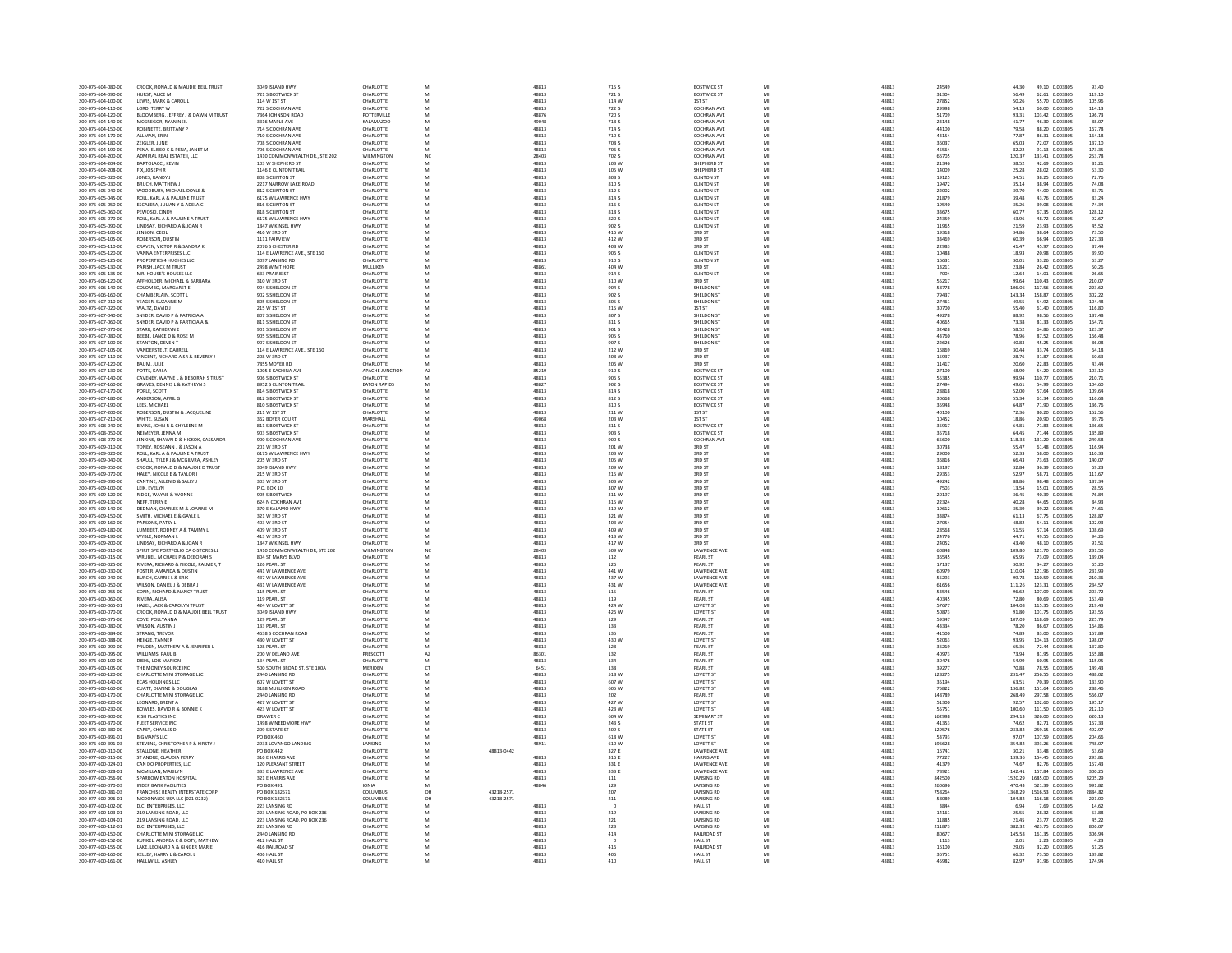|                                          | CROOK, RONALD & MAUDIE BELL TRUST                                 | 3049 ISLAND HWY                                    | CHARLOTTE                      | M        |            | 48813                   | 715 S          | <b>BOSTWICK ST</b>                       | MI       | 48813          | 24549                   | 44.30<br>49.10 0.003805                                    | 93.40                      |
|------------------------------------------|-------------------------------------------------------------------|----------------------------------------------------|--------------------------------|----------|------------|-------------------------|----------------|------------------------------------------|----------|----------------|-------------------------|------------------------------------------------------------|----------------------------|
| 200-075-604-090-00<br>200-075-604-100-00 | HURST, ALICE M<br>LEWIS, MARK & CAROL L                           | 721 S BOSTWICK ST<br>114 W 1ST ST                  | CHARLOTTE<br>CHARLOTTE         | M<br>M   |            | 48813<br>48813          | 721 S<br>114 W | <b>BOSTWICK ST</b><br>1ST ST             | MI<br>MI | 48813<br>48813 | 31304                   | 62.61 0.003805<br>56.49<br>50.26                           | 119.10<br>105.96           |
| 200-075-604-110-00                       | LORD, TERRY W                                                     | 722 S COCHRAN AVE                                  | CHARLOTTE                      | M        |            | 48813                   | 722 S          | <b>COCHRAN AVE</b>                       | MI       | 48813          | 27852<br>29998          | 55.70 0.003805<br>54.13<br>60.00 0.003805                  | 114.13                     |
| 200-075-604-120-00                       | BLOOMBERG, JEFFREY J & DAWN M TRUST                               | 7364 JOHNSON ROAD                                  | POTTERVILLE                    |          |            | 48876                   | 720 S          | COCHRAN AVE                              |          | 48813          | 51709                   | 103.42 0.003805<br>93.31                                   | 196.73                     |
| 200-075-604-140-00                       | MCGREGOR, RYAN NEIL                                               | 3316 MAPLE AVE                                     | KALAMAZOO                      | M        |            | 49048                   | 718 S          | <b>COCHRAN AVE</b>                       | MI       | 48813          | 23148                   | 41.77<br>46.30 0.003805                                    | 88.07                      |
| 200-075-604-150-00<br>200-075-604-170-00 | ROBINETTE, BRITTANY P<br>ALLMAN, ERIN                             | 714 S COCHRAN AVE<br>710 S COCHRAN AVE             | CHARLOTTE<br>CHARLOTTE         | M        |            | 48813<br>48813          | 714 S<br>710 S | COCHRAN AV<br>COCHRAN AVE                | MI       | 48813<br>48813 | 44100<br>43154          | 88.20 0.003805<br>79.58<br>77.87<br>86.31 0.003805         | 167.78<br>164.18           |
| 200-075-604-180-00                       | ZEIGLER, JUNE                                                     | 708 S COCHRAN AVE                                  | CHARLOTTE                      | M        |            | 48813                   | 708 S          | <b>COCHRAN AVE</b>                       | MI       | 48813          | 36037                   | 65.03<br>72.07 0.003805                                    | 137.10                     |
| 200-075-604-190-00                       | PENA, ELISEO C & PENA, JANET M                                    | 706 S COCHRAN AVE                                  | CHARLOTTE                      |          |            | 48813                   | 706 S          | COCHRAN AV                               | M        | 48813          | 45564                   | 82.22<br>91.13 0.003805                                    | 173.35                     |
| 200-075-604-200-00                       | ADMIRAL REAL ESTATE LILC                                          | 1410 COMMONWEALTH DR., STE 202                     | <b>WILMINGTON</b>              | NO       |            | 28403                   | 702S           | COCHRAN AVE                              | MI       | 48813          | 66705                   | 120.37<br>133.41 0.003805                                  | 253.78                     |
| 200-075-604-204-00<br>200-075-604-208-00 | BARTOLACCI, KEVIN<br>FIX IOSEPH R                                 | 103 W SHEPHERD ST<br>1146 F CLINTON TRAIL          | CHARLOTTE<br>CHARLOTTE         | M<br>M   |            | 48813<br>48813          | 103 W<br>105 W | SHEPHERD ST<br>SHEPHERD ST               | M<br>MI  | 48813<br>48813 | 21346<br>14009          | 42.69 0.003805<br>38.52<br>25.28<br>28.02 0.003805         | 81.21<br>53.30             |
| 200-075-605-020-00                       | JONES, RANDY J                                                    | 808 S CLINTON ST                                   | CHARLOTTE                      | M        |            | 48813                   | 808 S          | <b>CLINTON ST</b>                        | MI       | 48813          | 19125                   | 38.25 0.003805<br>34.51                                    | 72.76                      |
| 200-075-605-030-00                       | BRUCH, MATTHEW J                                                  | 2217 NARROW LAKE ROAD                              | CHARLOTTE                      | M        |            | 48813                   | 810 S          | <b>CLINTON ST</b>                        | M        | 48813          | 19472                   | 35.14<br>38.94 0.003805                                    | 74.08                      |
| 200-075-605-040-00                       | WOODBURY, MICHAEL DOYLE &                                         | 812 S CLINTON ST                                   | CHARLOTTE                      | M        |            | 48813                   | 812 S          | <b>CLINTON ST</b>                        | MI       | 48813          | 22002                   | 39.70<br>44.00 0.003805                                    | 83.71                      |
| 200-075-605-045-00<br>200-075-605-050-00 | ROLL, KARL A & PAULINE TRUST<br>ESCALERA, JULIAN Y & ADELA C      | 6175 W LAWRENCE HWY<br>816 S CLINTON ST            | CHARLOTTE<br>CHARLOTTE         | M        |            | 48813<br>48813          | 814 S<br>816 S | <b>CLINTON ST</b><br><b>CLINTON ST</b>   | MI<br>M  | 48813<br>48813 | 21879                   | 43.76 0.003805<br>39.48                                    | 83.24<br>74.34             |
| 200-075-605-060-00                       | PEWOSKI, CINDY                                                    | 818 S CLINTON ST                                   | CHARLOTTE                      | M        |            | 48813                   | 818 S          | <b>CLINTON ST</b>                        | MI       | 48813          | 19540<br>33675          | $39.08 \quad 0.003805$<br>35.26<br>67.35 0.003805<br>60.77 | 128.12                     |
| 200-075-605-070-00                       | ROLL, KARL A & PAULINE A TRUST                                    | 6175 W LAWRENCE HWY                                | CHARLOTTE                      |          |            | 48813                   | 820 S          | <b>CLINTON ST</b>                        | M        | 48813          | 24359                   | 43.96<br>48.72 0.003805                                    | 92.67                      |
| 200-075-605-090-00                       | LINDSAY, RICHARD A & JOAN R                                       | 1847 W KINSEL HWY                                  | CHARLOTTE                      | M        |            | 48813                   | 902 S          | <b>CLINTON ST</b>                        | MI       | 48813          | 11965                   | 21.59<br>23.93 0.003805                                    | 45.52                      |
| 200-075-605-100-00<br>200-075-605-105-00 | JENSON, CECIL<br>ROBERSON, DUSTIN                                 | 416 W 3RD ST<br>1111 FAIRVIEW                      | CHARLOTTE<br><b>CHARLOTTE</b>  | M        |            | 48813<br>48813          | 416 W<br>412 W | 3RD ST<br><b>TP GRE</b>                  | MI       | 48813<br>48813 | 19318<br>33469          | 38.64 0.003805<br>34.86<br>60.39<br>66.94 0.003805         | 73.50<br>127.33            |
| 200-075-605-110-00                       | CRAVEN, VICTOR R & SANDRA K                                       | 2076 S CHESTER RD                                  | CHARLOTTE                      | M        |            | 48813                   | 408 W          | 3RD ST                                   | MI       | 48813          | 22983                   | 41.47<br>45.97 0.003805                                    | 87.44                      |
| 200-075-605-120-00                       | VANNA ENTERPRISES LLC                                             | 114 E LAWRENCE AVE., STE 160                       | CHARLOTTE                      | <b>M</b> |            | 48813                   | 906 S          | <b>CLINTON ST</b>                        | M        | 48813          | 10488                   | 20.98 0.003805<br>18.93                                    | 39.90                      |
| 200-075-605-125-00                       | PROPERTIES 4 HUGHES LLC                                           | 3097 LANSING RD                                    | CHARLOTTE                      | M        |            | 48813                   | 910 S          | <b>CLINTON ST</b>                        | MI       | 48813          | 16631                   | 30.01<br>33.26 0.003805                                    | 63.27                      |
| 200-075-605-130-00<br>200-075-605-135-00 | PARISH, JACK M TRUST<br>MR. HOUSE'S HOUSES LLC                    | 2498 W MT HOPE<br><b>633 PRAIRIE ST</b>            | MULLIKEN<br>CHARLOTTE          | M        |            | 48861<br>48813          | 404 W<br>914 S | 3RD ST<br><b>CLINTON ST</b>              | MI       | 48813<br>48813 | 13211<br>7004           | 23.84<br>26.42 0.003805<br>12.64<br>14.01 0.003805         | 50.26<br>26.65             |
| 200-075-606-120-00                       | AFFHOLDER, MICHAEL & BARBARA                                      | 310 W 3RD ST                                       | CHARLOTTE                      | M        |            | 48813                   | 310 W          | 3RD ST                                   | MI       | 48813          | 55217                   | 99.64<br>110.43 0.003805                                   | 210.07                     |
| 200-075-606-140-00                       | COLOMBO, MARGARET E                                               | 904 S SHELDON ST                                   | CHARLOTT                       |          |            | 48813                   | 904 S          | SHELDON ST                               | M        | 48813          | 58778                   | 106.06<br>117.56 0.003805                                  | 223.62                     |
| 200-075-606-160-00                       | CHAMBERLAIN, SCOTT L                                              | 902 S SHELDON ST                                   | CHARLOTTE                      | M        |            | 48813                   | 902 S          | SHELDON ST                               | M        | 48813          | 79437                   | 143.34<br>158.87 0.003805                                  | 302.22                     |
| 200-075-607-010-00<br>200-075-607-020-00 | YEAGER, SUZANNE M<br>WAITZ DAVID I                                | 805 S SHELDON ST<br>215 W 1ST ST                   | CHARLOTTE<br>CHARLOTTE         | M        |            | 48813<br>48813          | 805 S<br>215 W | SHELDON ST<br>1ST ST                     | M<br>MI  | 48813<br>48813 | 27461<br>30700          | 49.55<br>54.92 0.003805<br>55.40<br>61.40 0.003805         | 104.48<br>116.80           |
| 200-075-607-040-00                       | SNYDER, DAVID P & PATRICIA A                                      | 807 S SHELDON ST                                   | CHARLOTTE                      | M        |            | 48813                   | 807 S          | SHELDON ST                               | MI       | 48813          | 49278                   | 98.56 0.003805<br>88.92                                    | 187.48                     |
| 200-075-607-060-00                       | SNYDER, DAVID P & PARTICIA A &                                    | 811 S SHELDON ST                                   | CHARLOTTE                      | M        |            | 48813                   | 811 S          | SHELDON ST                               | MI       | 48813          | 40665                   | 73.38<br>81.33 0.003805                                    | 154.71                     |
| 200-075-607-070-00                       | STARR, KATHERYN E                                                 | 901 S SHELDON ST                                   | CHARLOTTE                      | M        |            | 48813                   | 901 S          | SHELDON ST                               | MI       | 48813          | 32428                   | 58.52<br>64.86 0.003805                                    | 123.37                     |
| 200-075-607-080-00                       | BEEBE, LANCE D & ROSE M                                           | 905 S SHELDON ST                                   | CHARLOTTE                      |          |            | 48813                   | 905 S          | SHELDON ST                               | M        | 48813          | 43760                   | 87.52 0.003805<br>78.96                                    | 166.48                     |
| 200-075-607-100-00<br>200-075-607-105-00 | STANTON, DEVEN T<br>VANDERSTELT, DARRELL                          | 907 S SHELDON ST<br>114 E LAWRENCE AVE., STE 160   | CHARLOTTE<br>CHARLOTTE         | M<br>M   |            | 48813<br>48813          | 907 S<br>212 W | SHELDON ST<br>3RD ST                     | MI<br>MI | 48813<br>48813 | 22626<br>16869          | 40.83<br>45.25 0.003805<br>33.74 0.003805<br>30.44         | 86.08<br>64.18             |
| 200-075-607-110-00                       | VINCENT, RICHARD A SR & BEVERLY                                   | 208 W 3RD ST                                       | CHARLOTTE                      | M        |            | 48813                   | 208 W          | <b>3RD ST</b>                            | M        | 48813          | 15937                   | 28.76<br>31.87 0.003805                                    | 60.63                      |
| 200-075-607-120-00                       | BAUM, JULIE                                                       | 7855 MOYER RD                                      | CHARLOTTE                      | M        |            | 48813                   | 206 W          | 3RD ST                                   | MI       | 48813          | 11417                   | 20.60<br>22.83 0.003805                                    | 43.44                      |
| 200-075-607-130-00                       | POTTS, KARI A                                                     | 1005 E KACHINA AVE                                 | APACHE JUNCTION                | A2       |            | 85219                   | 910 S          | <b>BOSTWICK ST</b>                       | M        | 48813          | 27100                   | 54.20 0.003805<br>48.90                                    | 103.10                     |
| 200-075-607-140-00                       | CAVENEY WAYNE L& DERORAH STRUST                                   | 906 S ROSTWICK ST                                  | <b>CHARLOTTE</b>               | M        |            | 48813                   | 906 S          | <b>ROSTWICK ST</b><br><b>BOSTWICK ST</b> | MI<br>M  | 48813          | 55385<br>27494          | 99.94<br>110.77 0.003805<br>49.61                          | 210.71                     |
| 200-075-607-160-00<br>200-075-607-170-00 | GRAVES, DENNIS L & KATHRYN S<br>POPLE, SCOTT                      | 8952 S CLINTON TRAIL<br>814 S BOSTWICK ST          | EATON RAPIDS<br>CHARLOTTE      | M        |            | 48827<br>48813          | 902 S<br>814 S | <b>BOSTWICK ST</b>                       | MI       | 48813<br>48813 | 28818                   | 54.99 0.003805<br>57.64 0.003805<br>52.00                  | 104.60<br>109.64           |
| 200-075-607-180-00                       | ANDERSON, APRIL G                                                 | 812 S BOSTWICK ST                                  | CHARLOTTE                      | M        |            | 48813                   | 812 S          | <b>BOSTWICK ST</b>                       | MI       | 48813          | 30668                   | 55.34<br>61.34 0.003805                                    | 116.68                     |
| 200-075-607-190-00                       | LEES, MICHAEL                                                     | 810 S BOSTWICK ST                                  | CHARLOTTE                      |          |            | 48813                   | 810 S          | <b>BOSTWICK ST</b>                       |          | 48813          | 35948                   | 64.87<br>71.90 0.003805                                    | 136.76                     |
| 200-075-607-200-00                       | ROBERSON, DUSTIN & JACQUELINE                                     | 211 W 1ST ST                                       | CHARLOTTE                      | M        |            | 48813                   | 211 W          | 1ST ST                                   | MI       | 48813          | 40100                   | 72.36<br>80.20 0.003805                                    | 152.56                     |
| 200-075-607-210-00<br>200-075-608-040-00 | WHITE, SUSAN<br>BIVINS, JOHN R & CHYLEENE M                       | 362 BOYER COURT<br>811 S BOSTWICK ST               | MARSHALL<br>CHARLOTTE          | M<br>M   |            | 49068<br>48813          | 203 W<br>811.5 | 1ST ST<br><b>ROSTWICK ST</b>             | M<br>MI  | 48813<br>48813 | 10452<br>35917          | 18.86<br>20.90 0.003805<br>64.81<br>71.83 0.003805         | 39.76<br>136.65            |
| 200-075-608-050-00                       | NEIMEYER, JENNA M                                                 | 903 S BOSTWICK ST                                  | CHARLOTTE                      | M        |            | 48813                   | 903 S          | <b>BOSTWICK ST</b>                       | MI       | 48813          | 35718                   | 64.45<br>71.44 0.003805                                    | 135.89                     |
| 200-075-608-070-00                       | JENKINS, SHAWN D & HICKOK, CASSANDR                               | 900 S COCHRAN AVE                                  | CHARLOTTE                      |          |            | 48813                   | 900 S          | COCHRAN AVE                              | MI       | 48813          | 65600                   | 118.38<br>131.20 0.003805                                  | 249.58                     |
| 200-075-609-010-00                       | TONEY ROSEANN L& IASON A                                          | 201 W 3RD ST                                       | CHARLOTTE                      | M        |            | 48813                   | 201 W          | <b>RD ST</b>                             | MI       | 48813          | 30738                   | 55.47<br>61.48 0.003805                                    | 116.94                     |
| 200-075-609-020-00                       | ROLL, KARL A & PAULINE A TRUST                                    | 6175 W LAWRENCE HWY                                | CHARLOTTE                      | M        |            | 48813                   | 203 W          | <b>3RD ST</b>                            | MI       | 48813          | 29000                   | 52.33<br>58.00 0.003805                                    | 110.33                     |
| 200-075-609-040-00                       | <b>SHAULL, TYLER J &amp; MCGILVRA, ASHLEY</b>                     | 205 W 3RD ST                                       | CHARLOTTE                      | M        |            | 48813                   | 205 W          | <b>3RD ST</b>                            | M        | 48813          | 36816                   | 66.43<br>73.63 0.003805                                    | 140.07                     |
| 200-075-609-050-00<br>200-075-609-070-00 | CROOK, RONALD D & MAUDIE D TRUST<br>HALEY, NICOLE E & TAYLOR      | 3049 ISLAND HWY<br>215 W 3RD ST                    | CHARLOTTE<br>CHARLOTTE         | M        |            | 48813<br>48813          | 209 W<br>215 W | 3RD ST<br><b>3RD ST</b>                  | MI<br>M  | 48813<br>48813 | 18197<br>29353          | 32.84<br>36.39 0.003805<br>52.97<br>58.71 0.003805         | 69.23<br>111.67            |
| 200-075-609-090-00                       | CANTINE, ALLEN D & SALLY J                                        | 303 W 3RD ST                                       | CHARLOTTE                      | M        |            | 48813                   | 303 W          | 3RD ST                                   | MI       | 48813          | 49242                   | 88.86<br>98.48 0.003805                                    | 187.34                     |
| 200-075-609-100-00                       | LEIK, EVELYN                                                      | P.O. BOX 10                                        | CHARLOTTE                      | M        |            | 48813                   | 307 W          | <b>3RD ST</b>                            | MI       | 48813          | 7503                    | 13.54<br>15.01 0.003805                                    | 28.55                      |
| 200-075-609-120-00                       | RIDGE, WAYNE & YVONNE                                             | 905 S BOSTWICK                                     | CHARLOTTE                      | M        |            | 48813                   | 311 W          | <b>3RD ST</b>                            | M        | 48813          | 20197                   | 40.39 0.003805<br>36.45                                    | 76.84                      |
| 200-075-609-130-00                       | NEFF. TERRY E                                                     | 624 N COCHRAN AVE                                  | CHARLOTTE                      | M        |            | 48813                   | 315 W          | 3RD ST                                   | MI       | 48813          | 22324                   | 40.28<br>44.65 0.003805                                    | 84.93                      |
| 200-075-609-140-00<br>200-075-609-150-00 | DEDMAN, CHARLES M & JOANNE M<br>SMITH, MICHAEL E & GAYLE L        | 370 E KALAMO HWY<br>321 W 3RD ST                   | CHARLOTTE<br>CHARLOTTE         | M        |            | 48813<br>48813          | 319 W<br>321 W | 3RD ST<br><b>3RD ST</b>                  | MI       | 48813<br>48813 | 19612<br>33874          | 39.22 0.003805<br>35.39<br>61.13<br>67.75 0.003805         | 74.61<br>128.87            |
| 200-075-609-160-00                       | PARSONS, PATSY L                                                  | 403 W 3RD ST                                       | CHARLOTTE                      |          |            | 48813                   | 403 W          | 3RD ST                                   |          | 48813          | 27054                   | 54.11 0.003805<br>48.82                                    | 102.93                     |
| 200-075-609-180-00                       | LUMBERT, RODNEY A & TAMMY                                         | 409 W 3RD ST                                       | CHARLOTTE                      | M        |            | 48813                   | 409 W          | 3RD ST                                   | MI       | 48813          | 28568                   | 51.55<br>57.14 0.003805                                    | 108.69                     |
| 200-075-609-190-00                       | WYBLE, NORMAN L                                                   | 413 W 3RD ST                                       | CHARLOTTE                      | M        |            | 48813                   | 413 W          | <b>3RD ST</b>                            | MI       | 48813          | 24776                   | 44.71<br>49.55 0.003805                                    | 94.26                      |
| 200-075-609-200-00<br>200-076-600-010-00 | LINDSAY, RICHARD A & JOAN F<br>SPIRIT SPE PORTEOUO CA C-STORES LL | 1847 W KINSEL HWY<br>1410 COMMONWEALTH DR. STE 202 | CHARLOTTE<br><b>WILMINGTON</b> | NO       |            | 48813<br>28403          | 417 W<br>509 W | <b>3RD ST</b><br><b>LAWRENCE AVE</b>     | M<br>MI  | 48813<br>48813 | 24052<br>60848          | 43.40<br>48.10 0.003805<br>109.80<br>121.70 0.003805       | 91.51<br>231.50            |
| 200-076-600-015-00                       | WRUBEL, MICHAEL P & DEBORAH S                                     | 804 ST MARYS BLVD                                  | CHARLOTTE                      |          |            | 48813                   | 112            | PEARL ST                                 |          | 48813          | --------<br>36545       | 65.95<br>73.09 0.003805                                    | 139.04                     |
| 200-076-600-025-00                       | RIVERA RICHARD & NICOLE PALMER T                                  | 126 PEARL ST                                       | CHARLOTTE                      | M        |            | 48813                   | 126            | PEARL ST                                 | MI       | 48813          | 17137                   | 30.92<br>34.27 0.003805                                    | 65.20                      |
| 200-076-600-030-00                       | FOSTER, AMANDA & DUSTIN                                           | 441 W LAWRENCE AVE                                 | CHARLOTTE                      | M        |            | 48813                   | 441 W          | <b>LAWRENCE AVE</b>                      | MI       | 48813          | 60979                   | 110.04<br>121.96 0.003805                                  | 231.99                     |
| 200-076-600-040-00                       | BURCH, CARRIE L & ERIK                                            | 437 W LAWRENCE AVE                                 | CHARLOTTE                      | M        |            | 48813                   | 437 W          | LAWRENCE AVI                             | MI       | 48813          | 55293                   |                                                            | 210.36                     |
| 200-076-600-050-00<br>200-076-600-055-00 | WILSON DANIEL L& DERRA I<br>CONN, RICHARD & NANCY TRUST           | 431 W LAWRENCE AVE<br>115 PEARL ST                 | CHARLOTTE                      | M        |            | 48813                   |                |                                          |          |                |                         | 99.78<br>110.59 0.003805                                   | 234.57                     |
| 200-076-600-060-00                       | <b>RIVERA ALISA</b>                                               |                                                    |                                |          |            |                         | 431 W          | <b>LAWRENCE AVE</b>                      | MI       | 48813          | 61656                   | 111.26<br>123.31 0.003805                                  |                            |
| 200-076-600-065-01                       | HAZEL, JACK & CAROLYN TRUST                                       | 119 PEARL ST                                       | CHARLOTTE<br>CHARLOTTE         | M        |            | 48813<br>48813          | 115<br>119     | PEARL ST<br>PEARL ST                     | M<br>MI  | 48813<br>48813 | 53546<br>40345          | 107.09 0.003805<br>96.62<br>72.80<br>80.69 0.003805        | 203.72<br>153.49           |
| 200-076-600-070-00                       |                                                                   | 424 W LOVETT ST                                    | CHARLOTTE                      | M        |            | 48813                   | 424 W          | <b>LOVETT ST</b>                         | MI       | 48813          | 57677                   | 115.35 0.003805<br>104.08                                  | 219.43                     |
|                                          | CROOK, RONALD D & MAUDIE BELL TRUST                               | 3049 ISLAND HW                                     | CHARLOTTE                      |          |            | 48813                   | 426 W          | LOVETT ST                                | M        | 48813          | 50873                   | 91.80<br>101.75 0.003805                                   | 193.55                     |
| 200-076-600-075-00                       | COVE, POLLYANNA                                                   | 129 PEARL ST                                       | CHARLOTTE                      | M        |            | 48813                   | 129            | PEARL ST                                 | MI       | 48813          | 59347                   | 107.09<br>118.69 0.003805                                  | 225.79                     |
| 200-076-600-080-00                       | WILSON, AUSTIN J                                                  | 133 PEARL ST                                       | CHARLOTTE                      |          |            | 48813                   | 133            | PEARL ST                                 | MI       | 48813          | 43334                   | 78.20<br>86.67 0.003805                                    | 164.86                     |
| 200-076-600-084-00<br>200-076-600-088-00 | STRANG, TREVOR<br>HEINZE, TANNER                                  | 4638 S COCHRAN ROAD<br>430 W LOVETT ST             | <b>CHARLOTTE</b><br>CHARLOTTE  | M        |            |                         | 135<br>430 W   | <b>PEARL ST</b><br>LOVETT ST             | MI<br>M  | 48813<br>48813 |                         | 83.00 0.003805<br>74.89<br>104.13 0.003805<br>93.95        |                            |
| 200-076-600-090-00                       | PRUDEN, MATTHEW A & JENNIFER L                                    | 128 PEARL ST                                       | CHARLOTTE                      | M        |            | 48813<br>48813<br>48813 | $128\,$        | PEARL ST                                 | M        | 48813          | 41500<br>52063<br>36219 | 72.44 0.003805<br>65.36                                    | 157.89<br>198.07<br>137.80 |
| 200-076-600-095-00                       | WILLIAMS, PAUL B                                                  | 200 W DELANO AVE                                   | PRESCOTT                       | AZ       |            | 86301                   | 132            | PEARL ST                                 | MI       | 48813          | 40973                   | 73.94<br>81.95 0.003805                                    | 155.88                     |
| 200-076-600-100-00                       | DIEHL, LOIS MARION                                                | 134 PEARL ST                                       | CHARLOTTE                      |          |            | 48813                   | 134            | PEARL ST                                 |          | 48813          | 30476                   | 54.99<br>60.95 0.003805                                    | 115.95                     |
| 200-076-600-105-00                       | THE MONEY SOURCE INC                                              | 500 SOUTH BROAD ST, STE 100A                       | <b>MERIDEN</b>                 | CT<br>M  |            | 6451                    | 138            | PEARL ST                                 | MI       | 48813          | 39277                   | 70.88<br>78.55 0.003805                                    | 149.43                     |
| 200-076-600-120-00<br>200-076-600-140-00 | CHARLOTTE MINI STORAGE LLC                                        | 2440 LANSING RD                                    | CHARLOTTE<br>CHARLOTT          |          |            | 48813                   | 518 W          | LOVETT ST<br>LOVETT ST                   | MI       | 48813          | 128275                  | 231.47<br>256.55 0.003805<br>63.51                         | 488.02                     |
| 200-076-600-160-00                       | ECAS HOLDINGS LLC<br>CUATT, DIANNE & DOUGLAS                      | 607 W LOVETT ST<br>3188 MULLIKEN ROAD              | CHARLOTTE                      | M        |            | 48813<br>48813          | 607 W<br>605 W | LOVETT ST                                | M        | 48813<br>48813 | 35194<br>75822          | 70.39 0.003805<br>136.82<br>151.64 0.003805                | 133.90<br>288.46           |
| 200-076-600-170-00                       | CHARLOTTE MINI STORAGE LLC                                        | 2440 LANSING RD                                    | CHARLOTTE                      |          |            | 48813                   | 202            | PEARL ST                                 |          | 48813          | 148789                  | 268.49<br>297.58 0.003805                                  | 566.07                     |
| 200-076-600-220-00                       | <b>IFONARD RRENTA</b>                                             | 427 W LOVETT ST                                    | CHARLOTTE                      | M        |            | 48813                   | 427 W          | <b>LOVETT ST</b>                         | MI       | 48813          | 51300                   | 92.57<br>102.60 0.003805                                   | 195.17                     |
| 200-076-600-230-00                       | BOWLES, DAVID R & BONNIE K                                        | 423 W LOVETT ST                                    | CHARLOTTE                      | M<br>M   |            | 48813                   | 423 W          | <b>LOVETT ST</b>                         | MI<br>M  | 48813          | 55751                   | 111.50 0.003805<br>100.60                                  | 212.10                     |
| 200-076-600-300-00<br>200-076-600-370-00 | KISH PLASTICS INC<br>FLEET SERVICE INC                            | DRAWER C<br>1498 W NEEDMORE HWY                    | CHARLOTTE<br>CHARLOTTE         | M        |            | 48813<br>48813          | 604 W<br>243 S | <b>SEMINARY ST</b><br><b>STATE ST</b>    | MI       | 48813<br>48813 | 162998<br>41353         | 294.13<br>326.00 0.003805<br>74.62<br>82.71 0.003805       | 620.13<br>157.33           |
| 200-076-600-380-00                       | CAREY, CHARLES D                                                  | 209 S STATE ST                                     | CHARLOTT                       |          |            | 48813                   | 209 S          | <b>STATE ST</b>                          |          | 48813          | 129576                  | 259.15 0.003805<br>233.82                                  | 492.97                     |
| 200-076-600-391-01                       | <b>RIGMAN'S LLC</b>                                               | PO ROX 460                                         | CHARLOTTE                      | M        |            | 48813                   | 618 W          | <b>LOVETT ST</b>                         | MI       | 48813          | 53793                   | 97.07<br>107.59 0.003805                                   | 204.66                     |
| 200-076-600-391-03<br>200-077-600-010-00 | STEVENS, CHRISTOPHER P & KIRSTY J                                 | 2933 LOVANGO LANDING                               | LANSING                        | M        | 48813-0442 | 48911                   | 610 W          | LOVETT ST                                | MI<br>M  | 48813          | 196628                  | 354.82<br>393.26 0.003805                                  | 748.07                     |
| 200-077-600-015-00                       | STALLONE, HEATHER<br>ST ANDRE, CLAUDIA PERRY                      | PO BOX 442<br>316 E HARRIS AVE                     | CHARLOTTE<br>CHARLOTTE         | M        |            | 48813                   | 327 E<br>316 E | <b>LAWRENCE AVE</b><br><b>HARRIS AVE</b> | MI       | 48813<br>48813 | 16741<br>77227          | 30.21<br>33.48 0.003805<br>139.36<br>154.45 0.003805       | 63.69<br>293.81            |
| 200-077-600-024-01                       | CAN DO PROPERTIES, LLC                                            | 120 PLEASANT STREET                                | CHARLOTTE                      |          |            | 48813                   | 331 E          | <b>LAWRENCE AVE</b>                      | M        | 48813          | 41379                   | 82.76 0.003805<br>74.67                                    | 157.43                     |
| 200-077-600-028-01                       | MCMILLAN, MARILYN                                                 | 333 E LAWRENCE AVE                                 | CHARLOTTE                      | M        |            | 48813                   | 333 E          | <b>LAWRENCE AVE</b>                      | MI       | 48813          | 78921                   | 142.41<br>157.84 0.003805                                  | 300.25                     |
| 200-077-600-056-90                       | SPARROW EATON HOSPITA                                             | 321 E HARRIS AVE                                   | CHARLOTTE                      |          |            | 48813                   | 111            | <b>LANSING RD</b>                        | M<br>MI  | 48813          | 842500                  | 1520.29<br>1685.00 0.003805                                | 3205.29                    |
| 200-077-600-070-03<br>200-077-600-081-03 | INDEP BANK FACILITIES<br>FRANCHISE REALTY INTERSTATE CORP         | PO BOX 491<br>PO BOX 182571                        | <b>IONIA</b><br>COLUMBUS       | M<br>OH  | 43218-2571 | 48846                   | 129<br>207     | <b>LANSING RD</b><br><b>LANSING RD</b>   | MI       | 48813<br>48813 | 260696<br>758264        | 470.43<br>521.39 0.003805<br>1368.29 1516.53 0.003805      | 991.82<br>2884.82          |
| 200-077-600-096-01                       | MCDONALDS USA LLC (021-0232)                                      | PO BOX 182571                                      | COLUMBUS                       | OH       | 43218-2571 |                         | $_{\rm 211}$   | <b>LANSING RD</b>                        |          | 48813          | 58089                   | 104.82<br>116.18  0.003805                                 | 221.00                     |
| 200-077-600-102-00                       | D.C. ENTERPRISES, LLC                                             | 223 LANSING RD                                     | <b>CHARLOTTE</b>               | M        |            | 48813                   |                | HALL ST                                  | M        | 48813          | 3844                    | 7.69 0.003805<br>6.94                                      |                            |
| 200-077-600-103-01                       | 219 LANSING ROAD, LLC                                             | 223 LANSING ROAD, PO BOX 236                       | CHARLOTTE                      |          |            | 48813                   | 219            | <b>LANSING RD</b>                        |          | 48813          | 14161                   | 28.32 0.003805<br>25.55                                    | $\frac{14.62}{53.88}$      |
| 200-077-600-104-01                       | 219 LANSING ROAD, LLC                                             | 223 LANSING ROAD, PO BOX 236                       | CHARLOTTE                      | M<br>M   |            | 48813                   | 221            | <b>LANSING RD</b>                        | MI<br>MI | 48813          | 11885                   | 21.45<br>23.77 0.003805                                    | 45.22                      |
| 200-077-600-112-01<br>200-077-600-150-00 | D.C. ENTERPRISES, LLC<br>CHARLOTTE MINI STORAGE LLC               | 223 LANSING RD<br>2440 LANSING RD                  | CHARLOTTE<br>CHARLOTTE         |          |            | 48813<br>48813          | 223<br>414     | <b>LANSING RD</b><br>RAILROAD ST         |          | 48813<br>48813 | 211873<br>80677         | 382.32<br>423.75 0.003805<br>145.58<br>161.35 0.003805     | 806.07<br>306.94           |
| 200-077-600-152-00                       | KUNKEL ANDREA K & DOTY MATHEW                                     | 412 HALL ST                                        | CHARLOTTE                      | M        |            | 48813                   |                | HALL ST                                  | MI       | 48813          | 1113                    | 2.01<br>2.23 0.003805                                      | 4.23                       |
| 200-077-600-155-00                       | LAKE, LEONARD A & GINGER MARIE                                    | 416 RAILROAD ST                                    | CHARLOTTE                      | M        |            | 48813                   | 416            | RAILROAD ST                              | MI       | 48813          | 16100                   | 32.20 0.003805<br>29.05                                    | 61.25                      |
| 200-077-600-160-00                       | KELLEY, HARRY L & CAROL L                                         | 406 HALL ST                                        | CHARLOTTE                      | M        |            | 48813                   | 406            | HALL ST                                  | M        | 48813          | 36751                   | 66.32<br>73.50 0.003805                                    | 139.82                     |
| 200-077-600-161-00                       | HALLIWILL, ASHLEY                                                 | 410 HALL ST                                        | CHARLOTTE                      |          |            | 48813                   | 410            | <b>HALL ST</b>                           | MI       | 48813          | 45982                   | 82.97<br>91.96 0.003805                                    | 174.94                     |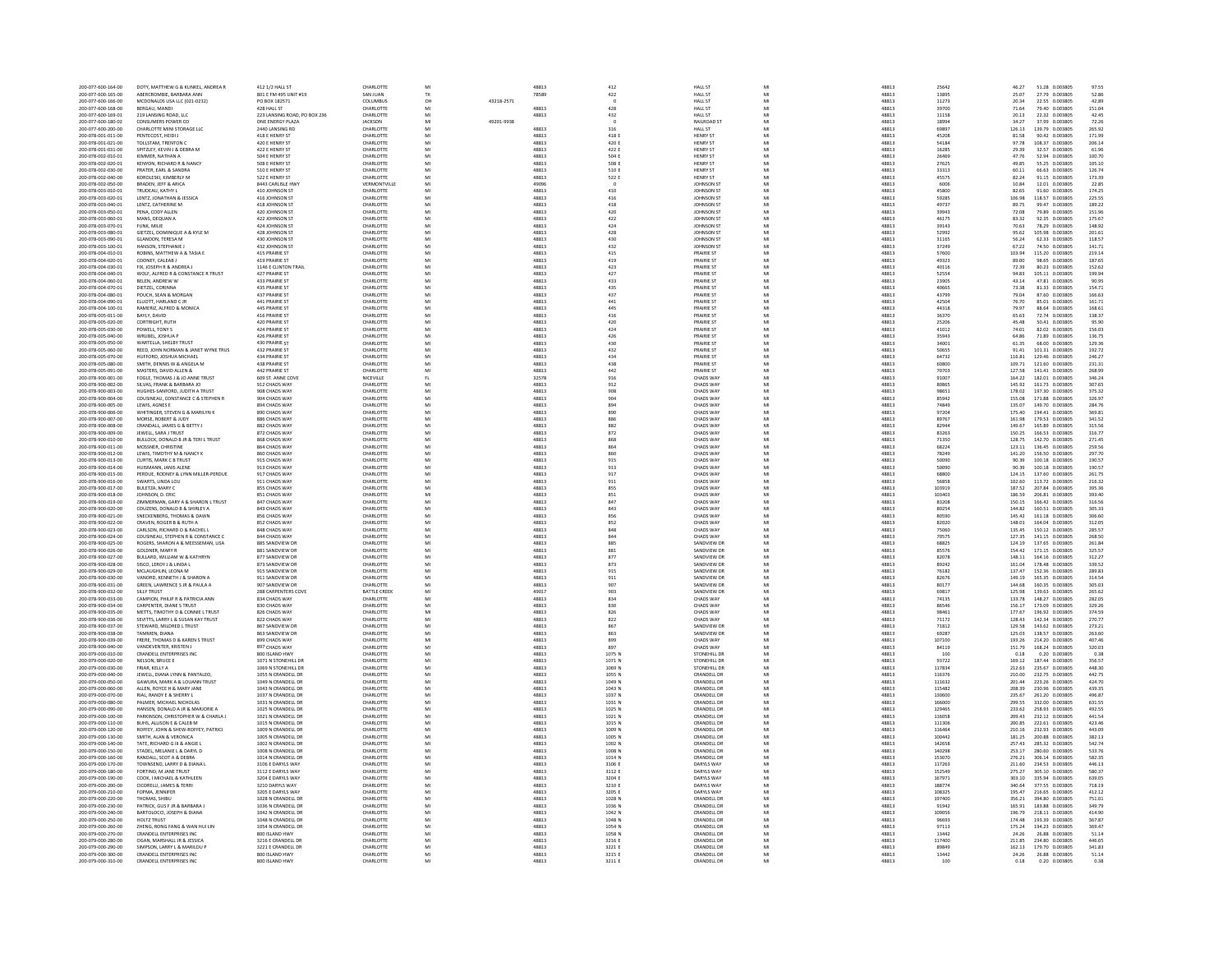| 200-077-600-164-00                       | DOTY, MATTHEW G & KUNKEL, ANDREA R                        | 412 1/2 HALL ST                          | CHARLOTTE                     |                |            | 48813          | 412                                       | <b>HALL ST</b>                         | MI      | 48813          | 25642            | 46.27            | 51.28 0.003805                                                         | 97.55            |
|------------------------------------------|-----------------------------------------------------------|------------------------------------------|-------------------------------|----------------|------------|----------------|-------------------------------------------|----------------------------------------|---------|----------------|------------------|------------------|------------------------------------------------------------------------|------------------|
| 200-077-600-165-00                       | ABERCROMBIE, BARBARA ANN                                  | 801 E FM 495 UNIT #19                    | SAN JUAN                      | TX             |            | 78589          | 422                                       | <b>HALL ST</b>                         | MI      | 48813          | 13895            | 25.07            | 27.79 0.003805                                                         | 52.86            |
| 200-077-600-166-00                       | MCDONALDS USA LLC (021-0232)                              | PO BOX 182571                            | <b>COLUMBUS</b>               | O <sub>F</sub> | 43218-2571 |                |                                           | HALL ST                                |         | 48813          | 11273            | 20.34            | 22.55 0.003805                                                         | 42.89            |
| 200-077-600-168-00                       | <b>RERGALL MANDL</b>                                      | 428 HALL ST                              | <b>CHARLOTTE</b>              | MI             |            | 48813          | 428                                       | HALL ST                                | MI      | 48813          | 39700            | 71.64            | 29.40 0.003805                                                         | 151.04           |
| 200-077-600-169-01                       | 219 LANSING ROAD, LLC                                     | 223 LANSING ROAD, PO BOX 236             | CHARLOTTE                     | MI             |            | 48813          | 432                                       | <b>HALL ST</b>                         | M       | 48813          | 11158            | 20.13            | 22.32 0.003805                                                         | 42.45            |
| 200-077-600-180-02                       | CONSUMERS POWER CO                                        | ONE ENERGY PLAZA                         | JACKSON                       | MI             | 49201-9938 |                |                                           | <b>RAILROAD ST</b>                     | M       | 48813          | 18994            | 34.27            | 37.99 0.003805                                                         | 72.26            |
| 200-077-600-200-00                       | CHARLOTTE MINI STORAGE LLC                                | 2440 LANSING RD                          | CHARLOTTE                     | MI             |            | 48813          | 316                                       | HALL ST                                | MI      | 48813          | 69897            | 126.13           | 139.79 0.003805                                                        | 265.92           |
| 200-078-001-011-00                       | PENTECOST, HEIDI J                                        | 418 E HENRY ST                           | CHARLOTTI                     |                |            | 48813          | 418 E                                     | <b>HENRY ST</b>                        |         | 48813          | 45208            | 81.58            | 90.42 0.003805                                                         | 171.99           |
| 200-078-001-021-00                       | TOLLSTAM TRENTON O                                        | 420 E HENRY ST                           | <b>CHARLOTTE</b>              | MI             |            | 48813          | 420 F                                     | <b>HENRY ST</b>                        | MI      | 48813          | 54184            | 97.78            | 108.37 0.003805                                                        | 206.14           |
| 200-078-001-031-00                       | SPITZLEY, KEVIN J & DEBRA M                               | 422 E HENRY ST                           | CHARLOTTE                     | MI             |            | 48813          | 422 E                                     | <b>HENRY ST</b>                        | MI      | 48813          | 16285            | 29.39            | 32.57 0.003805                                                         | 61.96            |
| 200-078-002-010-01                       | KIMMER, NATHAN A                                          | 504 E HENRY ST                           | CHARLOTTI                     | MI             |            | 48813          | 504                                       | HENRY ST                               | M       | 48813          | 2646             | 47.7             | 52.94 0.003805                                                         | 100.70           |
| 200-078-002-020-01                       | KENYON, RICHARD R & NANCY                                 | <b>SOR F HENRY ST</b>                    | <b>CHARLOTTE</b>              | MI             |            | 48813          | 508 F                                     | <b>HENRY ST</b>                        | MI      | 48813          | 27625            | 49.85            | 55.25 0.003805                                                         | 105 10           |
| 200-078-002-030-00                       | PRATER, EARL & SANDRA                                     | 510 E HENRY ST                           | CHARLOTTE                     |                |            | 48813          | 510 E                                     | <b>HENRY ST</b>                        |         | 48813          | 33313            | 60.11            | 66.63 0.003805                                                         | 126.74           |
| 200-078-002-040-00                       | KOROLESKI, KIMBERLY M                                     | 522 F HENRY ST                           | <b>CHARLOTTE</b>              | MI             |            | 48813          | 522 E                                     | <b>HENRY ST</b>                        | MI      | 48813          | 45575            | 82.24            | 91.15 0.003805                                                         | 173.39           |
| 200-078-002-050-00                       | <b>BRADEN, JEFF &amp; ARICA</b>                           | 8443 CARLISLE HWY                        | VERMONTVILLE                  | MI             |            | 49096          | $\Omega$                                  | JOHNSON ST                             | MI      | 48813          | 6006             | 10.84            | 12.01 0.003805                                                         | 22.85            |
| 200-078-003-010-01                       | TRUDEAU, KATHY L                                          | 410 JOHNSON ST                           | CHARLOTTE                     |                |            | 48813          | 410                                       | JOHNSON ST                             | M       | 48813          | 45800            | 82.65            | 91.60 0.003805                                                         | 174.25           |
| 200-078-003-020-01                       | <b>I FNTZ JONATHAN &amp; IFSSICA</b>                      | 416 IOHNSON ST                           | CHARLOTTE                     | MI             |            | 48813          | 416                                       | <b>IOHNSON ST</b>                      | MI      | 48813          | 59285            | 106.98           | 118.57 0.003805                                                        | 225.55           |
| 200-078-003-040-01                       | LENTZ, CATHERINE M                                        | 418 JOHNSON ST                           | CHARLOTTE                     | MI             |            | 48813          | 418                                       | JOHNSON ST                             | M       | 48813          | 49737            | 89.75            | 99.47 0.003805                                                         | 189.22           |
| 200-078-003-050-01                       | PENA, CODY ALLEN                                          | 420 JOHNSON ST                           | CHARLOTTE                     | MI             |            | 48813          | 420                                       | <b>IOHNSON ST</b>                      | MI      | 48813          | 39943            | 72.08            | 79.89 0.003805                                                         | 151.96           |
| 200-078-003-060-01                       | MANS, DEQUAN A                                            | 422 JOHNSON ST                           | CHARLOTTE                     | MI             |            | 48813          | 422                                       | JOHNSON ST                             | MI      | 48813          | 46175            | 83.32            | 92.35 0.003805                                                         | 175.67           |
| 200-078-003-070-01                       | FUNK, MILIE                                               | 424 JOHNSON ST                           | CHARLOTTI                     |                |            | 48813          | 424                                       | JOHNSON ST                             |         | 48813          | 39143            | 70.63            | 78.29 0.003805                                                         | 148.92           |
| 200-078-003-080-01                       | GIETZEL, DOMINIQUE A & KYLE M                             | 428 IOHNSON ST                           | <b>CHARLOTTE</b>              | MI             |            | 48813          | 428                                       | <b>IOHNSON ST</b>                      | MI      | 48813          | 52992            | 95.62            | 105.98 0.003805                                                        | 201.61           |
| 200-078-003-090-01                       | <b>GLANDON, TERESA M</b>                                  | 430 JOHNSON ST                           | CHARLOTTE                     | MI             |            | 48813          | 430                                       | JOHNSON ST                             | MI      | 48813          | 31165            | 56.24            | 62.33 0.003805                                                         | 118.57           |
| 200-078-003-100-0:                       | <b>HANSON, STEPHANIE</b>                                  | 432 JOHNSON ST                           | CHARLOTTI                     | MI<br>Mi       |            | 48813          | 432                                       | JOHNSON S                              | M<br>MI | 48813          | 37249            | 67.22            | 74.50 0.003805                                                         | 141.71           |
| 200-078-004-010-01                       | ROBINS, MATTHEW A & TASIA E                               | 415 PRAIRIE ST                           | CHARLOTTE                     |                |            | 48813          | 415                                       | <b>PRAIRIE ST</b>                      | M       | 48813          | 57600            | 103.94           | 115.20 0.003805                                                        | 219.14           |
| 200-078-004-020-0:<br>200-078-004-030-01 | COONEY, CALEAB J<br>FIX JOSEPH R & ANDREA I               | 419 PRAIRIE ST<br>1146 E CLINTON TRAIL   | CHARLOTTI<br>CHARLOTTE        | MI             |            | 48813<br>48813 | 419<br>423                                | <b>PRAIRIE ST</b><br>PRAIRIE ST        | MI      | 48813<br>48813 | 49323<br>40116   | 89.00<br>72.39   | 98.65 0.003805<br>80.23 0.003805                                       | 187.65<br>152.62 |
|                                          |                                                           |                                          |                               |                |            |                |                                           |                                        |         |                |                  |                  |                                                                        |                  |
| 200-078-004-040-01                       | WOLF, ALFRED R & CONSTANCE R TRUST                        | 427 PRAIRIE ST                           | CHARLOTTE                     | MI             |            | 48813          | 427                                       | <b>PRAIRIE ST</b>                      | MI<br>M | 48813          | 52554            | 94.83            | 105.11 0.003805                                                        | 199.94           |
| 200-078-004-060-0:                       | BELEN, ANDREW W                                           | 433 PRAIRIE ST                           | CHARLOTTI                     |                |            | 48813          | 433                                       | <b>PRAIRIE ST</b>                      |         | 48813          | 23905            | 43.14            | 47.81 0.003805                                                         | 90.95            |
| 200-078-004-070-01                       | DIFT2FL CORINNA                                           | 435 PRAIRIE ST                           | CHARLOTTE                     | MI             |            | 48813          | 435                                       | PRAIRIE ST                             | MI      | 48813          | 40665            | 73.38            | 81.33 0.003805                                                         | 154.71           |
| 200-078-004-080-0:<br>200-078-004-090-01 | POUCH, SEAN & MORGAL<br>FLUOTT HARLAND C IR               | 437 PRAIRIE ST<br>441 PRAIRIE ST         | CHARLOTTI<br><b>CHARLOTTE</b> | MI             |            | 48813<br>48813 | 437<br>441                                | <b>PRAIRIE ST</b><br>PRAIRIE ST        | MI      | 48813<br>48813 | 43799<br>42504   | 79.0<br>76.70    | 87.60 0.003805<br>85.01 0.003805                                       | 166.63<br>161.71 |
|                                          |                                                           |                                          |                               |                |            |                |                                           |                                        |         |                |                  |                  |                                                                        |                  |
| 200-078-004-100-01                       | RAMERIZ, ALFRED & MONICA                                  | 445 PRAIRIE ST                           | CHARLOTTE                     | MI             |            | 48813          | 445                                       | <b>PRAIRIE ST</b>                      | MI<br>M | 48813          | 44318            | 79.97            | 88.64 0.003805                                                         | 168.61           |
| 200-078-005-011-00<br>200-078-005-020-00 | BAYLY, DAVID<br>CORTRIGHT RUTH                            | 416 PRAIRIE ST<br>420 PRAIRIE ST         | CHARLOTT<br>CHARLOTTE         | MI<br>MI       |            | 48813<br>48813 | 416<br>420                                | <b>PRAIRIE ST</b><br>PRAIRIE ST        | MI      | 48813<br>48813 | 36370<br>25206   | 65.63<br>45.48   | 72.74 0.003805<br>50.41 0.003805                                       | 138.37<br>95.90  |
|                                          |                                                           |                                          |                               |                |            |                |                                           |                                        |         |                |                  |                  |                                                                        |                  |
| 200-078-005-030-00                       | POWELL, TONY S                                            | 424 PRAIRIE ST<br>426 PRAIRIE ST         | CHARLOTTE<br>CHARLOTT         | MI             |            | 48813          | 424                                       | <b>PRAIRIE ST</b>                      | MI<br>M | 48813<br>48813 | 41012            | 74.01            | 82.02 0.003805                                                         | 156.03           |
| 200-078-005-040-00                       | WRUBEL, JOSHUA<br>WARTELLA, SHELBY TRUST                  |                                          |                               | M<br>MI        |            | 48813          | 426                                       | <b>PRAIRIE ST</b>                      | MI      |                | 35943            | 64.86            | 71.89 0.003805                                                         | 136.75           |
| 200-078-005-050-00<br>200-078-005-060-00 | REED, JOHN NORMAN & JANET WYNE TRUS                       | 430 PRAIRIE ST<br>432 PRAIRIE ST         | CHARLOTTE<br>CHARLOTTE        |                |            | 48813<br>48813 | 430<br>432                                | <b>PRAIRIE ST</b><br><b>PRAIRIE ST</b> | M       | 48813<br>48813 | 34001            | 61.35<br>91.41   | 68.00 0.003805<br>101.31 0.003805                                      | 129.36<br>192.72 |
| 200-078-005-070-00                       | HUEFORD, JOSHUA MICHAEL                                   | 434 PRAIRIE ST                           | CHARLOTTE                     | MI             |            | 48813          | 434                                       | PRAIRIE ST                             | MI      | 48813          | 50655<br>64732   | 116.81           | 129.46 0.003805                                                        | 246.27           |
|                                          | SMITH, DENNIS W & ANGELA M                                | 438 PRAIRIE ST                           | CHARLOTTE                     | MI             |            |                | 438                                       |                                        | MI      |                |                  |                  |                                                                        | 231.31           |
| 200-078-005-080-00                       |                                                           | 442 PRAIRIE ST                           | CHARLOTTE                     | MI             |            | 48813          |                                           | <b>PRAIRIE ST</b><br><b>PRAIRIE ST</b> | M       | 48813          | 60800            | 109.71<br>127.58 | 121.60 0.003805                                                        |                  |
| 200-078-005-091-00<br>200-078-900-001-00 | MASTERS, DAVID ALLEN &<br>FOGLE, THOMAS J & JO ANNE TRUST | 609 ST. ANNE COVE                        | NICEVILLE                     | FL.            |            | 48813<br>32578 | 442<br>916                                | CHADS WAY                              | MI      | 48813<br>48813 | 70703<br>91007   | 164.22           | 141.41 0.003805<br>182.01 0.003805                                     | 268.99<br>346.24 |
| 200-078-900-002-00                       | SILVAS, FRANK & BARBARA JO                                | 912 CHADS WAY                            | CHARLOTT                      |                |            | 48813          | 912                                       | CHADS WAY                              |         | 48813          | 80865            | 145.92           | 161.73 0.003805                                                        | 307.65           |
| 200-078-900-003-00                       | HUGHES-SANEORD JUDITH A TRUST                             | 908 CHADS WAY                            | <b>CHARLOTTE</b>              | MI             |            | 48813          | 908                                       | CHADS WAY                              | MI      | 48813          | 98651            | 178.02           | 197.30 0.003805                                                        | 375 32           |
| 200-078-900-004-00                       | COUSINEAU, CONSTANCE C & STEPHEN F                        | 904 CHADS WAY                            | CHARLOTTE                     | MI             |            | 48813          | 904                                       | CHADS WAY                              | MI      | 48813          | 85942            | 155.08           | 171.88 0.003805                                                        | 326.97           |
| 200-078-900-005-00                       | LEWIS, AGNES E                                            | 894 CHADS WAY                            | CHARLOTTI                     | MI             |            | 48813          | 894                                       | CHADS WAY                              | M       | 48813          | 74849            | 135.07           | 149.70 0.003805                                                        | 284.76           |
| 200-078-900-006-00                       | WHITINGER, STEVEN G & MARILYN K                           | 890 CHADS WAY                            | CHARLOTTE                     | MI             |            | 48813          | 890                                       | CHADS WAY                              | MI      | 48813          | 97204            | 175.40           | 194.41 0.003805                                                        | 369.81           |
| 200-078-900-007-00                       | MORSE, ROBERT & JUDY                                      | 886 CHADS WAY                            | CHARLOTTE                     | MI             |            | 48813          | 886                                       | CHADS WAY                              | M       | 48813          | 89767            | 161.98           | 179.53 0.003805                                                        | 341.52           |
| 200-078-900-008-00                       | CRANDALL, JAMES G & BETTY J                               | 882 CHADS WAY                            | CHARLOTTE                     | MI             |            | 48813          | 882                                       | CHADS WAY                              | MI      | 48813          | 82944            | 149.67           | 165.89 0.003805                                                        | 315.56           |
| 200-078-900-009-00                       | JEWELL, SARA J TRUST                                      | 872 CHADS WAY                            | CHARLOTTE                     | MI             |            | 48813          | 872                                       | CHADS WAY                              | MI      | 48813          | 83263            | 150.25           | 166.53 0.003805                                                        | 316.77           |
| 200-078-900-010-00                       | <b>BULLOCK, DONALD B JR &amp; TERI L TRUST</b>            | 868 CHADS WAY                            | CHARLOTTI                     |                |            | 48813          | 868                                       | CHADS WAY                              | M       | 48813          | 71350            | 128.75           | 142.70 0.003805                                                        | 271.45           |
| 200-078-900-011-00                       | MOSSNER, CHRISTINE                                        | 864 CHADS WAY                            | CHARLOTTE                     | MI             |            | 48813          | 864                                       | CHADS WAY                              | MI      | 48813          | 68224            | 123.11           | 136.45 0.003805                                                        | 259.56           |
| 200-078-900-012-00                       | LEWIS, TIMOTHY M & NANCY K                                | 860 CHADS WAY                            | CHARLOTTE                     | MI             |            | 48813          | 860                                       | CHADS WAY                              | MI      | 48813          | 78249            | 141.20           | 156.50 0.003805                                                        | 297.70           |
| 200-078-900-013-00                       | CURTIS, MARK C B TRUST                                    | 915 CHADS WAY                            | CHARLOTTE                     |                |            | 48813          | 915                                       | CHADS WAY                              | M       | 48813          |                  | 90.39            | 100.18 0.003805                                                        |                  |
| 200-078-900-014-00                       | HUISMANN, JANIS ALENE                                     | 913 CHADS WAY                            | CHARLOTTE                     | MI<br>Mi       |            | 48813          | 913                                       | CHADS WAY                              | M       | 48813          | 50090<br>50090   | 90.39            | 100.18 0.003805                                                        | 190.57<br>190.57 |
| 200-078-900-015-00                       | PERDUE, RODNEY & LYNN MILLER-PERDUI                       | 917 CHADS WAY                            | CHARLOTTI                     | MI             |            | 48813          | 917                                       | CHADS WAY                              | MI      | 48813          | 68800            | 124.15           | 137.60 0.003805                                                        | 261.75           |
| 200-078-900-016-00                       | SWARTS, LINDA LOU                                         | 911 CHADS WAY                            | CHARLOTTE                     | MI             |            | 48813          | 911                                       | CHADS WAY                              | MI      | 48813          | 56858            | 102.60           | 113.72 0.003805                                                        | 216.32           |
| 200-078-900-017-00                       | BULETZA, MARY O                                           | 855 CHADS WAY                            | CHARLOTTE                     | MI             |            | 48813          | 855                                       | CHADS WAY                              | MI      | 48813          | 103919           | 187.52           | 207.84 0.003805                                                        | 395.36           |
| 200-078-900-018-00                       | JOHNSON, D. ERIC                                          | 851 CHADS WAY                            | CHARLOTTI                     | M              |            | 48813          | 851                                       | CHADS WAY                              | M       | 48813          | 103403           | 186.59           | 206.81 0.003805                                                        | 393.40           |
| 200-078-900-019-00                       | ZIMMERMAN, GARY A & SHARON L TRUST                        | 847 CHADS WAY                            | CHARLOTTE                     | MI             |            | 48813          | 847                                       | CHADS WAY                              | MI      | 48813          | 83208            | 150.15           | 166.42 0.003805                                                        | 316.56           |
| 200-078-900-020-00                       | COUZENS, DONALD B & SHIRLEY A                             | 843 CHADS WAY                            | CHARLOTTE                     | MI             |            | 48813          | 843                                       | CHADS WAY                              |         | 48813          | 80254            | 144.82           | 160.51 0.003805                                                        | 305.33           |
| 200-078-900-021-00                       | SNECKENBERG, THOMAS & DAWN                                | 856 CHADS WAY                            | CHARLOTTE                     | MI             |            | 48813          | 856                                       | CHADS WAY                              | MI      | 48813          | 80590            | 145.42           | 161.18 0.003805                                                        | 306.60           |
| 200-078-900-022-00                       | CRAVEN, ROGER B & RUTH A                                  | 852 CHADS WAY                            | CHARLOTTE                     | MI             |            | 48813          | 852                                       | CHADS WAY                              | MI      | 48813          | 82020            | 148.01           | 164.04 0.003805                                                        | 312.05           |
| 200-078-900-023-00                       | CARLSON, RICHARD O & RACHEL L                             | 848 CHADS WAY                            | CHARLOTTE                     | M              |            | 48813          | 848                                       | CHADS WAY                              | M       | 48813          | 75060            | 135.45           | 150.12 0.003805                                                        | 285.57           |
| 200-078-900-024-00                       | COUSINEAU, STEPHEN R & CONSTANCE O                        | 844 CHADS WAY                            | CHARLOTTE                     | MI             |            | 48813          | 844                                       | CHADS WAY                              | MI      | 48813          | 70575            | 127.35           | 141.15 0.003805                                                        | 268.50           |
| 200-078-900-025-00                       | ROGERS, SHARON A & MEESSEMAN, LISA                        | 885 SANDVIEW DR                          | CHARLOTTE                     | MI             |            | 48813          | 885                                       | SANDVIEW DF                            | M       | 48813          | 68825            | 124.19           | 137.65 0.003805                                                        | 261.84           |
| 200-078-900-026-00                       | <b>GOLDNER, MARY R</b>                                    | 881 SANDVIEW DR                          | CHARLOTTE                     | MI             |            |                |                                           | SANDVIEW DF                            | MI      |                |                  | 154.42           |                                                                        |                  |
| 200-078-900-027-00                       | BULLARD, WILLIAM W & KATHRYN                              | 877 SANDVIEW DR                          | CHARLOTTE                     | MI             |            | 48813<br>48813 | $\begin{array}{c} 881 \\ 877 \end{array}$ | SANDVIEW DF                            | M       | 48813<br>48813 | 85576<br>82078   | 148.11           | $\begin{array}{rr} 171.15 & 0.003805 \\ 164.16 & 0.003805 \end{array}$ | 325.57<br>312.27 |
| 200-078-900-028-00                       | SISCO, LEROY J & LINDA L                                  | 873 SANDVIEW DR                          | CHARLOTTI                     | MI             |            | 48813          | 873                                       | SANDVIEW DF                            | M       | 48813          | 89242            | 161.04           | 178.48 0.003805                                                        | 339.52           |
| 200-078-900-029-00                       | MCLAUGHLIN, LEONA M                                       | 915 SANDVIEW DR                          | CHARLOTTE                     | MI             |            | 48813          | 915                                       | SANDVIEW DR                            | MI      | 48813          | 76182            | 137.47           | 152.36 0.003805                                                        | 289.83           |
| 200-078-900-030-00                       | VANORD, KENNETH J & SHARON A                              | 911 SANDVIEW DR                          | CHARLOTTE                     | MI             |            | 48813          | 911                                       | SANDVIEW DF                            | M       | 48813          | 82676            | 149.19           | 165.35 0.003805                                                        | 314.54           |
| 200-078-900-031-00                       | GREEN, LAWRENCE S JR & PAULA A                            | 907 SANDVIEW DR                          | <b>CHARLOTTE</b>              | MI             |            | 48813          | 907                                       | SANDVIEW DF                            | MI      | 48813          | 80177            | 144.68           | 160.35 0.003805                                                        | 305.03           |
| 200-078-900-032-00                       | <b>SILLY TRUST</b>                                        | 288 CARPENTERS COVE                      | <b>BATTLE CREEK</b>           | MI             |            | 49017          | 903                                       | SANDVIEW DR                            | MI      | 48813          | 69817            | 125.98           | 139.63 0.003805                                                        | 265.62           |
| 200-078-900-033-00                       | CAMPION, PHILIP R & PATRICIA ANN                          | 834 CHADS WAY                            | CHARLOTTE                     | M              |            | 48813          | 834                                       | CHADS WAY                              | M       | 48813          | 74135            | 133.78           | 148.27 0.003805                                                        | 282.05           |
| 200-078-900-034-00                       | CARPENTER, DIANE S TRUST                                  | 830 CHADS WAY                            | CHARLOTTE                     | MI             |            | 48813          | 830                                       | CHADS WAY                              | MI      | 48813          | 86546            | 156.17           | 173.09 0.003805                                                        | 329.26           |
| 200-078-900-035-00                       | METTS, TIMOTHY D & CONNIE L TRUST                         | 826 CHADS WAY                            | CHARLOTTE                     | M              |            | 48813          | 826                                       | CHADS WAY                              | M       | 48813          | 98461            | 177.67           | 196.92 0.003805                                                        | 374.59           |
| 200-078-900-036-00                       | SEVITTS, LARRY L & SUSAN KAY TRUST                        | 822 CHADS WAY                            | CHARLOTTE                     | MI             |            | 48813          | 822                                       | CHADS WAY                              | MI      | 48813          | 71172            | 128.43           | 142.34 0.003805                                                        | 270.77           |
| 200-078-900-037-00                       | STEWARD, MILDRED L TRUST                                  | 867 SANDVIEW DR                          | CHARLOTTE                     | MI             |            | 48813          | 867                                       | SANDVIEW DF                            | MI      | 48813          | 71812            | 129.58           | 143.62 0.003805                                                        | 273.21           |
| 200-078-900-038-00                       | TAMMEN, DIANA                                             | 863 SANDVIEW DR                          | CHARLOTTI                     |                |            | 48813          | 863                                       | SANDVIEW DF                            |         | 48813          | 69287            | 125.03           | 138.57 0.003805                                                        | 263.60           |
| 200-078-900-039-00                       | FRERE. THOMAS D & KAREN S TRUST                           | 899 CHADS WAY                            | CHARLOTTE                     | MI             |            | 48813          | 899                                       | CHADS WAY                              | MI      | 48813          | 107100           | 193.26           | 214.20 0.003805                                                        | 407.46           |
| 200-078-900-040-00                       | VANDEVENTER, KRISTEN J                                    | 897 CHADS WAY                            | CHARLOTTE                     | MI             |            | 48813          | 897                                       | <b>CHADS WAY</b>                       | M       | 48813          | 84119            | 151.79           | 168.24 0.003805                                                        | 320.03           |
| 200-079-000-010-00                       | <b>CRANDELL ENTERPRISES INC</b>                           | 800 ISLAND HWY                           | CHARLOTTE                     | MI             |            | 48813          | 1075 N                                    | <b>STONEHILL DR</b>                    | MI      | 48813          | 100              | 0.18             | 0.20 0.003805                                                          | 0.38             |
| 200-079-000-020-00                       | NELSON, BRUCE E                                           | 1071 N STONEHILL DR                      | CHARLOTTE                     | MI             |            | 48813          | 1071 N                                    | STONEHILL DR                           | MI      | 48813          | 93722            | 169.12           | 187.44 0.003805                                                        | 356.57           |
| 200-079-000-030-00                       | FRIAR, KELLY A                                            | 1069 N STONEHILL DR                      | CHARLOTTE                     |                |            | 48813          | 1069 N                                    | <b>STONEHILL DR</b>                    |         | 48813          | 117834           | 212.63           | 235.67 0.003805                                                        | 448.30           |
| 200-079-000-040-00                       | JEWELL, DIANA LYNN & PANTALEO,                            | 1055 N CRANDELL DR                       | CHARLOTTE                     | MI             |            | 48813          | 1055 N                                    | CRANDELL DF                            | MI      | 48813          | 116376           | 210.00           | 232.75 0.003805                                                        | 442.75           |
| 200-079-000-050-00                       | GAWURA, MARK A & LOUANN TRUST                             | 1049 N CRANDELL DR                       | CHARLOTTE                     | MI             |            | 48813          | 1049 N                                    | <b>CRANDELL DF</b>                     | MI      | 48813          | 111632           | 201.44           | 223.26 0.003805                                                        | 424.70           |
| 200-079-000-060-00                       | ALLEN, ROYCE H & MARY JANE                                | 1043 N CRANDELL DR                       | CHARLOTTE                     | MI             |            | 48813          | 1043 N                                    | CRANDELL DF                            | M       | 48813          | 115482           | 208.39           | 230.96 0.003805                                                        | 439.35           |
| 200-079-000-070-00                       | RIAL, RANDY E & SHERRY L                                  | 1037 N CRANDELL DR                       | CHARLOTTE                     | MI             |            | 48813          | 1037 N                                    | <b>CRANDELL DF</b>                     | MI      | 48813          | 130600           | 235.67           | 261.20 0.003805                                                        | 496.87           |
| 200-079-000-080-00                       | PALMER, MICHAEL NICHOLAS                                  | 1031 N CRANDELL DR                       | CHARLOTTE                     |                |            | 48813          | 1031 N                                    | CRANDELL DF                            |         | 48813          | 166000           | 299.55           | 332.00 0.003805                                                        | 631.55           |
| 200-079-000-090-00                       | HANSEN, DONALD A JR & MARJORIE A                          | 1025 N CRANDELL DR                       | <b>CHARLOTTE</b>              | MI             |            | 48813          | 1025 N                                    | CRANDELL DE                            | MI      | 48813          | 129465           | 233.62           | 258.93 0.003805                                                        | 492.55           |
| 200-079-000-100-00                       | PARKINSON, CHRISTOPHER W & CHARLA J                       | 1021 N CRANDELL DR                       | CHARLOTTE                     | MI             |            | 48813          | 1021 N                                    | <b>CRANDELL DF</b>                     | MI      | 48813          | 116058           | 209.43           | 232.12 0.003805                                                        | 441.54           |
| 200-079-000-110-00                       | BUHS, ALLISON E & CALEB N                                 | 1015 N CRANDELL DR                       | CHARLOTTI                     |                |            | 48813          | 1015 N                                    | CRANDELL DF                            | M       | 48813          | 111306           | 200.85           | 222.61 0.003805                                                        | 423.46           |
| 200-079-000-120-00                       | ROFFEY, JOHN & SHEW-ROFFEY, PATRICI                       | 1009 N CRANDELL DR<br>1005 N CRANDELL DR | CHARLOTTE<br>CHARLOTTE        | MI             |            | 48813          | 1009 N                                    | <b>CRANDELL DF</b><br>CRANDELL DF      | MI      | 48813          | 116464           | 210.16           | 232.93 0.003805                                                        | 443.09<br>382.13 |
| 200-079-000-130-00<br>200-079-000-140-00 | SMITH, ALAN & VERONICA<br>TATE, RICHARD G III & ANGIE I   | 1002 N CRANDELL DR                       | CHARLOTTE                     | MI<br>MI       |            | 48813<br>48813 | 1005 N<br>1002 N                          | CRANDELL DF                            | MI      | 48813<br>48813 | 100442<br>142658 | 181.25<br>257.43 | 200.88 0.003805<br>285.32 0.003805                                     | 542.74           |
|                                          |                                                           |                                          |                               |                |            |                |                                           |                                        |         |                |                  |                  |                                                                        |                  |
| 200-079-000-150-00                       | STADEL, MELANIE L & DARYL D                               | 1008 N CRANDELL DR                       | CHARLOTTE                     | MI             |            | 48813          | 1008 N                                    | <b>CRANDELL DR</b>                     | MI      | 48813          | 140298           | 253.17           | 280.60 0.003805                                                        | 533.76           |
| 200-079-000-160-00                       | RANDALL, SCOT A & DEBRA                                   | 1014 N CRANDELL DR                       | CHARLOTTE                     |                |            | 48813          | 1014 N                                    | CRANDELL DF                            |         | 48813          | 153070           | 276.21           | 306.14 0.003805                                                        | 582.35           |
| 200-079-000-170-00<br>200-079-000-180-00 | TOWNSEND, LARRY D & DIANA L<br>FORTINO, M JANE TRUST      | 3106 F DARYLS WAY<br>3112 E DARYLS WAY   | CHARLOTTE<br>CHARLOTTE        | MI             |            | 48813<br>48813 | 3106 F<br>3112 E                          | DARYLS WAY<br>DARYLS WAY               | MI      | 48813<br>48813 | 117263           | 211.60<br>275.27 | 234.53 0.003805<br>305.10 0.003805                                     | 446.13<br>580.37 |
| 200-079-000-190-00                       | COOK. I MICHAEL & KATHLEEN                                | 3204 E DARYLS WAY                        | CHARLOTTE                     | MI             |            | 48813          | 3204 E                                    | <b>DARYLS WAY</b>                      | MI      | 48813          | 152549<br>167971 | 303.10           | 335.94 0.003805                                                        | 639.05           |
| 200-079-000-200-00                       | CICORELLI, JAMES & TERRI                                  | 3210 DARYLS WAY                          | CHARLOTTE                     | MI             |            | 48813          | 3210 E                                    | <b>DARYLS WAY</b>                      | MI      | 48813          | 188774           | 340.64           | 377.55 0.003805                                                        | 718.19           |
| 200-079-000-210-00                       | FOPMA, JENNIFER                                           | 3205 E DARYLS WAY                        | CHARLOTTI                     |                |            | 48813          | 3205 E                                    | <b>DARYLS WAY</b>                      |         | 48813          | 108325           | 195.47           | 216.65 0.003805                                                        | 412.12           |
| 200-079-000-220-00                       | THOMAS SHIRLI                                             | 1028 N CRANDELL DR                       | <b>CHARLOTTE</b>              | MI             |            | 48813          | 1028 N                                    | CRANDELL DE                            | MI      | 48813          | 197400           | 356.21           | 394.80 0.003805                                                        | 751.01           |
| 200-079-000-230-00                       | PATRICK, GUS F JR & BARBARA J                             | 1036 N CRANDELL DR                       |                               |                |            |                |                                           |                                        |         |                |                  |                  |                                                                        |                  |
| 200-079-000-240-00                       | BARTOLOCCI, JOSEPH & DIANA                                | 1042 N CRANDELL DR                       | CHARLOTTE<br>CHARLOTTI        | MI<br>MI       |            | 48813<br>48813 | 1036 N<br>1042 N                          | CRANDELL DF<br>CRANDELL DE             | M<br>M  | 48813<br>48813 | 91942<br>109056  | 165.91<br>196.79 | 183.88 0.003805<br>218.11 0.003805                                     | 349.79<br>414.90 |
| 200-079-000-250-00                       | HOLTZ TRUST                                               | 1048 N CRANDELL DR                       | CHARLOTTE                     | MI             |            | 48813          | 1048 N                                    | <b>CRANDELL DR</b>                     | MI      | 48813          | 96693            | 174.48           | 193.39 0.003805                                                        | 367.87           |
| 200-079-000-260-00                       | ZHENG, RONG FANG & WAN HUI LIN                            | 1054 N CRANDELL DR                       | CHARLOTTI                     |                |            | 48813          | 1054 N                                    | CRANDELL DF                            |         | 48813          | 97113            | 175.24           | 194.23 0.003805                                                        | 369.47           |
| 200-079-000-270-00                       | CRANDELL ENTERPRISES INC.                                 | 800 ISLAND HWY                           | CHARLOTTE                     | MI             |            | 48813          | 1058 N                                    | CRANDELL DE                            | MI      | 48813          | 13442            | 24.26            | 26.88 0.003805                                                         | 51.14            |
| 200-079-000-280-00                       | OGAN, MARSHALL JR & JESSICA                               | 3216 E CRANDELL DR                       | CHARLOTTE                     | MI             |            | 48813          | 3216 E                                    | CRANDELL DF                            | MI      | 48813          | 117400           | 211.85           | 234.80 0.003805                                                        | 446.65           |
| 200-079-000-290-00                       | SIMPSON, LARRY L & MARILOU F                              | 3221 E CRANDELL DR                       | CHARLOTTI                     |                |            | 48813          | 3221 E                                    | CRANDELL DI                            |         | 48813          | 89849            | 162.13           | 179.70 0.003805                                                        | 341.83           |
| 200-079-000-300-00                       | CRANDELL ENTERPRISES INC.                                 | 800 ISLAND HWY                           | CHARLOTTE                     | MI             |            | 48813          | 3215 F                                    | CRANDELL DE                            | M       | 48813          | 13442            | 24.26            | 26.88 0.003805                                                         | 51.14            |
| 200-079-000-310-00                       | <b>CRANDELL ENTERPRISES INC</b>                           | 800 ISLAND HW                            | CHARLOTTE                     |                |            | 48813          | 3211 E                                    | CRANDELL DF                            |         |                |                  | 0.18             | 0.20 0.003805                                                          | 0.38             |
|                                          |                                                           |                                          |                               |                |            |                |                                           |                                        |         |                |                  |                  |                                                                        |                  |
|                                          |                                                           |                                          |                               |                |            |                |                                           |                                        |         |                |                  |                  |                                                                        |                  |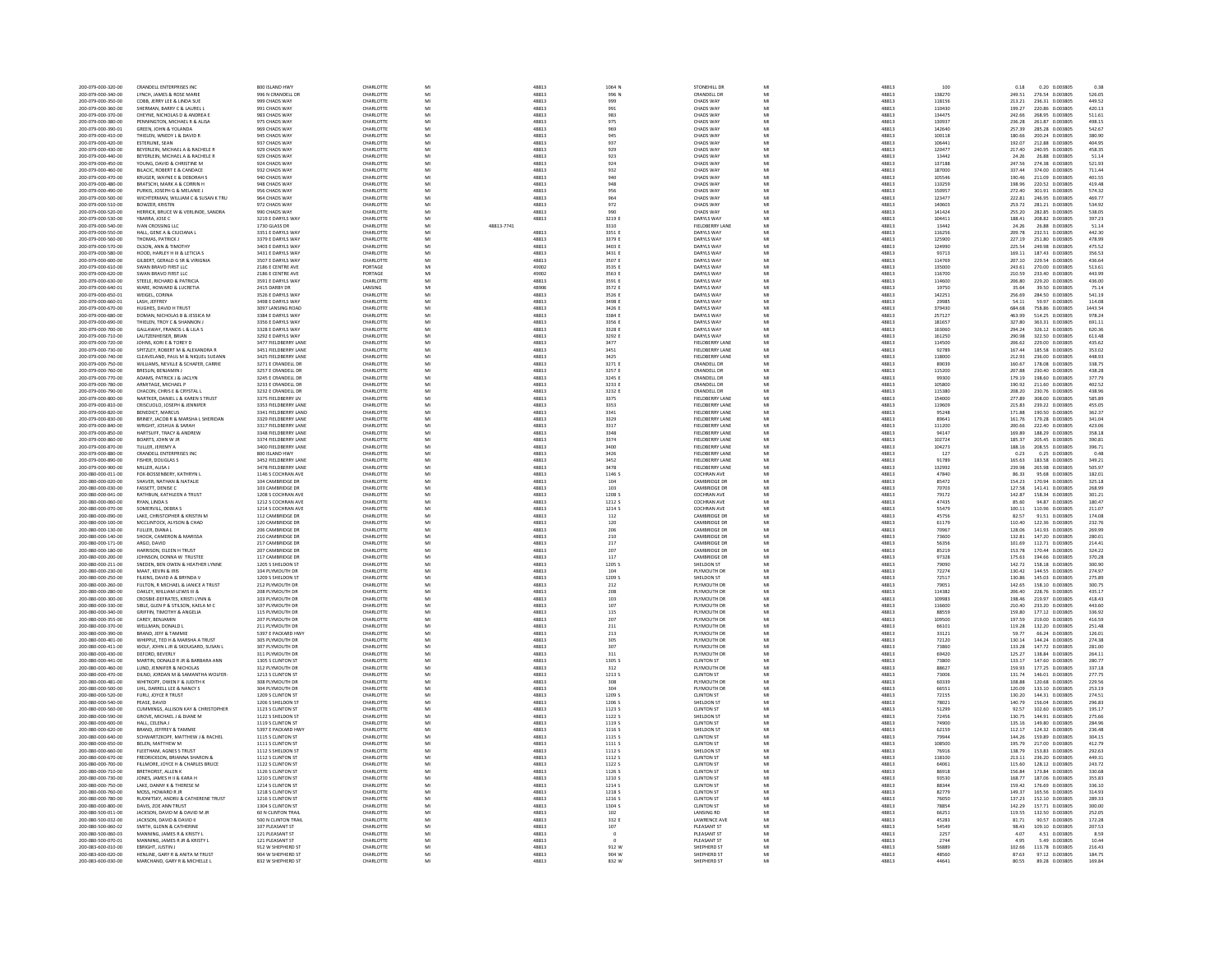| 200-079-000-320-00                       | <b>CRANDELL ENTERPRISES INC</b>                                              | 800 ISLAND HWY                                  | CHARLOTTE                     |          |            | 48813          | 1064 N           | STONEHILL DR                                     | MI<br>MI       | 48813          | 100              | 0.20 0.003805<br>0.18                                  | 0.38                    |
|------------------------------------------|------------------------------------------------------------------------------|-------------------------------------------------|-------------------------------|----------|------------|----------------|------------------|--------------------------------------------------|----------------|----------------|------------------|--------------------------------------------------------|-------------------------|
| 200-079-000-340-00                       | LYNCH, JAMES & ROSE MARIE                                                    | 996 N CRANDELL DR                               | CHARLOTTE                     | MI       |            | 48813          | 996 N            | <b>CRANDELL DR</b>                               |                | 48813          | 138270           | 249.51<br>276.54 0.003805                              | 526.05                  |
| 200-079-000-350-00<br>200-079-000-360-00 | COBB, JERRY LEE & LINDA SUE<br>SHERMAN, BARRY C & LAUREL I                   | 999 CHADS WAY<br>991 CHADS WAY                  | CHARLOTTE<br>CHARLOTTE        | MI       |            | 48813<br>48813 | 999<br>991       | CHADS WAY<br>CHADS WAY                           | MI             | 48813<br>48813 | 118156<br>110430 | 213.21<br>236.31 0.003805<br>199.27<br>220.86 0.003805 | 449.52<br>420.13        |
| 200-079-000-370-00                       | CHEYNE, NICHOLAS D & ANDREA E                                                | 983 CHADS WAY                                   | CHARLOTTE                     | MI       |            | 48813          | 983              | CHADS WAY                                        | MI             | 48813          | 134475           | 242.66<br>268.95 0.003805                              | 511.61                  |
| 200-079-000-380-00                       | PENNINGTON, MICHAEL R & ALISA                                                | 975 CHADS WAY                                   | CHARLOTTE                     | MI       |            | 48813          | 975              | CHADS WAY                                        | MI             | 48813          | 130937           | 236.28<br>261.87 0.003805                              | 498.15                  |
| 200-079-000-390-01                       | GREEN, JOHN & YOLANDA                                                        | 969 CHADS WAY                                   | CHARLOTTE                     | MI       |            | 48813          | 969              | CHADS WAY                                        | MI             | 48813          | 142640           | 257.39<br>285.28 0.003805                              | 542.67                  |
| 200-079-000-410-00                       | <b>THIELEN, WNEDY L &amp; DAVID R</b>                                        | 945 CHADS WAY                                   | CHARLOTTE                     |          |            | 48813          | 945              | CHADS WAY                                        |                | 48813          | 100118           | 180.66<br>200.24 0.003805                              | 380.90                  |
| 200-079-000-420-00                       | ESTERLINE, SEAN                                                              | 937 CHADS WAY                                   | CHARLOTTE                     | MI       |            | 48813          | 937              | CHADS WAY                                        | MI             | 48813          | 106441           | 212.88 0.003805<br>192.07                              | 404.95                  |
| 200-079-000-430-00                       | BEYERLEIN, MICHAEL A & RACHELE R                                             | 929 CHADS WAY                                   | CHARLOTTE                     | MI       |            | 48813          | 929              | CHADS WAY                                        | MI             | 48813          | 120477           | 217.40<br>240.95 0.003805                              | 458.35                  |
| 200-079-000-440-00<br>200-079-000-450-00 | BEYERLEIN, MICHAEL A & RACHELE R<br>YOUNG DAVID & CHRISTINE M                | 929 CHADS WAY<br>924 CHADS WAY                  | CHARLOTTE<br>CHARLOTTE        | MI       |            | 48813<br>48813 | 923<br>924       | CHADS WAY<br>CHADS WAY                           | MI             | 48813<br>48813 | 13442<br>137188  | 26.88 0.003805<br>24.26<br>247.56<br>274.38 0.003805   | 51.14                   |
| 200-079-000-460-00                       | BILACIC, ROBERT E & CANDACE                                                  | 932 CHADS WAY                                   | CHARLOTTE                     | MI       |            | 48813          | 932              | CHADS WAY                                        | MI             | 48813          | 187000           | 374.00 0.003805<br>337.44                              | $\frac{521.93}{711.44}$ |
| 200-079-000-470-00                       | KRUGER, WAYNE E & DEBORAH S                                                  | 940 CHADS WAY                                   | CHARLOTTE                     | MI       |            | 48813          | 940              | CHADS WAY                                        | MI             | 48813          | 105546           | 190.46<br>211.09 0.003805                              | 401.55                  |
| 200-079-000-480-00                       | BRATSCHI, MARK A & CORRIN H                                                  | 948 CHADS WAY                                   | CHARLOTTE                     | MI       |            | 48813          | 948              | CHADS WAY                                        | MI             | 48813          | 110259           | 198.96<br>220.52 0.003805                              | 419.48                  |
| 200-079-000-490-00                       | PURKIS, JOSEPH G & MELANIE J                                                 | 956 CHADS WAY                                   | CHARLOTTE                     |          |            | 48813          | 956              | CHADS WAY                                        |                | 48813          | 150957           | 272.40<br>301.91 0.003805                              | 574.32                  |
| 200-079-000-500-00                       | WICHTERMAN, WILLIAM C & SUSAN K TRU                                          | 964 CHADS WAY                                   | CHARLOTTE                     | MI       |            | 48813          | 964              | CHADS WAY                                        | MI             | 48813          | 123477           | 222.81<br>246.95 0.003805                              | 469.77                  |
| 200-079-000-510-00<br>200-079-000-520-00 | <b>BOWZER, KRISTIN</b><br>HERRICK, BRUCE W & VERLINDE, SANDRA                | 972 CHADS WAY<br>990 CHADS WAY                  | CHARLOTTE<br><b>CHARLOTTE</b> | MI<br>MI |            | 48813<br>48813 | 972<br>990       | CHADS WAY<br>CHADS WAY                           | MI<br>M        | 48813<br>48813 | 140603<br>141424 | 253.72<br>281.21 0.003805<br>255.20<br>282.85 0.003805 | 534.92<br>538.05        |
| 200-079-000-530-00                       | YBARRA, JOSE C                                                               | 3219 E DARYLS WAY                               | CHARLOTTE                     | MI       |            | 48813          | 3219 E           | <b>DARYLS WAY</b>                                | MI             | 48813          | 104411           | 188.41<br>208.82 0.003805                              | 397.23                  |
| 200-079-000-540-00                       | <b>IVAN CROSSING LLC</b>                                                     | 1730 GLASS DR                                   | CHARLOTTE                     | M        | 48813-7741 |                | 3310             | FIELDBERRY LANE                                  | MI             | 48813          | 13442            | 24.26<br>26.88 0.003805                                | 51.14                   |
| 200-079-000-550-00                       | HALL, GENE A & CILICIANA I                                                   | 3351 E DARYLS WAY                               | CHARLOTTE                     | MI       |            | 48813          | 3351 E           | <b>DARYLS WAY</b>                                | MI             | 48813          | 116256           | 209.78<br>232.51 0.003805                              | 442.30                  |
| 200-079-000-560-00                       | THOMAS, PATRICK J                                                            | 3379 E DARYLS WAY                               | CHARLOTTE                     | MI       |            | 48813          | 3379 E           | <b>DARYLS WAY</b>                                | MI             | 48813          | 125900           | 227.19<br>251.80 0.003805                              | 478.99                  |
| 200-079-000-570-00                       | OLSON, ANN & TIMOTHY                                                         | 3403 E DARYLS WAY                               | CHARLOTTE                     |          |            | 48813          | 3403 E           | <b>DARYLS WAY</b>                                | MI             | 48813          | 124990           | 225.54<br>249.98 0.003805                              | 475.52                  |
| 200-079-000-580-00<br>200-079-000-600-00 | HOOD, HARLEY H III & LETICIA S<br>GILBERT, GERALD G SR & VIRIGNIA            | 3431 E DARYLS WAY<br>3507 E DARYLS WAY          | CHARLOTTE<br>CHARLOTTE        | MI<br>MI |            | 48813<br>48813 | 3431 E<br>3507 E | <b>DARYLS WAY</b><br><b>DARYLS WAY</b>           | MI             | 48813<br>48813 | 93713<br>114769  | 169.11<br>187.43 0.003805<br>229.54 0.003805<br>207.10 | 356.53<br>436.64        |
| 200-079-000-610-00                       | SWAN BRAVO FIRST LLC                                                         | 2186 E CENTRE AVE                               | PORTAGE                       | MI       |            | 49002          | 3535 E           | <b>DARYLS WAY</b>                                | MI             | 48813          | 135000           | 243.61<br>270.00 0.003805                              | 513.61                  |
| 200-079-000-620-00                       | SWAN BRAVO FIRST LLC                                                         | 2186 E CENTRE AVE                               | PORTAGE                       | MI       |            | 49002          | 3563 E           | <b>DARYLS WAY</b>                                | MI             | 48813          | 116700           | 210.59<br>233.40 0.003805                              | 443.99                  |
| 200-079-000-630-00                       | STEELE, RICHARD & PATRICI                                                    | 3591 E DARYLS WAY                               | CHARLOTTE                     |          |            | 48813          | 3591 E           | DARYLS WAY                                       |                | 48813          | 114600           | 229.20 0.003805<br>206.80                              | 436.00                  |
| 200-079-000-640-01                       | WARE, HOWARD & LUCRETIA                                                      | 2415 DARRY DR                                   | <b>LANSING</b>                | MI       |            | 48906<br>48813 | 3572 E           | <b>DARYLS WAY</b>                                | MI             | 48813          | 19750            | 39.50 0.003805<br>35.64                                | 75.14<br>541.19         |
| 200-079-000-650-01                       | WEIGEL CORINA                                                                | 3526 E DARYLS WAY                               | CHARLOTTE<br>CHARLOTTE        | M        |            |                | 3526 E           | <b>DARYLS WAY</b>                                | MI<br>MI       | 48813          | 142251           | 256.69<br>284.50 0.003805                              |                         |
| 200-079-000-660-01<br>200-079-000-670-00 | LASH, JEFFREY<br>HUGHES, DAVID H TRUST                                       | 3498 E DARYLS WAY<br>3097 LANSING ROAD          | CHARLOTTE                     | MI<br>MI |            | 48813<br>48813 | 3498 E<br>3426 E | <b>DARYLS WAY</b><br><b>DARYLS WAY</b>           | MI             | 48813<br>48813 | 29985<br>379430  | 59.97 0.003805<br>54.11<br>684.68<br>758.86 0.003805   | 114.08<br>1443.54       |
| 200-079-000-680-00                       | DOMAN, NICHOLAS B & JESSICA M                                                | 3384 E DARYLS WAY                               | CHARLOTTE                     | MI       |            | 48813          | 3384 E           | <b>DARYLS WAY</b>                                | MI             | 48813          | 257127           | 463.99<br>514.25 0.003805                              | 978.24                  |
| 200-079-000-690-00                       | THIELEN, TROY C & SHANNON                                                    | 3356 E DARYLS WAY                               | CHARLOTTE                     | MI       |            | 48813          | 3356 E           | <b>DARYLS WAY</b>                                | MI             | 48813          | 181657           | 363.31 0.003805<br>327.80                              | 691.11                  |
| 200-079-000-700-00                       | <b>GALLAWAY, FRANCIS L &amp; LILA S</b>                                      | 3328 E DARYLS WAY                               | CHARLOTTE                     | MI       |            | 48813          | 3328 E           | <b>DARYLS WAY</b>                                | MI             | 48813          | 163060           | 294.24<br>326.12 0.003805                              | 620.36                  |
| 200-079-000-710-00                       | LAUTZENHEISER, BRIAN                                                         | 3292 E DARYLS WAY                               | CHARLOTTE                     |          |            | 48813          | 3292 E           | <b>DARYLS WAY</b>                                |                | 48813          | 161250           | 322.50 0.003805<br>290.98                              | 613.48                  |
| 200-079-000-720-00<br>200-079-000-730-00 | JOHNS, KORI E & TOREY D<br>SPITZLEY, ROBERT M & ALEXANDRA R                  | 3477 FIELDBERRY LANE<br>3451 FIELDBERRY LANE    | CHARLOTTE<br>CHARLOTTE        | MI<br>MI |            | 48813<br>48813 | 3477<br>3451     | <b>FIELDBERRY LANE</b><br><b>FIELDBERRY LANE</b> | MI<br>MI       | 48813<br>48813 | 114500<br>92789  | 206.62<br>229.00 0.003805<br>167.44<br>185.58 0.003805 | 435.62<br>353.02        |
| 200-079-000-740-00                       | CLEAVELAND, PAUL M & NIQUEL SUEANN                                           | 3425 FIELDBERRY LANE                            | CHARLOTTE                     | MI       |            | 48813          | 3425             | <b>FIELDBERRY LAN</b>                            | MI             | 48813          | 118000           | 212.93<br>236.00 0.003805                              | 448.93                  |
| 200-079-000-750-00                       | WILLIAMS, NEVILLE & SCHAFER, CARRIE                                          | 3271 E CRANDELL DR                              | CHARLOTTE                     | MI       |            | 48813          | 3271 E           | <b>CRANDELL DR</b>                               | MI             | 48813          | 89039            | 160.67<br>178.08 0.003805                              | 338.75                  |
| 200-079-000-760-00                       | BRESLIN, BENJAMIN J                                                          | 3257 E CRANDELL DR                              | CHARLOTTE                     | MI       |            | 48813          | 3257 E           | CRANDELL DF                                      | MI             | 48813          | 115200           | 230.40 0.003805<br>207.88                              | 438.28                  |
| 200-079-000-770-00                       | ADAMS, PATRICK J & JACLYN                                                    | 3245 E CRANDELL DR                              | CHARLOTTE                     | MI       |            | 48813          | 3245 F           | CRANDELL DR                                      | MI             | 48813          | 99300            | 179.19<br>198.60 0.003805                              | 377.79                  |
| 200-079-000-780-00                       | ARMITAGE, MICHAEL P                                                          | 3233 E CRANDELL DR                              | CHARLOTTE                     | MI       |            | 48813          | 3233 E           | CRANDELL DF                                      | MI             | 48813          | 105800           | 211.60 0.003805<br>190.92                              | 402.52                  |
| 200-079-000-790-00                       | CHACON, CHRIS E & CRYSTAL L                                                  | 3232 E CRANDELL DR                              | <b>CHARLOTTE</b>              | MI       |            | 48813          | 3232 E           | CRANDELL DF                                      | MI             | 48813          | 115380           | 230.76 0.003805<br>208.20                              | 438.96                  |
| 200-079-000-800-00<br>200-079-000-810-00 | NARTKER, DANIEL L & KAREN S TRUST<br>CRISCUOLO, JOSEPH & JENNIFER            | 3375 FIELDBERRY LN<br>3353 FIELDBERRY LANE      | CHARLOTTE<br>CHARLOTTE        | MI<br>MI |            | 48813<br>48813 | 3375<br>3353     | <b>FIELDBERRY LANE</b><br><b>FIELDBERRY LANE</b> | MI<br>MI       | 48813<br>48813 | 154000<br>119609 | 277.89<br>308.00 0.003805<br>215.83<br>239.22 0.003805 | 585.89<br>455.05        |
| 200-079-000-820-00                       | BENEDICT, MARCUS                                                             | 3341 FIELDBERRY LAND                            | CHARLOTTE                     | MI       |            | 48813          | 3341             | <b>FIELDBERRY LANE</b>                           | MI             | 48813          | 95248            | 171.88<br>190.50 0.003805                              | 362.37                  |
| 200-079-000-830-00                       | BRINEY, JACOB R & MARSHA L SHERIDAN                                          | 3329 FIELDBERRY LANE                            | CHARLOTTE                     | MI       |            | 48813          | 3329             | <b>FIELDBERRY LANE</b>                           | MI             | 48813          | 89641            | 161.76<br>179.28 0.003805                              | 341.04                  |
| 200-079-000-840-00                       | <b>NRIGHT, JOSHUA &amp; SARAH</b>                                            | 3317 FIELDBERRY LANE                            | CHARLOTTI                     |          |            | 48813          | 3317             | FIELDBERRY LANE                                  | M <sub>1</sub> | 48813          | 111200           | 200.66<br>222.40 0.003805                              | 423.06                  |
| 200-079-000-850-00                       | HARTSUFF, TRACY & ANDREW                                                     | 3348 FIELDBERRY LANE                            | CHARLOTTE                     | MI       |            | 48813          | 3348             | <b>FIELDBERRY LANE</b>                           | MI             | 48813          | 94147            | 169.89<br>188.29 0.003805                              | 358.18                  |
| 200-079-000-860-00                       | BOARTS, JOHN W JR<br>TULLER, JEREMY A                                        | 3374 FIELDBERRY LANE                            | CHARLOTTE<br><b>CHARLOTTE</b> | MI<br>M  |            | 48813<br>48813 | 3374<br>3400     | <b>FIELDBERRY LANE</b>                           | MI<br>MI       | 48813<br>48813 | 102724           | 205.45 0.003805<br>185.37                              | 390.81                  |
| 200-079-000-870-00<br>200-079-000-880-00 | <b>CRANDELL ENTERPRISES INC</b>                                              | 3400 FIELDBERRY LANE<br>800 ISLAND HWY          | CHARLOTTE                     | MI       |            | 48813          | 3426             | FIELDBERRY LANE<br><b>FIELDBERRY LANE</b>        | MI             | 48813          | 104273<br>127    | 208.55 0.003805<br>188.16<br>0.23<br>0.25 0.003805     | 396.71<br>0.48          |
| 200-079-000-890-00                       | FISHER, DOUGLAS S                                                            | 3452 FIELDBERRY LANE                            | CHARLOTTE                     |          |            | 48813          | 3452             | FIELDBERRY LANE                                  | MI             | 48813          | 91789            | 165.63<br>183.58 0.003805                              | 349.21                  |
| 200-079-000-900-00                       | MILLER, ALISA J                                                              | 3478 FIELDBERRY LANE                            | CHARLOTTE                     | MI       |            | 48813          | 3478             | <b>FIELDBERRY LANE</b>                           | MI             | 48813          | 132992           | 239.98<br>265.98 0.003805                              | 505.97                  |
| 200-080-000-011-00                       | FOX-BOSSENBERY, KATHRYN L                                                    | 1146 S COCHRAN AVE                              | CHARLOTTE                     | MI       |            | 48813          | 1146 S           | <b>COCHRAN AVE</b>                               | MI             | 48813          | 47840            | 95.68 0.003805<br>86.33                                | 182.01                  |
| 200-080-000-020-00                       | SHAVER, NATHAN & NATALIE                                                     | 104 CAMBRIDGE DR                                | CHARLOTTE                     |          |            | 48813          | 104              | CAMBRIDGE DR                                     | MI             | 48813          | 85472            | 154.23<br>170.94 0.003805                              | 325.18                  |
| 200-080-000-030-00                       | FASSETT, DENISE C                                                            | 103 CAMBRIDGE DR                                | CHARLOTTE<br>CHARLOTTE        | MI<br>MI |            | 48813          | 103<br>1208 S    | <b>CAMBRIDGE DR</b><br>COCHRAN AVE               | MI<br>MI       | 48813<br>48813 | 70703            | 127.58<br>141.41 0.003805<br>142.87                    | 268.99<br>301.21        |
| 200-080-000-041-00<br>200-080-000-060-00 | RATHBUN, KATHLEEN A TRUST<br>RYAN, LINDA S                                   | 1208 S COCHRAN AVE<br>1212 S COCHRAN AVE        | CHARLOTTE                     | MI       |            | 48813<br>48813 | 1212 S           | COCHRAN AVE                                      | MI             | 48813          | 79172<br>47435   | 158.34 0.003805<br>94.87 0.003805<br>85.60             | 180.47                  |
| 200-080-000-070-00                       | SOMERVILL, DEBRA S                                                           | 1214 S COCHRAN AVE                              | CHARLOTTE                     | MI       |            | 48813          | 1214 S           | <b>COCHRAN AVE</b>                               | MI             | 48813          | 55479            | 100.11<br>110.96 0.003805                              | 211.07                  |
| 200-080-000-090-00                       | LAKE, CHRISTOPHER & KRISTIN M                                                | 112 CAMBRIDGE DR                                | CHARLOTTE                     | MI       |            | 48813          | 112              | CAMBRIDGE DF                                     | MI             | 48813          | 45756            | 82.57<br>91.51 0.003805                                | 174.08                  |
| 200-080-000-100-00                       | MCCLINTOCK, ALYSON & CHAD                                                    | 120 CAMBRIDGE DR                                | CHARLOTTE                     | MI       |            | 48813          | 120              | <b>CAMBRIDGE DR</b>                              | MI             | 48813          | 61179            | 110.40<br>122.36 0.003805                              | 232.76                  |
| 200-080-000-130-00                       | FULLER, DIANA L                                                              | 206 CAMBRIDGE DR                                | CHARLOTTE                     | MI       |            | 48813          | 206              | CAMBRIDGE DR                                     | MI             | 48813          | 70967            | 128.06<br>141.93 0.003805                              | 269.99                  |
| 200-080-000-140-00                       | SHOOK, CAMERON & MARISSA                                                     | 210 CAMBRIDGE DR                                | CHARLOTTI                     | MI       |            | 48813          | 210              | CAMBRIDGE DR                                     | MI             | 48813          | 73600            | 132.81<br>147.20 0.003805                              | 280.01                  |
| 200-080-000-171-00<br>200-080-000-180-00 | ARGO, DAVID<br>HARRISON, EILEEN H TRUST                                      | 217 CAMBRIDGE DR<br>207 CAMBRIDGE DR            | CHARLOTTE<br>CHARLOTTE        | MI<br>MI |            | 48813<br>48813 | 217<br>207       | <b>CAMBRIDGE DR</b><br>CAMBRIDGE DR              | MI<br>MI       | 48813<br>48813 | 56356<br>85219   | 101.69<br>112.71 0.003805<br>153.78<br>170.44 0.003805 | 214.41<br>324.22        |
| 200-080-000-200-00                       | <b>IOHNSON DONNA W TRUSTEE</b>                                               | 117 CAMBRIDGE DR                                | CHARLOTTE                     | MI       |            | 48813          | 117              | CAMBRIDGE DR                                     | MI             | 48813          | 97328            | 175.63<br>194.66 0.003805                              | 370.28                  |
| 200-080-000-211-00                       | SNEDEN, BEN OWEN & HEATHER LYNNE                                             | 1205 S SHELDON ST                               | CHARLOTTE                     | MI       |            | 48813          | 1205 S           | SHELDON ST                                       | MI             | 48813          | 79090            | 158.18 0.003805<br>142.72                              | 300.90                  |
| 200-080-000-230-00                       | MAAT, KEVIN & IRIS                                                           | 104 PLYMOUTH DR                                 | CHARLOTTE                     | MI       |            | 48813          | 104              | PLYMOUTH DR                                      | MI             | 48813          | 72274            | 130.42<br>144.55 0.003805                              | 274.97                  |
| 200-080-000-250-00                       | FILKINS, DAVID A & BRYNDA \                                                  | 1209 S SHELDON ST                               | CHARLOTTE                     | MI       |            | 48813          | 1209 S           | SHELDON ST                                       | MI             | 48813          | 72517            | 130.86<br>145.03 0.003805                              | 275.89                  |
| 200-080-000-260-00                       | FULTON, R MICHAEL & JANICE A TRUST                                           | 212 PLYMOUTH DR                                 | CHARLOTTE<br><b>CHARLOTTE</b> | MI<br>MI |            | 48813          | 212              | PLYMOUTH DR<br>PLYMOUTH DR                       | MI<br>M        | 48813          | 79051            | 158.10 0.003805<br>142.65                              | 300.75                  |
| 200-080-000-280-00<br>200-080-000-300-00 | OAKLEY, WILLIAM LEWIS III &<br>CROSBIE-DEFRATES, KRISTI LYNN &               | 208 PLYMOUTH DR<br>103 PLYMOUTH DR              | CHARLOTTE                     | MI       |            | 48813<br>48813 | 208<br>103       | PLYMOUTH DR                                      | MI             | 48813<br>48813 | 114382<br>109983 | 206.40<br>228.76 0.003805<br>219.97 0.003805<br>198.46 | 435.17<br>418.43        |
| 200-080-000-330-00                       | SIBLE, GLEN P & STILSON, KAELA M C                                           | 107 PLYMOUTH DR                                 | CHARLOTTI                     |          |            | 48813          | 107              | PLYMOUTH DI                                      | MI             | 48813          | 116600           | 210.40<br>233.20 0.003805                              | 443.60                  |
| 200-080-000-340-00                       | GRIFFIN TIMOTHY & ANGELIA                                                    | 115 PLYMOUTH DR                                 | CHARLOTTE                     | MI       |            | 48813          | 115              | PLYMOUTH DR                                      | MI             | 48813          | 88559            | 159.80<br>177.12 0.003805                              | 336.92                  |
| 200-080-000-355-00                       | CAREY, BENJAMIN                                                              | 207 PLYMOUTH DR                                 | CHARLOTTE                     | MI       |            | 48813          | 207              | PLYMOUTH DR                                      | MI             | 48813          | 109500           | 197.59<br>219.00 0.003805                              | 416.59                  |
| 200-080-000-370-00<br>200-080-000-390-00 | VELLMAN, DONALD<br><b>BRAND, JEFF &amp; TAMMIE</b>                           | 211 PLYMOUTH DR<br>5397 E PACKARD HWY           | CHARLOTTE<br>CHARLOTTE        | MI<br>MI |            | 48813<br>48813 | 211<br>213       | PLYMOUTH DR<br>PLYMOUTH DR                       | MI<br>MI       | 48813<br>48813 | 66101<br>33121   | 119.28<br>132.20 0.003805<br>59.77<br>66.24 0.003805   | 251.48<br>126.01        |
| 200-080-000-401-00                       | WHIPPLE, TED H & MARSHA A TRUST                                              | 305 PLYMOUTH DR                                 | CHARLOTT                      |          |            | 48813          | 305              | PLYMOUTH DI                                      |                | 48813          | 72120            | 130.14<br>144.24 0.003805                              | 274.38                  |
| 200-080-000-411-00                       | WOLF, JOHN LJR & SKOUGARD, SUSAN I                                           | 307 PLYMOUTH DR                                 | CHARLOTTE                     | MI       |            | 48813          | 307              | PLYMOUTH DR                                      | MI             | 48813          | 73860            | 133.28<br>147.72 0.003805                              | 281.00                  |
| 200-080-000-430-00                       | DEFORD, BEVERLY                                                              | 311 PLYMOUTH DR                                 | CHARLOTTE                     | MI       |            | 48813          | 311              | PLYMOUTH DR                                      | MI             | 48813          | 69420            | 138.84 0.003805<br>125.27                              | 264.11                  |
| 200-080-000-441-00                       | MARTIN, DONALD R JR & BARBARA ANN                                            | 1305 S CLINTON ST                               | CHARLOTTE                     |          |            | 48813          | 1305 S           | <b>CLINTON ST</b>                                | MI             | 48813          | 73800            | 133.17<br>147.60 0.003805                              | 280.77                  |
| 200-080-000-460-00                       | LUND. JENNIFER & NICHOLAS<br>DILNO, JORDAN M & SAMANTHA WOLFER               | 312 PLYMOUTH DR<br>1213 S CLINTON ST            | CHARLOTTE<br>CHARLOTTE        | MI<br>MI |            | 48813          | 312              | PLYMOUTH DR<br><b>CLINTON ST</b>                 | MI<br>MI       | 48813<br>48813 | 88627<br>73006   | 159.93<br>177.25 0.003805                              | 337.18<br>277.75        |
| 200-080-000-470-00<br>200-080-000-481-00 | WHITKOPF, OWEN F & JUDITH I                                                  | 308 PLYMOUTH DR                                 | CHARLOTTE                     |          |            | 48813<br>48813 | 1213 S<br>308    | PLYMOUTH DR                                      |                | 48813          | 60339            | 131.74<br>146.01 0.003805<br>108.88<br>120.68 0.003805 | 229.56                  |
| 200-080-000-500-00                       | UHL, DARRELL LEE & NANCY S                                                   | 304 PLYMOUTH DR                                 | CHARLOTTE                     | MI       |            | 48813          | 304              | PLYMOUTH DR                                      | MI<br>MI       | 48813          | 66551            | 120.09<br>133.10 0.003805                              | 253.19                  |
| 200-080-000-520-00                       | FURU, JOYCE R TRUST                                                          | 1209 S CLINTON ST                               | CHARLOTTI                     | MI       |            | 48813          | 1209 S           | <b>CLINTON ST</b>                                | MI             | 48813          | 72155            | 130.20<br>144.31 0.003805                              | 274.51                  |
| 200-080-000-540-00                       | PEASE DAVID                                                                  | 1206 S SHELDON ST                               | CHARLOTTE                     | MI       |            | 48813          | 1206.5           | SHELDON ST                                       | MI             | 48813          | 78021            | 140.79<br>156.04 0.003805                              | 296.83                  |
| 200-080-000-560-00<br>200-080-000-590-00 | CUMMINGS, ALLISON KAY & CHRISTOPHER<br>GROVE, MICHAEL J & DIANE N            | 1123 S CLINTON ST<br>1122 S SHELDON ST          | CHARLOTTE<br>CHARLOTTI        | MI<br>MI |            | 48813<br>48813 | 1123 S<br>1122 5 | <b>CLINTON ST</b><br>SHELDON ST                  | MI<br>MI       | 48813<br>48813 | 51299<br>72456   | 102.60 0.003805<br>92.57<br>130.75<br>144.91 0.003805  | 195.17<br>275.66        |
| 200-080-000-600-00                       | HALL CELENA J                                                                | 1119 S CLINTON ST                               | CHARLOTTE                     | MI       |            | 48813          | 1119 S           | <b>CLINTON ST</b>                                | MI             | 48813          | 74900            | 135.16<br>149.80 0.003805                              | 284.96                  |
| 200-080-000-620-00                       | <b>BRAND, JEFFREY &amp; TAMMII</b>                                           | 5397 E PACKARD HW                               | CHARLOTTI                     |          |            | 48813          | 1116 S           | SHELDON ST                                       |                | 48813          | 62159            | 124.32 0.003805<br>112.17                              | 236.48                  |
| 200-080-000-640-00                       | SCHWARTZKOPE MATTHEW I & RACHEL                                              | 1115 SCHNTON ST                                 | CHARLOTTE                     | MI       |            | 48813          | 1115.5           | CLINTON ST                                       | MI             | 48813          | 79944            | 144.26<br>159.89 0.003805                              | 304.15                  |
| 200-080-000-650-00                       | BELEN, MATTHEW M                                                             | 1111 S CLINTON ST                               | CHARLOTTE                     | MI       |            | 48813          | 1111 S           | <b>CLINTON ST</b>                                | MI             | 48813          | 108500           | 195.79<br>217.00 0.003805                              | 412.79                  |
| 200-080-000-660-00                       | FLEETHAM, AGNES S TRUST                                                      | 1112 S SHELDON ST                               | CHARLOTTE                     |          |            | 48813          | 1112 S           | SHELDON ST                                       | MI             | 48813          | 76916            | 138.79<br>153.83 0.003805                              | 292.63                  |
| 200-080-000-670-00<br>200-080-000-700-00 | <b>FREDRICKSON BRIANNA SHARON &amp;</b><br>FILLMORE, JOYCE H & CHARLES BRUCE | 1112 S CLINTON ST<br>1122 S CLINTON ST          | CHARLOTTE<br>CHARLOTTE        | MI<br>MI |            | 48813<br>48813 | 1112.5<br>1122 S | CUNTON ST<br><b>CLINTON ST</b>                   | MI<br>MI       | 48813<br>48813 | 118100<br>64061  | 213.11<br>236.20 0.003805<br>128.12 0.003805           | 449.31<br>243.72        |
| 200-080-000-710-00                       | <b>RRETHORST ALLEN K</b>                                                     | 1126 S CLINTON ST                               | CHARLOTTE                     | MI       |            | 48813          | 1126.5           | CLINTON ST                                       | MI             | 48813          | 86918            | 115.60<br>156.84<br>173.84 0.003805                    | 330.68                  |
| 200-080-000-730-00                       | JONES, JAMES H II & KARA I                                                   | 1210 S CLINTON ST                               | CHARLOTTE                     | MI       |            | 48813          | 1210 S           | <b>CLINTON ST</b>                                | MI             | 48813          | 93530            | 168.77<br>187.06 0.003805                              | 355.83                  |
| 200-080-000-750-00                       | LAKE, DANNY K & THERESE M                                                    | 1214 S CLINTON ST                               | CHARLOTTI                     |          |            | 48813          | 1214 S           | <b>CLINTON ST</b>                                |                | 48813          | 88344            | 159.42<br>176.69 0.003805                              | 336.10                  |
| 200-080-000-760-00                       | MOSS HOWARD R IR                                                             | 1218 S CLINTON ST                               | CHARLOTTE                     | MI       |            | 48813          | 1218.5           | CLINTON ST                                       | MI             | 48813          | 82779            | 149 37<br>165.56 0.003805                              | 314.93                  |
| 200-080-000-780-00                       | RUDNITSKY, ANDRIJ & CATHERENE TRUST                                          | 1216 S CLINTON ST                               | CHARLOTTE                     | MI       |            | 48813          | 1216 S           | <b>CLINTON ST</b>                                | MI             | 48813          | 76050            | 137.23<br>152.10 0.003805                              | 289.33                  |
| 200-080-000-800-00                       | DAVIS, ZOE ANN TRUST<br>JACKSON, DAVID M & DAVID M JR                        | 1304 S CLINTON ST                               | CHARLOTTI                     | MI       |            | 48813          | 1304 S           | <b>CLINTON ST</b>                                | MI<br>Mi       | 48813          | 78854            | 142.29<br>157.71 0.003805                              | 300.00                  |
| 200-080-500-011-00<br>200-080-500-032-00 | JACKSON, DAVID & DAVID I                                                     | <b>60 N CLINTON TRAIL</b><br>500 N CLINTON TRAI | CHARLOTTE<br>CHARLOTTI        |          |            | 48813<br>48813 | 102<br>332 E     | <b>LANSING RD</b><br><b>LAWRENCE AVI</b>         |                | 48813<br>48813 | 66251<br>45283   | 119.55<br>132.50 0.003805<br>90.57 0.003805<br>81.71   | 252.05<br>172.28        |
| 200-080-500-060-02                       | SMITH GLENN & CATHERINE                                                      | 107 PLEASANT ST                                 | CHARLOTTE                     | MI       |            | 48813          | 107              | PLEASANT ST                                      | MI             | 48813          | 54549            | 98.43<br>109.10 0.003805                               | 207.53                  |
|                                          |                                                                              |                                                 |                               |          |            | 48813          |                  |                                                  | MI             | 48813          |                  |                                                        | 8.59                    |
| 200-080-500-060-03                       | MANNING, JAMES R & KRISTY L                                                  | 121 PLEASANT ST                                 | CHARLOTTE                     | MI       |            |                | $^{\circ}$       | PLEASANT ST                                      |                |                | 2257             | 4.07<br>4.51 0.003805                                  |                         |
| 200-080-500-070-01                       | MANNING, JAMES R JR & KRISTY                                                 | 121 PLEASANT ST                                 | CHARLOTTI                     |          |            | 48813          |                  | PLEASANT ST                                      |                | 48813          | 2744             | 4.95<br>5.49 0.003805                                  | 10.44                   |
| 200-083-600-010-00                       | FRRIGHT ILISTIN I                                                            | 912 W SHEPHERD ST                               | CHARLOTTE                     | MI       |            | 48813          | 912 W            | SHEPHERD ST                                      | MI             | 48813          | 98832            | 102.66<br>113,78 0.003805                              | 216.43                  |
| 200-083-600-020-00                       | HENLINE, GARY R & ANITA M TRUST                                              | 904 W SHEPHERD ST                               | CHARLOTTE                     |          |            | 48813          | 904 W            | SHEPHERD ST                                      | MI             | 48813          | 48560            | 97.12 0.003805<br>87.63                                | 184.75                  |
| 200-083-600-030-00                       | MARCHAND, GARY R & MICHELLE L                                                | 832 W SHEPHERD ST                               | CHARLOTTE                     |          |            | 48813          | 832 W            | SHEPHERD ST                                      | MI             | 48813          | 44641            | 80.55<br>89.28 0.003805                                | 169.84                  |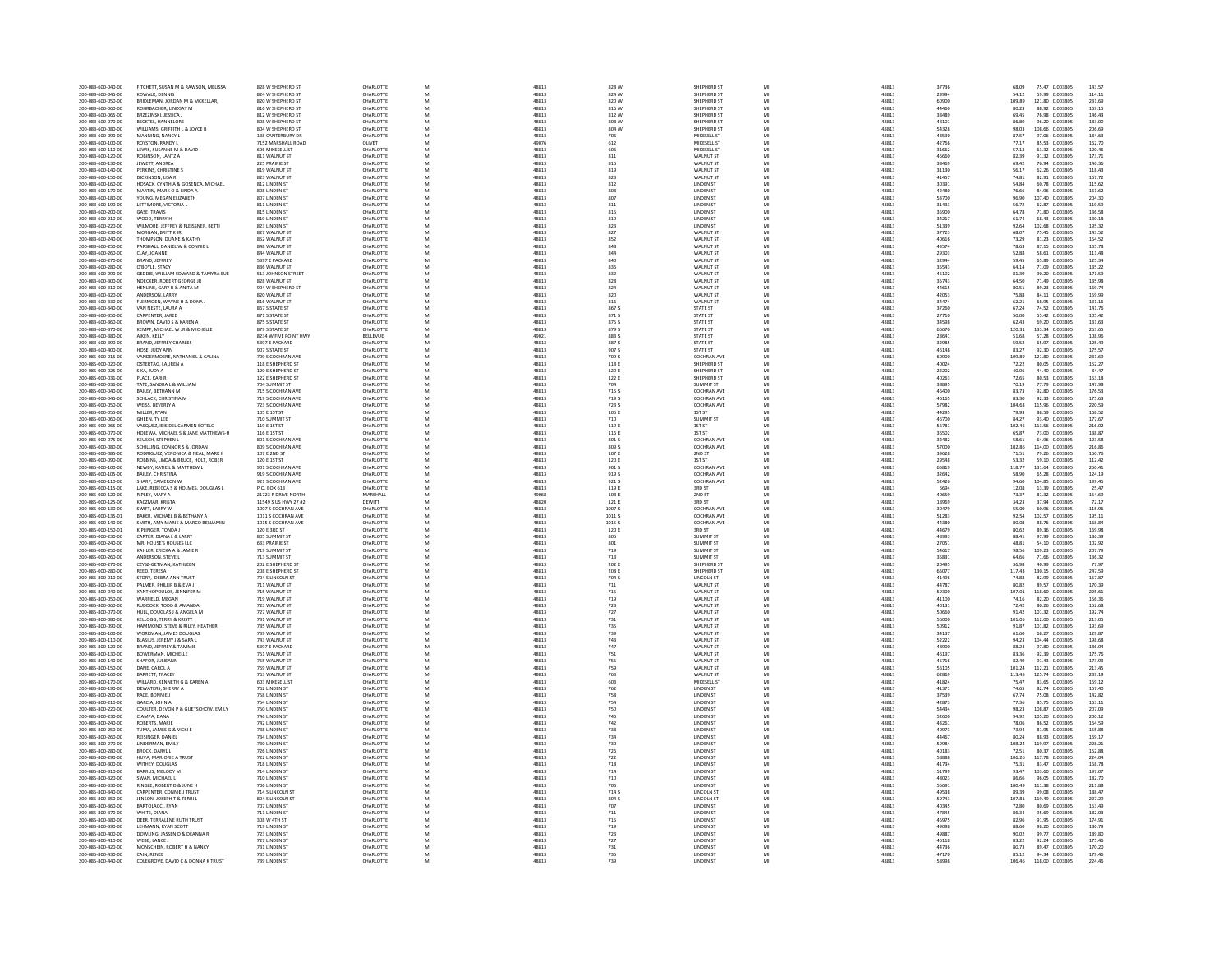| 200-083-600-040-00                       | FITCHETT, SUSAN M & RAWSON, MELISSA                        | 828 W SHEPHERD ST                             | CHARLOTTI              | MI       | 48813          | 828 W          | SHEPHERD ST                          | MI       | 48813                   | 37736                   | 68.09           | 75.47 0.003805                     | 143.57                    |
|------------------------------------------|------------------------------------------------------------|-----------------------------------------------|------------------------|----------|----------------|----------------|--------------------------------------|----------|-------------------------|-------------------------|-----------------|------------------------------------|---------------------------|
| 200-083-600-045-00                       | KOWALK, DENNIS                                             | 824 W SHEPHERD ST                             | CHARLOTTE              | MI       | 48813          | 824 W          | SHEPHERD ST                          | MI       | 48813                   | 29994                   | 54.12           | 59.99 0.003805                     | 114.11                    |
| 200-083-600-050-00<br>200-083-600-060-00 | BRIDLEMAN, JORDAN M & MCKELLAR<br>ROHRBACHER LINDSAY M     | 820 W SHEPHERD S'<br><b>R16 W SHEPHERD ST</b> | CHARLOTTI<br>CHARLOTTE | MI<br>MI | 48813<br>48813 | 820 W<br>816 W | SHEPHERD ST<br>SHEPHERD ST           | MI       | 48813<br>48813          | 60900<br>44460          | 109.89<br>80.23 | 121.80 0.003805<br>88.92 0.003805  | 231.69<br>169.15          |
| 200-083-600-065-00                       | BRZEZINSKI, JESSICA J                                      | 812 W SHEPHERD ST                             | CHARLOTTE              | MI       | 48813          | 812 W          | SHEPHERD ST                          | MI       | 48813                   | 38489                   | 69.45           | 76.98 0.003805                     | 146.43                    |
| 200-083-600-070-00                       | BECKTEL, HANNELOR                                          | 808 W SHEPHERD ST                             | CHARLOTTE              | MI       | 48813          | 808 W          | SHEPHERD ST                          | MI       | 48813                   | 48101                   | 86.80           | 96.20 0.003805                     | 183.00                    |
| 200-083-600-080-00                       | WILLIAMS, GRIFFITH L & JOYCE B                             | 804 W SHEPHERD ST                             | CHARLOTTE              | MI       | 48813          | 804 W          | SHEPHERD ST                          | MI       | 48813                   | 54328                   | 98.03           | 108.66 0.003805                    | 206.69                    |
| 200-083-600-090-00                       | MANNING, NANCY L                                           | 138 CANTERBURY DR                             | CHARLOTTE              |          | 48813          | 706            | MIKESELL ST                          |          | 48813                   | 48530                   | 87.5            | 97.06 0.003805                     | 184.63                    |
| 200-083-600-100-00                       | <b>ROYSTON RANDY I</b>                                     | 7152 MARSHALL ROAD                            | <b>OLIVET</b>          | MI       | 49076          | 612            | MIKESELL ST                          | MI       | 48813                   | 42766                   | 77 17           | 85.53 0.003805                     | 162.70                    |
| 200-083-600-110-00                       | LEWIS, SUSANNE M & DAVID                                   | 606 MIKESELL ST                               | CHARLOTTI              | MI       | 48813          | 606            | MIKESELL ST                          | MI       | 48813                   | 31662                   | 57.13           | 63.32 0.003805                     | 120.46                    |
| 200-083-600-120-00                       | ROBINSON, LANTZ A                                          | 811 WALNUT ST                                 | CHARLOTTI              | MI       | 48813          | 811            | WALNUT ST                            |          | 4881                    | 45660                   | 82.39           | 91.32 0.003805                     | 173.71                    |
| 200-083-600-130-00                       | <b>IFWETT ANDREA</b>                                       | 225 PRAIRIE ST                                | CHARLOTTE              | MI       | 48813          | 815            | WALNUT ST                            | MI       | 48813                   | 38469                   | 69.42           | 76.94 0.003805                     | 146.36                    |
| 200-083-600-140-00                       | PERKINS, CHRISTINE !                                       | 819 WALNUT ST                                 | CHARLOTTI              | MI       | 48813          | 819            | WALNUT ST                            |          | 48813                   | 31130                   | 56.17           | 62.26 0.003805                     | 118.43                    |
| 200-083-600-150-00                       | DICKINSON, LISA R                                          | 823 WALNUT ST                                 | CHARLOTTI              | MI       | 48813          | 823            | WALNUT ST                            | MI       | 48813                   | 41457                   | 74.81           | 82.91 0.003805                     | 157.72                    |
| 200-083-600-160-00                       | HOSACK, CYNTHIA & GOSENCA, MICHAEL                         | 812 LINDEN ST                                 | CHARLOTTE              | MI       | 48813          | 812            | <b>LINDEN ST</b>                     | MI       | 48813                   | 30391                   | 54.84           | 60.78 0.003805                     | 115.62                    |
| 200-083-600-170-00<br>200-083-600-180-00 | MARTIN, MARK O & LINDA A<br>YOUNG MEGAN FUZARETH           | 808 LINDEN ST<br>807 LINDEN ST                | CHARLOTTI<br>CHARLOTTE | MI<br>MI | 48813<br>48813 | 808<br>807     | LINDEN ST<br><b>LINDEN ST</b>        | MI       | 48813<br>48813          | 42480<br>53700          | 76.66<br>96.90  | 84.96 0.003805<br>107.40 0.003805  | 161.62<br>204.30          |
|                                          |                                                            |                                               |                        |          |                |                |                                      |          |                         |                         |                 |                                    |                           |
| 200-083-600-190-00<br>200-083-600-200-00 | LETTIMORE, VICTORIA L<br><b>GASE, TRAVIS</b>               | 811 LINDEN ST<br>815 LINDEN ST                | CHARLOTTE<br>CHARLOTTE | MI<br>MI | 48813<br>48813 | 811<br>815     | <b>LINDEN ST</b><br><b>INDENST</b>   | MI<br>MI | 48813<br>48813          | 31433<br>35900          | 56.72<br>64.78  | 62.87 0.003805<br>71.80 0.003805   | 119.59<br>136.58          |
| 200-083-600-210-00                       | WOOD, TERRY H                                              | 819 LINDEN ST                                 | CHARLOTTI              | MI       | 48813          | 819            | <b>LINDEN ST</b>                     | MI       | 48813                   | 34217                   | 61.74           | 68.43 0.003805                     | 130.18                    |
| 200-083-600-220-00                       | WILMORE, JEFFREY & FLEISSNER, BETT                         | 823 LINDEN S'                                 | CHARLOTTI              |          | 48813          | 823            | LINDEN ST                            |          | 4881                    | 51339                   | 92.64           | 102.68 0.003805                    | 195.32                    |
| 200-083-600-230-00                       | MORGAN RRITT K IR                                          | 827 WALNUT ST                                 | CHARLOTTE              | MI       | 48813          | 827            | WALNUT ST                            | MI       | 48813                   | 37723                   | 68.07           | 75.45 0.003805                     | 143.52                    |
| 200-083-600-240-00                       | THOMPSON, DUANE & KATHY                                    | 852 WALNUT ST                                 | CHARLOTTE              | MI       | 48813          | 852            | WALNUT ST                            | MI       | 48813                   | 40616                   | 73.29           | 81.23 0.003805                     | 154.52                    |
| 200-083-600-250-00                       | PARSHALL, DANIEL W & CONNIE L                              | 848 WALNUT ST                                 | CHARLOTTI              |          | 48813          | 848            | WALNUT S                             |          | 4881                    | 43574                   | 78.63           | 87.15 0.003805                     | 165.78                    |
| 200-083-600-260-00                       | CLAY, JOANNE                                               | 844 WALNUT ST                                 | CHARLOTTE              | MI       | 48813          | 844            | WALNUT ST                            | MI       | 48813                   | 29303                   | 52.88           | 58.61 0.003805                     | 111.48                    |
| 200-083-600-270-00                       | BRAND, JEFFREY                                             | 5397 E PACKARD                                | CHARLOTTI              |          | 48813          | 840            | WALNUT ST                            |          | 48813                   | 32944                   | 59.45           | 65.89 0.003805                     | 125.34                    |
| 200-083-600-280-00                       | O'ROYLE STACY                                              | 836 WALNUT ST                                 | CHARLOTTE              | MI       | 48813          | 836            | WALNUT ST                            | MI       | 48813                   | 35543                   | 64.14           | 71.09 0.003805                     | 135.22                    |
| 200-083-600-290-00                       | GEDDIE, WILLIAM EDWARD & TAMYRA SUE                        | 513 JOHNSON STREET                            | CHARLOTTE              | MI       | 48813          | 832            | WALNUT ST                            | MI       | 48813                   | 45102                   | 81.39           | 90.20 0.003805                     | 171.59                    |
| 200-083-600-300-00                       | NOECKER, ROBERT GEORGE JR                                  | 828 WALNUT ST                                 | CHARLOTTI              | MI       | 48813          | 828            | WALNUT ST                            | MI       | 4881                    | 35743                   | 64.50           | 71.49 0.003805                     | 135.98                    |
| 200-083-600-310-00<br>200-083-600-320-00 | HENLINE GARY R & ANITA M<br>ANDERSON, LARRY                | 904 W SHEPHERD ST<br>820 WALNUT ST            | CHARLOTTI<br>CHARLOTTI | MI       | 48813<br>48813 | 824<br>820     | WALNUT ST<br>WALNUT S                | MI       | 48813<br>48813          | 44615<br>42053          | 80.51<br>75.88  | 89.23 0.003805<br>84.11 0.003805   | 169.74<br>159.99          |
| 200-083-600-330-00                       | FIFRMOFN WAYNE H & DONA I                                  | 816 WALNUT ST                                 | CHARLOTTE              | MI       | 48813          | 816            | WAI NUT ST                           | MI       | 48813                   | 34474                   | 62.21           | 68.95 0.003805                     | 131.16                    |
| 200-083-600-340-00                       | VAN NESTE, LAURA A                                         | 867 S STATE ST                                | CHARLOTTE              | MI       | 48813          | 867 S          | <b>STATE ST</b>                      | MI       | 48813                   | 37260                   | 67.24           | 74.52 0.003805                     | 141.76                    |
| 200-083-600-350-00                       | CARPENTER, JARED                                           | 871 S STATE ST                                | CHARLOTTI              | MI       | 48813          | 871 S          | STATE ST                             | MI       | 4881                    | 27710                   | 50.00           | 55.42 0.003805                     | 105.42                    |
| 200-083-600-360-00                       | <b>RROWN DAVID S &amp; KAREN A</b>                         | <b>875 S STATE ST</b>                         | CHARLOTTE              | MI       | 48813          | 875.5          | STATE ST                             | MI       | 48813                   | 34598                   | 62.43           | 69.20 0.003805                     | 131.63                    |
| 200-083-600-370-00                       | KEMPF, MICHAEL W JR & MICHELLE                             | 879 S STATE ST                                | CHARLOTTE              | MI       | 48813          | 879 S          | <b>STATE ST</b>                      | MI       | 48813                   | 66670                   | 120.31          | 133.34 0.003805                    | 253.65                    |
| 200-083-600-380-00                       | AIKEN, KELLY                                               | 8234 W FIVE POINT HWY                         | BELLEVUE               | MI       | 49021          | 883            | <b>STATE ST</b>                      | M        | 48813                   | 28641                   | 51.68           | 57.28 0.003805                     | 108.96                    |
| 200-083-600-390-00                       | <b>BRAND, JEFFREY CHARLES</b>                              | 5397 E PACKARD                                | CHARLOTTE              | MI       | 48813          | 887 S          | <b>STATE ST</b>                      | MI       | 48813                   | 32985                   | 59.52           | 65.97 0.003805                     | 125.49                    |
| 200-083-600-400-00                       | HOSE, JUDY ANN                                             | 907 S STATE ST                                | CHARLOTTE              | MI       | 48813          | 907 \$         | <b>STATE ST</b>                      |          | 4881                    | 46148                   | 83.27           | 92.30 0.003805                     | 175.57                    |
| 200-085-000-015-00                       | VANDERMOERE, NATHANIEL & CALINA                            | <b>709 S COCHRAN AVE</b>                      | CHARLOTTE              | MI       | 48813          | 709.5          | COCHRAN AVE                          | MI       | 48813                   | 60900                   | 109.89          | 121.80 0.003805                    | 231.69                    |
| 200-085-000-020-00                       | OSTERTAG, LAUREN A                                         | 118 E SHEPHERD ST                             | CHARLOTTE              | MI       | 48813          | 118 E          | SHEPHERD ST                          | MI       | 48813                   | 40024                   | 72.22           | 80.05 0.003805                     | 152.27                    |
| 200-085-000-025-00                       | SIKA, JUDY A                                               | 120 E SHEPHERD ST                             | CHARLOTTI              | MI       | 48813          | 120 E          | SHEPHERD ST                          | MI       | 48813                   | 22202                   | 40.06           | 44.40 0.003805                     | 84.47                     |
| 200-085-000-031-00                       | PLACE, KARI R                                              | 122 E SHEPHERD ST                             | CHARLOTTE              | MI       | 48813          | 122 E          | SHEPHERD ST                          | MI       | 48813                   | 40263                   | 72.65           | 80.53 0.003805                     | 153.18                    |
| 200-085-000-036-00<br>200-085-000-040-00 | TATE, SANDRA L & WILLIAN<br><b>RAILEY RETHANN M</b>        | 704 SUMMIT ST<br><b>715 S COCHRAN AVE</b>     | CHARLOTTI<br>CHARLOTTE | MI       | 48813<br>48813 | <b>715.5</b>   | <b>SUMMIT ST</b><br>COCHRAN AVE      | MI       | 48813<br>48813          | 38895<br>46400          | 70.19<br>83.73  | 77.79 0.003805<br>92.80 0.003805   | 147.98<br>176.53          |
|                                          |                                                            |                                               |                        |          |                |                |                                      |          |                         |                         |                 |                                    |                           |
| 200-085-000-045-00<br>200-085-000-050-00 | SCHLACK, CHRISTINA M<br>WEISS, BEVERLY A                   | 719 S COCHRAN AVI<br>723 S COCHRAN AVE        | CHARLOTTI<br>CHARLOTTE | MI<br>MI | 48813<br>48813 | 719 S<br>723 S | COCHRAN AVI<br>COCHRAN AVI           | MI<br>MI | 48813<br>48813          | 46165<br>57982          | 83.30<br>104.63 | 92.33 0.003805<br>115.96 0.003805  | 175.63<br>220.59          |
| 200-085-000-055-00                       | MILLER, RYAN                                               | 105 E 15T ST                                  | CHARLOTTE              | MI       | 48813          | 105 E          | 1ST ST                               | MI       | 48813                   | 44295                   | 79.93           | 88.59 0.003805                     | 168.52                    |
| 200-085-000-060-00                       | GHEEN, TY LEE                                              | 710 SUMMIT ST                                 | CHARLOTTI              | MI       | 48813          | 710            | SUMMIT ST                            |          | 48813                   | 46700                   | 84.27           | 93.40 0.003805                     | 177.67                    |
| 200-085-000-065-00                       | VASOUEZ IRIS DEL CARMEN SOTELO                             | 119 F 15T ST                                  | CHARLOTTI              | MI       | 48813          | 119 F          | 1ST ST                               | MI       | 48813                   | 56781                   | 102.46          | 113.56 0.003805                    | 216.02                    |
| 200-085-000-070-00                       | HOLEWA, MICHAEL S & JANE MATTHEWS-H                        | 116 E 1ST ST                                  | CHARLOTTE              | MI       | 48813          | 116 E          | 1ST ST                               | MI       | 48813                   | 36502                   | 65.87           | 73.00 0.003805                     | 138.87                    |
| 200-085-000-075-00                       | KEUSCH, STEPHEN I                                          | 801 S COCHRAN AVE                             | CHARLOTTI              | MI       | 48813          | 801 S          | COCHRAN AVE                          | MI       | 48813                   | 32482                   | 58.61           | 64.96 0.003805                     | 123.58                    |
| 200-085-000-080-00                       | SCHILLING, CONNOR S & JORDAN                               | 809 S COCHRAN AVE                             | CHARLOTTE              | MI       | 48813          | 809 S          | <b>COCHRAN AVE</b>                   | MI       | 48813                   | 57000                   | 102.86          | 114.00 0.003805                    | 216.86                    |
| 200-085-000-085-00                       | RODRIGUEZ, VERONICA & NEAL, MARK I                         | 107 E 2ND ST                                  | CHARLOTTE              | MI       | 48813          | 107 E          | 2ND ST                               | MI       | 48813                   | 39628                   | 71.51           | 79.26 0.003805                     | 150.76                    |
| 200-085-000-090-00                       | ROBBINS, LINDA & BRUCE, HOLT, ROBER                        | 120 E 1ST ST                                  | CHARLOTTE              | MI       | 48813          | 120 E          | 1ST ST                               | MI       | 48813<br>48813          | 29548<br>65819          | 53.32           | 59.10 0.003805<br>131.64 0.003805  | 112.42                    |
| 200-085-000-100-00                       | NEWBY, KATIE L & MATTHEW L                                 | 901 S COCHRAN AVI                             | CHARLOTTI              | MI       | 48813          | 901 S          | COCHRAN AVI                          | MI       |                         |                         | 118.77          |                                    | 250.41                    |
| 200-085-000-105-00                       | BAILEY, CHRISTIN                                           | 919 S COCHRAN AVE                             | CHARLOTTI              | MI       | 48813          | 919 S          | COCHRAN AVI                          | MI       | 48813                   | 32642                   | 58.90           | 65.28 0.003805                     | 124.19                    |
| 200-085-000-110-00                       | SHARP, CAMERON W                                           | 921 S COCHRAN AVE                             | CHARLOTTE              | MI       |                |                |                                      |          |                         |                         |                 |                                    |                           |
|                                          |                                                            |                                               |                        |          | 48813          | 921 S          | <b>COCHRAN AVE</b>                   | MI       | 48813                   | 52426                   | 94.60           | 104.85 0.003805                    | 199.45                    |
| 200-085-000-115-00                       | LAKE, REBECCA S & HOLMES, DOUGLAS L                        | P.O. BOX 618                                  | CHARLOTTE              | MI       | 48813          | 119 E          | 3RD ST                               | MI       | 48813                   | 6694                    | 12.08           | 13.39 0.003805                     | 25.47                     |
| 200-085-000-120-00                       | RIPLEY, MARY A                                             | 21723 R DRIVE NORTH                           | MARSHALL               | MI       | 49068          | 1081           | 2ND ST                               | MI       | 48813                   | 40659                   | 73.37           | 81.32 0.003805                     | 154.69                    |
| 200-085-000-125-00                       | KACZMAR, KRISTA                                            | 11549 S US HWY 27 #2                          | DEWITT                 | MI       | 48820          | 121 E          | 3RD ST                               | MI       | 48813                   | 18969                   | 34.23           | 37.94 0.003805                     | 72.17                     |
| 200-085-000-130-00                       | SWIFT, LARRY W                                             | 1007 S COCHRAN AVE                            | CHARLOTTE              | MI       | 48813          | 1007 S         | COCHRAN AVE                          | MI       | 48813                   | 30479                   | 55.00           | 60.96 0.003805                     | 115.96                    |
| 200-085-000-135-01                       | BAKER, MICHAEL B & BETHANY A                               | 1011 S COCHRAN AVE                            | CHARLOTTE              | MI       | 48813          | 1011 S         | <b>COCHRAN AVE</b>                   | MI       | 48813                   | 51283                   | 92.54           | 102.57 0.003805                    | 195.11                    |
| 200-085-000-140-00                       | SMITH, AMY MARIE & MARCO BENJAMIN                          | 1015 S COCHRAN AVE                            | CHARLOTTE              | MI       | 48813          | 1015 S         | <b>COCHRAN AVE</b>                   | MI<br>MI | 48813                   | 44380                   | 80.08           | 88.76 0.003805                     | 168.84                    |
| 200-085-000-150-01                       | KIPLINGER, TONDA J                                         | 120 E 3RD ST                                  | CHARLOTTI              | M        | 48813          | 120 E          | 3RD ST                               |          | 48813                   | 44679                   | 80.62           | 89.36 0.003805                     | 169.98                    |
| 200-085-000-230-00                       | CARTER, DIANA L & LARRY                                    | 805 SUMMIT ST<br>633 PRAIRIE ST               | CHARLOTTE<br>CHARLOTTI | MI<br>MI | 48813<br>48813 | 805<br>801     | SUMMIT ST<br><b>SUMMIT ST</b>        | MI<br>MI | 48813<br>48813          | 48993                   | 88.41<br>48.81  | 97.99 0.003805<br>54.10 0.003805   | 186.39<br>102.92          |
| 200-085-000-240-00<br>200-085-000-250-00 | MR. HOUSE'S HOUSES LLC<br>KAHLER, ERICKA A & JAMIE R       |                                               | CHARLOTTI              | MI       | 48813          |                | SUMMIT ST                            | MI       |                         | 27051                   | 98.56           |                                    |                           |
| 200-085-000-260-00                       | ANDERSON, STEVE L                                          | 719 SUMMIT ST<br>713 SUMMIT ST                | CHARLOTTI              | MI       | 48813          | 719<br>713     | <b>SUMMIT ST</b>                     | MI       |                         |                         | 64.66           | 109.23 0.003805<br>71.66 0.003805  |                           |
| 200-085-000-270-00                       | CZYSZ-GETMAN, KATHLEEN                                     | 202 E SHEPHERD ST                             | CHARLOTTI              | MI       | 48813          | 202 E          | SHEPHERD ST                          | MI       | 48813<br>48813<br>48813 | 54617<br>35831<br>20495 | 36.98           | 40.99 0.003805                     | 207.79<br>136.32<br>77.97 |
| 200-085-000-280-00                       | REED. TERESA                                               | 208 E SHEPHERD ST                             | CHARLOTTE              | MI       | 48813          | 208 E          | SHEPHERD ST                          | MI       | 48813                   | 65077                   | 117.43          | 130.15 0.003805                    | 247.59                    |
| 200-085-800-010-00                       | STORY, DEBRA ANN TRUST                                     | 704 S LINCOLN ST                              | CHARLOTTI              | MI       | 48813          | 704 S          | LINCOLN ST                           | MI       | 48813                   | 41496                   | 74.88           | 82.99 0.003805                     | 157.87                    |
| 200-085-800-030-00                       | PALMER, PHILLIP B & EVA J                                  | 711 WALNUT ST                                 | CHARLOTTI              | MI       | 48813          | 711            | WALNUT ST                            | MI       | 48813                   | 44787                   | 80.82           | 89.57 0.003805                     | 170.39                    |
| 200-085-800-040-00                       | XANTHOPOULOS. JENNIFER M                                   | 715 WALNUT ST                                 | CHARLOTTE              | MI       | 48813          | 715            | WALNUT ST                            | MI       | 48813                   | 59300                   | 107.01          | 118.60 0.003805                    | 225.61                    |
| 200-085-800-050-00                       | WARFIELD, MEGAN                                            | 719 WALNUT ST                                 | CHARLOTTI              | M        | 48813          | <b>719</b>     | WALNUT ST                            | MI       | 48813                   | 41100                   | 74.16           | 82.20 0.003805                     | 156.36                    |
| 200-085-800-060-00                       | RUDDOCK, TODD & AMANDA                                     | 723 WALNUT ST                                 | CHARLOTTE              | MI       | 48813          | 723            | WALNUT ST                            | MI       | 48813                   | 40131                   | 72.42           | 80.26 0.003805                     | 152.68                    |
| 200-085-800-070-00                       | HULL, DOUGLAS J & ANGELA M                                 | 727 WALNUT ST                                 | CHARLOTTE              | MI       | 48813          | 727            | WALNUT ST                            | MI       | 48813                   | 50660                   | 91.42           | $101.32 \> \ 0.003805$             | 192.74                    |
| 200-085-800-080-00<br>200-085-800-090-00 | KELLOGG, TERRY & KRISTY<br>HAMMOND, STEVE & RILEY, HEATHER | 731 WALNUT ST<br>735 WALNUT ST                | CHARLOTTE<br>CHARLOTTE | MI<br>MI | 48813<br>48813 | 731<br>735     | WALNUT ST<br>WALNUT ST               | MI<br>MI | 48813<br>48813          | 56000<br>50912          | 101.05<br>91.87 | 112.00 0.003805<br>101.82 0.003805 | 213.05<br>193.69          |
|                                          | WORKMAN, JAMES DOUGLAS                                     | 739 WALNUT ST                                 | CHARLOTTI              |          |                | 739            | WALNUT ST                            |          |                         |                         | 61.60           | 68.27 0.003805                     | 129.87                    |
| 200-085-800-100-00<br>200-085-800-110-00 | BLASIUS, JEREMY J & SARA L                                 | 743 WALNUT ST                                 | CHARLOTTE              | MI       | 48813<br>48813 | 743            | WALNUT ST                            | MI       | 48813<br>48813          | 34137<br>52222          | 94.23           | 104.44 0.003805                    | 198.68                    |
| 200-085-800-120-00                       | BRAND, JEFFREY & TAMMII                                    | 5397 E PACKARD                                | CHARLOTTI              | MI       | 48813          | 747            | WALNUT ST                            | MI       | 48813                   | 48900                   | 88.24           | 97.80 0.003805                     | 186.04                    |
| 200-085-800-130-00                       | BOWERMAN, MICHELLE                                         | 751 WALNUT ST                                 | CHARLOTTI              | MI       | 48813          | 751            | WALNUT ST                            | MI       | 48813                   | 46197                   | 83.36           | 92.39 0.003805                     | 175.76                    |
| 200-085-800-140-00                       | SHAFOR, JULIEANN                                           | 755 WALNUT ST                                 | CHARLOTTE              | MI       | 48813          | 755            | WALNUT ST                            | MI       | 48813                   | 45716                   | 82.49           | 91.43 0.003805                     | 173.93                    |
| 200-085-800-150-00                       | DANE, CAROL A                                              | 759 WALNUT ST                                 | CHARLOTTI              | MI       | 48813          | 759            | WALNUT ST                            |          | 48813                   | 56105                   | 101.24          | 112.21 0.003805                    | 213.45                    |
| 200-085-800-160-00                       | BARRETT, TRACEY                                            | 763 WALNUT ST                                 | CHARLOTTI              | MI       | 48813          | 763            | WALNUT ST                            | MI       | 48813                   | 62869                   | 113.45          | 125.74 0.003805                    | 239.19                    |
| 200-085-800-170-00                       | WILLARD, KENNETH G & KAREN A                               | <b>603 MIKESELL ST</b>                        | CHARLOTTE              | MI<br>MI | 48813          | 603            | MIKESELL ST                          | MI<br>MI | 48813                   | 41824                   | 75.47           | 83.65 0.003805                     | 159.12                    |
| 200-085-800-190-00<br>200-085-800-200-00 | DEWATERS, SHERRY A<br>RACE, BONNIE J                       | 762 LINDEN ST<br>758 LINDEN ST                | CHARLOTTI<br>CHARLOTTE | MI       | 48813<br>48813 | 762<br>758     | <b>LINDEN ST</b><br><b>LINDEN ST</b> | MI       | 48813<br>48813          | 41371<br>37539          | 74.65<br>67.74  | 82.74 0.003805<br>75.08 0.003805   | 157.40<br>142.82          |
|                                          | GARCIA, JOHN                                               | 754 LINDEN ST                                 | CHARLOTTI              | MI       | 48813          | 754            | LINDEN ST                            |          | 48813                   | 42873                   | 77.36           | 85.75 0.003805                     | 163.11                    |
| 200-085-800-210-00<br>200-085-800-220-00 | COULTER, DEVON P & GUETSCHOW, EMILY                        | 750 LINDEN ST                                 | CHARLOTTE              | MI       | 48813          | 750            | <b>INDENST</b>                       | MI       | 48813                   | 54434                   | 98.23           | 108.87 0.003805                    | 207.09                    |
| 200-085-800-230-00                       | CIAMPA, DANA                                               | 746 LINDEN ST                                 | CHARLOTTE              | MI       | 48813          | 746            | <b>LINDEN ST</b>                     | MI       | 48813                   | 52600                   | 94.92           | 105.20 0.003805                    | 200.12                    |
| 200-085-800-240-00                       | ROBERTS, MARIE                                             | 742 LINDEN S'                                 | CHARLOTTI              |          | 48813          | 742            | LINDEN ST                            |          | 48813                   | 43261                   | 78.06           | 86.52 0.003805                     | 164.59                    |
| 200-085-800-250-00                       | TUMA, JAMES G & VICKI E                                    | 738 LINDEN ST                                 | CHARLOTTE              | MI       | 48813          | 738            | <b>LINDEN ST</b>                     | MI       | 48813                   | 40973                   | 73.94           | 81.95 0.003805                     | 155.88                    |
| 200-085-800-260-00                       | REISINGER, DANIEL                                          | 734 LINDEN S'                                 | CHARLOTTI              | MI       | 48813          | 734            | LINDEN ST                            |          | 48813                   | 44467                   | 80.24           | 88.93 0.003805                     | 169.17                    |
| 200-085-800-270-00                       | LINDERMAN, EMILY                                           | 730 LINDEN ST                                 | CHARLOTTI              | MI       | 48813          | 730            | <b>LINDEN ST</b>                     | MI       | 48813                   | 59984                   | 108.24          | 119.97 0.003805                    | 228.21                    |
| 200-085-800-280-00                       | BROCK, DARYL L                                             | 726 LINDEN ST                                 | CHARLOTTE              | MI       | 48813          | 726            | <b>LINDEN ST</b>                     | MI       | 48813                   | 40183                   | 72.51           | 80.37 0.003805                     | 152.88                    |
| 200-085-800-290-00                       | HUVA, MARJORIE A TRUST                                     | 722 LINDEN S'                                 | CHARLOTTI              |          | 48813          | 722            | <b>LINDEN ST</b>                     |          | 48813                   | 58888                   | 106.26          | 117.78 0.003805                    | 224.04                    |
| 200-085-800-300-00                       | WITHEY DOUGLAS                                             | 718 LINDEN ST                                 | CHARLOTTI              | MI       | 48813          | 718            | <b>LINDEN ST</b>                     | MI       | 48813                   | 41734                   | 75.31           | 83.47 0.003805                     | 158.78                    |
| 200-085-800-310-00                       | BARRUS, MELODY M                                           | 714 LINDEN ST                                 | CHARLOTTI              | M        | 48813          | 714            | <b>LINDEN ST</b>                     |          | 48813                   | 51799                   | 93.47           | 103.60 0.003805                    | 197.07                    |
| 200-085-800-320-00                       | SWAN MICHAEL I                                             | 710 LINDEN ST                                 | CHARLOTTE              | MI       | 48813          | 710            | <b>LINDEN ST</b>                     | MI       | 48813                   | 48023                   | 86.66           | 96.05 0.003805                     | 182.70                    |
| 200-085-800-330-00                       | RINGLE, ROBERT D & JUNE I                                  | 706 LINDEN ST                                 | CHARLOTTE              | MI       | 48813          | 706            | <b>LINDEN ST</b>                     | MI       | 48813                   | 55691                   | 100.49          | 111.38 0.003805                    | 211.88                    |
| 200-085-800-340-00<br>200-085-800-350-00 | CARPENTER, CONNIE J TRUST<br>JENSON, JOSEPH T & TERRI L    | 714 S LINCOLN S'<br>804 S LINCOLN ST          | CHARLOTTI<br>CHARLOTTE | MI       | 48813<br>48813 | 714 S<br>804S  | LINCOLN ST<br><b>LINCOLN ST</b>      | MI       | 48813<br>48813          | 49538<br>59743          | 89.39<br>107.81 | 99.08 0.003805<br>119.49 0.003805  | 188.47<br>227.29          |
| 200-085-800-360-00                       | BARTOLACCI, RYAN                                           | 707 LINDEN ST                                 | CHARLOTTE              | MI       | 48813          | 707            | <b>LINDEN ST</b>                     | MI       | 48813                   | 40345                   | 72.80           | 80.69 0.003805                     | 153.49                    |
| 200-085-800-370-00                       | WHITE DIANA                                                | 711 I INDEN ST                                | CHARLOTTI              | MI       | 48813          | 711            | <b>INDENST</b>                       | MI       | 48813                   | 47845                   | 86.34           | 95.69 0.003805                     | 182.03                    |
| 200-085-800-380-00                       | DEER, TERRALENE RUTH TRUST                                 | 308 W 4TH ST                                  | CHARLOTTE              | MI       | 48813          | 715            | <b>LINDEN ST</b>                     | MI       | 48813                   | 45975                   | 82.96           | 91.95 0.003805                     | 174.91                    |
| 200-085-800-390-00                       | LEHMANN, RYAN SCOTT                                        | 719 LINDEN ST                                 | CHARLOTTI              |          | 48813          | 719            | <b>LINDEN ST</b>                     |          | 48813                   | 49098                   | 88.60           | 98.20 0.003805                     | 186.79                    |
| 200-085-800-400-00                       | DOWLING, JASSEN D & DEANNA P                               | <b>723 I INDEN ST</b>                         | CHARLOTTI              | MI       | 48813          | 723            | <b>LINDEN ST</b>                     | MI       | 48813                   | 49887                   | 90.02           | 99.77 0.003805                     | 189.80                    |
| 200-085-800-410-00                       | WEBB, LANCE J                                              | 727 LINDEN ST                                 | CHARLOTTE              | MI       | 48813          | 727            | <b>LINDEN ST</b>                     | MI       | 48813                   | 46118                   | 83.22           | 92.24 0.003805                     | 175.46                    |
| 200-085-800-420-00                       | MONSCHEIN, ROBERT H & NANCY                                | 731 LINDEN S'                                 | CHARLOTTI              |          | 48813          | 731            | LINDEN ST                            |          | 4881                    | 44736                   | 80.73           | 89.47 0.003805                     | 170.20                    |
| 200-085-800-430-00                       | CAIN RENEE                                                 | <b>735 LINDEN ST</b>                          | CHARLOTTI              | MI       | 48813          | 735            | <b>LINDEN ST</b>                     | MI       | 48813                   | 47170                   | 85.12           | 94.34 0.003805                     | 179.46                    |
| 200-085-800-440-00                       | COLEGROVE, DAVID C & DONNA K TRUST                         | 739 LINDEN ST                                 | CHARLOTTI              |          | 48813          |                | LINDEN ST                            |          | 48813                   |                         | 106.46          | 118.00 0.003805                    | 224.46                    |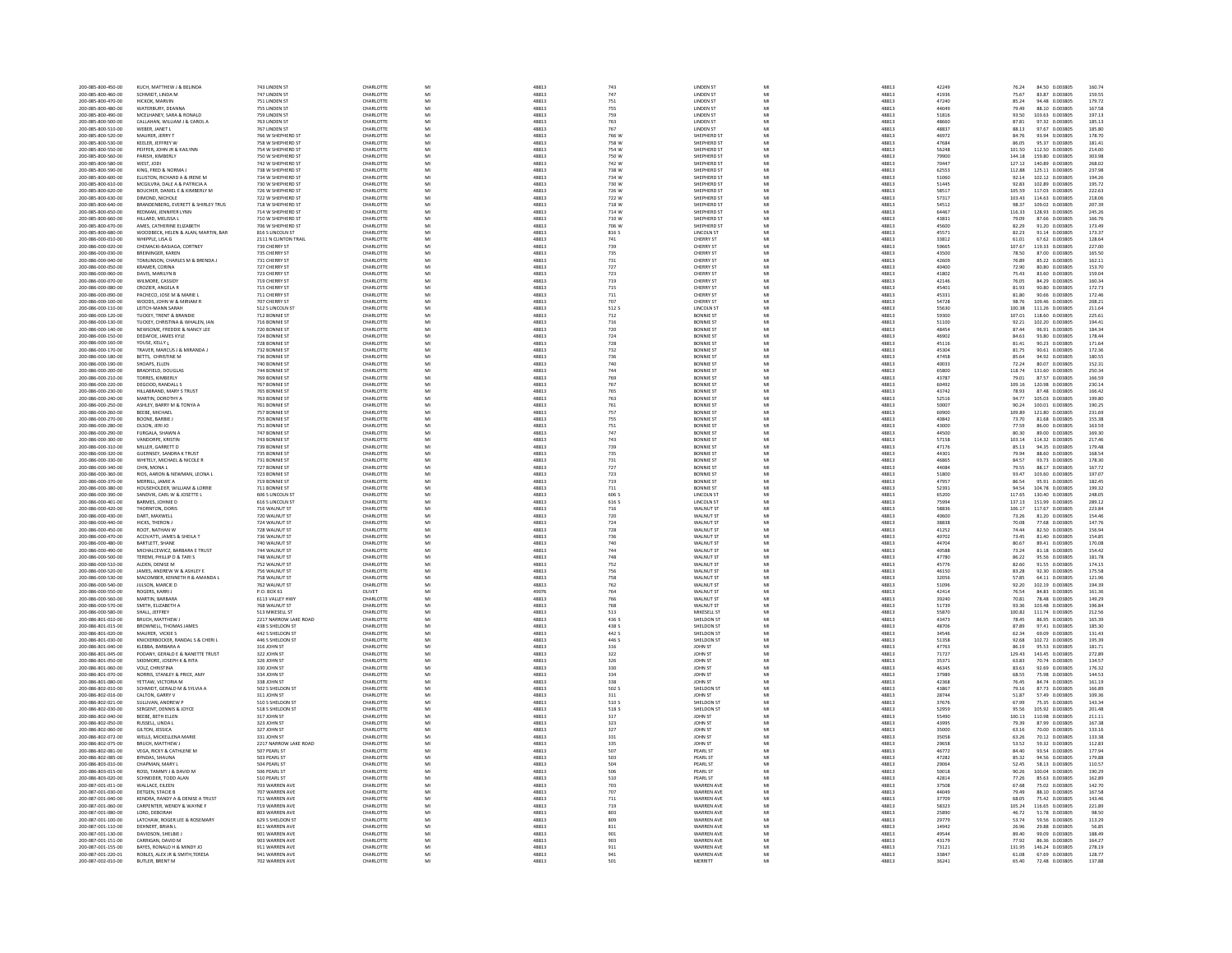| 200-085-800-450-00                       | KUCH, MATTHEW J & BELINDA                                   | 743 LINDEN ST                            | CHARLOTTE                     | M      | 48813          | 743                     | LINDEN ST                              | MI<br>MI | 48813          | 42249          | 84.50 0.003805<br>76.24                               | 160.74           |
|------------------------------------------|-------------------------------------------------------------|------------------------------------------|-------------------------------|--------|----------------|-------------------------|----------------------------------------|----------|----------------|----------------|-------------------------------------------------------|------------------|
| 200-085-800-460-00                       | SCHMIDT, LINDA M                                            | 747 LINDEN ST                            | CHARLOTTE                     | M      | 48813          | 747                     | <b>LINDEN ST</b>                       |          | 48813          | 41936          | 75.67<br>83.87 0.003805                               | 159.55           |
| 200-085-800-470-00                       | HICKOK, MARVIN                                              | 751 LINDEN S'                            | CHARLOTTE                     |        | 48813          | $751\,$                 | LINDEN ST                              |          | 48813          | 47240          | 85.24<br>94.48 0.003805                               | 179.72           |
| 200-085-800-480-00                       | WATERRURY DEANNA                                            | <b>755 LINDEN ST</b>                     | CHARLOTTE                     | M      | 48813          | 755                     | <b>LINDEN ST</b>                       | MI       | 48813          | 44049          | 79.49<br>88.10 0.003805                               | 167.58           |
| 200-085-800-490-00<br>200-085-800-500-00 | MCELHANEY, SARA & RONALD<br>CALLAHAN, WILLIAM J & CAROL A   | 759 LINDEN ST<br>763 LINDEN ST           | CHARLOTTE<br>CHARLOTTE        | M<br>M | 48813<br>48813 | 759<br>763              | LINDEN ST<br><b>INDENST</b>            | M<br>M   | 48813<br>48813 | 51816<br>48660 | 93.50<br>103.63 0.003805<br>87.81<br>97.32 0.003805   | 197.13<br>185.13 |
| 200-085-800-510-00                       | WEBER, JANET L                                              | 767 LINDEN ST                            | CHARLOTTE                     | M      | 48813          | 767                     | <b>LINDEN ST</b>                       | MI       | 48813          | 48837          | 88.13<br>97.67 0.003805                               | 185.80           |
| 200-085-800-520-00                       | MAURER, JERRY                                               | 766 W SHEPHERD S                         | CHARLOTTE                     |        | 48813          | 766 W                   | SHEPHERD ST                            | M        | 48813          | 46972          | 93.94 0.003805<br>84.76                               | 178.70           |
| 200-085-800-530-00                       | KEELER, JEFFREY W                                           | 758 W SHEPHERD ST                        | CHARLOTTE                     | M      | 48813          | 758 W                   | SHEPHERD ST                            | MI       | 48813          | 47684          | 86.05<br>95.37 0.003805                               | 181.41           |
| 200-085-800-550-00                       | PEIFFER, JOHN JR & KAILYNN                                  | 754 W SHEPHERD ST                        | CHARLOTTE                     | M      | 48813          | 754 W                   | SHEPHERD ST                            | MI       | 48813          | 56248          | 112.50 0.003805<br>101.50                             | 214.00           |
| 200-085-800-560-00                       | PARISH, KIMBERLY                                            | 750 W SHEPHERD S                         | CHARLOTTE                     |        | 48813          | 750 W                   | SHEPHERD ST                            | MI       | 48813          | 79900          | 144.18<br>159.80 0.003805                             | 303.98           |
| 200-085-800-580-00                       | WEST JON                                                    | 742 W SHEPHERD ST                        | CHARLOTTE                     | M      | 48813          | 742 W                   | SHEPHERD ST                            | MI       | 48813          | 70447          | 127 12<br>140.89 0.003805                             | 268.02           |
| 200-085-800-590-00                       | KING, FRED & NORMA J                                        | 738 W SHEPHERD S                         | CHARLOTTE                     |        | 48813          | 738 W                   | SHEPHERD ST                            |          | 48813          | 62553          | 125.11 0.003805<br>112.88                             | 237.98           |
| 200-085-800-600-00                       | FLUSTON, RICHARD A & IRENE M.                               | <b>734 W SHEPHERD ST</b>                 | CHARLOTTE                     | M      | 48813          | 734 W                   | SHEPHERD ST                            | MI       | 48813          | 51060          | 92.14<br>102.12 0.003805                              | 194.26           |
| 200-085-800-610-00                       | MCGILVRA, DALE A & PATRICIA A                               | 730 W SHEPHERD ST                        | CHARLOTTE                     | M      | 48813          | 730 W                   | SHEPHERD ST                            | MI       | 48813          | 51445          | 92.83<br>102.89 0.003805                              | 195.72           |
| 200-085-800-620-00                       | BOUCHER, DANIEL E & KIMBERLY M                              | 726 W SHEPHERD ST                        | CHARLOTTE                     |        | 48813          | 726 W                   | SHEPHERD ST                            | M        | 48813          | 58517          | 105.59<br>117.03 0.003805                             | 222.63           |
| 200-085-800-630-00                       | DIMOND NICHOLF                                              | 722 W SHEPHERD ST                        | CHARLOTTE                     | M      | 48813          | 722 W                   | SHEPHERD ST                            | MI       | 48813          | 57317          | 103.43<br>114.63 0.003805                             | 218.06           |
| 200-085-800-640-00<br>200-085-800-650-00 | BRANDENBERG, EVERETT & SHIRLEY TRUS<br>REDMAN JENNIFER LYNN | 718 W SHEPHERD ST<br>714 W SHEPHERD ST   | CHARLOTTE<br><b>CHARLOTTE</b> | M      | 48813<br>48813 | 718 W<br>714 W          | SHEPHERD ST<br>SHEPHERD ST             | M<br>MI  | 48813<br>48813 | 54512<br>64467 | 109.02 0.003805<br>98.37<br>116.33<br>128.93 0.003805 | 207.39<br>245.26 |
| 200-085-800-660-00                       | HILLARD, MELISSA L                                          | 710 W SHEPHERD ST                        | CHARLOTTE                     | M      | 48813          | 710 W                   | SHEPHERD ST                            | MI       | 48813          | 43831          | 79.09<br>87.66 0.003805                               | 166.76           |
| 200-085-800-670-00                       | AMES, CATHERINE ELIZABETH                                   | 706 W SHEPHERD ST                        | CHARLOTTE                     |        | 48813          | 706 W                   | SHEPHERD ST                            | M        | 48813          | 45600          | 82.29<br>91.20 0.003805                               | 173.49           |
| 200-085-800-680-00                       | WOODRECK HELEN & ALAN MARTIN RAR                            | <b>R16 S LINCOLN ST</b>                  | CHARLOTTE                     | M      | 48813          | 816.5                   | <b>LINCOLN ST</b>                      | MI       | 48813          | 45571          | 82.23<br>91.14 0.003805                               | 173.37           |
| 200-086-000-010-00                       | WHIPPLE, LISA G                                             | 2111 N CLINTON TRAIL                     | CHARLOTTE                     |        | 48813          | 741                     | CHERRY ST                              | MI       | 48813          | 33812          | 67.62 0.003805<br>61.01                               | 128.64           |
| 200-086-000-020-00                       | CHEMACKI-BASIAGA, CORTNEY                                   | 739 CHERRY ST                            | CHARLOTTE                     |        | 48813          |                         | CHERRY ST                              | M        | 48813          | 59665          | 107.67<br>119.33 0.003805                             | 227.00           |
| 200-086-000-030-00                       | <b>BREININGER, KAREN</b>                                    | 735 CHERRY ST                            | CHARLOTTE                     | M      | 48813          | 739<br>735              | CHERRY ST                              | MI       | 48813          | 43500          | 78.50<br>87.00 0.003805                               | 165.50           |
| 200-086-000-040-00                       | TOMLINSON, CHARLES M & BRENDA J                             | 731 CHERRY ST                            | CHARLOTTE                     |        | 48813          | $731\,$                 | CHERRY ST                              | M        | 48813          | 42609          | 76.89<br>85.22 0.003805                               | 162.11           |
| 200-086-000-050-00                       | KRAMER CORINA                                               | 727 CHERRY ST                            | CHARLOTTE                     | M      | 48813          | 727                     | CHERRY ST                              | MI       | 48813          | 40400          | 72.90<br>80.80 0.003805                               | 153.70           |
| 200-086-000-060-00                       | DAVIS, MARILYN B                                            | 723 CHERRY ST                            | CHARLOTTE                     | M      | 48813          | 723                     | CHERRY ST                              | MI       | 48813          | 41802          | 75.43<br>83.60 0.003805                               | 159.04           |
| 200-086-000-070-00                       | WILMORE, CASSIDY                                            | 719 CHERRY ST                            | CHARLOTTE                     | M      | 48813          | 719                     | CHERRY ST                              | M        | 48813          | 42146          | 76.05<br>84.29 0.003805                               | 160.34           |
| 200-086-000-080-00                       | CROZIER, ANGELA R                                           | 715 CHERRY ST                            | CHARLOTTE                     | M      | 48813          | 715                     | CHERRY ST                              | MI       | 48813          | 45401          | 81.93<br>90.80 0.003805                               | 172.73           |
| 200-086-000-090-00                       | <b>PACHECO, JOSE M &amp; MARIE L</b>                        | 711 CHERRY ST                            | CHARLOTTE                     |        | 48813          | 711                     | CHERRY ST                              |          | 48813          | 45331          | 81.80<br>90.66 0.003805                               | 172.46           |
| 200-086-000-100-00                       | WOODS JOHN W & MIRIAM R                                     | 707 CHERRY ST                            | CHARLOTTE                     | M      | 48813          | 707                     | CHERRY ST                              | MI       | 48813          | 54728          | 98.76<br>109.46 0.003805                              | 208.21           |
| 200-086-000-110-00                       | LEITCH-MANN SARAH                                           | 512 S LINCOLN ST                         | CHARLOTTE                     | M      | 48813          | 512 S                   | LINCOLN ST                             | M<br>M   | 48813<br>48813 | 55630          | 100.38<br>111.26 0.003805<br>107.01                   | 211.64           |
| 200-086-000-120-00<br>200-086-000-130-00 | TUCKEY, TRENT & BRANDIE<br>TUCKEY, CHRISTINA & WHALEN, IAN  | 712 BONNIE ST<br>716 BONNIE ST           | CHARLOTTE<br>CHARLOTTE        | M      | 48813<br>48813 | 712<br>716              | <b>BONNIE ST</b><br><b>BONNIE ST</b>   | MI       | 48813          | 59300<br>51100 | 118.60 0.003805<br>92.21<br>102.20 0.003805           | 225.61<br>194.41 |
| 200-086-000-140-00                       | NEWSOME, FREDDIE & NANCY LEE                                | 720 BONNIE ST                            | CHARLOTTE                     |        | 48813          | 720                     | <b>BONNIE ST</b>                       | M        | 48813          | 48454          | 96.91 0.003805<br>87.44                               | 184.34           |
| 200-086-000-150-00                       | DEDAFOE, JAMES KYLE                                         | 724 BONNIE ST                            | CHARLOTTE                     | M      | 48813          |                         | <b>BONNIE ST</b>                       | MI       | 48813          | 46902          | 84.63<br>93.80 0.003805                               | 178.44           |
| 200-086-000-160-00                       | YOUSE, KELLY L                                              | 728 BONNIE ST                            | CHARLOTTE                     |        | 48813          | 724<br>728              | <b>BONNIE ST</b>                       | MI       | 48813          | 45116          | 90.23 0.003805<br>81.41                               | 171.64           |
| 200-086-000-170-00                       | TRAVER, MARCUS J & MIRANDA J                                | 732 BONNIE ST                            | CHARLOTTE                     | M      | 48813          | 732                     | <b>BONNIE ST</b>                       | M        | 48813          | 45304          | 81.75<br>90.61 0.003805                               | 172.36           |
| 200-086-000-180-00                       | BETTS. CHRISTINE M                                          | 736 BONNIE ST                            | CHARLOTTE                     | M      | 48813          | 736                     | <b>BONNIE ST</b>                       | MI       | 48813          | 47458          | 85.64<br>94.92 0.003805                               | 180.55           |
| 200-086-000-190-00                       | SHOAPS, ELLEN                                               | 740 BONNIE ST                            | CHARLOTTE                     |        | 48813          | 740                     | <b>BONNIE ST</b>                       | M        | 48813          | 40033          | 72.24<br>80.07 0.003805                               | 152.31           |
| 200-086-000-200-00                       | BRADFIELD, DOUGLAS                                          | 744 BONNIE ST                            | CHARLOTTE                     | M      | 48813          | 744                     | <b>BONNIE ST</b>                       | M        | 48813          | 65800          | 118.74<br>131.60 0.003805                             | 250.34           |
| 200-086-000-210-00                       | <b>TORRES, KIMBERLY</b>                                     | 769 BONNIE ST                            | CHARLOTTE                     | M      | 48813          | 769                     | <b>BONNIE ST</b>                       | MI       | 48813          | 43787          | 79.01<br>87.57 0.003805                               | 166.59           |
| 200-086-000-220-00                       | DEGOOD, RANDALL S                                           | 767 BONNIE ST                            | CHARLOTT                      |        | 48813          | 767                     | <b>BONNIE ST</b>                       | M        | 48813          | 60492          | 109.16<br>120.98 0.003805                             | 230.14           |
| 200-086-000-230-00                       | HILLABRAND, MARY S TRUST                                    | 765 BONNIE ST                            | CHARLOTTE                     | M      | 48813          | 765                     | <b>BONNIE ST</b>                       | MI       | 48813          | 43742          | 78.93<br>87.48 0.003805                               | 166.42           |
| 200-086-000-240-00                       | MARTIN, DOROTHY A                                           | 763 BONNIE ST                            | CHARLOTTE                     |        | 48813          | 763                     | <b>BONNIE ST</b>                       | M        | 48813          | 52516          | 105.03  0.003805<br>94.77                             | 199.80           |
| 200-086-000-250-00                       | ASHLEY, BARRY M & TONYA A                                   | 761 BONNIE ST                            | CHARLOTTE                     | M      | 48813          | 761                     | <b>BONNIE ST</b>                       | MI       | 48813          | 50007          | 90.24<br>100.01 0.003805                              | 190.25           |
| 200-086-000-260-00                       | BEEBE, MICHAEL                                              | 757 BONNIE ST                            | CHARLOTTE                     | M      | 48813          | 757                     | <b>BONNIE ST</b>                       | MI       | 48813          | 60900          | 109.89<br>121.80 0.003805                             | 231.69           |
| 200-086-000-270-00                       | BOONE, BARBIE J                                             | 755 BONNIE ST                            | CHARLOTTE                     |        | 48813          | 755                     | <b>BONNIE ST</b>                       |          | 48813          | 40842          | 81.68 0.003805<br>73.70                               | 155.38           |
| 200-086-000-280-00                       | OLSON, JERI JO                                              | 751 BONNIE ST                            | CHARLOTTE                     | M      | 48813          | 751<br>747              | <b>BONNIE ST</b>                       | MI       | 48813<br>48813 | 43000          | 77.59<br>86.00 0.003805                               | 163.59           |
| 200-086-000-290-00<br>200-086-000-300-00 | FURGALA, SHAWN A                                            | 747 BONNIE ST                            | CHARLOTTE<br>CHARLOTTE        | M      | 48813          |                         | <b>BONNIE ST</b>                       | M<br>MI  |                | 44500          | 80.30<br>89.00 0.003805                               | 169.30           |
| 200-086-000-310-00                       | VANDORPE, KRISTIN<br>MILLER, GARRETT D                      | 743 BONNIE ST<br>739 BONNIE ST           | CHARLOTTE                     | M      | 48813<br>48813 | 743<br>739              | <b>BONNIE ST</b><br><b>BONNIE ST</b>   | MI       | 48813<br>48813 | 57158<br>47176 | 114.32 0.003805<br>103.14<br>85.13<br>94.35 0.003805  | 217.46<br>179.48 |
| 200-086-000-320-00                       | <b>GUERNSEY, SANDRA K TRUST</b>                             | 735 BONNIE ST                            | CHARLOTTE                     |        | 48813          | 735                     | <b>BONNIE ST</b>                       |          | 48813          | 44301          | 88.60 0.003805                                        | 168.54           |
| 200-086-000-330-00                       | WHITELY, MICHAEL & NICOLE R                                 | 731 BONNIE ST                            | CHARLOTTE                     | M      | 48813          | 731                     | <b>RONNIE ST</b>                       | MI       | 48813          | 46865          | 79.94<br>84.57<br>93.73 0.003805                      | 178.30           |
| 200-086-000-340-00                       | CHIN, MONA L                                                | 727 BONNIE ST                            | CHARLOTTE                     |        | 48813          | 727                     | <b>BONNIE ST</b>                       |          | 48813          | 44084          | 88.17 0.003805<br>79.55                               | 167.72           |
| 200-086-000-360-00                       | RIOS. AARON & NEWMAN, LEONA                                 | 723 BONNIE ST                            | CHARLOTTE                     | M      | 48813          | 723                     | <b>BONNIE ST</b>                       | MI       | 48813          | 51800          | 93.47<br>103.60 0.003805                              | 197.07           |
| 200-086-000-370-00                       | MERRILL, JAMIE A                                            | 719 BONNIE ST                            | CHARLOTTE                     | M      | 48813          | 719                     | <b>BONNIE ST</b>                       | MI       | 48813          | 47957          | 86.54<br>95.91 0.003805                               | 182.45           |
| 200-086-000-380-00                       | HOUSEHOLDER, WILLIAM & LORRIE                               | 711 BONNIE ST                            | CHARLOTTE                     |        | 48813          | $711\,$                 | <b>BONNIE ST</b>                       |          | 48813          | 52391          | 94.54<br>104.78 0.003805                              | 199.32           |
| 200-086-000-390-00                       | SANDVIK, CARL W & JOSETTE L                                 | 606 S LINCOLN ST                         | CHARLOTTE                     | M      | 48813          | 606.5                   | <b>LINCOLN ST</b>                      | MI       | 48813          | 65200          | 117.65<br>130.40 0.003805                             | 248.05           |
| 200-086-000-401-00                       | BARMES, JOHNIE D                                            | 616 S LINCOLN ST                         | CHARLOTTE                     | M      | 48813          | 616 S                   | LINCOLN ST                             | MI       | 48813          | 75994          | 137.13<br>151.99 0.003805                             | 289.12           |
| 200-086-000-420-00                       | THORNTON, DORIS                                             | 716 WALNUT ST                            | CHARLOTTE                     |        | 48813          | $716\,$                 | WALNUT ST                              |          | 48813          | 58836          | 106.17<br>117.67 0.003805                             | 223.84           |
| 200-086-000-430-00                       | DART, MAXWELL                                               | 720 WALNUT ST                            | CHARLOTTE                     | M      | 48813          | 720                     | WALNUT ST                              | MI       | 48813          | 40600          | 73.26<br>81.20 0.003805                               | 154.46           |
| 200-086-000-440-00                       | <b>HICKS, THERON J</b>                                      | 724 WALNUT ST                            | CHARLOTTE                     |        | 48813          | 724                     | WALNUT ST                              |          | 48813          | 38838          | 77.68 0.003805<br>70.08                               | 147.76           |
| 200-086-000-450-00                       | ROOT NATHAN W                                               | 728 WALNUT ST                            | CHARLOTTE                     | M      | 48813          | 728                     | WAI NUT ST                             | MI       | 48813          | 41252          | 74.44<br>82.50 0.003805                               | 156.94           |
| 200-086-000-470-00                       | ACCIVATTI, JAMES & SHEILA T                                 | 736 WALNUT ST                            | CHARLOTTE                     | M      | 48813          | 736                     | WALNUT ST                              | MI       | 48813          | 40702          | 73.45<br>81.40 0.003805                               | 154.85           |
| 200-086-000-480-00                       | BARTLETT, SHANE                                             | 740 WALNUT ST                            | CHARLOTTE                     |        | 48813          | 740                     | WALNUT ST                              | M        | 48813          | 44704          | 80.67<br>89.41 0.003805                               | 170.08           |
| 200-086-000-490-00                       | MICHALCEWICZ RARRARA E TRUST                                | 744 WALNUT ST                            | CHARLOTTE                     | M      | 48813          | 744                     | WAI NUT ST                             | MI       | 48813          | 40588          | 73.24<br>81.18 0.003805                               | 154.42           |
| 200-086-000-500-00                       | TEREMI, PHILLIP D & TARI S                                  | 748 WALNUT ST                            | CHARLOTTE<br>CHARLOTTE        | M      | 48813          | 748<br>752              | WALNUT ST<br>WAI NUT ST                | MI       | 48813<br>48813 | 47780          | 86.22<br>95.56 0.003805                               | 181.78           |
| 200-086-000-510-00                       | ALDEN, DENISE M<br>JAMES, ANDREW W & ASHLEY E               |                                          |                               | M      | 48813          |                         |                                        |          |                | 45776          | 82.60<br>91.55 0.003805<br>83.28<br>92.30 0.003805    | 174.15           |
| 200-086-000-520-00<br>200-086-000-530-00 |                                                             | 752 WALNUT ST                            |                               |        |                |                         |                                        |          |                |                |                                                       |                  |
|                                          |                                                             | 756 WALNUT ST                            | CHARLOTTE                     |        | 48813          | 756                     | WALNUT ST                              | MI       | 48813          | 46150          |                                                       | 175.58           |
|                                          | MACOMBER, KENNETH R & AMANDA                                | 758 WALNUT ST                            | CHARLOTTE                     |        | 48813          | 758                     | WALNUT ST                              | M        | 48813          | 32056          | 57.85<br>64.11 0.003805                               | 121.96           |
| 200-086-000-540-00                       | <b>ILILSON, MARCIE D.</b>                                   | 762 WALNUT ST                            | CHARLOTTE                     | M      | 48813          | 762                     | WAI NUT ST                             | MI       | 48813          | 51096          | 92.20<br>102.19 0.003805                              | 194.39           |
| 200-086-000-550-00<br>200-086-000-560-00 | ROGERS, KARRI J<br>MARTIN RARRARA                           | P.O. BOX 61                              | OLIVET<br>CHARLOTTE           | M      | 49076          | 764                     | WALNUT ST<br>WAI NUT ST                | MI<br>MI | 48813          | 42414          | 84.83 0.003805<br>76.54<br>70.81                      | 161.36           |
|                                          |                                                             | 6113 VALLEY HWY                          |                               | M      | 48813          | 766                     |                                        |          | 48813          | 39240          | 78.48 0.003805                                        | 149.29           |
| 200-086-000-570-00                       | SMITH, ELIZABETH A                                          | 768 WALNUT ST                            | CHARLOTTE                     |        | 48813          | 768                     | WALNUT ST                              | MI<br>M  | 48813          | 51739          | 93.36<br>103.48 0.003805                              | 196.84           |
| 200-086-000-580-00<br>200-086-801-010-00 | SHALL, JEFFREY<br><b>RRUCH MATTHEW I</b>                    | 513 MIKESELL ST<br>2217 NARROW LAKE ROAD | CHARLOTTE<br>CHARLOTTE        | M      | 48813<br>48813 | ${\sf s}_{13}$<br>436.5 | MIKESELL ST<br>SHELDON ST              | MI       | 48813<br>48813 | 55870<br>43473 | 100.82<br>111.74 0.003805<br>78.45<br>86.95 0.003805  | 212.56<br>165.39 |
| 200-086-801-015-00                       | BROWNELL, THOMAS JAMES                                      | 438 S SHELDON ST                         | CHARLOTTE                     | M      | 48813          | 438 S                   | SHELDON ST                             | MI       | 48813          | 48706          | 97.41 0.003805<br>87.89                               | 185.30           |
| 200-086-801-020-01                       | MAURER, VICKIE S                                            | 442 S SHELDON ST                         | CHARLOTT                      |        | 48813          | 442 \$                  | SHELDON ST                             | M        | 48813          | 34546          | 62.34<br>69.09 0.003805                               | 131.43           |
| 200-086-801-030-00                       | KNICKERBOCKER, RANDAL S & CHERI L                           | 446 S SHELDON ST                         | CHARLOTTE                     | M      | 48813          | 446 S                   | SHELDON ST                             | MI       | 48813          | 51358          | 92.68<br>102.72 0.003805                              | 195.39           |
| 200-086-801-040-00                       | KLEBBA, BARBARA A                                           | 316 JOHN ST                              | CHARLOTTE                     |        | 48813          | 316                     | JOHN ST                                | M        | 48813          | 47763          | 86.19<br>95.53 0.003805                               | 181.71           |
| 200-086-801-045-00                       | PODANY GERALD F & NANETTE TRUST                             | 322 IOHN ST                              | CHARLOTTE                     | M      | 48813          | 322                     | <b>IOHN ST</b>                         | MI       | 48813          | 71727          | 129.43<br>143.45 0.003805                             | 272.89           |
| 200-086-801-050-00                       | SKIDMORE, JOSEPH K & RITA                                   | 326 JOHN ST                              | CHARLOTTE                     | M      | 48813          | 326                     | JOHN ST                                | MI       | 48813          | 35371          | 70.74 0.003805<br>63.83                               | 134.57           |
| 200-086-801-060-00                       | VOLZ, CHRISTINA                                             | 330 JOHN ST                              | CHARLOTTE                     | M      | 48813          | 330                     | JOHN ST                                | M        | 48813          | 46345          | 83.63<br>92.69 0.003805                               | 176.32           |
| 200-086-801-070-00                       | NORRIS, STANLEY & PRICE, AMY                                | 334 JOHN ST                              | CHARLOTTE                     | M      | 48813          | 334                     | JOHN ST                                | MI       | 48813          | 37989          | 68.55<br>75.98 0.003805                               | 144.53           |
| 200-086-801-080-00<br>200-086-802-010-00 | YETTAW, VICTORIA M<br>SCHMIDT GERALD M & SYLVIA A           | 338 JOHN ST<br>502 S SHELDON ST          | CHARLOTTE<br>CHARLOTTE        | M      | 48813<br>48813 | 338<br>502.5            | JOHN ST<br>SHELDON ST                  | M<br>MI  | 48813<br>48813 | 42368<br>43867 | 84.74 0.003805<br>76.45<br>79.16<br>87.73 0.003805    | 161.19<br>166.89 |
| 200-086-802-016-00                       | CALTON, GARRY V                                             | 311 JOHN ST                              | CHARLOTTE                     | M      | 48813          | 311                     | JOHN ST                                | MI       | 48813          | 28744          | 57.49 0.003805<br>51.87                               | 109.36           |
| 200-086-802-021-00                       | <b>SULLIVAN, ANDREW F</b>                                   | 510 S SHELDON ST                         | CHARLOTTE                     |        | 48813          | 510 S                   | SHELDON ST                             | M        | 48813          | 37676          | 67.99<br>75.35 0.003805                               | 143.34           |
| 200-086-802-030-00                       | SERGENT, DENNIS & JOYCE                                     | <b>518 S SHELDON ST</b>                  | CHARLOTTE                     | M      | 48813          | 518 S                   | SHELDON ST                             | MI       | 48813          | 52959          | 95.56<br>105.92 0.003805                              | 201.48           |
| 200-086-802-040-00                       | BEEBE, BETH ELLEN                                           | 317 JOHN ST                              | CHARLOTTE                     |        | 48813          | 317                     | JOHN ST                                | MI       | 48813          | 55490          | 100.13<br>110.98 0.003805                             | 211.11           |
| 200-086-802-050-00                       | RUSSELL, LINDA I                                            | 323 JOHN ST                              | CHARLOTTE                     | M      | 48813          |                         | <b>IOHN ST</b>                         | M        | 48813          | 43995          | 79.39<br>87.99 0.003805                               | 167.38           |
| 200-086-802-060-00                       | GILTON, JESSICA                                             | 327 JOHN ST                              | CHARLOTTE                     | M      | 48813          | 323<br>327              | <b>JOHN ST</b>                         | MI       | 48813          | 35000          | 70.00 0.003805<br>63.16                               | 133.16           |
| 200-086-802-072-00                       | WELLS, MICKELLENA MARIE                                     | 331 JOHN ST                              | CHARLOTTE                     |        | 48813          | 331                     | JOHN ST                                | M        | 48813          | 35058          | 63.26<br>70.12 0.003805                               | 133.38           |
| 200-086-802-075-00                       | BRUCH, MATTHEW J                                            | 2217 NARROW LAKE ROAD                    | CHARLOTTE                     | M      | 48813          | 335                     | JOHN ST                                | MI       | 48813          | 29658          | 53.52<br>59.32 0.003805                               | 112.83           |
| 200-086-802-081-00                       | VEGA, RICKY & CATHLENE M                                    | 507 PEARL ST                             | CHARLOTTE                     | M      | 48813          | 507                     | PEARL ST                               | MI       | 48813          | 46772          | 93.54 0.003805<br>84.40                               | 177.94           |
| 200-086-802-085-00                       | BYNDAS, SHAUNA                                              | 503 PEARL ST                             | CHARLOTTE                     | M      | 48813          | 503                     | PEARL ST                               | M        | 48813          | 47282          | 94.56 0.003805<br>85.32                               | 179.88           |
| 200-086-803-010-00                       | CHAPMAN, MARY L                                             | 504 PEARL ST                             | CHARLOTTE                     | M      | 48813          | 504                     | PEARL ST                               | MI       | 48813          | 29064          | 52.45<br>58.13 0.003805                               | 110.57           |
| 200-086-803-015-00<br>200-086-803-020-00 | <b>ROSS, TAMMY J &amp; DAVID M</b><br>SCHNEIDER, TODD ALAN  | 506 PEARL ST<br>510 PEARL ST             | CHARLOTT<br>CHARLOTTE         | M      | 48813<br>48813 | 506<br>510              | PEARL ST<br>PEARL ST                   | MI       | 48813<br>48813 | 50018<br>42814 | 90.26<br>100.04 0.003805<br>77.26<br>85.63 0.003805   | 190.29<br>162.89 |
|                                          | WALLACE, EILEEN                                             |                                          |                               |        |                |                         |                                        | MI       |                |                |                                                       |                  |
| 200-087-001-011-00<br>200-087-001-030-00 | DETGEN, STACIE B                                            | 703 WARREN AVE<br>707 WARREN AVE         | CHARLOTTE<br>CHARLOTTE        | M      | 48813<br>48813 | 703<br>707              | WARREN AVI<br><b>WARREN AVE</b>        | M        | 48813<br>48813 | 37508<br>44049 | 67.68<br>75.02 0.003805<br>88.10 0.003805<br>79.49    | 142.70<br>167.58 |
| 200-087-001-040-00                       | KENDRA, RANDY A & DENISE A TRUST                            | 711 WARREN AVE                           | CHARLOTTE                     | M      | 48813          | 711                     | <b>WARREN AVE</b>                      | MI       | 48813          | 37709          | 68.05<br>75.42 0.003805                               | 143.46           |
| 200-087-001-060-00                       |                                                             |                                          |                               |        |                | 719                     |                                        |          |                |                | 105.24                                                |                  |
| 200-087-001-080-00                       | CARPENTER, WENDY & WAYNE F<br>LORD, DEBORAH                 | 719 WARREN AVE<br>803 WARREN AVE         | CHARLOTTE<br>CHARLOTTE        | M      | 48813<br>48813 | 803                     | <b>WARREN AVE</b><br><b>WARREN AVE</b> | M        | 48813<br>48813 | 58323<br>25890 | 116.65 0.003805<br>46.72<br>51.78 0.003805            | 221.89<br>98.50  |
| 200-087-001-100-00                       | LATCHAW, ROGER LEE & ROSEMARY                               | 629 S SHELDON ST                         | CHARLOTTE                     |        | 48813          | 809                     | <b>WARREN AVE</b>                      | M        | 48813          | 29779          | 59.56 0.003805<br>53.74                               | 113.29           |
| 200-087-001-110-00                       | DEHNERT, BRIAN L                                            | 811 WARREN AVE                           | CHARLOTTE                     |        | 48813          | 811                     | <b>WARREN AVE</b>                      | M        | 48813          | 14942          | 26.96<br>29.88 0.003805                               | 56.85            |
| 200-087-001-130-00                       | DAVIDSON, SHELBIE                                           | 901 WARREN AVE                           | CHARLOTTE                     | M      | 48813          | 901                     | <b>WARREN AVE</b>                      | MI       | 48813          | 49544          | 89.40<br>99.09 0.003805                               | 188.49           |
| 200-087-001-151-00                       | CARRIGAN, DAVID M                                           | 903 WARREN AVI                           | CHARLOTTE                     |        | 48813          | 903                     | <b>WARREN AVE</b>                      |          | 48813          | 43179          | 77.92<br>86.36 0.003805                               | 164.27           |
| 200-087-001-155-00                       | BAYES, RONALD H & MINDY JO                                  | 911 WARREN AVE                           | <b>CHARLOTTE</b>              | M      | 48813          | 911                     | WARREN AVE                             | M        | 48813          | 73121          | 131.95<br>146.24 0.003805                             | 278.19           |
| 200-087-001-220-01                       | ROBLES, ALEX JR & SMITH, TERESA                             | 941 WARREN AVE                           | CHARLOTTE                     | M      | 48813          | 941                     | <b>WARREN AVE</b>                      | MI<br>M  | 48813          | 33847          | 61.08<br>67.69 0.003805                               | 128.77           |
| 200-087-002-010-00                       | <b>BUTLER, BRENT M</b>                                      | 702 WARREN AVI                           | CHARLOTTE                     |        | 48813          | 501                     | MERRITT                                |          | 48813          | 36241          | 65.40<br>72.48 0.003805                               | 137.88           |